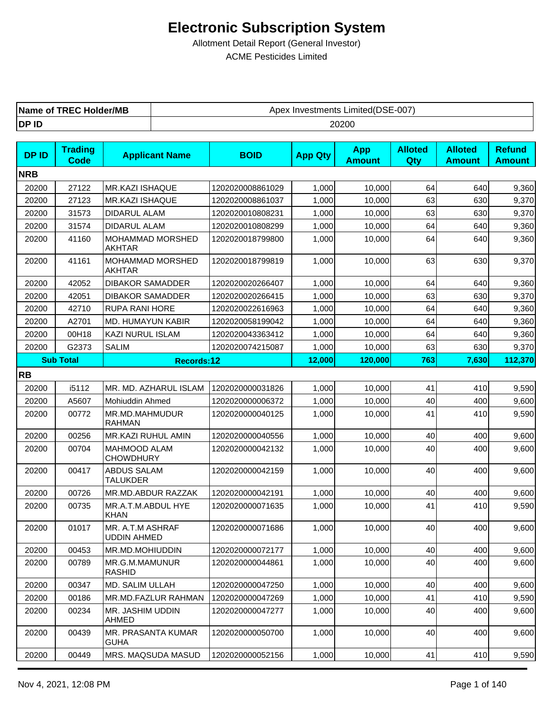| <b>TREC Holder/MB</b> | c Investments Limited(DSE-007) |
|-----------------------|--------------------------------|
| Name of               | Apex                           |
| DP ID                 | 20200                          |

| <b>DPID</b> | <b>Trading</b><br><b>Code</b> | <b>Applicant Name</b>                   | <b>BOID</b>      | <b>App Qty</b> | <b>App</b><br><b>Amount</b> | <b>Alloted</b><br>Qty | <b>Alloted</b><br><b>Amount</b> | <b>Refund</b><br><b>Amount</b> |
|-------------|-------------------------------|-----------------------------------------|------------------|----------------|-----------------------------|-----------------------|---------------------------------|--------------------------------|
| <b>NRB</b>  |                               |                                         |                  |                |                             |                       |                                 |                                |
| 20200       | 27122                         | MR.KAZI ISHAQUE                         | 1202020008861029 | 1,000          | 10,000                      | 64                    | 640                             | 9,360                          |
| 20200       | 27123                         | <b>MR.KAZI ISHAQUE</b>                  | 1202020008861037 | 1,000          | 10,000                      | 63                    | 630                             | 9,370                          |
| 20200       | 31573                         | DIDARUL ALAM                            | 1202020010808231 | 1,000          | 10,000                      | 63                    | 630                             | 9,370                          |
| 20200       | 31574                         | DIDARUL ALAM                            | 1202020010808299 | 1,000          | 10,000                      | 64                    | 640                             | 9,360                          |
| 20200       | 41160                         | MOHAMMAD MORSHED<br><b>AKHTAR</b>       | 1202020018799800 | 1,000          | 10,000                      | 64                    | 640                             | 9,360                          |
| 20200       | 41161                         | MOHAMMAD MORSHED<br>AKHTAR              | 1202020018799819 | 1,000          | 10,000                      | 63                    | 630                             | 9,370                          |
| 20200       | 42052                         | <b>DIBAKOR SAMADDER</b>                 | 1202020020266407 | 1,000          | 10,000                      | 64                    | 640                             | 9,360                          |
| 20200       | 42051                         | <b>DIBAKOR SAMADDER</b>                 | 1202020020266415 | 1,000          | 10,000                      | 63                    | 630                             | 9,370                          |
| 20200       | 42710                         | <b>RUPA RANI HORE</b>                   | 1202020022616963 | 1,000          | 10,000                      | 64                    | 640                             | 9,360                          |
| 20200       | A2701                         | MD. HUMAYUN KABIR                       | 1202020058199042 | 1,000          | 10,000                      | 64                    | 640                             | 9,360                          |
| 20200       | 00H18                         | <b>KAZI NURUL ISLAM</b>                 | 1202020043363412 | 1,000          | 10,000                      | 64                    | 640                             | 9,360                          |
| 20200       | G2373                         | <b>SALIM</b>                            | 1202020074215087 | 1,000          | 10,000                      | 63                    | 630                             | 9,370                          |
|             | <b>Sub Total</b>              | <b>Records:12</b>                       |                  | 12,000         | 120,000                     | 763                   | 7,630                           | 112,370                        |
| <b>RB</b>   |                               |                                         |                  |                |                             |                       |                                 |                                |
| 20200       | i5112                         | MR. MD. AZHARUL ISLAM                   | 1202020000031826 | 1,000          | 10,000                      | 41                    | 410                             | 9,590                          |
| 20200       | A5607                         | <b>Mohiuddin Ahmed</b>                  | 1202020000006372 | 1,000          | 10,000                      | 40                    | 400                             | 9,600                          |
| 20200       | 00772                         | MR.MD.MAHMUDUR<br>RAHMAN                | 1202020000040125 | 1,000          | 10,000                      | 41                    | 410                             | 9,590                          |
| 20200       | 00256                         | MR.KAZI RUHUL AMIN                      | 1202020000040556 | 1,000          | 10,000                      | 40                    | 400                             | 9,600                          |
| 20200       | 00704                         | <b>MAHMOOD ALAM</b><br><b>CHOWDHURY</b> | 1202020000042132 | 1,000          | 10,000                      | 40                    | 400                             | 9,600                          |
| 20200       | 00417                         | <b>ABDUS SALAM</b><br><b>TALUKDER</b>   | 1202020000042159 | 1,000          | 10,000                      | 40                    | 400                             | 9,600                          |
| 20200       | 00726                         | MR.MD.ABDUR RAZZAK                      | 1202020000042191 | 1,000          | 10,000                      | 40                    | 400                             | 9,600                          |
| 20200       | 00735                         | MR.A.T.M.ABDUL HYE<br><b>KHAN</b>       | 1202020000071635 | 1,000          | 10,000                      | 41                    | 410                             | 9,590                          |
| 20200       | 01017                         | MR. A.T.M ASHRAF<br><b>UDDIN AHMED</b>  | 1202020000071686 | 1,000          | 10,000                      | 40                    | 400                             | 9,600                          |
| 20200       | 00453                         | MR.MD.MOHIUDDIN                         | 1202020000072177 | 1,000          | 10,000                      | $40\,$                | 400                             | 9,600                          |
| 20200       | 00789                         | MR.G.M.MAMUNUR<br><b>RASHID</b>         | 1202020000044861 | 1,000          | 10,000                      | 40                    | 400                             | 9,600                          |
| 20200       | 00347                         | MD. SALIM ULLAH                         | 1202020000047250 | 1,000          | 10,000                      | 40                    | 400                             | 9,600                          |
| 20200       | 00186                         | MR.MD.FAZLUR RAHMAN                     | 1202020000047269 | 1,000          | 10,000                      | 41                    | 410                             | 9,590                          |
| 20200       | 00234                         | MR. JASHIM UDDIN<br>AHMED               | 1202020000047277 | 1,000          | 10,000                      | 40                    | 400                             | 9,600                          |
| 20200       | 00439                         | MR. PRASANTA KUMAR<br>GUHA              | 1202020000050700 | 1,000          | 10,000                      | 40                    | 400                             | 9,600                          |
| 20200       | 00449                         | MRS. MAQSUDA MASUD                      | 1202020000052156 | 1,000          | 10,000                      | 41                    | 410                             | 9,590                          |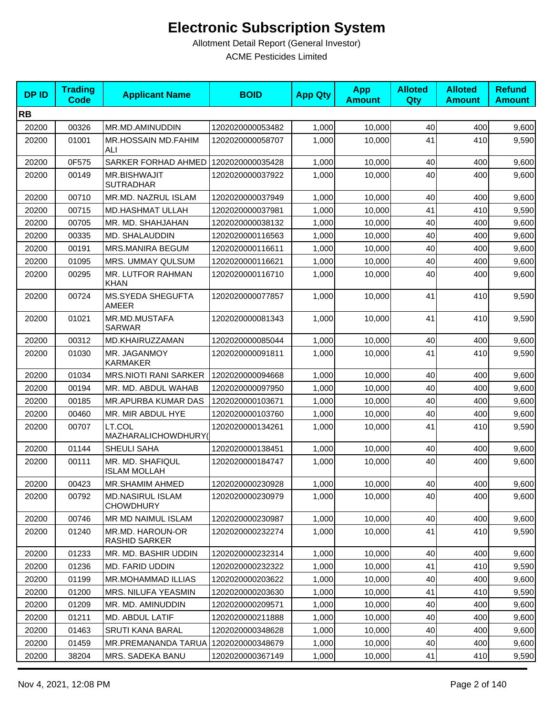| <b>DPID</b> | <b>Trading</b><br><b>Code</b> | <b>Applicant Name</b>                       | <b>BOID</b>      | <b>App Qty</b> | <b>App</b><br><b>Amount</b> | <b>Alloted</b><br>Qty | <b>Alloted</b><br><b>Amount</b> | <b>Refund</b><br><b>Amount</b> |
|-------------|-------------------------------|---------------------------------------------|------------------|----------------|-----------------------------|-----------------------|---------------------------------|--------------------------------|
| <b>RB</b>   |                               |                                             |                  |                |                             |                       |                                 |                                |
| 20200       | 00326                         | MR.MD.AMINUDDIN                             | 1202020000053482 | 1,000          | 10,000                      | 40                    | 400                             | 9,600                          |
| 20200       | 01001                         | <b>MR.HOSSAIN MD.FAHIM</b><br>ALI           | 1202020000058707 | 1,000          | 10.000                      | 41                    | 410                             | 9,590                          |
| 20200       | 0F575                         | SARKER FORHAD AHMED                         | 1202020000035428 | 1,000          | 10,000                      | 40                    | 400                             | 9,600                          |
| 20200       | 00149                         | <b>MR.BISHWAJIT</b><br><b>SUTRADHAR</b>     | 1202020000037922 | 1,000          | 10,000                      | 40                    | 400                             | 9,600                          |
| 20200       | 00710                         | MR.MD. NAZRUL ISLAM                         | 1202020000037949 | 1,000          | 10,000                      | 40                    | 400                             | 9,600                          |
| 20200       | 00715                         | <b>MD.HASHMAT ULLAH</b>                     | 1202020000037981 | 1,000          | 10,000                      | 41                    | 410                             | 9,590                          |
| 20200       | 00705                         | MR. MD. SHAHJAHAN                           | 1202020000038132 | 1,000          | 10,000                      | 40                    | 400                             | 9,600                          |
| 20200       | 00335                         | MD. SHALAUDDIN                              | 1202020000116563 | 1,000          | 10,000                      | 40                    | 400                             | 9,600                          |
| 20200       | 00191                         | <b>MRS.MANIRA BEGUM</b>                     | 1202020000116611 | 1,000          | 10,000                      | 40                    | 400                             | 9,600                          |
| 20200       | 01095                         | MRS. UMMAY QULSUM                           | 1202020000116621 | 1,000          | 10,000                      | 40                    | 400                             | 9,600                          |
| 20200       | 00295                         | MR. LUTFOR RAHMAN<br>KHAN                   | 1202020000116710 | 1,000          | 10,000                      | 40                    | 400                             | 9,600                          |
| 20200       | 00724                         | MS.SYEDA SHEGUFTA<br>AMEER                  | 1202020000077857 | 1,000          | 10,000                      | 41                    | 410                             | 9,590                          |
| 20200       | 01021                         | MR.MD.MUSTAFA<br><b>SARWAR</b>              | 1202020000081343 | 1,000          | 10,000                      | 41                    | 410                             | 9,590                          |
| 20200       | 00312                         | MD.KHAIRUZZAMAN                             | 1202020000085044 | 1,000          | 10,000                      | 40                    | 400                             | 9,600                          |
| 20200       | 01030                         | MR. JAGANMOY<br>KARMAKER                    | 1202020000091811 | 1,000          | 10,000                      | 41                    | 410                             | 9,590                          |
| 20200       | 01034                         | <b>MRS.NIOTI RANI SARKER</b>                | 1202020000094668 | 1,000          | 10,000                      | 40                    | 400                             | 9,600                          |
| 20200       | 00194                         | MR. MD. ABDUL WAHAB                         | 1202020000097950 | 1,000          | 10,000                      | 40                    | 400                             | 9,600                          |
| 20200       | 00185                         | MR.APURBA KUMAR DAS                         | 1202020000103671 | 1,000          | 10,000                      | 40                    | 400                             | 9,600                          |
| 20200       | 00460                         | MR. MIR ABDUL HYE                           | 1202020000103760 | 1,000          | 10,000                      | 40                    | 400                             | 9,600                          |
| 20200       | 00707                         | LT.COL<br>MAZHARALICHOWDHURY(               | 1202020000134261 | 1,000          | 10,000                      | 41                    | 410                             | 9,590                          |
| 20200       | 01144                         | SHEULI SAHA                                 | 1202020000138451 | 1,000          | 10,000                      | 40                    | 400                             | 9,600                          |
| 20200       | 00111                         | MR. MD. SHAFIQUL<br><b>ISLAM MOLLAH</b>     | 1202020000184747 | 1,000          | 10,000                      | 40                    | 400                             | 9,600                          |
| 20200       | 00423                         | MR.SHAMIM AHMED                             | 1202020000230928 | 1,000          | 10,000                      | 40                    | 400l                            | 9,600                          |
| 20200       | 00792                         | <b>MD.NASIRUL ISLAM</b><br><b>CHOWDHURY</b> | 1202020000230979 | 1,000          | 10,000                      | 40                    | 400                             | 9,600                          |
| 20200       | 00746                         | MR MD NAIMUL ISLAM                          | 1202020000230987 | 1,000          | 10,000                      | 40                    | 400                             | 9,600                          |
| 20200       | 01240                         | MR.MD. HAROUN-OR<br><b>RASHID SARKER</b>    | 1202020000232274 | 1,000          | 10,000                      | 41                    | 410                             | 9,590                          |
| 20200       | 01233                         | MR. MD. BASHIR UDDIN                        | 1202020000232314 | 1,000          | 10,000                      | 40                    | 400                             | 9,600                          |
| 20200       | 01236                         | MD. FARID UDDIN                             | 1202020000232322 | 1,000          | 10,000                      | 41                    | 410                             | 9,590                          |
| 20200       | 01199                         | MR.MOHAMMAD ILLIAS                          | 1202020000203622 | 1,000          | 10,000                      | 40                    | 400                             | 9,600                          |
| 20200       | 01200                         | <b>MRS. NILUFA YEASMIN</b>                  | 1202020000203630 | 1,000          | 10,000                      | 41                    | 410                             | 9,590                          |
| 20200       | 01209                         | MR. MD. AMINUDDIN                           | 1202020000209571 | 1,000          | 10,000                      | 40                    | 400                             | 9,600                          |
| 20200       | 01211                         | MD. ABDUL LATIF                             | 1202020000211888 | 1,000          | 10,000                      | 40                    | 400                             | 9,600                          |
| 20200       | 01463                         | <b>SRUTI KANA BARAL</b>                     | 1202020000348628 | 1,000          | 10,000                      | 40                    | 400                             | 9,600                          |
| 20200       | 01459                         | MR.PREMANANDA TARUA                         | 1202020000348679 | 1,000          | 10,000                      | 40                    | 400                             | 9,600                          |
| 20200       | 38204                         | <b>MRS. SADEKA BANU</b>                     | 1202020000367149 | 1,000          | 10,000                      | 41                    | 410                             | 9,590                          |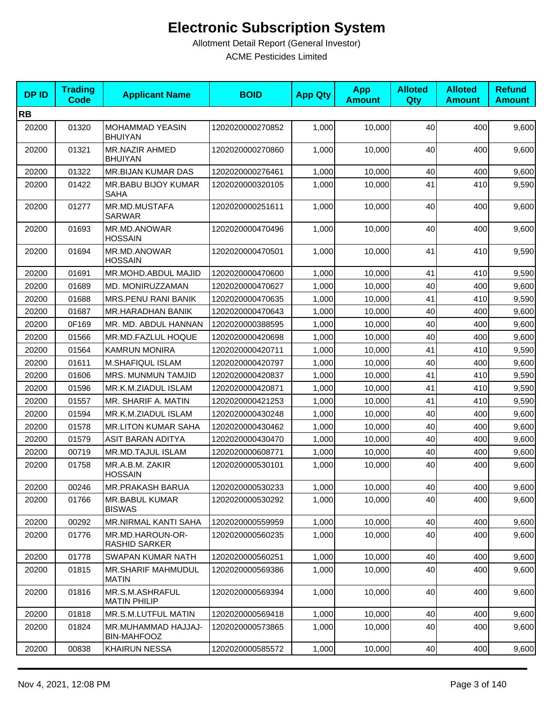| <b>DPID</b> | <b>Trading</b><br>Code | <b>Applicant Name</b>                     | <b>BOID</b>      | <b>App Qty</b> | <b>App</b><br><b>Amount</b> | <b>Alloted</b><br>Qty | <b>Alloted</b><br><b>Amount</b> | <b>Refund</b><br><b>Amount</b> |
|-------------|------------------------|-------------------------------------------|------------------|----------------|-----------------------------|-----------------------|---------------------------------|--------------------------------|
| <b>RB</b>   |                        |                                           |                  |                |                             |                       |                                 |                                |
| 20200       | 01320                  | MOHAMMAD YEASIN<br><b>BHUIYAN</b>         | 1202020000270852 | 1,000          | 10,000                      | 40                    | 400                             | 9,600                          |
| 20200       | 01321                  | <b>MR.NAZIR AHMED</b><br><b>BHUIYAN</b>   | 1202020000270860 | 1,000          | 10,000                      | 40                    | 400                             | 9,600                          |
| 20200       | 01322                  | MR.BIJAN KUMAR DAS                        | 1202020000276461 | 1,000          | 10,000                      | 40                    | 400                             | 9,600                          |
| 20200       | 01422                  | MR.BABU BIJOY KUMAR<br><b>SAHA</b>        | 1202020000320105 | 1,000          | 10,000                      | 41                    | 410                             | 9,590                          |
| 20200       | 01277                  | MR.MD.MUSTAFA<br><b>SARWAR</b>            | 1202020000251611 | 1,000          | 10,000                      | 40                    | 400                             | 9,600                          |
| 20200       | 01693                  | MR.MD.ANOWAR<br><b>HOSSAIN</b>            | 1202020000470496 | 1,000          | 10,000                      | 40                    | 400                             | 9,600                          |
| 20200       | 01694                  | MR.MD.ANOWAR<br><b>HOSSAIN</b>            | 1202020000470501 | 1,000          | 10,000                      | 41                    | 410                             | 9,590                          |
| 20200       | 01691                  | MR.MOHD.ABDUL MAJID                       | 1202020000470600 | 1,000          | 10,000                      | 41                    | 410                             | 9,590                          |
| 20200       | 01689                  | MD. MONIRUZZAMAN                          | 1202020000470627 | 1,000          | 10,000                      | 40                    | 400                             | 9,600                          |
| 20200       | 01688                  | MRS.PENU RANI BANIK                       | 1202020000470635 | 1,000          | 10,000                      | 41                    | 410                             | 9,590                          |
| 20200       | 01687                  | MR.HARADHAN BANIK                         | 1202020000470643 | 1,000          | 10,000                      | 40                    | 400                             | 9,600                          |
| 20200       | 0F169                  | MR. MD. ABDUL HANNAN                      | 1202020000388595 | 1,000          | 10,000                      | 40                    | 400                             | 9,600                          |
| 20200       | 01566                  | MR.MD.FAZLUL HOQUE                        | 1202020000420698 | 1,000          | 10,000                      | 40                    | 400                             | 9,600                          |
| 20200       | 01564                  | <b>KAMRUN MONIRA</b>                      | 1202020000420711 | 1,000          | 10,000                      | 41                    | 410                             | 9,590                          |
| 20200       | 01611                  | M.SHAFIQUL ISLAM                          | 1202020000420797 | 1,000          | 10,000                      | 40                    | 400                             | 9,600                          |
| 20200       | 01606                  | <b>MRS. MUNMUN TAMJID</b>                 | 1202020000420837 | 1,000          | 10,000                      | 41                    | 410                             | 9,590                          |
| 20200       | 01596                  | MR.K.M.ZIADUL ISLAM                       | 1202020000420871 | 1,000          | 10,000                      | 41                    | 410                             | 9,590                          |
| 20200       | 01557                  | MR. SHARIF A. MATIN                       | 1202020000421253 | 1,000          | 10,000                      | 41                    | 410                             | 9,590                          |
| 20200       | 01594                  | MR.K.M.ZIADUL ISLAM                       | 1202020000430248 | 1,000          | 10,000                      | 40                    | 400                             | 9,600                          |
| 20200       | 01578                  | <b>MR.LITON KUMAR SAHA</b>                | 1202020000430462 | 1,000          | 10,000                      | 40                    | 400                             | 9,600                          |
| 20200       | 01579                  | <b>ASIT BARAN ADITYA</b>                  | 1202020000430470 | 1,000          | 10,000                      | 40                    | 400                             | 9,600                          |
| 20200       | 00719                  | MR.MD.TAJUL ISLAM                         | 1202020000608771 | 1,000          | 10,000                      | 40                    | 400                             | 9,600                          |
| 20200       | 01758                  | MR.A.B.M. ZAKIR<br><b>HOSSAIN</b>         | 1202020000530101 | 1.000          | 10,000                      | 40                    | 400                             | 9,600                          |
| 20200       | 00246                  | MR.PRAKASH BARUA                          | 1202020000530233 | 1,000          | 10,000                      | 40                    | 400                             | 9,600                          |
| 20200       | 01766                  | <b>MR.BABUL KUMAR</b><br><b>BISWAS</b>    | 1202020000530292 | 1,000          | 10,000                      | 40                    | 400                             | 9,600                          |
| 20200       | 00292                  | <b>MR.NIRMAL KANTI SAHA</b>               | 1202020000559959 | 1,000          | 10,000                      | 40                    | 400                             | 9,600                          |
| 20200       | 01776                  | MR.MD.HAROUN-OR-<br><b>RASHID SARKER</b>  | 1202020000560235 | 1,000          | 10,000                      | 40                    | 400                             | 9,600                          |
| 20200       | 01778                  | SWAPAN KUMAR NATH                         | 1202020000560251 | 1,000          | 10,000                      | 40                    | 400                             | 9,600                          |
| 20200       | 01815                  | <b>MR.SHARIF MAHMUDUL</b><br><b>MATIN</b> | 1202020000569386 | 1,000          | 10,000                      | 40                    | 400                             | 9,600                          |
| 20200       | 01816                  | MR.S.M.ASHRAFUL<br><b>MATIN PHILIP</b>    | 1202020000569394 | 1,000          | 10,000                      | 40                    | 400                             | 9,600                          |
| 20200       | 01818                  | MR.S.M.LUTFUL MATIN                       | 1202020000569418 | 1,000          | 10,000                      | 40                    | 400                             | 9,600                          |
| 20200       | 01824                  | MR.MUHAMMAD HAJJAJ-<br><b>BIN-MAHFOOZ</b> | 1202020000573865 | 1,000          | 10,000                      | 40                    | 400                             | 9,600                          |
| 20200       | 00838                  | <b>KHAIRUN NESSA</b>                      | 1202020000585572 | 1,000          | 10,000                      | 40                    | 400                             | 9,600                          |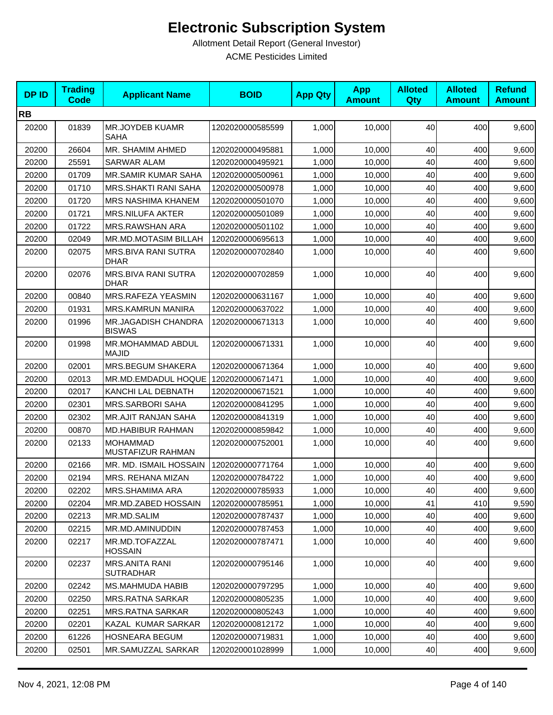| <b>DPID</b> | <b>Trading</b><br><b>Code</b> | <b>Applicant Name</b>                       | <b>BOID</b>      | <b>App Qty</b> | <b>App</b><br><b>Amount</b> | <b>Alloted</b><br>Qty | <b>Alloted</b><br><b>Amount</b> | <b>Refund</b><br><b>Amount</b> |
|-------------|-------------------------------|---------------------------------------------|------------------|----------------|-----------------------------|-----------------------|---------------------------------|--------------------------------|
| <b>RB</b>   |                               |                                             |                  |                |                             |                       |                                 |                                |
| 20200       | 01839                         | <b>MR.JOYDEB KUAMR</b><br>SAHA              | 1202020000585599 | 1,000          | 10,000                      | 40                    | 400                             | 9,600                          |
| 20200       | 26604                         | MR. SHAMIM AHMED                            | 1202020000495881 | 1,000          | 10,000                      | 40                    | 400                             | 9,600                          |
| 20200       | 25591                         | <b>SARWAR ALAM</b>                          | 1202020000495921 | 1,000          | 10,000                      | 40                    | 400                             | 9,600                          |
| 20200       | 01709                         | <b>MR.SAMIR KUMAR SAHA</b>                  | 1202020000500961 | 1,000          | 10,000                      | 40                    | 400                             | 9,600                          |
| 20200       | 01710                         | MRS.SHAKTI RANI SAHA                        | 1202020000500978 | 1,000          | 10,000                      | 40                    | 400                             | 9,600                          |
| 20200       | 01720                         | MRS NASHIMA KHANEM                          | 1202020000501070 | 1,000          | 10,000                      | 40                    | 400                             | 9,600                          |
| 20200       | 01721                         | <b>MRS.NILUFA AKTER</b>                     | 1202020000501089 | 1,000          | 10,000                      | 40                    | 400                             | 9,600                          |
| 20200       | 01722                         | MRS.RAWSHAN ARA                             | 1202020000501102 | 1,000          | 10,000                      | 40                    | 400                             | 9,600                          |
| 20200       | 02049                         | MR.MD.MOTASIM BILLAH                        | 1202020000695613 | 1,000          | 10,000                      | 40                    | 400                             | 9,600                          |
| 20200       | 02075                         | MRS.BIVA RANI SUTRA<br><b>DHAR</b>          | 1202020000702840 | 1,000          | 10,000                      | 40                    | 400                             | 9,600                          |
| 20200       | 02076                         | MRS.BIVA RANI SUTRA<br><b>DHAR</b>          | 1202020000702859 | 1,000          | 10,000                      | 40                    | 400                             | 9,600                          |
| 20200       | 00840                         | MRS.RAFEZA YEASMIN                          | 1202020000631167 | 1,000          | 10,000                      | 40                    | 400                             | 9,600                          |
| 20200       | 01931                         | <b>MRS.KAMRUN MANIRA</b>                    | 1202020000637022 | 1,000          | 10,000                      | 40                    | 400                             | 9,600                          |
| 20200       | 01996                         | <b>MR.JAGADISH CHANDRA</b><br><b>BISWAS</b> | 1202020000671313 | 1,000          | 10,000                      | 40                    | 400                             | 9,600                          |
| 20200       | 01998                         | MR.MOHAMMAD ABDUL<br><b>MAJID</b>           | 1202020000671331 | 1,000          | 10,000                      | 40                    | 400                             | 9,600                          |
| 20200       | 02001                         | MRS.BEGUM SHAKERA                           | 1202020000671364 | 1,000          | 10,000                      | 40                    | 400                             | 9,600                          |
| 20200       | 02013                         | MR.MD.EMDADUL HOQUE   1202020000671471      |                  | 1,000          | 10,000                      | 40                    | 400                             | 9,600                          |
| 20200       | 02017                         | KANCHI LAL DEBNATH                          | 1202020000671521 | 1,000          | 10,000                      | 40                    | 400                             | 9,600                          |
| 20200       | 02301                         | <b>MRS.SARBORI SAHA</b>                     | 1202020000841295 | 1,000          | 10,000                      | 40                    | 400                             | 9,600                          |
| 20200       | 02302                         | <b>MR.AJIT RANJAN SAHA</b>                  | 1202020000841319 | 1,000          | 10,000                      | 40                    | 400                             | 9,600                          |
| 20200       | 00870                         | MD.HABIBUR RAHMAN                           | 1202020000859842 | 1,000          | 10,000                      | 40                    | 400                             | 9,600                          |
| 20200       | 02133                         | <b>MOHAMMAD</b><br>MUSTAFIZUR RAHMAN        | 1202020000752001 | 1,000          | 10,000                      | 40                    | 400                             | 9,600                          |
| 20200       | 02166                         | MR. MD. ISMAIL HOSSAIN                      | 1202020000771764 | 1,000          | 10,000                      | 40                    | 400                             | 9,600                          |
| 20200       | 02194                         | MRS. REHANA MIZAN                           | 1202020000784722 | 1,000          | 10,000                      | 40                    | 400                             | 9,600                          |
| 20200       | 02202                         | MRS.SHAMIMA ARA                             | 1202020000785933 | 1,000          | 10,000                      | 40                    | 400                             | 9,600                          |
| 20200       | 02204                         | MR.MD.ZABED HOSSAIN                         | 1202020000785951 | 1,000          | 10,000                      | 41                    | 410                             | 9,590                          |
| 20200       | 02213                         | MR.MD.SALIM                                 | 1202020000787437 | 1,000          | 10,000                      | 40                    | 400                             | 9,600                          |
| 20200       | 02215                         | MR.MD.AMINUDDIN                             | 1202020000787453 | 1,000          | 10,000                      | 40                    | 400                             | 9,600                          |
| 20200       | 02217                         | MR.MD.TOFAZZAL<br><b>HOSSAIN</b>            | 1202020000787471 | 1,000          | 10,000                      | 40                    | 400                             | 9,600                          |
| 20200       | 02237                         | <b>MRS.ANITA RANI</b><br><b>SUTRADHAR</b>   | 1202020000795146 | 1,000          | 10,000                      | 40                    | 400                             | 9,600                          |
| 20200       | 02242                         | MS.MAHMUDA HABIB                            | 1202020000797295 | 1,000          | 10,000                      | 40                    | 400                             | 9,600                          |
| 20200       | 02250                         | <b>MRS.RATNA SARKAR</b>                     | 1202020000805235 | 1,000          | 10,000                      | 40                    | 400                             | 9,600                          |
| 20200       | 02251                         | <b>MRS.RATNA SARKAR</b>                     | 1202020000805243 | 1,000          | 10,000                      | 40                    | 400                             | 9,600                          |
| 20200       | 02201                         | KAZAL KUMAR SARKAR                          | 1202020000812172 | 1,000          | 10,000                      | 40                    | 400                             | 9,600                          |
| 20200       | 61226                         | <b>HOSNEARA BEGUM</b>                       | 1202020000719831 | 1,000          | 10,000                      | 40                    | 400                             | 9,600                          |
| 20200       | 02501                         | MR.SAMUZZAL SARKAR                          | 1202020001028999 | 1,000          | 10,000                      | 40                    | 400                             | 9,600                          |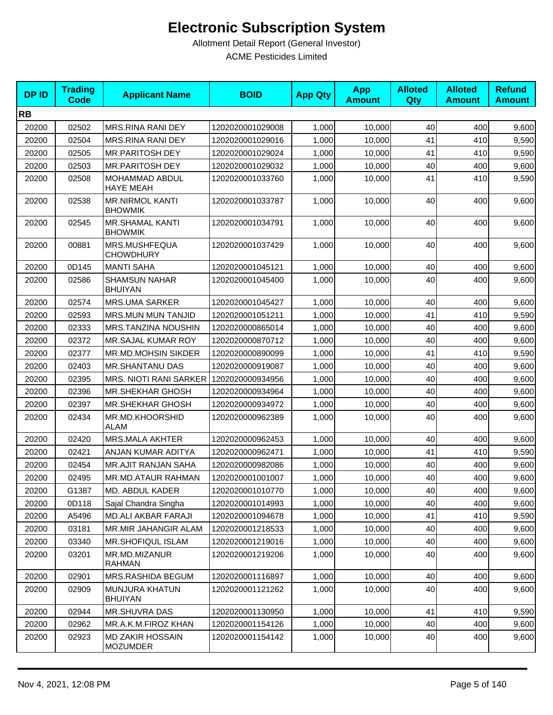| <b>DPID</b> | <b>Trading</b><br><b>Code</b> | <b>Applicant Name</b>                      | <b>BOID</b>      | <b>App Qty</b> | <b>App</b><br><b>Amount</b> | <b>Alloted</b><br><b>Qty</b> | <b>Alloted</b><br><b>Amount</b> | <b>Refund</b><br><b>Amount</b> |
|-------------|-------------------------------|--------------------------------------------|------------------|----------------|-----------------------------|------------------------------|---------------------------------|--------------------------------|
| <b>RB</b>   |                               |                                            |                  |                |                             |                              |                                 |                                |
| 20200       | 02502                         | MRS.RINA RANI DEY                          | 1202020001029008 | 1,000          | 10,000                      | 40                           | 400                             | 9,600                          |
| 20200       | 02504                         | MRS.RINA RANI DEY                          | 1202020001029016 | 1,000          | 10,000                      | 41                           | 410                             | 9,590                          |
| 20200       | 02505                         | <b>MR.PARITOSH DEY</b>                     | 1202020001029024 | 1,000          | 10,000                      | 41                           | 410                             | 9,590                          |
| 20200       | 02503                         | <b>MR.PARITOSH DEY</b>                     | 1202020001029032 | 1,000          | 10,000                      | 40                           | 400                             | 9,600                          |
| 20200       | 02508                         | MOHAMMAD ABDUL<br><b>HAYE MEAH</b>         | 1202020001033760 | 1,000          | 10,000                      | 41                           | 410                             | 9,590                          |
| 20200       | 02538                         | <b>MR.NIRMOL KANTI</b><br><b>BHOWMIK</b>   | 1202020001033787 | 1,000          | 10,000                      | 40                           | 400                             | 9,600                          |
| 20200       | 02545                         | <b>MR.SHAMAL KANTI</b><br><b>BHOWMIK</b>   | 1202020001034791 | 1,000          | 10,000                      | 40                           | 400                             | 9,600                          |
| 20200       | 00881                         | MRS.MUSHFEQUA<br><b>CHOWDHURY</b>          | 1202020001037429 | 1,000          | 10,000                      | 40                           | 400                             | 9,600                          |
| 20200       | 0D145                         | <b>MANTI SAHA</b>                          | 1202020001045121 | 1,000          | 10,000                      | 40                           | 400                             | 9,600                          |
| 20200       | 02586                         | <b>SHAMSUN NAHAR</b><br><b>BHUIYAN</b>     | 1202020001045400 | 1,000          | 10,000                      | 40                           | 400                             | 9,600                          |
| 20200       | 02574                         | <b>MRS.UMA SARKER</b>                      | 1202020001045427 | 1,000          | 10,000                      | 40                           | 400                             | 9,600                          |
| 20200       | 02593                         | MRS.MUN MUN TANJID                         | 1202020001051211 | 1,000          | 10.000                      | 41                           | 410                             | 9,590                          |
| 20200       | 02333                         | MRS.TANZINA NOUSHIN                        | 1202020000865014 | 1,000          | 10,000                      | 40                           | 400                             | 9,600                          |
| 20200       | 02372                         | MR.SAJAL KUMAR ROY                         | 1202020000870712 | 1,000          | 10,000                      | 40                           | 400                             | 9,600                          |
| 20200       | 02377                         | MR.MD.MOHSIN SIKDER                        | 1202020000890099 | 1,000          | 10,000                      | 41                           | 410                             | 9,590                          |
| 20200       | 02403                         | <b>MR.SHANTANU DAS</b>                     | 1202020000919087 | 1,000          | 10,000                      | 40                           | 400                             | 9,600                          |
| 20200       | 02395                         | MRS. NIOTI RANI SARKER                     | 1202020000934956 | 1,000          | 10,000                      | 40                           | 400                             | 9,600                          |
| 20200       | 02396                         | <b>MR.SHEKHAR GHOSH</b>                    | 1202020000934964 | 1,000          | 10,000                      | 40                           | 400                             | 9,600                          |
| 20200       | 02397                         | <b>MR.SHEKHAR GHOSH</b>                    | 1202020000934972 | 1,000          | 10,000                      | 40                           | 400                             | 9,600                          |
| 20200       | 02434                         | MR.MD.KHOORSHID<br><b>ALAM</b>             | 1202020000962389 | 1,000          | 10,000                      | 40                           | 400                             | 9,600                          |
| 20200       | 02420                         | <b>MRS.MALA AKHTER</b>                     | 1202020000962453 | 1,000          | 10,000                      | 40                           | 400                             | 9,600                          |
| 20200       | 02421                         | ANJAN KUMAR ADITYA                         | 1202020000962471 | 1,000          | 10,000                      | 41                           | 410                             | 9,590                          |
| 20200       | 02454                         | <b>MR.AJIT RANJAN SAHA</b>                 | 1202020000982086 | 1,000          | 10,000                      | 40                           | 400                             | 9,600                          |
| 20200       | 02495                         | MR.MD.ATAUR RAHMAN                         | 1202020001001007 | 1,000          | 10,000                      | 40                           | 400                             | 9,600                          |
| 20200       | G1387                         | <b>MD. ABDUL KADER</b>                     | 1202020001010770 | 1,000          | 10,000                      | 40                           | 400                             | 9,600                          |
| 20200       | 0D118                         | Sajal Chandra Singha                       | 1202020001014993 | 1,000          | 10,000                      | 40                           | 400                             | 9,600                          |
| 20200       | A5496                         | <b>MD.ALI AKBAR FARAJI</b>                 | 1202020001094678 | 1,000          | 10,000                      | 41                           | 410                             | 9,590                          |
| 20200       | 03181                         | MR.MIR JAHANGIR ALAM                       | 1202020001218533 | 1,000          | 10,000                      | 40                           | 400                             | 9,600                          |
| 20200       | 03340                         | <b>MR.SHOFIQUL ISLAM</b>                   | 1202020001219016 | 1,000          | 10,000                      | 40                           | 400                             | 9,600                          |
| 20200       | 03201                         | MR.MD.MIZANUR<br><b>RAHMAN</b>             | 1202020001219206 | 1.000          | 10,000                      | 40                           | 400                             | 9,600                          |
| 20200       | 02901                         | MRS.RASHIDA BEGUM                          | 1202020001116897 | 1,000          | 10,000                      | 40                           | 400                             | 9,600                          |
| 20200       | 02909                         | MUNJURA KHATUN<br><b>BHUIYAN</b>           | 1202020001121262 | 1,000          | 10.000                      | 40                           | 400                             | 9,600                          |
| 20200       | 02944                         | MR.SHUVRA DAS                              | 1202020001130950 | 1,000          | 10,000                      | 41                           | 410                             | 9,590                          |
| 20200       | 02962                         | MR.A.K.M.FIROZ KHAN                        | 1202020001154126 | 1,000          | 10,000                      | 40                           | 400                             | 9,600                          |
| 20200       | 02923                         | <b>MD ZAKIR HOSSAIN</b><br><b>MOZUMDER</b> | 1202020001154142 | 1,000          | 10,000                      | 40                           | 400                             | 9,600                          |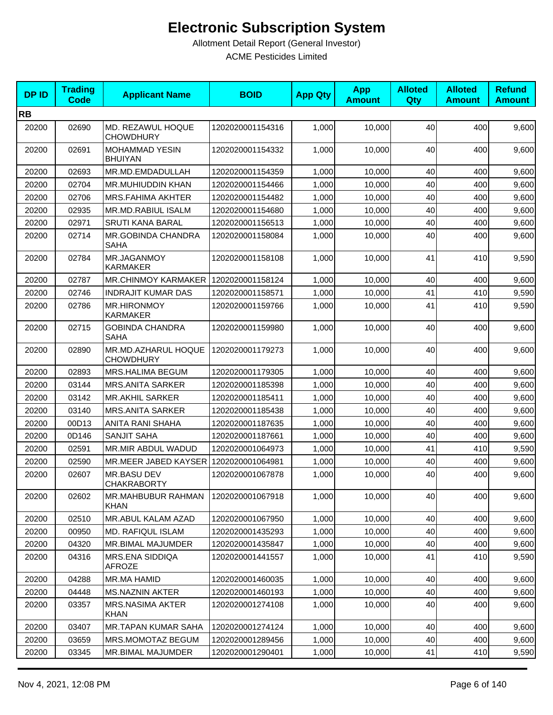| <b>DPID</b> | <b>Trading</b><br><b>Code</b> | <b>Applicant Name</b>                   | <b>BOID</b>      | <b>App Qty</b> | <b>App</b><br><b>Amount</b> | <b>Alloted</b><br>Qty | <b>Alloted</b><br><b>Amount</b> | <b>Refund</b><br><b>Amount</b> |
|-------------|-------------------------------|-----------------------------------------|------------------|----------------|-----------------------------|-----------------------|---------------------------------|--------------------------------|
| <b>RB</b>   |                               |                                         |                  |                |                             |                       |                                 |                                |
| 20200       | 02690                         | MD. REZAWUL HOQUE<br><b>CHOWDHURY</b>   | 1202020001154316 | 1,000          | 10,000                      | 40                    | 400                             | 9,600                          |
| 20200       | 02691                         | <b>MOHAMMAD YESIN</b><br><b>BHUIYAN</b> | 1202020001154332 | 1,000          | 10,000                      | 40                    | 400                             | 9,600                          |
| 20200       | 02693                         | MR.MD.EMDADULLAH                        | 1202020001154359 | 1,000          | 10,000                      | 40                    | 400                             | 9,600                          |
| 20200       | 02704                         | <b>MR.MUHIUDDIN KHAN</b>                | 1202020001154466 | 1,000          | 10,000                      | 40                    | 400                             | 9,600                          |
| 20200       | 02706                         | <b>MRS.FAHIMA AKHTER</b>                | 1202020001154482 | 1,000          | 10.000                      | 40                    | 400                             | 9,600                          |
| 20200       | 02935                         | MR.MD.RABIUL ISALM                      | 1202020001154680 | 1,000          | 10,000                      | 40                    | 400                             | 9,600                          |
| 20200       | 02971                         | <b>SRUTI KANA BARAL</b>                 | 1202020001156513 | 1,000          | 10,000                      | 40                    | 400                             | 9,600                          |
| 20200       | 02714                         | MR.GOBINDA CHANDRA<br><b>SAHA</b>       | 1202020001158084 | 1,000          | 10,000                      | 40                    | 400                             | 9,600                          |
| 20200       | 02784                         | MR.JAGANMOY<br><b>KARMAKER</b>          | 1202020001158108 | 1,000          | 10,000                      | 41                    | 410                             | 9,590                          |
| 20200       | 02787                         | MR.CHINMOY KARMAKER   1202020001158124  |                  | 1,000          | 10,000                      | 40                    | 400                             | 9,600                          |
| 20200       | 02746                         | <b>INDRAJIT KUMAR DAS</b>               | 1202020001158571 | 1,000          | 10,000                      | 41                    | 410                             | 9,590                          |
| 20200       | 02786                         | <b>MR.HIRONMOY</b><br><b>KARMAKER</b>   | 1202020001159766 | 1,000          | 10,000                      | 41                    | 410                             | 9,590                          |
| 20200       | 02715                         | <b>GOBINDA CHANDRA</b><br><b>SAHA</b>   | 1202020001159980 | 1,000          | 10,000                      | 40                    | 400                             | 9,600                          |
| 20200       | 02890                         | MR.MD.AZHARUL HOQUE<br><b>CHOWDHURY</b> | 1202020001179273 | 1,000          | 10,000                      | 40                    | 400                             | 9,600                          |
| 20200       | 02893                         | MRS.HALIMA BEGUM                        | 1202020001179305 | 1,000          | 10,000                      | 40                    | 400                             | 9,600                          |
| 20200       | 03144                         | <b>MRS.ANITA SARKER</b>                 | 1202020001185398 | 1,000          | 10,000                      | 40                    | 400                             | 9,600                          |
| 20200       | 03142                         | <b>MR.AKHIL SARKER</b>                  | 1202020001185411 | 1,000          | 10,000                      | 40                    | 400                             | 9,600                          |
| 20200       | 03140                         | <b>MRS.ANITA SARKER</b>                 | 1202020001185438 | 1,000          | 10,000                      | 40                    | 400                             | 9,600                          |
| 20200       | 00D13                         | ANITA RANI SHAHA                        | 1202020001187635 | 1,000          | 10,000                      | 40                    | 400                             | 9,600                          |
| 20200       | 0D146                         | <b>SANJIT SAHA</b>                      | 1202020001187661 | 1,000          | 10,000                      | 40                    | 400                             | 9,600                          |
| 20200       | 02591                         | MR.MIR ABDUL WADUD                      | 1202020001064973 | 1,000          | 10,000                      | 41                    | 410                             | 9,590                          |
| 20200       | 02590                         | MR.MEER JABED KAYSER 1202020001064981   |                  | 1,000          | 10,000                      | 40                    | 400                             | 9,600                          |
| 20200       | 02607                         | MR.BASU DEV<br>CHAKRABORTY              | 1202020001067878 | 1,000          | 10,000                      | 40                    | 400                             | 9,600                          |
| 20200       | 02602                         | <b>MR.MAHBUBUR RAHMAN</b><br>KHAN       | 1202020001067918 | 1,000          | 10,000                      | 40                    | 400                             | 9,600                          |
| 20200       | 02510                         | MR.ABUL KALAM AZAD                      | 1202020001067950 | 1,000          | 10,000                      | 40                    | 400                             | 9,600                          |
| 20200       | 00950                         | <b>MD. RAFIQUL ISLAM</b>                | 1202020001435293 | 1,000          | 10,000                      | 40                    | 400                             | 9,600                          |
| 20200       | 04320                         | MR.BIMAL MAJUMDER                       | 1202020001435847 | 1,000          | 10,000                      | 40                    | 400                             | 9,600                          |
| 20200       | 04316                         | MRS.ENA SIDDIQA<br>AFROZE               | 1202020001441557 | 1,000          | 10,000                      | 41                    | 410                             | 9,590                          |
| 20200       | 04288                         | MR.MA HAMID                             | 1202020001460035 | 1,000          | 10,000                      | 40                    | 400                             | 9,600                          |
| 20200       | 04448                         | <b>MS.NAZNIN AKTER</b>                  | 1202020001460193 | 1,000          | 10,000                      | 40                    | 400                             | 9,600                          |
| 20200       | 03357                         | <b>MRS.NASIMA AKTER</b><br>KHAN         | 1202020001274108 | 1,000          | 10,000                      | 40                    | 400                             | 9,600                          |
| 20200       | 03407                         | <b>MR.TAPAN KUMAR SAHA</b>              | 1202020001274124 | 1,000          | 10,000                      | 40                    | 400                             | 9,600                          |
| 20200       | 03659                         | MRS.MOMOTAZ BEGUM                       | 1202020001289456 | 1,000          | 10,000                      | 40                    | 400                             | 9,600                          |
| 20200       | 03345                         | MR.BIMAL MAJUMDER                       | 1202020001290401 | 1,000          | 10,000                      | 41                    | 410                             | 9,590                          |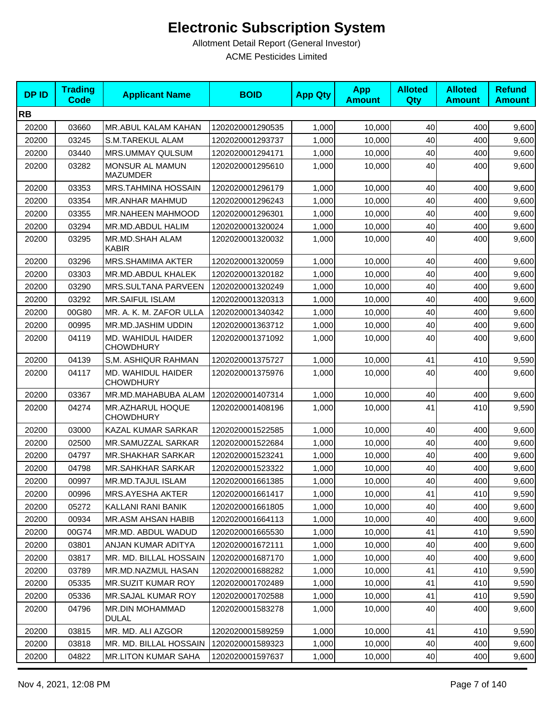| <b>DPID</b> | <b>Trading</b><br><b>Code</b> | <b>Applicant Name</b>                  | <b>BOID</b>      | <b>App Qty</b> | <b>App</b><br><b>Amount</b> | <b>Alloted</b><br>Qty | <b>Alloted</b><br><b>Amount</b> | <b>Refund</b><br><b>Amount</b> |
|-------------|-------------------------------|----------------------------------------|------------------|----------------|-----------------------------|-----------------------|---------------------------------|--------------------------------|
| <b>RB</b>   |                               |                                        |                  |                |                             |                       |                                 |                                |
| 20200       | 03660                         | <b>MR.ABUL KALAM KAHAN</b>             | 1202020001290535 | 1,000          | 10,000                      | 40                    | 400                             | 9,600                          |
| 20200       | 03245                         | S.M.TAREKUL ALAM                       | 1202020001293737 | 1,000          | 10,000                      | 40                    | 400                             | 9,600                          |
| 20200       | 03440                         | MRS.UMMAY QULSUM                       | 1202020001294171 | 1,000          | 10,000                      | 40                    | 400                             | 9,600                          |
| 20200       | 03282                         | MONSUR AL MAMUN<br><b>MAZUMDER</b>     | 1202020001295610 | 1,000          | 10,000                      | 40                    | 400                             | 9,600                          |
| 20200       | 03353                         | <b>MRS.TAHMINA HOSSAIN</b>             | 1202020001296179 | 1,000          | 10,000                      | 40                    | 400                             | 9,600                          |
| 20200       | 03354                         | <b>MR.ANHAR MAHMUD</b>                 | 1202020001296243 | 1,000          | 10,000                      | 40                    | 400                             | 9,600                          |
| 20200       | 03355                         | <b>MR.NAHEEN MAHMOOD</b>               | 1202020001296301 | 1,000          | 10,000                      | 40                    | 400                             | 9,600                          |
| 20200       | 03294                         | MR.MD.ABDUL HALIM                      | 1202020001320024 | 1,000          | 10,000                      | 40                    | 400                             | 9,600                          |
| 20200       | 03295                         | MR.MD.SHAH ALAM<br><b>KABIR</b>        | 1202020001320032 | 1,000          | 10,000                      | 40                    | 400                             | 9,600                          |
| 20200       | 03296                         | <b>MRS.SHAMIMA AKTER</b>               | 1202020001320059 | 1,000          | 10,000                      | 40                    | 400                             | 9,600                          |
| 20200       | 03303                         | MR.MD.ABDUL KHALEK                     | 1202020001320182 | 1,000          | 10,000                      | 40                    | 400                             | 9,600                          |
| 20200       | 03290                         | MRS.SULTANA PARVEEN                    | 1202020001320249 | 1,000          | 10,000                      | 40                    | 400                             | 9,600                          |
| 20200       | 03292                         | <b>MR.SAIFUL ISLAM</b>                 | 1202020001320313 | 1,000          | 10,000                      | 40                    | 400                             | 9,600                          |
| 20200       | 00G80                         | MR. A. K. M. ZAFOR ULLA                | 1202020001340342 | 1,000          | 10,000                      | 40                    | 400                             | 9,600                          |
| 20200       | 00995                         | MR.MD.JASHIM UDDIN                     | 1202020001363712 | 1,000          | 10,000                      | 40                    | 400                             | 9,600                          |
| 20200       | 04119                         | MD. WAHIDUL HAIDER<br><b>CHOWDHURY</b> | 1202020001371092 | 1,000          | 10,000                      | 40                    | 400                             | 9,600                          |
| 20200       | 04139                         | S,M. ASHIQUR RAHMAN                    | 1202020001375727 | 1,000          | 10,000                      | 41                    | 410                             | 9,590                          |
| 20200       | 04117                         | MD. WAHIDUL HAIDER<br><b>CHOWDHURY</b> | 1202020001375976 | 1,000          | 10,000                      | 40                    | 400                             | 9,600                          |
| 20200       | 03367                         | MR.MD.MAHABUBA ALAM                    | 1202020001407314 | 1,000          | 10,000                      | 40                    | 400                             | 9,600                          |
| 20200       | 04274                         | MR.AZHARUL HOQUE<br><b>CHOWDHURY</b>   | 1202020001408196 | 1,000          | 10,000                      | 41                    | 410                             | 9,590                          |
| 20200       | 03000                         | KAZAL KUMAR SARKAR                     | 1202020001522585 | 1,000          | 10,000                      | 40                    | 400                             | 9,600                          |
| 20200       | 02500                         | MR.SAMUZZAL SARKAR                     | 1202020001522684 | 1,000          | 10,000                      | 40                    | 400                             | 9,600                          |
| 20200       | 04797                         | <b>MR.SHAKHAR SARKAR</b>               | 1202020001523241 | 1,000          | 10,000                      | 40                    | 400                             | 9,600                          |
| 20200       | 04798                         | <b>MR.SAHKHAR SARKAR</b>               | 1202020001523322 | 1,000          | 10,000                      | 40                    | 400                             | 9,600                          |
| 20200       | 00997                         | MR.MD.TAJUL ISLAM                      | 1202020001661385 | 1,000          | 10,000                      | 40                    | 400                             | 9,600                          |
| 20200       | 00996                         | MRS.AYESHA AKTER                       | 1202020001661417 | 1,000          | 10,000                      | 41                    | 410                             | 9,590                          |
| 20200       | 05272                         | KALLANI RANI BANIK                     | 1202020001661805 | 1,000          | 10,000                      | 40                    | 400                             | 9,600                          |
| 20200       | 00934                         | MR.ASM AHSAN HABIB                     | 1202020001664113 | 1,000          | 10,000                      | 40                    | 400                             | 9,600                          |
| 20200       | 00G74                         | MR.MD. ABDUL WADUD                     | 1202020001665530 | 1,000          | 10,000                      | 41                    | 410                             | 9,590                          |
| 20200       | 03801                         | ANJAN KUMAR ADITYA                     | 1202020001672111 | 1,000          | 10.000                      | 40                    | 400                             | 9,600                          |
| 20200       | 03817                         | MR. MD. BILLAL HOSSAIN                 | 1202020001687170 | 1,000          | 10,000                      | 40                    | 400                             | 9,600                          |
| 20200       | 03789                         | MR.MD.NAZMUL HASAN                     | 1202020001688282 | 1,000          | 10,000                      | 41                    | 410                             | 9,590                          |
| 20200       | 05335                         | <b>MR.SUZIT KUMAR ROY</b>              | 1202020001702489 | 1,000          | 10,000                      | 41                    | 410                             | 9,590                          |
| 20200       | 05336                         | MR.SAJAL KUMAR ROY                     | 1202020001702588 | 1,000          | 10,000                      | 41                    | 410                             | 9,590                          |
| 20200       | 04796                         | MR.DIN MOHAMMAD<br><b>DULAL</b>        | 1202020001583278 | 1,000          | 10,000                      | 40                    | 400                             | 9,600                          |
| 20200       | 03815                         | MR. MD. ALI AZGOR                      | 1202020001589259 | 1,000          | 10,000                      | 41                    | 410                             | 9,590                          |
| 20200       | 03818                         | MR. MD. BILLAL HOSSAIN                 | 1202020001589323 | 1,000          | 10,000                      | 40                    | 400                             | 9,600                          |
| 20200       | 04822                         | <b>MR.LITON KUMAR SAHA</b>             | 1202020001597637 | 1,000          | 10,000                      | 40                    | 400                             | 9,600                          |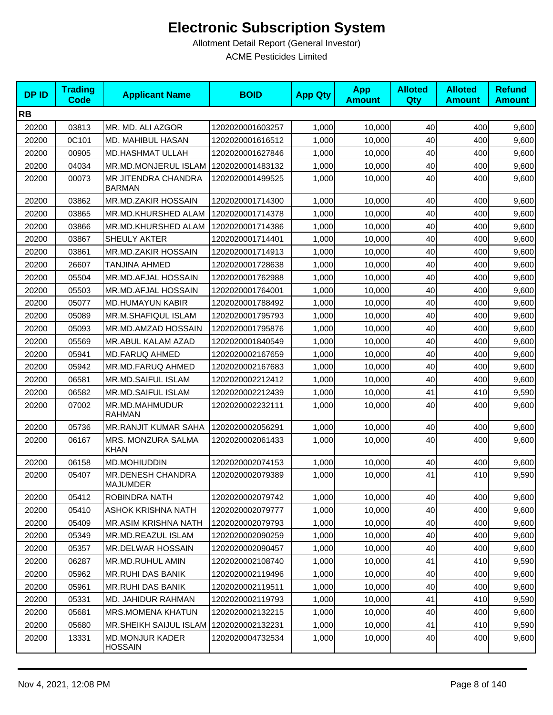| <b>DPID</b> | <b>Trading</b><br><b>Code</b> | <b>Applicant Name</b>                    | <b>BOID</b>      | <b>App Qty</b> | <b>App</b><br><b>Amount</b> | <b>Alloted</b><br>Qty | <b>Alloted</b><br><b>Amount</b> | <b>Refund</b><br><b>Amount</b> |
|-------------|-------------------------------|------------------------------------------|------------------|----------------|-----------------------------|-----------------------|---------------------------------|--------------------------------|
| <b>RB</b>   |                               |                                          |                  |                |                             |                       |                                 |                                |
| 20200       | 03813                         | MR. MD. ALI AZGOR                        | 1202020001603257 | 1,000          | 10,000                      | 40                    | 400                             | 9,600                          |
| 20200       | 0C101                         | MD. MAHIBUL HASAN                        | 1202020001616512 | 1,000          | 10,000                      | 40                    | 400                             | 9,600                          |
| 20200       | 00905                         | <b>MD.HASHMAT ULLAH</b>                  | 1202020001627846 | 1,000          | 10,000                      | 40                    | 400                             | 9,600                          |
| 20200       | 04034                         | MR.MD.MONJERUL ISLAM                     | 1202020001483132 | 1,000          | 10,000                      | 40                    | 400                             | 9,600                          |
| 20200       | 00073                         | MR JITENDRA CHANDRA<br><b>BARMAN</b>     | 1202020001499525 | 1,000          | 10,000                      | 40                    | 400                             | 9,600                          |
| 20200       | 03862                         | MR.MD.ZAKIR HOSSAIN                      | 1202020001714300 | 1,000          | 10,000                      | 40                    | 400                             | 9,600                          |
| 20200       | 03865                         | MR.MD.KHURSHED ALAM                      | 1202020001714378 | 1,000          | 10,000                      | 40                    | 400                             | 9,600                          |
| 20200       | 03866                         | MR.MD.KHURSHED ALAM                      | 1202020001714386 | 1,000          | 10,000                      | 40                    | 400                             | 9,600                          |
| 20200       | 03867                         | SHEULY AKTER                             | 1202020001714401 | 1,000          | 10,000                      | 40                    | 400                             | 9,600                          |
| 20200       | 03861                         | MR.MD.ZAKIR HOSSAIN                      | 1202020001714913 | 1,000          | 10,000                      | 40                    | 400                             | 9,600                          |
| 20200       | 26607                         | <b>TANJINA AHMED</b>                     | 1202020001728638 | 1,000          | 10,000                      | 40                    | 400                             | 9,600                          |
| 20200       | 05504                         | MR.MD.AFJAL HOSSAIN                      | 1202020001762988 | 1,000          | 10,000                      | 40                    | 400                             | 9,600                          |
| 20200       | 05503                         | MR.MD.AFJAL HOSSAIN                      | 1202020001764001 | 1,000          | 10,000                      | 40                    | 400                             | 9,600                          |
| 20200       | 05077                         | <b>MD.HUMAYUN KABIR</b>                  | 1202020001788492 | 1,000          | 10,000                      | 40                    | 400                             | 9,600                          |
| 20200       | 05089                         | MR.M.SHAFIQUL ISLAM                      | 1202020001795793 | 1,000          | 10,000                      | 40                    | 400                             | 9,600                          |
| 20200       | 05093                         | MR.MD.AMZAD HOSSAIN                      | 1202020001795876 | 1,000          | 10,000                      | 40                    | 400                             | 9,600                          |
| 20200       | 05569                         | MR.ABUL KALAM AZAD                       | 1202020001840549 | 1,000          | 10.000                      | 40                    | 400                             | 9,600                          |
| 20200       | 05941                         | <b>MD.FARUQ AHMED</b>                    | 1202020002167659 | 1,000          | 10,000                      | 40                    | 400                             | 9,600                          |
| 20200       | 05942                         | MR.MD.FARUQ AHMED                        | 1202020002167683 | 1,000          | 10,000                      | 40                    | 400                             | 9,600                          |
| 20200       | 06581                         | MR.MD.SAIFUL ISLAM                       | 1202020002212412 | 1,000          | 10,000                      | 40                    | 400                             | 9,600                          |
| 20200       | 06582                         | MR.MD.SAIFUL ISLAM                       | 1202020002212439 | 1,000          | 10,000                      | 41                    | 410                             | 9,590                          |
| 20200       | 07002                         | MR.MD.MAHMUDUR<br><b>RAHMAN</b>          | 1202020002232111 | 1,000          | 10,000                      | 40                    | 400                             | 9,600                          |
| 20200       | 05736                         | <b>MR.RANJIT KUMAR SAHA</b>              | 1202020002056291 | 1,000          | 10,000                      | 40                    | 400                             | 9,600                          |
| 20200       | 06167                         | MRS. MONZURA SALMA<br><b>KHAN</b>        | 1202020002061433 | 1,000          | 10,000                      | 40                    | 400                             | 9,600                          |
| 20200       | 06158                         | MD.MOHIUDDIN                             | 1202020002074153 | 1,000          | 10,000                      | 40                    | 400                             | 9,600                          |
| 20200       | 05407                         | MR.DENESH CHANDRA<br><b>MAJUMDER</b>     | 1202020002079389 | 1,000          | 10,000                      | 41                    | 410                             | 9,590                          |
| 20200       | 05412                         | ROBINDRA NATH                            | 1202020002079742 | 1,000          | 10,000                      | 40                    | 400                             | 9,600                          |
| 20200       | 05410                         | ASHOK KRISHNA NATH                       | 1202020002079777 | 1,000          | 10,000                      | 40                    | 400                             | 9,600                          |
| 20200       | 05409                         | <b>MR.ASIM KRISHNA NATH</b>              | 1202020002079793 | 1,000          | 10,000                      | 40                    | 400                             | 9,600                          |
| 20200       | 05349                         | MR.MD.REAZUL ISLAM                       | 1202020002090259 | 1,000          | 10.000                      | 40                    | 400                             | 9,600                          |
| 20200       | 05357                         | <b>MR.DELWAR HOSSAIN</b>                 | 1202020002090457 | 1,000          | 10,000                      | 40                    | 400                             | 9,600                          |
| 20200       | 06287                         | MR.MD.RUHUL AMIN                         | 1202020002108740 | 1,000          | 10,000                      | 41                    | 410                             | 9,590                          |
| 20200       | 05962                         | <b>MR.RUHI DAS BANIK</b>                 | 1202020002119496 | 1,000          | 10,000                      | 40                    | 400                             | 9,600                          |
| 20200       | 05961                         | <b>MR.RUHI DAS BANIK</b>                 | 1202020002119511 | 1,000          | 10,000                      | 40                    | 400                             | 9,600                          |
| 20200       | 05331                         | MD. JAHIDUR RAHMAN                       | 1202020002119793 | 1,000          | 10,000                      | 41                    | 410                             | 9,590                          |
| 20200       | 05681                         | <b>MRS.MOMENA KHATUN</b>                 | 1202020002132215 | 1,000          | 10,000                      | 40                    | 400                             | 9,600                          |
| 20200       | 05680                         | MR.SHEIKH SAIJUL ISLAM                   | 1202020002132231 | 1,000          | 10,000                      | 41                    | 410                             | 9,590                          |
| 20200       | 13331                         | <b>MD.MONJUR KADER</b><br><b>HOSSAIN</b> | 1202020004732534 | 1,000          | 10,000                      | 40                    | 400                             | 9,600                          |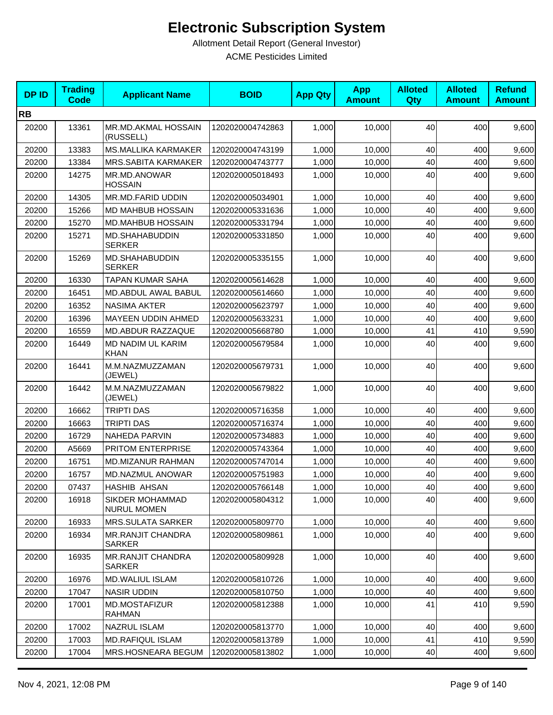| <b>DPID</b> | <b>Trading</b><br><b>Code</b> | <b>Applicant Name</b>                     | <b>BOID</b>      | <b>App Qty</b> | <b>App</b><br><b>Amount</b> | <b>Alloted</b><br>Qty | <b>Alloted</b><br><b>Amount</b> | <b>Refund</b><br><b>Amount</b> |
|-------------|-------------------------------|-------------------------------------------|------------------|----------------|-----------------------------|-----------------------|---------------------------------|--------------------------------|
| <b>RB</b>   |                               |                                           |                  |                |                             |                       |                                 |                                |
| 20200       | 13361                         | MR.MD.AKMAL HOSSAIN<br>(RUSSELL)          | 1202020004742863 | 1,000          | 10,000                      | 40                    | 400                             | 9,600                          |
| 20200       | 13383                         | <b>MS.MALLIKA KARMAKER</b>                | 1202020004743199 | 1,000          | 10,000                      | 40                    | 400                             | 9,600                          |
| 20200       | 13384                         | MRS.SABITA KARMAKER                       | 1202020004743777 | 1,000          | 10,000                      | 40                    | 400                             | 9,600                          |
| 20200       | 14275                         | MR.MD.ANOWAR<br><b>HOSSAIN</b>            | 1202020005018493 | 1,000          | 10,000                      | 40                    | 400                             | 9,600                          |
| 20200       | 14305                         | MR.MD.FARID UDDIN                         | 1202020005034901 | 1,000          | 10,000                      | 40                    | 400                             | 9,600                          |
| 20200       | 15266                         | MD MAHBUB HOSSAIN                         | 1202020005331636 | 1,000          | 10,000                      | 40                    | 400                             | 9,600                          |
| 20200       | 15270                         | MD.MAHBUB HOSSAIN                         | 1202020005331794 | 1,000          | 10,000                      | 40                    | 400                             | 9,600                          |
| 20200       | 15271                         | MD.SHAHABUDDIN<br><b>SERKER</b>           | 1202020005331850 | 1,000          | 10,000                      | 40                    | 400                             | 9,600                          |
| 20200       | 15269                         | MD.SHAHABUDDIN<br><b>SERKER</b>           | 1202020005335155 | 1,000          | 10,000                      | 40                    | 400                             | 9,600                          |
| 20200       | 16330                         | <b>TAPAN KUMAR SAHA</b>                   | 1202020005614628 | 1,000          | 10,000                      | 40                    | 400                             | 9,600                          |
| 20200       | 16451                         | MD.ABDUL AWAL BABUL                       | 1202020005614660 | 1,000          | 10,000                      | 40                    | 400                             | 9,600                          |
| 20200       | 16352                         | <b>NASIMA AKTER</b>                       | 1202020005623797 | 1,000          | 10,000                      | 40                    | 400                             | 9,600                          |
| 20200       | 16396                         | MAYEEN UDDIN AHMED                        | 1202020005633231 | 1,000          | 10,000                      | 40                    | 400                             | 9,600                          |
| 20200       | 16559                         | MD.ABDUR RAZZAQUE                         | 1202020005668780 | 1,000          | 10,000                      | 41                    | 410                             | 9,590                          |
| 20200       | 16449                         | <b>MD NADIM UL KARIM</b><br>KHAN          | 1202020005679584 | 1,000          | 10,000                      | 40                    | 400                             | 9,600                          |
| 20200       | 16441                         | M.M.NAZMUZZAMAN<br>(JEWEL)                | 1202020005679731 | 1,000          | 10,000                      | 40                    | 400                             | 9,600                          |
| 20200       | 16442                         | M.M.NAZMUZZAMAN<br>(JEWEL)                | 1202020005679822 | 1,000          | 10,000                      | 40                    | 400                             | 9,600                          |
| 20200       | 16662                         | <b>TRIPTI DAS</b>                         | 1202020005716358 | 1,000          | 10,000                      | 40                    | 400                             | 9,600                          |
| 20200       | 16663                         | <b>TRIPTI DAS</b>                         | 1202020005716374 | 1,000          | 10,000                      | 40                    | 400                             | 9,600                          |
| 20200       | 16729                         | <b>NAHEDA PARVIN</b>                      | 1202020005734883 | 1,000          | 10,000                      | 40                    | 400                             | 9,600                          |
| 20200       | A5669                         | PRITOM ENTERPRISE                         | 1202020005743364 | 1,000          | 10,000                      | 40                    | 400                             | 9,600                          |
| 20200       | 16751                         | MD.MIZANUR RAHMAN                         | 1202020005747014 | 1,000          | 10,000                      | 40                    | 400                             | 9,600                          |
| 20200       | 16757                         | MD.NAZMUL ANOWAR                          | 1202020005751983 | 1,000          | 10,000                      | 40                    | 400                             | 9,600                          |
| 20200       | 07437                         | HASHIB AHSAN                              | 1202020005766148 | 1,000          | 10,000                      | 40                    | 400                             | 9,600                          |
| 20200       | 16918                         | SIKDER MOHAMMAD<br><b>NURUL MOMEN</b>     | 1202020005804312 | 1,000          | 10,000                      | 40                    | 400                             | 9,600                          |
| 20200       | 16933                         | <b>MRS.SULATA SARKER</b>                  | 1202020005809770 | 1,000          | 10,000                      | 40                    | 400                             | 9,600                          |
| 20200       | 16934                         | <b>MR.RANJIT CHANDRA</b><br><b>SARKER</b> | 1202020005809861 | 1,000          | 10,000                      | 40                    | 400                             | 9,600                          |
| 20200       | 16935                         | <b>MR.RANJIT CHANDRA</b><br><b>SARKER</b> | 1202020005809928 | 1,000          | 10,000                      | 40                    | 400                             | 9,600                          |
| 20200       | 16976                         | <b>MD.WALIUL ISLAM</b>                    | 1202020005810726 | 1,000          | 10,000                      | 40                    | 400                             | 9,600                          |
| 20200       | 17047                         | <b>NASIR UDDIN</b>                        | 1202020005810750 | 1,000          | 10,000                      | 40                    | 400                             | 9,600                          |
| 20200       | 17001                         | MD.MOSTAFIZUR<br><b>RAHMAN</b>            | 1202020005812388 | 1,000          | 10,000                      | 41                    | 410                             | 9,590                          |
| 20200       | 17002                         | NAZRUL ISLAM                              | 1202020005813770 | 1,000          | 10,000                      | 40                    | 400                             | 9,600                          |
| 20200       | 17003                         | MD.RAFIQUL ISLAM                          | 1202020005813789 | 1,000          | 10,000                      | 41                    | 410                             | 9,590                          |
| 20200       | 17004                         | MRS.HOSNEARA BEGUM                        | 1202020005813802 | 1,000          | 10,000                      | 40                    | 400                             | 9,600                          |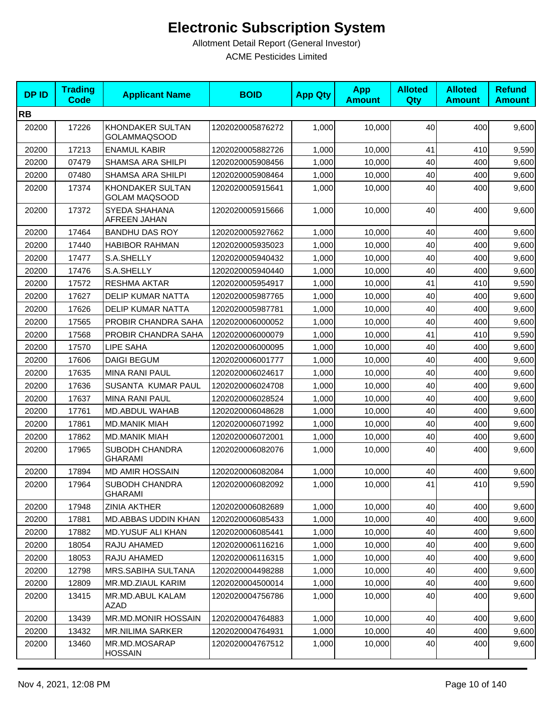| <b>DPID</b> | <b>Trading</b><br><b>Code</b> | <b>Applicant Name</b>                    | <b>BOID</b>      | <b>App Qty</b> | <b>App</b><br><b>Amount</b> | <b>Alloted</b><br>Qty | <b>Alloted</b><br><b>Amount</b> | <b>Refund</b><br><b>Amount</b> |
|-------------|-------------------------------|------------------------------------------|------------------|----------------|-----------------------------|-----------------------|---------------------------------|--------------------------------|
| <b>RB</b>   |                               |                                          |                  |                |                             |                       |                                 |                                |
| 20200       | 17226                         | KHONDAKER SULTAN<br><b>GOLAMMAQSOOD</b>  | 1202020005876272 | 1,000          | 10,000                      | 40                    | 400                             | 9,600                          |
| 20200       | 17213                         | <b>ENAMUL KABIR</b>                      | 1202020005882726 | 1,000          | 10,000                      | 41                    | 410                             | 9,590                          |
| 20200       | 07479                         | SHAMSA ARA SHILPI                        | 1202020005908456 | 1,000          | 10,000                      | 40                    | 400                             | 9,600                          |
| 20200       | 07480                         | SHAMSA ARA SHILPI                        | 1202020005908464 | 1,000          | 10,000                      | 40                    | 400                             | 9,600                          |
| 20200       | 17374                         | KHONDAKER SULTAN<br><b>GOLAM MAQSOOD</b> | 1202020005915641 | 1,000          | 10,000                      | 40                    | 400                             | 9,600                          |
| 20200       | 17372                         | SYEDA SHAHANA<br>AFREEN JAHAN            | 1202020005915666 | 1,000          | 10,000                      | 40                    | 400                             | 9,600                          |
| 20200       | 17464                         | <b>BANDHU DAS ROY</b>                    | 1202020005927662 | 1,000          | 10,000                      | 40                    | 400                             | 9,600                          |
| 20200       | 17440                         | <b>HABIBOR RAHMAN</b>                    | 1202020005935023 | 1,000          | 10,000                      | 40                    | 400                             | 9,600                          |
| 20200       | 17477                         | S.A.SHELLY                               | 1202020005940432 | 1,000          | 10,000                      | 40                    | 400                             | 9,600                          |
| 20200       | 17476                         | S.A.SHELLY                               | 1202020005940440 | 1,000          | 10,000                      | 40                    | 400                             | 9,600                          |
| 20200       | 17572                         | <b>RESHMA AKTAR</b>                      | 1202020005954917 | 1,000          | 10,000                      | 41                    | 410                             | 9,590                          |
| 20200       | 17627                         | <b>DELIP KUMAR NATTA</b>                 | 1202020005987765 | 1,000          | 10,000                      | 40                    | 400                             | 9,600                          |
| 20200       | 17626                         | <b>DELIP KUMAR NATTA</b>                 | 1202020005987781 | 1,000          | 10.000                      | 40                    | 400                             | 9,600                          |
| 20200       | 17565                         | PROBIR CHANDRA SAHA                      | 1202020006000052 | 1,000          | 10,000                      | 40                    | 400                             | 9,600                          |
| 20200       | 17568                         | PROBIR CHANDRA SAHA                      | 1202020006000079 | 1,000          | 10,000                      | 41                    | 410                             | 9,590                          |
| 20200       | 17570                         | <b>LIPE SAHA</b>                         | 1202020006000095 | 1,000          | 10,000                      | 40                    | 400                             | 9,600                          |
| 20200       | 17606                         | <b>DAIGI BEGUM</b>                       | 1202020006001777 | 1,000          | 10,000                      | 40                    | 400                             | 9,600                          |
| 20200       | 17635                         | <b>MINA RANI PAUL</b>                    | 1202020006024617 | 1,000          | 10,000                      | 40                    | 400                             | 9,600                          |
| 20200       | 17636                         | SUSANTA KUMAR PAUL                       | 1202020006024708 | 1,000          | 10,000                      | 40                    | 400                             | 9,600                          |
| 20200       | 17637                         | <b>MINA RANI PAUL</b>                    | 1202020006028524 | 1,000          | 10,000                      | 40                    | 400                             | 9,600                          |
| 20200       | 17761                         | MD.ABDUL WAHAB                           | 1202020006048628 | 1,000          | 10,000                      | 40                    | 400                             | 9,600                          |
| 20200       | 17861                         | <b>MD.MANIK MIAH</b>                     | 1202020006071992 | 1,000          | 10,000                      | 40                    | 400                             | 9,600                          |
| 20200       | 17862                         | <b>MD.MANIK MIAH</b>                     | 1202020006072001 | 1,000          | 10,000                      | 40                    | 400                             | 9,600                          |
| 20200       | 17965                         | SUBODH CHANDRA<br><b>GHARAMI</b>         | 1202020006082076 | 1,000          | 10,000                      | 40                    | 400                             | 9,600                          |
| 20200       | 17894                         | <b>MD AMIR HOSSAIN</b>                   | 1202020006082084 | 1,000          | 10,000                      | 40                    | 400                             | 9,600                          |
| 20200       | 17964                         | SUBODH CHANDRA<br><b>GHARAMI</b>         | 1202020006082092 | 1,000          | 10,000                      | 41                    | 410                             | 9,590                          |
| 20200       | 17948                         | <b>ZINIA AKTHER</b>                      | 1202020006082689 | 1,000          | 10,000                      | 40                    | 400                             | 9,600                          |
| 20200       | 17881                         | MD.ABBAS UDDIN KHAN                      | 1202020006085433 | 1,000          | 10,000                      | 40                    | 400                             | 9,600                          |
| 20200       | 17882                         | MD.YUSUF ALI KHAN                        | 1202020006085441 | 1,000          | 10,000                      | 40                    | 400                             | 9,600                          |
| 20200       | 18054                         | RAJU AHAMED                              | 1202020006116216 | 1,000          | 10,000                      | 40                    | 400                             | 9,600                          |
| 20200       | 18053                         | RAJU AHAMED                              | 1202020006116315 | 1,000          | 10,000                      | 40                    | 400                             | 9,600                          |
| 20200       | 12798                         | MRS.SABIHA SULTANA                       | 1202020004498288 | 1,000          | 10,000                      | 40                    | 400                             | 9,600                          |
| 20200       | 12809                         | MR.MD.ZIAUL KARIM                        | 1202020004500014 | 1,000          | 10,000                      | 40                    | 400                             | 9,600                          |
| 20200       | 13415                         | MR.MD.ABUL KALAM<br>AZAD                 | 1202020004756786 | 1,000          | 10,000                      | 40                    | 400                             | 9,600                          |
| 20200       | 13439                         | MR.MD.MONIR HOSSAIN                      | 1202020004764883 | 1,000          | 10,000                      | 40                    | 400                             | 9,600                          |
| 20200       | 13432                         | <b>MR.NILIMA SARKER</b>                  | 1202020004764931 | 1,000          | 10,000                      | 40                    | 400                             | 9,600                          |
| 20200       | 13460                         | MR.MD.MOSARAP<br><b>HOSSAIN</b>          | 1202020004767512 | 1,000          | 10,000                      | 40                    | 400                             | 9,600                          |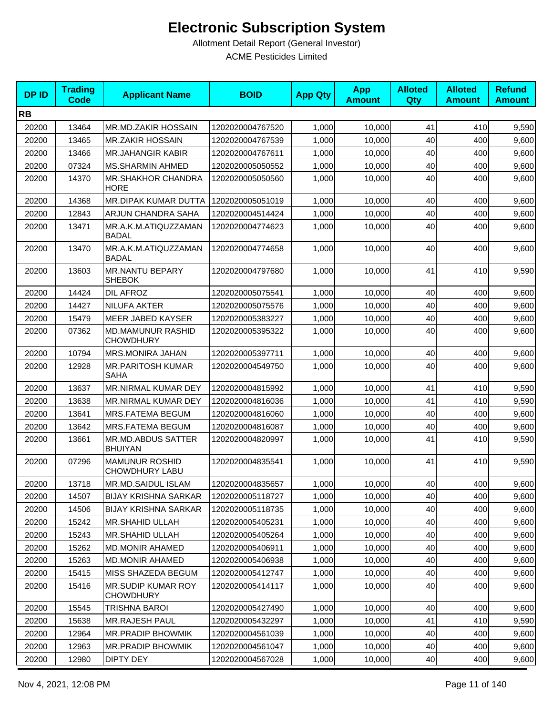| <b>DPID</b> | <b>Trading</b><br><b>Code</b> | <b>Applicant Name</b>                        | <b>BOID</b>      | <b>App Qty</b> | <b>App</b><br><b>Amount</b> | <b>Alloted</b><br>Qty | <b>Alloted</b><br><b>Amount</b> | <b>Refund</b><br><b>Amount</b> |
|-------------|-------------------------------|----------------------------------------------|------------------|----------------|-----------------------------|-----------------------|---------------------------------|--------------------------------|
| <b>RB</b>   |                               |                                              |                  |                |                             |                       |                                 |                                |
| 20200       | 13464                         | MR.MD.ZAKIR HOSSAIN                          | 1202020004767520 | 1,000          | 10,000                      | 41                    | 410                             | 9,590                          |
| 20200       | 13465                         | <b>MR.ZAKIR HOSSAIN</b>                      | 1202020004767539 | 1,000          | 10,000                      | 40                    | 400                             | 9,600                          |
| 20200       | 13466                         | <b>MR.JAHANGIR KABIR</b>                     | 1202020004767611 | 1,000          | 10,000                      | 40                    | 400                             | 9,600                          |
| 20200       | 07324                         | <b>MS.SHARMIN AHMED</b>                      | 1202020005050552 | 1,000          | 10,000                      | 40                    | 400                             | 9,600                          |
| 20200       | 14370                         | MR.SHAKHOR CHANDRA<br><b>HORE</b>            | 1202020005050560 | 1,000          | 10,000                      | 40                    | 400                             | 9,600                          |
| 20200       | 14368                         | MR.DIPAK KUMAR DUTTA                         | 1202020005051019 | 1,000          | 10,000                      | 40                    | 400                             | 9,600                          |
| 20200       | 12843                         | ARJUN CHANDRA SAHA                           | 1202020004514424 | 1,000          | 10,000                      | 40                    | 400                             | 9,600                          |
| 20200       | 13471                         | MR.A.K.M.ATIQUZZAMAN<br><b>BADAL</b>         | 1202020004774623 | 1,000          | 10,000                      | 40                    | 400                             | 9,600                          |
| 20200       | 13470                         | MR.A.K.M.ATIQUZZAMAN<br><b>BADAL</b>         | 1202020004774658 | 1,000          | 10,000                      | 40                    | 400                             | 9,600                          |
| 20200       | 13603                         | MR.NANTU BEPARY<br><b>SHEBOK</b>             | 1202020004797680 | 1,000          | 10,000                      | 41                    | 410                             | 9,590                          |
| 20200       | 14424                         | DIL AFROZ                                    | 1202020005075541 | 1,000          | 10,000                      | 40                    | 400                             | 9,600                          |
| 20200       | 14427                         | NILUFA AKTER                                 | 1202020005075576 | 1,000          | 10,000                      | 40                    | 400                             | 9,600                          |
| 20200       | 15479                         | MEER JABED KAYSER                            | 1202020005383227 | 1,000          | 10,000                      | 40                    | 400                             | 9,600                          |
| 20200       | 07362                         | <b>MD.MAMUNUR RASHID</b><br><b>CHOWDHURY</b> | 1202020005395322 | 1,000          | 10,000                      | 40                    | 400                             | 9,600                          |
| 20200       | 10794                         | <b>MRS.MONIRA JAHAN</b>                      | 1202020005397711 | 1,000          | 10,000                      | 40                    | 400                             | 9,600                          |
| 20200       | 12928                         | <b>MR.PARITOSH KUMAR</b><br>SAHA             | 1202020004549750 | 1,000          | 10,000                      | 40                    | 400                             | 9,600                          |
| 20200       | 13637                         | <b>MR.NIRMAL KUMAR DEY</b>                   | 1202020004815992 | 1,000          | 10,000                      | 41                    | 410                             | 9,590                          |
| 20200       | 13638                         | MR.NIRMAL KUMAR DEY                          | 1202020004816036 | 1,000          | 10,000                      | 41                    | 410                             | 9,590                          |
| 20200       | 13641                         | MRS.FATEMA BEGUM                             | 1202020004816060 | 1,000          | 10,000                      | 40                    | 400                             | 9,600                          |
| 20200       | 13642                         | MRS.FATEMA BEGUM                             | 1202020004816087 | 1,000          | 10,000                      | 40                    | 400                             | 9,600                          |
| 20200       | 13661                         | MR.MD.ABDUS SATTER<br><b>BHUIYAN</b>         | 1202020004820997 | 1,000          | 10,000                      | 41                    | 410                             | 9,590                          |
| 20200       | 07296                         | <b>MAMUNUR ROSHID</b><br>CHOWDHURY LABU      | 1202020004835541 | 1,000          | 10,000                      | 41                    | 410                             | 9,590                          |
| 20200       | 13718                         | MR.MD.SAIDUL ISLAM                           | 1202020004835657 | 1,000          | 10,000                      | 40                    | 400l                            | 9,600                          |
| 20200       | 14507                         | <b>BIJAY KRISHNA SARKAR</b>                  | 1202020005118727 | 1,000          | 10,000                      | 40                    | 400                             | 9,600                          |
| 20200       | 14506                         | <b>BIJAY KRISHNA SARKAR</b>                  | 1202020005118735 | 1,000          | 10,000                      | 40                    | 400                             | 9,600                          |
| 20200       | 15242                         | <b>MR.SHAHID ULLAH</b>                       | 1202020005405231 | 1,000          | 10,000                      | 40                    | 400                             | 9,600                          |
| 20200       | 15243                         | <b>MR.SHAHID ULLAH</b>                       | 1202020005405264 | 1,000          | 10,000                      | 40                    | 400                             | 9,600                          |
| 20200       | 15262                         | <b>MD.MONIR AHAMED</b>                       | 1202020005406911 | 1,000          | 10,000                      | 40                    | 400                             | 9,600                          |
| 20200       | 15263                         | <b>MD.MONIR AHAMED</b>                       | 1202020005406938 | 1,000          | 10,000                      | 40                    | 400                             | 9,600                          |
| 20200       | 15415                         | MISS SHAZEDA BEGUM                           | 1202020005412747 | 1,000          | 10,000                      | 40                    | 400                             | 9,600                          |
| 20200       | 15416                         | MR.SUDIP KUMAR ROY<br><b>CHOWDHURY</b>       | 1202020005414117 | 1,000          | 10,000                      | 40                    | 400                             | 9,600                          |
| 20200       | 15545                         | TRISHNA BAROI                                | 1202020005427490 | 1,000          | 10,000                      | 40                    | 400                             | 9,600                          |
| 20200       | 15638                         | <b>MR.RAJESH PAUL</b>                        | 1202020005432297 | 1,000          | 10,000                      | 41                    | 410                             | 9,590                          |
| 20200       | 12964                         | MR.PRADIP BHOWMIK                            | 1202020004561039 | 1,000          | 10,000                      | 40                    | 400                             | 9,600                          |
| 20200       | 12963                         | <b>MR.PRADIP BHOWMIK</b>                     | 1202020004561047 | 1,000          | 10,000                      | 40                    | 400                             | 9,600                          |
| 20200       | 12980                         | <b>DIPTY DEY</b>                             | 1202020004567028 | 1,000          | 10,000                      | 40                    | 400                             | 9,600                          |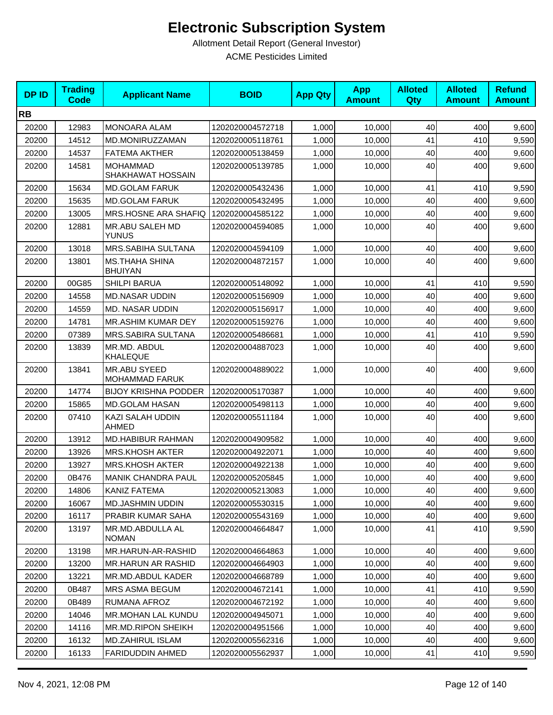| <b>DPID</b> | <b>Trading</b><br><b>Code</b> | <b>Applicant Name</b>                   | <b>BOID</b>      | <b>App Qty</b> | <b>App</b><br><b>Amount</b> | <b>Alloted</b><br>Qty | <b>Alloted</b><br><b>Amount</b> | <b>Refund</b><br><b>Amount</b> |
|-------------|-------------------------------|-----------------------------------------|------------------|----------------|-----------------------------|-----------------------|---------------------------------|--------------------------------|
| <b>RB</b>   |                               |                                         |                  |                |                             |                       |                                 |                                |
| 20200       | 12983                         | <b>MONOARA ALAM</b>                     | 1202020004572718 | 1,000          | 10,000                      | 40                    | 400                             | 9,600                          |
| 20200       | 14512                         | MD.MONIRUZZAMAN                         | 1202020005118761 | 1,000          | 10,000                      | 41                    | 410                             | 9,590                          |
| 20200       | 14537                         | <b>FATEMA AKTHER</b>                    | 1202020005138459 | 1,000          | 10,000                      | 40                    | 400                             | 9,600                          |
| 20200       | 14581                         | <b>MOHAMMAD</b><br>SHAKHAWAT HOSSAIN    | 1202020005139785 | 1,000          | 10,000                      | 40                    | 400                             | 9,600                          |
| 20200       | 15634                         | <b>MD.GOLAM FARUK</b>                   | 1202020005432436 | 1,000          | 10,000                      | 41                    | 410                             | 9,590                          |
| 20200       | 15635                         | <b>MD.GOLAM FARUK</b>                   | 1202020005432495 | 1,000          | 10,000                      | 40                    | 400                             | 9,600                          |
| 20200       | 13005                         | MRS.HOSNE ARA SHAFIQ                    | 1202020004585122 | 1,000          | 10,000                      | 40                    | 400                             | 9,600                          |
| 20200       | 12881                         | MR.ABU SALEH MD<br>YUNUS                | 1202020004594085 | 1,000          | 10,000                      | 40                    | 400                             | 9,600                          |
| 20200       | 13018                         | MRS.SABIHA SULTANA                      | 1202020004594109 | 1,000          | 10,000                      | 40                    | 400                             | 9,600                          |
| 20200       | 13801                         | <b>MS.THAHA SHINA</b><br><b>BHUIYAN</b> | 1202020004872157 | 1,000          | 10,000                      | 40                    | 400                             | 9,600                          |
| 20200       | 00G85                         | <b>SHILPI BARUA</b>                     | 1202020005148092 | 1,000          | 10,000                      | 41                    | 410                             | 9,590                          |
| 20200       | 14558                         | <b>MD.NASAR UDDIN</b>                   | 1202020005156909 | 1,000          | 10,000                      | 40                    | 400                             | 9,600                          |
| 20200       | 14559                         | MD. NASAR UDDIN                         | 1202020005156917 | 1,000          | 10,000                      | 40                    | 400                             | 9,600                          |
| 20200       | 14781                         | MR.ASHIM KUMAR DEY                      | 1202020005159276 | 1,000          | 10,000                      | 40                    | 400                             | 9,600                          |
| 20200       | 07389                         | <b>MRS.SABIRA SULTANA</b>               | 1202020005486681 | 1,000          | 10,000                      | 41                    | 410                             | 9,590                          |
| 20200       | 13839                         | MR.MD. ABDUL<br><b>KHALEQUE</b>         | 1202020004887023 | 1,000          | 10,000                      | 40                    | 400                             | 9,600                          |
| 20200       | 13841                         | MR.ABU SYEED<br><b>MOHAMMAD FARUK</b>   | 1202020004889022 | 1,000          | 10,000                      | 40                    | 400                             | 9,600                          |
| 20200       | 14774                         | <b>BIJOY KRISHNA PODDER</b>             | 1202020005170387 | 1,000          | 10,000                      | 40                    | 400                             | 9,600                          |
| 20200       | 15865                         | <b>MD.GOLAM HASAN</b>                   | 1202020005498113 | 1,000          | 10,000                      | 40                    | 400                             | 9,600                          |
| 20200       | 07410                         | KAZI SALAH UDDIN<br><b>AHMED</b>        | 1202020005511184 | 1,000          | 10,000                      | 40                    | 400                             | 9,600                          |
| 20200       | 13912                         | MD.HABIBUR RAHMAN                       | 1202020004909582 | 1,000          | 10,000                      | 40                    | 400                             | 9,600                          |
| 20200       | 13926                         | <b>MRS.KHOSH AKTER</b>                  | 1202020004922071 | 1,000          | 10,000                      | 40                    | 400                             | 9,600                          |
| 20200       | 13927                         | <b>MRS.KHOSH AKTER</b>                  | 1202020004922138 | 1,000          | 10,000                      | 40                    | 400                             | 9,600                          |
| 20200       | 0B476                         | <b>MANIK CHANDRA PAUL</b>               | 1202020005205845 | 1,000          | 10,000                      | 40                    | 400                             | 9,600                          |
| 20200       | 14806                         | KANIZ FATEMA                            | 1202020005213083 | 1,000          | 10,000                      | 40                    | 400                             | 9,600                          |
| 20200       | 16067                         | <b>MD.JASHMIN UDDIN</b>                 | 1202020005530315 | 1,000          | 10,000                      | 40                    | 400                             | 9,600                          |
| 20200       | 16117                         | <b>PRABIR KUMAR SAHA</b>                | 1202020005543169 | 1,000          | 10,000                      | 40                    | 400                             | 9,600                          |
| 20200       | 13197                         | MR.MD.ABDULLA AL<br><b>NOMAN</b>        | 1202020004664847 | 1,000          | 10,000                      | 41                    | 410                             | 9,590                          |
| 20200       | 13198                         | MR.HARUN-AR-RASHID                      | 1202020004664863 | 1,000          | 10,000                      | 40                    | 400                             | 9,600                          |
| 20200       | 13200                         | <b>MR.HARUN AR RASHID</b>               | 1202020004664903 | 1,000          | 10,000                      | 40                    | 400                             | 9,600                          |
| 20200       | 13221                         | MR.MD.ABDUL KADER                       | 1202020004668789 | 1,000          | 10,000                      | 40                    | 400                             | 9,600                          |
| 20200       | 0B487                         | <b>MRS ASMA BEGUM</b>                   | 1202020004672141 | 1,000          | 10,000                      | 41                    | 410                             | 9,590                          |
| 20200       | 0B489                         | RUMANA AFROZ                            | 1202020004672192 | 1,000          | 10,000                      | 40                    | 400                             | 9,600                          |
| 20200       | 14046                         | <b>MR.MOHAN LAL KUNDU</b>               | 1202020004945071 | 1,000          | 10,000                      | 40                    | 400                             | 9,600                          |
| 20200       | 14116                         | MR.MD.RIPON SHEIKH                      | 1202020004951566 | 1,000          | 10,000                      | 40                    | 400                             | 9,600                          |
| 20200       | 16132                         | MD.ZAHIRUL ISLAM                        | 1202020005562316 | 1,000          | 10,000                      | 40                    | 400                             | 9,600                          |
| 20200       | 16133                         | <b>FARIDUDDIN AHMED</b>                 | 1202020005562937 | 1,000          | 10,000                      | 41                    | 410                             | 9,590                          |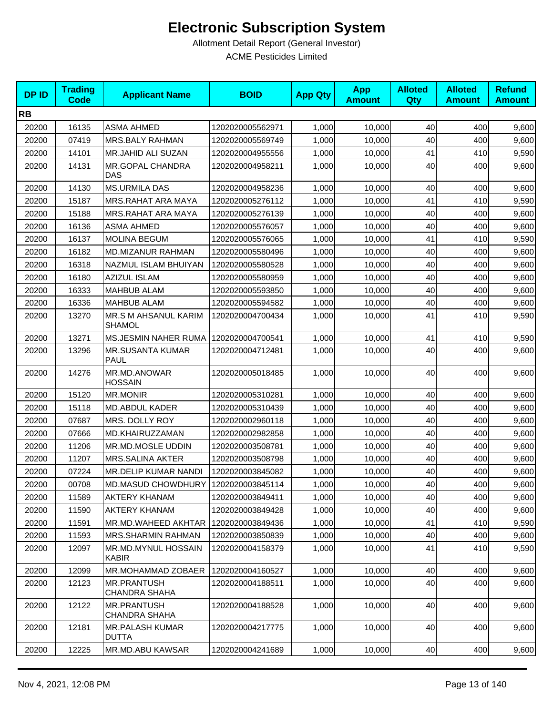| <b>DPID</b> | <b>Trading</b><br><b>Code</b> | <b>Applicant Name</b>                      | <b>BOID</b>      | <b>App Qty</b> | <b>App</b><br><b>Amount</b> | <b>Alloted</b><br><b>Qty</b> | <b>Alloted</b><br><b>Amount</b> | <b>Refund</b><br><b>Amount</b> |
|-------------|-------------------------------|--------------------------------------------|------------------|----------------|-----------------------------|------------------------------|---------------------------------|--------------------------------|
| <b>RB</b>   |                               |                                            |                  |                |                             |                              |                                 |                                |
| 20200       | 16135                         | <b>ASMA AHMED</b>                          | 1202020005562971 | 1,000          | 10,000                      | 40                           | 400                             | 9,600                          |
| 20200       | 07419                         | MRS.BALY RAHMAN                            | 1202020005569749 | 1,000          | 10,000                      | 40                           | 400                             | 9,600                          |
| 20200       | 14101                         | MR.JAHID ALI SUZAN                         | 1202020004955556 | 1,000          | 10,000                      | 41                           | 410                             | 9,590                          |
| 20200       | 14131                         | MR.GOPAL CHANDRA<br>DAS                    | 1202020004958211 | 1,000          | 10,000                      | 40                           | 400                             | 9,600                          |
| 20200       | 14130                         | <b>MS.URMILA DAS</b>                       | 1202020004958236 | 1,000          | 10,000                      | 40                           | 400                             | 9,600                          |
| 20200       | 15187                         | <b>MRS.RAHAT ARA MAYA</b>                  | 1202020005276112 | 1,000          | 10,000                      | 41                           | 410                             | 9,590                          |
| 20200       | 15188                         | MRS.RAHAT ARA MAYA                         | 1202020005276139 | 1,000          | 10,000                      | 40                           | 400                             | 9,600                          |
| 20200       | 16136                         | <b>ASMA AHMED</b>                          | 1202020005576057 | 1,000          | 10,000                      | 40                           | 400                             | 9,600                          |
| 20200       | 16137                         | <b>MOLINA BEGUM</b>                        | 1202020005576065 | 1,000          | 10,000                      | 41                           | 410                             | 9,590                          |
| 20200       | 16182                         | MD.MIZANUR RAHMAN                          | 1202020005580496 | 1,000          | 10,000                      | 40                           | 400                             | 9,600                          |
| 20200       | 16318                         | NAZMUL ISLAM BHUIYAN                       | 1202020005580528 | 1,000          | 10,000                      | 40                           | 400                             | 9,600                          |
| 20200       | 16180                         | AZIZUL ISLAM                               | 1202020005580959 | 1,000          | 10,000                      | 40                           | 400                             | 9,600                          |
| 20200       | 16333                         | <b>MAHBUB ALAM</b>                         | 1202020005593850 | 1,000          | 10.000                      | 40                           | 400                             | 9,600                          |
| 20200       | 16336                         | <b>MAHBUB ALAM</b>                         | 1202020005594582 | 1,000          | 10,000                      | 40                           | 400                             | 9,600                          |
| 20200       | 13270                         | MR.S M AHSANUL KARIM<br><b>SHAMOL</b>      | 1202020004700434 | 1,000          | 10,000                      | 41                           | 410                             | 9,590                          |
| 20200       | 13271                         | <b>MS.JESMIN NAHER RUMA</b>                | 1202020004700541 | 1,000          | 10,000                      | 41                           | 410                             | 9,590                          |
| 20200       | 13296                         | <b>MR.SUSANTA KUMAR</b><br><b>PAUL</b>     | 1202020004712481 | 1,000          | 10,000                      | 40                           | 400                             | 9,600                          |
| 20200       | 14276                         | MR.MD.ANOWAR<br><b>HOSSAIN</b>             | 1202020005018485 | 1,000          | 10,000                      | 40                           | 400                             | 9,600                          |
| 20200       | 15120                         | <b>MR.MONIR</b>                            | 1202020005310281 | 1,000          | 10,000                      | 40                           | 400                             | 9,600                          |
| 20200       | 15118                         | <b>MD.ABDUL KADER</b>                      | 1202020005310439 | 1,000          | 10,000                      | 40                           | 400                             | 9,600                          |
| 20200       | 07687                         | MRS. DOLLY ROY                             | 1202020002960118 | 1,000          | 10,000                      | 40                           | 400                             | 9,600                          |
| 20200       | 07666                         | MD.KHAIRUZZAMAN                            | 1202020002982858 | 1,000          | 10,000                      | 40                           | 400                             | 9,600                          |
| 20200       | 11206                         | MR.MD.MOSLE UDDIN                          | 1202020003508781 | 1,000          | 10,000                      | 40                           | 400                             | 9,600                          |
| 20200       | 11207                         | <b>MRS.SALINA AKTER</b>                    | 1202020003508798 | 1,000          | 10,000                      | 40                           | 400                             | 9,600                          |
| 20200       | 07224                         | MR.DELIP KUMAR NANDI                       | 1202020003845082 | 1,000          | 10,000                      | 40                           | 400                             | 9,600                          |
| 20200       | 00708                         | MD.MASUD CHOWDHURY   1202020003845114      |                  | 1,000          | 10,000                      | 40 <sup>l</sup>              | 400                             | 9,600                          |
| 20200       | 11589                         | <b>AKTERY KHANAM</b>                       | 1202020003849411 | 1,000          | 10,000                      | 40                           | 400                             | 9,600                          |
| 20200       | 11590                         | <b>AKTERY KHANAM</b>                       | 1202020003849428 | 1,000          | 10,000                      | 40                           | 400                             | 9,600                          |
| 20200       | 11591                         | MR.MD.WAHEED AKHTAR                        | 1202020003849436 | 1,000          | 10,000                      | 41                           | 410                             | 9,590                          |
| 20200       | 11593                         | MRS.SHARMIN RAHMAN                         | 1202020003850839 | 1,000          | 10,000                      | 40                           | 400                             | 9,600                          |
| 20200       | 12097                         | MR.MD.MYNUL HOSSAIN<br><b>KABIR</b>        | 1202020004158379 | 1,000          | 10,000                      | 41                           | 410                             | 9,590                          |
| 20200       | 12099                         | MR.MOHAMMAD ZOBAER                         | 1202020004160527 | 1,000          | 10,000                      | 40                           | 400                             | 9,600                          |
| 20200       | 12123                         | <b>MR.PRANTUSH</b><br><b>CHANDRA SHAHA</b> | 1202020004188511 | 1,000          | 10,000                      | 40                           | 400                             | 9,600                          |
| 20200       | 12122                         | <b>MR.PRANTUSH</b><br><b>CHANDRA SHAHA</b> | 1202020004188528 | 1,000          | 10,000                      | 40                           | 400                             | 9,600                          |
| 20200       | 12181                         | <b>MR.PALASH KUMAR</b><br><b>DUTTA</b>     | 1202020004217775 | 1,000          | 10,000                      | 40                           | 400                             | 9,600                          |
| 20200       | 12225                         | MR.MD.ABU KAWSAR                           | 1202020004241689 | 1,000          | 10,000                      | 40                           | 400                             | 9,600                          |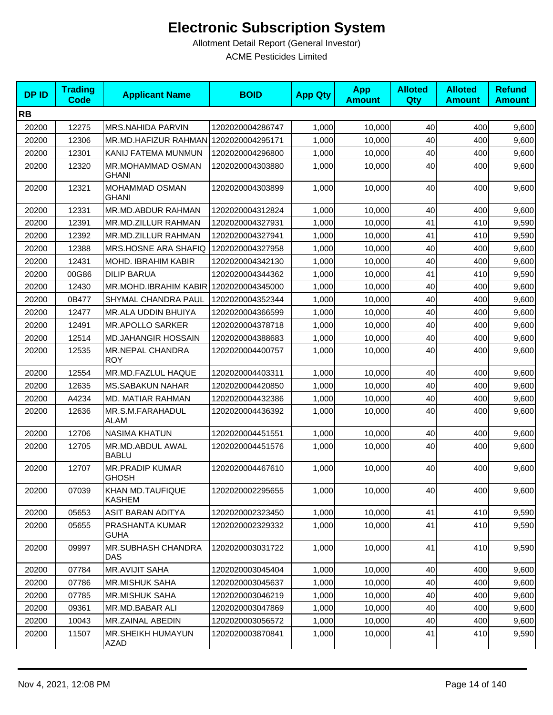| <b>DPID</b> | <b>Trading</b><br><b>Code</b> | <b>Applicant Name</b>                  | <b>BOID</b>      | <b>App Qty</b> | <b>App</b><br><b>Amount</b> | <b>Alloted</b><br><b>Qty</b> | <b>Alloted</b><br><b>Amount</b> | <b>Refund</b><br><b>Amount</b> |
|-------------|-------------------------------|----------------------------------------|------------------|----------------|-----------------------------|------------------------------|---------------------------------|--------------------------------|
| <b>RB</b>   |                               |                                        |                  |                |                             |                              |                                 |                                |
| 20200       | 12275                         | MRS.NAHIDA PARVIN                      | 1202020004286747 | 1,000          | 10,000                      | 40                           | 400                             | 9,600                          |
| 20200       | 12306                         | MR.MD.HAFIZUR RAHMAN 1202020004295171  |                  | 1,000          | 10,000                      | 40                           | 400                             | 9,600                          |
| 20200       | 12301                         | KANIJ FATEMA MUNMUN                    | 1202020004296800 | 1,000          | 10,000                      | 40                           | 400                             | 9,600                          |
| 20200       | 12320                         | MR.MOHAMMAD OSMAN<br>GHANI             | 1202020004303880 | 1,000          | 10,000                      | 40                           | 400                             | 9,600                          |
| 20200       | 12321                         | MOHAMMAD OSMAN<br>GHANI                | 1202020004303899 | 1,000          | 10,000                      | 40                           | 400                             | 9,600                          |
| 20200       | 12331                         | MR.MD.ABDUR RAHMAN                     | 1202020004312824 | 1,000          | 10,000                      | 40                           | 400                             | 9,600                          |
| 20200       | 12391                         | MR.MD.ZILLUR RAHMAN                    | 1202020004327931 | 1,000          | 10,000                      | 41                           | 410                             | 9,590                          |
| 20200       | 12392                         | MR.MD.ZILLUR RAHMAN                    | 1202020004327941 | 1,000          | 10,000                      | 41                           | 410                             | 9,590                          |
| 20200       | 12388                         | MRS.HOSNE ARA SHAFIQ                   | 1202020004327958 | 1,000          | 10,000                      | 40                           | 400                             | 9,600                          |
| 20200       | 12431                         | MOHD. IBRAHIM KABIR                    | 1202020004342130 | 1,000          | 10,000                      | 40                           | 400                             | 9,600                          |
| 20200       | 00G86                         | <b>DILIP BARUA</b>                     | 1202020004344362 | 1,000          | 10,000                      | 41                           | 410                             | 9,590                          |
| 20200       | 12430                         | MR.MOHD.IBRAHIM KABIR                  | 1202020004345000 | 1,000          | 10,000                      | 40                           | 400                             | 9,600                          |
| 20200       | 0B477                         | SHYMAL CHANDRA PAUL                    | 1202020004352344 | 1,000          | 10.000                      | 40                           | 400                             | 9,600                          |
| 20200       | 12477                         | MR.ALA UDDIN BHUIYA                    | 1202020004366599 | 1,000          | 10,000                      | 40                           | 400                             | 9,600                          |
| 20200       | 12491                         | <b>MR.APOLLO SARKER</b>                | 1202020004378718 | 1,000          | 10,000                      | 40                           | 400                             | 9,600                          |
| 20200       | 12514                         | <b>MD.JAHANGIR HOSSAIN</b>             | 1202020004388683 | 1,000          | 10,000                      | 40                           | 400                             | 9,600                          |
| 20200       | 12535                         | MR.NEPAL CHANDRA<br><b>ROY</b>         | 1202020004400757 | 1,000          | 10,000                      | 40                           | 400                             | 9,600                          |
| 20200       | 12554                         | MR.MD.FAZLUL HAQUE                     | 1202020004403311 | 1,000          | 10,000                      | 40                           | 400                             | 9,600                          |
| 20200       | 12635                         | <b>MS.SABAKUN NAHAR</b>                | 1202020004420850 | 1,000          | 10,000                      | 40                           | 400                             | 9,600                          |
| 20200       | A4234                         | MD. MATIAR RAHMAN                      | 1202020004432386 | 1,000          | 10,000                      | 40                           | 400                             | 9,600                          |
| 20200       | 12636                         | MR.S.M.FARAHADUL<br><b>ALAM</b>        | 1202020004436392 | 1,000          | 10,000                      | 40                           | 400                             | 9,600                          |
| 20200       | 12706                         | <b>NASIMA KHATUN</b>                   | 1202020004451551 | 1,000          | 10,000                      | 40                           | 400                             | 9,600                          |
| 20200       | 12705                         | MR.MD.ABDUL AWAL<br><b>BABLU</b>       | 1202020004451576 | 1,000          | 10,000                      | 40                           | 400                             | 9,600                          |
| 20200       | 12707                         | <b>MR.PRADIP KUMAR</b><br><b>GHOSH</b> | 1202020004467610 | 1,000          | 10,000                      | 40                           | 400                             | 9,600                          |
| 20200       | 07039                         | KHAN MD.TAUFIQUE<br>KASHEM             | 1202020002295655 | 1,000          | 10,000                      | 40                           | 400                             | 9,600                          |
| 20200       | 05653                         | ASIT BARAN ADITYA                      | 1202020002323450 | 1,000          | 10,000                      | 41                           | 410                             | 9,590                          |
| 20200       | 05655                         | PRASHANTA KUMAR<br><b>GUHA</b>         | 1202020002329332 | 1,000          | 10,000                      | 41                           | 410                             | 9,590                          |
| 20200       | 09997                         | <b>MR.SUBHASH CHANDRA</b><br>DAS       | 1202020003031722 | 1,000          | 10,000                      | 41                           | 410                             | 9,590                          |
| 20200       | 07784                         | <b>MR.AVIJIT SAHA</b>                  | 1202020003045404 | 1,000          | 10,000                      | 40                           | 400                             | 9,600                          |
| 20200       | 07786                         | <b>MR.MISHUK SAHA</b>                  | 1202020003045637 | 1,000          | 10,000                      | 40                           | 400                             | 9,600                          |
| 20200       | 07785                         | <b>MR.MISHUK SAHA</b>                  | 1202020003046219 | 1,000          | 10,000                      | 40                           | 400                             | 9,600                          |
| 20200       | 09361                         | MR.MD.BABAR ALI                        | 1202020003047869 | 1,000          | 10,000                      | 40                           | 400                             | 9,600                          |
| 20200       | 10043                         | MR.ZAINAL ABEDIN                       | 1202020003056572 | 1,000          | 10,000                      | 40                           | 400                             | 9,600                          |
| 20200       | 11507                         | MR.SHEIKH HUMAYUN<br><b>AZAD</b>       | 1202020003870841 | 1,000          | 10,000                      | 41                           | 410                             | 9,590                          |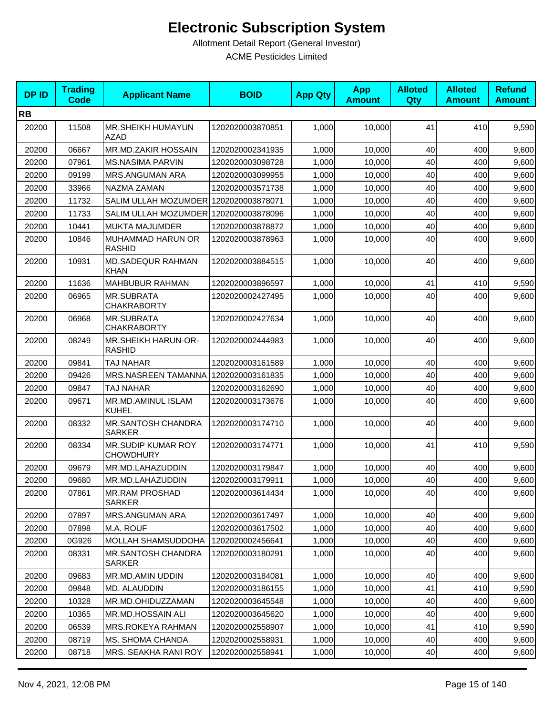| <b>DPID</b> | <b>Trading</b><br><b>Code</b> | <b>Applicant Name</b>                   | <b>BOID</b>      | <b>App Qty</b> | <b>App</b><br><b>Amount</b> | <b>Alloted</b><br><b>Qty</b> | <b>Alloted</b><br><b>Amount</b> | <b>Refund</b><br><b>Amount</b> |
|-------------|-------------------------------|-----------------------------------------|------------------|----------------|-----------------------------|------------------------------|---------------------------------|--------------------------------|
| <b>RB</b>   |                               |                                         |                  |                |                             |                              |                                 |                                |
| 20200       | 11508                         | MR.SHEIKH HUMAYUN<br><b>AZAD</b>        | 1202020003870851 | 1,000          | 10,000                      | 41                           | 410                             | 9,590                          |
| 20200       | 06667                         | MR.MD.ZAKIR HOSSAIN                     | 1202020002341935 | 1,000          | 10,000                      | 40                           | 400                             | 9,600                          |
| 20200       | 07961                         | <b>MS.NASIMA PARVIN</b>                 | 1202020003098728 | 1,000          | 10,000                      | 40                           | 400                             | 9,600                          |
| 20200       | 09199                         | <b>MRS.ANGUMAN ARA</b>                  | 1202020003099955 | 1,000          | 10,000                      | 40                           | 400                             | 9,600                          |
| 20200       | 33966                         | NAZMA ZAMAN                             | 1202020003571738 | 1,000          | 10,000                      | 40                           | 400                             | 9,600                          |
| 20200       | 11732                         | SALIM ULLAH MOZUMDER 1202020003878071   |                  | 1,000          | 10,000                      | 40                           | 400                             | 9,600                          |
| 20200       | 11733                         | SALIM ULLAH MOZUMDER 1202020003878096   |                  | 1,000          | 10,000                      | 40                           | 400                             | 9,600                          |
| 20200       | 10441                         | MUKTA MAJUMDER                          | 1202020003878872 | 1,000          | 10,000                      | 40                           | 400                             | 9,600                          |
| 20200       | 10846                         | MUHAMMAD HARUN OR<br><b>RASHID</b>      | 1202020003878963 | 1,000          | 10,000                      | 40                           | 400                             | 9,600                          |
| 20200       | 10931                         | <b>MD.SADEQUR RAHMAN</b><br><b>KHAN</b> | 1202020003884515 | 1,000          | 10,000                      | 40                           | 400                             | 9,600                          |
| 20200       | 11636                         | <b>MAHBUBUR RAHMAN</b>                  | 1202020003896597 | 1,000          | 10,000                      | 41                           | 410                             | 9,590                          |
| 20200       | 06965                         | <b>MR.SUBRATA</b><br><b>CHAKRABORTY</b> | 1202020002427495 | 1,000          | 10,000                      | 40                           | 400                             | 9,600                          |
| 20200       | 06968                         | <b>MR.SUBRATA</b><br><b>CHAKRABORTY</b> | 1202020002427634 | 1,000          | 10,000                      | 40                           | 400                             | 9,600                          |
| 20200       | 08249                         | MR.SHEIKH HARUN-OR-<br><b>RASHID</b>    | 1202020002444983 | 1,000          | 10,000                      | 40                           | 400                             | 9,600                          |
| 20200       | 09841                         | <b>TAJ NAHAR</b>                        | 1202020003161589 | 1,000          | 10,000                      | 40                           | 400                             | 9,600                          |
| 20200       | 09426                         | <b>MRS.NASREEN TAMANNA</b>              | 1202020003161835 | 1,000          | 10,000                      | 40                           | 400                             | 9,600                          |
| 20200       | 09847                         | <b>TAJ NAHAR</b>                        | 1202020003162690 | 1,000          | 10,000                      | 40                           | 400                             | 9,600                          |
| 20200       | 09671                         | MR.MD.AMINUL ISLAM<br><b>KUHEL</b>      | 1202020003173676 | 1,000          | 10,000                      | 40                           | 400                             | 9,600                          |
| 20200       | 08332                         | MR.SANTOSH CHANDRA<br><b>SARKER</b>     | 1202020003174710 | 1,000          | 10,000                      | 40                           | 400                             | 9,600                          |
| 20200       | 08334                         | MR.SUDIP KUMAR ROY<br><b>CHOWDHURY</b>  | 1202020003174771 | 1,000          | 10,000                      | 41                           | 410                             | 9,590                          |
| 20200       | 09679                         | MR.MD.LAHAZUDDIN                        | 1202020003179847 | 1,000          | 10,000                      | 40                           | 400                             | 9,600                          |
| 20200       | 09680                         | MR.MD.LAHAZUDDIN                        | 1202020003179911 | 1,000          | 10,000                      | 40                           | 400                             | 9,600                          |
| 20200       | 07861                         | <b>MR.RAM PROSHAD</b><br><b>SARKER</b>  | 1202020003614434 | 1,000          | 10,000                      | 40                           | 400                             | 9,600                          |
| 20200       | 07897                         | <b>MRS.ANGUMAN ARA</b>                  | 1202020003617497 | 1,000          | 10,000                      | 40                           | 400                             | 9,600                          |
| 20200       | 07898                         | M.A. ROUF                               | 1202020003617502 | 1,000          | 10.000                      | 40                           | 400                             | 9,600                          |
| 20200       | 0G926                         | MOLLAH SHAMSUDDOHA                      | 1202020002456641 | 1,000          | 10,000                      | 40                           | 400                             | 9,600                          |
| 20200       | 08331                         | <b>MR.SANTOSH CHANDRA</b><br>SARKER     | 1202020003180291 | 1,000          | 10,000                      | 40                           | 400                             | 9,600                          |
| 20200       | 09683                         | MR.MD.AMIN UDDIN                        | 1202020003184081 | 1,000          | 10,000                      | 40                           | 400                             | 9,600                          |
| 20200       | 09848                         | MD. ALAUDDIN                            | 1202020003186155 | 1,000          | 10,000                      | 41                           | 410                             | 9,590                          |
| 20200       | 10328                         | MR.MD.OHIDUZZAMAN                       | 1202020003645548 | 1,000          | 10,000                      | 40                           | 400                             | 9,600                          |
| 20200       | 10365                         | MR.MD.HOSSAIN ALI                       | 1202020003645620 | 1,000          | 10,000                      | 40                           | 400                             | 9,600                          |
| 20200       | 06539                         | MRS.ROKEYA RAHMAN                       | 1202020002558907 | 1,000          | 10,000                      | 41                           | 410                             | 9,590                          |
| 20200       | 08719                         | MS. SHOMA CHANDA                        | 1202020002558931 | 1,000          | 10,000                      | 40                           | 400                             | 9,600                          |
| 20200       | 08718                         | MRS. SEAKHA RANI ROY                    | 1202020002558941 | 1,000          | 10,000                      | 40                           | 400                             | 9,600                          |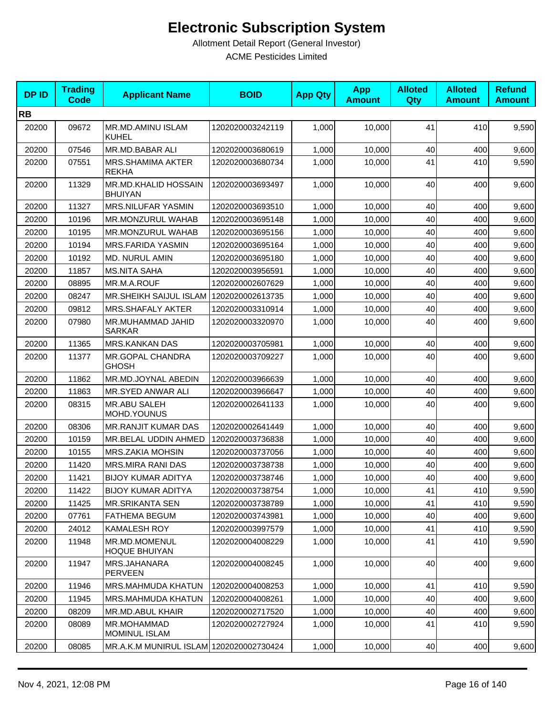| <b>DPID</b> | <b>Trading</b><br><b>Code</b> | <b>Applicant Name</b>                     | <b>BOID</b>      | <b>App Qty</b> | <b>App</b><br><b>Amount</b> | <b>Alloted</b><br>Qty | <b>Alloted</b><br><b>Amount</b> | <b>Refund</b><br><b>Amount</b> |
|-------------|-------------------------------|-------------------------------------------|------------------|----------------|-----------------------------|-----------------------|---------------------------------|--------------------------------|
| <b>RB</b>   |                               |                                           |                  |                |                             |                       |                                 |                                |
| 20200       | 09672                         | <b>MR.MD.AMINU ISLAM</b><br><b>KUHEL</b>  | 1202020003242119 | 1,000          | 10,000                      | 41                    | 410                             | 9,590                          |
| 20200       | 07546                         | MR.MD.BABAR ALI                           | 1202020003680619 | 1,000          | 10,000                      | 40                    | 400                             | 9,600                          |
| 20200       | 07551                         | <b>MRS.SHAMIMA AKTER</b><br><b>REKHA</b>  | 1202020003680734 | 1,000          | 10,000                      | 41                    | 410                             | 9,590                          |
| 20200       | 11329                         | MR.MD.KHALID HOSSAIN<br><b>BHUIYAN</b>    | 1202020003693497 | 1,000          | 10,000                      | 40                    | 400                             | 9,600                          |
| 20200       | 11327                         | MRS.NILUFAR YASMIN                        | 1202020003693510 | 1,000          | 10,000                      | 40                    | 400                             | 9,600                          |
| 20200       | 10196                         | <b>MR.MONZURUL WAHAB</b>                  | 1202020003695148 | 1,000          | 10,000                      | 40                    | 400                             | 9,600                          |
| 20200       | 10195                         | MR.MONZURUL WAHAB                         | 1202020003695156 | 1,000          | 10,000                      | 40                    | 400                             | 9,600                          |
| 20200       | 10194                         | <b>MRS.FARIDA YASMIN</b>                  | 1202020003695164 | 1,000          | 10,000                      | 40                    | 400                             | 9,600                          |
| 20200       | 10192                         | MD. NURUL AMIN                            | 1202020003695180 | 1,000          | 10,000                      | 40                    | 400                             | 9,600                          |
| 20200       | 11857                         | <b>MS.NITA SAHA</b>                       | 1202020003956591 | 1,000          | 10,000                      | 40                    | 400                             | 9,600                          |
| 20200       | 08895                         | MR.M.A.ROUF                               | 1202020002607629 | 1,000          | 10,000                      | 40                    | 400                             | 9,600                          |
| 20200       | 08247                         | MR.SHEIKH SAIJUL ISLAM   1202020002613735 |                  | 1,000          | 10,000                      | 40                    | 400                             | 9,600                          |
| 20200       | 09812                         | MRS.SHAFALY AKTER                         | 1202020003310914 | 1,000          | 10,000                      | 40                    | 400                             | 9,600                          |
| 20200       | 07980                         | MR.MUHAMMAD JAHID<br><b>SARKAR</b>        | 1202020003320970 | 1,000          | 10,000                      | 40                    | 400                             | 9,600                          |
| 20200       | 11365                         | <b>MRS.KANKAN DAS</b>                     | 1202020003705981 | 1,000          | 10,000                      | 40                    | 400                             | 9,600                          |
| 20200       | 11377                         | MR.GOPAL CHANDRA<br><b>GHOSH</b>          | 1202020003709227 | 1,000          | 10,000                      | 40                    | 400                             | 9,600                          |
| 20200       | 11862                         | MR.MD.JOYNAL ABEDIN                       | 1202020003966639 | 1,000          | 10,000                      | 40                    | 400                             | 9,600                          |
| 20200       | 11863                         | MR.SYED ANWAR ALI                         | 1202020003966647 | 1,000          | 10,000                      | 40                    | 400                             | 9,600                          |
| 20200       | 08315                         | MR.ABU SALEH<br>MOHD.YOUNUS               | 1202020002641133 | 1,000          | 10,000                      | 40                    | 400                             | 9,600                          |
| 20200       | 08306                         | MR.RANJIT KUMAR DAS                       | 1202020002641449 | 1,000          | 10,000                      | 40                    | 400                             | 9,600                          |
| 20200       | 10159                         | MR.BELAL UDDIN AHMED                      | 1202020003736838 | 1,000          | 10,000                      | 40                    | 400                             | 9,600                          |
| 20200       | 10155                         | MRS.ZAKIA MOHSIN                          | 1202020003737056 | 1,000          | 10,000                      | 40                    | 400                             | 9,600                          |
| 20200       | 11420                         | <b>MRS.MIRA RANI DAS</b>                  | 1202020003738738 | 1,000          | 10,000                      | 40                    | 400                             | 9,600                          |
| 20200       | 11421                         | <b>BIJOY KUMAR ADITYA</b>                 | 1202020003738746 | 1,000          | 10,000                      | 40                    | 400                             | 9,600                          |
| 20200       | 11422                         | <b>BIJOY KUMAR ADITYA</b>                 | 1202020003738754 | 1,000          | 10,000                      | 41                    | 410                             | 9,590                          |
| 20200       | 11425                         | <b>MR.SRIKANTA SEN</b>                    | 1202020003738789 | 1,000          | 10,000                      | 41                    | 410                             | 9,590                          |
| 20200       | 07761                         | <b>FATHEMA BEGUM</b>                      | 1202020003743981 | 1,000          | 10.000                      | 40                    | 400                             | 9,600                          |
| 20200       | 24012                         | <b>KAMALESH ROY</b>                       | 1202020003997579 | 1,000          | 10,000                      | 41                    | 410                             | 9,590                          |
| 20200       | 11948                         | MR.MD.MOMENUL<br><b>HOQUE BHUIYAN</b>     | 1202020004008229 | 1,000          | 10,000                      | 41                    | 410                             | 9,590                          |
| 20200       | 11947                         | MRS.JAHANARA<br>PERVEEN                   | 1202020004008245 | 1,000          | 10,000                      | 40                    | 400                             | 9,600                          |
| 20200       | 11946                         | MRS.MAHMUDA KHATUN                        | 1202020004008253 | 1,000          | 10,000                      | 41                    | 410                             | 9,590                          |
| 20200       | 11945                         | MRS.MAHMUDA KHATUN                        | 1202020004008261 | 1,000          | 10,000                      | 40                    | 400                             | 9,600                          |
| 20200       | 08209                         | MR.MD.ABUL KHAIR                          | 1202020002717520 | 1,000          | 10,000                      | 40                    | 400                             | 9,600                          |
| 20200       | 08089                         | MR.MOHAMMAD<br>MOMINUL ISLAM              | 1202020002727924 | 1,000          | 10,000                      | 41                    | 410                             | 9,590                          |
| 20200       | 08085                         | MR.A.K.M MUNIRUL ISLAM 1202020002730424   |                  | 1,000          | 10,000                      | 40                    | 400                             | 9,600                          |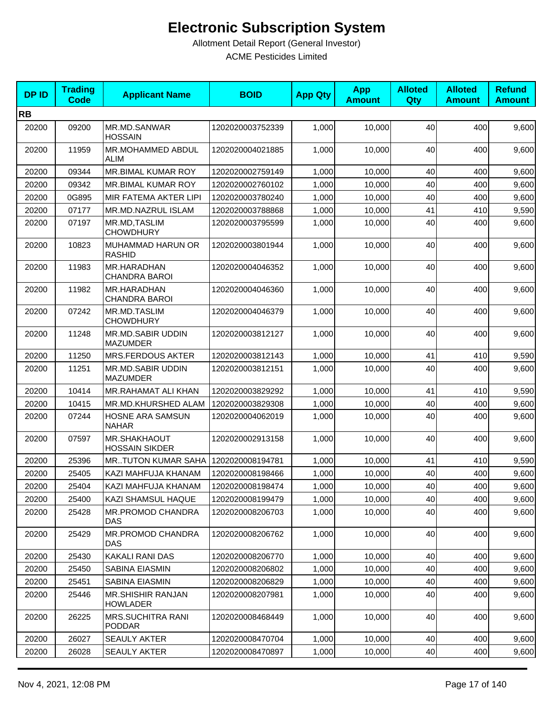| <b>DPID</b> | <b>Trading</b><br><b>Code</b> | <b>Applicant Name</b>                        | <b>BOID</b>      | <b>App Qty</b> | <b>App</b><br><b>Amount</b> | <b>Alloted</b><br>Qty | <b>Alloted</b><br><b>Amount</b> | <b>Refund</b><br><b>Amount</b> |
|-------------|-------------------------------|----------------------------------------------|------------------|----------------|-----------------------------|-----------------------|---------------------------------|--------------------------------|
| <b>RB</b>   |                               |                                              |                  |                |                             |                       |                                 |                                |
| 20200       | 09200                         | MR.MD.SANWAR<br><b>HOSSAIN</b>               | 1202020003752339 | 1,000          | 10,000                      | 40                    | 400                             | 9,600                          |
| 20200       | 11959                         | <b>MR.MOHAMMED ABDUL</b><br>ALIM             | 1202020004021885 | 1,000          | 10,000                      | 40                    | 400                             | 9,600                          |
| 20200       | 09344                         | MR.BIMAL KUMAR ROY                           | 1202020002759149 | 1,000          | 10,000                      | 40                    | 400                             | 9,600                          |
| 20200       | 09342                         | MR.BIMAL KUMAR ROY                           | 1202020002760102 | 1,000          | 10,000                      | 40                    | 400                             | 9,600                          |
| 20200       | 0G895                         | MIR FATEMA AKTER LIPI                        | 1202020003780240 | 1,000          | 10,000                      | 40                    | 400                             | 9,600                          |
| 20200       | 07177                         | MR.MD.NAZRUL ISLAM                           | 1202020003788868 | 1,000          | 10,000                      | 41                    | 410                             | 9,590                          |
| 20200       | 07197                         | MR.MD, TASLIM<br><b>CHOWDHURY</b>            | 1202020003795599 | 1,000          | 10,000                      | 40                    | 400                             | 9,600                          |
| 20200       | 10823                         | MUHAMMAD HARUN OR<br><b>RASHID</b>           | 1202020003801944 | 1,000          | 10,000                      | 40                    | 400                             | 9,600                          |
| 20200       | 11983                         | MR.HARADHAN<br><b>CHANDRA BAROI</b>          | 1202020004046352 | 1,000          | 10,000                      | 40                    | 400                             | 9,600                          |
| 20200       | 11982                         | MR.HARADHAN<br><b>CHANDRA BAROI</b>          | 1202020004046360 | 1,000          | 10,000                      | 40                    | 400                             | 9,600                          |
| 20200       | 07242                         | MR.MD.TASLIM<br><b>CHOWDHURY</b>             | 1202020004046379 | 1,000          | 10,000                      | 40                    | 400                             | 9,600                          |
| 20200       | 11248                         | <b>MR.MD.SABIR UDDIN</b><br><b>MAZUMDER</b>  | 1202020003812127 | 1,000          | 10,000                      | 40                    | 400                             | 9,600                          |
| 20200       | 11250                         | MRS.FERDOUS AKTER                            | 1202020003812143 | 1,000          | 10,000                      | 41                    | 410                             | 9,590                          |
| 20200       | 11251                         | MR.MD.SABIR UDDIN<br><b>MAZUMDER</b>         | 1202020003812151 | 1,000          | 10,000                      | 40                    | 400                             | 9,600                          |
| 20200       | 10414                         | <b>MR.RAHAMAT ALI KHAN</b>                   | 1202020003829292 | 1,000          | 10,000                      | 41                    | 410                             | 9,590                          |
| 20200       | 10415                         | MR.MD.KHURSHED ALAM                          | 1202020003829308 | 1,000          | 10,000                      | 40                    | 400                             | 9,600                          |
| 20200       | 07244                         | HOSNE ARA SAMSUN<br><b>NAHAR</b>             | 1202020004062019 | 1,000          | 10,000                      | 40                    | 400                             | 9,600                          |
| 20200       | 07597                         | <b>MR.SHAKHAOUT</b><br><b>HOSSAIN SIKDER</b> | 1202020002913158 | 1,000          | 10,000                      | 40                    | 400                             | 9,600                          |
| 20200       | 25396                         | <b>MRTUTON KUMAR SAHA</b>                    | 1202020008194781 | 1,000          | 10,000                      | 41                    | 410                             | 9,590                          |
| 20200       | 25405                         | KAZI MAHFUJA KHANAM                          | 1202020008198466 | 1,000          | 10,000                      | 40                    | 400                             | 9,600                          |
| 20200       | 25404                         | KAZI MAHFUJA KHANAM                          | 1202020008198474 | 1,000          | 10,000                      | 40                    | 400                             | 9,600                          |
| 20200       | 25400                         | KAZI SHAMSUL HAQUE                           | 1202020008199479 | 1,000          | 10,000                      | 40                    | 400                             | 9,600                          |
| 20200       | 25428                         | <b>MR.PROMOD CHANDRA</b><br>DAS              | 1202020008206703 | 1,000          | 10,000                      | 40                    | 400                             | 9,600                          |
| 20200       | 25429                         | MR.PROMOD CHANDRA<br>DAS                     | 1202020008206762 | 1,000          | 10,000                      | 40                    | 400                             | 9,600                          |
| 20200       | 25430                         | KAKALI RANI DAS                              | 1202020008206770 | 1,000          | 10,000                      | 40                    | 400                             | 9,600                          |
| 20200       | 25450                         | SABINA EIASMIN                               | 1202020008206802 | 1,000          | 10,000                      | 40                    | 400                             | 9,600                          |
| 20200       | 25451                         | SABINA EIASMIN                               | 1202020008206829 | 1,000          | 10,000                      | 40                    | 400                             | 9,600                          |
| 20200       | 25446                         | MR.SHISHIR RANJAN<br><b>HOWLADER</b>         | 1202020008207981 | 1,000          | 10,000                      | 40                    | 400                             | 9,600                          |
| 20200       | 26225                         | <b>MRS.SUCHITRA RANI</b><br><b>PODDAR</b>    | 1202020008468449 | 1,000          | 10,000                      | 40                    | 400                             | 9,600                          |
| 20200       | 26027                         | SEAULY AKTER                                 | 1202020008470704 | 1,000          | 10,000                      | 40                    | 400                             | 9,600                          |
| 20200       | 26028                         | SEAULY AKTER                                 | 1202020008470897 | 1,000          | 10,000                      | 40                    | 400                             | 9,600                          |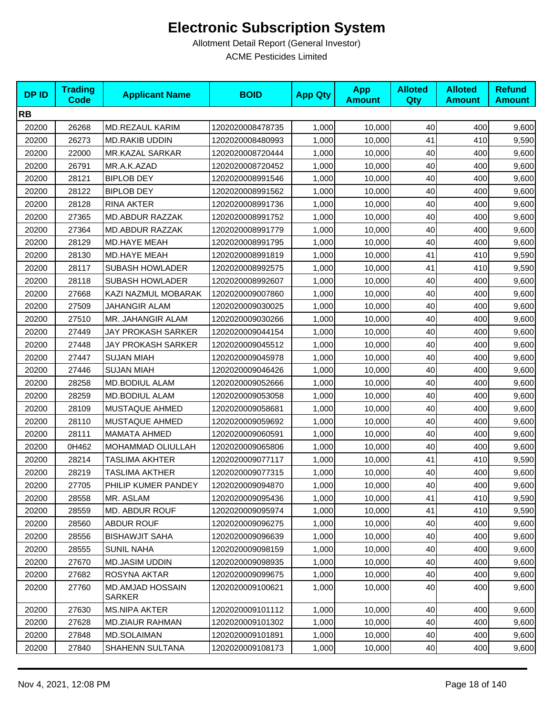| <b>DPID</b> | <b>Trading</b><br><b>Code</b> | <b>Applicant Name</b>      | <b>BOID</b>      | <b>App Qty</b> | <b>App</b><br><b>Amount</b> | <b>Alloted</b><br>Qty | <b>Alloted</b><br><b>Amount</b> | <b>Refund</b><br><b>Amount</b> |
|-------------|-------------------------------|----------------------------|------------------|----------------|-----------------------------|-----------------------|---------------------------------|--------------------------------|
| <b>RB</b>   |                               |                            |                  |                |                             |                       |                                 |                                |
| 20200       | 26268                         | MD.REZAUL KARIM            | 1202020008478735 | 1,000          | 10,000                      | 40                    | 400                             | 9,600                          |
| 20200       | 26273                         | <b>MD.RAKIB UDDIN</b>      | 1202020008480993 | 1,000          | 10,000                      | 41                    | 410                             | 9,590                          |
| 20200       | 22000                         | MR.KAZAL SARKAR            | 1202020008720444 | 1,000          | 10,000                      | 40                    | 400                             | 9,600                          |
| 20200       | 26791                         | MR.A.K.AZAD                | 1202020008720452 | 1,000          | 10,000                      | 40                    | 400                             | 9,600                          |
| 20200       | 28121                         | <b>BIPLOB DEY</b>          | 1202020008991546 | 1,000          | 10,000                      | 40                    | 400                             | 9,600                          |
| 20200       | 28122                         | <b>BIPLOB DEY</b>          | 1202020008991562 | 1,000          | 10,000                      | 40                    | 400                             | 9,600                          |
| 20200       | 28128                         | <b>RINA AKTER</b>          | 1202020008991736 | 1,000          | 10,000                      | 40                    | 400                             | 9,600                          |
| 20200       | 27365                         | <b>MD.ABDUR RAZZAK</b>     | 1202020008991752 | 1,000          | 10,000                      | 40                    | 400                             | 9,600                          |
| 20200       | 27364                         | MD.ABDUR RAZZAK            | 1202020008991779 | 1,000          | 10,000                      | 40                    | 400                             | 9,600                          |
| 20200       | 28129                         | <b>MD.HAYE MEAH</b>        | 1202020008991795 | 1,000          | 10,000                      | 40                    | 400                             | 9,600                          |
| 20200       | 28130                         | <b>MD.HAYE MEAH</b>        | 1202020008991819 | 1,000          | 10,000                      | 41                    | 410                             | 9,590                          |
| 20200       | 28117                         | <b>SUBASH HOWLADER</b>     | 1202020008992575 | 1,000          | 10,000                      | 41                    | 410                             | 9,590                          |
| 20200       | 28118                         | <b>SUBASH HOWLADER</b>     | 1202020008992607 | 1,000          | 10,000                      | 40                    | 400                             | 9,600                          |
| 20200       | 27668                         | KAZI NAZMUL MOBARAK        | 1202020009007860 | 1,000          | 10,000                      | 40                    | 400                             | 9,600                          |
| 20200       | 27509                         | JAHANGIR ALAM              | 1202020009030025 | 1,000          | 10,000                      | 40                    | 400                             | 9,600                          |
| 20200       | 27510                         | MR. JAHANGIR ALAM          | 1202020009030266 | 1,000          | 10,000                      | 40                    | 400                             | 9,600                          |
| 20200       | 27449                         | JAY PROKASH SARKER         | 1202020009044154 | 1,000          | 10,000                      | 40                    | 400                             | 9,600                          |
| 20200       | 27448                         | JAY PROKASH SARKER         | 1202020009045512 | 1,000          | 10,000                      | 40                    | 400                             | 9,600                          |
| 20200       | 27447                         | <b>SUJAN MIAH</b>          | 1202020009045978 | 1,000          | 10,000                      | 40                    | 400                             | 9,600                          |
| 20200       | 27446                         | <b>SUJAN MIAH</b>          | 1202020009046426 | 1,000          | 10,000                      | 40                    | 400                             | 9,600                          |
| 20200       | 28258                         | MD.BODIUL ALAM             | 1202020009052666 | 1,000          | 10,000                      | 40                    | 400                             | 9,600                          |
| 20200       | 28259                         | MD.BODIUL ALAM             | 1202020009053058 | 1,000          | 10,000                      | 40                    | 400                             | 9,600                          |
| 20200       | 28109                         | MUSTAQUE AHMED             | 1202020009058681 | 1,000          | 10,000                      | 40                    | 400                             | 9,600                          |
| 20200       | 28110                         | MUSTAQUE AHMED             | 1202020009059692 | 1,000          | 10,000                      | 40                    | 400                             | 9,600                          |
| 20200       | 28111                         | <b>MAMATA AHMED</b>        | 1202020009060591 | 1,000          | 10,000                      | 40                    | 400                             | 9,600                          |
| 20200       | 0H462                         | MOHAMMAD OLIULLAH          | 1202020009065806 | 1,000          | 10,000                      | 40                    | 400                             | 9,600                          |
| 20200       | 28214                         | TASLIMA AKHTER             | 1202020009077117 | 1,000          | 10,000                      | 41                    | 410                             | 9,590                          |
| 20200       | 28219                         | <b>TASLIMA AKTHER</b>      | 1202020009077315 | 1,000          | 10,000                      | 40                    | 400                             | 9,600                          |
| 20200       | 27705                         | PHILIP KUMER PANDEY        | 1202020009094870 | 1,000          | 10,000                      | 40                    | 400                             | 9,600                          |
| 20200       | 28558                         | MR. ASLAM                  | 1202020009095436 | 1,000          | 10,000                      | 41                    | 410                             | 9,590                          |
| 20200       | 28559                         | MD. ABDUR ROUF             | 1202020009095974 | 1,000          | 10,000                      | 41                    | 410                             | 9,590                          |
| 20200       | 28560                         | ABDUR ROUF                 | 1202020009096275 | 1,000          | 10,000                      | 40                    | 400                             | 9,600                          |
| 20200       | 28556                         | <b>BISHAWJIT SAHA</b>      | 1202020009096639 | 1,000          | 10,000                      | 40                    | 400                             | 9,600                          |
| 20200       | 28555                         | <b>SUNIL NAHA</b>          | 1202020009098159 | 1,000          | 10,000                      | 40                    | 400                             | 9,600                          |
| 20200       | 27670                         | <b>MD.JASIM UDDIN</b>      | 1202020009098935 | 1,000          | 10,000                      | 40                    | 400                             | 9,600                          |
| 20200       | 27682                         | ROSYNA AKTAR               | 1202020009099675 | 1,000          | 10,000                      | 40                    | 400                             | 9,600                          |
| 20200       | 27760                         | MD.AMJAD HOSSAIN<br>SARKER | 1202020009100621 | 1,000          | 10,000                      | 40                    | 400                             | 9,600                          |
| 20200       | 27630                         | <b>MS.NIPA AKTER</b>       | 1202020009101112 | 1,000          | 10,000                      | 40                    | 400                             | 9,600                          |
| 20200       | 27628                         | <b>MD.ZIAUR RAHMAN</b>     | 1202020009101302 | 1,000          | 10,000                      | 40                    | 400                             | 9,600                          |
| 20200       | 27848                         | MD.SOLAIMAN                | 1202020009101891 | 1,000          | 10,000                      | 40                    | 400                             | 9,600                          |
| 20200       | 27840                         | SHAHENN SULTANA            | 1202020009108173 | 1,000          | 10,000                      | 40                    | 400                             | 9,600                          |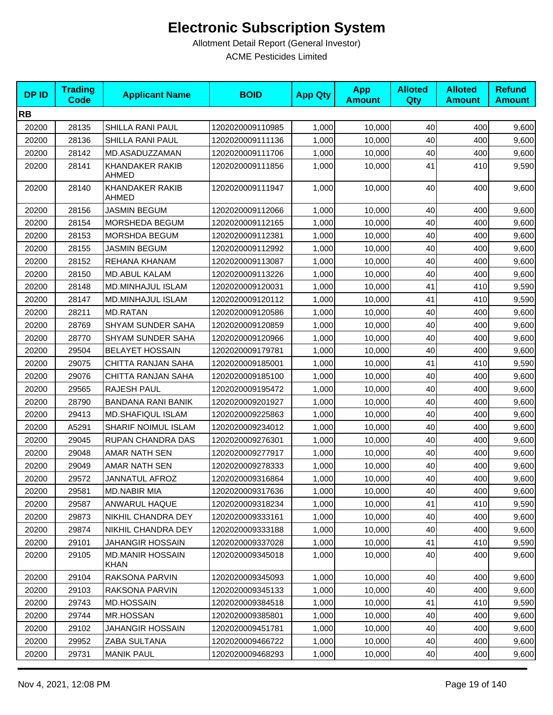| <b>DPID</b> | <b>Trading</b><br><b>Code</b> | <b>Applicant Name</b>                  | <b>BOID</b>      | <b>App Qty</b> | <b>App</b><br><b>Amount</b> | <b>Alloted</b><br>Qty | <b>Alloted</b><br><b>Amount</b> | <b>Refund</b><br><b>Amount</b> |
|-------------|-------------------------------|----------------------------------------|------------------|----------------|-----------------------------|-----------------------|---------------------------------|--------------------------------|
| <b>RB</b>   |                               |                                        |                  |                |                             |                       |                                 |                                |
| 20200       | 28135                         | SHILLA RANI PAUL                       | 1202020009110985 | 1,000          | 10,000                      | 40                    | 400                             | 9,600                          |
| 20200       | 28136                         | SHILLA RANI PAUL                       | 1202020009111136 | 1,000          | 10,000                      | 40                    | 400                             | 9,600                          |
| 20200       | 28142                         | MD.ASADUZZAMAN                         | 1202020009111706 | 1,000          | 10,000                      | 40                    | 400                             | 9,600                          |
| 20200       | 28141                         | <b>KHANDAKER RAKIB</b><br>AHMED        | 1202020009111856 | 1,000          | 10,000                      | 41                    | 410                             | 9,590                          |
| 20200       | 28140                         | <b>KHANDAKER RAKIB</b><br>AHMED        | 1202020009111947 | 1,000          | 10,000                      | 40                    | 400                             | 9,600                          |
| 20200       | 28156                         | <b>JASMIN BEGUM</b>                    | 1202020009112066 | 1,000          | 10,000                      | 40                    | 400                             | 9,600                          |
| 20200       | 28154                         | MORSHEDA BEGUM                         | 1202020009112165 | 1,000          | 10,000                      | 40                    | 400                             | 9,600                          |
| 20200       | 28153                         | <b>MORSHDA BEGUM</b>                   | 1202020009112381 | 1,000          | 10,000                      | 40                    | 400                             | 9,600                          |
| 20200       | 28155                         | <b>JASMIN BEGUM</b>                    | 1202020009112992 | 1,000          | 10,000                      | 40                    | 400                             | 9,600                          |
| 20200       | 28152                         | REHANA KHANAM                          | 1202020009113087 | 1,000          | 10,000                      | 40                    | 400                             | 9,600                          |
| 20200       | 28150                         | <b>MD.ABUL KALAM</b>                   | 1202020009113226 | 1,000          | 10,000                      | 40                    | 400                             | 9,600                          |
| 20200       | 28148                         | MD.MINHAJUL ISLAM                      | 1202020009120031 | 1,000          | 10,000                      | 41                    | 410                             | 9,590                          |
| 20200       | 28147                         | MD.MINHAJUL ISLAM                      | 1202020009120112 | 1,000          | 10,000                      | 41                    | 410                             | 9,590                          |
| 20200       | 28211                         | <b>MD.RATAN</b>                        | 1202020009120586 | 1,000          | 10,000                      | 40                    | 400                             | 9,600                          |
| 20200       | 28769                         | SHYAM SUNDER SAHA                      | 1202020009120859 | 1,000          | 10,000                      | 40                    | 400                             | 9,600                          |
| 20200       | 28770                         | SHYAM SUNDER SAHA                      | 1202020009120966 | 1,000          | 10,000                      | 40                    | 400                             | 9,600                          |
| 20200       | 29504                         | <b>BELAYET HOSSAIN</b>                 | 1202020009179781 | 1,000          | 10,000                      | 40                    | 400                             | 9,600                          |
| 20200       | 29075                         | CHITTA RANJAN SAHA                     | 1202020009185001 | 1,000          | 10,000                      | 41                    | 410                             | 9,590                          |
| 20200       | 29076                         | CHITTA RANJAN SAHA                     | 1202020009185100 | 1,000          | 10,000                      | 40                    | 400                             | 9,600                          |
| 20200       | 29565                         | RAJESH PAUL                            | 1202020009195472 | 1,000          | 10,000                      | 40                    | 400                             | 9,600                          |
| 20200       | 28790                         | <b>BANDANA RANI BANIK</b>              | 1202020009201927 | 1,000          | 10,000                      | 40                    | 400                             | 9,600                          |
| 20200       | 29413                         | <b>MD.SHAFIQUL ISLAM</b>               | 1202020009225863 | 1,000          | 10,000                      | 40                    | 400                             | 9,600                          |
| 20200       | A5291                         | SHARIF NOIMUL ISLAM                    | 1202020009234012 | 1,000          | 10,000                      | 40                    | 400                             | 9,600                          |
| 20200       | 29045                         | RUPAN CHANDRA DAS                      | 1202020009276301 | 1,000          | 10,000                      | 40                    | 400                             | 9,600                          |
| 20200       | 29048                         | <b>AMAR NATH SEN</b>                   | 1202020009277917 | 1,000          | 10,000                      | 40                    | 400                             | 9,600                          |
| 20200       | 29049                         | AMAR NATH SEN                          | 1202020009278333 | 1,000          | 10,000                      | 40                    | 400                             | 9,600                          |
| 20200       | 29572                         | <b>JANNATUL AFROZ</b>                  | 1202020009316864 | 1,000          | 10,000                      | 40                    | 400                             | 9,600                          |
| 20200       | 29581                         | <b>MD.NABIR MIA</b>                    | 1202020009317636 | 1,000          | 10,000                      | 40                    | 400                             | 9,600                          |
| 20200       | 29587                         | ANWARUL HAQUE                          | 1202020009318234 | 1,000          | 10,000                      | 41                    | 410                             | 9,590                          |
| 20200       | 29873                         | NIKHIL CHANDRA DEY                     | 1202020009333161 | 1,000          | 10,000                      | 40                    | 400                             | 9,600                          |
| 20200       | 29874                         | NIKHIL CHANDRA DEY                     | 1202020009333188 | 1,000          | 10,000                      | 40                    | 400                             | 9,600                          |
| 20200       | 29101                         | JAHANGIR HOSSAIN                       | 1202020009337028 | 1,000          | 10,000                      | 41                    | 410                             | 9,590                          |
| 20200       | 29105                         | <b>MD.MANIR HOSSAIN</b><br><b>KHAN</b> | 1202020009345018 | 1,000          | 10,000                      | 40                    | 400                             | 9,600                          |
| 20200       | 29104                         | RAKSONA PARVIN                         | 1202020009345093 | 1,000          | 10,000                      | 40                    | 400                             | 9,600                          |
| 20200       | 29103                         | RAKSONA PARVIN                         | 1202020009345133 | 1,000          | 10,000                      | 40                    | 400                             | 9,600                          |
| 20200       | 29743                         | <b>MD.HOSSAIN</b>                      | 1202020009384518 | 1,000          | 10,000                      | 41                    | 410                             | 9,590                          |
| 20200       | 29744                         | MR.HOSSAN                              | 1202020009385801 | 1,000          | 10,000                      | 40                    | 400                             | 9,600                          |
| 20200       | 29102                         | <b>JAHANGIR HOSSAIN</b>                | 1202020009451781 | 1,000          | 10,000                      | 40                    | 400                             | 9,600                          |
| 20200       | 29952                         | ZABA SULTANA                           | 1202020009466722 | 1,000          | 10,000                      | 40                    | 400                             | 9,600                          |
| 20200       | 29731                         | <b>MANIK PAUL</b>                      | 1202020009468293 | 1,000          | 10,000                      | 40                    | 400                             | 9,600                          |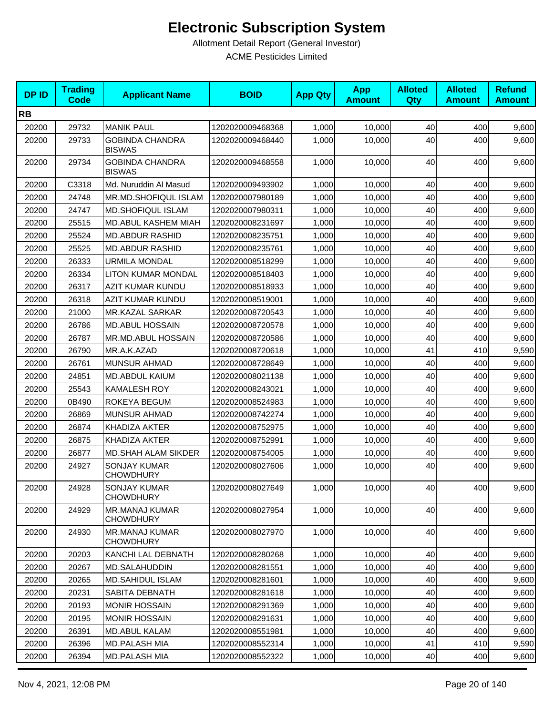| <b>DPID</b> | <b>Trading</b><br><b>Code</b> | <b>Applicant Name</b>                     | <b>BOID</b>      | <b>App Qty</b> | <b>App</b><br><b>Amount</b> | <b>Alloted</b><br><b>Qty</b> | <b>Alloted</b><br><b>Amount</b> | <b>Refund</b><br><b>Amount</b> |
|-------------|-------------------------------|-------------------------------------------|------------------|----------------|-----------------------------|------------------------------|---------------------------------|--------------------------------|
| <b>RB</b>   |                               |                                           |                  |                |                             |                              |                                 |                                |
| 20200       | 29732                         | <b>MANIK PAUL</b>                         | 1202020009468368 | 1,000          | 10,000                      | 40                           | 400                             | 9,600                          |
| 20200       | 29733                         | <b>GOBINDA CHANDRA</b><br><b>BISWAS</b>   | 1202020009468440 | 1,000          | 10,000                      | 40                           | 400                             | 9,600                          |
| 20200       | 29734                         | <b>GOBINDA CHANDRA</b><br><b>BISWAS</b>   | 1202020009468558 | 1,000          | 10,000                      | 40                           | 400                             | 9,600                          |
| 20200       | C3318                         | Md. Nuruddin Al Masud                     | 1202020009493902 | 1,000          | 10,000                      | 40                           | 400                             | 9,600                          |
| 20200       | 24748                         | <b>MR.MD.SHOFIQUL ISLAM</b>               | 1202020007980189 | 1,000          | 10,000                      | 40                           | 400                             | 9,600                          |
| 20200       | 24747                         | <b>MD.SHOFIQUL ISLAM</b>                  | 1202020007980311 | 1,000          | 10,000                      | 40                           | 400                             | 9,600                          |
| 20200       | 25515                         | MD.ABUL KASHEM MIAH                       | 1202020008231697 | 1,000          | 10,000                      | 40                           | 400                             | 9,600                          |
| 20200       | 25524                         | <b>MD.ABDUR RASHID</b>                    | 1202020008235751 | 1,000          | 10,000                      | 40                           | 400                             | 9,600                          |
| 20200       | 25525                         | <b>MD.ABDUR RASHID</b>                    | 1202020008235761 | 1,000          | 10,000                      | 40                           | 400                             | 9,600                          |
| 20200       | 26333                         | <b>URMILA MONDAL</b>                      | 1202020008518299 | 1,000          | 10,000                      | 40                           | 400                             | 9,600                          |
| 20200       | 26334                         | LITON KUMAR MONDAL                        | 1202020008518403 | 1,000          | 10,000                      | 40                           | 400                             | 9,600                          |
| 20200       | 26317                         | AZIT KUMAR KUNDU                          | 1202020008518933 | 1,000          | 10,000                      | 40                           | 400                             | 9,600                          |
| 20200       | 26318                         | AZIT KUMAR KUNDU                          | 1202020008519001 | 1,000          | 10.000                      | 40                           | 400                             | 9,600                          |
| 20200       | 21000                         | <b>MR.KAZAL SARKAR</b>                    | 1202020008720543 | 1,000          | 10,000                      | 40                           | 400                             | 9,600                          |
| 20200       | 26786                         | <b>MD.ABUL HOSSAIN</b>                    | 1202020008720578 | 1,000          | 10,000                      | 40                           | 400                             | 9,600                          |
| 20200       | 26787                         | MR.MD.ABUL HOSSAIN                        | 1202020008720586 | 1,000          | 10,000                      | 40                           | 400                             | 9,600                          |
| 20200       | 26790                         | MR.A.K.AZAD                               | 1202020008720618 | 1,000          | 10,000                      | 41                           | 410                             | 9,590                          |
| 20200       | 26761                         | <b>MUNSUR AHMAD</b>                       | 1202020008728649 | 1,000          | 10,000                      | 40                           | 400                             | 9,600                          |
| 20200       | 24851                         | <b>MD.ABDUL KAIUM</b>                     | 1202020008021138 | 1,000          | 10,000                      | 40                           | 400                             | 9,600                          |
| 20200       | 25543                         | <b>KAMALESH ROY</b>                       | 1202020008243021 | 1,000          | 10,000                      | 40                           | 400                             | 9,600                          |
| 20200       | 0B490                         | ROKEYA BEGUM                              | 1202020008524983 | 1,000          | 10,000                      | 40                           | 400                             | 9,600                          |
| 20200       | 26869                         | <b>MUNSUR AHMAD</b>                       | 1202020008742274 | 1,000          | 10,000                      | 40                           | 400                             | 9,600                          |
| 20200       | 26874                         | <b>KHADIZA AKTER</b>                      | 1202020008752975 | 1,000          | 10,000                      | 40                           | 400                             | 9,600                          |
| 20200       | 26875                         | KHADIZA AKTER                             | 1202020008752991 | 1,000          | 10,000                      | 40                           | 400                             | 9,600                          |
| 20200       | 26877                         | <b>MD.SHAH ALAM SIKDER</b>                | 1202020008754005 | 1,000          | 10,000                      | 40                           | 400                             | 9,600                          |
| 20200       | 24927                         | <b>SONJAY KUMAR</b><br><b>CHOWDHURY</b>   | 1202020008027606 | 1,000          | 10,000                      | 40                           | 400                             | 9,600                          |
| 20200       | 24928                         | SONJAY KUMAR<br><b>CHOWDHURY</b>          | 1202020008027649 | 1,000          | 10,000                      | 40                           | 400                             | 9,600                          |
| 20200       | 24929                         | <b>MR.MANAJ KUMAR</b><br><b>CHOWDHURY</b> | 1202020008027954 | 1,000          | 10,000                      | 40                           | 400                             | 9,600                          |
| 20200       | 24930                         | <b>MR.MANAJ KUMAR</b><br><b>CHOWDHURY</b> | 1202020008027970 | 1,000          | 10,000                      | 40                           | 400                             | 9,600                          |
| 20200       | 20203                         | KANCHI LAL DEBNATH                        | 1202020008280268 | 1,000          | 10.000                      | 40                           | 400                             | 9,600                          |
| 20200       | 20267                         | MD.SALAHUDDIN                             | 1202020008281551 | 1,000          | 10,000                      | 40                           | 400                             | 9,600                          |
| 20200       | 20265                         | <b>MD.SAHIDUL ISLAM</b>                   | 1202020008281601 | 1,000          | 10,000                      | 40                           | 400                             | 9,600                          |
| 20200       | 20231                         | SABITA DEBNATH                            | 1202020008281618 | 1,000          | 10,000                      | 40                           | 400                             | 9,600                          |
| 20200       | 20193                         | <b>MONIR HOSSAIN</b>                      | 1202020008291369 | 1,000          | 10,000                      | 40                           | 400                             | 9,600                          |
| 20200       | 20195                         | <b>MONIR HOSSAIN</b>                      | 1202020008291631 | 1,000          | 10,000                      | 40                           | 400                             | 9,600                          |
| 20200       | 26391                         | <b>MD.ABUL KALAM</b>                      | 1202020008551981 | 1,000          | 10,000                      | 40                           | 400                             | 9,600                          |
| 20200       | 26396                         | MD.PALASH MIA                             | 1202020008552314 | 1,000          | 10,000                      | 41                           | 410                             | 9,590                          |
| 20200       | 26394                         | MD.PALASH MIA                             | 1202020008552322 | 1,000          | 10,000                      | 40                           | 400                             | 9,600                          |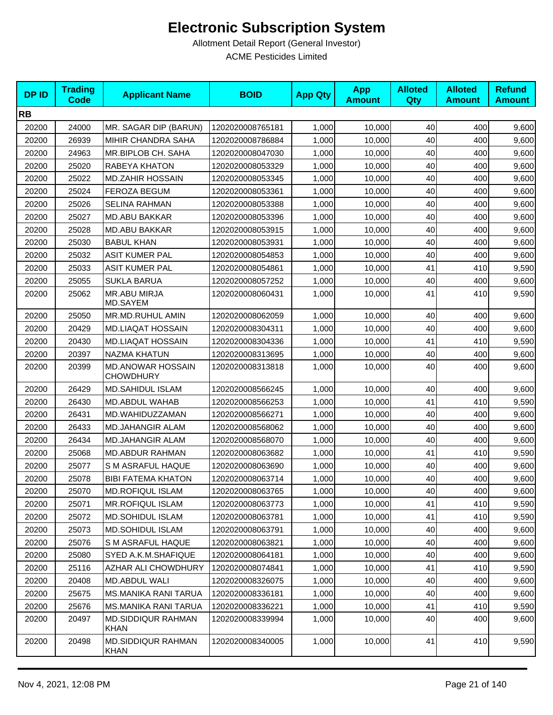| <b>DPID</b> | <b>Trading</b><br><b>Code</b> | <b>Applicant Name</b>                 | <b>BOID</b>      | <b>App Qty</b> | <b>App</b><br><b>Amount</b> | <b>Alloted</b><br>Qty | <b>Alloted</b><br><b>Amount</b> | <b>Refund</b><br><b>Amount</b> |
|-------------|-------------------------------|---------------------------------------|------------------|----------------|-----------------------------|-----------------------|---------------------------------|--------------------------------|
| <b>RB</b>   |                               |                                       |                  |                |                             |                       |                                 |                                |
| 20200       | 24000                         | MR. SAGAR DIP (BARUN)                 | 1202020008765181 | 1,000          | 10,000                      | 40                    | 400                             | 9,600                          |
| 20200       | 26939                         | MIHIR CHANDRA SAHA                    | 1202020008786884 | 1,000          | 10.000                      | 40                    | 400                             | 9,600                          |
| 20200       | 24963                         | MR.BIPLOB CH. SAHA                    | 1202020008047030 | 1,000          | 10,000                      | 40                    | 400                             | 9,600                          |
| 20200       | 25020                         | RABEYA KHATON                         | 1202020008053329 | 1,000          | 10,000                      | 40                    | 400                             | 9,600                          |
| 20200       | 25022                         | <b>MD.ZAHIR HOSSAIN</b>               | 1202020008053345 | 1,000          | 10,000                      | 40                    | 400                             | 9,600                          |
| 20200       | 25024                         | <b>FEROZA BEGUM</b>                   | 1202020008053361 | 1,000          | 10,000                      | 40                    | 400                             | 9,600                          |
| 20200       | 25026                         | <b>SELINA RAHMAN</b>                  | 1202020008053388 | 1,000          | 10,000                      | 40                    | 400                             | 9,600                          |
| 20200       | 25027                         | <b>MD.ABU BAKKAR</b>                  | 1202020008053396 | 1,000          | 10,000                      | 40                    | 400                             | 9,600                          |
| 20200       | 25028                         | <b>MD.ABU BAKKAR</b>                  | 1202020008053915 | 1,000          | 10,000                      | 40                    | 400                             | 9,600                          |
| 20200       | 25030                         | <b>BABUL KHAN</b>                     | 1202020008053931 | 1,000          | 10,000                      | 40                    | 400                             | 9,600                          |
| 20200       | 25032                         | <b>ASIT KUMER PAL</b>                 | 1202020008054853 | 1,000          | 10,000                      | 40                    | 400                             | 9,600                          |
| 20200       | 25033                         | <b>ASIT KUMER PAL</b>                 | 1202020008054861 | 1,000          | 10,000                      | 41                    | 410                             | 9,590                          |
| 20200       | 25055                         | <b>SUKLA BARUA</b>                    | 1202020008057252 | 1,000          | 10,000                      | 40                    | 400                             | 9,600                          |
| 20200       | 25062                         | <b>MR.ABU MIRJA</b><br>MD.SAYEM       | 1202020008060431 | 1,000          | 10,000                      | 41                    | 410                             | 9,590                          |
| 20200       | 25050                         | MR.MD.RUHUL AMIN                      | 1202020008062059 | 1,000          | 10,000                      | 40                    | 400                             | 9,600                          |
| 20200       | 20429                         | MD.LIAQAT HOSSAIN                     | 1202020008304311 | 1,000          | 10,000                      | 40                    | 400                             | 9,600                          |
| 20200       | 20430                         | MD.LIAQAT HOSSAIN                     | 1202020008304336 | 1,000          | 10,000                      | 41                    | 410                             | 9,590                          |
| 20200       | 20397                         | <b>NAZMA KHATUN</b>                   | 1202020008313695 | 1,000          | 10,000                      | 40                    | 400                             | 9,600                          |
| 20200       | 20399                         | MD.ANOWAR HOSSAIN<br><b>CHOWDHURY</b> | 1202020008313818 | 1,000          | 10,000                      | 40                    | 400                             | 9,600                          |
| 20200       | 26429                         | <b>MD.SAHIDUL ISLAM</b>               | 1202020008566245 | 1,000          | 10,000                      | 40                    | 400                             | 9,600                          |
| 20200       | 26430                         | MD.ABDUL WAHAB                        | 1202020008566253 | 1,000          | 10,000                      | 41                    | 410                             | 9,590                          |
| 20200       | 26431                         | MD.WAHIDUZZAMAN                       | 1202020008566271 | 1,000          | 10,000                      | 40                    | 400                             | 9,600                          |
| 20200       | 26433                         | <b>MD.JAHANGIR ALAM</b>               | 1202020008568062 | 1,000          | 10,000                      | 40                    | 400                             | 9,600                          |
| 20200       | 26434                         | <b>MD.JAHANGIR ALAM</b>               | 1202020008568070 | 1,000          | 10,000                      | 40                    | 400                             | 9,600                          |
| 20200       | 25068                         | <b>MD.ABDUR RAHMAN</b>                | 1202020008063682 | 1,000          | 10,000                      | 41                    | 410                             | 9,590                          |
| 20200       | 25077                         | S M ASRAFUL HAQUE                     | 1202020008063690 | 1,000          | 10,000                      | 40                    | 400                             | 9,600                          |
| 20200       | 25078                         | <b>BIBI FATEMA KHATON</b>             | 1202020008063714 | 1,000          | 10,000                      | 40                    | 400                             | 9,600                          |
| 20200       | 25070                         | <b>MD.ROFIQUL ISLAM</b>               | 1202020008063765 | 1,000          | 10,000                      | 40                    | 400                             | 9,600                          |
| 20200       | 25071                         | <b>MR.ROFIQUL ISLAM</b>               | 1202020008063773 | 1,000          | 10,000                      | 41                    | 410                             | 9,590                          |
| 20200       | 25072                         | <b>MD.SOHIDUL ISLAM</b>               | 1202020008063781 | 1,000          | 10,000                      | 41                    | 410                             | 9,590                          |
| 20200       | 25073                         | MD.SOHIDUL ISLAM                      | 1202020008063791 | 1,000          | 10,000                      | 40                    | 400                             | 9,600                          |
| 20200       | 25076                         | S M ASRAFUL HAQUE                     | 1202020008063821 | 1,000          | 10,000                      | 40                    | 400                             | 9,600                          |
| 20200       | 25080                         | SYED A.K.M.SHAFIQUE                   | 1202020008064181 | 1,000          | 10,000                      | 40                    | 400                             | 9,600                          |
| 20200       | 25116                         | AZHAR ALI CHOWDHURY                   | 1202020008074841 | 1,000          | 10,000                      | 41                    | 410                             | 9,590                          |
| 20200       | 20408                         | MD.ABDUL WALI                         | 1202020008326075 | 1,000          | 10,000                      | 40                    | 400                             | 9,600                          |
| 20200       | 25675                         | MS.MANIKA RANI TARUA                  | 1202020008336181 | 1,000          | 10,000                      | 40                    | 400                             | 9,600                          |
| 20200       | 25676                         | MS.MANIKA RANI TARUA                  | 1202020008336221 | 1,000          | 10,000                      | 41                    | 410                             | 9,590                          |
| 20200       | 20497                         | <b>MD.SIDDIQUR RAHMAN</b><br>KHAN     | 1202020008339994 | 1,000          | 10,000                      | 40                    | 400                             | 9,600                          |
| 20200       | 20498                         | <b>MD.SIDDIQUR RAHMAN</b><br>KHAN     | 1202020008340005 | 1,000          | 10,000                      | 41                    | 410                             | 9,590                          |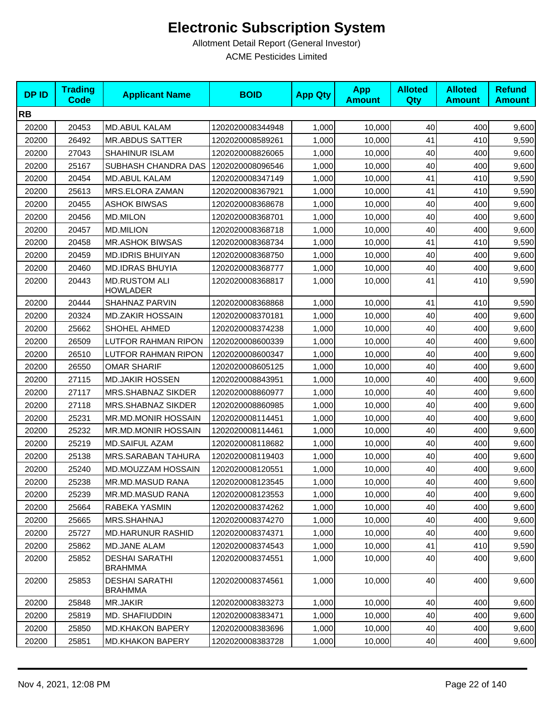| <b>DPID</b> | <b>Trading</b><br><b>Code</b> | <b>Applicant Name</b>                   | <b>BOID</b>      | <b>App Qty</b> | <b>App</b><br><b>Amount</b> | <b>Alloted</b><br><b>Qty</b> | <b>Alloted</b><br><b>Amount</b> | <b>Refund</b><br><b>Amount</b> |
|-------------|-------------------------------|-----------------------------------------|------------------|----------------|-----------------------------|------------------------------|---------------------------------|--------------------------------|
| <b>RB</b>   |                               |                                         |                  |                |                             |                              |                                 |                                |
| 20200       | 20453                         | <b>MD.ABUL KALAM</b>                    | 1202020008344948 | 1,000          | 10,000                      | 40                           | 400                             | 9,600                          |
| 20200       | 26492                         | <b>MR.ABDUS SATTER</b>                  | 1202020008589261 | 1,000          | 10,000                      | 41                           | 410                             | 9,590                          |
| 20200       | 27043                         | <b>SHAHINUR ISLAM</b>                   | 1202020008826065 | 1,000          | 10,000                      | 40                           | 400                             | 9,600                          |
| 20200       | 25167                         | SUBHASH CHANDRA DAS                     | 1202020008096546 | 1,000          | 10,000                      | 40                           | 400                             | 9,600                          |
| 20200       | 20454                         | <b>MD.ABUL KALAM</b>                    | 1202020008347149 | 1,000          | 10,000                      | 41                           | 410                             | 9,590                          |
| 20200       | 25613                         | MRS.ELORA ZAMAN                         | 1202020008367921 | 1,000          | 10,000                      | 41                           | 410                             | 9,590                          |
| 20200       | 20455                         | <b>ASHOK BIWSAS</b>                     | 1202020008368678 | 1,000          | 10,000                      | 40                           | 400                             | 9,600                          |
| 20200       | 20456                         | MD.MILON                                | 1202020008368701 | 1,000          | 10,000                      | 40                           | 400                             | 9,600                          |
| 20200       | 20457                         | <b>MD.MILION</b>                        | 1202020008368718 | 1,000          | 10,000                      | 40                           | 400                             | 9,600                          |
| 20200       | 20458                         | <b>MR.ASHOK BIWSAS</b>                  | 1202020008368734 | 1,000          | 10,000                      | 41                           | 410                             | 9,590                          |
| 20200       | 20459                         | MD.IDRIS BHUIYAN                        | 1202020008368750 | 1,000          | 10,000                      | 40                           | 400                             | 9,600                          |
| 20200       | 20460                         | <b>MD.IDRAS BHUYIA</b>                  | 1202020008368777 | 1,000          | 10,000                      | 40                           | 400                             | 9,600                          |
| 20200       | 20443                         | <b>MD.RUSTOM ALI</b><br><b>HOWLADER</b> | 1202020008368817 | 1,000          | 10.000                      | 41                           | 410                             | 9,590                          |
| 20200       | 20444                         | SHAHNAZ PARVIN                          | 1202020008368868 | 1,000          | 10,000                      | 41                           | 410                             | 9,590                          |
| 20200       | 20324                         | <b>MD.ZAKIR HOSSAIN</b>                 | 1202020008370181 | 1,000          | 10,000                      | 40                           | 400                             | 9,600                          |
| 20200       | 25662                         | SHOHEL AHMED                            | 1202020008374238 | 1,000          | 10,000                      | 40                           | 400                             | 9,600                          |
| 20200       | 26509                         | <b>LUTFOR RAHMAN RIPON</b>              | 1202020008600339 | 1,000          | 10,000                      | 40                           | 400                             | 9,600                          |
| 20200       | 26510                         | LUTFOR RAHMAN RIPON                     | 1202020008600347 | 1,000          | 10,000                      | 40                           | 400                             | 9,600                          |
| 20200       | 26550                         | <b>OMAR SHARIF</b>                      | 1202020008605125 | 1,000          | 10,000                      | 40                           | 400                             | 9,600                          |
| 20200       | 27115                         | <b>MD.JAKIR HOSSEN</b>                  | 1202020008843951 | 1,000          | 10,000                      | 40                           | 400                             | 9,600                          |
| 20200       | 27117                         | MRS.SHABNAZ SIKDER                      | 1202020008860977 | 1,000          | 10,000                      | 40                           | 400                             | 9,600                          |
| 20200       | 27118                         | MRS.SHABNAZ SIKDER                      | 1202020008860985 | 1,000          | 10,000                      | 40                           | 400                             | 9,600                          |
| 20200       | 25231                         | MR.MD.MONIR HOSSAIN                     | 1202020008114451 | 1,000          | 10,000                      | 40                           | 400                             | 9,600                          |
| 20200       | 25232                         | MR.MD.MONIR HOSSAIN                     | 1202020008114461 | 1,000          | 10,000                      | 40                           | 400                             | 9,600                          |
| 20200       | 25219                         | <b>MD.SAIFUL AZAM</b>                   | 1202020008118682 | 1,000          | 10,000                      | 40                           | 400                             | 9,600                          |
| 20200       | 25138                         | MRS.SARABAN TAHURA                      | 1202020008119403 | 1,000          | 10,000                      | 40                           | 400                             | 9,600                          |
| 20200       | 25240                         | MD.MOUZZAM HOSSAIN                      | 1202020008120551 | 1,000          | 10,000                      | 40                           | 400                             | 9,600                          |
| 20200       | 25238                         | MR.MD.MASUD RANA                        | 1202020008123545 | 1,000          | 10,000                      | 40                           | 400                             | 9,600                          |
| 20200       | 25239                         | <b>MR.MD.MASUD RANA</b>                 | 1202020008123553 | 1,000          | 10,000                      | 40                           | 400                             | 9,600                          |
| 20200       | 25664                         | RABEKA YASMIN                           | 1202020008374262 | 1,000          | 10,000                      | 40                           | 400                             | 9,600                          |
| 20200       | 25665                         | MRS.SHAHNAJ                             | 1202020008374270 | 1,000          | 10,000                      | 40                           | 400                             | 9,600                          |
| 20200       | 25727                         | <b>MD.HARUNUR RASHID</b>                | 1202020008374371 | 1,000          | 10,000                      | 40                           | 400                             | 9,600                          |
| 20200       | 25862                         | <b>MD.JANE ALAM</b>                     | 1202020008374543 | 1,000          | 10,000                      | 41                           | 410                             | 9,590                          |
| 20200       | 25852                         | <b>DESHAI SARATHI</b><br><b>BRAHMMA</b> | 1202020008374551 | 1,000          | 10,000                      | 40                           | 400                             | 9,600                          |
| 20200       | 25853                         | <b>DESHAI SARATHI</b><br><b>BRAHMMA</b> | 1202020008374561 | 1,000          | 10,000                      | 40                           | 400                             | 9,600                          |
| 20200       | 25848                         | MR.JAKIR                                | 1202020008383273 | 1,000          | 10,000                      | 40                           | 400                             | 9,600                          |
| 20200       | 25819                         | MD. SHAFIUDDIN                          | 1202020008383471 | 1,000          | 10,000                      | 40                           | 400                             | 9,600                          |
| 20200       | 25850                         | <b>MD.KHAKON BAPERY</b>                 | 1202020008383696 | 1,000          | 10,000                      | 40                           | 400                             | 9,600                          |
| 20200       | 25851                         | <b>MD.KHAKON BAPERY</b>                 | 1202020008383728 | 1,000          | 10,000                      | 40                           | 400                             | 9,600                          |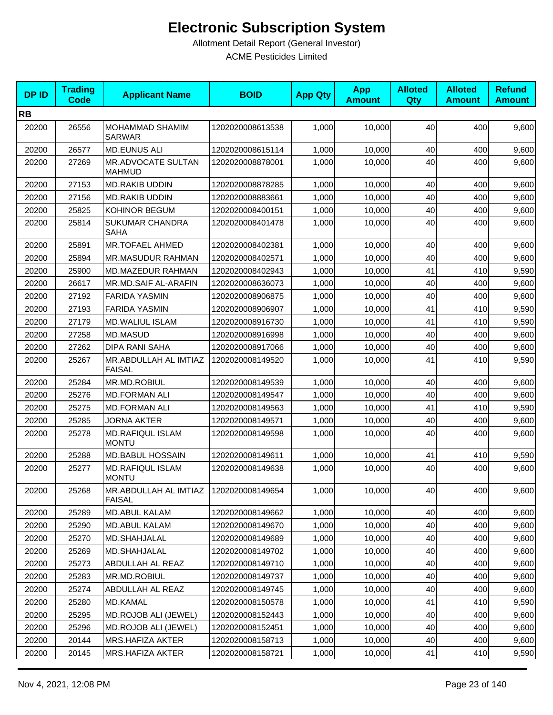| <b>DPID</b> | <b>Trading</b><br><b>Code</b> | <b>Applicant Name</b>                   | <b>BOID</b>      | <b>App Qty</b> | <b>App</b><br><b>Amount</b> | <b>Alloted</b><br>Qty | <b>Alloted</b><br><b>Amount</b> | <b>Refund</b><br><b>Amount</b> |
|-------------|-------------------------------|-----------------------------------------|------------------|----------------|-----------------------------|-----------------------|---------------------------------|--------------------------------|
| <b>RB</b>   |                               |                                         |                  |                |                             |                       |                                 |                                |
| 20200       | 26556                         | MOHAMMAD SHAMIM<br><b>SARWAR</b>        | 1202020008613538 | 1,000          | 10,000                      | 40                    | 400                             | 9,600                          |
| 20200       | 26577                         | <b>MD.EUNUS ALI</b>                     | 1202020008615114 | 1,000          | 10,000                      | 40                    | 400                             | 9,600                          |
| 20200       | 27269                         | MR.ADVOCATE SULTAN<br><b>MAHMUD</b>     | 1202020008878001 | 1,000          | 10,000                      | 40                    | 400                             | 9,600                          |
| 20200       | 27153                         | <b>MD.RAKIB UDDIN</b>                   | 1202020008878285 | 1,000          | 10,000                      | 40                    | 400                             | 9,600                          |
| 20200       | 27156                         | <b>MD.RAKIB UDDIN</b>                   | 1202020008883661 | 1,000          | 10,000                      | 40                    | 400                             | 9,600                          |
| 20200       | 25825                         | KOHINOR BEGUM                           | 1202020008400151 | 1,000          | 10,000                      | 40                    | 400                             | 9,600                          |
| 20200       | 25814                         | <b>SUKUMAR CHANDRA</b><br><b>SAHA</b>   | 1202020008401478 | 1,000          | 10,000                      | 40                    | 400                             | 9,600                          |
| 20200       | 25891                         | <b>MR.TOFAEL AHMED</b>                  | 1202020008402381 | 1,000          | 10,000                      | 40                    | 400                             | 9,600                          |
| 20200       | 25894                         | MR.MASUDUR RAHMAN                       | 1202020008402571 | 1,000          | 10,000                      | 40                    | 400                             | 9,600                          |
| 20200       | 25900                         | MD.MAZEDUR RAHMAN                       | 1202020008402943 | 1,000          | 10,000                      | 41                    | 410                             | 9,590                          |
| 20200       | 26617                         | MR.MD.SAIF AL-ARAFIN                    | 1202020008636073 | 1,000          | 10.000                      | 40                    | 400                             | 9,600                          |
| 20200       | 27192                         | <b>FARIDA YASMIN</b>                    | 1202020008906875 | 1,000          | 10,000                      | 40                    | 400                             | 9,600                          |
| 20200       | 27193                         | <b>FARIDA YASMIN</b>                    | 1202020008906907 | 1,000          | 10,000                      | 41                    | 410                             | 9,590                          |
| 20200       | 27179                         | MD.WALIUL ISLAM                         | 1202020008916730 | 1,000          | 10,000                      | 41                    | 410                             | 9,590                          |
| 20200       | 27258                         | <b>MD.MASUD</b>                         | 1202020008916998 | 1,000          | 10,000                      | 40                    | 400                             | 9,600                          |
| 20200       | 27262                         | <b>DIPA RANI SAHA</b>                   | 1202020008917066 | 1,000          | 10,000                      | 40                    | 400                             | 9,600                          |
| 20200       | 25267                         | MR.ABDULLAH AL IMTIAZ<br><b>FAISAL</b>  | 1202020008149520 | 1,000          | 10,000                      | 41                    | 410                             | 9,590                          |
| 20200       | 25284                         | MR.MD.ROBIUL                            | 1202020008149539 | 1,000          | 10,000                      | 40                    | 400                             | 9,600                          |
| 20200       | 25276                         | <b>MD.FORMAN ALI</b>                    | 1202020008149547 | 1,000          | 10,000                      | 40                    | 400                             | 9,600                          |
| 20200       | 25275                         | <b>MD.FORMAN ALI</b>                    | 1202020008149563 | 1,000          | 10,000                      | 41                    | 410                             | 9,590                          |
| 20200       | 25285                         | <b>JORNA AKTER</b>                      | 1202020008149571 | 1,000          | 10,000                      | 40                    | 400                             | 9,600                          |
| 20200       | 25278                         | MD.RAFIQUL ISLAM<br><b>MONTU</b>        | 1202020008149598 | 1,000          | 10,000                      | 40                    | 400                             | 9,600                          |
| 20200       | 25288                         | <b>MD.BABUL HOSSAIN</b>                 | 1202020008149611 | 1,000          | 10,000                      | 41                    | 410                             | 9,590                          |
| 20200       | 25277                         | <b>MD.RAFIQUL ISLAM</b><br><b>MONTU</b> | 1202020008149638 | 1,000          | 10,000                      | 40                    | 400                             | 9,600                          |
| 20200       | 25268                         | MR.ABDULLAH AL IMTIAZ<br><b>FAISAL</b>  | 1202020008149654 | 1,000          | 10,000                      | 40                    | 400                             | 9,600                          |
| 20200       | 25289                         | MD.ABUL KALAM                           | 1202020008149662 | 1,000          | 10,000                      | 40                    | 400                             | 9,600                          |
| 20200       | 25290                         | <b>MD.ABUL KALAM</b>                    | 1202020008149670 | 1,000          | 10,000                      | 40                    | 400                             | 9,600                          |
| 20200       | 25270                         | MD.SHAHJALAL                            | 1202020008149689 | 1,000          | 10,000                      | 40                    | 400                             | 9,600                          |
| 20200       | 25269                         | MD.SHAHJALAL                            | 1202020008149702 | 1,000          | 10,000                      | 40                    | 400                             | 9,600                          |
| 20200       | 25273                         | ABDULLAH AL REAZ                        | 1202020008149710 | 1,000          | 10,000                      | 40                    | 400                             | 9,600                          |
| 20200       | 25283                         | MR.MD.ROBIUL                            | 1202020008149737 | 1,000          | 10.000                      | 40                    | 400                             | 9,600                          |
| 20200       | 25274                         | ABDULLAH AL REAZ                        | 1202020008149745 | 1,000          | 10,000                      | 40                    | 400                             | 9,600                          |
| 20200       | 25280                         | MD.KAMAL                                | 1202020008150578 | 1,000          | 10,000                      | 41                    | 410                             | 9,590                          |
| 20200       | 25295                         | <b>MD.ROJOB ALI (JEWEL)</b>             | 1202020008152443 | 1,000          | 10,000                      | 40                    | 400                             | 9,600                          |
| 20200       | 25296                         | <b>MD.ROJOB ALI (JEWEL)</b>             | 1202020008152451 | 1,000          | 10,000                      | 40                    | 400                             | 9,600                          |
| 20200       | 20144                         | MRS.HAFIZA AKTER                        | 1202020008158713 | 1,000          | 10,000                      | 40                    | 400                             | 9,600                          |
| 20200       | 20145                         | MRS.HAFIZA AKTER                        | 1202020008158721 | 1,000          | 10,000                      | 41                    | 410                             | 9,590                          |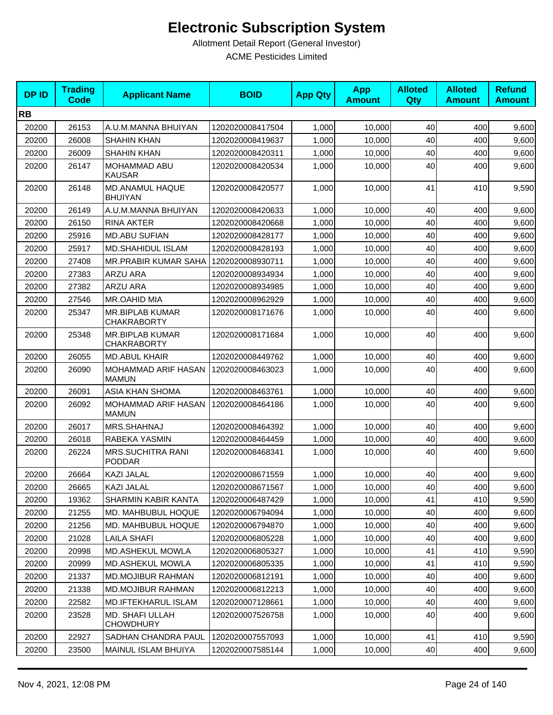| <b>DPID</b> | <b>Trading</b><br><b>Code</b> | <b>Applicant Name</b>                        | <b>BOID</b>      | <b>App Qty</b> | <b>App</b><br><b>Amount</b> | <b>Alloted</b><br><b>Qty</b> | <b>Alloted</b><br><b>Amount</b> | <b>Refund</b><br><b>Amount</b> |
|-------------|-------------------------------|----------------------------------------------|------------------|----------------|-----------------------------|------------------------------|---------------------------------|--------------------------------|
| <b>RB</b>   |                               |                                              |                  |                |                             |                              |                                 |                                |
| 20200       | 26153                         | A.U.M.MANNA BHUIYAN                          | 1202020008417504 | 1,000          | 10,000                      | 40                           | 400                             | 9,600                          |
| 20200       | 26008                         | <b>SHAHIN KHAN</b>                           | 1202020008419637 | 1,000          | 10,000                      | 40                           | 400                             | 9,600                          |
| 20200       | 26009                         | <b>SHAHIN KHAN</b>                           | 1202020008420311 | 1,000          | 10,000                      | 40                           | 400                             | 9,600                          |
| 20200       | 26147                         | MOHAMMAD ABU<br><b>KAUSAR</b>                | 1202020008420534 | 1,000          | 10,000                      | 40                           | 400                             | 9,600                          |
| 20200       | 26148                         | MD.ANAMUL HAQUE<br><b>BHUIYAN</b>            | 1202020008420577 | 1,000          | 10,000                      | 41                           | 410                             | 9,590                          |
| 20200       | 26149                         | A.U.M.MANNA BHUIYAN                          | 1202020008420633 | 1,000          | 10,000                      | 40                           | 400                             | 9,600                          |
| 20200       | 26150                         | <b>RINA AKTER</b>                            | 1202020008420668 | 1,000          | 10,000                      | 40                           | 400                             | 9,600                          |
| 20200       | 25916                         | <b>MD.ABU SUFIAN</b>                         | 1202020008428177 | 1,000          | 10,000                      | 40                           | 400                             | 9,600                          |
| 20200       | 25917                         | <b>MD.SHAHIDUL ISLAM</b>                     | 1202020008428193 | 1,000          | 10,000                      | 40                           | 400                             | 9,600                          |
| 20200       | 27408                         | MR.PRABIR KUMAR SAHA                         | 1202020008930711 | 1,000          | 10,000                      | 40                           | 400                             | 9,600                          |
| 20200       | 27383                         | <b>ARZU ARA</b>                              | 1202020008934934 | 1,000          | 10,000                      | 40                           | 400                             | 9,600                          |
| 20200       | 27382                         | ARZU ARA                                     | 1202020008934985 | 1,000          | 10,000                      | 40                           | 400                             | 9,600                          |
| 20200       | 27546                         | MR.OAHID MIA                                 | 1202020008962929 | 1,000          | 10,000                      | 40                           | 400                             | 9,600                          |
| 20200       | 25347                         | <b>MR.BIPLAB KUMAR</b><br><b>CHAKRABORTY</b> | 1202020008171676 | 1,000          | 10,000                      | 40                           | 400                             | 9,600                          |
| 20200       | 25348                         | MR.BIPLAB KUMAR<br><b>CHAKRABORTY</b>        | 1202020008171684 | 1,000          | 10,000                      | 40                           | 400                             | 9,600                          |
| 20200       | 26055                         | <b>MD.ABUL KHAIR</b>                         | 1202020008449762 | 1,000          | 10,000                      | 40                           | 400                             | 9,600                          |
| 20200       | 26090                         | MOHAMMAD ARIF HASAN<br><b>MAMUN</b>          | 1202020008463023 | 1,000          | 10,000                      | 40                           | 400                             | 9,600                          |
| 20200       | 26091                         | ASIA KHAN SHOMA                              | 1202020008463761 | 1,000          | 10,000                      | 40                           | 400                             | 9,600                          |
| 20200       | 26092                         | MOHAMMAD ARIF HASAN<br><b>MAMUN</b>          | 1202020008464186 | 1,000          | 10,000                      | 40                           | 400                             | 9,600                          |
| 20200       | 26017                         | MRS.SHAHNAJ                                  | 1202020008464392 | 1,000          | 10,000                      | 40                           | 400                             | 9,600                          |
| 20200       | 26018                         | RABEKA YASMIN                                | 1202020008464459 | 1,000          | 10,000                      | 40                           | 400                             | 9,600                          |
| 20200       | 26224                         | <b>MRS.SUCHITRA RANI</b><br><b>PODDAR</b>    | 1202020008468341 | 1,000          | 10,000                      | 40                           | 400                             | 9,600                          |
| 20200       | 26664                         | KAZI JALAL                                   | 1202020008671559 | 1,000          | 10,000                      | 40                           | 400                             | 9,600                          |
| 20200       | 26665                         | KAZI JALAL                                   | 1202020008671567 | 1,000          | 10,000                      | 40                           | 400                             | 9,600                          |
| 20200       | 19362                         | SHARMIN KABIR KANTA                          | 1202020006487429 | 1,000          | 10,000                      | 41                           | 410                             | 9,590                          |
| 20200       | 21255                         | MD. MAHBUBUL HOQUE                           | 1202020006794094 | 1,000          | 10,000                      | 40                           | 400                             | 9,600                          |
| 20200       | 21256                         | MD. MAHBUBUL HOQUE                           | 1202020006794870 | 1,000          | 10,000                      | 40                           | 400                             | 9,600                          |
| 20200       | 21028                         | <b>LAILA SHAFI</b>                           | 1202020006805228 | 1,000          | 10,000                      | 40                           | 400                             | 9,600                          |
| 20200       | 20998                         | MD.ASHEKUL MOWLA                             | 1202020006805327 | 1,000          | 10,000                      | 41                           | 410                             | 9,590                          |
| 20200       | 20999                         | MD.ASHEKUL MOWLA                             | 1202020006805335 | 1,000          | 10,000                      | 41                           | 410                             | 9,590                          |
| 20200       | 21337                         | <b>MD.MOJIBUR RAHMAN</b>                     | 1202020006812191 | 1,000          | 10,000                      | 40                           | 400                             | 9,600                          |
| 20200       | 21338                         | <b>MD.MOJIBUR RAHMAN</b>                     | 1202020006812213 | 1,000          | 10,000                      | 40                           | 400                             | 9,600                          |
| 20200       | 22582                         | MD.IFTEKHARUL ISLAM                          | 1202020007128661 | 1,000          | 10,000                      | 40                           | 400                             | 9,600                          |
| 20200       | 23528                         | MD. SHAFI ULLAH<br><b>CHOWDHURY</b>          | 1202020007526758 | 1,000          | 10,000                      | 40                           | 400                             | 9,600                          |
| 20200       | 22927                         | SADHAN CHANDRA PAUL                          | 1202020007557093 | 1,000          | 10,000                      | 41                           | 410                             | 9,590                          |
| 20200       | 23500                         | MAINUL ISLAM BHUIYA                          | 1202020007585144 | 1,000          | 10,000                      | 40                           | 400                             | 9,600                          |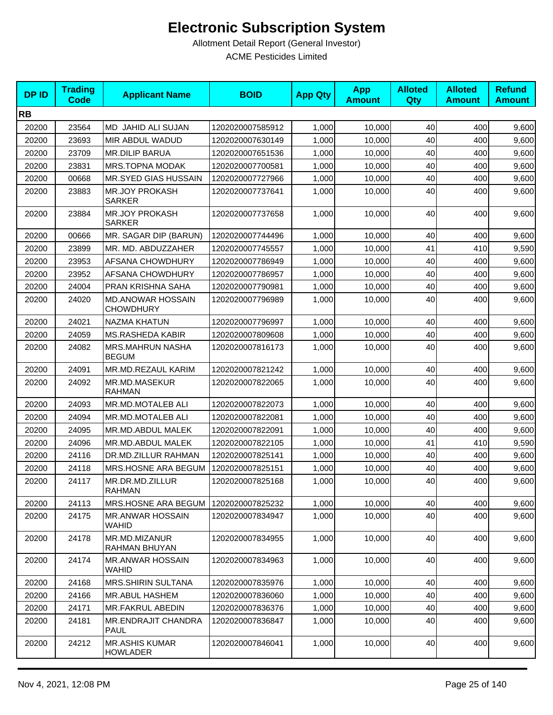| <b>DPID</b> | <b>Trading</b><br><b>Code</b> | <b>Applicant Name</b>                        | <b>BOID</b>      | <b>App Qty</b> | <b>App</b><br><b>Amount</b> | <b>Alloted</b><br><b>Qty</b> | <b>Alloted</b><br><b>Amount</b> | <b>Refund</b><br><b>Amount</b> |
|-------------|-------------------------------|----------------------------------------------|------------------|----------------|-----------------------------|------------------------------|---------------------------------|--------------------------------|
| <b>RB</b>   |                               |                                              |                  |                |                             |                              |                                 |                                |
| 20200       | 23564                         | MD JAHID ALI SUJAN                           | 1202020007585912 | 1,000          | 10,000                      | 40                           | 400                             | 9,600                          |
| 20200       | 23693                         | MIR ABDUL WADUD                              | 1202020007630149 | 1,000          | 10,000                      | 40                           | 400                             | 9,600                          |
| 20200       | 23709                         | <b>MR.DILIP BARUA</b>                        | 1202020007651536 | 1,000          | 10,000                      | 40                           | 400                             | 9,600                          |
| 20200       | 23831                         | MRS.TOPNA MODAK                              | 1202020007700581 | 1,000          | 10,000                      | 40                           | 400                             | 9,600                          |
| 20200       | 00668                         | MR.SYED GIAS HUSSAIN                         | 1202020007727966 | 1,000          | 10,000                      | 40                           | 400                             | 9,600                          |
| 20200       | 23883                         | <b>MR.JOY PROKASH</b><br><b>SARKER</b>       | 1202020007737641 | 1,000          | 10,000                      | 40                           | 400                             | 9,600                          |
| 20200       | 23884                         | <b>MR.JOY PROKASH</b><br><b>SARKER</b>       | 1202020007737658 | 1,000          | 10,000                      | 40                           | 400                             | 9,600                          |
| 20200       | 00666                         | MR. SAGAR DIP (BARUN)                        | 1202020007744496 | 1,000          | 10,000                      | 40                           | 400                             | 9,600                          |
| 20200       | 23899                         | MR. MD. ABDUZZAHER                           | 1202020007745557 | 1,000          | 10,000                      | 41                           | 410                             | 9,590                          |
| 20200       | 23953                         | AFSANA CHOWDHURY                             | 1202020007786949 | 1,000          | 10,000                      | 40                           | 400                             | 9,600                          |
| 20200       | 23952                         | AFSANA CHOWDHURY                             | 1202020007786957 | 1,000          | 10,000                      | 40                           | 400                             | 9,600                          |
| 20200       | 24004                         | PRAN KRISHNA SAHA                            | 1202020007790981 | 1,000          | 10,000                      | 40                           | 400                             | 9,600                          |
| 20200       | 24020                         | <b>MD.ANOWAR HOSSAIN</b><br><b>CHOWDHURY</b> | 1202020007796989 | 1,000          | 10.000                      | 40                           | 400                             | 9,600                          |
| 20200       | 24021                         | <b>NAZMA KHATUN</b>                          | 1202020007796997 | 1,000          | 10,000                      | 40                           | 400                             | 9,600                          |
| 20200       | 24059                         | <b>MS.RASHEDA KABIR</b>                      | 1202020007809608 | 1,000          | 10,000                      | 40                           | 400                             | 9,600                          |
| 20200       | 24082                         | <b>MRS.MAHRUN NASHA</b><br><b>BEGUM</b>      | 1202020007816173 | 1,000          | 10,000                      | 40                           | 400                             | 9,600                          |
| 20200       | 24091                         | MR.MD.REZAUL KARIM                           | 1202020007821242 | 1,000          | 10,000                      | 40                           | 400                             | 9,600                          |
| 20200       | 24092                         | MR.MD.MASEKUR<br><b>RAHMAN</b>               | 1202020007822065 | 1,000          | 10,000                      | 40                           | 400                             | 9,600                          |
| 20200       | 24093                         | MR.MD.MOTALEB ALI                            | 1202020007822073 | 1,000          | 10,000                      | 40                           | 400                             | 9,600                          |
| 20200       | 24094                         | MR.MD.MOTALEB ALI                            | 1202020007822081 | 1,000          | 10,000                      | 40                           | 400                             | 9,600                          |
| 20200       | 24095                         | MR.MD.ABDUL MALEK                            | 1202020007822091 | 1,000          | 10,000                      | 40                           | 400                             | 9,600                          |
| 20200       | 24096                         | MR.MD.ABDUL MALEK                            | 1202020007822105 | 1,000          | 10,000                      | 41                           | 410                             | 9,590                          |
| 20200       | 24116                         | DR.MD.ZILLUR RAHMAN                          | 1202020007825141 | 1,000          | 10,000                      | 40                           | 400                             | 9,600                          |
| 20200       | 24118                         | MRS.HOSNE ARA BEGUM                          | 1202020007825151 | 1,000          | 10,000                      | 40                           | 400                             | 9,600                          |
| 20200       | 24117                         | MR.DR.MD.ZILLUR<br><b>RAHMAN</b>             | 1202020007825168 | 1,000          | 10,000                      | 40                           | 400                             | 9,600                          |
| 20200       | 24113                         | MRS.HOSNE ARA BEGUM                          | 1202020007825232 | 1,000          | 10,000                      | 40                           | 400                             | 9,600                          |
| 20200       | 24175                         | <b>MR.ANWAR HOSSAIN</b><br><b>WAHID</b>      | 1202020007834947 | 1,000          | 10,000                      | 40                           | 400                             | 9,600                          |
| 20200       | 24178                         | MR.MD.MIZANUR<br>RAHMAN BHUYAN               | 1202020007834955 | 1,000          | 10,000                      | 40                           | 400                             | 9,600                          |
| 20200       | 24174                         | <b>MR.ANWAR HOSSAIN</b><br>WAHID             | 1202020007834963 | 1,000          | 10,000                      | 40                           | 400                             | 9,600                          |
| 20200       | 24168                         | <b>MRS.SHIRIN SULTANA</b>                    | 1202020007835976 | 1,000          | 10,000                      | 40                           | 400                             | 9,600                          |
| 20200       | 24166                         | MR.ABUL HASHEM                               | 1202020007836060 | 1,000          | 10,000                      | 40                           | 400                             | 9,600                          |
| 20200       | 24171                         | MR.FAKRUL ABEDIN                             | 1202020007836376 | 1,000          | 10,000                      | 40                           | 400                             | 9,600                          |
| 20200       | 24181                         | MR.ENDRAJIT CHANDRA<br><b>PAUL</b>           | 1202020007836847 | 1,000          | 10,000                      | 40                           | 400                             | 9,600                          |
| 20200       | 24212                         | <b>MR.ASHIS KUMAR</b><br><b>HOWLADER</b>     | 1202020007846041 | 1,000          | 10,000                      | 40                           | 400                             | 9,600                          |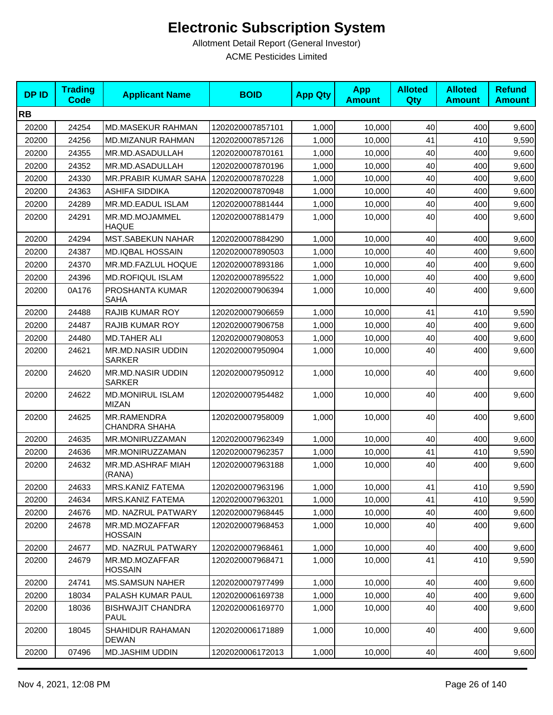| <b>DPID</b> | <b>Trading</b><br><b>Code</b> | <b>Applicant Name</b>                   | <b>BOID</b>      | <b>App Qty</b> | <b>App</b><br><b>Amount</b> | <b>Alloted</b><br>Qty | <b>Alloted</b><br><b>Amount</b> | <b>Refund</b><br><b>Amount</b> |
|-------------|-------------------------------|-----------------------------------------|------------------|----------------|-----------------------------|-----------------------|---------------------------------|--------------------------------|
| <b>RB</b>   |                               |                                         |                  |                |                             |                       |                                 |                                |
| 20200       | 24254                         | <b>MD.MASEKUR RAHMAN</b>                | 1202020007857101 | 1,000          | 10,000                      | 40                    | 400                             | 9,600                          |
| 20200       | 24256                         | MD.MIZANUR RAHMAN                       | 1202020007857126 | 1,000          | 10,000                      | 41                    | 410                             | 9,590                          |
| 20200       | 24355                         | MR.MD.ASADULLAH                         | 1202020007870161 | 1,000          | 10,000                      | 40                    | 400                             | 9,600                          |
| 20200       | 24352                         | MR.MD.ASADULLAH                         | 1202020007870196 | 1,000          | 10,000                      | 40                    | 400                             | 9,600                          |
| 20200       | 24330                         | <b>MR.PRABIR KUMAR SAHA</b>             | 1202020007870228 | 1,000          | 10,000                      | 40                    | 400                             | 9,600                          |
| 20200       | 24363                         | ASHIFA SIDDIKA                          | 1202020007870948 | 1,000          | 10.000                      | 40                    | 400                             | 9,600                          |
| 20200       | 24289                         | MR.MD.EADUL ISLAM                       | 1202020007881444 | 1,000          | 10,000                      | 40                    | 400                             | 9,600                          |
| 20200       | 24291                         | MR.MD.MOJAMMEL<br><b>HAQUE</b>          | 1202020007881479 | 1,000          | 10,000                      | 40                    | 400                             | 9,600                          |
| 20200       | 24294                         | <b>MST.SABEKUN NAHAR</b>                | 1202020007884290 | 1,000          | 10,000                      | 40                    | 400                             | 9,600                          |
| 20200       | 24387                         | <b>MD.IQBAL HOSSAIN</b>                 | 1202020007890503 | 1,000          | 10,000                      | 40                    | 400                             | 9,600                          |
| 20200       | 24370                         | MR.MD.FAZLUL HOQUE                      | 1202020007893186 | 1,000          | 10,000                      | 40                    | 400                             | 9,600                          |
| 20200       | 24396                         | MD.ROFIQUL ISLAM                        | 1202020007895522 | 1,000          | 10,000                      | 40                    | 400                             | 9,600                          |
| 20200       | 0A176                         | PROSHANTA KUMAR<br>SAHA                 | 1202020007906394 | 1,000          | 10,000                      | 40                    | 400                             | 9,600                          |
| 20200       | 24488                         | <b>RAJIB KUMAR ROY</b>                  | 1202020007906659 | 1,000          | 10,000                      | 41                    | 410                             | 9,590                          |
| 20200       | 24487                         | <b>RAJIB KUMAR ROY</b>                  | 1202020007906758 | 1,000          | 10,000                      | 40                    | 400                             | 9,600                          |
| 20200       | 24480                         | <b>MD.TAHER ALI</b>                     | 1202020007908053 | 1,000          | 10,000                      | 40                    | 400                             | 9,600                          |
| 20200       | 24621                         | MR.MD.NASIR UDDIN<br><b>SARKER</b>      | 1202020007950904 | 1,000          | 10,000                      | 40                    | 400                             | 9,600                          |
| 20200       | 24620                         | MR.MD.NASIR UDDIN<br><b>SARKER</b>      | 1202020007950912 | 1,000          | 10,000                      | 40                    | 400                             | 9,600                          |
| 20200       | 24622                         | <b>MD.MONIRUL ISLAM</b><br><b>MIZAN</b> | 1202020007954482 | 1,000          | 10,000                      | 40                    | 400                             | 9,600                          |
| 20200       | 24625                         | MR.RAMENDRA<br>CHANDRA SHAHA            | 1202020007958009 | 1,000          | 10,000                      | 40                    | 400                             | 9,600                          |
| 20200       | 24635                         | MR.MONIRUZZAMAN                         | 1202020007962349 | 1,000          | 10,000                      | 40                    | 400                             | 9,600                          |
| 20200       | 24636                         | MR.MONIRUZZAMAN                         | 1202020007962357 | 1,000          | 10,000                      | 41                    | 410                             | 9,590                          |
| 20200       | 24632                         | MR.MD.ASHRAF MIAH<br>(RANA)             | 1202020007963188 | 1,000          | 10,000                      | 40                    | 400                             | 9,600                          |
| 20200       | 24633                         | MRS.KANIZ FATEMA                        | 1202020007963196 | 1,000          | 10,000                      | 41                    | 410                             | 9,590                          |
| 20200       | 24634                         | MRS.KANIZ FATEMA                        | 1202020007963201 | 1,000          | 10,000                      | 41                    | 410                             | 9,590                          |
| 20200       | 24676                         | MD. NAZRUL PATWARY                      | 1202020007968445 | 1,000          | 10,000                      | 40                    | 400                             | 9,600                          |
| 20200       | 24678                         | MR.MD.MOZAFFAR<br><b>HOSSAIN</b>        | 1202020007968453 | 1,000          | 10,000                      | 40                    | 400                             | 9,600                          |
| 20200       | 24677                         | MD. NAZRUL PATWARY                      | 1202020007968461 | 1,000          | 10,000                      | 40                    | 400                             | 9,600                          |
| 20200       | 24679                         | MR.MD.MOZAFFAR<br><b>HOSSAIN</b>        | 1202020007968471 | 1,000          | 10,000                      | 41                    | 410                             | 9,590                          |
| 20200       | 24741                         | <b>MS.SAMSUN NAHER</b>                  | 1202020007977499 | 1,000          | 10,000                      | 40                    | 400                             | 9,600                          |
| 20200       | 18034                         | PALASH KUMAR PAUL                       | 1202020006169738 | 1,000          | 10,000                      | 40                    | 400                             | 9,600                          |
| 20200       | 18036                         | <b>BISHWAJIT CHANDRA</b><br>PAUL        | 1202020006169770 | 1,000          | 10,000                      | 40                    | 400                             | 9,600                          |
| 20200       | 18045                         | SHAHIDUR RAHAMAN<br><b>DEWAN</b>        | 1202020006171889 | 1,000          | 10,000                      | 40                    | 400                             | 9,600                          |
| 20200       | 07496                         | <b>MD.JASHIM UDDIN</b>                  | 1202020006172013 | 1,000          | 10,000                      | 40                    | 400                             | 9,600                          |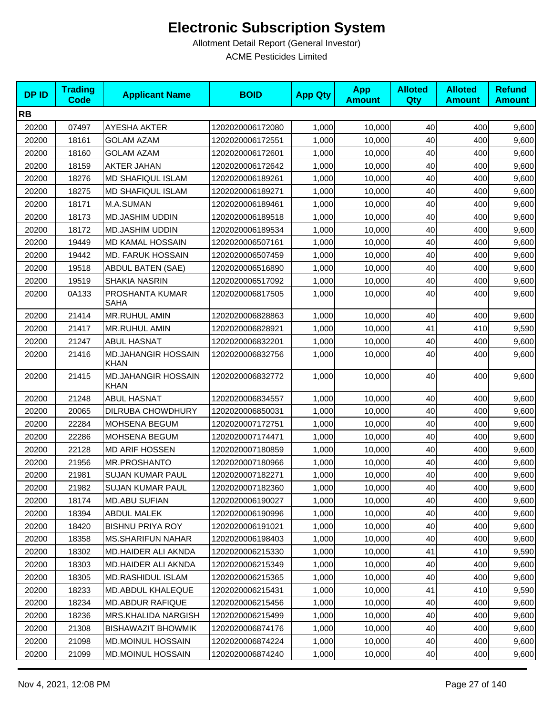| <b>DPID</b> | <b>Trading</b><br><b>Code</b> | <b>Applicant Name</b>                     | <b>BOID</b>      | <b>App Qty</b> | <b>App</b><br><b>Amount</b> | <b>Alloted</b><br><b>Qty</b> | <b>Alloted</b><br><b>Amount</b> | <b>Refund</b><br><b>Amount</b> |
|-------------|-------------------------------|-------------------------------------------|------------------|----------------|-----------------------------|------------------------------|---------------------------------|--------------------------------|
| <b>RB</b>   |                               |                                           |                  |                |                             |                              |                                 |                                |
| 20200       | 07497                         | <b>AYESHA AKTER</b>                       | 1202020006172080 | 1,000          | 10,000                      | 40                           | 400                             | 9,600                          |
| 20200       | 18161                         | <b>GOLAM AZAM</b>                         | 1202020006172551 | 1,000          | 10,000                      | 40                           | 400                             | 9,600                          |
| 20200       | 18160                         | <b>GOLAM AZAM</b>                         | 1202020006172601 | 1,000          | 10,000                      | 40                           | 400                             | 9,600                          |
| 20200       | 18159                         | <b>AKTER JAHAN</b>                        | 1202020006172642 | 1,000          | 10,000                      | 40                           | 400                             | 9,600                          |
| 20200       | 18276                         | <b>MD SHAFIQUL ISLAM</b>                  | 1202020006189261 | 1,000          | 10,000                      | 40                           | 400                             | 9,600                          |
| 20200       | 18275                         | <b>MD SHAFIQUL ISLAM</b>                  | 1202020006189271 | 1,000          | 10,000                      | 40                           | 400                             | 9,600                          |
| 20200       | 18171                         | M.A.SUMAN                                 | 1202020006189461 | 1,000          | 10,000                      | 40                           | 400                             | 9,600                          |
| 20200       | 18173                         | MD.JASHIM UDDIN                           | 1202020006189518 | 1,000          | 10,000                      | 40                           | 400                             | 9,600                          |
| 20200       | 18172                         | <b>MD.JASHIM UDDIN</b>                    | 1202020006189534 | 1,000          | 10,000                      | 40                           | 400                             | 9,600                          |
| 20200       | 19449                         | <b>MD KAMAL HOSSAIN</b>                   | 1202020006507161 | 1,000          | 10,000                      | 40                           | 400                             | 9,600                          |
| 20200       | 19442                         | <b>MD. FARUK HOSSAIN</b>                  | 1202020006507459 | 1,000          | 10,000                      | 40                           | 400                             | 9,600                          |
| 20200       | 19518                         | ABDUL BATEN (SAE)                         | 1202020006516890 | 1,000          | 10,000                      | 40                           | 400                             | 9,600                          |
| 20200       | 19519                         | <b>SHAKIA NASRIN</b>                      | 1202020006517092 | 1,000          | 10,000                      | 40                           | 400                             | 9,600                          |
| 20200       | 0A133                         | PROSHANTA KUMAR<br><b>SAHA</b>            | 1202020006817505 | 1,000          | 10,000                      | 40                           | 400                             | 9,600                          |
| 20200       | 21414                         | MR.RUHUL AMIN                             | 1202020006828863 | 1,000          | 10,000                      | 40                           | 400                             | 9,600                          |
| 20200       | 21417                         | MR.RUHUL AMIN                             | 1202020006828921 | 1,000          | 10,000                      | 41                           | 410                             | 9,590                          |
| 20200       | 21247                         | <b>ABUL HASNAT</b>                        | 1202020006832201 | 1,000          | 10,000                      | 40                           | 400                             | 9,600                          |
| 20200       | 21416                         | <b>MD.JAHANGIR HOSSAIN</b><br><b>KHAN</b> | 1202020006832756 | 1,000          | 10,000                      | 40                           | 400                             | 9,600                          |
| 20200       | 21415                         | <b>MD.JAHANGIR HOSSAIN</b><br><b>KHAN</b> | 1202020006832772 | 1,000          | 10,000                      | 40                           | 400                             | 9,600                          |
| 20200       | 21248                         | <b>ABUL HASNAT</b>                        | 1202020006834557 | 1,000          | 10,000                      | 40                           | 400                             | 9,600                          |
| 20200       | 20065                         | DILRUBA CHOWDHURY                         | 1202020006850031 | 1,000          | 10,000                      | 40                           | 400                             | 9,600                          |
| 20200       | 22284                         | MOHSENA BEGUM                             | 1202020007172751 | 1,000          | 10,000                      | 40                           | 400                             | 9,600                          |
| 20200       | 22286                         | MOHSENA BEGUM                             | 1202020007174471 | 1,000          | 10,000                      | 40                           | 400                             | 9,600                          |
| 20200       | 22128                         | <b>MD ARIF HOSSEN</b>                     | 1202020007180859 | 1,000          | 10,000                      | 40                           | 400                             | 9,600                          |
| 20200       | 21956                         | <b>MR.PROSHANTO</b>                       | 1202020007180966 | 1,000          | 10,000                      | 40                           | 400                             | 9,600                          |
| 20200       | 21981                         | SUJAN KUMAR PAUL                          | 1202020007182271 | 1,000          | 10,000                      | 40                           | 400                             | 9,600                          |
| 20200       | 21982                         | SUJAN KUMAR PAUL                          | 1202020007182360 | 1,000          | 10,000                      | 40                           | 400                             | 9,600                          |
| 20200       | 18174                         | <b>MD.ABU SUFIAN</b>                      | 1202020006190027 | 1,000          | 10,000                      | 40                           | 400                             | 9,600                          |
| 20200       | 18394                         | ABDUL MALEK                               | 1202020006190996 | 1,000          | 10,000                      | 40                           | 400                             | 9,600                          |
| 20200       | 18420                         | <b>BISHNU PRIYA ROY</b>                   | 1202020006191021 | 1,000          | 10,000                      | 40                           | 400                             | 9,600                          |
| 20200       | 18358                         | <b>MS.SHARIFUN NAHAR</b>                  | 1202020006198403 | 1,000          | 10,000                      | 40                           | 400                             | 9,600                          |
| 20200       | 18302                         | MD.HAIDER ALI AKNDA                       | 1202020006215330 | 1,000          | 10,000                      | 41                           | 410                             | 9,590                          |
| 20200       | 18303                         | MD.HAIDER ALI AKNDA                       | 1202020006215349 | 1,000          | 10,000                      | 40                           | 400                             | 9,600                          |
| 20200       | 18305                         | MD.RASHIDUL ISLAM                         | 1202020006215365 | 1,000          | 10,000                      | 40                           | 400                             | 9,600                          |
| 20200       | 18233                         | <b>MD.ABDUL KHALEQUE</b>                  | 1202020006215431 | 1,000          | 10,000                      | 41                           | 410                             | 9,590                          |
| 20200       | 18234                         | <b>MD.ABDUR RAFIQUE</b>                   | 1202020006215456 | 1,000          | 10,000                      | 40                           | 400                             | 9,600                          |
| 20200       | 18236                         | <b>MRS.KHALIDA NARGISH</b>                | 1202020006215499 | 1,000          | 10,000                      | 40                           | 400                             | 9,600                          |
| 20200       | 21308                         | <b>BISHAWAZIT BHOWMIK</b>                 | 1202020006874176 | 1,000          | 10,000                      | 40                           | 400                             | 9,600                          |
| 20200       | 21098                         | <b>MD.MOINUL HOSSAIN</b>                  | 1202020006874224 | 1,000          | 10,000                      | 40                           | 400                             | 9,600                          |
| 20200       | 21099                         | MD.MOINUL HOSSAIN                         | 1202020006874240 | 1,000          | 10,000                      | 40                           | 400                             | 9,600                          |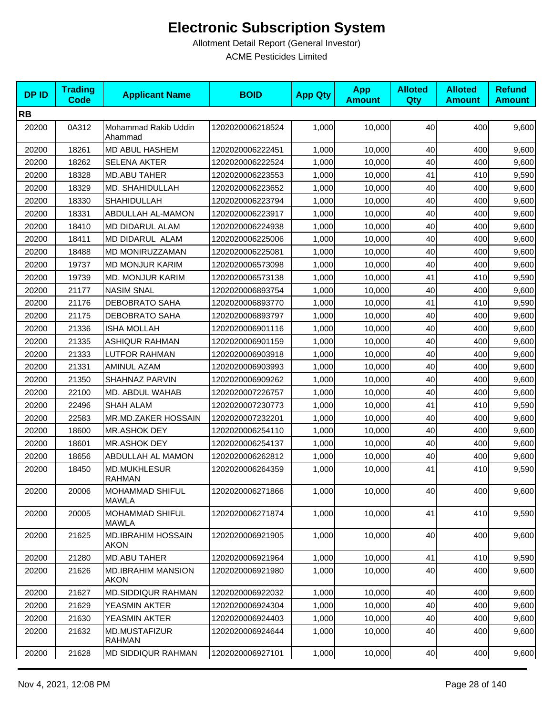| <b>DPID</b> | <b>Trading</b><br><b>Code</b> | <b>Applicant Name</b>                    | <b>BOID</b>      | <b>App Qty</b> | <b>App</b><br><b>Amount</b> | <b>Alloted</b><br>Qty | <b>Alloted</b><br><b>Amount</b> | <b>Refund</b><br><b>Amount</b> |
|-------------|-------------------------------|------------------------------------------|------------------|----------------|-----------------------------|-----------------------|---------------------------------|--------------------------------|
| <b>RB</b>   |                               |                                          |                  |                |                             |                       |                                 |                                |
| 20200       | 0A312                         | Mohammad Rakib Uddin<br>Ahammad          | 1202020006218524 | 1,000          | 10,000                      | 40                    | 400                             | 9,600                          |
| 20200       | 18261                         | MD ABUL HASHEM                           | 1202020006222451 | 1,000          | 10,000                      | 40                    | 400                             | 9,600                          |
| 20200       | 18262                         | <b>SELENA AKTER</b>                      | 1202020006222524 | 1,000          | 10,000                      | 40                    | 400                             | 9,600                          |
| 20200       | 18328                         | MD.ABU TAHER                             | 1202020006223553 | 1,000          | 10,000                      | 41                    | 410                             | 9,590                          |
| 20200       | 18329                         | MD. SHAHIDULLAH                          | 1202020006223652 | 1,000          | 10,000                      | 40                    | 400                             | 9,600                          |
| 20200       | 18330                         | SHAHIDULLAH                              | 1202020006223794 | 1,000          | 10,000                      | 40                    | 400                             | 9,600                          |
| 20200       | 18331                         | ABDULLAH AL-MAMON                        | 1202020006223917 | 1,000          | 10,000                      | 40                    | 400                             | 9,600                          |
| 20200       | 18410                         | MD DIDARUL ALAM                          | 1202020006224938 | 1,000          | 10,000                      | 40                    | 400                             | 9,600                          |
| 20200       | 18411                         | MD DIDARUL ALAM                          | 1202020006225006 | 1,000          | 10,000                      | 40                    | 400                             | 9,600                          |
| 20200       | 18488                         | MD MONIRUZZAMAN                          | 1202020006225081 | 1,000          | 10,000                      | 40                    | 400                             | 9,600                          |
| 20200       | 19737                         | <b>MD MONJUR KARIM</b>                   | 1202020006573098 | 1,000          | 10,000                      | 40                    | 400                             | 9,600                          |
| 20200       | 19739                         | <b>MD. MONJUR KARIM</b>                  | 1202020006573138 | 1,000          | 10,000                      | 41                    | 410                             | 9,590                          |
| 20200       | 21177                         | <b>NASIM SNAL</b>                        | 1202020006893754 | 1,000          | 10,000                      | 40                    | 400                             | 9,600                          |
| 20200       | 21176                         | <b>DEBOBRATO SAHA</b>                    | 1202020006893770 | 1,000          | 10,000                      | 41                    | 410                             | 9,590                          |
| 20200       | 21175                         | <b>DEBOBRATO SAHA</b>                    | 1202020006893797 | 1,000          | 10,000                      | 40                    | 400                             | 9,600                          |
| 20200       | 21336                         | <b>ISHA MOLLAH</b>                       | 1202020006901116 | 1,000          | 10,000                      | 40                    | 400                             | 9,600                          |
| 20200       | 21335                         | <b>ASHIQUR RAHMAN</b>                    | 1202020006901159 | 1,000          | 10,000                      | 40                    | 400                             | 9,600                          |
| 20200       | 21333                         | <b>LUTFOR RAHMAN</b>                     | 1202020006903918 | 1,000          | 10,000                      | 40                    | 400                             | 9,600                          |
| 20200       | 21331                         | AMINUL AZAM                              | 1202020006903993 | 1,000          | 10,000                      | 40                    | 400                             | 9,600                          |
| 20200       | 21350                         | SHAHNAZ PARVIN                           | 1202020006909262 | 1,000          | 10,000                      | 40                    | 400                             | 9,600                          |
| 20200       | 22100                         | MD. ABDUL WAHAB                          | 1202020007226757 | 1,000          | 10,000                      | 40                    | 400                             | 9,600                          |
| 20200       | 22496                         | SHAH ALAM                                | 1202020007230773 | 1,000          | 10,000                      | 41                    | 410                             | 9,590                          |
| 20200       | 22583                         | MR.MD.ZAKER HOSSAIN                      | 1202020007232201 | 1,000          | 10,000                      | 40                    | 400                             | 9,600                          |
| 20200       | 18600                         | MR.ASHOK DEY                             | 1202020006254110 | 1,000          | 10,000                      | 40                    | 400                             | 9,600                          |
| 20200       | 18601                         | MR.ASHOK DEY                             | 1202020006254137 | 1,000          | 10,000                      | 40                    | 400                             | 9,600                          |
| 20200       | 18656                         | <b>ABDULLAH AL MAMON</b>                 | 1202020006262812 | 1,000          | 10,000                      | 40                    | 400                             | 9,600                          |
| 20200       | 18450                         | <b>MD.MUKHLESUR</b><br><b>RAHMAN</b>     | 1202020006264359 | 1,000          | 10,000                      | 41                    | 410                             | 9,590                          |
| 20200       | 20006                         | <b>MOHAMMAD SHIFUL</b><br><b>MAWLA</b>   | 1202020006271866 | 1,000          | 10,000                      | 40                    | 400                             | 9,600                          |
| 20200       | 20005                         | MOHAMMAD SHIFUL<br><b>MAWLA</b>          | 1202020006271874 | 1,000          | 10,000                      | 41                    | 410                             | 9,590                          |
| 20200       | 21625                         | <b>MD.IBRAHIM HOSSAIN</b><br><b>AKON</b> | 1202020006921905 | 1,000          | 10,000                      | 40                    | 400                             | 9,600                          |
| 20200       | 21280                         | MD.ABU TAHER                             | 1202020006921964 | 1,000          | 10,000                      | 41                    | 410                             | 9,590                          |
| 20200       | 21626                         | <b>MD.IBRAHIM MANSION</b><br><b>AKON</b> | 1202020006921980 | 1,000          | 10,000                      | 40                    | 400                             | 9,600                          |
| 20200       | 21627                         | <b>MD.SIDDIQUR RAHMAN</b>                | 1202020006922032 | 1,000          | 10,000                      | 40                    | 400                             | 9,600                          |
| 20200       | 21629                         | YEASMIN AKTER                            | 1202020006924304 | 1,000          | 10,000                      | 40                    | 400                             | 9,600                          |
| 20200       | 21630                         | YEASMIN AKTER                            | 1202020006924403 | 1,000          | 10,000                      | 40                    | 400                             | 9,600                          |
| 20200       | 21632                         | MD.MUSTAFIZUR<br><b>RAHMAN</b>           | 1202020006924644 | 1,000          | 10,000                      | 40                    | 400                             | 9,600                          |
| 20200       | 21628                         | <b>MD SIDDIQUR RAHMAN</b>                | 1202020006927101 | 1,000          | 10,000                      | 40                    | 400                             | 9,600                          |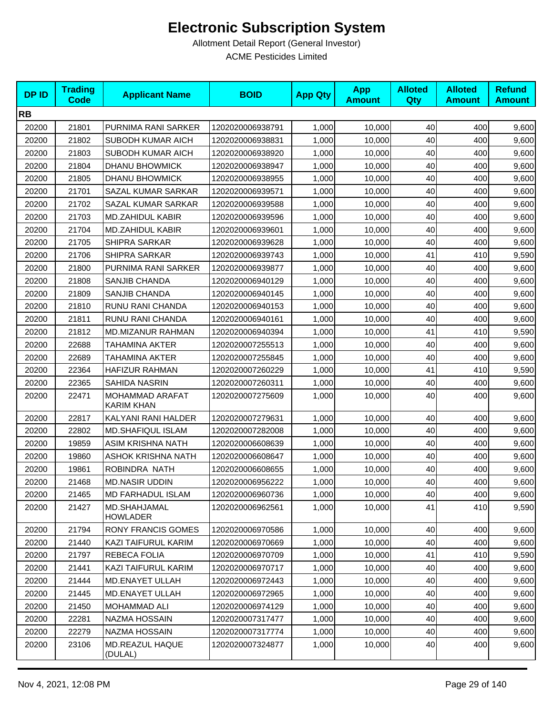| <b>DPID</b> | <b>Trading</b><br><b>Code</b> | <b>Applicant Name</b>           | <b>BOID</b>      | <b>App Qty</b> | <b>App</b><br><b>Amount</b> | <b>Alloted</b><br><b>Qty</b> | <b>Alloted</b><br><b>Amount</b> | <b>Refund</b><br><b>Amount</b> |
|-------------|-------------------------------|---------------------------------|------------------|----------------|-----------------------------|------------------------------|---------------------------------|--------------------------------|
| <b>RB</b>   |                               |                                 |                  |                |                             |                              |                                 |                                |
| 20200       | 21801                         | PURNIMA RANI SARKER             | 1202020006938791 | 1,000          | 10,000                      | 40                           | 400                             | 9,600                          |
| 20200       | 21802                         | SUBODH KUMAR AICH               | 1202020006938831 | 1,000          | 10,000                      | 40                           | 400                             | 9,600                          |
| 20200       | 21803                         | SUBODH KUMAR AICH               | 1202020006938920 | 1,000          | 10,000                      | 40                           | 400                             | 9,600                          |
| 20200       | 21804                         | <b>DHANU BHOWMICK</b>           | 1202020006938947 | 1,000          | 10,000                      | 40                           | 400                             | 9,600                          |
| 20200       | 21805                         | <b>DHANU BHOWMICK</b>           | 1202020006938955 | 1,000          | 10,000                      | 40                           | 400                             | 9,600                          |
| 20200       | 21701                         | SAZAL KUMAR SARKAR              | 1202020006939571 | 1,000          | 10,000                      | 40                           | 400                             | 9,600                          |
| 20200       | 21702                         | SAZAL KUMAR SARKAR              | 1202020006939588 | 1,000          | 10,000                      | 40                           | 400                             | 9,600                          |
| 20200       | 21703                         | <b>MD.ZAHIDUL KABIR</b>         | 1202020006939596 | 1,000          | 10,000                      | 40                           | 400                             | 9,600                          |
| 20200       | 21704                         | <b>MD.ZAHIDUL KABIR</b>         | 1202020006939601 | 1,000          | 10,000                      | 40                           | 400                             | 9,600                          |
| 20200       | 21705                         | SHIPRA SARKAR                   | 1202020006939628 | 1,000          | 10,000                      | 40                           | 400                             | 9,600                          |
| 20200       | 21706                         | SHIPRA SARKAR                   | 1202020006939743 | 1,000          | 10,000                      | 41                           | 410                             | 9,590                          |
| 20200       | 21800                         | PURNIMA RANI SARKER             | 1202020006939877 | 1,000          | 10,000                      | 40                           | 400                             | 9,600                          |
| 20200       | 21808                         | SANJIB CHANDA                   | 1202020006940129 | 1,000          | 10,000                      | 40                           | 400                             | 9,600                          |
| 20200       | 21809                         | SANJIB CHANDA                   | 1202020006940145 | 1,000          | 10,000                      | 40                           | 400                             | 9,600                          |
| 20200       | 21810                         | RUNU RANI CHANDA                | 1202020006940153 | 1,000          | 10,000                      | 40                           | 400                             | 9,600                          |
| 20200       | 21811                         | RUNU RANI CHANDA                | 1202020006940161 | 1,000          | 10,000                      | 40                           | 400                             | 9,600                          |
| 20200       | 21812                         | MD.MIZANUR RAHMAN               | 1202020006940394 | 1,000          | 10,000                      | 41                           | 410                             | 9,590                          |
| 20200       | 22688                         | TAHAMINA AKTER                  | 1202020007255513 | 1,000          | 10,000                      | 40                           | 400                             | 9,600                          |
| 20200       | 22689                         | TAHAMINA AKTER                  | 1202020007255845 | 1,000          | 10,000                      | 40                           | 400                             | 9,600                          |
| 20200       | 22364                         | <b>HAFIZUR RAHMAN</b>           | 1202020007260229 | 1,000          | 10,000                      | 41                           | 410                             | 9,590                          |
| 20200       | 22365                         | SAHIDA NASRIN                   | 1202020007260311 | 1,000          | 10,000                      | 40                           | 400                             | 9,600                          |
| 20200       | 22471                         | MOHAMMAD ARAFAT<br>KARIM KHAN   | 1202020007275609 | 1,000          | 10,000                      | 40                           | 400                             | 9,600                          |
| 20200       | 22817                         | KALYANI RANI HALDER             | 1202020007279631 | 1,000          | 10,000                      | 40                           | 400                             | 9,600                          |
| 20200       | 22802                         | <b>MD.SHAFIQUL ISLAM</b>        | 1202020007282008 | 1,000          | 10,000                      | 40                           | 400                             | 9,600                          |
| 20200       | 19859                         | ASIM KRISHNA NATH               | 1202020006608639 | 1,000          | 10,000                      | 40                           | 400                             | 9,600                          |
| 20200       | 19860                         | ASHOK KRISHNA NATH              | 1202020006608647 | 1,000          | 10,000                      | 40                           | 400                             | 9,600                          |
| 20200       | 19861                         | ROBINDRA NATH                   | 1202020006608655 | 1,000          | 10,000                      | 40                           | 400                             | 9,600                          |
| 20200       | 21468                         | <b>MD.NASIR UDDIN</b>           | 1202020006956222 | 1,000          | 10,000                      | 40                           | 400                             | 9,600                          |
| 20200       | 21465                         | <b>MD FARHADUL ISLAM</b>        | 1202020006960736 | 1,000          | 10,000                      | 40                           | 400                             | 9,600                          |
| 20200       | 21427                         | MD.SHAHJAMAL<br><b>HOWLADER</b> | 1202020006962561 | 1,000          | 10,000                      | 41                           | 410                             | 9,590                          |
| 20200       | 21794                         | <b>RONY FRANCIS GOMES</b>       | 1202020006970586 | 1,000          | 10,000                      | 40                           | 400                             | 9,600                          |
| 20200       | 21440                         | KAZI TAIFURUL KARIM             | 1202020006970669 | 1,000          | 10,000                      | 40                           | 400                             | 9,600                          |
| 20200       | 21797                         | REBECA FOLIA                    | 1202020006970709 | 1,000          | 10,000                      | 41                           | 410                             | 9,590                          |
| 20200       | 21441                         | KAZI TAIFURUL KARIM             | 1202020006970717 | 1,000          | 10,000                      | 40                           | 400                             | 9,600                          |
| 20200       | 21444                         | MD.ENAYET ULLAH                 | 1202020006972443 | 1,000          | 10,000                      | 40                           | 400                             | 9,600                          |
| 20200       | 21445                         | MD.ENAYET ULLAH                 | 1202020006972965 | 1,000          | 10,000                      | 40                           | 400                             | 9,600                          |
| 20200       | 21450                         | MOHAMMAD ALI                    | 1202020006974129 | 1,000          | 10,000                      | 40                           | 400                             | 9,600                          |
| 20200       | 22281                         | NAZMA HOSSAIN                   | 1202020007317477 | 1,000          | 10,000                      | 40                           | 400                             | 9,600                          |
| 20200       | 22279                         | NAZMA HOSSAIN                   | 1202020007317774 | 1,000          | 10,000                      | 40                           | 400                             | 9,600                          |
| 20200       | 23106                         | MD.REAZUL HAQUE<br>(DULAL)      | 1202020007324877 | 1,000          | 10,000                      | 40                           | 400                             | 9,600                          |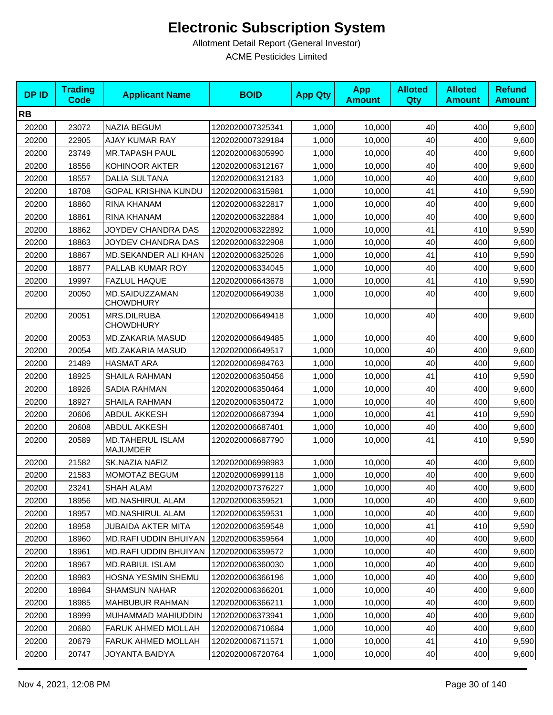| <b>DPID</b> | <b>Trading</b><br><b>Code</b> | <b>Applicant Name</b>                      | <b>BOID</b>      | <b>App Qty</b> | <b>App</b><br><b>Amount</b> | <b>Alloted</b><br>Qty | <b>Alloted</b><br><b>Amount</b> | <b>Refund</b><br><b>Amount</b> |
|-------------|-------------------------------|--------------------------------------------|------------------|----------------|-----------------------------|-----------------------|---------------------------------|--------------------------------|
| <b>RB</b>   |                               |                                            |                  |                |                             |                       |                                 |                                |
| 20200       | 23072                         | <b>NAZIA BEGUM</b>                         | 1202020007325341 | 1,000          | 10,000                      | 40                    | 400                             | 9,600                          |
| 20200       | 22905                         | <b>AJAY KUMAR RAY</b>                      | 1202020007329184 | 1,000          | 10,000                      | 40                    | 400                             | 9,600                          |
| 20200       | 23749                         | <b>MR.TAPASH PAUL</b>                      | 1202020006305990 | 1,000          | 10,000                      | 40                    | 400                             | 9,600                          |
| 20200       | 18556                         | KOHINOOR AKTER                             | 1202020006312167 | 1,000          | 10,000                      | 40                    | 400                             | 9,600                          |
| 20200       | 18557                         | <b>DALIA SULTANA</b>                       | 1202020006312183 | 1,000          | 10,000                      | 40                    | 400                             | 9,600                          |
| 20200       | 18708                         | <b>GOPAL KRISHNA KUNDU</b>                 | 1202020006315981 | 1,000          | 10.000                      | 41                    | 410                             | 9,590                          |
| 20200       | 18860                         | RINA KHANAM                                | 1202020006322817 | 1,000          | 10,000                      | 40                    | 400                             | 9,600                          |
| 20200       | 18861                         | RINA KHANAM                                | 1202020006322884 | 1,000          | 10,000                      | 40                    | 400                             | 9,600                          |
| 20200       | 18862                         | JOYDEV CHANDRA DAS                         | 1202020006322892 | 1,000          | 10,000                      | 41                    | 410                             | 9,590                          |
| 20200       | 18863                         | JOYDEV CHANDRA DAS                         | 1202020006322908 | 1,000          | 10,000                      | 40                    | 400                             | 9,600                          |
| 20200       | 18867                         | MD.SEKANDER ALI KHAN                       | 1202020006325026 | 1,000          | 10,000                      | 41                    | 410                             | 9,590                          |
| 20200       | 18877                         | PALLAB KUMAR ROY                           | 1202020006334045 | 1,000          | 10,000                      | 40                    | 400                             | 9,600                          |
| 20200       | 19997                         | <b>FAZLUL HAQUE</b>                        | 1202020006643678 | 1,000          | 10,000                      | 41                    | 410                             | 9,590                          |
| 20200       | 20050                         | MD.SAIDUZZAMAN<br><b>CHOWDHURY</b>         | 1202020006649038 | 1,000          | 10,000                      | 40                    | 400                             | 9,600                          |
| 20200       | 20051                         | MRS.DILRUBA<br><b>CHOWDHURY</b>            | 1202020006649418 | 1,000          | 10,000                      | 40                    | 400                             | 9,600                          |
| 20200       | 20053                         | MD.ZAKARIA MASUD                           | 1202020006649485 | 1,000          | 10,000                      | 40                    | 400                             | 9,600                          |
| 20200       | 20054                         | MD.ZAKARIA MASUD                           | 1202020006649517 | 1,000          | 10,000                      | 40                    | 400                             | 9,600                          |
| 20200       | 21489                         | <b>HASMAT ARA</b>                          | 1202020006984763 | 1,000          | 10,000                      | 40                    | 400                             | 9,600                          |
| 20200       | 18925                         | SHAILA RAHMAN                              | 1202020006350456 | 1,000          | 10,000                      | 41                    | 410                             | 9,590                          |
| 20200       | 18926                         | <b>SADIA RAHMAN</b>                        | 1202020006350464 | 1,000          | 10,000                      | 40                    | 400                             | 9,600                          |
| 20200       | 18927                         | SHAILA RAHMAN                              | 1202020006350472 | 1,000          | 10,000                      | 40                    | 400                             | 9,600                          |
| 20200       | 20606                         | <b>ABDUL AKKESH</b>                        | 1202020006687394 | 1,000          | 10,000                      | 41                    | 410                             | 9,590                          |
| 20200       | 20608                         | <b>ABDUL AKKESH</b>                        | 1202020006687401 | 1,000          | 10,000                      | 40                    | 400                             | 9,600                          |
| 20200       | 20589                         | <b>MD.TAHERUL ISLAM</b><br><b>MAJUMDER</b> | 1202020006687790 | 1,000          | 10,000                      | 41                    | 410                             | 9,590                          |
| 20200       | 21582                         | SK.NAZIA NAFIZ                             | 1202020006998983 | 1,000          | 10,000                      | 40                    | 400                             | 9,600                          |
| 20200       | 21583                         | MOMOTAZ BEGUM                              | 1202020006999118 | 1,000          | 10,000                      | 40                    | 400                             | 9,600                          |
| 20200       | 23241                         | SHAH ALAM                                  | 1202020007376227 | 1,000          | 10,000                      | 40                    | 400                             | 9,600                          |
| 20200       | 18956                         | <b>MD.NASHIRUL ALAM</b>                    | 1202020006359521 | 1,000          | 10,000                      | 40                    | 400                             | 9,600                          |
| 20200       | 18957                         | <b>MD.NASHIRUL ALAM</b>                    | 1202020006359531 | 1,000          | 10,000                      | 40                    | 400                             | 9,600                          |
| 20200       | 18958                         | JUBAIDA AKTER MITA                         | 1202020006359548 | 1,000          | 10,000                      | 41                    | 410                             | 9,590                          |
| 20200       | 18960                         | MD.RAFI UDDIN BHUIYAN                      | 1202020006359564 | 1,000          | 10,000                      | 40                    | 400                             | 9,600                          |
| 20200       | 18961                         | <b>MD.RAFI UDDIN BHUIYAN</b>               | 1202020006359572 | 1,000          | 10,000                      | 40                    | 400                             | 9,600                          |
| 20200       | 18967                         | MD.RABIUL ISLAM                            | 1202020006360030 | 1,000          | 10,000                      | 40                    | 400                             | 9,600                          |
| 20200       | 18983                         | HOSNA YESMIN SHEMU                         | 1202020006366196 | 1,000          | 10,000                      | 40                    | 400                             | 9,600                          |
| 20200       | 18984                         | <b>SHAMSUN NAHAR</b>                       | 1202020006366201 | 1,000          | 10,000                      | 40                    | 400                             | 9,600                          |
| 20200       | 18985                         | <b>MAHBUBUR RAHMAN</b>                     | 1202020006366211 | 1,000          | 10,000                      | 40                    | 400                             | 9,600                          |
| 20200       | 18999                         | MUHAMMAD MAHIUDDIN                         | 1202020006373941 | 1,000          | 10,000                      | 40                    | 400                             | 9,600                          |
| 20200       | 20680                         | FARUK AHMED MOLLAH                         | 1202020006710684 | 1,000          | 10,000                      | 40                    | 400                             | 9,600                          |
| 20200       | 20679                         | <b>FARUK AHMED MOLLAH</b>                  | 1202020006711571 | 1,000          | 10,000                      | 41                    | 410                             | 9,590                          |
| 20200       | 20747                         | JOYANTA BAIDYA                             | 1202020006720764 | 1,000          | 10,000                      | 40                    | 400                             | 9,600                          |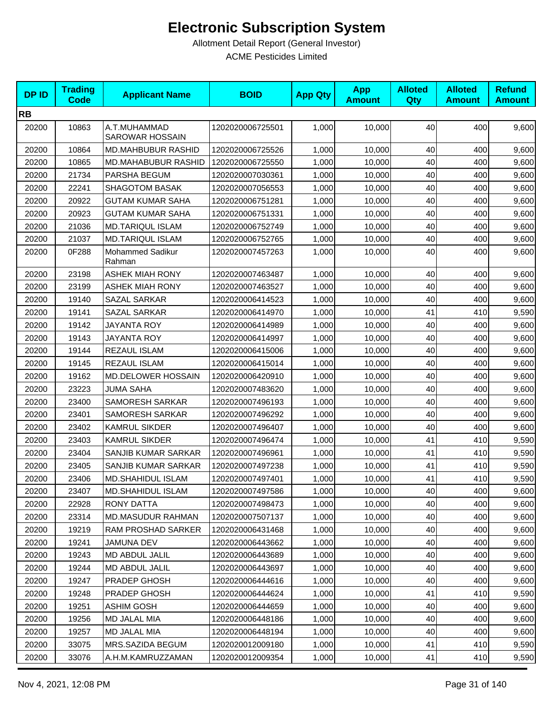| <b>DPID</b> | <b>Trading</b><br><b>Code</b> | <b>Applicant Name</b>           | <b>BOID</b>      | <b>App Qty</b> | <b>App</b><br><b>Amount</b> | <b>Alloted</b><br>Qty | <b>Alloted</b><br><b>Amount</b> | <b>Refund</b><br><b>Amount</b> |
|-------------|-------------------------------|---------------------------------|------------------|----------------|-----------------------------|-----------------------|---------------------------------|--------------------------------|
| <b>RB</b>   |                               |                                 |                  |                |                             |                       |                                 |                                |
| 20200       | 10863                         | A.T.MUHAMMAD<br>SAROWAR HOSSAIN | 1202020006725501 | 1,000          | 10,000                      | 40                    | 400                             | 9,600                          |
| 20200       | 10864                         | <b>MD.MAHBUBUR RASHID</b>       | 1202020006725526 | 1,000          | 10,000                      | 40                    | 400                             | 9,600                          |
| 20200       | 10865                         | MD.MAHABUBUR RASHID             | 1202020006725550 | 1,000          | 10,000                      | 40                    | 400                             | 9,600                          |
| 20200       | 21734                         | PARSHA BEGUM                    | 1202020007030361 | 1,000          | 10,000                      | 40                    | 400                             | 9,600                          |
| 20200       | 22241                         | <b>SHAGOTOM BASAK</b>           | 1202020007056553 | 1,000          | 10,000                      | 40                    | 400                             | 9,600                          |
| 20200       | 20922                         | <b>GUTAM KUMAR SAHA</b>         | 1202020006751281 | 1,000          | 10,000                      | 40                    | 400                             | 9,600                          |
| 20200       | 20923                         | <b>GUTAM KUMAR SAHA</b>         | 1202020006751331 | 1,000          | 10,000                      | 40                    | 400                             | 9,600                          |
| 20200       | 21036                         | <b>MD.TARIQUL ISLAM</b>         | 1202020006752749 | 1,000          | 10,000                      | 40                    | 400                             | 9,600                          |
| 20200       | 21037                         | <b>MD.TARIQUL ISLAM</b>         | 1202020006752765 | 1,000          | 10,000                      | 40                    | 400                             | 9,600                          |
| 20200       | 0F288                         | Mohammed Sadikur<br>Rahman      | 1202020007457263 | 1,000          | 10,000                      | 40                    | 400                             | 9,600                          |
| 20200       | 23198                         | <b>ASHEK MIAH RONY</b>          | 1202020007463487 | 1,000          | 10,000                      | 40                    | 400                             | 9,600                          |
| 20200       | 23199                         | <b>ASHEK MIAH RONY</b>          | 1202020007463527 | 1,000          | 10,000                      | 40                    | 400                             | 9,600                          |
| 20200       | 19140                         | SAZAL SARKAR                    | 1202020006414523 | 1,000          | 10,000                      | 40                    | 400                             | 9,600                          |
| 20200       | 19141                         | SAZAL SARKAR                    | 1202020006414970 | 1,000          | 10,000                      | 41                    | 410                             | 9,590                          |
| 20200       | 19142                         | JAYANTA ROY                     | 1202020006414989 | 1,000          | 10,000                      | 40                    | 400                             | 9,600                          |
| 20200       | 19143                         | JAYANTA ROY                     | 1202020006414997 | 1,000          | 10,000                      | 40                    | 400                             | 9,600                          |
| 20200       | 19144                         | REZAUL ISLAM                    | 1202020006415006 | 1,000          | 10,000                      | 40                    | 400                             | 9,600                          |
| 20200       | 19145                         | REZAUL ISLAM                    | 1202020006415014 | 1,000          | 10,000                      | 40                    | 400                             | 9,600                          |
| 20200       | 19162                         | MD.DELOWER HOSSAIN              | 1202020006420910 | 1,000          | 10,000                      | 40                    | 400                             | 9,600                          |
| 20200       | 23223                         | <b>JUMA SAHA</b>                | 1202020007483620 | 1,000          | 10,000                      | 40                    | 400                             | 9,600                          |
| 20200       | 23400                         | SAMORESH SARKAR                 | 1202020007496193 | 1,000          | 10,000                      | 40                    | 400                             | 9,600                          |
| 20200       | 23401                         | <b>SAMORESH SARKAR</b>          | 1202020007496292 | 1,000          | 10,000                      | 40                    | 400                             | 9,600                          |
| 20200       | 23402                         | <b>KAMRUL SIKDER</b>            | 1202020007496407 | 1,000          | 10,000                      | 40                    | 400                             | 9,600                          |
| 20200       | 23403                         | <b>KAMRUL SIKDER</b>            | 1202020007496474 | 1,000          | 10,000                      | 41                    | 410                             | 9,590                          |
| 20200       | 23404                         | SANJIB KUMAR SARKAR             | 1202020007496961 | 1,000          | 10,000                      | 41                    | 410                             | 9,590                          |
| 20200       | 23405                         | SANJIB KUMAR SARKAR             | 1202020007497238 | 1,000          | 10,000                      | 41                    | 410                             | 9,590                          |
| 20200       | 23406                         | <b>MD.SHAHIDUL ISLAM</b>        | 1202020007497401 | 1,000          | 10,000                      | 41                    | 410                             | 9,590                          |
| 20200       | 23407                         | <b>MD.SHAHIDUL ISLAM</b>        | 1202020007497586 | 1,000          | 10,000                      | 40                    | 400                             | 9,600                          |
| 20200       | 22928                         | <b>RONY DATTA</b>               | 1202020007498473 | 1,000          | 10,000                      | 40                    | 400                             | 9,600                          |
| 20200       | 23314                         | MD.MASUDUR RAHMAN               | 1202020007507137 | 1,000          | 10,000                      | 40                    | 400                             | 9,600                          |
| 20200       | 19219                         | RAM PROSHAD SARKER              | 1202020006431468 | 1,000          | 10,000                      | 40                    | 400                             | 9,600                          |
| 20200       | 19241                         | JAMUNA DEV                      | 1202020006443662 | 1,000          | 10,000                      | 40                    | 400                             | 9,600                          |
| 20200       | 19243                         | MD ABDUL JALIL                  | 1202020006443689 | 1,000          | 10.000                      | 40                    | 400                             | 9,600                          |
| 20200       | 19244                         | MD ABDUL JALIL                  | 1202020006443697 | 1,000          | 10,000                      | 40                    | 400                             | 9,600                          |
| 20200       | 19247                         | PRADEP GHOSH                    | 1202020006444616 | 1,000          | 10,000                      | 40                    | 400                             | 9,600                          |
| 20200       | 19248                         | PRADEP GHOSH                    | 1202020006444624 | 1,000          | 10,000                      | 41                    | 410                             | 9,590                          |
| 20200       | 19251                         | <b>ASHIM GOSH</b>               | 1202020006444659 | 1,000          | 10,000                      | 40                    | 400                             | 9,600                          |
| 20200       | 19256                         | MD JALAL MIA                    | 1202020006448186 | 1,000          | 10,000                      | 40                    | 400                             | 9,600                          |
| 20200       | 19257                         | MD JALAL MIA                    | 1202020006448194 | 1,000          | 10,000                      | 40                    | 400                             | 9,600                          |
| 20200       | 33075                         | MRS.SAZIDA BEGUM                | 1202020012009180 | 1,000          | 10,000                      | 41                    | 410                             | 9,590                          |
| 20200       | 33076                         | A.H.M.KAMRUZZAMAN               | 1202020012009354 | 1,000          | 10,000                      | 41                    | 410                             | 9,590                          |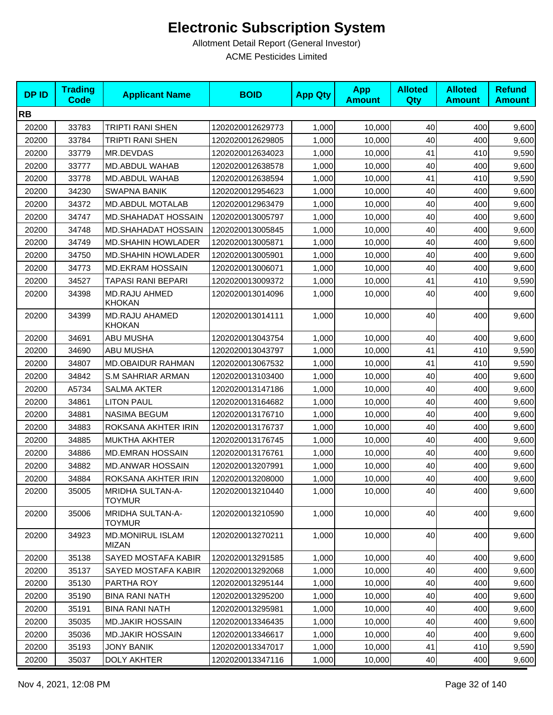| <b>DPID</b> | <b>Trading</b><br><b>Code</b> | <b>Applicant Name</b>                    | <b>BOID</b>      | <b>App Qty</b> | <b>App</b><br><b>Amount</b> | <b>Alloted</b><br>Qty | <b>Alloted</b><br><b>Amount</b> | <b>Refund</b><br><b>Amount</b> |
|-------------|-------------------------------|------------------------------------------|------------------|----------------|-----------------------------|-----------------------|---------------------------------|--------------------------------|
| <b>RB</b>   |                               |                                          |                  |                |                             |                       |                                 |                                |
| 20200       | 33783                         | TRIPTI RANI SHEN                         | 1202020012629773 | 1,000          | 10,000                      | 40                    | 400                             | 9,600                          |
| 20200       | 33784                         | <b>TRIPTI RANI SHEN</b>                  | 1202020012629805 | 1,000          | 10,000                      | 40                    | 400                             | 9,600                          |
| 20200       | 33779                         | MR.DEVDAS                                | 1202020012634023 | 1,000          | 10,000                      | 41                    | 410                             | 9,590                          |
| 20200       | 33777                         | MD.ABDUL WAHAB                           | 1202020012638578 | 1,000          | 10,000                      | 40                    | 400                             | 9,600                          |
| 20200       | 33778                         | MD.ABDUL WAHAB                           | 1202020012638594 | 1,000          | 10,000                      | 41                    | 410                             | 9,590                          |
| 20200       | 34230                         | <b>SWAPNA BANIK</b>                      | 1202020012954623 | 1,000          | 10,000                      | 40                    | 400                             | 9,600                          |
| 20200       | 34372                         | <b>MD.ABDUL MOTALAB</b>                  | 1202020012963479 | 1,000          | 10,000                      | 40                    | 400                             | 9,600                          |
| 20200       | 34747                         | <b>MD.SHAHADAT HOSSAIN</b>               | 1202020013005797 | 1,000          | 10,000                      | 40                    | 400                             | 9,600                          |
| 20200       | 34748                         | <b>MD.SHAHADAT HOSSAIN</b>               | 1202020013005845 | 1,000          | 10,000                      | 40                    | 400                             | 9,600                          |
| 20200       | 34749                         | <b>MD.SHAHIN HOWLADER</b>                | 1202020013005871 | 1,000          | 10,000                      | 40                    | 400                             | 9,600                          |
| 20200       | 34750                         | <b>MD.SHAHIN HOWLADER</b>                | 1202020013005901 | 1,000          | 10,000                      | 40                    | 400                             | 9,600                          |
| 20200       | 34773                         | <b>MD.EKRAM HOSSAIN</b>                  | 1202020013006071 | 1,000          | 10,000                      | 40                    | 400                             | 9,600                          |
| 20200       | 34527                         | TAPASI RANI BEPARI                       | 1202020013009372 | 1,000          | 10,000                      | 41                    | 410                             | 9,590                          |
| 20200       | 34398                         | <b>MD.RAJU AHMED</b><br><b>KHOKAN</b>    | 1202020013014096 | 1,000          | 10,000                      | 40                    | 400                             | 9,600                          |
| 20200       | 34399                         | MD.RAJU AHAMED<br><b>KHOKAN</b>          | 1202020013014111 | 1,000          | 10,000                      | 40                    | 400                             | 9,600                          |
| 20200       | 34691                         | ABU MUSHA                                | 1202020013043754 | 1,000          | 10,000                      | 40                    | 400                             | 9,600                          |
| 20200       | 34690                         | ABU MUSHA                                | 1202020013043797 | 1,000          | 10,000                      | 41                    | 410                             | 9,590                          |
| 20200       | 34807                         | MD.OBAIDUR RAHMAN                        | 1202020013067532 | 1,000          | 10,000                      | 41                    | 410                             | 9,590                          |
| 20200       | 34842                         | <b>S.M SAHRIAR ARMAN</b>                 | 1202020013103400 | 1,000          | 10,000                      | 40                    | 400                             | 9,600                          |
| 20200       | A5734                         | <b>SALMA AKTER</b>                       | 1202020013147186 | 1,000          | 10,000                      | 40                    | 400                             | 9,600                          |
| 20200       | 34861                         | <b>LITON PAUL</b>                        | 1202020013164682 | 1,000          | 10,000                      | 40                    | 400                             | 9,600                          |
| 20200       | 34881                         | <b>NASIMA BEGUM</b>                      | 1202020013176710 | 1,000          | 10,000                      | 40                    | 400                             | 9,600                          |
| 20200       | 34883                         | ROKSANA AKHTER IRIN                      | 1202020013176737 | 1,000          | 10,000                      | 40                    | 400                             | 9,600                          |
| 20200       | 34885                         | <b>MUKTHA AKHTER</b>                     | 1202020013176745 | 1,000          | 10,000                      | 40                    | 400                             | 9,600                          |
| 20200       | 34886                         | <b>MD.EMRAN HOSSAIN</b>                  | 1202020013176761 | 1,000          | 10,000                      | 40                    | 400                             | 9,600                          |
| 20200       | 34882                         | <b>MD.ANWAR HOSSAIN</b>                  | 1202020013207991 | 1,000          | 10,000                      | 40                    | 400                             | 9,600                          |
| 20200       | 34884                         | ROKSANA AKHTER IRIN                      | 1202020013208000 | 1,000          | 10,000                      | 40                    | 400                             | 9,600                          |
| 20200       | 35005                         | <b>MRIDHA SULTAN-A-</b><br><b>TOYMUR</b> | 1202020013210440 | 1,000          | 10,000                      | 40                    | 400                             | 9,600                          |
| 20200       | 35006                         | <b>MRIDHA SULTAN-A-</b><br><b>TOYMUR</b> | 1202020013210590 | 1,000          | 10,000                      | 40                    | 400                             | 9,600                          |
| 20200       | 34923                         | <b>MD.MONIRUL ISLAM</b><br><b>MIZAN</b>  | 1202020013270211 | 1,000          | 10,000                      | 40                    | 400                             | 9,600                          |
| 20200       | 35138                         | SAYED MOSTAFA KABIR                      | 1202020013291585 | 1,000          | 10,000                      | 40                    | 400                             | 9,600                          |
| 20200       | 35137                         | SAYED MOSTAFA KABIR                      | 1202020013292068 | 1,000          | 10,000                      | 40                    | 400                             | 9,600                          |
| 20200       | 35130                         | PARTHA ROY                               | 1202020013295144 | 1,000          | 10,000                      | 40                    | 400                             | 9,600                          |
| 20200       | 35190                         | <b>BINA RANI NATH</b>                    | 1202020013295200 | 1,000          | 10,000                      | 40                    | 400                             | 9,600                          |
| 20200       | 35191                         | <b>BINA RANI NATH</b>                    | 1202020013295981 | 1,000          | 10,000                      | 40                    | 400                             | 9,600                          |
| 20200       | 35035                         | <b>MD.JAKIR HOSSAIN</b>                  | 1202020013346435 | 1,000          | 10,000                      | 40                    | 400                             | 9,600                          |
| 20200       | 35036                         | <b>MD.JAKIR HOSSAIN</b>                  | 1202020013346617 | 1,000          | 10,000                      | 40                    | 400                             | 9,600                          |
| 20200       | 35193                         | <b>JONY BANIK</b>                        | 1202020013347017 | 1,000          | 10,000                      | 41                    | 410                             | 9,590                          |
| 20200       | 35037                         | <b>DOLY AKHTER</b>                       | 1202020013347116 | 1,000          | 10,000                      | 40                    | 400                             | 9,600                          |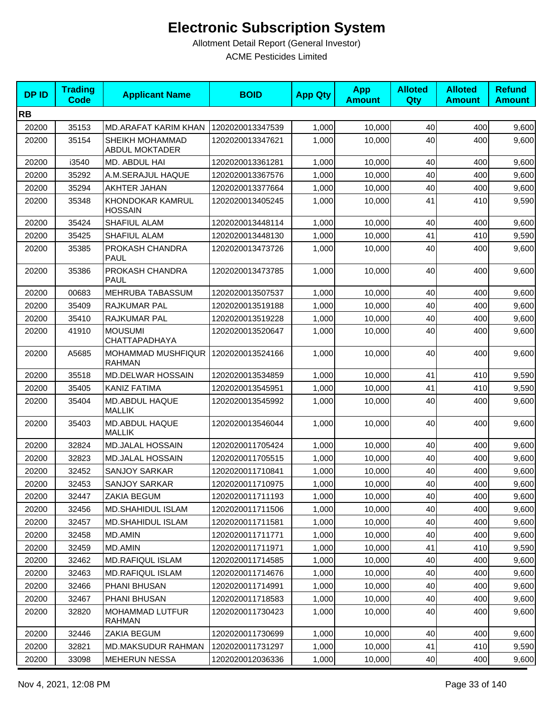| <b>DPID</b> | <b>Trading</b><br><b>Code</b> | <b>Applicant Name</b>                    | <b>BOID</b>      | <b>App Qty</b> | <b>App</b><br><b>Amount</b> | <b>Alloted</b><br>Qty | <b>Alloted</b><br><b>Amount</b> | <b>Refund</b><br><b>Amount</b> |
|-------------|-------------------------------|------------------------------------------|------------------|----------------|-----------------------------|-----------------------|---------------------------------|--------------------------------|
| <b>RB</b>   |                               |                                          |                  |                |                             |                       |                                 |                                |
| 20200       | 35153                         | MD.ARAFAT KARIM KHAN                     | 1202020013347539 | 1,000          | 10,000                      | 40                    | 400                             | 9,600                          |
| 20200       | 35154                         | SHEIKH MOHAMMAD<br><b>ABDUL MOKTADER</b> | 1202020013347621 | 1,000          | 10,000                      | 40                    | 400                             | 9,600                          |
| 20200       | i3540                         | MD. ABDUL HAI                            | 1202020013361281 | 1,000          | 10,000                      | 40                    | 400                             | 9,600                          |
| 20200       | 35292                         | A.M.SERAJUL HAQUE                        | 1202020013367576 | 1,000          | 10,000                      | 40                    | 400                             | 9,600                          |
| 20200       | 35294                         | AKHTER JAHAN                             | 1202020013377664 | 1,000          | 10,000                      | 40                    | 400                             | 9,600                          |
| 20200       | 35348                         | KHONDOKAR KAMRUL<br><b>HOSSAIN</b>       | 1202020013405245 | 1,000          | 10,000                      | 41                    | 410                             | 9,590                          |
| 20200       | 35424                         | <b>SHAFIUL ALAM</b>                      | 1202020013448114 | 1,000          | 10,000                      | 40                    | 400                             | 9,600                          |
| 20200       | 35425                         | <b>SHAFIUL ALAM</b>                      | 1202020013448130 | 1,000          | 10,000                      | 41                    | 410                             | 9,590                          |
| 20200       | 35385                         | PROKASH CHANDRA<br><b>PAUL</b>           | 1202020013473726 | 1,000          | 10,000                      | 40                    | 400                             | 9,600                          |
| 20200       | 35386                         | PROKASH CHANDRA<br><b>PAUL</b>           | 1202020013473785 | 1,000          | 10,000                      | 40                    | 400                             | 9,600                          |
| 20200       | 00683                         | MEHRUBA TABASSUM                         | 1202020013507537 | 1,000          | 10,000                      | 40                    | 400                             | 9,600                          |
| 20200       | 35409                         | RAJKUMAR PAL                             | 1202020013519188 | 1,000          | 10,000                      | 40                    | 400                             | 9,600                          |
| 20200       | 35410                         | RAJKUMAR PAL                             | 1202020013519228 | 1,000          | 10,000                      | 40                    | 400                             | 9,600                          |
| 20200       | 41910                         | <b>MOUSUMI</b><br>CHATTAPADHAYA          | 1202020013520647 | 1.000          | 10,000                      | 40                    | 400                             | 9,600                          |
| 20200       | A5685                         | MOHAMMAD MUSHFIQUR<br><b>RAHMAN</b>      | 1202020013524166 | 1,000          | 10,000                      | 40                    | 400                             | 9,600                          |
| 20200       | 35518                         | <b>MD.DELWAR HOSSAIN</b>                 | 1202020013534859 | 1,000          | 10,000                      | 41                    | 410                             | 9,590                          |
| 20200       | 35405                         | <b>KANIZ FATIMA</b>                      | 1202020013545951 | 1,000          | 10,000                      | 41                    | 410                             | 9,590                          |
| 20200       | 35404                         | MD.ABDUL HAQUE<br><b>MALLIK</b>          | 1202020013545992 | 1,000          | 10,000                      | 40                    | 400                             | 9,600                          |
| 20200       | 35403                         | MD.ABDUL HAQUE<br><b>MALLIK</b>          | 1202020013546044 | 1,000          | 10,000                      | 40                    | 400                             | 9,600                          |
| 20200       | 32824                         | <b>MD.JALAL HOSSAIN</b>                  | 1202020011705424 | 1,000          | 10,000                      | 40                    | 400                             | 9,600                          |
| 20200       | 32823                         | <b>MD.JALAL HOSSAIN</b>                  | 1202020011705515 | 1,000          | 10,000                      | 40                    | 400                             | 9,600                          |
| 20200       | 32452                         | <b>SANJOY SARKAR</b>                     | 1202020011710841 | 1,000          | 10,000                      | 40                    | 400                             | 9,600                          |
| 20200       | 32453                         | <b>SANJOY SARKAR</b>                     | 1202020011710975 | 1,000          | 10,000                      | 40                    | 400                             | 9,600                          |
| 20200       | 32447                         | ZAKIA BEGUM                              | 1202020011711193 | 1,000          | 10,000                      | 40                    | 400                             | 9,600                          |
| 20200       | 32456                         | MD.SHAHIDUL ISLAM                        | 1202020011711506 | 1,000          | 10,000                      | 40                    | 400                             | 9,600                          |
| 20200       | 32457                         | <b>MD.SHAHIDUL ISLAM</b>                 | 1202020011711581 | 1,000          | 10,000                      | 40                    | 400                             | 9,600                          |
| 20200       | 32458                         | <b>MD.AMIN</b>                           | 1202020011711771 | 1,000          | 10,000                      | 40                    | 400                             | 9,600                          |
| 20200       | 32459                         | MD.AMIN                                  | 1202020011711971 | 1,000          | 10,000                      | 41                    | 410                             | 9,590                          |
| 20200       | 32462                         | MD.RAFIQUL ISLAM                         | 1202020011714585 | 1,000          | 10,000                      | 40                    | 400                             | 9,600                          |
| 20200       | 32463                         | MD.RAFIQUL ISLAM                         | 1202020011714676 | 1,000          | 10,000                      | 40                    | 400                             | 9,600                          |
| 20200       | 32466                         | PHANI BHUSAN                             | 1202020011714991 | 1,000          | 10.000                      | 40                    | 400                             | 9,600                          |
| 20200       | 32467                         | PHANI BHUSAN                             | 1202020011718583 | 1,000          | 10,000                      | 40                    | 400                             | 9,600                          |
| 20200       | 32820                         | MOHAMMAD LUTFUR<br><b>RAHMAN</b>         | 1202020011730423 | 1,000          | 10,000                      | 40                    | 400                             | 9,600                          |
| 20200       | 32446                         | ZAKIA BEGUM                              | 1202020011730699 | 1,000          | 10,000                      | 40                    | 400                             | 9,600                          |
| 20200       | 32821                         | MD.MAKSUDUR RAHMAN                       | 1202020011731297 | 1,000          | 10,000                      | 41                    | 410                             | 9,590                          |
| 20200       | 33098                         | <b>MEHERUN NESSA</b>                     | 1202020012036336 | 1,000          | 10,000                      | 40                    | 400                             | 9,600                          |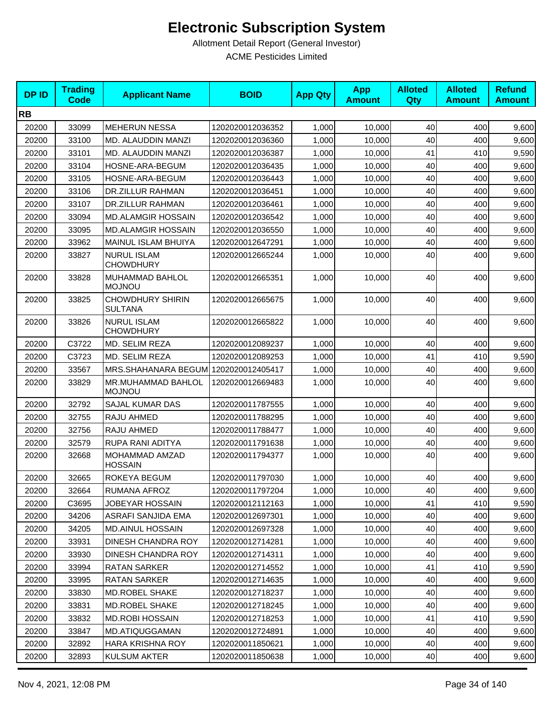| <b>DPID</b> | <b>Trading</b><br>Code | <b>Applicant Name</b>                     | <b>BOID</b>      | <b>App Qty</b> | <b>App</b><br><b>Amount</b> | <b>Alloted</b><br>Qty | <b>Alloted</b><br><b>Amount</b> | <b>Refund</b><br><b>Amount</b> |
|-------------|------------------------|-------------------------------------------|------------------|----------------|-----------------------------|-----------------------|---------------------------------|--------------------------------|
| <b>RB</b>   |                        |                                           |                  |                |                             |                       |                                 |                                |
| 20200       | 33099                  | <b>MEHERUN NESSA</b>                      | 1202020012036352 | 1,000          | 10,000                      | 40                    | 400                             | 9,600                          |
| 20200       | 33100                  | MD. ALAUDDIN MANZI                        | 1202020012036360 | 1,000          | 10,000                      | 40                    | 400                             | 9,600                          |
| 20200       | 33101                  | MD. ALAUDDIN MANZI                        | 1202020012036387 | 1,000          | 10,000                      | 41                    | 410                             | 9,590                          |
| 20200       | 33104                  | HOSNE-ARA-BEGUM                           | 1202020012036435 | 1,000          | 10,000                      | 40                    | 400                             | 9,600                          |
| 20200       | 33105                  | HOSNE-ARA-BEGUM                           | 1202020012036443 | 1,000          | 10,000                      | 40                    | 400                             | 9,600                          |
| 20200       | 33106                  | DR.ZILLUR RAHMAN                          | 1202020012036451 | 1,000          | 10,000                      | 40                    | 400                             | 9,600                          |
| 20200       | 33107                  | <b>DR.ZILLUR RAHMAN</b>                   | 1202020012036461 | 1,000          | 10,000                      | 40                    | 400                             | 9,600                          |
| 20200       | 33094                  | <b>MD.ALAMGIR HOSSAIN</b>                 | 1202020012036542 | 1,000          | 10,000                      | 40                    | 400                             | 9,600                          |
| 20200       | 33095                  | <b>MD.ALAMGIR HOSSAIN</b>                 | 1202020012036550 | 1,000          | 10,000                      | 40                    | 400                             | 9,600                          |
| 20200       | 33962                  | MAINUL ISLAM BHUIYA                       | 1202020012647291 | 1,000          | 10,000                      | 40                    | 400                             | 9,600                          |
| 20200       | 33827                  | <b>NURUL ISLAM</b><br><b>CHOWDHURY</b>    | 1202020012665244 | 1,000          | 10,000                      | 40                    | 400                             | 9,600                          |
| 20200       | 33828                  | MUHAMMAD BAHLOL<br><b>MOJNOU</b>          | 1202020012665351 | 1,000          | 10,000                      | 40                    | 400                             | 9,600                          |
| 20200       | 33825                  | <b>CHOWDHURY SHIRIN</b><br><b>SULTANA</b> | 1202020012665675 | 1,000          | 10,000                      | 40                    | 400                             | 9,600                          |
| 20200       | 33826                  | <b>NURUL ISLAM</b><br><b>CHOWDHURY</b>    | 1202020012665822 | 1,000          | 10,000                      | 40                    | 400                             | 9,600                          |
| 20200       | C3722                  | MD. SELIM REZA                            | 1202020012089237 | 1,000          | 10.000                      | 40                    | 400                             | 9,600                          |
| 20200       | C3723                  | MD. SELIM REZA                            | 1202020012089253 | 1,000          | 10,000                      | 41                    | 410                             | 9,590                          |
| 20200       | 33567                  | MRS.SHAHANARA BEGUM 1202020012405417      |                  | 1,000          | 10,000                      | 40                    | 400                             | 9,600                          |
| 20200       | 33829                  | MR.MUHAMMAD BAHLOL<br><b>MOJNOU</b>       | 1202020012669483 | 1,000          | 10,000                      | 40                    | 400                             | 9,600                          |
| 20200       | 32792                  | SAJAL KUMAR DAS                           | 1202020011787555 | 1,000          | 10,000                      | 40                    | 400                             | 9,600                          |
| 20200       | 32755                  | RAJU AHMED                                | 1202020011788295 | 1,000          | 10,000                      | 40                    | 400                             | 9,600                          |
| 20200       | 32756                  | RAJU AHMED                                | 1202020011788477 | 1,000          | 10,000                      | 40                    | 400                             | 9,600                          |
| 20200       | 32579                  | RUPA RANI ADITYA                          | 1202020011791638 | 1,000          | 10,000                      | 40                    | 400                             | 9,600                          |
| 20200       | 32668                  | MOHAMMAD AMZAD<br><b>HOSSAIN</b>          | 1202020011794377 | 1,000          | 10,000                      | 40                    | 400                             | 9,600                          |
| 20200       | 32665                  | ROKEYA BEGUM                              | 1202020011797030 | 1,000          | 10,000                      | 40                    | 400                             | 9,600                          |
| 20200       | 32664                  | RUMANA AFROZ                              | 1202020011797204 | 1,000          | 10,000                      | 40                    | 400                             | 9,600                          |
| 20200       | C3695                  | <b>JOBEYAR HOSSAIN</b>                    | 1202020012112163 | 1,000          | 10,000                      | 41                    | 410                             | 9,590                          |
| 20200       | 34206                  | ASRAFI SANJIDA EMA                        | 1202020012697301 | 1,000          | 10,000                      | 40                    | 400                             | 9,600                          |
| 20200       | 34205                  | <b>MD.AINUL HOSSAIN</b>                   | 1202020012697328 | 1,000          | 10,000                      | 40                    | 400                             | 9,600                          |
| 20200       | 33931                  | DINESH CHANDRA ROY                        | 1202020012714281 | 1,000          | 10,000                      | 40                    | 400                             | 9,600                          |
| 20200       | 33930                  | DINESH CHANDRA ROY                        | 1202020012714311 | 1,000          | 10,000                      | 40                    | 400                             | 9,600                          |
| 20200       | 33994                  | RATAN SARKER                              | 1202020012714552 | 1,000          | 10,000                      | 41                    | 410                             | 9,590                          |
| 20200       | 33995                  | RATAN SARKER                              | 1202020012714635 | 1,000          | 10,000                      | 40                    | 400                             | 9,600                          |
| 20200       | 33830                  | MD.ROBEL SHAKE                            | 1202020012718237 | 1,000          | 10,000                      | 40                    | 400                             | 9,600                          |
| 20200       | 33831                  | MD.ROBEL SHAKE                            | 1202020012718245 | 1,000          | 10,000                      | 40                    | 400                             | 9,600                          |
| 20200       | 33832                  | <b>MD.ROBI HOSSAIN</b>                    | 1202020012718253 | 1,000          | 10,000                      | 41                    | 410                             | 9,590                          |
| 20200       | 33847                  | MD.ATIQUGGAMAN                            | 1202020012724891 | 1,000          | 10,000                      | 40                    | 400                             | 9,600                          |
| 20200       | 32892                  | HARA KRISHNA ROY                          | 1202020011850621 | 1,000          | 10,000                      | 40                    | 400                             | 9,600                          |
| 20200       | 32893                  | KULSUM AKTER                              | 1202020011850638 | 1,000          | 10,000                      | 40                    | 400                             | 9,600                          |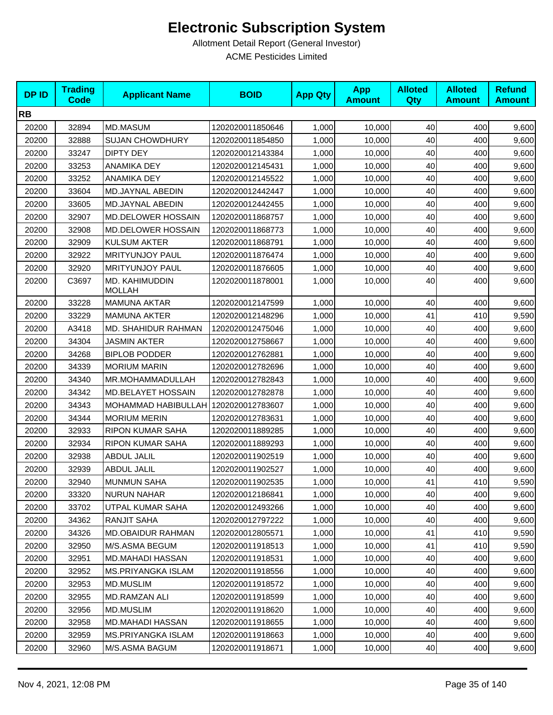| <b>DPID</b> | <b>Trading</b><br><b>Code</b> | <b>Applicant Name</b>                | <b>BOID</b>      | <b>App Qty</b> | <b>App</b><br><b>Amount</b> | <b>Alloted</b><br>Qty | <b>Alloted</b><br><b>Amount</b> | <b>Refund</b><br><b>Amount</b> |
|-------------|-------------------------------|--------------------------------------|------------------|----------------|-----------------------------|-----------------------|---------------------------------|--------------------------------|
| <b>RB</b>   |                               |                                      |                  |                |                             |                       |                                 |                                |
| 20200       | 32894                         | MD.MASUM                             | 1202020011850646 | 1,000          | 10,000                      | 40                    | 400                             | 9,600                          |
| 20200       | 32888                         | <b>SUJAN CHOWDHURY</b>               | 1202020011854850 | 1,000          | 10,000                      | 40                    | 400                             | 9,600                          |
| 20200       | 33247                         | <b>DIPTY DEY</b>                     | 1202020012143384 | 1,000          | 10,000                      | 40                    | 400                             | 9,600                          |
| 20200       | 33253                         | ANAMIKA DEY                          | 1202020012145431 | 1,000          | 10,000                      | 40                    | 400                             | 9,600                          |
| 20200       | 33252                         | ANAMIKA DEY                          | 1202020012145522 | 1,000          | 10,000                      | 40                    | 400                             | 9,600                          |
| 20200       | 33604                         | MD.JAYNAL ABEDIN                     | 1202020012442447 | 1,000          | 10,000                      | 40                    | 400                             | 9,600                          |
| 20200       | 33605                         | MD.JAYNAL ABEDIN                     | 1202020012442455 | 1,000          | 10,000                      | 40                    | 400                             | 9,600                          |
| 20200       | 32907                         | <b>MD.DELOWER HOSSAIN</b>            | 1202020011868757 | 1,000          | 10,000                      | 40                    | 400                             | 9,600                          |
| 20200       | 32908                         | <b>MD.DELOWER HOSSAIN</b>            | 1202020011868773 | 1,000          | 10,000                      | 40                    | 400                             | 9,600                          |
| 20200       | 32909                         | <b>KULSUM AKTER</b>                  | 1202020011868791 | 1,000          | 10,000                      | 40                    | 400                             | 9,600                          |
| 20200       | 32922                         | <b>MRITYUNJOY PAUL</b>               | 1202020011876474 | 1,000          | 10,000                      | 40                    | 400                             | 9,600                          |
| 20200       | 32920                         | <b>MRITYUNJOY PAUL</b>               | 1202020011876605 | 1,000          | 10,000                      | 40                    | 400                             | 9,600                          |
| 20200       | C3697                         | MD. KAHIMUDDIN<br><b>MOLLAH</b>      | 1202020011878001 | 1,000          | 10,000                      | 40                    | 400                             | 9,600                          |
| 20200       | 33228                         | <b>MAMUNA AKTAR</b>                  | 1202020012147599 | 1,000          | 10,000                      | 40                    | 400                             | 9,600                          |
| 20200       | 33229                         | <b>MAMUNA AKTER</b>                  | 1202020012148296 | 1,000          | 10,000                      | 41                    | 410                             | 9,590                          |
| 20200       | A3418                         | MD. SHAHIDUR RAHMAN                  | 1202020012475046 | 1,000          | 10,000                      | 40                    | 400                             | 9,600                          |
| 20200       | 34304                         | <b>JASMIN AKTER</b>                  | 1202020012758667 | 1,000          | 10,000                      | 40                    | 400                             | 9,600                          |
| 20200       | 34268                         | <b>BIPLOB PODDER</b>                 | 1202020012762881 | 1,000          | 10,000                      | 40                    | 400                             | 9,600                          |
| 20200       | 34339                         | <b>MORIUM MARIN</b>                  | 1202020012782696 | 1,000          | 10,000                      | 40                    | 400                             | 9,600                          |
| 20200       | 34340                         | MR.MOHAMMADULLAH                     | 1202020012782843 | 1,000          | 10,000                      | 40                    | 400                             | 9,600                          |
| 20200       | 34342                         | MD.BELAYET HOSSAIN                   | 1202020012782878 | 1,000          | 10,000                      | 40                    | 400                             | 9,600                          |
| 20200       | 34343                         | MOHAMMAD HABIBULLAH 1202020012783607 |                  | 1,000          | 10,000                      | 40                    | 400                             | 9,600                          |
| 20200       | 34344                         | <b>MORIUM MERIN</b>                  | 1202020012783631 | 1,000          | 10,000                      | 40                    | 400                             | 9,600                          |
| 20200       | 32933                         | <b>RIPON KUMAR SAHA</b>              | 1202020011889285 | 1,000          | 10,000                      | 40                    | 400                             | 9,600                          |
| 20200       | 32934                         | <b>RIPON KUMAR SAHA</b>              | 1202020011889293 | 1,000          | 10,000                      | 40                    | 400                             | 9,600                          |
| 20200       | 32938                         | <b>ABDUL JALIL</b>                   | 1202020011902519 | 1,000          | 10,000                      | 40                    | 400                             | 9,600                          |
| 20200       | 32939                         | <b>ABDUL JALIL</b>                   | 1202020011902527 | 1,000          | 10,000                      | 40                    | 400                             | 9,600                          |
| 20200       | 32940                         | <b>MUNMUN SAHA</b>                   | 1202020011902535 | 1,000          | 10,000                      | 41                    | 410                             | 9,590                          |
| 20200       | 33320                         | <b>NURUN NAHAR</b>                   | 1202020012186841 | 1,000          | 10,000                      | 40                    | 400                             | 9,600                          |
| 20200       | 33702                         | UTPAL KUMAR SAHA                     | 1202020012493266 | 1,000          | 10,000                      | 40                    | 400                             | 9,600                          |
| 20200       | 34362                         | RANJIT SAHA                          | 1202020012797222 | 1,000          | 10,000                      | 40                    | 400                             | 9,600                          |
| 20200       | 34326                         | <b>MD.OBAIDUR RAHMAN</b>             | 1202020012805571 | 1,000          | 10,000                      | 41                    | 410                             | 9,590                          |
| 20200       | 32950                         | M/S.ASMA BEGUM                       | 1202020011918513 | 1,000          | 10,000                      | 41                    | 410                             | 9,590                          |
| 20200       | 32951                         | MD.MAHADI HASSAN                     | 1202020011918531 | 1,000          | 10,000                      | 40                    | 400                             | 9,600                          |
| 20200       | 32952                         | MS.PRIYANGKA ISLAM                   | 1202020011918556 | 1,000          | 10,000                      | 40                    | 400                             | 9,600                          |
| 20200       | 32953                         | MD.MUSLIM                            | 1202020011918572 | 1,000          | 10,000                      | 40                    | 400                             | 9,600                          |
| 20200       | 32955                         | MD.RAMZAN ALI                        | 1202020011918599 | 1,000          | 10,000                      | 40                    | 400                             | 9,600                          |
| 20200       | 32956                         | <b>MD.MUSLIM</b>                     | 1202020011918620 | 1,000          | 10,000                      | 40                    | 400                             | 9,600                          |
| 20200       | 32958                         | <b>MD.MAHADI HASSAN</b>              | 1202020011918655 | 1,000          | 10,000                      | 40                    | 400                             | 9,600                          |
| 20200       | 32959                         | MS.PRIYANGKA ISLAM                   | 1202020011918663 | 1,000          | 10,000                      | 40                    | 400                             | 9,600                          |
| 20200       | 32960                         | M/S.ASMA BAGUM                       | 1202020011918671 | 1,000          | 10,000                      | 40                    | 400                             | 9,600                          |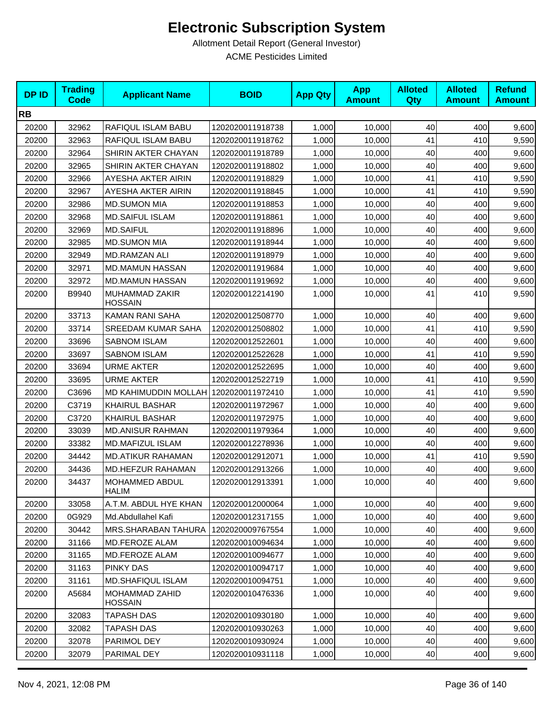| <b>DPID</b> | <b>Trading</b><br><b>Code</b> | <b>Applicant Name</b>                 | <b>BOID</b>      | <b>App Qty</b> | <b>App</b><br><b>Amount</b> | <b>Alloted</b><br>Qty | <b>Alloted</b><br><b>Amount</b> | <b>Refund</b><br><b>Amount</b> |
|-------------|-------------------------------|---------------------------------------|------------------|----------------|-----------------------------|-----------------------|---------------------------------|--------------------------------|
| <b>RB</b>   |                               |                                       |                  |                |                             |                       |                                 |                                |
| 20200       | 32962                         | RAFIQUL ISLAM BABU                    | 1202020011918738 | 1,000          | 10,000                      | 40                    | 400                             | 9,600                          |
| 20200       | 32963                         | RAFIQUL ISLAM BABU                    | 1202020011918762 | 1,000          | 10,000                      | 41                    | 410                             | 9,590                          |
| 20200       | 32964                         | SHIRIN AKTER CHAYAN                   | 1202020011918789 | 1,000          | 10,000                      | 40                    | 400                             | 9,600                          |
| 20200       | 32965                         | SHIRIN AKTER CHAYAN                   | 1202020011918802 | 1,000          | 10,000                      | 40                    | 400                             | 9,600                          |
| 20200       | 32966                         | AYESHA AKTER AIRIN                    | 1202020011918829 | 1,000          | 10,000                      | 41                    | 410                             | 9,590                          |
| 20200       | 32967                         | AYESHA AKTER AIRIN                    | 1202020011918845 | 1,000          | 10,000                      | 41                    | 410                             | 9,590                          |
| 20200       | 32986                         | <b>MD.SUMON MIA</b>                   | 1202020011918853 | 1,000          | 10,000                      | 40                    | 400                             | 9,600                          |
| 20200       | 32968                         | <b>MD.SAIFUL ISLAM</b>                | 1202020011918861 | 1,000          | 10,000                      | 40                    | 400                             | 9,600                          |
| 20200       | 32969                         | <b>MD.SAIFUL</b>                      | 1202020011918896 | 1,000          | 10,000                      | 40                    | 400                             | 9,600                          |
| 20200       | 32985                         | <b>MD.SUMON MIA</b>                   | 1202020011918944 | 1,000          | 10,000                      | 40                    | 400                             | 9,600                          |
| 20200       | 32949                         | <b>MD.RAMZAN ALI</b>                  | 1202020011918979 | 1,000          | 10,000                      | 40                    | 400                             | 9,600                          |
| 20200       | 32971                         | <b>MD.MAMUN HASSAN</b>                | 1202020011919684 | 1,000          | 10,000                      | 40                    | 400                             | 9,600                          |
| 20200       | 32972                         | <b>MD.MAMUN HASSAN</b>                | 1202020011919692 | 1,000          | 10,000                      | 40                    | 400                             | 9,600                          |
| 20200       | B9940                         | MUHAMMAD ZAKIR<br><b>HOSSAIN</b>      | 1202020012214190 | 1,000          | 10,000                      | 41                    | 410                             | 9,590                          |
| 20200       | 33713                         | KAMAN RANI SAHA                       | 1202020012508770 | 1,000          | 10,000                      | 40                    | 400                             | 9,600                          |
| 20200       | 33714                         | <b>SREEDAM KUMAR SAHA</b>             | 1202020012508802 | 1,000          | 10,000                      | 41                    | 410                             | 9,590                          |
| 20200       | 33696                         | <b>SABNOM ISLAM</b>                   | 1202020012522601 | 1,000          | 10,000                      | 40                    | 400                             | 9,600                          |
| 20200       | 33697                         | <b>SABNOM ISLAM</b>                   | 1202020012522628 | 1,000          | 10,000                      | 41                    | 410                             | 9,590                          |
| 20200       | 33694                         | <b>URME AKTER</b>                     | 1202020012522695 | 1,000          | 10,000                      | 40                    | 400                             | 9,600                          |
| 20200       | 33695                         | <b>URME AKTER</b>                     | 1202020012522719 | 1,000          | 10,000                      | 41                    | 410                             | 9,590                          |
| 20200       | C3696                         | MD KAHIMUDDIN MOLLAH 1202020011972410 |                  | 1,000          | 10,000                      | 41                    | 410                             | 9,590                          |
| 20200       | C3719                         | <b>KHAIRUL BASHAR</b>                 | 1202020011972967 | 1,000          | 10,000                      | 40                    | 400                             | 9,600                          |
| 20200       | C3720                         | <b>KHAIRUL BASHAR</b>                 | 1202020011972975 | 1,000          | 10,000                      | 40                    | 400                             | 9,600                          |
| 20200       | 33039                         | <b>MD.ANISUR RAHMAN</b>               | 1202020011979364 | 1,000          | 10,000                      | 40                    | 400                             | 9,600                          |
| 20200       | 33382                         | MD.MAFIZUL ISLAM                      | 1202020012278936 | 1,000          | 10,000                      | 40                    | 400                             | 9,600                          |
| 20200       | 34442                         | <b>MD.ATIKUR RAHAMAN</b>              | 1202020012912071 | 1,000          | 10,000                      | 41                    | 410                             | 9,590                          |
| 20200       | 34436                         | MD.HEFZUR RAHAMAN                     | 1202020012913266 | 1,000          | 10,000                      | 40                    | 400                             | 9,600                          |
| 20200       | 34437                         | <b>MOHAMMED ABDUL</b><br><b>HALIM</b> | 1202020012913391 | 1,000          | 10,000                      | 40                    | 400                             | 9,600                          |
| 20200       | 33058                         | A.T.M. ABDUL HYE KHAN                 | 1202020012000064 | 1,000          | 10,000                      | 40                    | 400                             | 9,600                          |
| 20200       | 0G929                         | Md.Abdullahel Kafi                    | 1202020012317155 | 1,000          | 10,000                      | 40                    | 400                             | 9,600                          |
| 20200       | 30442                         | MRS.SHARABAN TAHURA                   | 1202020009767554 | 1,000          | 10,000                      | 40                    | 400                             | 9,600                          |
| 20200       | 31166                         | MD.FEROZE ALAM                        | 1202020010094634 | 1,000          | 10,000                      | 40                    | 400                             | 9,600                          |
| 20200       | 31165                         | MD.FEROZE ALAM                        | 1202020010094677 | 1,000          | 10,000                      | 40                    | 400                             | 9,600                          |
| 20200       | 31163                         | PINKY DAS                             | 1202020010094717 | 1,000          | 10,000                      | 40                    | 400                             | 9,600                          |
| 20200       | 31161                         | MD.SHAFIQUL ISLAM                     | 1202020010094751 | 1,000          | 10,000                      | 40                    | 400                             | 9,600                          |
| 20200       | A5684                         | MOHAMMAD ZAHID<br><b>HOSSAIN</b>      | 1202020010476336 | 1,000          | 10,000                      | 40                    | 400                             | 9,600                          |
| 20200       | 32083                         | <b>TAPASH DAS</b>                     | 1202020010930180 | 1,000          | 10,000                      | 40                    | 400                             | 9,600                          |
| 20200       | 32082                         | TAPASH DAS                            | 1202020010930263 | 1,000          | 10,000                      | 40                    | 400                             | 9,600                          |
| 20200       | 32078                         | PARIMOL DEY                           | 1202020010930924 | 1,000          | 10,000                      | 40                    | 400                             | 9,600                          |
| 20200       | 32079                         | PARIMAL DEY                           | 1202020010931118 | 1,000          | 10,000                      | 40                    | 400                             | 9,600                          |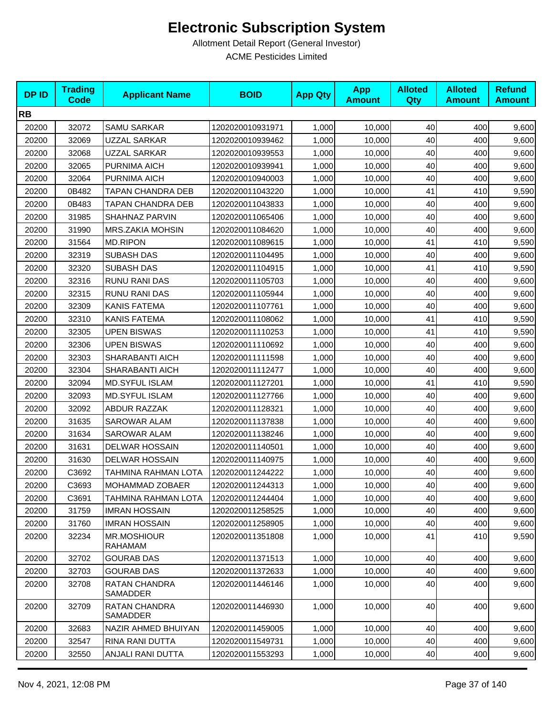| <b>DPID</b> | <b>Trading</b><br><b>Code</b> | <b>Applicant Name</b>         | <b>BOID</b>      | <b>App Qty</b> | <b>App</b><br><b>Amount</b> | <b>Alloted</b><br><b>Qty</b> | <b>Alloted</b><br><b>Amount</b> | <b>Refund</b><br><b>Amount</b> |
|-------------|-------------------------------|-------------------------------|------------------|----------------|-----------------------------|------------------------------|---------------------------------|--------------------------------|
| <b>RB</b>   |                               |                               |                  |                |                             |                              |                                 |                                |
| 20200       | 32072                         | SAMU SARKAR                   | 1202020010931971 | 1,000          | 10,000                      | 40                           | 400                             | 9,600                          |
| 20200       | 32069                         | UZZAL SARKAR                  | 1202020010939462 | 1,000          | 10,000                      | 40                           | 400                             | 9,600                          |
| 20200       | 32068                         | UZZAL SARKAR                  | 1202020010939553 | 1,000          | 10,000                      | 40                           | 400                             | 9,600                          |
| 20200       | 32065                         | PURNIMA AICH                  | 1202020010939941 | 1,000          | 10,000                      | 40                           | 400                             | 9,600                          |
| 20200       | 32064                         | PURNIMA AICH                  | 1202020010940003 | 1,000          | 10,000                      | 40                           | 400                             | 9,600                          |
| 20200       | 0B482                         | TAPAN CHANDRA DEB             | 1202020011043220 | 1,000          | 10,000                      | 41                           | 410                             | 9,590                          |
| 20200       | 0B483                         | TAPAN CHANDRA DEB             | 1202020011043833 | 1,000          | 10,000                      | 40                           | 400                             | 9,600                          |
| 20200       | 31985                         | SHAHNAZ PARVIN                | 1202020011065406 | 1,000          | 10,000                      | 40                           | 400                             | 9,600                          |
| 20200       | 31990                         | <b>MRS.ZAKIA MOHSIN</b>       | 1202020011084620 | 1,000          | 10,000                      | 40                           | 400                             | 9,600                          |
| 20200       | 31564                         | <b>MD.RIPON</b>               | 1202020011089615 | 1,000          | 10,000                      | 41                           | 410                             | 9,590                          |
| 20200       | 32319                         | SUBASH DAS                    | 1202020011104495 | 1,000          | 10,000                      | 40                           | 400                             | 9,600                          |
| 20200       | 32320                         | SUBASH DAS                    | 1202020011104915 | 1,000          | 10,000                      | 41                           | 410                             | 9,590                          |
| 20200       | 32316                         | RUNU RANI DAS                 | 1202020011105703 | 1,000          | 10,000                      | 40                           | 400                             | 9,600                          |
| 20200       | 32315                         | RUNU RANI DAS                 | 1202020011105944 | 1,000          | 10,000                      | 40                           | 400                             | 9,600                          |
| 20200       | 32309                         | <b>KANIS FATEMA</b>           | 1202020011107761 | 1,000          | 10,000                      | 40                           | 400                             | 9,600                          |
| 20200       | 32310                         | <b>KANIS FATEMA</b>           | 1202020011108062 | 1,000          | 10,000                      | 41                           | 410                             | 9,590                          |
| 20200       | 32305                         | <b>UPEN BISWAS</b>            | 1202020011110253 | 1,000          | 10,000                      | 41                           | 410                             | 9,590                          |
| 20200       | 32306                         | <b>UPEN BISWAS</b>            | 1202020011110692 | 1,000          | 10,000                      | 40                           | 400                             | 9,600                          |
| 20200       | 32303                         | SHARABANTI AICH               | 1202020011111598 | 1,000          | 10,000                      | 40                           | 400                             | 9,600                          |
| 20200       | 32304                         | SHARABANTI AICH               | 1202020011112477 | 1,000          | 10,000                      | 40                           | 400                             | 9,600                          |
| 20200       | 32094                         | MD.SYFUL ISLAM                | 1202020011127201 | 1,000          | 10,000                      | 41                           | 410                             | 9,590                          |
| 20200       | 32093                         | MD.SYFUL ISLAM                | 1202020011127766 | 1,000          | 10,000                      | 40                           | 400                             | 9,600                          |
| 20200       | 32092                         | <b>ABDUR RAZZAK</b>           | 1202020011128321 | 1,000          | 10,000                      | 40                           | 400                             | 9,600                          |
| 20200       | 31635                         | SAROWAR ALAM                  | 1202020011137838 | 1,000          | 10,000                      | 40                           | 400                             | 9,600                          |
| 20200       | 31634                         | SAROWAR ALAM                  | 1202020011138246 | 1,000          | 10,000                      | 40                           | 400                             | 9,600                          |
| 20200       | 31631                         | DELWAR HOSSAIN                | 1202020011140501 | 1,000          | 10,000                      | 40                           | 400                             | 9,600                          |
| 20200       | 31630                         | <b>DELWAR HOSSAIN</b>         | 1202020011140975 | 1,000          | 10,000                      | 40                           | 400                             | 9,600                          |
| 20200       | C3692                         | TAHMINA RAHMAN LOTA           | 1202020011244222 | 1,000          | 10,000                      | 40                           | 400                             | 9,600                          |
| 20200       | C3693                         | MOHAMMAD ZOBAER               | 1202020011244313 | 1,000          | 10,000                      | 40                           | 400                             | 9,600                          |
| 20200       | C3691                         | TAHMINA RAHMAN LOTA           | 1202020011244404 | 1,000          | 10,000                      | 40                           | 400                             | 9,600                          |
| 20200       | 31759                         | <b>IMRAN HOSSAIN</b>          | 1202020011258525 | 1,000          | 10,000                      | 40                           | 400                             | 9,600                          |
| 20200       | 31760                         | <b>IMRAN HOSSAIN</b>          | 1202020011258905 | 1,000          | 10,000                      | 40                           | 400                             | 9,600                          |
| 20200       | 32234                         | <b>MR.MOSHIOUR</b><br>RAHAMAM | 1202020011351808 | 1,000          | 10,000                      | 41                           | 410                             | 9,590                          |
| 20200       | 32702                         | <b>GOURAB DAS</b>             | 1202020011371513 | 1,000          | 10,000                      | 40                           | 400                             | 9,600                          |
| 20200       | 32703                         | <b>GOURAB DAS</b>             | 1202020011372633 | 1,000          | 10,000                      | 40                           | 400                             | 9,600                          |
| 20200       | 32708                         | RATAN CHANDRA<br>SAMADDER     | 1202020011446146 | 1,000          | 10.000                      | 40                           | 400                             | 9,600                          |
| 20200       | 32709                         | RATAN CHANDRA<br>SAMADDER     | 1202020011446930 | 1,000          | 10,000                      | 40                           | 400                             | 9,600                          |
| 20200       | 32683                         | NAZIR AHMED BHUIYAN           | 1202020011459005 | 1,000          | 10,000                      | 40                           | 400                             | 9,600                          |
| 20200       | 32547                         | RINA RANI DUTTA               | 1202020011549731 | 1,000          | 10,000                      | 40                           | 400                             | 9,600                          |
| 20200       | 32550                         | ANJALI RANI DUTTA             | 1202020011553293 | 1,000          | 10,000                      | 40                           | 400                             | 9,600                          |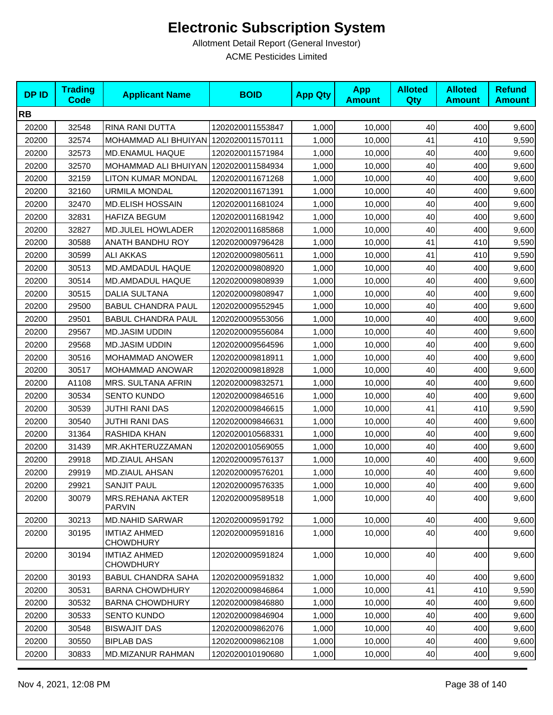| <b>DPID</b> | <b>Trading</b><br><b>Code</b> | <b>Applicant Name</b>                    | <b>BOID</b>      | <b>App Qty</b> | <b>App</b><br><b>Amount</b> | <b>Alloted</b><br><b>Qty</b> | <b>Alloted</b><br><b>Amount</b> | <b>Refund</b><br><b>Amount</b> |
|-------------|-------------------------------|------------------------------------------|------------------|----------------|-----------------------------|------------------------------|---------------------------------|--------------------------------|
| <b>RB</b>   |                               |                                          |                  |                |                             |                              |                                 |                                |
| 20200       | 32548                         | RINA RANI DUTTA                          | 1202020011553847 | 1,000          | 10,000                      | 40                           | 400                             | 9,600                          |
| 20200       | 32574                         | MOHAMMAD ALI BHUIYAN 1202020011570111    |                  | 1,000          | 10,000                      | 41                           | 410                             | 9,590                          |
| 20200       | 32573                         | MD.ENAMUL HAQUE                          | 1202020011571984 | 1,000          | 10,000                      | 40                           | 400                             | 9,600                          |
| 20200       | 32570                         | MOHAMMAD ALI BHUIYAN   1202020011584934  |                  | 1,000          | 10,000                      | 40                           | 400                             | 9,600                          |
| 20200       | 32159                         | LITON KUMAR MONDAL                       | 1202020011671268 | 1,000          | 10,000                      | 40                           | 400                             | 9,600                          |
| 20200       | 32160                         | <b>URMILA MONDAL</b>                     | 1202020011671391 | 1,000          | 10,000                      | 40                           | 400                             | 9,600                          |
| 20200       | 32470                         | <b>MD.ELISH HOSSAIN</b>                  | 1202020011681024 | 1,000          | 10,000                      | 40                           | 400                             | 9,600                          |
| 20200       | 32831                         | <b>HAFIZA BEGUM</b>                      | 1202020011681942 | 1,000          | 10,000                      | 40                           | 400                             | 9,600                          |
| 20200       | 32827                         | <b>MD.JULEL HOWLADER</b>                 | 1202020011685868 | 1,000          | 10,000                      | 40                           | 400                             | 9,600                          |
| 20200       | 30588                         | ANATH BANDHU ROY                         | 1202020009796428 | 1,000          | 10,000                      | 41                           | 410                             | 9,590                          |
| 20200       | 30599                         | ALI AKKAS                                | 1202020009805611 | 1,000          | 10,000                      | 41                           | 410                             | 9,590                          |
| 20200       | 30513                         | <b>MD.AMDADUL HAQUE</b>                  | 1202020009808920 | 1,000          | 10,000                      | 40                           | 400                             | 9,600                          |
| 20200       | 30514                         | MD.AMDADUL HAQUE                         | 1202020009808939 | 1,000          | 10,000                      | 40                           | 400                             | 9,600                          |
| 20200       | 30515                         | <b>DALIA SULTANA</b>                     | 1202020009808947 | 1,000          | 10,000                      | 40                           | 400                             | 9,600                          |
| 20200       | 29500                         | <b>BABUL CHANDRA PAUL</b>                | 1202020009552945 | 1,000          | 10,000                      | 40                           | 400                             | 9,600                          |
| 20200       | 29501                         | <b>BABUL CHANDRA PAUL</b>                | 1202020009553056 | 1,000          | 10,000                      | 40                           | 400                             | 9,600                          |
| 20200       | 29567                         | <b>MD.JASIM UDDIN</b>                    | 1202020009556084 | 1,000          | 10,000                      | 40                           | 400                             | 9,600                          |
| 20200       | 29568                         | <b>MD.JASIM UDDIN</b>                    | 1202020009564596 | 1,000          | 10,000                      | 40                           | 400                             | 9,600                          |
| 20200       | 30516                         | <b>MOHAMMAD ANOWER</b>                   | 1202020009818911 | 1,000          | 10,000                      | 40                           | 400                             | 9,600                          |
| 20200       | 30517                         | MOHAMMAD ANOWAR                          | 1202020009818928 | 1,000          | 10,000                      | 40                           | 400                             | 9,600                          |
| 20200       | A1108                         | MRS. SULTANA AFRIN                       | 1202020009832571 | 1,000          | 10,000                      | 40                           | 400                             | 9,600                          |
| 20200       | 30534                         | <b>SENTO KUNDO</b>                       | 1202020009846516 | 1,000          | 10,000                      | 40                           | 400                             | 9,600                          |
| 20200       | 30539                         | <b>JUTHI RANI DAS</b>                    | 1202020009846615 | 1,000          | 10,000                      | 41                           | 410                             | 9,590                          |
| 20200       | 30540                         | <b>JUTHI RANI DAS</b>                    | 1202020009846631 | 1,000          | 10,000                      | 40                           | 400                             | 9,600                          |
| 20200       | 31364                         | RASHIDA KHAN                             | 1202020010568331 | 1,000          | 10,000                      | 40                           | 400                             | 9,600                          |
| 20200       | 31439                         | MR.AKHTERUZZAMAN                         | 1202020010569055 | 1,000          | 10,000                      | 40                           | 400                             | 9,600                          |
| 20200       | 29918                         | MD.ZIAUL AHSAN                           | 1202020009576137 | 1,000          | 10,000                      | 40                           | 400                             | 9,600                          |
| 20200       | 29919                         | MD.ZIAUL AHSAN                           | 1202020009576201 | 1,000          | 10,000                      | 40                           | 400                             | 9,600                          |
| 20200       | 29921                         | SANJIT PAUL                              | 1202020009576335 | 1,000          | 10,000                      | 40                           | 400                             | 9,600                          |
| 20200       | 30079                         | <b>MRS.REHANA AKTER</b><br><b>PARVIN</b> | 1202020009589518 | 1,000          | 10,000                      | 40                           | 400                             | 9,600                          |
| 20200       | 30213                         | <b>MD.NAHID SARWAR</b>                   | 1202020009591792 | 1,000          | 10,000                      | 40                           | 400                             | 9,600                          |
| 20200       | 30195                         | <b>IMTIAZ AHMED</b><br><b>CHOWDHURY</b>  | 1202020009591816 | 1,000          | 10,000                      | 40                           | 400                             | 9,600                          |
| 20200       | 30194                         | <b>IMTIAZ AHMED</b><br><b>CHOWDHURY</b>  | 1202020009591824 | 1,000          | 10,000                      | 40                           | 400                             | 9,600                          |
| 20200       | 30193                         | <b>BABUL CHANDRA SAHA</b>                | 1202020009591832 | 1,000          | 10,000                      | 40                           | 400                             | 9,600                          |
| 20200       | 30531                         | <b>BARNA CHOWDHURY</b>                   | 1202020009846864 | 1,000          | 10,000                      | 41                           | 410                             | 9,590                          |
| 20200       | 30532                         | <b>BARNA CHOWDHURY</b>                   | 1202020009846880 | 1,000          | 10,000                      | 40                           | 400                             | 9,600                          |
| 20200       | 30533                         | <b>SENTO KUNDO</b>                       | 1202020009846904 | 1,000          | 10,000                      | 40                           | 400                             | 9,600                          |
| 20200       | 30548                         | <b>BISWAJIT DAS</b>                      | 1202020009862076 | 1,000          | 10,000                      | 40                           | 400                             | 9,600                          |
| 20200       | 30550                         | <b>BIPLAB DAS</b>                        | 1202020009862108 | 1,000          | 10,000                      | 40                           | 400                             | 9,600                          |
| 20200       | 30833                         | MD.MIZANUR RAHMAN                        | 1202020010190680 | 1,000          | 10,000                      | 40                           | 400                             | 9,600                          |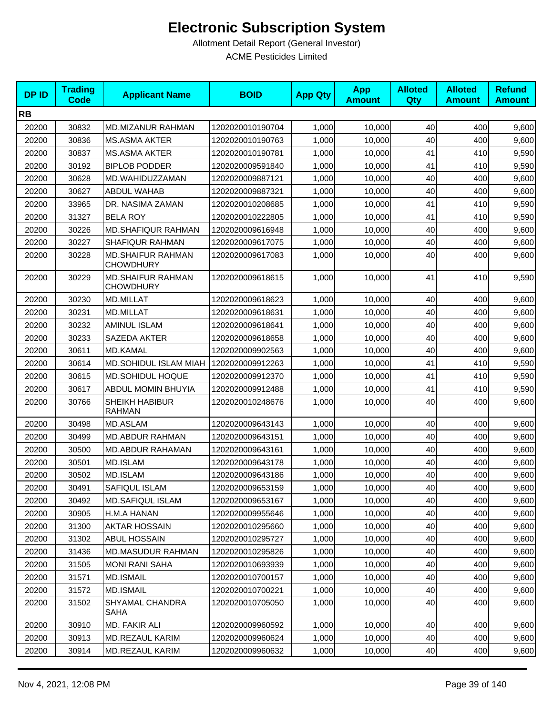| <b>DPID</b> | <b>Trading</b><br><b>Code</b> | <b>Applicant Name</b>                        | <b>BOID</b>      | <b>App Qty</b> | <b>App</b><br><b>Amount</b> | <b>Alloted</b><br>Qty | <b>Alloted</b><br><b>Amount</b> | <b>Refund</b><br><b>Amount</b> |
|-------------|-------------------------------|----------------------------------------------|------------------|----------------|-----------------------------|-----------------------|---------------------------------|--------------------------------|
| <b>RB</b>   |                               |                                              |                  |                |                             |                       |                                 |                                |
| 20200       | 30832                         | MD.MIZANUR RAHMAN                            | 1202020010190704 | 1,000          | 10,000                      | 40                    | 400                             | 9,600                          |
| 20200       | 30836                         | <b>MS.ASMA AKTER</b>                         | 1202020010190763 | 1,000          | 10,000                      | 40                    | 400                             | 9,600                          |
| 20200       | 30837                         | <b>MS.ASMA AKTER</b>                         | 1202020010190781 | 1,000          | 10,000                      | 41                    | 410                             | 9,590                          |
| 20200       | 30192                         | <b>BIPLOB PODDER</b>                         | 1202020009591840 | 1,000          | 10,000                      | 41                    | 410                             | 9,590                          |
| 20200       | 30628                         | MD.WAHIDUZZAMAN                              | 1202020009887121 | 1,000          | 10,000                      | 40                    | 400                             | 9,600                          |
| 20200       | 30627                         | <b>ABDUL WAHAB</b>                           | 1202020009887321 | 1,000          | 10.000                      | 40                    | 400                             | 9,600                          |
| 20200       | 33965                         | DR. NASIMA ZAMAN                             | 1202020010208685 | 1,000          | 10,000                      | 41                    | 410                             | 9,590                          |
| 20200       | 31327                         | <b>BELA ROY</b>                              | 1202020010222805 | 1,000          | 10,000                      | 41                    | 410                             | 9,590                          |
| 20200       | 30226                         | <b>MD.SHAFIQUR RAHMAN</b>                    | 1202020009616948 | 1,000          | 10,000                      | 40                    | 400                             | 9,600                          |
| 20200       | 30227                         | SHAFIQUR RAHMAN                              | 1202020009617075 | 1,000          | 10,000                      | 40                    | 400                             | 9,600                          |
| 20200       | 30228                         | <b>MD.SHAIFUR RAHMAN</b><br><b>CHOWDHURY</b> | 1202020009617083 | 1,000          | 10,000                      | 40                    | 400                             | 9,600                          |
| 20200       | 30229                         | <b>MD.SHAIFUR RAHMAN</b><br><b>CHOWDHURY</b> | 1202020009618615 | 1,000          | 10,000                      | 41                    | 410                             | 9,590                          |
| 20200       | 30230                         | <b>MD.MILLAT</b>                             | 1202020009618623 | 1,000          | 10,000                      | 40                    | 400                             | 9,600                          |
| 20200       | 30231                         | MD.MILLAT                                    | 1202020009618631 | 1,000          | 10,000                      | 40                    | 400                             | 9,600                          |
| 20200       | 30232                         | <b>AMINUL ISLAM</b>                          | 1202020009618641 | 1,000          | 10,000                      | 40                    | 400                             | 9,600                          |
| 20200       | 30233                         | SAZEDA AKTER                                 | 1202020009618658 | 1,000          | 10,000                      | 40                    | 400                             | 9,600                          |
| 20200       | 30611                         | MD.KAMAL                                     | 1202020009902563 | 1,000          | 10,000                      | 40                    | 400                             | 9,600                          |
| 20200       | 30614                         | MD.SOHIDUL ISLAM MIAH                        | 1202020009912263 | 1,000          | 10,000                      | 41                    | 410                             | 9,590                          |
| 20200       | 30615                         | <b>MD.SOHIDUL HOQUE</b>                      | 1202020009912370 | 1,000          | 10,000                      | 41                    | 410                             | 9,590                          |
| 20200       | 30617                         | ABDUL MOMIN BHUYIA                           | 1202020009912488 | 1,000          | 10,000                      | 41                    | 410                             | 9,590                          |
| 20200       | 30766                         | SHEIKH HABIBUR<br><b>RAHMAN</b>              | 1202020010248676 | 1,000          | 10,000                      | 40                    | 400                             | 9,600                          |
| 20200       | 30498                         | MD.ASLAM                                     | 1202020009643143 | 1,000          | 10,000                      | 40                    | 400                             | 9,600                          |
| 20200       | 30499                         | <b>MD.ABDUR RAHMAN</b>                       | 1202020009643151 | 1,000          | 10,000                      | 40                    | 400                             | 9,600                          |
| 20200       | 30500                         | <b>MD.ABDUR RAHAMAN</b>                      | 1202020009643161 | 1,000          | 10,000                      | 40                    | 400                             | 9,600                          |
| 20200       | 30501                         | MD.ISLAM                                     | 1202020009643178 | 1,000          | 10,000                      | 40                    | 400                             | 9,600                          |
| 20200       | 30502                         | MD.ISLAM                                     | 1202020009643186 | 1,000          | 10,000                      | 40                    | 400                             | 9,600                          |
| 20200       | 30491                         | SAFIQUL ISLAM                                | 1202020009653159 | 1,000          | 10,000                      | 40                    | 400                             | 9,600                          |
| 20200       | 30492                         | <b>MD.SAFIQUL ISLAM</b>                      | 1202020009653167 | 1,000          | 10.000                      | 40                    | 400                             | 9,600                          |
| 20200       | 30905                         | H.M.A HANAN                                  | 1202020009955646 | 1,000          | 10,000                      | 40                    | 400                             | 9,600                          |
| 20200       | 31300                         | <b>AKTAR HOSSAIN</b>                         | 1202020010295660 | 1,000          | 10,000                      | 40                    | 400                             | 9,600                          |
| 20200       | 31302                         | <b>ABUL HOSSAIN</b>                          | 1202020010295727 | 1,000          | 10,000                      | 40                    | 400                             | 9,600                          |
| 20200       | 31436                         | <b>MD.MASUDUR RAHMAN</b>                     | 1202020010295826 | 1,000          | 10,000                      | 40                    | 400                             | 9,600                          |
| 20200       | 31505                         | <b>MONI RANI SAHA</b>                        | 1202020010693939 | 1,000          | 10,000                      | 40                    | 400                             | 9,600                          |
| 20200       | 31571                         | <b>MD.ISMAIL</b>                             | 1202020010700157 | 1,000          | 10,000                      | 40                    | 400                             | 9,600                          |
| 20200       | 31572                         | <b>MD.ISMAIL</b>                             | 1202020010700221 | 1,000          | 10,000                      | 40                    | 400                             | 9,600                          |
| 20200       | 31502                         | SHYAMAL CHANDRA<br>SAHA                      | 1202020010705050 | 1,000          | 10,000                      | 40                    | 400                             | 9,600                          |
| 20200       | 30910                         | MD. FAKIR ALI                                | 1202020009960592 | 1,000          | 10,000                      | 40                    | 400                             | 9,600                          |
| 20200       | 30913                         | MD.REZAUL KARIM                              | 1202020009960624 | 1,000          | 10,000                      | 40                    | 400                             | 9,600                          |
| 20200       | 30914                         | MD.REZAUL KARIM                              | 1202020009960632 | 1,000          | 10,000                      | 40                    | 400                             | 9,600                          |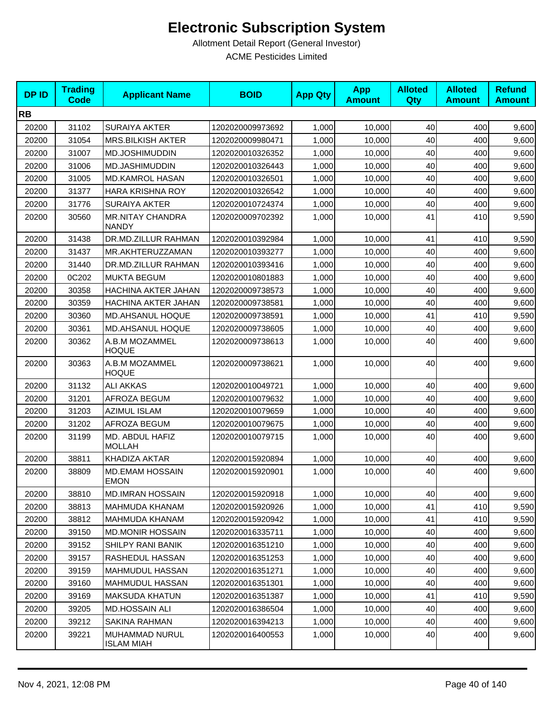| <b>DPID</b> | <b>Trading</b><br><b>Code</b> | <b>Applicant Name</b>                   | <b>BOID</b>      | <b>App Qty</b> | <b>App</b><br><b>Amount</b> | <b>Alloted</b><br><b>Qty</b> | <b>Alloted</b><br><b>Amount</b> | <b>Refund</b><br><b>Amount</b> |
|-------------|-------------------------------|-----------------------------------------|------------------|----------------|-----------------------------|------------------------------|---------------------------------|--------------------------------|
| <b>RB</b>   |                               |                                         |                  |                |                             |                              |                                 |                                |
| 20200       | 31102                         | <b>SURAIYA AKTER</b>                    | 1202020009973692 | 1,000          | 10,000                      | 40                           | 400                             | 9,600                          |
| 20200       | 31054                         | <b>MRS.BILKISH AKTER</b>                | 1202020009980471 | 1,000          | 10,000                      | 40                           | 400                             | 9,600                          |
| 20200       | 31007                         | MD.JOSHIMUDDIN                          | 1202020010326352 | 1,000          | 10,000                      | 40                           | 400                             | 9,600                          |
| 20200       | 31006                         | <b>MD.JASHIMUDDIN</b>                   | 1202020010326443 | 1,000          | 10,000                      | 40                           | 400                             | 9,600                          |
| 20200       | 31005                         | <b>MD.KAMROL HASAN</b>                  | 1202020010326501 | 1,000          | 10,000                      | 40                           | 400                             | 9,600                          |
| 20200       | 31377                         | <b>HARA KRISHNA ROY</b>                 | 1202020010326542 | 1,000          | 10,000                      | 40                           | 400                             | 9,600                          |
| 20200       | 31776                         | <b>SURAIYA AKTER</b>                    | 1202020010724374 | 1,000          | 10,000                      | 40                           | 400                             | 9,600                          |
| 20200       | 30560                         | <b>MR.NITAY CHANDRA</b><br><b>NANDY</b> | 1202020009702392 | 1,000          | 10,000                      | 41                           | 410                             | 9,590                          |
| 20200       | 31438                         | DR.MD.ZILLUR RAHMAN                     | 1202020010392984 | 1,000          | 10,000                      | 41                           | 410                             | 9,590                          |
| 20200       | 31437                         | MR.AKHTERUZZAMAN                        | 1202020010393277 | 1,000          | 10,000                      | 40                           | 400                             | 9,600                          |
| 20200       | 31440                         | DR.MD.ZILLUR RAHMAN                     | 1202020010393416 | 1,000          | 10,000                      | 40                           | 400                             | 9,600                          |
| 20200       | 0C202                         | <b>MUKTA BEGUM</b>                      | 1202020010801883 | 1,000          | 10,000                      | 40                           | 400                             | 9,600                          |
| 20200       | 30358                         | HACHINA AKTER JAHAN                     | 1202020009738573 | 1,000          | 10,000                      | 40                           | 400                             | 9,600                          |
| 20200       | 30359                         | HACHINA AKTER JAHAN                     | 1202020009738581 | 1,000          | 10,000                      | 40                           | 400                             | 9,600                          |
| 20200       | 30360                         | <b>MD.AHSANUL HOQUE</b>                 | 1202020009738591 | 1,000          | 10,000                      | 41                           | 410                             | 9,590                          |
| 20200       | 30361                         | MD.AHSANUL HOQUE                        | 1202020009738605 | 1,000          | 10,000                      | 40                           | 400                             | 9,600                          |
| 20200       | 30362                         | A.B.M MOZAMMEL<br><b>HOQUE</b>          | 1202020009738613 | 1,000          | 10,000                      | 40                           | 400                             | 9,600                          |
| 20200       | 30363                         | A.B.M MOZAMMEL<br><b>HOQUE</b>          | 1202020009738621 | 1,000          | 10,000                      | 40                           | 400                             | 9,600                          |
| 20200       | 31132                         | <b>ALI AKKAS</b>                        | 1202020010049721 | 1,000          | 10,000                      | 40                           | 400                             | 9,600                          |
| 20200       | 31201                         | AFROZA BEGUM                            | 1202020010079632 | 1,000          | 10,000                      | 40                           | 400                             | 9,600                          |
| 20200       | 31203                         | <b>AZIMUL ISLAM</b>                     | 1202020010079659 | 1,000          | 10,000                      | 40                           | 400                             | 9,600                          |
| 20200       | 31202                         | AFROZA BEGUM                            | 1202020010079675 | 1,000          | 10,000                      | 40                           | 400                             | 9,600                          |
| 20200       | 31199                         | MD. ABDUL HAFIZ<br><b>MOLLAH</b>        | 1202020010079715 | 1,000          | 10,000                      | 40                           | 400                             | 9,600                          |
| 20200       | 38811                         | KHADIZA AKTAR                           | 1202020015920894 | 1,000          | 10,000                      | 40                           | 400                             | 9,600                          |
| 20200       | 38809                         | <b>MD.EMAM HOSSAIN</b><br><b>EMON</b>   | 1202020015920901 | 1,000          | 10,000                      | 40                           | 400                             | 9,600                          |
| 20200       | 38810                         | <b>MD.IMRAN HOSSAIN</b>                 | 1202020015920918 | 1,000          | 10,000                      | 40                           | 400                             | 9,600                          |
| 20200       | 38813                         | <b>MAHMUDA KHANAM</b>                   | 1202020015920926 | 1,000          | 10,000                      | 41                           | 410                             | 9,590                          |
| 20200       | 38812                         | MAHMUDA KHANAM                          | 1202020015920942 | 1,000          | 10,000                      | 41                           | 410                             | 9,590                          |
| 20200       | 39150                         | <b>MD.MONIR HOSSAIN</b>                 | 1202020016335711 | 1,000          | 10,000                      | 40                           | 400                             | 9,600                          |
| 20200       | 39152                         | <b>SHILPY RANI BANIK</b>                | 1202020016351210 | 1,000          | 10,000                      | 40                           | 400                             | 9,600                          |
| 20200       | 39157                         | RASHEDUL HASSAN                         | 1202020016351253 | 1,000          | 10,000                      | 40                           | 400                             | 9,600                          |
| 20200       | 39159                         | <b>MAHMUDUL HASSAN</b>                  | 1202020016351271 | 1,000          | 10,000                      | 40                           | 400                             | 9,600                          |
| 20200       | 39160                         | MAHMUDUL HASSAN                         | 1202020016351301 | 1,000          | 10,000                      | 40                           | 400                             | 9,600                          |
| 20200       | 39169                         | <b>MAKSUDA KHATUN</b>                   | 1202020016351387 | 1,000          | 10,000                      | 41                           | 410                             | 9,590                          |
| 20200       | 39205                         | <b>MD.HOSSAIN ALI</b>                   | 1202020016386504 | 1,000          | 10,000                      | 40                           | 400                             | 9,600                          |
| 20200       | 39212                         | SAKINA RAHMAN                           | 1202020016394213 | 1,000          | 10,000                      | 40                           | 400                             | 9,600                          |
| 20200       | 39221                         | MUHAMMAD NURUL<br><b>ISLAM MIAH</b>     | 1202020016400553 | 1,000          | 10,000                      | 40                           | 400                             | 9,600                          |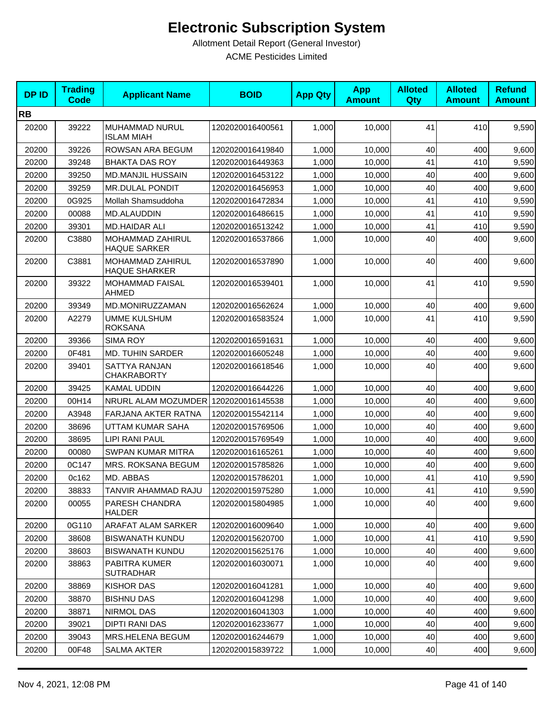| <b>DPID</b> | <b>Trading</b><br>Code | <b>Applicant Name</b>                    | <b>BOID</b>      | <b>App Qty</b> | <b>App</b><br><b>Amount</b> | <b>Alloted</b><br>Qty | <b>Alloted</b><br><b>Amount</b> | <b>Refund</b><br><b>Amount</b> |
|-------------|------------------------|------------------------------------------|------------------|----------------|-----------------------------|-----------------------|---------------------------------|--------------------------------|
| <b>RB</b>   |                        |                                          |                  |                |                             |                       |                                 |                                |
| 20200       | 39222                  | MUHAMMAD NURUL<br><b>ISLAM MIAH</b>      | 1202020016400561 | 1,000          | 10,000                      | 41                    | 410                             | 9,590                          |
| 20200       | 39226                  | ROWSAN ARA BEGUM                         | 1202020016419840 | 1,000          | 10,000                      | 40                    | 400                             | 9,600                          |
| 20200       | 39248                  | <b>BHAKTA DAS ROY</b>                    | 1202020016449363 | 1,000          | 10,000                      | 41                    | 410                             | 9,590                          |
| 20200       | 39250                  | <b>MD.MANJIL HUSSAIN</b>                 | 1202020016453122 | 1,000          | 10,000                      | 40                    | 400                             | 9,600                          |
| 20200       | 39259                  | <b>MR.DULAL PONDIT</b>                   | 1202020016456953 | 1,000          | 10,000                      | 40                    | 400                             | 9,600                          |
| 20200       | 0G925                  | Mollah Shamsuddoha                       | 1202020016472834 | 1,000          | 10,000                      | 41                    | 410                             | 9,590                          |
| 20200       | 00088                  | <b>MD.ALAUDDIN</b>                       | 1202020016486615 | 1,000          | 10,000                      | 41                    | 410                             | 9,590                          |
| 20200       | 39301                  | <b>MD.HAIDAR ALI</b>                     | 1202020016513242 | 1,000          | 10,000                      | 41                    | 410                             | 9,590                          |
| 20200       | C3880                  | MOHAMMAD ZAHIRUL<br><b>HAQUE SARKER</b>  | 1202020016537866 | 1,000          | 10,000                      | 40                    | 400                             | 9,600                          |
| 20200       | C3881                  | MOHAMMAD ZAHIRUL<br><b>HAQUE SHARKER</b> | 1202020016537890 | 1,000          | 10,000                      | 40                    | 400                             | 9,600                          |
| 20200       | 39322                  | <b>MOHAMMAD FAISAL</b><br><b>AHMED</b>   | 1202020016539401 | 1,000          | 10,000                      | 41                    | 410                             | 9,590                          |
| 20200       | 39349                  | MD.MONIRUZZAMAN                          | 1202020016562624 | 1,000          | 10,000                      | 40                    | 400                             | 9,600                          |
| 20200       | A2279                  | <b>UMME KULSHUM</b><br><b>ROKSANA</b>    | 1202020016583524 | 1,000          | 10,000                      | 41                    | 410                             | 9,590                          |
| 20200       | 39366                  | <b>SIMA ROY</b>                          | 1202020016591631 | 1,000          | 10,000                      | 40                    | 400                             | 9,600                          |
| 20200       | 0F481                  | <b>MD. TUHIN SARDER</b>                  | 1202020016605248 | 1,000          | 10,000                      | 40                    | 400                             | 9,600                          |
| 20200       | 39401                  | SATTYA RANJAN<br><b>CHAKRABORTY</b>      | 1202020016618546 | 1,000          | 10,000                      | 40                    | 400                             | 9,600                          |
| 20200       | 39425                  | <b>KAMAL UDDIN</b>                       | 1202020016644226 | 1,000          | 10,000                      | 40                    | 400                             | 9,600                          |
| 20200       | 00H14                  | NRURL ALAM MOZUMDER 1202020016145538     |                  | 1,000          | 10,000                      | 40                    | 400                             | 9,600                          |
| 20200       | A3948                  | <b>FARJANA AKTER RATNA</b>               | 1202020015542114 | 1,000          | 10,000                      | 40                    | 400                             | 9,600                          |
| 20200       | 38696                  | UTTAM KUMAR SAHA                         | 1202020015769506 | 1,000          | 10,000                      | 40                    | 400                             | 9,600                          |
| 20200       | 38695                  | <b>LIPI RANI PAUL</b>                    | 1202020015769549 | 1,000          | 10,000                      | 40                    | 400                             | 9,600                          |
| 20200       | 00080                  | <b>SWPAN KUMAR MITRA</b>                 | 1202020016165261 | 1,000          | 10,000                      | 40                    | 400                             | 9,600                          |
| 20200       | 0C147                  | MRS. ROKSANA BEGUM                       | 1202020015785826 | 1,000          | 10,000                      | 40                    | 400                             | 9,600                          |
| 20200       | 0c162                  | MD. ABBAS                                | 1202020015786201 | 1,000          | 10,000                      | 41                    | 410                             | 9,590                          |
| 20200       | 38833                  | TANVIR AHAMMAD RAJU                      | 1202020015975280 | 1,000          | 10,000                      | 41                    | 410                             | 9,590                          |
| 20200       | 00055                  | PARESH CHANDRA<br><b>HALDER</b>          | 1202020015804985 | 1,000          | 10.000                      | 40                    | 400                             | 9,600                          |
| 20200       | 0G110                  | ARAFAT ALAM SARKER                       | 1202020016009640 | 1,000          | 10,000                      | 40                    | 400                             | 9,600                          |
| 20200       | 38608                  | <b>BISWANATH KUNDU</b>                   | 1202020015620700 | 1,000          | 10,000                      | 41                    | 410                             | 9,590                          |
| 20200       | 38603                  | <b>BISWANATH KUNDU</b>                   | 1202020015625176 | 1,000          | 10,000                      | 40                    | 400                             | 9,600                          |
| 20200       | 38863                  | PABITRA KUMER<br><b>SUTRADHAR</b>        | 1202020016030071 | 1,000          | 10,000                      | 40                    | 400                             | 9,600                          |
| 20200       | 38869                  | <b>KISHOR DAS</b>                        | 1202020016041281 | 1,000          | 10,000                      | 40                    | 400                             | 9,600                          |
| 20200       | 38870                  | <b>BISHNU DAS</b>                        | 1202020016041298 | 1,000          | 10.000                      | 40                    | 400                             | 9,600                          |
| 20200       | 38871                  | NIRMOL DAS                               | 1202020016041303 | 1,000          | 10,000                      | 40                    | 400                             | 9,600                          |
| 20200       | 39021                  | DIPTI RANI DAS                           | 1202020016233677 | 1,000          | 10,000                      | 40                    | 400                             | 9,600                          |
| 20200       | 39043                  | <b>MRS.HELENA BEGUM</b>                  | 1202020016244679 | 1,000          | 10,000                      | 40                    | 400                             | 9,600                          |
| 20200       | 00F48                  | <b>SALMA AKTER</b>                       | 1202020015839722 | 1,000          | 10,000                      | 40                    | 400                             | 9,600                          |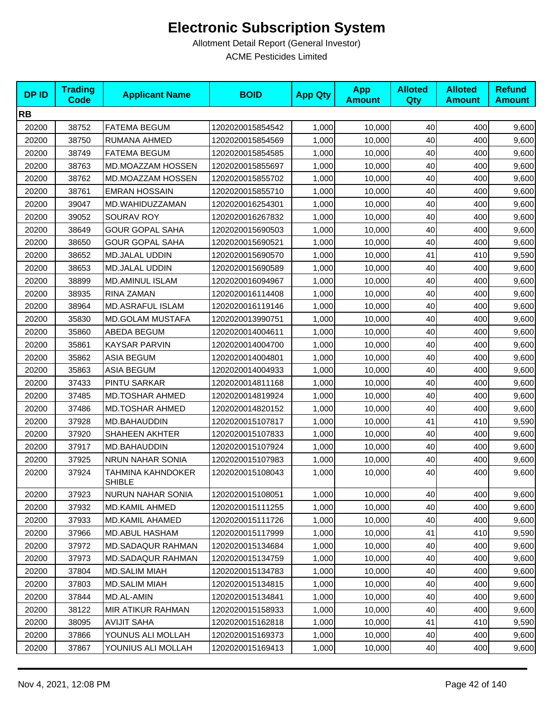| <b>DPID</b> | <b>Trading</b><br><b>Code</b> | <b>Applicant Name</b>              | <b>BOID</b>      | <b>App Qty</b> | <b>App</b><br><b>Amount</b> | <b>Alloted</b><br><b>Qty</b> | <b>Alloted</b><br><b>Amount</b> | <b>Refund</b><br><b>Amount</b> |
|-------------|-------------------------------|------------------------------------|------------------|----------------|-----------------------------|------------------------------|---------------------------------|--------------------------------|
| <b>RB</b>   |                               |                                    |                  |                |                             |                              |                                 |                                |
| 20200       | 38752                         | <b>FATEMA BEGUM</b>                | 1202020015854542 | 1,000          | 10,000                      | 40                           | 400                             | 9,600                          |
| 20200       | 38750                         | RUMANA AHMED                       | 1202020015854569 | 1,000          | 10,000                      | 40                           | 400                             | 9,600                          |
| 20200       | 38749                         | <b>FATEMA BEGUM</b>                | 1202020015854585 | 1,000          | 10,000                      | 40                           | 400                             | 9,600                          |
| 20200       | 38763                         | MD.MOAZZAM HOSSEN                  | 1202020015855697 | 1,000          | 10,000                      | 40                           | 400                             | 9,600                          |
| 20200       | 38762                         | MD.MOAZZAM HOSSEN                  | 1202020015855702 | 1,000          | 10,000                      | 40                           | 400                             | 9,600                          |
| 20200       | 38761                         | <b>EMRAN HOSSAIN</b>               | 1202020015855710 | 1,000          | 10,000                      | 40                           | 400                             | 9,600                          |
| 20200       | 39047                         | MD.WAHIDUZZAMAN                    | 1202020016254301 | 1,000          | 10,000                      | 40                           | 400                             | 9,600                          |
| 20200       | 39052                         | SOURAV ROY                         | 1202020016267832 | 1,000          | 10,000                      | 40                           | 400                             | 9,600                          |
| 20200       | 38649                         | <b>GOUR GOPAL SAHA</b>             | 1202020015690503 | 1,000          | 10,000                      | 40                           | 400                             | 9,600                          |
| 20200       | 38650                         | <b>GOUR GOPAL SAHA</b>             | 1202020015690521 | 1,000          | 10,000                      | 40                           | 400                             | 9,600                          |
| 20200       | 38652                         | MD.JALAL UDDIN                     | 1202020015690570 | 1,000          | 10,000                      | 41                           | 410                             | 9,590                          |
| 20200       | 38653                         | <b>MD.JALAL UDDIN</b>              | 1202020015690589 | 1,000          | 10,000                      | 40                           | 400                             | 9,600                          |
| 20200       | 38899                         | <b>MD.AMINUL ISLAM</b>             | 1202020016094967 | 1,000          | 10,000                      | 40                           | 400                             | 9,600                          |
| 20200       | 38935                         | RINA ZAMAN                         | 1202020016114408 | 1,000          | 10,000                      | 40                           | 400                             | 9,600                          |
| 20200       | 38964                         | <b>MD.ASRAFUL ISLAM</b>            | 1202020016119146 | 1,000          | 10,000                      | 40                           | 400                             | 9,600                          |
| 20200       | 35830                         | <b>MD.GOLAM MUSTAFA</b>            | 1202020013990751 | 1,000          | 10,000                      | 40                           | 400                             | 9,600                          |
| 20200       | 35860                         | ABEDA BEGUM                        | 1202020014004611 | 1,000          | 10,000                      | 40                           | 400                             | 9,600                          |
| 20200       | 35861                         | KAYSAR PARVIN                      | 1202020014004700 | 1,000          | 10,000                      | 40                           | 400                             | 9,600                          |
| 20200       | 35862                         | <b>ASIA BEGUM</b>                  | 1202020014004801 | 1,000          | 10,000                      | 40                           | 400                             | 9,600                          |
| 20200       | 35863                         | <b>ASIA BEGUM</b>                  | 1202020014004933 | 1,000          | 10,000                      | 40                           | 400                             | 9,600                          |
| 20200       | 37433                         | PINTU SARKAR                       | 1202020014811168 | 1,000          | 10,000                      | 40                           | 400                             | 9,600                          |
| 20200       | 37485                         | <b>MD.TOSHAR AHMED</b>             | 1202020014819924 | 1,000          | 10,000                      | 40                           | 400                             | 9,600                          |
| 20200       | 37486                         | <b>MD.TOSHAR AHMED</b>             | 1202020014820152 | 1,000          | 10,000                      | 40                           | 400                             | 9,600                          |
| 20200       | 37928                         | MD.BAHAUDDIN                       | 1202020015107817 | 1,000          | 10,000                      | 41                           | 410                             | 9,590                          |
| 20200       | 37920                         | <b>SHAHEEN AKHTER</b>              | 1202020015107833 | 1,000          | 10,000                      | 40                           | 400                             | 9,600                          |
| 20200       | 37917                         | MD.BAHAUDDIN                       | 1202020015107924 | 1,000          | 10,000                      | 40                           | 400                             | 9,600                          |
| 20200       | 37925                         | NRUN NAHAR SONIA                   | 1202020015107983 | 1,000          | 10,000                      | 40                           | 400                             | 9,600                          |
| 20200       | 37924                         | TAHMINA KAHNDOKER<br><b>SHIBLE</b> | 1202020015108043 | 1,000          | 10,000                      | 40                           | 400                             | 9,600                          |
| 20200       | 37923                         | NURUN NAHAR SONIA                  | 1202020015108051 | 1,000          | 10,000                      | 40                           | 400                             | 9,600                          |
| 20200       | 37932                         | <b>MD.KAMIL AHMED</b>              | 1202020015111255 | 1,000          | 10,000                      | 40                           | 400                             | 9,600                          |
| 20200       | 37933                         | MD.KAMIL AHAMED                    | 1202020015111726 | 1,000          | 10,000                      | 40                           | 400                             | 9,600                          |
| 20200       | 37966                         | MD.ABUL HASHAM                     | 1202020015117999 | 1,000          | 10,000                      | 41                           | 410                             | 9,590                          |
| 20200       | 37972                         | MD.SADAQUR RAHMAN                  | 1202020015134684 | 1,000          | 10,000                      | 40                           | 400                             | 9,600                          |
| 20200       | 37973                         | MD.SADAQUR RAHMAN                  | 1202020015134759 | 1,000          | 10,000                      | 40                           | 400                             | 9,600                          |
| 20200       | 37804                         | <b>MD.SALIM MIAH</b>               | 1202020015134783 | 1,000          | 10,000                      | 40                           | 400                             | 9,600                          |
| 20200       | 37803                         | <b>MD.SALIM MIAH</b>               | 1202020015134815 | 1,000          | 10,000                      | 40                           | 400                             | 9,600                          |
| 20200       | 37844                         | MD.AL-AMIN                         | 1202020015134841 | 1,000          | 10,000                      | 40                           | 400                             | 9,600                          |
| 20200       | 38122                         | MIR ATIKUR RAHMAN                  | 1202020015158933 | 1,000          | 10,000                      | 40                           | 400                             | 9,600                          |
| 20200       | 38095                         | <b>AVIJIT SAHA</b>                 | 1202020015162818 | 1,000          | 10,000                      | 41                           | 410                             | 9,590                          |
| 20200       | 37866                         | YOUNUS ALI MOLLAH                  | 1202020015169373 | 1,000          | 10,000                      | 40                           | 400                             | 9,600                          |
| 20200       | 37867                         | YOUNIUS ALI MOLLAH                 | 1202020015169413 | 1,000          | 10,000                      | 40                           | 400                             | 9,600                          |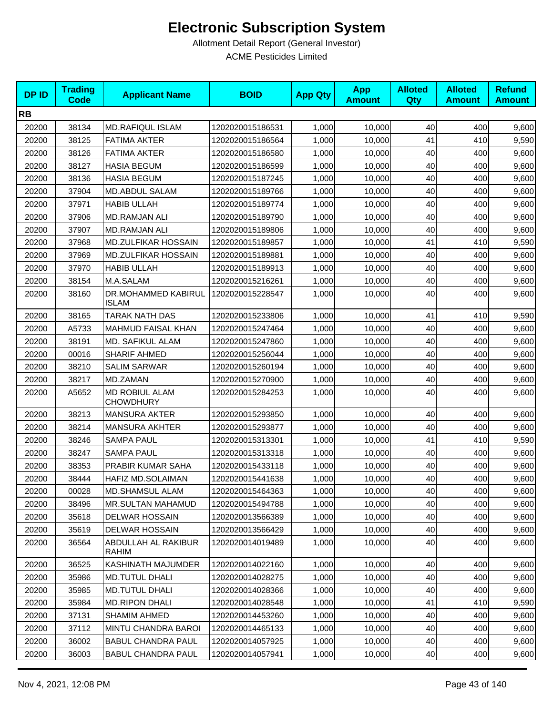| <b>DPID</b> | <b>Trading</b><br><b>Code</b> | <b>Applicant Name</b>               | <b>BOID</b>      | <b>App Qty</b> | <b>App</b><br><b>Amount</b> | <b>Alloted</b><br>Qty | <b>Alloted</b><br><b>Amount</b> | <b>Refund</b><br><b>Amount</b> |
|-------------|-------------------------------|-------------------------------------|------------------|----------------|-----------------------------|-----------------------|---------------------------------|--------------------------------|
| <b>RB</b>   |                               |                                     |                  |                |                             |                       |                                 |                                |
| 20200       | 38134                         | <b>MD.RAFIQUL ISLAM</b>             | 1202020015186531 | 1,000          | 10,000                      | 40                    | 400                             | 9,600                          |
| 20200       | 38125                         | <b>FATIMA AKTER</b>                 | 1202020015186564 | 1,000          | 10,000                      | 41                    | 410                             | 9,590                          |
| 20200       | 38126                         | <b>FATIMA AKTER</b>                 | 1202020015186580 | 1,000          | 10,000                      | 40                    | 400                             | 9,600                          |
| 20200       | 38127                         | <b>HASIA BEGUM</b>                  | 1202020015186599 | 1,000          | 10,000                      | 40                    | 400                             | 9,600                          |
| 20200       | 38136                         | <b>HASIA BEGUM</b>                  | 1202020015187245 | 1,000          | 10,000                      | 40                    | 400                             | 9,600                          |
| 20200       | 37904                         | <b>MD.ABDUL SALAM</b>               | 1202020015189766 | 1,000          | 10,000                      | 40                    | 400                             | 9,600                          |
| 20200       | 37971                         | <b>HABIB ULLAH</b>                  | 1202020015189774 | 1,000          | 10,000                      | 40                    | 400                             | 9,600                          |
| 20200       | 37906                         | <b>MD.RAMJAN ALI</b>                | 1202020015189790 | 1,000          | 10,000                      | 40                    | 400                             | 9,600                          |
| 20200       | 37907                         | MD.RAMJAN ALI                       | 1202020015189806 | 1,000          | 10,000                      | 40                    | 400                             | 9,600                          |
| 20200       | 37968                         | MD.ZULFIKAR HOSSAIN                 | 1202020015189857 | 1,000          | 10,000                      | 41                    | 410                             | 9,590                          |
| 20200       | 37969                         | MD.ZULFIKAR HOSSAIN                 | 1202020015189881 | 1,000          | 10,000                      | 40                    | 400                             | 9,600                          |
| 20200       | 37970                         | <b>HABIB ULLAH</b>                  | 1202020015189913 | 1,000          | 10,000                      | 40                    | 400                             | 9,600                          |
| 20200       | 38154                         | M.A.SALAM                           | 1202020015216261 | 1,000          | 10,000                      | 40                    | 400                             | 9,600                          |
| 20200       | 38160                         | DR.MOHAMMED KABIRUL<br><b>ISLAM</b> | 1202020015228547 | 1,000          | 10,000                      | 40                    | 400                             | 9,600                          |
| 20200       | 38165                         | <b>TARAK NATH DAS</b>               | 1202020015233806 | 1,000          | 10,000                      | 41                    | 410                             | 9,590                          |
| 20200       | A5733                         | MAHMUD FAISAL KHAN                  | 1202020015247464 | 1,000          | 10,000                      | 40                    | 400                             | 9,600                          |
| 20200       | 38191                         | MD. SAFIKUL ALAM                    | 1202020015247860 | 1,000          | 10,000                      | 40                    | 400                             | 9,600                          |
| 20200       | 00016                         | <b>SHARIF AHMED</b>                 | 1202020015256044 | 1,000          | 10,000                      | 40                    | 400                             | 9,600                          |
| 20200       | 38210                         | <b>SALIM SARWAR</b>                 | 1202020015260194 | 1,000          | 10,000                      | 40                    | 400                             | 9,600                          |
| 20200       | 38217                         | MD.ZAMAN                            | 1202020015270900 | 1,000          | 10,000                      | 40                    | 400                             | 9,600                          |
| 20200       | A5652                         | MD ROBIUL ALAM<br><b>CHOWDHURY</b>  | 1202020015284253 | 1,000          | 10,000                      | 40                    | 400                             | 9,600                          |
| 20200       | 38213                         | <b>MANSURA AKTER</b>                | 1202020015293850 | 1,000          | 10,000                      | 40                    | 400                             | 9,600                          |
| 20200       | 38214                         | <b>MANSURA AKHTER</b>               | 1202020015293877 | 1,000          | 10,000                      | 40                    | 400                             | 9,600                          |
| 20200       | 38246                         | <b>SAMPA PAUL</b>                   | 1202020015313301 | 1,000          | 10,000                      | 41                    | 410                             | 9,590                          |
| 20200       | 38247                         | <b>SAMPA PAUL</b>                   | 1202020015313318 | 1,000          | 10,000                      | 40                    | 400                             | 9,600                          |
| 20200       | 38353                         | PRABIR KUMAR SAHA                   | 1202020015433118 | 1,000          | 10,000                      | 40                    | 400                             | 9,600                          |
| 20200       | 38444                         | HAFIZ MD.SOLAIMAN                   | 1202020015441638 | 1,000          | 10,000                      | 40                    | 400                             | 9,600                          |
| 20200       | 00028                         | MD.SHAMSUL ALAM                     | 1202020015464363 | 1,000          | 10,000                      | 40                    | 400                             | 9,600                          |
| 20200       | 38496                         | <b>MR.SULTAN MAHAMUD</b>            | 1202020015494788 | 1,000          | 10,000                      | 40                    | 400                             | 9,600                          |
| 20200       | 35618                         | <b>DELWAR HOSSAIN</b>               | 1202020013566389 | 1,000          | 10,000                      | 40                    | 400                             | 9,600                          |
| 20200       | 35619                         | <b>DELWAR HOSSAIN</b>               | 1202020013566429 | 1,000          | 10,000                      | 40                    | 400                             | 9,600                          |
| 20200       | 36564                         | ABDULLAH AL RAKIBUR<br>RAHIM        | 1202020014019489 | 1,000          | 10,000                      | 40                    | 400                             | 9,600                          |
| 20200       | 36525                         | KASHINATH MAJUMDER                  | 1202020014022160 | 1,000          | 10,000                      | 40                    | 400                             | 9,600                          |
| 20200       | 35986                         | <b>MD.TUTUL DHALI</b>               | 1202020014028275 | 1,000          | 10,000                      | 40                    | 400                             | 9,600                          |
| 20200       | 35985                         | <b>MD.TUTUL DHALI</b>               | 1202020014028366 | 1,000          | 10,000                      | 40                    | 400                             | 9,600                          |
| 20200       | 35984                         | <b>MD.RIPON DHALI</b>               | 1202020014028548 | 1,000          | 10,000                      | 41                    | 410                             | 9,590                          |
| 20200       | 37131                         | <b>SHAMIM AHMED</b>                 | 1202020014453260 | 1,000          | 10,000                      | 40                    | 400                             | 9,600                          |
| 20200       | 37112                         | <b>MINTU CHANDRA BAROI</b>          | 1202020014465133 | 1,000          | 10,000                      | 40                    | 400                             | 9,600                          |
| 20200       | 36002                         | <b>BABUL CHANDRA PAUL</b>           | 1202020014057925 | 1,000          | 10,000                      | 40                    | 400                             | 9,600                          |
| 20200       | 36003                         | <b>BABUL CHANDRA PAUL</b>           | 1202020014057941 | 1,000          | 10,000                      | 40                    | 400                             | 9,600                          |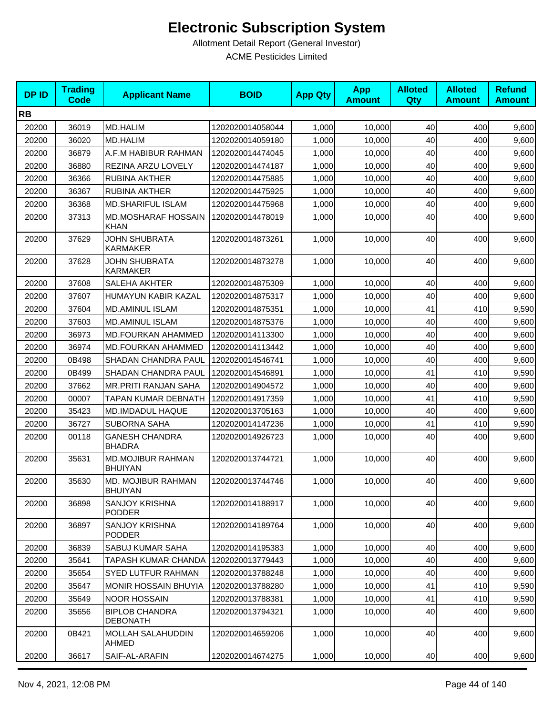| <b>DPID</b> | <b>Trading</b><br><b>Code</b> | <b>Applicant Name</b>                      | <b>BOID</b>      | <b>App Qty</b> | <b>App</b><br><b>Amount</b> | <b>Alloted</b><br>Qty | <b>Alloted</b><br><b>Amount</b> | <b>Refund</b><br><b>Amount</b> |
|-------------|-------------------------------|--------------------------------------------|------------------|----------------|-----------------------------|-----------------------|---------------------------------|--------------------------------|
| <b>RB</b>   |                               |                                            |                  |                |                             |                       |                                 |                                |
| 20200       | 36019                         | <b>MD.HALIM</b>                            | 1202020014058044 | 1,000          | 10,000                      | 40                    | 400                             | 9,600                          |
| 20200       | 36020                         | <b>MD.HALIM</b>                            | 1202020014059180 | 1,000          | 10,000                      | 40                    | 400                             | 9,600                          |
| 20200       | 36879                         | A.F.M HABIBUR RAHMAN                       | 1202020014474045 | 1,000          | 10,000                      | 40                    | 400                             | 9,600                          |
| 20200       | 36880                         | REZINA ARZU LOVELY                         | 1202020014474187 | 1,000          | 10,000                      | 40                    | 400                             | 9,600                          |
| 20200       | 36366                         | <b>RUBINA AKTHER</b>                       | 1202020014475885 | 1,000          | 10,000                      | 40                    | 400                             | 9,600                          |
| 20200       | 36367                         | RUBINA AKTHER                              | 1202020014475925 | 1,000          | 10,000                      | 40                    | 400                             | 9,600                          |
| 20200       | 36368                         | <b>MD.SHARIFUL ISLAM</b>                   | 1202020014475968 | 1,000          | 10,000                      | 40                    | 400                             | 9,600                          |
| 20200       | 37313                         | <b>MD.MOSHARAF HOSSAIN</b><br><b>KHAN</b>  | 1202020014478019 | 1,000          | 10,000                      | 40                    | 400                             | 9,600                          |
| 20200       | 37629                         | <b>JOHN SHUBRATA</b><br><b>KARMAKER</b>    | 1202020014873261 | 1,000          | 10,000                      | 40                    | 400                             | 9,600                          |
| 20200       | 37628                         | JOHN SHUBRATA<br><b>KARMAKER</b>           | 1202020014873278 | 1,000          | 10,000                      | 40                    | 400                             | 9,600                          |
| 20200       | 37608                         | <b>SALEHA AKHTER</b>                       | 1202020014875309 | 1,000          | 10,000                      | 40                    | 400                             | 9,600                          |
| 20200       | 37607                         | HUMAYUN KABIR KAZAL                        | 1202020014875317 | 1,000          | 10,000                      | 40                    | 400                             | 9,600                          |
| 20200       | 37604                         | MD.AMINUL ISLAM                            | 1202020014875351 | 1,000          | 10,000                      | 41                    | 410                             | 9,590                          |
| 20200       | 37603                         | <b>MD.AMINUL ISLAM</b>                     | 1202020014875376 | 1.000          | 10.000                      | 40                    | 400                             | 9,600                          |
| 20200       | 36973                         | MD.FOURKAN AHAMMED                         | 1202020014113300 | 1,000          | 10,000                      | 40                    | 400                             | 9,600                          |
| 20200       | 36974                         | <b>MD.FOURKAN AHAMMED</b>                  | 1202020014113442 | 1,000          | 10,000                      | 40                    | 400                             | 9,600                          |
| 20200       | 0B498                         | SHADAN CHANDRA PAUL                        | 1202020014546741 | 1,000          | 10,000                      | 40                    | 400                             | 9,600                          |
| 20200       | 0B499                         | SHADAN CHANDRA PAUL                        | 1202020014546891 | 1,000          | 10,000                      | 41                    | 410                             | 9,590                          |
| 20200       | 37662                         | MR.PRITI RANJAN SAHA                       | 1202020014904572 | 1,000          | 10,000                      | 40                    | 400                             | 9,600                          |
| 20200       | 00007                         | <b>TAPAN KUMAR DEBNATH</b>                 | 1202020014917359 | 1,000          | 10,000                      | 41                    | 410                             | 9,590                          |
| 20200       | 35423                         | MD.IMDADUL HAQUE                           | 1202020013705163 | 1,000          | 10,000                      | 40                    | 400                             | 9,600                          |
| 20200       | 36727                         | <b>SUBORNA SAHA</b>                        | 1202020014147236 | 1,000          | 10,000                      | 41                    | 410                             | 9,590                          |
| 20200       | 00118                         | <b>GANESH CHANDRA</b><br><b>BHADRA</b>     | 1202020014926723 | 1,000          | 10,000                      | 40                    | 400                             | 9,600                          |
| 20200       | 35631                         | <b>MD.MOJIBUR RAHMAN</b><br><b>BHUIYAN</b> | 1202020013744721 | 1,000          | 10,000                      | 40                    | 400                             | 9,600                          |
| 20200       | 35630                         | MD. MOJIBUR RAHMAN<br><b>BHUIYAN</b>       | 1202020013744746 | 1,000          | 10,000                      | 40                    | 400                             | 9,600                          |
| 20200       | 36898                         | <b>SANJOY KRISHNA</b><br><b>PODDER</b>     | 1202020014188917 | 1,000          | 10,000                      | 40                    | 400                             | 9,600                          |
| 20200       | 36897                         | <b>SANJOY KRISHNA</b><br><b>PODDER</b>     | 1202020014189764 | 1,000          | 10,000                      | 40                    | 400                             | 9,600                          |
| 20200       | 36839                         | SABUJ KUMAR SAHA                           | 1202020014195383 | 1,000          | 10,000                      | 40                    | 400                             | 9,600                          |
| 20200       | 35641                         | TAPASH KUMAR CHANDA                        | 1202020013779443 | 1,000          | 10,000                      | 40                    | 400                             | 9,600                          |
| 20200       | 35654                         | SYED LUTFUR RAHMAN                         | 1202020013788248 | 1,000          | 10,000                      | 40                    | 400                             | 9,600                          |
| 20200       | 35647                         | <b>MONIR HOSSAIN BHUYIA</b>                | 1202020013788280 | 1,000          | 10,000                      | 41                    | 410                             | 9,590                          |
| 20200       | 35649                         | <b>NOOR HOSSAIN</b>                        | 1202020013788381 | 1,000          | 10,000                      | 41                    | 410                             | 9,590                          |
| 20200       | 35656                         | <b>BIPLOB CHANDRA</b><br><b>DEBONATH</b>   | 1202020013794321 | 1,000          | 10,000                      | 40                    | 400                             | 9,600                          |
| 20200       | 0B421                         | MOLLAH SALAHUDDIN<br><b>AHMED</b>          | 1202020014659206 | 1,000          | 10,000                      | 40                    | 400                             | 9,600                          |
| 20200       | 36617                         | SAIF-AL-ARAFIN                             | 1202020014674275 | 1,000          | 10,000                      | 40                    | 400                             | 9,600                          |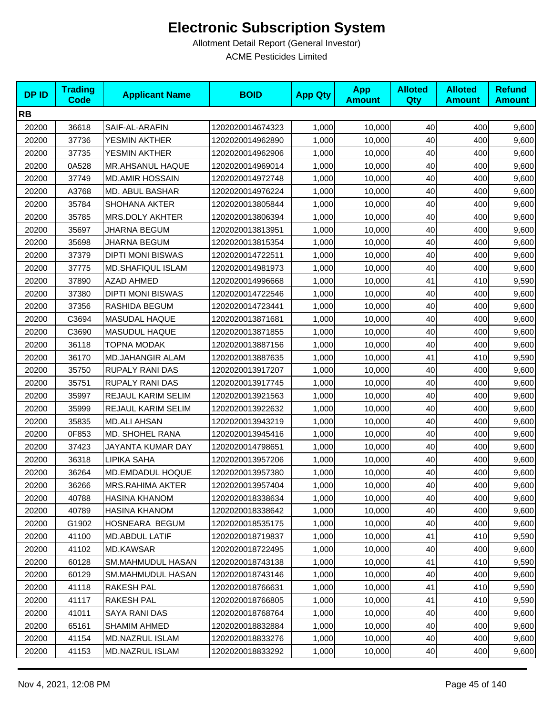| <b>DPID</b> | <b>Trading</b><br><b>Code</b> | <b>Applicant Name</b>    | <b>BOID</b>      | <b>App Qty</b> | <b>App</b><br><b>Amount</b> | <b>Alloted</b><br><b>Qty</b> | <b>Alloted</b><br><b>Amount</b> | <b>Refund</b><br><b>Amount</b> |
|-------------|-------------------------------|--------------------------|------------------|----------------|-----------------------------|------------------------------|---------------------------------|--------------------------------|
| <b>RB</b>   |                               |                          |                  |                |                             |                              |                                 |                                |
| 20200       | 36618                         | SAIF-AL-ARAFIN           | 1202020014674323 | 1,000          | 10,000                      | 40                           | 400                             | 9,600                          |
| 20200       | 37736                         | YESMIN AKTHER            | 1202020014962890 | 1,000          | 10,000                      | 40                           | 400                             | 9,600                          |
| 20200       | 37735                         | YESMIN AKTHER            | 1202020014962906 | 1,000          | 10,000                      | 40                           | 400                             | 9,600                          |
| 20200       | 0A528                         | MR.AHSANUL HAQUE         | 1202020014969014 | 1,000          | 10,000                      | 40                           | 400                             | 9,600                          |
| 20200       | 37749                         | <b>MD.AMIR HOSSAIN</b>   | 1202020014972748 | 1,000          | 10,000                      | 40                           | 400                             | 9,600                          |
| 20200       | A3768                         | MD. ABUL BASHAR          | 1202020014976224 | 1,000          | 10,000                      | 40                           | 400                             | 9,600                          |
| 20200       | 35784                         | <b>SHOHANA AKTER</b>     | 1202020013805844 | 1,000          | 10,000                      | 40                           | 400                             | 9,600                          |
| 20200       | 35785                         | <b>MRS.DOLY AKHTER</b>   | 1202020013806394 | 1,000          | 10,000                      | 40                           | 400                             | 9,600                          |
| 20200       | 35697                         | <b>JHARNA BEGUM</b>      | 1202020013813951 | 1,000          | 10,000                      | 40                           | 400                             | 9,600                          |
| 20200       | 35698                         | <b>JHARNA BEGUM</b>      | 1202020013815354 | 1,000          | 10,000                      | 40                           | 400                             | 9,600                          |
| 20200       | 37379                         | <b>DIPTI MONI BISWAS</b> | 1202020014722511 | 1,000          | 10,000                      | 40                           | 400                             | 9,600                          |
| 20200       | 37775                         | <b>MD.SHAFIQUL ISLAM</b> | 1202020014981973 | 1,000          | 10,000                      | 40                           | 400                             | 9,600                          |
| 20200       | 37890                         | <b>AZAD AHMED</b>        | 1202020014996668 | 1,000          | 10,000                      | 41                           | 410                             | 9,590                          |
| 20200       | 37380                         | <b>DIPTI MONI BISWAS</b> | 1202020014722546 | 1,000          | 10,000                      | 40                           | 400                             | 9,600                          |
| 20200       | 37356                         | RASHIDA BEGUM            | 1202020014723441 | 1,000          | 10,000                      | 40                           | 400                             | 9,600                          |
| 20200       | C3694                         | MASUDAL HAQUE            | 1202020013871681 | 1,000          | 10,000                      | 40                           | 400                             | 9,600                          |
| 20200       | C3690                         | <b>MASUDUL HAQUE</b>     | 1202020013871855 | 1,000          | 10,000                      | 40                           | 400                             | 9,600                          |
| 20200       | 36118                         | <b>TOPNA MODAK</b>       | 1202020013887156 | 1,000          | 10,000                      | 40                           | 400                             | 9,600                          |
| 20200       | 36170                         | MD.JAHANGIR ALAM         | 1202020013887635 | 1,000          | 10,000                      | 41                           | 410                             | 9,590                          |
| 20200       | 35750                         | RUPALY RANI DAS          | 1202020013917207 | 1,000          | 10,000                      | 40                           | 400                             | 9,600                          |
| 20200       | 35751                         | <b>RUPALY RANI DAS</b>   | 1202020013917745 | 1,000          | 10,000                      | 40                           | 400                             | 9,600                          |
| 20200       | 35997                         | REJAUL KARIM SELIM       | 1202020013921563 | 1,000          | 10,000                      | 40                           | 400                             | 9,600                          |
| 20200       | 35999                         | REJAUL KARIM SELIM       | 1202020013922632 | 1,000          | 10,000                      | 40                           | 400                             | 9,600                          |
| 20200       | 35835                         | <b>MD.ALI AHSAN</b>      | 1202020013943219 | 1,000          | 10,000                      | 40                           | 400                             | 9,600                          |
| 20200       | 0F853                         | <b>MD. SHOHEL RANA</b>   | 1202020013945416 | 1,000          | 10,000                      | 40                           | 400                             | 9,600                          |
| 20200       | 37423                         | JAYANTA KUMAR DAY        | 1202020014798651 | 1,000          | 10,000                      | 40                           | 400                             | 9,600                          |
| 20200       | 36318                         | LIPIKA SAHA              | 1202020013957206 | 1,000          | 10,000                      | 40                           | 400                             | 9,600                          |
| 20200       | 36264                         | MD.EMDADUL HOQUE         | 1202020013957380 | 1,000          | 10,000                      | 40                           | 400                             | 9,600                          |
| 20200       | 36266                         | MRS.RAHIMA AKTER         | 1202020013957404 | 1,000          | 10,000                      | 40                           | 400                             | 9,600                          |
| 20200       | 40788                         | HASINA KHANOM            | 1202020018338634 | 1,000          | 10,000                      | 40                           | 400                             | 9,600                          |
| 20200       | 40789                         | HASINA KHANOM            | 1202020018338642 | 1,000          | 10,000                      | 40                           | 400                             | 9,600                          |
| 20200       | G1902                         | HOSNEARA BEGUM           | 1202020018535175 | 1,000          | 10,000                      | 40                           | 400                             | 9,600                          |
| 20200       | 41100                         | <b>MD.ABDUL LATIF</b>    | 1202020018719837 | 1,000          | 10,000                      | 41                           | 410                             | 9,590                          |
| 20200       | 41102                         | MD.KAWSAR                | 1202020018722495 | 1,000          | 10,000                      | 40                           | 400                             | 9,600                          |
| 20200       | 60128                         | SM.MAHMUDUL HASAN        | 1202020018743138 | 1,000          | 10,000                      | 41                           | 410                             | 9,590                          |
| 20200       | 60129                         | SM.MAHMUDUL HASAN        | 1202020018743146 | 1,000          | 10,000                      | 40                           | 400                             | 9,600                          |
| 20200       | 41118                         | RAKESH PAL               | 1202020018766631 | 1,000          | 10,000                      | 41                           | 410                             | 9,590                          |
| 20200       | 41117                         | RAKESH PAL               | 1202020018766805 | 1,000          | 10,000                      | 41                           | 410                             | 9,590                          |
| 20200       | 41011                         | SAYA RANI DAS            | 1202020018768764 | 1,000          | 10,000                      | 40                           | 400                             | 9,600                          |
| 20200       | 65161                         | <b>SHAMIM AHMED</b>      | 1202020018832884 | 1,000          | 10,000                      | 40                           | 400                             | 9,600                          |
| 20200       | 41154                         | MD.NAZRUL ISLAM          | 1202020018833276 | 1,000          | 10,000                      | 40                           | 400                             | 9,600                          |
| 20200       | 41153                         | MD.NAZRUL ISLAM          | 1202020018833292 | 1,000          | 10,000                      | 40                           | 400                             | 9,600                          |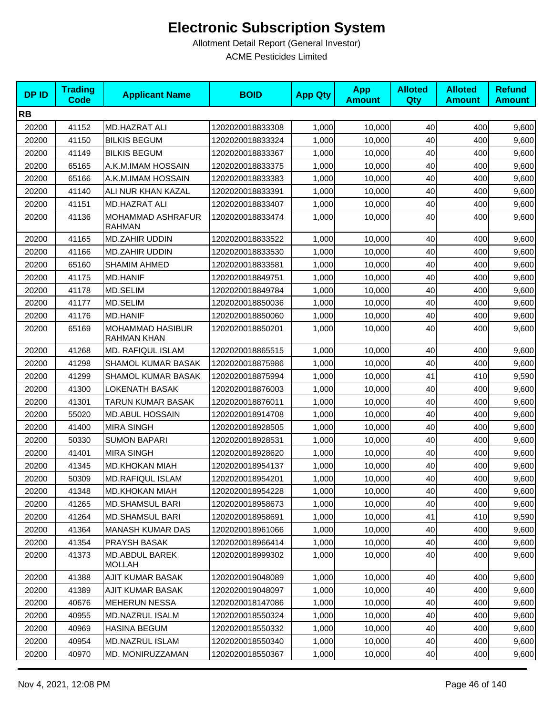| <b>DPID</b> | <b>Trading</b><br><b>Code</b> | <b>Applicant Name</b>                  | <b>BOID</b>      | <b>App Qty</b> | <b>App</b><br><b>Amount</b> | <b>Alloted</b><br>Qty | <b>Alloted</b><br><b>Amount</b> | <b>Refund</b><br><b>Amount</b> |
|-------------|-------------------------------|----------------------------------------|------------------|----------------|-----------------------------|-----------------------|---------------------------------|--------------------------------|
| <b>RB</b>   |                               |                                        |                  |                |                             |                       |                                 |                                |
| 20200       | 41152                         | MD.HAZRAT ALI                          | 1202020018833308 | 1,000          | 10,000                      | 40                    | 400                             | 9,600                          |
| 20200       | 41150                         | <b>BILKIS BEGUM</b>                    | 1202020018833324 | 1,000          | 10,000                      | 40                    | 400                             | 9,600                          |
| 20200       | 41149                         | <b>BILKIS BEGUM</b>                    | 1202020018833367 | 1,000          | 10,000                      | 40                    | 400                             | 9,600                          |
| 20200       | 65165                         | A.K.M.IMAM HOSSAIN                     | 1202020018833375 | 1,000          | 10,000                      | 40                    | 400                             | 9,600                          |
| 20200       | 65166                         | A.K.M.IMAM HOSSAIN                     | 1202020018833383 | 1,000          | 10,000                      | 40                    | 400                             | 9,600                          |
| 20200       | 41140                         | ALI NUR KHAN KAZAL                     | 1202020018833391 | 1,000          | 10,000                      | 40                    | 400                             | 9,600                          |
| 20200       | 41151                         | <b>MD.HAZRAT ALI</b>                   | 1202020018833407 | 1,000          | 10,000                      | 40                    | 400                             | 9,600                          |
| 20200       | 41136                         | MOHAMMAD ASHRAFUR<br><b>RAHMAN</b>     | 1202020018833474 | 1,000          | 10,000                      | 40                    | 400                             | 9,600                          |
| 20200       | 41165                         | <b>MD.ZAHIR UDDIN</b>                  | 1202020018833522 | 1,000          | 10,000                      | 40                    | 400                             | 9,600                          |
| 20200       | 41166                         | <b>MD.ZAHIR UDDIN</b>                  | 1202020018833530 | 1,000          | 10,000                      | 40                    | 400                             | 9,600                          |
| 20200       | 65160                         | <b>SHAMIM AHMED</b>                    | 1202020018833581 | 1,000          | 10,000                      | 40                    | 400                             | 9,600                          |
| 20200       | 41175                         | <b>MD.HANIF</b>                        | 1202020018849751 | 1,000          | 10,000                      | 40                    | 400                             | 9,600                          |
| 20200       | 41178                         | <b>MD.SELIM</b>                        | 1202020018849784 | 1,000          | 10,000                      | 40                    | 400                             | 9,600                          |
| 20200       | 41177                         | MD.SELIM                               | 1202020018850036 | 1,000          | 10,000                      | 40                    | 400                             | 9,600                          |
| 20200       | 41176                         | <b>MD.HANIF</b>                        | 1202020018850060 | 1,000          | 10,000                      | 40                    | 400                             | 9,600                          |
| 20200       | 65169                         | MOHAMMAD HASIBUR<br><b>RAHMAN KHAN</b> | 1202020018850201 | 1,000          | 10,000                      | 40                    | 400                             | 9,600                          |
| 20200       | 41268                         | MD. RAFIQUL ISLAM                      | 1202020018865515 | 1,000          | 10,000                      | 40                    | 400                             | 9,600                          |
| 20200       | 41298                         | SHAMOL KUMAR BASAK                     | 1202020018875986 | 1,000          | 10,000                      | 40                    | 400                             | 9,600                          |
| 20200       | 41299                         | <b>SHAMOL KUMAR BASAK</b>              | 1202020018875994 | 1,000          | 10,000                      | 41                    | 410                             | 9,590                          |
| 20200       | 41300                         | <b>LOKENATH BASAK</b>                  | 1202020018876003 | 1,000          | 10,000                      | 40                    | 400                             | 9,600                          |
| 20200       | 41301                         | TARUN KUMAR BASAK                      | 1202020018876011 | 1,000          | 10,000                      | 40                    | 400                             | 9,600                          |
| 20200       | 55020                         | <b>MD.ABUL HOSSAIN</b>                 | 1202020018914708 | 1,000          | 10,000                      | 40                    | 400                             | 9,600                          |
| 20200       | 41400                         | <b>MIRA SINGH</b>                      | 1202020018928505 | 1,000          | 10,000                      | 40                    | 400                             | 9,600                          |
| 20200       | 50330                         | <b>SUMON BAPARI</b>                    | 1202020018928531 | 1,000          | 10,000                      | 40                    | 400                             | 9,600                          |
| 20200       | 41401                         | <b>MIRA SINGH</b>                      | 1202020018928620 | 1,000          | 10,000                      | 40                    | 400                             | 9,600                          |
| 20200       | 41345                         | <b>MD.KHOKAN MIAH</b>                  | 1202020018954137 | 1,000          | 10,000                      | 40                    | 400                             | 9,600                          |
| 20200       | 50309                         | <b>MD.RAFIQUL ISLAM</b>                | 1202020018954201 | 1,000          | 10,000                      | 40                    | 400                             | 9,600                          |
| 20200       | 41348                         | <b>MD.KHOKAN MIAH</b>                  | 1202020018954228 | 1,000          | 10,000                      | 40                    | 400                             | 9,600                          |
| 20200       | 41265                         | <b>MD.SHAMSUL BARI</b>                 | 1202020018958673 | 1,000          | 10,000                      | 40                    | 400                             | 9,600                          |
| 20200       | 41264                         | <b>MD.SHAMSUL BARI</b>                 | 1202020018958691 | 1,000          | 10,000                      | 41                    | 410                             | 9,590                          |
| 20200       | 41364                         | MANASH KUMAR DAS                       | 1202020018961066 | 1,000          | 10,000                      | 40                    | 400                             | 9,600                          |
| 20200       | 41354                         | PRAYSH BASAK                           | 1202020018966414 | 1,000          | 10,000                      | 40                    | 400                             | 9,600                          |
| 20200       | 41373                         | MD.ABDUL BAREK<br>MOLLAH               | 1202020018999302 | 1,000          | 10,000                      | 40                    | 400                             | 9,600                          |
| 20200       | 41388                         | AJIT KUMAR BASAK                       | 1202020019048089 | 1,000          | 10,000                      | 40                    | 400                             | 9,600                          |
| 20200       | 41389                         | AJIT KUMAR BASAK                       | 1202020019048097 | 1,000          | 10,000                      | 40                    | 400                             | 9,600                          |
| 20200       | 40676                         | <b>MEHERUN NESSA</b>                   | 1202020018147086 | 1,000          | 10,000                      | 40                    | 400                             | 9,600                          |
| 20200       | 40955                         | MD.NAZRUL ISALM                        | 1202020018550324 | 1,000          | 10,000                      | 40                    | 400                             | 9,600                          |
| 20200       | 40969                         | <b>HASINA BEGUM</b>                    | 1202020018550332 | 1,000          | 10,000                      | 40                    | 400                             | 9,600                          |
| 20200       | 40954                         | MD.NAZRUL ISLAM                        | 1202020018550340 | 1,000          | 10,000                      | 40                    | 400                             | 9,600                          |
| 20200       | 40970                         | MD. MONIRUZZAMAN                       | 1202020018550367 | 1,000          | 10,000                      | 40                    | 400                             | 9,600                          |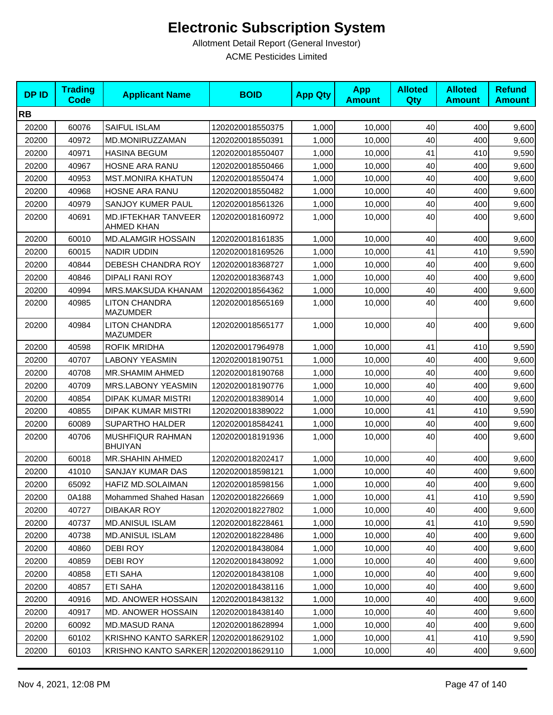| <b>DPID</b> | <b>Trading</b><br><b>Code</b> | <b>Applicant Name</b>                           | <b>BOID</b>      | <b>App Qty</b> | <b>App</b><br><b>Amount</b> | <b>Alloted</b><br>Qty | <b>Alloted</b><br><b>Amount</b> | <b>Refund</b><br><b>Amount</b> |
|-------------|-------------------------------|-------------------------------------------------|------------------|----------------|-----------------------------|-----------------------|---------------------------------|--------------------------------|
| <b>RB</b>   |                               |                                                 |                  |                |                             |                       |                                 |                                |
| 20200       | 60076                         | <b>SAIFUL ISLAM</b>                             | 1202020018550375 | 1,000          | 10,000                      | 40                    | 400                             | 9,600                          |
| 20200       | 40972                         | MD.MONIRUZZAMAN                                 | 1202020018550391 | 1,000          | 10,000                      | 40                    | 400                             | 9,600                          |
| 20200       | 40971                         | <b>HASINA BEGUM</b>                             | 1202020018550407 | 1,000          | 10,000                      | 41                    | 410                             | 9,590                          |
| 20200       | 40967                         | <b>HOSNE ARA RANU</b>                           | 1202020018550466 | 1,000          | 10,000                      | 40                    | 400                             | 9,600                          |
| 20200       | 40953                         | <b>MST.MONIRA KHATUN</b>                        | 1202020018550474 | 1,000          | 10,000                      | 40                    | 400                             | 9,600                          |
| 20200       | 40968                         | HOSNE ARA RANU                                  | 1202020018550482 | 1,000          | 10,000                      | 40                    | 400                             | 9,600                          |
| 20200       | 40979                         | SANJOY KUMER PAUL                               | 1202020018561326 | 1,000          | 10,000                      | 40                    | 400                             | 9,600                          |
| 20200       | 40691                         | <b>MD.IFTEKHAR TANVEER</b><br><b>AHMED KHAN</b> | 1202020018160972 | 1,000          | 10,000                      | 40                    | 400                             | 9,600                          |
| 20200       | 60010                         | <b>MD.ALAMGIR HOSSAIN</b>                       | 1202020018161835 | 1,000          | 10,000                      | 40                    | 400                             | 9,600                          |
| 20200       | 60015                         | <b>NADIR UDDIN</b>                              | 1202020018169526 | 1,000          | 10,000                      | 41                    | 410                             | 9,590                          |
| 20200       | 40844                         | DEBESH CHANDRA ROY                              | 1202020018368727 | 1,000          | 10,000                      | 40                    | 400                             | 9,600                          |
| 20200       | 40846                         | <b>DIPALI RANI ROY</b>                          | 1202020018368743 | 1,000          | 10,000                      | 40                    | 400                             | 9,600                          |
| 20200       | 40994                         | MRS.MAKSUDA KHANAM                              | 1202020018564362 | 1,000          | 10,000                      | 40                    | 400                             | 9,600                          |
| 20200       | 40985                         | <b>LITON CHANDRA</b><br><b>MAZUMDER</b>         | 1202020018565169 | 1,000          | 10,000                      | 40                    | 400                             | 9,600                          |
| 20200       | 40984                         | <b>LITON CHANDRA</b><br><b>MAZUMDER</b>         | 1202020018565177 | 1,000          | 10,000                      | 40                    | 400                             | 9,600                          |
| 20200       | 40598                         | <b>ROFIK MRIDHA</b>                             | 1202020017964978 | 1,000          | 10,000                      | 41                    | 410                             | 9,590                          |
| 20200       | 40707                         | <b>LABONY YEASMIN</b>                           | 1202020018190751 | 1,000          | 10,000                      | 40                    | 400                             | 9,600                          |
| 20200       | 40708                         | MR.SHAMIM AHMED                                 | 1202020018190768 | 1,000          | 10,000                      | 40                    | 400                             | 9,600                          |
| 20200       | 40709                         | MRS.LABONY YEASMIN                              | 1202020018190776 | 1,000          | 10,000                      | 40                    | 400                             | 9,600                          |
| 20200       | 40854                         | <b>DIPAK KUMAR MISTRI</b>                       | 1202020018389014 | 1,000          | 10,000                      | 40                    | 400                             | 9,600                          |
| 20200       | 40855                         | <b>DIPAK KUMAR MISTRI</b>                       | 1202020018389022 | 1,000          | 10,000                      | 41                    | 410                             | 9,590                          |
| 20200       | 60089                         | SUPARTHO HALDER                                 | 1202020018584241 | 1,000          | 10,000                      | 40                    | 400                             | 9,600                          |
| 20200       | 40706                         | MUSHFIQUR RAHMAN<br><b>BHUIYAN</b>              | 1202020018191936 | 1,000          | 10,000                      | 40                    | 400                             | 9,600                          |
| 20200       | 60018                         | <b>MR.SHAHIN AHMED</b>                          | 1202020018202417 | 1,000          | 10,000                      | 40                    | 400                             | 9,600                          |
| 20200       | 41010                         | SANJAY KUMAR DAS                                | 1202020018598121 | 1,000          | 10,000                      | 40                    | 400                             | 9,600                          |
| 20200       | 65092                         | HAFIZ MD.SOLAIMAN                               | 1202020018598156 | 1,000          | 10,000                      | 40                    | 400                             | 9,600                          |
| 20200       | 0A188                         | Mohammed Shahed Hasan                           | 1202020018226669 | 1,000          | 10,000                      | 41                    | 410                             | 9,590                          |
| 20200       | 40727                         | DIBAKAR ROY                                     | 1202020018227802 | 1,000          | 10,000                      | 40                    | 400                             | 9,600                          |
| 20200       | 40737                         | <b>MD.ANISUL ISLAM</b>                          | 1202020018228461 | 1,000          | 10,000                      | 41                    | 410                             | 9,590                          |
| 20200       | 40738                         | <b>MD.ANISUL ISLAM</b>                          | 1202020018228486 | 1,000          | 10,000                      | 40                    | 400                             | 9,600                          |
| 20200       | 40860                         | <b>DEBI ROY</b>                                 | 1202020018438084 | 1,000          | 10,000                      | 40                    | 400                             | 9,600                          |
| 20200       | 40859                         | <b>DEBI ROY</b>                                 | 1202020018438092 | 1,000          | 10,000                      | 40                    | 400                             | 9,600                          |
| 20200       | 40858                         | ETI SAHA                                        | 1202020018438108 | 1,000          | 10,000                      | 40                    | 400                             | 9,600                          |
| 20200       | 40857                         | ETI SAHA                                        | 1202020018438116 | 1,000          | 10,000                      | 40                    | 400                             | 9,600                          |
| 20200       | 40916                         | <b>MD. ANOWER HOSSAIN</b>                       | 1202020018438132 | 1,000          | 10,000                      | 40                    | 400                             | 9,600                          |
| 20200       | 40917                         | <b>MD. ANOWER HOSSAIN</b>                       | 1202020018438140 | 1,000          | 10,000                      | 40                    | 400                             | 9,600                          |
| 20200       | 60092                         | <b>MD.MASUD RANA</b>                            | 1202020018628994 | 1,000          | 10,000                      | 40                    | 400                             | 9,600                          |
| 20200       | 60102                         | KRISHNO KANTO SARKER 1202020018629102           |                  | 1,000          | 10,000                      | 41                    | 410                             | 9,590                          |
| 20200       | 60103                         | KRISHNO KANTO SARKER 1202020018629110           |                  | 1,000          | 10,000                      | 40                    | 400                             | 9,600                          |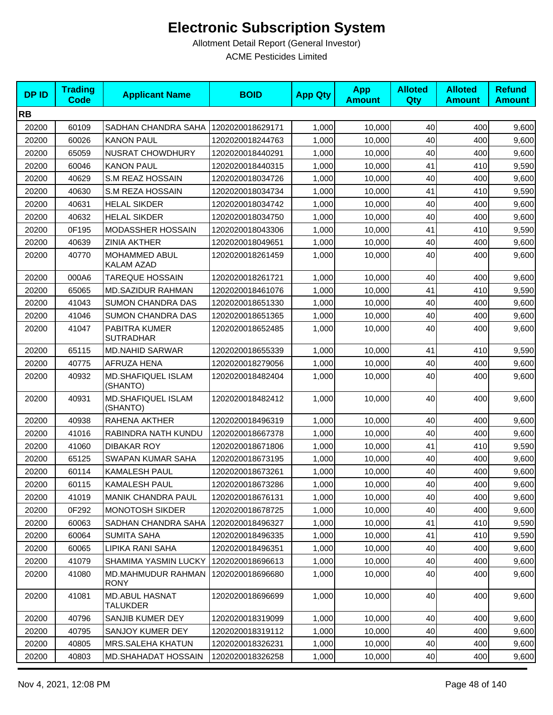| <b>DPID</b> | <b>Trading</b><br><b>Code</b> | <b>Applicant Name</b>                    | <b>BOID</b>      | <b>App Qty</b> | <b>App</b><br><b>Amount</b> | <b>Alloted</b><br><b>Qty</b> | <b>Alloted</b><br><b>Amount</b> | <b>Refund</b><br><b>Amount</b> |
|-------------|-------------------------------|------------------------------------------|------------------|----------------|-----------------------------|------------------------------|---------------------------------|--------------------------------|
| <b>RB</b>   |                               |                                          |                  |                |                             |                              |                                 |                                |
| 20200       | 60109                         | SADHAN CHANDRA SAHA                      | 1202020018629171 | 1,000          | 10,000                      | 40                           | 400                             | 9,600                          |
| 20200       | 60026                         | <b>KANON PAUL</b>                        | 1202020018244763 | 1,000          | 10,000                      | 40                           | 400                             | 9,600                          |
| 20200       | 65059                         | <b>NUSRAT CHOWDHURY</b>                  | 1202020018440291 | 1,000          | 10,000                      | 40                           | 400                             | 9,600                          |
| 20200       | 60046                         | <b>KANON PAUL</b>                        | 1202020018440315 | 1,000          | 10,000                      | 41                           | 410                             | 9,590                          |
| 20200       | 40629                         | S.M REAZ HOSSAIN                         | 1202020018034726 | 1,000          | 10,000                      | 40                           | 400                             | 9,600                          |
| 20200       | 40630                         | S.M REZA HOSSAIN                         | 1202020018034734 | 1,000          | 10.000                      | 41                           | 410                             | 9,590                          |
| 20200       | 40631                         | <b>HELAL SIKDER</b>                      | 1202020018034742 | 1,000          | 10,000                      | 40                           | 400                             | 9,600                          |
| 20200       | 40632                         | <b>HELAL SIKDER</b>                      | 1202020018034750 | 1,000          | 10,000                      | 40                           | 400                             | 9,600                          |
| 20200       | 0F195                         | MODASSHER HOSSAIN                        | 1202020018043306 | 1,000          | 10,000                      | 41                           | 410                             | 9,590                          |
| 20200       | 40639                         | <b>ZINIA AKTHER</b>                      | 1202020018049651 | 1,000          | 10,000                      | 40                           | 400                             | 9,600                          |
| 20200       | 40770                         | MOHAMMED ABUL<br>KALAM AZAD              | 1202020018261459 | 1,000          | 10,000                      | 40                           | 400                             | 9,600                          |
| 20200       | 000A6                         | <b>TAREQUE HOSSAIN</b>                   | 1202020018261721 | 1,000          | 10,000                      | 40                           | 400                             | 9,600                          |
| 20200       | 65065                         | <b>MD.SAZIDUR RAHMAN</b>                 | 1202020018461076 | 1,000          | 10,000                      | 41                           | 410                             | 9,590                          |
| 20200       | 41043                         | <b>SUMON CHANDRA DAS</b>                 | 1202020018651330 | 1,000          | 10,000                      | 40                           | 400                             | 9,600                          |
| 20200       | 41046                         | <b>SUMON CHANDRA DAS</b>                 | 1202020018651365 | 1,000          | 10,000                      | 40                           | 400                             | 9,600                          |
| 20200       | 41047                         | PABITRA KUMER<br><b>SUTRADHAR</b>        | 1202020018652485 | 1,000          | 10,000                      | 40                           | 400                             | 9,600                          |
| 20200       | 65115                         | <b>MD.NAHID SARWAR</b>                   | 1202020018655339 | 1,000          | 10,000                      | 41                           | 410                             | 9,590                          |
| 20200       | 40775                         | AFRUZA HENA                              | 1202020018279056 | 1,000          | 10,000                      | 40                           | 400                             | 9,600                          |
| 20200       | 40932                         | MD.SHAFIQUEL ISLAM<br>(SHANTO)           | 1202020018482404 | 1,000          | 10,000                      | 40                           | 400                             | 9,600                          |
| 20200       | 40931                         | MD.SHAFIQUEL ISLAM<br>(SHANTO)           | 1202020018482412 | 1,000          | 10,000                      | 40                           | 400                             | 9,600                          |
| 20200       | 40938                         | RAHENA AKTHER                            | 1202020018496319 | 1,000          | 10,000                      | 40                           | 400                             | 9,600                          |
| 20200       | 41016                         | RABINDRA NATH KUNDU                      | 1202020018667378 | 1,000          | 10,000                      | 40                           | 400                             | 9,600                          |
| 20200       | 41060                         | <b>DIBAKAR ROY</b>                       | 1202020018671806 | 1,000          | 10,000                      | 41                           | 410                             | 9,590                          |
| 20200       | 65125                         | SWAPAN KUMAR SAHA                        | 1202020018673195 | 1,000          | 10,000                      | 40                           | 400                             | 9,600                          |
| 20200       | 60114                         | KAMALESH PAUL                            | 1202020018673261 | 1,000          | 10,000                      | 40                           | 400                             | 9,600                          |
| 20200       | 60115                         | <b>KAMALESH PAUL</b>                     | 1202020018673286 | 1,000          | 10,000                      | 40 <sup>l</sup>              | 400                             | 9,600                          |
| 20200       | 41019                         | <b>MANIK CHANDRA PAUL</b>                | 1202020018676131 | 1,000          | 10,000                      | 40                           | 400                             | 9,600                          |
| 20200       | 0F292                         | <b>MONOTOSH SIKDER</b>                   | 1202020018678725 | 1,000          | 10,000                      | 40                           | 400                             | 9,600                          |
| 20200       | 60063                         | SADHAN CHANDRA SAHA                      | 1202020018496327 | 1,000          | 10,000                      | 41                           | 410                             | 9,590                          |
| 20200       | 60064                         | <b>SUMITA SAHA</b>                       | 1202020018496335 | 1,000          | 10,000                      | 41                           | 410                             | 9,590                          |
| 20200       | 60065                         | LIPIKA RANI SAHA                         | 1202020018496351 | 1,000          | 10,000                      | 40                           | 400                             | 9,600                          |
| 20200       | 41079                         | SHAMIMA YASMIN LUCKY                     | 1202020018696613 | 1,000          | 10,000                      | 40                           | 400                             | 9,600                          |
| 20200       | 41080                         | <b>MD.MAHMUDUR RAHMAN</b><br><b>RONY</b> | 1202020018696680 | 1,000          | 10,000                      | 40                           | 400                             | 9,600                          |
| 20200       | 41081                         | <b>MD.ABUL HASNAT</b><br><b>TALUKDER</b> | 1202020018696699 | 1,000          | 10,000                      | 40                           | 400                             | 9,600                          |
| 20200       | 40796                         | SANJIB KUMER DEY                         | 1202020018319099 | 1,000          | 10,000                      | 40                           | 400                             | 9,600                          |
| 20200       | 40795                         | SANJOY KUMER DEY                         | 1202020018319112 | 1,000          | 10,000                      | 40                           | 400                             | 9,600                          |
| 20200       | 40805                         | MRS.SALEHA KHATUN                        | 1202020018326231 | 1,000          | 10,000                      | 40                           | 400                             | 9,600                          |
| 20200       | 40803                         | MD.SHAHADAT HOSSAIN                      | 1202020018326258 | 1,000          | 10,000                      | 40                           | 400                             | 9,600                          |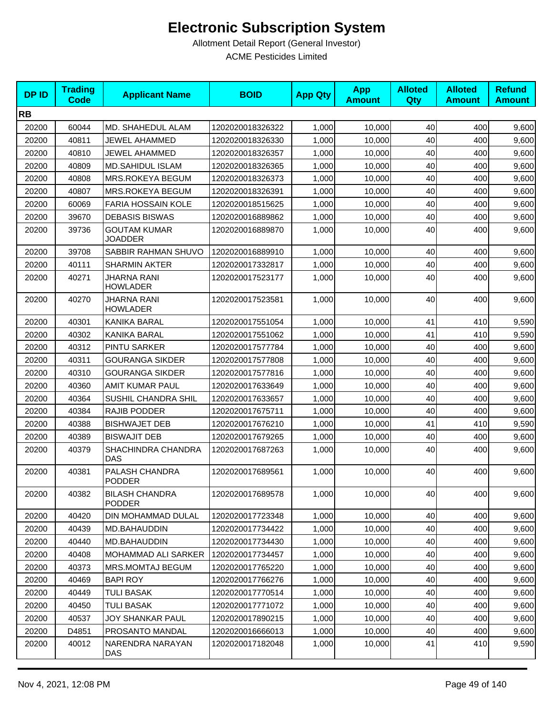| <b>DPID</b> | <b>Trading</b><br><b>Code</b> | <b>Applicant Name</b>                  | <b>BOID</b>      | <b>App Qty</b> | <b>App</b><br><b>Amount</b> | <b>Alloted</b><br><b>Qty</b> | <b>Alloted</b><br><b>Amount</b> | <b>Refund</b><br><b>Amount</b> |
|-------------|-------------------------------|----------------------------------------|------------------|----------------|-----------------------------|------------------------------|---------------------------------|--------------------------------|
| <b>RB</b>   |                               |                                        |                  |                |                             |                              |                                 |                                |
| 20200       | 60044                         | MD. SHAHEDUL ALAM                      | 1202020018326322 | 1,000          | 10,000                      | 40                           | 400                             | 9,600                          |
| 20200       | 40811                         | JEWEL AHAMMED                          | 1202020018326330 | 1,000          | 10,000                      | 40                           | 400                             | 9,600                          |
| 20200       | 40810                         | JEWEL AHAMMED                          | 1202020018326357 | 1,000          | 10,000                      | 40                           | 400                             | 9,600                          |
| 20200       | 40809                         | <b>MD.SAHIDUL ISLAM</b>                | 1202020018326365 | 1,000          | 10,000                      | 40                           | 400                             | 9,600                          |
| 20200       | 40808                         | MRS.ROKEYA BEGUM                       | 1202020018326373 | 1,000          | 10,000                      | 40                           | 400                             | 9,600                          |
| 20200       | 40807                         | MRS.ROKEYA BEGUM                       | 1202020018326391 | 1,000          | 10,000                      | 40                           | 400                             | 9,600                          |
| 20200       | 60069                         | FARIA HOSSAIN KOLE                     | 1202020018515625 | 1,000          | 10,000                      | 40                           | 400                             | 9,600                          |
| 20200       | 39670                         | <b>DEBASIS BISWAS</b>                  | 1202020016889862 | 1,000          | 10,000                      | 40                           | 400                             | 9,600                          |
| 20200       | 39736                         | <b>GOUTAM KUMAR</b><br><b>JOADDER</b>  | 1202020016889870 | 1,000          | 10,000                      | 40                           | 400                             | 9,600                          |
| 20200       | 39708                         | SABBIR RAHMAN SHUVO                    | 1202020016889910 | 1,000          | 10,000                      | 40                           | 400                             | 9,600                          |
| 20200       | 40111                         | <b>SHARMIN AKTER</b>                   | 1202020017332817 | 1,000          | 10,000                      | 40                           | 400                             | 9,600                          |
| 20200       | 40271                         | JHARNA RANI<br><b>HOWLADER</b>         | 1202020017523177 | 1,000          | 10,000                      | 40                           | 400                             | 9,600                          |
| 20200       | 40270                         | JHARNA RANI<br><b>HOWLADER</b>         | 1202020017523581 | 1,000          | 10,000                      | 40                           | 400                             | 9,600                          |
| 20200       | 40301                         | KANIKA BARAL                           | 1202020017551054 | 1,000          | 10,000                      | 41                           | 410                             | 9,590                          |
| 20200       | 40302                         | <b>KANIKA BARAL</b>                    | 1202020017551062 | 1,000          | 10,000                      | 41                           | 410                             | 9,590                          |
| 20200       | 40312                         | <b>PINTU SARKER</b>                    | 1202020017577784 | 1,000          | 10,000                      | 40                           | 400                             | 9,600                          |
| 20200       | 40311                         | <b>GOURANGA SIKDER</b>                 | 1202020017577808 | 1,000          | 10,000                      | 40                           | 400                             | 9,600                          |
| 20200       | 40310                         | <b>GOURANGA SIKDER</b>                 | 1202020017577816 | 1,000          | 10,000                      | 40                           | 400                             | 9,600                          |
| 20200       | 40360                         | AMIT KUMAR PAUL                        | 1202020017633649 | 1,000          | 10,000                      | 40                           | 400                             | 9,600                          |
| 20200       | 40364                         | SUSHIL CHANDRA SHIL                    | 1202020017633657 | 1,000          | 10,000                      | 40                           | 400                             | 9,600                          |
| 20200       | 40384                         | RAJIB PODDER                           | 1202020017675711 | 1,000          | 10,000                      | 40                           | 400                             | 9,600                          |
| 20200       | 40388                         | <b>BISHWAJET DEB</b>                   | 1202020017676210 | 1,000          | 10,000                      | 41                           | 410                             | 9,590                          |
| 20200       | 40389                         | <b>BISWAJIT DEB</b>                    | 1202020017679265 | 1,000          | 10,000                      | 40                           | 400                             | 9,600                          |
| 20200       | 40379                         | SHACHINDRA CHANDRA<br>DAS              | 1202020017687263 | 1,000          | 10,000                      | 40                           | 400                             | 9,600                          |
| 20200       | 40381                         | PALASH CHANDRA<br><b>PODDER</b>        | 1202020017689561 | 1,000          | 10,000                      | 40                           | 400                             | 9,600                          |
| 20200       | 40382                         | <b>BILASH CHANDRA</b><br><b>PODDER</b> | 1202020017689578 | 1,000          | 10,000                      | 40                           | 400                             | 9,600                          |
| 20200       | 40420                         | DIN MOHAMMAD DULAL                     | 1202020017723348 | 1,000          | 10,000                      | 40                           | 400                             | 9,600                          |
| 20200       | 40439                         | MD.BAHAUDDIN                           | 1202020017734422 | 1,000          | 10,000                      | 40                           | 400                             | 9,600                          |
| 20200       | 40440                         | MD.BAHAUDDIN                           | 1202020017734430 | 1,000          | 10,000                      | 40                           | 400                             | 9,600                          |
| 20200       | 40408                         | <b>MOHAMMAD ALI SARKER</b>             | 1202020017734457 | 1,000          | 10,000                      | 40                           | 400                             | 9,600                          |
| 20200       | 40373                         | MRS.MOMTAJ BEGUM                       | 1202020017765220 | 1,000          | 10,000                      | 40                           | 400                             | 9,600                          |
| 20200       | 40469                         | <b>BAPI ROY</b>                        | 1202020017766276 | 1,000          | 10,000                      | 40                           | 400                             | 9,600                          |
| 20200       | 40449                         | <b>TULI BASAK</b>                      | 1202020017770514 | 1,000          | 10,000                      | 40                           | 400                             | 9,600                          |
| 20200       | 40450                         | <b>TULI BASAK</b>                      | 1202020017771072 | 1,000          | 10,000                      | 40                           | 400                             | 9,600                          |
| 20200       | 40537                         | JOY SHANKAR PAUL                       | 1202020017890215 | 1,000          | 10,000                      | 40                           | 400                             | 9,600                          |
| 20200       | D4851                         | PROSANTO MANDAL                        | 1202020016666013 | 1,000          | 10,000                      | 40                           | 400                             | 9,600                          |
| 20200       | 40012                         | NARENDRA NARAYAN<br>DAS                | 1202020017182048 | 1,000          | 10,000                      | 41                           | 410                             | 9,590                          |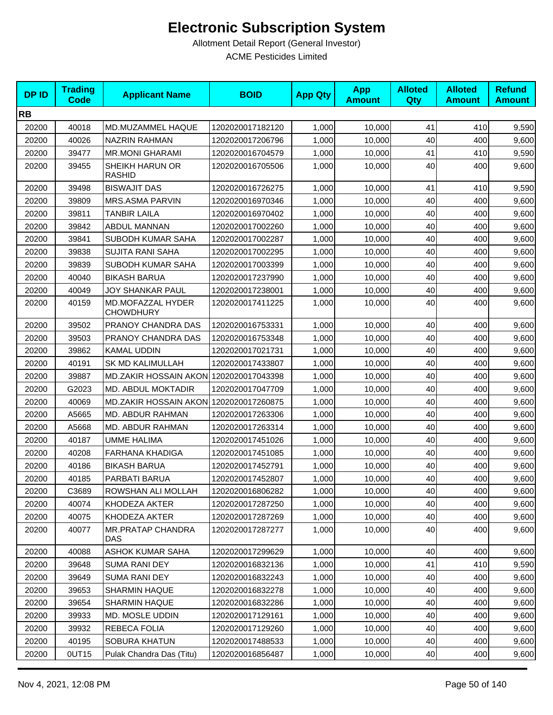| <b>DPID</b> | <b>Trading</b><br><b>Code</b> | <b>Applicant Name</b>                  | <b>BOID</b>      | <b>App Qty</b> | <b>App</b><br><b>Amount</b> | <b>Alloted</b><br>Qty | <b>Alloted</b><br><b>Amount</b> | <b>Refund</b><br><b>Amount</b> |
|-------------|-------------------------------|----------------------------------------|------------------|----------------|-----------------------------|-----------------------|---------------------------------|--------------------------------|
| <b>RB</b>   |                               |                                        |                  |                |                             |                       |                                 |                                |
| 20200       | 40018                         | MD.MUZAMMEL HAQUE                      | 1202020017182120 | 1,000          | 10,000                      | 41                    | 410                             | 9,590                          |
| 20200       | 40026                         | <b>NAZRIN RAHMAN</b>                   | 1202020017206796 | 1,000          | 10,000                      | 40                    | 400                             | 9,600                          |
| 20200       | 39477                         | <b>MR.MONI GHARAMI</b>                 | 1202020016704579 | 1,000          | 10,000                      | 41                    | 410                             | 9,590                          |
| 20200       | 39455                         | SHEIKH HARUN OR<br><b>RASHID</b>       | 1202020016705506 | 1,000          | 10,000                      | 40                    | 400                             | 9,600                          |
| 20200       | 39498                         | <b>BISWAJIT DAS</b>                    | 1202020016726275 | 1,000          | 10,000                      | 41                    | 410                             | 9,590                          |
| 20200       | 39809                         | MRS.ASMA PARVIN                        | 1202020016970346 | 1,000          | 10,000                      | 40                    | 400                             | 9,600                          |
| 20200       | 39811                         | <b>TANBIR LAILA</b>                    | 1202020016970402 | 1,000          | 10,000                      | 40                    | 400                             | 9,600                          |
| 20200       | 39842                         | ABDUL MANNAN                           | 1202020017002260 | 1,000          | 10,000                      | 40                    | 400                             | 9,600                          |
| 20200       | 39841                         | SUBODH KUMAR SAHA                      | 1202020017002287 | 1,000          | 10,000                      | 40                    | 400                             | 9,600                          |
| 20200       | 39838                         | <b>SUJITA RANI SAHA</b>                | 1202020017002295 | 1,000          | 10,000                      | 40                    | 400                             | 9,600                          |
| 20200       | 39839                         | SUBODH KUMAR SAHA                      | 1202020017003399 | 1,000          | 10,000                      | 40                    | 400                             | 9,600                          |
| 20200       | 40040                         | <b>BIKASH BARUA</b>                    | 1202020017237990 | 1,000          | 10,000                      | 40                    | 400                             | 9,600                          |
| 20200       | 40049                         | JOY SHANKAR PAUL                       | 1202020017238001 | 1,000          | 10,000                      | 40                    | 400                             | 9,600                          |
| 20200       | 40159                         | MD.MOFAZZAL HYDER<br><b>CHOWDHURY</b>  | 1202020017411225 | 1,000          | 10,000                      | 40                    | 400                             | 9,600                          |
| 20200       | 39502                         | PRANOY CHANDRA DAS                     | 1202020016753331 | 1,000          | 10,000                      | 40                    | 400                             | 9,600                          |
| 20200       | 39503                         | PRANOY CHANDRA DAS                     | 1202020016753348 | 1,000          | 10,000                      | 40                    | 400                             | 9,600                          |
| 20200       | 39862                         | <b>KAMAL UDDIN</b>                     | 1202020017021731 | 1,000          | 10,000                      | 40                    | 400                             | 9,600                          |
| 20200       | 40191                         | <b>SK MD KALIMULLAH</b>                | 1202020017433807 | 1,000          | 10,000                      | 40                    | 400                             | 9,600                          |
| 20200       | 39887                         | MD.ZAKIR HOSSAIN AKON 1202020017043398 |                  | 1,000          | 10,000                      | 40                    | 400                             | 9,600                          |
| 20200       | G2023                         | MD. ABDUL MOKTADIR                     | 1202020017047709 | 1,000          | 10,000                      | 40                    | 400                             | 9,600                          |
| 20200       | 40069                         | MD.ZAKIR HOSSAIN AKON 1202020017260875 |                  | 1,000          | 10,000                      | 40                    | 400                             | 9,600                          |
| 20200       | A5665                         | MD. ABDUR RAHMAN                       | 1202020017263306 | 1,000          | 10,000                      | 40                    | 400                             | 9,600                          |
| 20200       | A5668                         | MD. ABDUR RAHMAN                       | 1202020017263314 | 1,000          | 10,000                      | 40                    | 400                             | 9,600                          |
| 20200       | 40187                         | UMME HALIMA                            | 1202020017451026 | 1,000          | 10,000                      | 40                    | 400                             | 9,600                          |
| 20200       | 40208                         | <b>FARHANA KHADIGA</b>                 | 1202020017451085 | 1,000          | 10,000                      | 40                    | 400                             | 9,600                          |
| 20200       | 40186                         | <b>BIKASH BARUA</b>                    | 1202020017452791 | 1,000          | 10,000                      | 40                    | 400                             | 9,600                          |
| 20200       | 40185                         | PARBATI BARUA                          | 1202020017452807 | 1,000          | 10,000                      | 40                    | 400                             | 9,600                          |
| 20200       | C3689                         | ROWSHAN ALI MOLLAH                     | 1202020016806282 | 1,000          | 10,000                      | 40                    | 400                             | 9,600                          |
| 20200       | 40074                         | KHODEZA AKTER                          | 1202020017287250 | 1,000          | 10,000                      | 40                    | 400                             | 9,600                          |
| 20200       | 40075                         | KHODEZA AKTER                          | 1202020017287269 | 1,000          | 10,000                      | 40                    | 400                             | 9,600                          |
| 20200       | 40077                         | <b>MR.PRATAP CHANDRA</b><br>DAS        | 1202020017287277 | 1,000          | 10.000                      | 40                    | 400                             | 9,600                          |
| 20200       | 40088                         | ASHOK KUMAR SAHA                       | 1202020017299629 | 1,000          | 10,000                      | 40                    | 400                             | 9,600                          |
| 20200       | 39648                         | <b>SUMA RANI DEY</b>                   | 1202020016832136 | 1,000          | 10,000                      | 41                    | 410                             | 9,590                          |
| 20200       | 39649                         | <b>SUMA RANI DEY</b>                   | 1202020016832243 | 1,000          | 10,000                      | 40                    | 400                             | 9,600                          |
| 20200       | 39653                         | <b>SHARMIN HAQUE</b>                   | 1202020016832278 | 1,000          | 10,000                      | 40                    | 400                             | 9,600                          |
| 20200       | 39654                         | <b>SHARMIN HAQUE</b>                   | 1202020016832286 | 1,000          | 10,000                      | 40                    | 400                             | 9,600                          |
| 20200       | 39933                         | MD. MOSLE UDDIN                        | 1202020017129161 | 1,000          | 10,000                      | 40                    | 400                             | 9,600                          |
| 20200       | 39932                         | REBECA FOLIA                           | 1202020017129260 | 1,000          | 10,000                      | 40                    | 400                             | 9,600                          |
| 20200       | 40195                         | <b>SOBURA KHATUN</b>                   | 1202020017488533 | 1,000          | 10,000                      | 40                    | 400                             | 9,600                          |
| 20200       | 0UT15                         | Pulak Chandra Das (Titu)               | 1202020016856487 | 1,000          | 10,000                      | 40                    | 400                             | 9,600                          |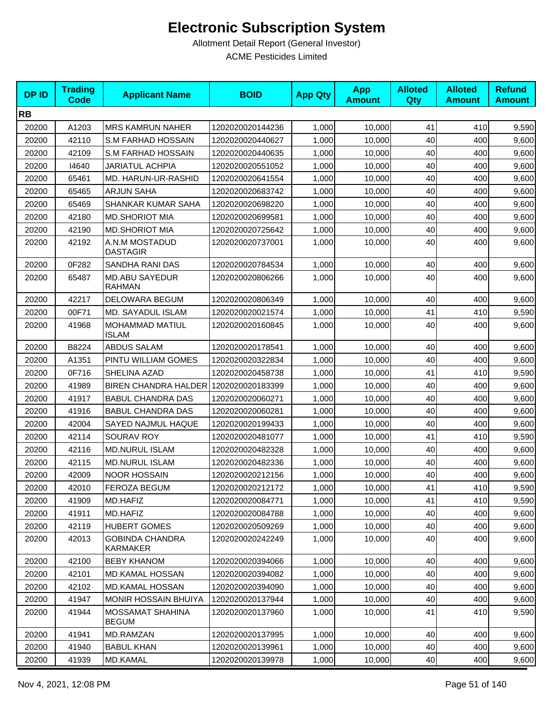| <b>DPID</b> | <b>Trading</b><br><b>Code</b> | <b>Applicant Name</b>                   | <b>BOID</b>      | <b>App Qty</b> | <b>App</b><br><b>Amount</b> | <b>Alloted</b><br>Qty | <b>Alloted</b><br><b>Amount</b> | <b>Refund</b><br><b>Amount</b> |
|-------------|-------------------------------|-----------------------------------------|------------------|----------------|-----------------------------|-----------------------|---------------------------------|--------------------------------|
| <b>RB</b>   |                               |                                         |                  |                |                             |                       |                                 |                                |
| 20200       | A1203                         | <b>MRS KAMRUN NAHER</b>                 | 1202020020144236 | 1,000          | 10,000                      | 41                    | 410                             | 9,590                          |
| 20200       | 42110                         | S.M FARHAD HOSSAIN                      | 1202020020440627 | 1,000          | 10,000                      | 40                    | 400                             | 9,600                          |
| 20200       | 42109                         | <b>S.M FARHAD HOSSAIN</b>               | 1202020020440635 | 1,000          | 10,000                      | 40                    | 400                             | 9,600                          |
| 20200       | 14640                         | <b>JARIATUL ACHPIA</b>                  | 1202020020551052 | 1,000          | 10,000                      | 40                    | 400                             | 9,600                          |
| 20200       | 65461                         | MD. HARUN-UR-RASHID                     | 1202020020641554 | 1,000          | 10,000                      | 40                    | 400                             | 9,600                          |
| 20200       | 65465                         | <b>ARJUN SAHA</b>                       | 1202020020683742 | 1,000          | 10,000                      | 40                    | 400                             | 9,600                          |
| 20200       | 65469                         | <b>SHANKAR KUMAR SAHA</b>               | 1202020020698220 | 1,000          | 10,000                      | 40                    | 400                             | 9,600                          |
| 20200       | 42180                         | <b>MD.SHORIOT MIA</b>                   | 1202020020699581 | 1,000          | 10,000                      | 40                    | 400                             | 9,600                          |
| 20200       | 42190                         | <b>MD.SHORIOT MIA</b>                   | 1202020020725642 | 1,000          | 10,000                      | 40                    | 400                             | 9,600                          |
| 20200       | 42192                         | A.N.M MOSTADUD<br><b>DASTAGIR</b>       | 1202020020737001 | 1,000          | 10,000                      | 40                    | 400                             | 9,600                          |
| 20200       | 0F282                         | SANDHA RANI DAS                         | 1202020020784534 | 1,000          | 10,000                      | 40                    | 400                             | 9,600                          |
| 20200       | 65487                         | <b>MD.ABU SAYEDUR</b><br><b>RAHMAN</b>  | 1202020020806266 | 1,000          | 10,000                      | 40                    | 400                             | 9,600                          |
| 20200       | 42217                         | DELOWARA BEGUM                          | 1202020020806349 | 1,000          | 10,000                      | 40                    | 400                             | 9,600                          |
| 20200       | 00F71                         | <b>MD. SAYADUL ISLAM</b>                | 1202020020021574 | 1,000          | 10,000                      | 41                    | 410                             | 9,590                          |
| 20200       | 41968                         | MOHAMMAD MATIUL<br><b>ISLAM</b>         | 1202020020160845 | 1,000          | 10,000                      | 40                    | 400                             | 9,600                          |
| 20200       | B8224                         | <b>ABDUS SALAM</b>                      | 1202020020178541 | 1,000          | 10,000                      | 40                    | 400                             | 9,600                          |
| 20200       | A1351                         | PINTU WILLIAM GOMES                     | 1202020020322834 | 1,000          | 10,000                      | 40                    | 400                             | 9,600                          |
| 20200       | 0F716                         | SHELINA AZAD                            | 1202020020458738 | 1,000          | 10,000                      | 41                    | 410                             | 9,590                          |
| 20200       | 41989                         | BIREN CHANDRA HALDER 1202020020183399   |                  | 1,000          | 10,000                      | 40                    | 400                             | 9,600                          |
| 20200       | 41917                         | <b>BABUL CHANDRA DAS</b>                | 1202020020060271 | 1,000          | 10,000                      | 40                    | 400                             | 9,600                          |
| 20200       | 41916                         | <b>BABUL CHANDRA DAS</b>                | 1202020020060281 | 1,000          | 10,000                      | 40                    | 400                             | 9,600                          |
| 20200       | 42004                         | SAYED NAJMUL HAQUE                      | 1202020020199433 | 1,000          | 10,000                      | 40                    | 400                             | 9,600                          |
| 20200       | 42114                         | <b>SOURAV ROY</b>                       | 1202020020481077 | 1,000          | 10,000                      | 41                    | 410                             | 9,590                          |
| 20200       | 42116                         | <b>MD.NURUL ISLAM</b>                   | 1202020020482328 | 1,000          | 10,000                      | 40                    | 400                             | 9,600                          |
| 20200       | 42115                         | <b>MD.NURUL ISLAM</b>                   | 1202020020482336 | 1,000          | 10,000                      | 40                    | 400                             | 9,600                          |
| 20200       | 42009                         | <b>NOOR HOSSAIN</b>                     | 1202020020212156 | 1,000          | 10,000                      | 40                    | 400                             | 9,600                          |
| 20200       | 42010                         | FEROZA BEGUM                            | 1202020020212172 | 1,000          | 10,000                      | 41                    | 410                             | 9,590                          |
| 20200       | 41909                         | MD.HAFIZ                                | 1202020020084771 | 1,000          | 10,000                      | 41                    | 410                             | 9,590                          |
| 20200       | 41911                         | MD.HAFIZ                                | 1202020020084788 | 1,000          | 10,000                      | 40                    | 400                             | 9,600                          |
| 20200       | 42119                         | <b>HUBERT GOMES</b>                     | 1202020020509269 | 1,000          | 10,000                      | 40                    | 400                             | 9,600                          |
| 20200       | 42013                         | <b>GOBINDA CHANDRA</b><br>KARMAKER      | 1202020020242249 | 1,000          | 10,000                      | 40                    | 400                             | 9,600                          |
| 20200       | 42100                         | <b>BEBY KHANOM</b>                      | 1202020020394066 | 1,000          | 10,000                      | 40                    | 400                             | 9,600                          |
| 20200       | 42101                         | <b>MD.KAMAL HOSSAN</b>                  | 1202020020394082 | 1,000          | 10,000                      | 40                    | 400                             | 9,600                          |
| 20200       | 42102                         | <b>MD.KAMAL HOSSAN</b>                  | 1202020020394090 | 1,000          | 10,000                      | 40                    | 400                             | 9,600                          |
| 20200       | 41947                         | <b>MONIR HOSSAIN BHUIYA</b>             | 1202020020137944 | 1,000          | 10,000                      | 40                    | 400                             | 9,600                          |
| 20200       | 41944                         | <b>MOSSAMAT SHAHINA</b><br><b>BEGUM</b> | 1202020020137960 | 1,000          | 10,000                      | 41                    | 410                             | 9,590                          |
| 20200       | 41941                         | MD.RAMZAN                               | 1202020020137995 | 1,000          | 10,000                      | 40                    | 400                             | 9,600                          |
| 20200       | 41940                         | <b>BABUL KHAN</b>                       | 1202020020139961 | 1,000          | 10,000                      | 40                    | 400                             | 9,600                          |
| 20200       | 41939                         | MD.KAMAL                                | 1202020020139978 | 1,000          | 10,000                      | 40                    | 400                             | 9,600                          |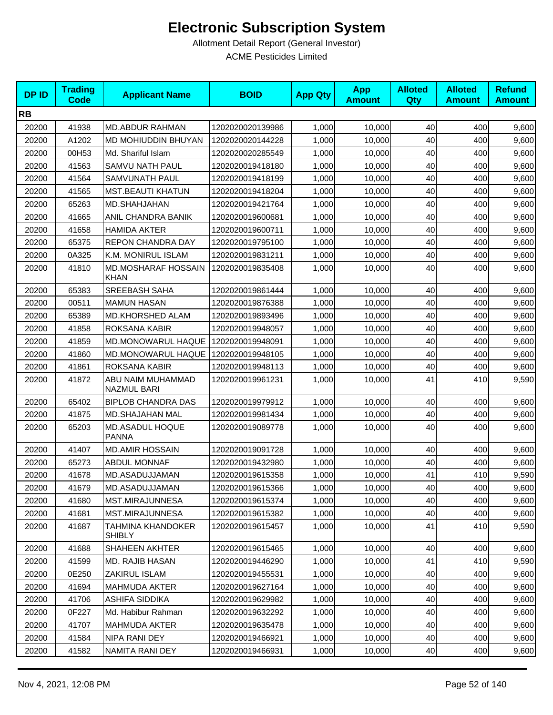| <b>DPID</b> | <b>Trading</b><br><b>Code</b> | <b>Applicant Name</b>                   | <b>BOID</b>      | <b>App Qty</b> | <b>App</b><br><b>Amount</b> | <b>Alloted</b><br><b>Qty</b> | <b>Alloted</b><br><b>Amount</b> | <b>Refund</b><br><b>Amount</b> |
|-------------|-------------------------------|-----------------------------------------|------------------|----------------|-----------------------------|------------------------------|---------------------------------|--------------------------------|
| <b>RB</b>   |                               |                                         |                  |                |                             |                              |                                 |                                |
| 20200       | 41938                         | <b>MD.ABDUR RAHMAN</b>                  | 1202020020139986 | 1,000          | 10,000                      | 40                           | 400                             | 9,600                          |
| 20200       | A1202                         | MD MOHIUDDIN BHUYAN                     | 1202020020144228 | 1,000          | 10,000                      | 40                           | 400                             | 9,600                          |
| 20200       | 00H53                         | Md. Shariful Islam                      | 1202020020285549 | 1,000          | 10,000                      | 40                           | 400                             | 9,600                          |
| 20200       | 41563                         | SAMVU NATH PAUL                         | 1202020019418180 | 1,000          | 10,000                      | 40                           | 400                             | 9,600                          |
| 20200       | 41564                         | SAMVUNATH PAUL                          | 1202020019418199 | 1,000          | 10,000                      | 40                           | 400                             | 9,600                          |
| 20200       | 41565                         | <b>MST.BEAUTI KHATUN</b>                | 1202020019418204 | 1,000          | 10.000                      | 40                           | 400                             | 9,600                          |
| 20200       | 65263                         | MD.SHAHJAHAN                            | 1202020019421764 | 1,000          | 10,000                      | 40                           | 400                             | 9,600                          |
| 20200       | 41665                         | ANIL CHANDRA BANIK                      | 1202020019600681 | 1,000          | 10,000                      | 40                           | 400                             | 9,600                          |
| 20200       | 41658                         | <b>HAMIDA AKTER</b>                     | 1202020019600711 | 1,000          | 10,000                      | 40                           | 400                             | 9,600                          |
| 20200       | 65375                         | REPON CHANDRA DAY                       | 1202020019795100 | 1,000          | 10,000                      | 40                           | 400                             | 9,600                          |
| 20200       | 0A325                         | K.M. MONIRUL ISLAM                      | 1202020019831211 | 1,000          | 10,000                      | 40                           | 400                             | 9,600                          |
| 20200       | 41810                         | <b>MD.MOSHARAF HOSSAIN</b><br>KHAN      | 1202020019835408 | 1,000          | 10,000                      | 40                           | 400                             | 9,600                          |
| 20200       | 65383                         | <b>SREEBASH SAHA</b>                    | 1202020019861444 | 1,000          | 10,000                      | 40                           | 400                             | 9,600                          |
| 20200       | 00511                         | <b>MAMUN HASAN</b>                      | 1202020019876388 | 1,000          | 10,000                      | 40                           | 400                             | 9,600                          |
| 20200       | 65389                         | MD.KHORSHED ALAM                        | 1202020019893496 | 1,000          | 10,000                      | 40                           | 400                             | 9,600                          |
| 20200       | 41858                         | ROKSANA KABIR                           | 1202020019948057 | 1,000          | 10,000                      | 40                           | 400                             | 9,600                          |
| 20200       | 41859                         | MD.MONOWARUL HAQUE                      | 1202020019948091 | 1,000          | 10,000                      | 40                           | 400                             | 9,600                          |
| 20200       | 41860                         | MD.MONOWARUL HAQUE                      | 1202020019948105 | 1,000          | 10,000                      | 40                           | 400                             | 9,600                          |
| 20200       | 41861                         | ROKSANA KABIR                           | 1202020019948113 | 1,000          | 10,000                      | 40                           | 400                             | 9,600                          |
| 20200       | 41872                         | ABU NAIM MUHAMMAD<br><b>NAZMUL BARI</b> | 1202020019961231 | 1,000          | 10,000                      | 41                           | 410                             | 9,590                          |
| 20200       | 65402                         | <b>BIPLOB CHANDRA DAS</b>               | 1202020019979912 | 1,000          | 10,000                      | 40                           | 400                             | 9,600                          |
| 20200       | 41875                         | MD.SHAJAHAN MAL                         | 1202020019981434 | 1,000          | 10,000                      | 40                           | 400                             | 9,600                          |
| 20200       | 65203                         | MD.ASADUL HOQUE<br><b>PANNA</b>         | 1202020019089778 | 1,000          | 10,000                      | 40                           | 400                             | 9,600                          |
| 20200       | 41407                         | <b>MD.AMIR HOSSAIN</b>                  | 1202020019091728 | 1,000          | 10,000                      | 40                           | 400                             | 9,600                          |
| 20200       | 65273                         | <b>ABDUL MONNAF</b>                     | 1202020019432980 | 1,000          | 10,000                      | 40                           | 400                             | 9,600                          |
| 20200       | 41678                         | MD.ASADUJJAMAN                          | 1202020019615358 | 1,000          | 10,000                      | 41                           | 410                             | 9,590                          |
| 20200       | 41679                         | MD.ASADUJJAMAN                          | 1202020019615366 | 1,000          | 10,000                      | 40                           | 400                             | 9,600                          |
| 20200       | 41680                         | MST.MIRAJUNNESA                         | 1202020019615374 | 1,000          | 10.000                      | 40                           | 400                             | 9,600                          |
| 20200       | 41681                         | MST.MIRAJUNNESA                         | 1202020019615382 | 1,000          | 10,000                      | 40                           | 400                             | 9,600                          |
| 20200       | 41687                         | TAHMINA KHANDOKER<br><b>SHIBLY</b>      | 1202020019615457 | 1,000          | 10,000                      | 41                           | 410                             | 9,590                          |
| 20200       | 41688                         | SHAHEEN AKHTER                          | 1202020019615465 | 1,000          | 10,000                      | 40                           | 400                             | 9,600                          |
| 20200       | 41599                         | <b>MD. RAJIB HASAN</b>                  | 1202020019446290 | 1,000          | 10,000                      | 41                           | 410                             | 9,590                          |
| 20200       | 0E250                         | ZAKIRUL ISLAM                           | 1202020019455531 | 1,000          | 10,000                      | 40                           | 400                             | 9,600                          |
| 20200       | 41694                         | <b>MAHMUDA AKTER</b>                    | 1202020019627164 | 1,000          | 10,000                      | 40                           | 400                             | 9,600                          |
| 20200       | 41706                         | <b>ASHIFA SIDDIKA</b>                   | 1202020019629982 | 1,000          | 10,000                      | 40                           | 400                             | 9,600                          |
| 20200       | 0F227                         | Md. Habibur Rahman                      | 1202020019632292 | 1,000          | 10,000                      | 40                           | 400                             | 9,600                          |
| 20200       | 41707                         | <b>MAHMUDA AKTER</b>                    | 1202020019635478 | 1,000          | 10,000                      | 40                           | 400                             | 9,600                          |
| 20200       | 41584                         | NIPA RANI DEY                           | 1202020019466921 | 1,000          | 10,000                      | 40                           | 400                             | 9,600                          |
| 20200       | 41582                         | NAMITA RANI DEY                         | 1202020019466931 | 1,000          | 10,000                      | 40                           | 400                             | 9,600                          |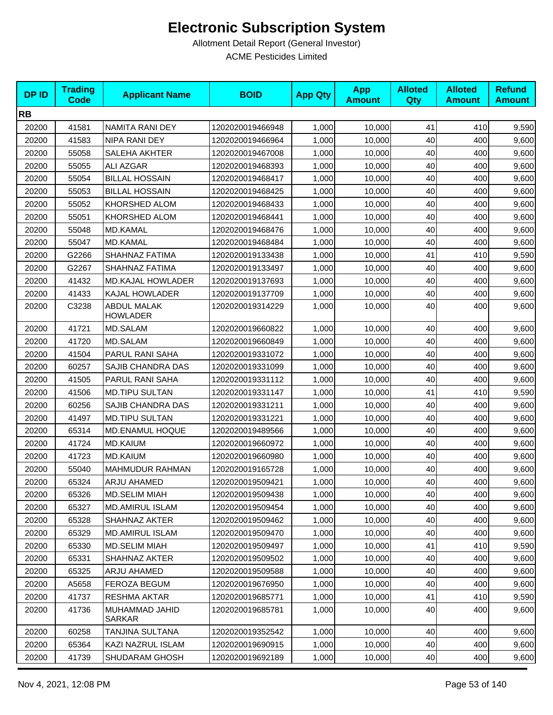| <b>DPID</b> | <b>Trading</b><br><b>Code</b> | <b>Applicant Name</b>          | <b>BOID</b>      | <b>App Qty</b> | <b>App</b><br><b>Amount</b> | <b>Alloted</b><br><b>Qty</b> | <b>Alloted</b><br><b>Amount</b> | <b>Refund</b><br><b>Amount</b> |
|-------------|-------------------------------|--------------------------------|------------------|----------------|-----------------------------|------------------------------|---------------------------------|--------------------------------|
| <b>RB</b>   |                               |                                |                  |                |                             |                              |                                 |                                |
| 20200       | 41581                         | NAMITA RANI DEY                | 1202020019466948 | 1,000          | 10,000                      | 41                           | 410                             | 9,590                          |
| 20200       | 41583                         | NIPA RANI DEY                  | 1202020019466964 | 1,000          | 10,000                      | 40                           | 400                             | 9,600                          |
| 20200       | 55058                         | SALEHA AKHTER                  | 1202020019467008 | 1,000          | 10,000                      | 40                           | 400                             | 9,600                          |
| 20200       | 55055                         | ALI AZGAR                      | 1202020019468393 | 1,000          | 10,000                      | 40                           | 400                             | 9,600                          |
| 20200       | 55054                         | <b>BILLAL HOSSAIN</b>          | 1202020019468417 | 1,000          | 10,000                      | 40                           | 400                             | 9,600                          |
| 20200       | 55053                         | <b>BILLAL HOSSAIN</b>          | 1202020019468425 | 1,000          | 10.000                      | 40                           | 400                             | 9,600                          |
| 20200       | 55052                         | KHORSHED ALOM                  | 1202020019468433 | 1,000          | 10,000                      | 40                           | 400                             | 9,600                          |
| 20200       | 55051                         | KHORSHED ALOM                  | 1202020019468441 | 1,000          | 10,000                      | 40                           | 400                             | 9,600                          |
| 20200       | 55048                         | MD.KAMAL                       | 1202020019468476 | 1,000          | 10,000                      | 40                           | 400                             | 9,600                          |
| 20200       | 55047                         | MD.KAMAL                       | 1202020019468484 | 1,000          | 10,000                      | 40                           | 400                             | 9,600                          |
| 20200       | G2266                         | SHAHNAZ FATIMA                 | 1202020019133438 | 1,000          | 10,000                      | 41                           | 410                             | 9,590                          |
| 20200       | G2267                         | SHAHNAZ FATIMA                 | 1202020019133497 | 1,000          | 10,000                      | 40                           | 400                             | 9,600                          |
| 20200       | 41432                         | <b>MD.KAJAL HOWLADER</b>       | 1202020019137693 | 1,000          | 10.000                      | 40                           | 400                             | 9,600                          |
| 20200       | 41433                         | KAJAL HOWLADER                 | 1202020019137709 | 1,000          | 10,000                      | 40                           | 400                             | 9,600                          |
| 20200       | C3238                         | <b>ABDUL MALAK</b><br>HOWLADER | 1202020019314229 | 1,000          | 10,000                      | 40                           | 400                             | 9,600                          |
| 20200       | 41721                         | MD.SALAM                       | 1202020019660822 | 1,000          | 10,000                      | 40                           | 400                             | 9,600                          |
| 20200       | 41720                         | <b>MD.SALAM</b>                | 1202020019660849 | 1,000          | 10,000                      | 40                           | 400                             | 9,600                          |
| 20200       | 41504                         | PARUL RANI SAHA                | 1202020019331072 | 1,000          | 10,000                      | 40                           | 400                             | 9,600                          |
| 20200       | 60257                         | SAJIB CHANDRA DAS              | 1202020019331099 | 1,000          | 10,000                      | 40                           | 400                             | 9,600                          |
| 20200       | 41505                         | PARUL RANI SAHA                | 1202020019331112 | 1,000          | 10,000                      | 40                           | 400                             | 9,600                          |
| 20200       | 41506                         | <b>MD.TIPU SULTAN</b>          | 1202020019331147 | 1,000          | 10,000                      | 41                           | 410                             | 9,590                          |
| 20200       | 60256                         | SAJIB CHANDRA DAS              | 1202020019331211 | 1,000          | 10,000                      | 40                           | 400                             | 9,600                          |
| 20200       | 41497                         | <b>MD.TIPU SULTAN</b>          | 1202020019331221 | 1,000          | 10,000                      | 40                           | 400                             | 9,600                          |
| 20200       | 65314                         | MD.ENAMUL HOQUE                | 1202020019489566 | 1,000          | 10,000                      | 40                           | 400                             | 9,600                          |
| 20200       | 41724                         | <b>MD.KAIUM</b>                | 1202020019660972 | 1,000          | 10,000                      | 40                           | 400                             | 9,600                          |
| 20200       | 41723                         | <b>MD.KAIUM</b>                | 1202020019660980 | 1,000          | 10,000                      | 40                           | 400                             | 9,600                          |
| 20200       | 55040                         | MAHMUDUR RAHMAN                | 1202020019165728 | 1,000          | 10,000                      | 40                           | 400                             | 9,600                          |
| 20200       | 65324                         | ARJU AHAMED                    | 1202020019509421 | 1,000          | 10,000                      | 40                           | 400                             | 9,600                          |
| 20200       | 65326                         | <b>MD.SELIM MIAH</b>           | 1202020019509438 | 1,000          | 10,000                      | 40                           | 400                             | 9,600                          |
| 20200       | 65327                         | MD.AMIRUL ISLAM                | 1202020019509454 | 1,000          | 10,000                      | 40                           | 400                             | 9,600                          |
| 20200       | 65328                         | SHAHNAZ AKTER                  | 1202020019509462 | 1,000          | 10,000                      | 40                           | 400                             | 9,600                          |
| 20200       | 65329                         | <b>MD.AMIRUL ISLAM</b>         | 1202020019509470 | 1,000          | 10,000                      | 40                           | 400                             | 9,600                          |
| 20200       | 65330                         | MD.SELIM MIAH                  | 1202020019509497 | 1,000          | 10,000                      | 41                           | 410                             | 9,590                          |
| 20200       | 65331                         | SHAHNAZ AKTER                  | 1202020019509502 | 1,000          | 10,000                      | 40                           | 400                             | 9,600                          |
| 20200       | 65325                         | ARJU AHAMED                    | 1202020019509588 | 1,000          | 10,000                      | 40                           | 400                             | 9,600                          |
| 20200       | A5658                         | FEROZA BEGUM                   | 1202020019676950 | 1,000          | 10,000                      | 40                           | 400                             | 9,600                          |
| 20200       | 41737                         | RESHMA AKTAR                   | 1202020019685771 | 1,000          | 10,000                      | 41                           | 410                             | 9,590                          |
| 20200       | 41736                         | MUHAMMAD JAHID<br>SARKAR       | 1202020019685781 | 1,000          | 10,000                      | 40                           | 400                             | 9,600                          |
| 20200       | 60258                         | TANJINA SULTANA                | 1202020019352542 | 1,000          | 10,000                      | 40                           | 400                             | 9,600                          |
| 20200       | 65364                         | KAZI NAZRUL ISLAM              | 1202020019690915 | 1,000          | 10,000                      | 40                           | 400                             | 9,600                          |
| 20200       | 41739                         | SHUDARAM GHOSH                 | 1202020019692189 | 1,000          | 10,000                      | 40                           | 400                             | 9,600                          |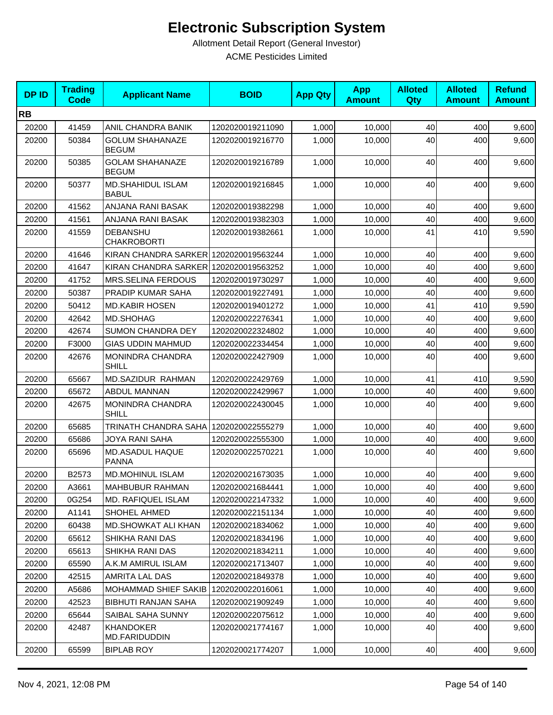| <b>DPID</b> | <b>Trading</b><br>Code | <b>Applicant Name</b>                    | <b>BOID</b>      | <b>App Qty</b> | <b>App</b><br><b>Amount</b> | <b>Alloted</b><br>Qty | <b>Alloted</b><br><b>Amount</b> | <b>Refund</b><br><b>Amount</b> |
|-------------|------------------------|------------------------------------------|------------------|----------------|-----------------------------|-----------------------|---------------------------------|--------------------------------|
| <b>RB</b>   |                        |                                          |                  |                |                             |                       |                                 |                                |
| 20200       | 41459                  | ANIL CHANDRA BANIK                       | 1202020019211090 | 1,000          | 10,000                      | 40                    | 400                             | 9,600                          |
| 20200       | 50384                  | <b>GOLUM SHAHANAZE</b><br><b>BEGUM</b>   | 1202020019216770 | 1.000          | 10,000                      | 40                    | 400                             | 9,600                          |
| 20200       | 50385                  | <b>GOLAM SHAHANAZE</b><br><b>BEGUM</b>   | 1202020019216789 | 1,000          | 10,000                      | 40                    | 400                             | 9,600                          |
| 20200       | 50377                  | <b>MD.SHAHIDUL ISLAM</b><br><b>BABUL</b> | 1202020019216845 | 1,000          | 10,000                      | 40                    | 400                             | 9,600                          |
| 20200       | 41562                  | ANJANA RANI BASAK                        | 1202020019382298 | 1,000          | 10,000                      | 40                    | 400                             | 9,600                          |
| 20200       | 41561                  | ANJANA RANI BASAK                        | 1202020019382303 | 1,000          | 10,000                      | 40                    | 400                             | 9,600                          |
| 20200       | 41559                  | <b>DEBANSHU</b><br><b>CHAKROBORTI</b>    | 1202020019382661 | 1,000          | 10,000                      | 41                    | 410                             | 9,590                          |
| 20200       | 41646                  | KIRAN CHANDRA SARKER                     | 1202020019563244 | 1,000          | 10,000                      | 40                    | 400                             | 9,600                          |
| 20200       | 41647                  | KIRAN CHANDRA SARKER 1202020019563252    |                  | 1,000          | 10,000                      | 40                    | 400                             | 9,600                          |
| 20200       | 41752                  | <b>MRS.SELINA FERDOUS</b>                | 1202020019730297 | 1,000          | 10,000                      | 40                    | 400                             | 9,600                          |
| 20200       | 50387                  | <b>PRADIP KUMAR SAHA</b>                 | 1202020019227491 | 1,000          | 10,000                      | 40                    | 400                             | 9,600                          |
| 20200       | 50412                  | <b>MD.KABIR HOSEN</b>                    | 1202020019401272 | 1,000          | 10.000                      | 41                    | 410                             | 9,590                          |
| 20200       | 42642                  | MD.SHOHAG                                | 1202020022276341 | 1,000          | 10,000                      | 40                    | 400                             | 9,600                          |
| 20200       | 42674                  | <b>SUMON CHANDRA DEY</b>                 | 1202020022324802 | 1,000          | 10,000                      | 40                    | 400                             | 9,600                          |
| 20200       | F3000                  | <b>GIAS UDDIN MAHMUD</b>                 | 1202020022334454 | 1,000          | 10,000                      | 40                    | 400                             | 9,600                          |
| 20200       | 42676                  | MONINDRA CHANDRA<br><b>SHILL</b>         | 1202020022427909 | 1,000          | 10,000                      | 40                    | 400                             | 9,600                          |
| 20200       | 65667                  | MD.SAZIDUR RAHMAN                        | 1202020022429769 | 1,000          | 10,000                      | 41                    | 410                             | 9,590                          |
| 20200       | 65672                  | <b>ABDUL MANNAN</b>                      | 1202020022429967 | 1,000          | 10,000                      | 40                    | 400                             | 9,600                          |
| 20200       | 42675                  | MONINDRA CHANDRA<br><b>SHILL</b>         | 1202020022430045 | 1,000          | 10,000                      | 40                    | 400                             | 9,600                          |
| 20200       | 65685                  | <b>TRINATH CHANDRA SAHA</b>              | 1202020022555279 | 1,000          | 10,000                      | 40                    | 400                             | 9,600                          |
| 20200       | 65686                  | <b>JOYA RANI SAHA</b>                    | 1202020022555300 | 1,000          | 10,000                      | 40                    | 400                             | 9,600                          |
| 20200       | 65696                  | MD.ASADUL HAQUE<br><b>PANNA</b>          | 1202020022570221 | 1,000          | 10,000                      | 40                    | 400                             | 9,600                          |
| 20200       | B2573                  | <b>MD.MOHINUL ISLAM</b>                  | 1202020021673035 | 1,000          | 10,000                      | 40                    | 400                             | 9,600                          |
| 20200       | A3661                  | MAHBUBUR RAHMAN                          | 1202020021684441 | 1,000          | 10,000                      | 40                    | 400                             | 9,600                          |
| 20200       | 0G254                  | MD. RAFIQUEL ISLAM                       | 1202020022147332 | 1,000          | 10,000                      | 40                    | 400                             | 9,600                          |
| 20200       | A1141                  | SHOHEL AHMED                             | 1202020022151134 | 1,000          | 10,000                      | 40                    | 400                             | 9,600                          |
| 20200       | 60438                  | MD.SHOWKAT ALI KHAN                      | 1202020021834062 | 1,000          | 10,000                      | 40                    | 400                             | 9,600                          |
| 20200       | 65612                  | SHIKHA RANI DAS                          | 1202020021834196 | 1,000          | 10,000                      | 40                    | 400                             | 9,600                          |
| 20200       | 65613                  | SHIKHA RANI DAS                          | 1202020021834211 | 1,000          | 10,000                      | 40                    | 400                             | 9,600                          |
| 20200       | 65590                  | A.K.M AMIRUL ISLAM                       | 1202020021713407 | 1,000          | 10,000                      | 40                    | 400                             | 9,600                          |
| 20200       | 42515                  | AMRITA LAL DAS                           | 1202020021849378 | 1,000          | 10,000                      | 40                    | 400                             | 9,600                          |
| 20200       | A5686                  | MOHAMMAD SHIEF SAKIB                     | 1202020022016061 | 1,000          | 10,000                      | 40                    | 400                             | 9,600                          |
| 20200       | 42523                  | <b>BIBHUTI RANJAN SAHA</b>               | 1202020021909249 | 1,000          | 10,000                      | 40                    | 400                             | 9,600                          |
| 20200       | 65644                  | SAIBAL SAHA SUNNY                        | 1202020022075612 | 1,000          | 10,000                      | 40                    | 400                             | 9,600                          |
| 20200       | 42487                  | <b>KHANDOKER</b><br>MD.FARIDUDDIN        | 1202020021774167 | 1,000          | 10,000                      | 40                    | 400                             | 9,600                          |
| 20200       | 65599                  | <b>BIPLAB ROY</b>                        | 1202020021774207 | 1,000          | 10,000                      | 40                    | 400                             | 9,600                          |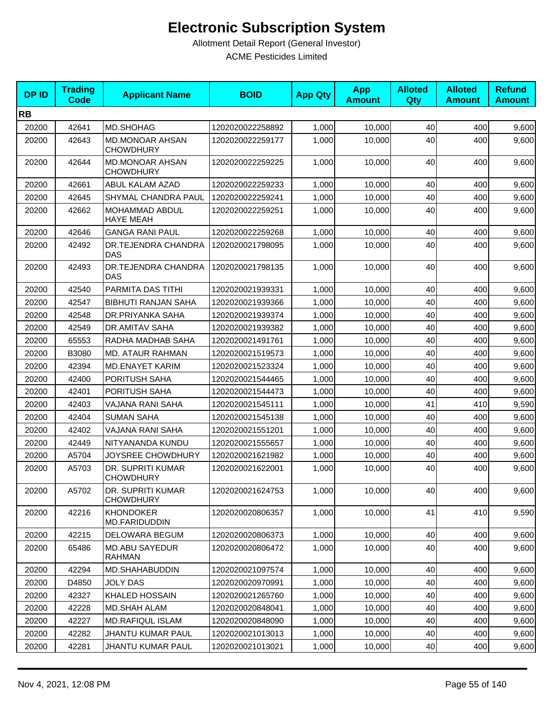| <b>DPID</b> | <b>Trading</b><br><b>Code</b> | <b>Applicant Name</b>                      | <b>BOID</b>      | <b>App Qty</b> | <b>App</b><br><b>Amount</b> | <b>Alloted</b><br>Qty | <b>Alloted</b><br><b>Amount</b> | <b>Refund</b><br><b>Amount</b> |
|-------------|-------------------------------|--------------------------------------------|------------------|----------------|-----------------------------|-----------------------|---------------------------------|--------------------------------|
| <b>RB</b>   |                               |                                            |                  |                |                             |                       |                                 |                                |
| 20200       | 42641                         | MD.SHOHAG                                  | 1202020022258892 | 1,000          | 10,000                      | 40                    | 400                             | 9,600                          |
| 20200       | 42643                         | <b>MD.MONOAR AHSAN</b><br><b>CHOWDHURY</b> | 1202020022259177 | 1,000          | 10,000                      | 40                    | 400                             | 9,600                          |
| 20200       | 42644                         | <b>MD.MONOAR AHSAN</b><br><b>CHOWDHURY</b> | 1202020022259225 | 1,000          | 10,000                      | 40                    | 400                             | 9,600                          |
| 20200       | 42661                         | ABUL KALAM AZAD                            | 1202020022259233 | 1,000          | 10,000                      | 40                    | 400                             | 9,600                          |
| 20200       | 42645                         | SHYMAL CHANDRA PAUL                        | 1202020022259241 | 1,000          | 10,000                      | 40                    | 400                             | 9,600                          |
| 20200       | 42662                         | MOHAMMAD ABDUL<br><b>HAYE MEAH</b>         | 1202020022259251 | 1,000          | 10,000                      | 40                    | 400                             | 9,600                          |
| 20200       | 42646                         | <b>GANGA RANI PAUL</b>                     | 1202020022259268 | 1,000          | 10,000                      | 40                    | 400                             | 9,600                          |
| 20200       | 42492                         | DR.TEJENDRA CHANDRA<br>DAS                 | 1202020021798095 | 1,000          | 10,000                      | 40                    | 400                             | 9,600                          |
| 20200       | 42493                         | <b>DR.TEJENDRA CHANDRA</b><br><b>DAS</b>   | 1202020021798135 | 1,000          | 10,000                      | 40                    | 400                             | 9,600                          |
| 20200       | 42540                         | PARMITA DAS TITHI                          | 1202020021939331 | 1,000          | 10,000                      | 40                    | 400                             | 9,600                          |
| 20200       | 42547                         | <b>BIBHUTI RANJAN SAHA</b>                 | 1202020021939366 | 1,000          | 10,000                      | 40                    | 400                             | 9,600                          |
| 20200       | 42548                         | DR.PRIYANKA SAHA                           | 1202020021939374 | 1,000          | 10,000                      | 40                    | 400                             | 9,600                          |
| 20200       | 42549                         | DR.AMITAV SAHA                             | 1202020021939382 | 1,000          | 10,000                      | 40                    | 400                             | 9,600                          |
| 20200       | 65553                         | RADHA MADHAB SAHA                          | 1202020021491761 | 1,000          | 10,000                      | 40                    | 400                             | 9,600                          |
| 20200       | B3080                         | MD. ATAUR RAHMAN                           | 1202020021519573 | 1,000          | 10,000                      | 40                    | 400                             | 9,600                          |
| 20200       | 42394                         | <b>MD.ENAYET KARIM</b>                     | 1202020021523324 | 1,000          | 10,000                      | 40                    | 400                             | 9,600                          |
| 20200       | 42400                         | <b>PORITUSH SAHA</b>                       | 1202020021544465 | 1,000          | 10,000                      | 40                    | 400                             | 9,600                          |
| 20200       | 42401                         | <b>PORITUSH SAHA</b>                       | 1202020021544473 | 1,000          | 10,000                      | 40                    | 400                             | 9,600                          |
| 20200       | 42403                         | VAJANA RANI SAHA                           | 1202020021545111 | 1,000          | 10,000                      | 41                    | 410                             | 9,590                          |
| 20200       | 42404                         | <b>SUMAN SAHA</b>                          | 1202020021545138 | 1,000          | 10,000                      | 40                    | 400                             | 9,600                          |
| 20200       | 42402                         | VAJANA RANI SAHA                           | 1202020021551201 | 1,000          | 10,000                      | 40                    | 400                             | 9,600                          |
| 20200       | 42449                         | NITYANANDA KUNDU                           | 1202020021555657 | 1,000          | 10,000                      | 40                    | 400                             | 9,600                          |
| 20200       | A5704                         | <b>JOYSREE CHOWDHURY</b>                   | 1202020021621982 | 1,000          | 10,000                      | 40                    | 400                             | 9,600                          |
| 20200       | A5703                         | DR. SUPRITI KUMAR<br><b>CHOWDHURY</b>      | 1202020021622001 | 1,000          | 10,000                      | 40                    | 400                             | 9,600                          |
| 20200       | A5702                         | DR. SUPRITI KUMAR<br><b>CHOWDHURY</b>      | 1202020021624753 | 1,000          | 10,000                      | 40                    | 400                             | 9,600                          |
| 20200       | 42216                         | <b>KHONDOKER</b><br>MD.FARIDUDDIN          | 1202020020806357 | 1,000          | 10,000                      | 41                    | 410                             | 9,590                          |
| 20200       | 42215                         | DELOWARA BEGUM                             | 1202020020806373 | 1,000          | 10,000                      | 40                    | 400                             | 9,600                          |
| 20200       | 65486                         | <b>MD.ABU SAYEDUR</b><br><b>RAHMAN</b>     | 1202020020806472 | 1,000          | 10,000                      | 40                    | 400                             | 9,600                          |
| 20200       | 42294                         | MD.SHAHABUDDIN                             | 1202020021097574 | 1,000          | 10,000                      | 40                    | 400                             | 9,600                          |
| 20200       | D4850                         | <b>JOLY DAS</b>                            | 1202020020970991 | 1,000          | 10,000                      | 40                    | 400                             | 9,600                          |
| 20200       | 42327                         | <b>KHALED HOSSAIN</b>                      | 1202020021265760 | 1,000          | 10,000                      | 40                    | 400                             | 9,600                          |
| 20200       | 42228                         | <b>MD.SHAH ALAM</b>                        | 1202020020848041 | 1,000          | 10,000                      | 40                    | 400                             | 9,600                          |
| 20200       | 42227                         | <b>MD.RAFIQUL ISLAM</b>                    | 1202020020848090 | 1,000          | 10,000                      | 40                    | 400                             | 9,600                          |
| 20200       | 42282                         | <b>JHANTU KUMAR PAUL</b>                   | 1202020021013013 | 1,000          | 10,000                      | 40                    | 400                             | 9,600                          |
| 20200       | 42281                         | <b>JHANTU KUMAR PAUL</b>                   | 1202020021013021 | 1,000          | 10,000                      | 40                    | 400                             | 9,600                          |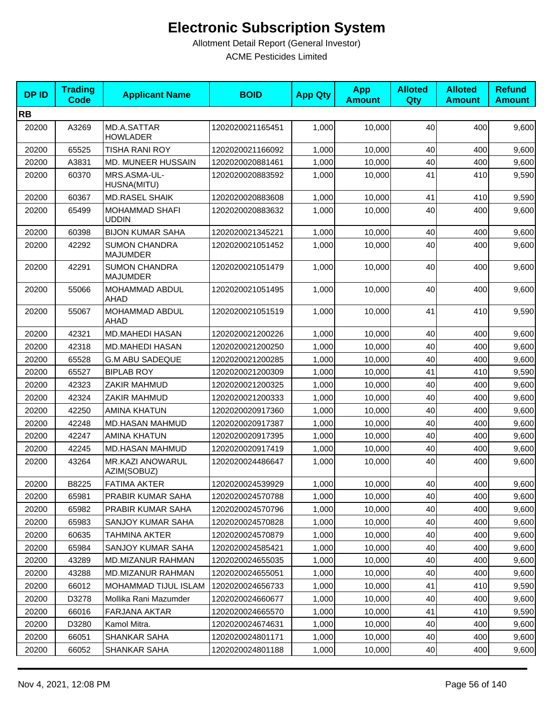| <b>DPID</b> | <b>Trading</b><br><b>Code</b> | <b>Applicant Name</b>                   | <b>BOID</b>      | <b>App Qty</b> | <b>App</b><br><b>Amount</b> | <b>Alloted</b><br>Qty | <b>Alloted</b><br><b>Amount</b> | <b>Refund</b><br><b>Amount</b> |
|-------------|-------------------------------|-----------------------------------------|------------------|----------------|-----------------------------|-----------------------|---------------------------------|--------------------------------|
| <b>RB</b>   |                               |                                         |                  |                |                             |                       |                                 |                                |
| 20200       | A3269                         | MD.A.SATTAR<br><b>HOWLADER</b>          | 1202020021165451 | 1,000          | 10,000                      | 40                    | 400                             | 9,600                          |
| 20200       | 65525                         | <b>TISHA RANI ROY</b>                   | 1202020021166092 | 1,000          | 10,000                      | 40                    | 400                             | 9,600                          |
| 20200       | A3831                         | MD. MUNEER HUSSAIN                      | 1202020020881461 | 1,000          | 10,000                      | 40                    | 400                             | 9,600                          |
| 20200       | 60370                         | MRS.ASMA-UL-<br>HUSNA(MITU)             | 1202020020883592 | 1,000          | 10,000                      | 41                    | 410                             | 9,590                          |
| 20200       | 60367                         | <b>MD.RASEL SHAIK</b>                   | 1202020020883608 | 1,000          | 10,000                      | 41                    | 410                             | 9,590                          |
| 20200       | 65499                         | <b>MOHAMMAD SHAFI</b><br><b>UDDIN</b>   | 1202020020883632 | 1,000          | 10,000                      | 40                    | 400                             | 9,600                          |
| 20200       | 60398                         | <b>BIJON KUMAR SAHA</b>                 | 1202020021345221 | 1,000          | 10,000                      | 40                    | 400                             | 9,600                          |
| 20200       | 42292                         | <b>SUMON CHANDRA</b><br>MAJUMDER        | 1202020021051452 | 1,000          | 10,000                      | 40                    | 400                             | 9,600                          |
| 20200       | 42291                         | <b>SUMON CHANDRA</b><br><b>MAJUMDER</b> | 1202020021051479 | 1,000          | 10,000                      | 40                    | 400                             | 9,600                          |
| 20200       | 55066                         | MOHAMMAD ABDUL<br>AHAD                  | 1202020021051495 | 1,000          | 10,000                      | 40                    | 400                             | 9,600                          |
| 20200       | 55067                         | MOHAMMAD ABDUL<br>AHAD                  | 1202020021051519 | 1,000          | 10,000                      | 41                    | 410                             | 9,590                          |
| 20200       | 42321                         | <b>MD.MAHEDI HASAN</b>                  | 1202020021200226 | 1,000          | 10,000                      | 40                    | 400                             | 9,600                          |
| 20200       | 42318                         | <b>MD.MAHEDI HASAN</b>                  | 1202020021200250 | 1,000          | 10,000                      | 40                    | 400                             | 9,600                          |
| 20200       | 65528                         | <b>G.M ABU SADEQUE</b>                  | 1202020021200285 | 1,000          | 10,000                      | 40                    | 400                             | 9,600                          |
| 20200       | 65527                         | <b>BIPLAB ROY</b>                       | 1202020021200309 | 1,000          | 10,000                      | 41                    | 410                             | 9,590                          |
| 20200       | 42323                         | ZAKIR MAHMUD                            | 1202020021200325 | 1,000          | 10,000                      | 40                    | 400                             | 9,600                          |
| 20200       | 42324                         | ZAKIR MAHMUD                            | 1202020021200333 | 1,000          | 10,000                      | 40                    | 400                             | 9,600                          |
| 20200       | 42250                         | <b>AMINA KHATUN</b>                     | 1202020020917360 | 1,000          | 10,000                      | 40                    | 400                             | 9,600                          |
| 20200       | 42248                         | MD.HASAN MAHMUD                         | 1202020020917387 | 1,000          | 10,000                      | 40                    | 400                             | 9,600                          |
| 20200       | 42247                         | <b>AMINA KHATUN</b>                     | 1202020020917395 | 1,000          | 10,000                      | 40                    | 400                             | 9,600                          |
| 20200       | 42245                         | MD.HASAN MAHMUD                         | 1202020020917419 | 1,000          | 10,000                      | 40                    | 400                             | 9,600                          |
| 20200       | 43264                         | MR.KAZI ANOWARUL<br>AZIM(SOBUZ)         | 1202020024486647 | 1,000          | 10,000                      | 40                    | 400                             | 9,600                          |
| 20200       | B8225                         | <b>FATIMA AKTER</b>                     | 1202020024539929 | 1,000          | 10,000                      | 40                    | 400                             | 9,600                          |
| 20200       | 65981                         | PRABIR KUMAR SAHA                       | 1202020024570788 | 1,000          | 10,000                      | 40                    | 400                             | 9,600                          |
| 20200       | 65982                         | PRABIR KUMAR SAHA                       | 1202020024570796 | 1,000          | 10,000                      | 40                    | 400                             | 9,600                          |
| 20200       | 65983                         | SANJOY KUMAR SAHA                       | 1202020024570828 | 1,000          | 10,000                      | 40                    | 400                             | 9,600                          |
| 20200       | 60635                         | <b>TAHMINA AKTER</b>                    | 1202020024570879 | 1,000          | 10,000                      | 40                    | 400                             | 9,600                          |
| 20200       | 65984                         | SANJOY KUMAR SAHA                       | 1202020024585421 | 1,000          | 10,000                      | 40                    | 400                             | 9,600                          |
| 20200       | 43289                         | <b>MD.MIZANUR RAHMAN</b>                | 1202020024655035 | 1,000          | 10,000                      | 40                    | 400                             | 9,600                          |
| 20200       | 43288                         | <b>MD.MIZANUR RAHMAN</b>                | 1202020024655051 | 1,000          | 10,000                      | 40                    | 400                             | 9,600                          |
| 20200       | 66012                         | <b>MOHAMMAD TIJUL ISLAM</b>             | 1202020024656733 | 1,000          | 10,000                      | 41                    | 410                             | 9,590                          |
| 20200       | D3278                         | Mollika Rani Mazumder                   | 1202020024660677 | 1,000          | 10,000                      | 40                    | 400                             | 9,600                          |
| 20200       | 66016                         | <b>FARJANA AKTAR</b>                    | 1202020024665570 | 1,000          | 10,000                      | 41                    | 410                             | 9,590                          |
| 20200       | D3280                         | Kamol Mitra.                            | 1202020024674631 | 1,000          | 10,000                      | 40                    | 400                             | 9,600                          |
| 20200       | 66051                         | <b>SHANKAR SAHA</b>                     | 1202020024801171 | 1,000          | 10,000                      | 40                    | 400                             | 9,600                          |
| 20200       | 66052                         | <b>SHANKAR SAHA</b>                     | 1202020024801188 | 1,000          | 10,000                      | 40                    | 400                             | 9,600                          |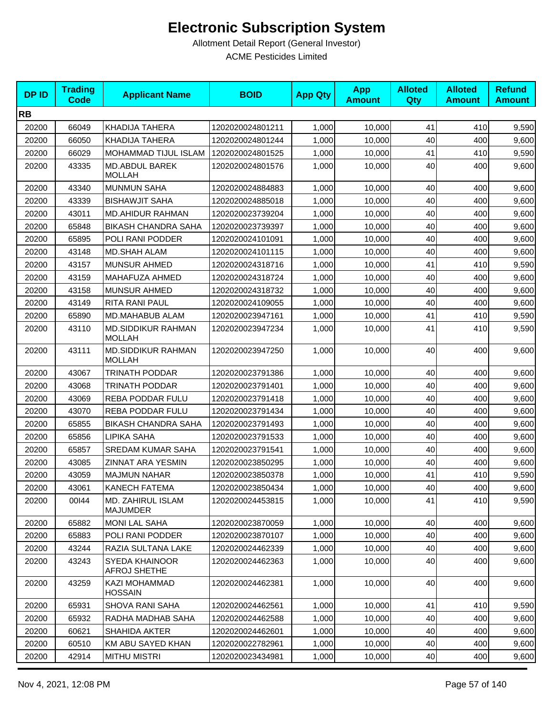| <b>DPID</b> | <b>Trading</b><br><b>Code</b> | <b>Applicant Name</b>                       | <b>BOID</b>      | <b>App Qty</b> | <b>App</b><br><b>Amount</b> | <b>Alloted</b><br>Qty | <b>Alloted</b><br><b>Amount</b> | <b>Refund</b><br><b>Amount</b> |
|-------------|-------------------------------|---------------------------------------------|------------------|----------------|-----------------------------|-----------------------|---------------------------------|--------------------------------|
| <b>RB</b>   |                               |                                             |                  |                |                             |                       |                                 |                                |
| 20200       | 66049                         | <b>KHADIJA TAHERA</b>                       | 1202020024801211 | 1,000          | 10,000                      | 41                    | 410                             | 9,590                          |
| 20200       | 66050                         | <b>KHADIJA TAHERA</b>                       | 1202020024801244 | 1,000          | 10,000                      | 40                    | 400                             | 9,600                          |
| 20200       | 66029                         | MOHAMMAD TIJUL ISLAM                        | 1202020024801525 | 1,000          | 10,000                      | 41                    | 410                             | 9,590                          |
| 20200       | 43335                         | MD.ABDUL BAREK<br><b>MOLLAH</b>             | 1202020024801576 | 1,000          | 10,000                      | 40                    | 400                             | 9,600                          |
| 20200       | 43340                         | <b>MUNMUN SAHA</b>                          | 1202020024884883 | 1,000          | 10,000                      | 40                    | 400                             | 9,600                          |
| 20200       | 43339                         | <b>BISHAWJIT SAHA</b>                       | 1202020024885018 | 1,000          | 10,000                      | 40                    | 400                             | 9,600                          |
| 20200       | 43011                         | <b>MD.AHIDUR RAHMAN</b>                     | 1202020023739204 | 1,000          | 10,000                      | 40                    | 400                             | 9,600                          |
| 20200       | 65848                         | <b>BIKASH CHANDRA SAHA</b>                  | 1202020023739397 | 1,000          | 10,000                      | 40                    | 400                             | 9,600                          |
| 20200       | 65895                         | POLI RANI PODDER                            | 1202020024101091 | 1,000          | 10,000                      | 40                    | 400                             | 9,600                          |
| 20200       | 43148                         | <b>MD.SHAH ALAM</b>                         | 1202020024101115 | 1,000          | 10,000                      | 40                    | 400                             | 9,600                          |
| 20200       | 43157                         | <b>MUNSUR AHMED</b>                         | 1202020024318716 | 1,000          | 10,000                      | 41                    | 410                             | 9,590                          |
| 20200       | 43159                         | MAHAFUZA AHMED                              | 1202020024318724 | 1,000          | 10,000                      | 40                    | 400                             | 9,600                          |
| 20200       | 43158                         | <b>MUNSUR AHMED</b>                         | 1202020024318732 | 1,000          | 10,000                      | 40                    | 400                             | 9,600                          |
| 20200       | 43149                         | RITA RANI PAUL                              | 1202020024109055 | 1,000          | 10,000                      | 40                    | 400                             | 9,600                          |
| 20200       | 65890                         | MD.MAHABUB ALAM                             | 1202020023947161 | 1,000          | 10,000                      | 41                    | 410                             | 9,590                          |
| 20200       | 43110                         | <b>MD.SIDDIKUR RAHMAN</b><br><b>MOLLAH</b>  | 1202020023947234 | 1,000          | 10,000                      | 41                    | 410                             | 9,590                          |
| 20200       | 43111                         | MD.SIDDIKUR RAHMAN<br><b>MOLLAH</b>         | 1202020023947250 | 1,000          | 10,000                      | 40                    | 400                             | 9,600                          |
| 20200       | 43067                         | <b>TRINATH PODDAR</b>                       | 1202020023791386 | 1,000          | 10,000                      | 40                    | 400                             | 9,600                          |
| 20200       | 43068                         | TRINATH PODDAR                              | 1202020023791401 | 1,000          | 10,000                      | 40                    | 400                             | 9,600                          |
| 20200       | 43069                         | REBA PODDAR FULU                            | 1202020023791418 | 1,000          | 10,000                      | 40                    | 400                             | 9,600                          |
| 20200       | 43070                         | <b>REBA PODDAR FULU</b>                     | 1202020023791434 | 1,000          | 10,000                      | 40                    | 400                             | 9,600                          |
| 20200       | 65855                         | <b>BIKASH CHANDRA SAHA</b>                  | 1202020023791493 | 1,000          | 10,000                      | 40                    | 400                             | 9,600                          |
| 20200       | 65856                         | <b>LIPIKA SAHA</b>                          | 1202020023791533 | 1,000          | 10,000                      | 40                    | 400                             | 9,600                          |
| 20200       | 65857                         | <b>SREDAM KUMAR SAHA</b>                    | 1202020023791541 | 1,000          | 10,000                      | 40                    | 400                             | 9,600                          |
| 20200       | 43085                         | <b>ZINNAT ARA YESMIN</b>                    | 1202020023850295 | 1,000          | 10.000                      | 40                    | 400                             | 9,600                          |
| 20200       | 43059                         | <b>MAJMUN NAHAR</b>                         | 1202020023850378 | 1,000          | 10,000                      | 41                    | 410                             | 9,590                          |
| 20200       | 43061                         | KANECH FATEMA                               | 1202020023850434 | 1,000          | 10,000                      | 40                    | 400                             | 9,600                          |
| 20200       | 00144                         | <b>MD. ZAHIRUL ISLAM</b><br><b>MAJUMDER</b> | 1202020024453815 | 1,000          | 10,000                      | 41                    | 410                             | 9,590                          |
| 20200       | 65882                         | <b>MONI LAL SAHA</b>                        | 1202020023870059 | 1,000          | 10,000                      | 40                    | 400                             | 9,600                          |
| 20200       | 65883                         | POLI RANI PODDER                            | 1202020023870107 | 1,000          | 10,000                      | 40                    | 400                             | 9,600                          |
| 20200       | 43244                         | RAZIA SULTANA LAKE                          | 1202020024462339 | 1,000          | 10,000                      | 40                    | 400                             | 9,600                          |
| 20200       | 43243                         | SYEDA KHAINOOR<br><b>AFROJ SHETHE</b>       | 1202020024462363 | 1,000          | 10,000                      | 40                    | 400                             | 9,600                          |
| 20200       | 43259                         | KAZI MOHAMMAD<br><b>HOSSAIN</b>             | 1202020024462381 | 1,000          | 10,000                      | 40                    | 400                             | 9,600                          |
| 20200       | 65931                         | <b>SHOVA RANI SAHA</b>                      | 1202020024462561 | 1,000          | 10,000                      | 41                    | 410                             | 9,590                          |
| 20200       | 65932                         | RADHA MADHAB SAHA                           | 1202020024462588 | 1,000          | 10,000                      | 40                    | 400                             | 9,600                          |
| 20200       | 60621                         | <b>SHAHIDA AKTER</b>                        | 1202020024462601 | 1,000          | 10,000                      | 40                    | 400                             | 9,600                          |
| 20200       | 60510                         | KM ABU SAYED KHAN                           | 1202020022782961 | 1,000          | 10,000                      | 40                    | 400                             | 9,600                          |
| 20200       | 42914                         | <b>MITHU MISTRI</b>                         | 1202020023434981 | 1,000          | 10,000                      | 40                    | 400                             | 9,600                          |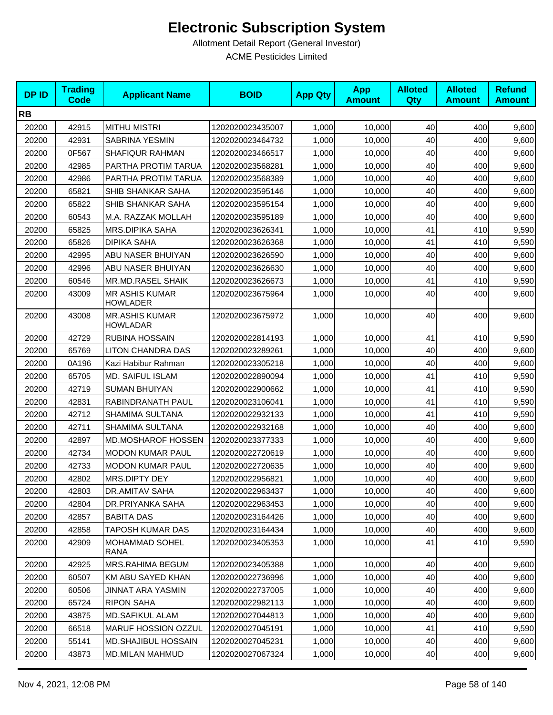| <b>DPID</b> | <b>Trading</b><br><b>Code</b> | <b>Applicant Name</b>                    | <b>BOID</b>      | <b>App Qty</b> | <b>App</b><br><b>Amount</b> | <b>Alloted</b><br>Qty | <b>Alloted</b><br><b>Amount</b> | <b>Refund</b><br><b>Amount</b> |
|-------------|-------------------------------|------------------------------------------|------------------|----------------|-----------------------------|-----------------------|---------------------------------|--------------------------------|
| <b>RB</b>   |                               |                                          |                  |                |                             |                       |                                 |                                |
| 20200       | 42915                         | <b>MITHU MISTRI</b>                      | 1202020023435007 | 1,000          | 10,000                      | 40                    | 400                             | 9,600                          |
| 20200       | 42931                         | <b>SABRINA YESMIN</b>                    | 1202020023464732 | 1,000          | 10,000                      | 40                    | 400                             | 9,600                          |
| 20200       | 0F567                         | <b>SHAFIQUR RAHMAN</b>                   | 1202020023466517 | 1,000          | 10,000                      | 40                    | 400                             | 9,600                          |
| 20200       | 42985                         | PARTHA PROTIM TARUA                      | 1202020023568281 | 1,000          | 10,000                      | 40                    | 400                             | 9,600                          |
| 20200       | 42986                         | PARTHA PROTIM TARUA                      | 1202020023568389 | 1,000          | 10,000                      | 40                    | 400                             | 9,600                          |
| 20200       | 65821                         | SHIB SHANKAR SAHA                        | 1202020023595146 | 1,000          | 10,000                      | 40                    | 400                             | 9,600                          |
| 20200       | 65822                         | SHIB SHANKAR SAHA                        | 1202020023595154 | 1,000          | 10,000                      | 40                    | 400                             | 9,600                          |
| 20200       | 60543                         | M.A. RAZZAK MOLLAH                       | 1202020023595189 | 1,000          | 10,000                      | 40                    | 400                             | 9,600                          |
| 20200       | 65825                         | <b>MRS.DIPIKA SAHA</b>                   | 1202020023626341 | 1,000          | 10,000                      | 41                    | 410                             | 9,590                          |
| 20200       | 65826                         | <b>DIPIKA SAHA</b>                       | 1202020023626368 | 1,000          | 10,000                      | 41                    | 410                             | 9,590                          |
| 20200       | 42995                         | ABU NASER BHUIYAN                        | 1202020023626590 | 1,000          | 10,000                      | 40                    | 400                             | 9,600                          |
| 20200       | 42996                         | ABU NASER BHUIYAN                        | 1202020023626630 | 1,000          | 10,000                      | 40                    | 400                             | 9,600                          |
| 20200       | 60546                         | MR.MD.RASEL SHAIK                        | 1202020023626673 | 1,000          | 10,000                      | 41                    | 410                             | 9,590                          |
| 20200       | 43009                         | <b>MR ASHIS KUMAR</b><br><b>HOWLADER</b> | 1202020023675964 | 1,000          | 10,000                      | 40                    | 400                             | 9,600                          |
| 20200       | 43008                         | <b>MR.ASHIS KUMAR</b><br><b>HOWLADAR</b> | 1202020023675972 | 1,000          | 10,000                      | 40                    | 400                             | 9,600                          |
| 20200       | 42729                         | <b>RUBINA HOSSAIN</b>                    | 1202020022814193 | 1,000          | 10,000                      | 41                    | 410                             | 9,590                          |
| 20200       | 65769                         | <b>LITON CHANDRA DAS</b>                 | 1202020023289261 | 1,000          | 10,000                      | 40                    | 400                             | 9,600                          |
| 20200       | 0A196                         | Kazi Habibur Rahman                      | 1202020023305218 | 1,000          | 10,000                      | 40                    | 400                             | 9,600                          |
| 20200       | 65705                         | MD. SAIFUL ISLAM                         | 1202020022890094 | 1,000          | 10,000                      | 41                    | 410                             | 9,590                          |
| 20200       | 42719                         | <b>SUMAN BHUIYAN</b>                     | 1202020022900662 | 1,000          | 10,000                      | 41                    | 410                             | 9,590                          |
| 20200       | 42831                         | RABINDRANATH PAUL                        | 1202020023106041 | 1,000          | 10,000                      | 41                    | 410                             | 9,590                          |
| 20200       | 42712                         | SHAMIMA SULTANA                          | 1202020022932133 | 1,000          | 10,000                      | 41                    | 410                             | 9,590                          |
| 20200       | 42711                         | SHAMIMA SULTANA                          | 1202020022932168 | 1,000          | 10,000                      | 40                    | 400                             | 9,600                          |
| 20200       | 42897                         | <b>MD.MOSHAROF HOSSEN</b>                | 1202020023377333 | 1,000          | 10,000                      | 40                    | 400                             | 9,600                          |
| 20200       | 42734                         | <b>MODON KUMAR PAUL</b>                  | 1202020022720619 | 1,000          | 10,000                      | 40                    | 400                             | 9,600                          |
| 20200       | 42733                         | <b>MODON KUMAR PAUL</b>                  | 1202020022720635 | 1,000          | 10,000                      | 40                    | 400                             | 9,600                          |
| 20200       | 42802                         | <b>MRS.DIPTY DEY</b>                     | 1202020022956821 | 1,000          | 10,000                      | 40                    | 400                             | 9,600                          |
| 20200       | 42803                         | DR.AMITAV SAHA                           | 1202020022963437 | 1,000          | 10,000                      | 40                    | 400                             | 9,600                          |
| 20200       | 42804                         | DR.PRIYANKA SAHA                         | 1202020022963453 | 1,000          | 10,000                      | 40                    | 400                             | 9,600                          |
| 20200       | 42857                         | <b>BABITA DAS</b>                        | 1202020023164426 | 1,000          | 10,000                      | 40                    | 400                             | 9,600                          |
| 20200       | 42858                         | <b>TAPOSH KUMAR DAS</b>                  | 1202020023164434 | 1,000          | 10,000                      | 40                    | 400                             | 9,600                          |
| 20200       | 42909                         | MOHAMMAD SOHEL<br>RANA                   | 1202020023405353 | 1,000          | 10.000                      | 41                    | 410                             | 9,590                          |
| 20200       | 42925                         | MRS.RAHIMA BEGUM                         | 1202020023405388 | 1,000          | 10,000                      | 40                    | 400                             | 9,600                          |
| 20200       | 60507                         | <b>KM ABU SAYED KHAN</b>                 | 1202020022736996 | 1,000          | 10,000                      | 40                    | 400                             | 9,600                          |
| 20200       | 60506                         | <b>JINNAT ARA YASMIN</b>                 | 1202020022737005 | 1,000          | 10,000                      | 40                    | 400                             | 9,600                          |
| 20200       | 65724                         | <b>RIPON SAHA</b>                        | 1202020022982113 | 1,000          | 10,000                      | 40                    | 400                             | 9,600                          |
| 20200       | 43875                         | MD.SAFIKUL ALAM                          | 1202020027044813 | 1,000          | 10,000                      | 40                    | 400                             | 9,600                          |
| 20200       | 66518                         | MARUF HOSSION OZZUL                      | 1202020027045191 | 1,000          | 10,000                      | 41                    | 410                             | 9,590                          |
| 20200       | 55141                         | <b>MD.SHAJIBUL HOSSAIN</b>               | 1202020027045231 | 1,000          | 10,000                      | 40                    | 400                             | 9,600                          |
| 20200       | 43873                         | MD.MILAN MAHMUD                          | 1202020027067324 | 1,000          | 10,000                      | 40                    | 400                             | 9,600                          |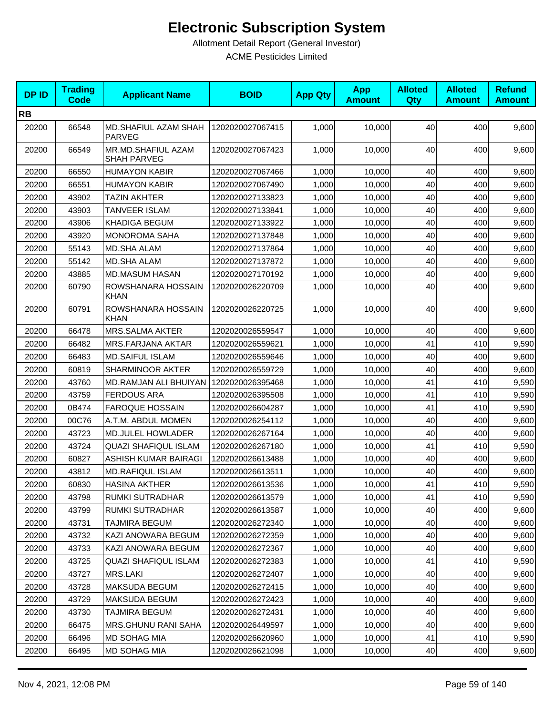| <b>DPID</b> | <b>Trading</b><br><b>Code</b> | <b>Applicant Name</b>                    | <b>BOID</b>      | <b>App Qty</b> | <b>App</b><br><b>Amount</b> | <b>Alloted</b><br><b>Qty</b> | <b>Alloted</b><br><b>Amount</b> | <b>Refund</b><br><b>Amount</b> |
|-------------|-------------------------------|------------------------------------------|------------------|----------------|-----------------------------|------------------------------|---------------------------------|--------------------------------|
| <b>RB</b>   |                               |                                          |                  |                |                             |                              |                                 |                                |
| 20200       | 66548                         | MD.SHAFIUL AZAM SHAH<br><b>PARVEG</b>    | 1202020027067415 | 1,000          | 10,000                      | 40                           | 400                             | 9,600                          |
| 20200       | 66549                         | MR.MD.SHAFIUL AZAM<br><b>SHAH PARVEG</b> | 1202020027067423 | 1,000          | 10,000                      | 40                           | 400                             | 9,600                          |
| 20200       | 66550                         | <b>HUMAYON KABIR</b>                     | 1202020027067466 | 1,000          | 10,000                      | 40                           | 400                             | 9,600                          |
| 20200       | 66551                         | <b>HUMAYON KABIR</b>                     | 1202020027067490 | 1,000          | 10,000                      | 40                           | 400                             | 9,600                          |
| 20200       | 43902                         | <b>TAZIN AKHTER</b>                      | 1202020027133823 | 1,000          | 10,000                      | 40                           | 400                             | 9,600                          |
| 20200       | 43903                         | <b>TANVEER ISLAM</b>                     | 1202020027133841 | 1,000          | 10,000                      | 40                           | 400                             | 9,600                          |
| 20200       | 43906                         | <b>KHADIGA BEGUM</b>                     | 1202020027133922 | 1,000          | 10,000                      | 40                           | 400                             | 9,600                          |
| 20200       | 43920                         | <b>MONOROMA SAHA</b>                     | 1202020027137848 | 1,000          | 10,000                      | 40                           | 400                             | 9,600                          |
| 20200       | 55143                         | MD.SHA ALAM                              | 1202020027137864 | 1,000          | 10,000                      | 40                           | 400                             | 9,600                          |
| 20200       | 55142                         | <b>MD.SHA ALAM</b>                       | 1202020027137872 | 1,000          | 10,000                      | 40                           | 400                             | 9,600                          |
| 20200       | 43885                         | MD.MASUM HASAN                           | 1202020027170192 | 1,000          | 10,000                      | 40                           | 400                             | 9,600                          |
| 20200       | 60790                         | ROWSHANARA HOSSAIN<br><b>KHAN</b>        | 1202020026220709 | 1,000          | 10,000                      | 40                           | 400                             | 9,600                          |
| 20200       | 60791                         | ROWSHANARA HOSSAIN<br><b>KHAN</b>        | 1202020026220725 | 1,000          | 10,000                      | 40                           | 400                             | 9,600                          |
| 20200       | 66478                         | <b>MRS.SALMA AKTER</b>                   | 1202020026559547 | 1,000          | 10,000                      | 40                           | 400                             | 9,600                          |
| 20200       | 66482                         | MRS.FARJANA AKTAR                        | 1202020026559621 | 1,000          | 10,000                      | 41                           | 410                             | 9,590                          |
| 20200       | 66483                         | <b>MD.SAIFUL ISLAM</b>                   | 1202020026559646 | 1,000          | 10,000                      | 40                           | 400                             | 9,600                          |
| 20200       | 60819                         | SHARMINOOR AKTER                         | 1202020026559729 | 1,000          | 10,000                      | 40                           | 400                             | 9,600                          |
| 20200       | 43760                         | MD.RAMJAN ALI BHUIYAN                    | 1202020026395468 | 1,000          | 10,000                      | 41                           | 410                             | 9,590                          |
| 20200       | 43759                         | <b>FERDOUS ARA</b>                       | 1202020026395508 | 1,000          | 10,000                      | 41                           | 410                             | 9,590                          |
| 20200       | 0B474                         | <b>FAROQUE HOSSAIN</b>                   | 1202020026604287 | 1,000          | 10,000                      | 41                           | 410                             | 9,590                          |
| 20200       | 00C76                         | A.T.M. ABDUL MOMEN                       | 1202020026254112 | 1,000          | 10,000                      | 40                           | 400                             | 9,600                          |
| 20200       | 43723                         | MD.JULEL HOWLADER                        | 1202020026267164 | 1,000          | 10,000                      | 40                           | 400                             | 9,600                          |
| 20200       | 43724                         | <b>QUAZI SHAFIQUL ISLAM</b>              | 1202020026267180 | 1,000          | 10,000                      | 41                           | 410                             | 9,590                          |
| 20200       | 60827                         | ASHISH KUMAR BAIRAGI                     | 1202020026613488 | 1,000          | 10,000                      | 40                           | 400                             | 9,600                          |
| 20200       | 43812                         | <b>MD.RAFIQUL ISLAM</b>                  | 1202020026613511 | 1,000          | 10,000                      | 40                           | 400                             | 9,600                          |
| 20200       | 60830                         | HASINA AKTHER                            | 1202020026613536 | 1,000          | 10,000                      | 41                           | 410                             | 9,590                          |
| 20200       | 43798                         | RUMKI SUTRADHAR                          | 1202020026613579 | 1,000          | 10,000                      | 41                           | 410                             | 9,590                          |
| 20200       | 43799                         | RUMKI SUTRADHAR                          | 1202020026613587 | 1,000          | 10,000                      | 40                           | 400                             | 9,600                          |
| 20200       | 43731                         | <b>TAJMIRA BEGUM</b>                     | 1202020026272340 | 1,000          | 10,000                      | 40                           | 400                             | 9,600                          |
| 20200       | 43732                         | KAZI ANOWARA BEGUM                       | 1202020026272359 | 1,000          | 10,000                      | 40                           | 400                             | 9,600                          |
| 20200       | 43733                         | KAZI ANOWARA BEGUM                       | 1202020026272367 | 1,000          | 10,000                      | 40                           | 400                             | 9,600                          |
| 20200       | 43725                         | <b>QUAZI SHAFIQUL ISLAM</b>              | 1202020026272383 | 1,000          | 10,000                      | 41                           | 410                             | 9,590                          |
| 20200       | 43727                         | MRS.LAKI                                 | 1202020026272407 | 1,000          | 10,000                      | 40                           | 400                             | 9,600                          |
| 20200       | 43728                         | <b>MAKSUDA BEGUM</b>                     | 1202020026272415 | 1,000          | 10,000                      | 40                           | 400                             | 9,600                          |
| 20200       | 43729                         | MAKSUDA BEGUM                            | 1202020026272423 | 1,000          | 10,000                      | 40                           | 400                             | 9,600                          |
| 20200       | 43730                         | TAJMIRA BEGUM                            | 1202020026272431 | 1,000          | 10,000                      | 40                           | 400                             | 9,600                          |
| 20200       | 66475                         | <b>MRS.GHUNU RANI SAHA</b>               | 1202020026449597 | 1,000          | 10,000                      | 40                           | 400                             | 9,600                          |
| 20200       | 66496                         | MD SOHAG MIA                             | 1202020026620960 | 1,000          | 10,000                      | 41                           | 410                             | 9,590                          |
| 20200       | 66495                         | MD SOHAG MIA                             | 1202020026621098 | 1,000          | 10,000                      | 40                           | 400                             | 9,600                          |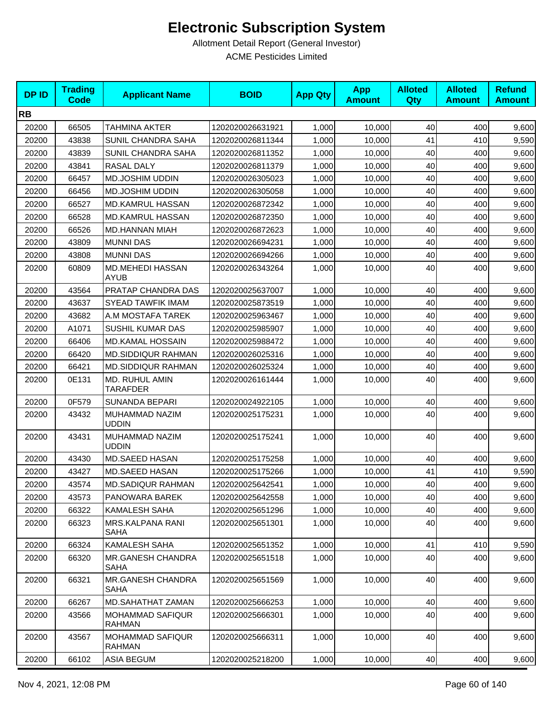| <b>DPID</b> | <b>Trading</b><br><b>Code</b> | <b>Applicant Name</b>                    | <b>BOID</b>      | <b>App Qty</b> | <b>App</b><br><b>Amount</b> | <b>Alloted</b><br>Qty | <b>Alloted</b><br><b>Amount</b> | <b>Refund</b><br><b>Amount</b> |
|-------------|-------------------------------|------------------------------------------|------------------|----------------|-----------------------------|-----------------------|---------------------------------|--------------------------------|
| <b>RB</b>   |                               |                                          |                  |                |                             |                       |                                 |                                |
| 20200       | 66505                         | <b>TAHMINA AKTER</b>                     | 1202020026631921 | 1,000          | 10,000                      | 40                    | 400                             | 9,600                          |
| 20200       | 43838                         | SUNIL CHANDRA SAHA                       | 1202020026811344 | 1,000          | 10,000                      | 41                    | 410                             | 9,590                          |
| 20200       | 43839                         | SUNIL CHANDRA SAHA                       | 1202020026811352 | 1,000          | 10,000                      | 40                    | 400                             | 9,600                          |
| 20200       | 43841                         | RASAL DALY                               | 1202020026811379 | 1,000          | 10,000                      | 40                    | 400                             | 9,600                          |
| 20200       | 66457                         | MD.JOSHIM UDDIN                          | 1202020026305023 | 1,000          | 10,000                      | 40                    | 400                             | 9,600                          |
| 20200       | 66456                         | MD.JOSHIM UDDIN                          | 1202020026305058 | 1,000          | 10,000                      | 40                    | 400                             | 9,600                          |
| 20200       | 66527                         | MD.KAMRUL HASSAN                         | 1202020026872342 | 1,000          | 10.000                      | 40                    | 400                             | 9,600                          |
| 20200       | 66528                         | MD.KAMRUL HASSAN                         | 1202020026872350 | 1,000          | 10,000                      | 40                    | 400                             | 9,600                          |
| 20200       | 66526                         | MD.HANNAN MIAH                           | 1202020026872623 | 1,000          | 10,000                      | 40                    | 400                             | 9,600                          |
| 20200       | 43809                         | <b>MUNNI DAS</b>                         | 1202020026694231 | 1,000          | 10,000                      | 40                    | 400                             | 9,600                          |
| 20200       | 43808                         | <b>MUNNI DAS</b>                         | 1202020026694266 | 1,000          | 10,000                      | 40                    | 400                             | 9,600                          |
| 20200       | 60809                         | <b>MD.MEHEDI HASSAN</b><br>AYUB          | 1202020026343264 | 1,000          | 10,000                      | 40                    | 400                             | 9,600                          |
| 20200       | 43564                         | PRATAP CHANDRA DAS                       | 1202020025637007 | 1,000          | 10,000                      | 40                    | 400                             | 9,600                          |
| 20200       | 43637                         | <b>SYEAD TAWFIK IMAM</b>                 | 1202020025873519 | 1,000          | 10,000                      | 40                    | 400                             | 9,600                          |
| 20200       | 43682                         | A.M MOSTAFA TAREK                        | 1202020025963467 | 1,000          | 10,000                      | 40                    | 400                             | 9,600                          |
| 20200       | A1071                         | SUSHIL KUMAR DAS                         | 1202020025985907 | 1,000          | 10,000                      | 40                    | 400                             | 9,600                          |
| 20200       | 66406                         | <b>MD.KAMAL HOSSAIN</b>                  | 1202020025988472 | 1,000          | 10,000                      | 40                    | 400                             | 9,600                          |
| 20200       | 66420                         | <b>MD.SIDDIQUR RAHMAN</b>                | 1202020026025316 | 1,000          | 10,000                      | 40                    | 400                             | 9,600                          |
| 20200       | 66421                         | <b>MD.SIDDIQUR RAHMAN</b>                | 1202020026025324 | 1,000          | 10,000                      | 40                    | 400                             | 9,600                          |
| 20200       | 0E131                         | MD. RUHUL AMIN<br><b>TARAFDER</b>        | 1202020026161444 | 1,000          | 10,000                      | 40                    | 400                             | 9,600                          |
| 20200       | 0F579                         | <b>SUNANDA BEPARI</b>                    | 1202020024922105 | 1,000          | 10,000                      | 40                    | 400                             | 9,600                          |
| 20200       | 43432                         | MUHAMMAD NAZIM<br>UDDIN                  | 1202020025175231 | 1,000          | 10,000                      | 40                    | 400                             | 9,600                          |
| 20200       | 43431                         | MUHAMMAD NAZIM<br><b>UDDIN</b>           | 1202020025175241 | 1,000          | 10,000                      | 40                    | 400                             | 9,600                          |
| 20200       | 43430                         | MD.SAEED HASAN                           | 1202020025175258 | 1,000          | 10,000                      | 40                    | 400                             | 9,600                          |
| 20200       | 43427                         | MD.SAEED HASAN                           | 1202020025175266 | 1,000          | 10,000                      | 41                    | 410                             | 9,590                          |
| 20200       | 43574                         | MD.SADIQUR RAHMAN                        | 1202020025642541 | 1,000          | 10,000                      | 40                    | 400                             | 9,600                          |
| 20200       | 43573                         | PANOWARA BAREK                           | 1202020025642558 | 1,000          | 10,000                      | 40                    | 400                             | 9,600                          |
| 20200       | 66322                         | KAMALESH SAHA                            | 1202020025651296 | 1,000          | 10,000                      | 40                    | 400                             | 9,600                          |
| 20200       | 66323                         | <b>MRS.KALPANA RANI</b><br><b>SAHA</b>   | 1202020025651301 | 1,000          | 10,000                      | 40                    | 400                             | 9,600                          |
| 20200       | 66324                         | <b>KAMALESH SAHA</b>                     | 1202020025651352 | 1,000          | 10,000                      | 41                    | 410                             | 9,590                          |
| 20200       | 66320                         | <b>MR.GANESH CHANDRA</b><br><b>SAHA</b>  | 1202020025651518 | 1,000          | 10,000                      | 40                    | 400                             | 9,600                          |
| 20200       | 66321                         | <b>MR.GANESH CHANDRA</b><br><b>SAHA</b>  | 1202020025651569 | 1,000          | 10,000                      | 40                    | 400                             | 9,600                          |
| 20200       | 66267                         | MD.SAHATHAT ZAMAN                        | 1202020025666253 | 1,000          | 10,000                      | 40                    | 400                             | 9,600                          |
| 20200       | 43566                         | <b>MOHAMMAD SAFIQUR</b><br><b>RAHMAN</b> | 1202020025666301 | 1,000          | 10,000                      | 40                    | 400                             | 9,600                          |
| 20200       | 43567                         | <b>MOHAMMAD SAFIQUR</b><br><b>RAHMAN</b> | 1202020025666311 | 1,000          | 10,000                      | 40                    | 400                             | 9,600                          |
| 20200       | 66102                         | <b>ASIA BEGUM</b>                        | 1202020025218200 | 1,000          | 10,000                      | 40                    | 400                             | 9,600                          |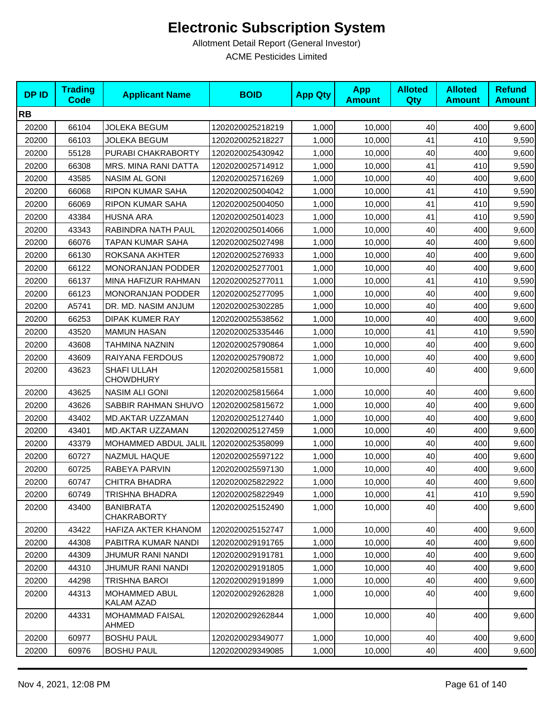| <b>DPID</b> | <b>Trading</b><br><b>Code</b> | <b>Applicant Name</b>                  | <b>BOID</b>      | <b>App Qty</b> | <b>App</b><br><b>Amount</b> | <b>Alloted</b><br><b>Qty</b> | <b>Alloted</b><br><b>Amount</b> | <b>Refund</b><br><b>Amount</b> |
|-------------|-------------------------------|----------------------------------------|------------------|----------------|-----------------------------|------------------------------|---------------------------------|--------------------------------|
| <b>RB</b>   |                               |                                        |                  |                |                             |                              |                                 |                                |
| 20200       | 66104                         | <b>JOLEKA BEGUM</b>                    | 1202020025218219 | 1,000          | 10,000                      | 40                           | 400                             | 9,600                          |
| 20200       | 66103                         | <b>JOLEKA BEGUM</b>                    | 1202020025218227 | 1,000          | 10,000                      | 41                           | 410                             | 9,590                          |
| 20200       | 55128                         | PURABI CHAKRABORTY                     | 1202020025430942 | 1,000          | 10,000                      | 40                           | 400                             | 9,600                          |
| 20200       | 66308                         | MRS. MINA RANI DATTA                   | 1202020025714912 | 1,000          | 10,000                      | 41                           | 410                             | 9,590                          |
| 20200       | 43585                         | NASIM AL GONI                          | 1202020025716269 | 1,000          | 10,000                      | 40                           | 400                             | 9,600                          |
| 20200       | 66068                         | <b>RIPON KUMAR SAHA</b>                | 1202020025004042 | 1,000          | 10.000                      | 41                           | 410                             | 9,590                          |
| 20200       | 66069                         | <b>RIPON KUMAR SAHA</b>                | 1202020025004050 | 1,000          | 10,000                      | 41                           | 410                             | 9,590                          |
| 20200       | 43384                         | <b>HUSNA ARA</b>                       | 1202020025014023 | 1,000          | 10,000                      | 41                           | 410                             | 9,590                          |
| 20200       | 43343                         | RABINDRA NATH PAUL                     | 1202020025014066 | 1,000          | 10,000                      | 40                           | 400                             | 9,600                          |
| 20200       | 66076                         | TAPAN KUMAR SAHA                       | 1202020025027498 | 1,000          | 10,000                      | 40                           | 400                             | 9,600                          |
| 20200       | 66130                         | ROKSANA AKHTER                         | 1202020025276933 | 1,000          | 10,000                      | 40                           | 400                             | 9,600                          |
| 20200       | 66122                         | <b>MONORANJAN PODDER</b>               | 1202020025277001 | 1,000          | 10,000                      | 40                           | 400                             | 9,600                          |
| 20200       | 66137                         | MINA HAFIZUR RAHMAN                    | 1202020025277011 | 1,000          | 10,000                      | 41                           | 410                             | 9,590                          |
| 20200       | 66123                         | MONORANJAN PODDER                      | 1202020025277095 | 1,000          | 10,000                      | 40                           | 400                             | 9,600                          |
| 20200       | A5741                         | DR. MD. NASIM ANJUM                    | 1202020025302285 | 1,000          | 10,000                      | 40                           | 400                             | 9,600                          |
| 20200       | 66253                         | <b>DIPAK KUMER RAY</b>                 | 1202020025538562 | 1,000          | 10,000                      | 40                           | 400                             | 9,600                          |
| 20200       | 43520                         | <b>MAMUN HASAN</b>                     | 1202020025335446 | 1,000          | 10,000                      | 41                           | 410                             | 9,590                          |
| 20200       | 43608                         | TAHMINA NAZNIN                         | 1202020025790864 | 1,000          | 10,000                      | 40                           | 400                             | 9,600                          |
| 20200       | 43609                         | RAIYANA FERDOUS                        | 1202020025790872 | 1,000          | 10,000                      | 40                           | 400                             | 9,600                          |
| 20200       | 43623                         | SHAFI ULLAH<br><b>CHOWDHURY</b>        | 1202020025815581 | 1,000          | 10,000                      | 40                           | 400                             | 9,600                          |
| 20200       | 43625                         | <b>NASIM ALI GONI</b>                  | 1202020025815664 | 1,000          | 10,000                      | 40                           | 400                             | 9,600                          |
| 20200       | 43626                         | SABBIR RAHMAN SHUVO                    | 1202020025815672 | 1,000          | 10,000                      | 40                           | 400                             | 9,600                          |
| 20200       | 43402                         | MD.AKTAR UZZAMAN                       | 1202020025127440 | 1,000          | 10,000                      | 40                           | 400                             | 9,600                          |
| 20200       | 43401                         | MD.AKTAR UZZAMAN                       | 1202020025127459 | 1,000          | 10,000                      | 40                           | 400                             | 9,600                          |
| 20200       | 43379                         | MOHAMMED ABDUL JALIL                   | 1202020025358099 | 1,000          | 10,000                      | 40                           | 400                             | 9,600                          |
| 20200       | 60727                         | <b>NAZMUL HAQUE</b>                    | 1202020025597122 | 1,000          | 10,000                      | 40                           | 400                             | 9,600                          |
| 20200       | 60725                         | RABEYA PARVIN                          | 1202020025597130 | 1,000          | 10,000                      | 40                           | 400                             | 9,600                          |
| 20200       | 60747                         | <b>CHITRA BHADRA</b>                   | 1202020025822922 | 1,000          | 10,000                      | 40                           | 400                             | 9,600                          |
| 20200       | 60749                         | TRISHNA BHADRA                         | 1202020025822949 | 1,000          | 10,000                      | 41                           | 410                             | 9,590                          |
| 20200       | 43400                         | <b>BANIBRATA</b><br><b>CHAKRABORTY</b> | 1202020025152490 | 1,000          | 10,000                      | 40                           | 400                             | 9,600                          |
| 20200       | 43422                         | HAFIZA AKTER KHANOM                    | 1202020025152747 | 1,000          | 10,000                      | 40                           | 400                             | 9,600                          |
| 20200       | 44308                         | PABITRA KUMAR NANDI                    | 1202020029191765 | 1,000          | 10,000                      | 40                           | 400                             | 9,600                          |
| 20200       | 44309                         | JHUMUR RANI NANDI                      | 1202020029191781 | 1,000          | 10,000                      | 40                           | 400                             | 9,600                          |
| 20200       | 44310                         | JHUMUR RANI NANDI                      | 1202020029191805 | 1,000          | 10,000                      | 40                           | 400                             | 9,600                          |
| 20200       | 44298                         | <b>TRISHNA BAROI</b>                   | 1202020029191899 | 1,000          | 10,000                      | 40                           | 400                             | 9,600                          |
| 20200       | 44313                         | MOHAMMED ABUL<br>KALAM AZAD            | 1202020029262828 | 1,000          | 10,000                      | 40                           | 400                             | 9,600                          |
| 20200       | 44331                         | <b>MOHAMMAD FAISAL</b><br>AHMED        | 1202020029262844 | 1,000          | 10,000                      | 40                           | 400                             | 9,600                          |
| 20200       | 60977                         | <b>BOSHU PAUL</b>                      | 1202020029349077 | 1,000          | 10,000                      | 40                           | 400                             | 9,600                          |
| 20200       | 60976                         | <b>BOSHU PAUL</b>                      | 1202020029349085 | 1,000          | 10,000                      | 40                           | 400                             | 9,600                          |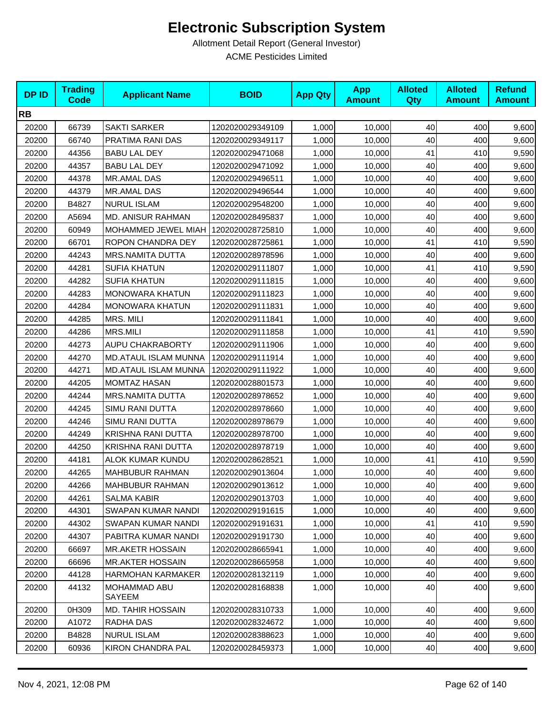| <b>DPID</b> | <b>Trading</b><br><b>Code</b> | <b>Applicant Name</b>                  | <b>BOID</b>      | <b>App Qty</b> | <b>App</b><br><b>Amount</b> | <b>Alloted</b><br>Qty | <b>Alloted</b><br><b>Amount</b> | <b>Refund</b><br><b>Amount</b> |
|-------------|-------------------------------|----------------------------------------|------------------|----------------|-----------------------------|-----------------------|---------------------------------|--------------------------------|
| <b>RB</b>   |                               |                                        |                  |                |                             |                       |                                 |                                |
| 20200       | 66739                         | <b>SAKTI SARKER</b>                    | 1202020029349109 | 1,000          | 10,000                      | 40                    | 400                             | 9,600                          |
| 20200       | 66740                         | PRATIMA RANI DAS                       | 1202020029349117 | 1,000          | 10,000                      | 40                    | 400                             | 9,600                          |
| 20200       | 44356                         | <b>BABU LAL DEY</b>                    | 1202020029471068 | 1,000          | 10,000                      | 41                    | 410                             | 9,590                          |
| 20200       | 44357                         | <b>BABU LAL DEY</b>                    | 1202020029471092 | 1,000          | 10,000                      | 40                    | 400                             | 9,600                          |
| 20200       | 44378                         | MR.AMAL DAS                            | 1202020029496511 | 1,000          | 10,000                      | 40                    | 400                             | 9,600                          |
| 20200       | 44379                         | MR.AMAL DAS                            | 1202020029496544 | 1,000          | 10,000                      | 40                    | 400                             | 9,600                          |
| 20200       | B4827                         | <b>NURUL ISLAM</b>                     | 1202020029548200 | 1,000          | 10,000                      | 40                    | 400                             | 9,600                          |
| 20200       | A5694                         | <b>MD. ANISUR RAHMAN</b>               | 1202020028495837 | 1,000          | 10,000                      | 40                    | 400                             | 9,600                          |
| 20200       | 60949                         | MOHAMMED JEWEL MIAH   1202020028725810 |                  | 1,000          | 10,000                      | 40                    | 400                             | 9,600                          |
| 20200       | 66701                         | ROPON CHANDRA DEY                      | 1202020028725861 | 1,000          | 10,000                      | 41                    | 410                             | 9,590                          |
| 20200       | 44243                         | <b>MRS.NAMITA DUTTA</b>                | 1202020028978596 | 1,000          | 10,000                      | 40                    | 400                             | 9,600                          |
| 20200       | 44281                         | <b>SUFIA KHATUN</b>                    | 1202020029111807 | 1,000          | 10,000                      | 41                    | 410                             | 9,590                          |
| 20200       | 44282                         | <b>SUFIA KHATUN</b>                    | 1202020029111815 | 1,000          | 10,000                      | 40                    | 400                             | 9,600                          |
| 20200       | 44283                         | <b>MONOWARA KHATUN</b>                 | 1202020029111823 | 1,000          | 10,000                      | 40                    | 400                             | 9,600                          |
| 20200       | 44284                         | <b>MONOWARA KHATUN</b>                 | 1202020029111831 | 1,000          | 10,000                      | 40                    | 400                             | 9,600                          |
| 20200       | 44285                         | MRS. MILI                              | 1202020029111841 | 1,000          | 10,000                      | 40                    | 400                             | 9,600                          |
| 20200       | 44286                         | <b>MRS.MILI</b>                        | 1202020029111858 | 1,000          | 10,000                      | 41                    | 410                             | 9,590                          |
| 20200       | 44273                         | <b>AUPU CHAKRABORTY</b>                | 1202020029111906 | 1,000          | 10,000                      | 40                    | 400                             | 9,600                          |
| 20200       | 44270                         | <b>MD.ATAUL ISLAM MUNNA</b>            | 1202020029111914 | 1,000          | 10,000                      | 40                    | 400                             | 9,600                          |
| 20200       | 44271                         | MD.ATAUL ISLAM MUNNA                   | 1202020029111922 | 1,000          | 10,000                      | 40                    | 400                             | 9,600                          |
| 20200       | 44205                         | <b>MOMTAZ HASAN</b>                    | 1202020028801573 | 1,000          | 10,000                      | 40                    | 400                             | 9,600                          |
| 20200       | 44244                         | <b>MRS.NAMITA DUTTA</b>                | 1202020028978652 | 1,000          | 10,000                      | 40                    | 400                             | 9,600                          |
| 20200       | 44245                         | SIMU RANI DUTTA                        | 1202020028978660 | 1,000          | 10,000                      | 40                    | 400                             | 9,600                          |
| 20200       | 44246                         | SIMU RANI DUTTA                        | 1202020028978679 | 1,000          | 10,000                      | 40                    | 400                             | 9,600                          |
| 20200       | 44249                         | KRISHNA RANI DUTTA                     | 1202020028978700 | 1,000          | 10,000                      | 40                    | 400                             | 9,600                          |
| 20200       | 44250                         | KRISHNA RANI DUTTA                     | 1202020028978719 | 1,000          | 10,000                      | 40                    | 400                             | 9,600                          |
| 20200       | 44181                         | ALOK KUMAR KUNDU                       | 1202020028628521 | 1,000          | 10,000                      | 41                    | 410                             | 9,590                          |
| 20200       | 44265                         | MAHBUBUR RAHMAN                        | 1202020029013604 | 1,000          | 10,000                      | 40                    | 400                             | 9,600                          |
| 20200       | 44266                         | <b>MAHBUBUR RAHMAN</b>                 | 1202020029013612 | 1,000          | 10,000                      | 40                    | 400                             | 9,600                          |
| 20200       | 44261                         | SALMA KABIR                            | 1202020029013703 | 1,000          | 10,000                      | 40                    | 400                             | 9,600                          |
| 20200       | 44301                         | SWAPAN KUMAR NANDI                     | 1202020029191615 | 1,000          | 10,000                      | 40                    | 400                             | 9,600                          |
| 20200       | 44302                         | SWAPAN KUMAR NANDI                     | 1202020029191631 | 1,000          | 10,000                      | 41                    | 410                             | 9,590                          |
| 20200       | 44307                         | PABITRA KUMAR NANDI                    | 1202020029191730 | 1,000          | 10,000                      | 40                    | 400                             | 9,600                          |
| 20200       | 66697                         | <b>MR.AKETR HOSSAIN</b>                | 1202020028665941 | 1,000          | 10,000                      | 40                    | 400                             | 9,600                          |
| 20200       | 66696                         | <b>MR.AKTER HOSSAIN</b>                | 1202020028665958 | 1,000          | 10,000                      | 40                    | 400                             | 9,600                          |
| 20200       | 44128                         | HARMOHAN KARMAKER                      | 1202020028132119 | 1,000          | 10,000                      | 40                    | 400                             | 9,600                          |
| 20200       | 44132                         | MOHAMMAD ABU<br>SAYEEM                 | 1202020028168838 | 1,000          | 10,000                      | 40                    | 400                             | 9,600                          |
| 20200       | 0H309                         | <b>MD. TAHIR HOSSAIN</b>               | 1202020028310733 | 1,000          | 10,000                      | 40                    | 400                             | 9,600                          |
| 20200       | A1072                         | RADHA DAS                              | 1202020028324672 | 1,000          | 10,000                      | 40                    | 400                             | 9,600                          |
| 20200       | B4828                         | <b>NURUL ISLAM</b>                     | 1202020028388623 | 1,000          | 10,000                      | 40                    | 400                             | 9,600                          |
| 20200       | 60936                         | KIRON CHANDRA PAL                      | 1202020028459373 | 1,000          | 10,000                      | 40                    | 400                             | 9,600                          |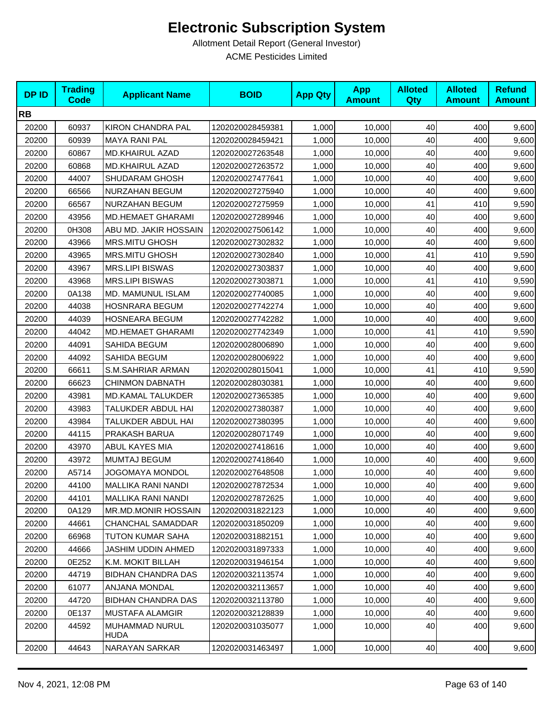| <b>DPID</b> | <b>Trading</b><br><b>Code</b> | <b>Applicant Name</b>     | <b>BOID</b>      | <b>App Qty</b> | <b>App</b><br><b>Amount</b> | <b>Alloted</b><br>Qty | <b>Alloted</b><br><b>Amount</b> | <b>Refund</b><br><b>Amount</b> |
|-------------|-------------------------------|---------------------------|------------------|----------------|-----------------------------|-----------------------|---------------------------------|--------------------------------|
| <b>RB</b>   |                               |                           |                  |                |                             |                       |                                 |                                |
| 20200       | 60937                         | KIRON CHANDRA PAL         | 1202020028459381 | 1,000          | 10,000                      | 40                    | 400                             | 9,600                          |
| 20200       | 60939                         | <b>MAYA RANI PAL</b>      | 1202020028459421 | 1,000          | 10,000                      | 40                    | 400                             | 9,600                          |
| 20200       | 60867                         | <b>MD.KHAIRUL AZAD</b>    | 1202020027263548 | 1,000          | 10,000                      | 40                    | 400                             | 9,600                          |
| 20200       | 60868                         | <b>MD.KHAIRUL AZAD</b>    | 1202020027263572 | 1,000          | 10,000                      | 40                    | 400                             | 9,600                          |
| 20200       | 44007                         | SHUDARAM GHOSH            | 1202020027477641 | 1,000          | 10,000                      | 40                    | 400                             | 9,600                          |
| 20200       | 66566                         | NURZAHAN BEGUM            | 1202020027275940 | 1,000          | 10,000                      | 40                    | 400                             | 9,600                          |
| 20200       | 66567                         | NURZAHAN BEGUM            | 1202020027275959 | 1,000          | 10,000                      | 41                    | 410                             | 9,590                          |
| 20200       | 43956                         | <b>MD.HEMAET GHARAMI</b>  | 1202020027289946 | 1,000          | 10,000                      | 40                    | 400                             | 9,600                          |
| 20200       | 0H308                         | ABU MD. JAKIR HOSSAIN     | 1202020027506142 | 1,000          | 10,000                      | 40                    | 400                             | 9,600                          |
| 20200       | 43966                         | <b>MRS.MITU GHOSH</b>     | 1202020027302832 | 1,000          | 10,000                      | 40                    | 400                             | 9,600                          |
| 20200       | 43965                         | <b>MRS.MITU GHOSH</b>     | 1202020027302840 | 1,000          | 10,000                      | 41                    | 410                             | 9,590                          |
| 20200       | 43967                         | <b>MRS.LIPI BISWAS</b>    | 1202020027303837 | 1,000          | 10,000                      | 40                    | 400                             | 9,600                          |
| 20200       | 43968                         | <b>MRS.LIPI BISWAS</b>    | 1202020027303871 | 1,000          | 10,000                      | 41                    | 410                             | 9,590                          |
| 20200       | 0A138                         | <b>MD. MAMUNUL ISLAM</b>  | 1202020027740085 | 1,000          | 10,000                      | 40                    | 400                             | 9,600                          |
| 20200       | 44038                         | <b>HOSNRARA BEGUM</b>     | 1202020027742274 | 1,000          | 10,000                      | 40                    | 400                             | 9,600                          |
| 20200       | 44039                         | <b>HOSNEARA BEGUM</b>     | 1202020027742282 | 1,000          | 10,000                      | 40                    | 400                             | 9,600                          |
| 20200       | 44042                         | <b>MD.HEMAET GHARAMI</b>  | 1202020027742349 | 1,000          | 10,000                      | 41                    | 410                             | 9,590                          |
| 20200       | 44091                         | SAHIDA BEGUM              | 1202020028006890 | 1,000          | 10,000                      | 40                    | 400                             | 9,600                          |
| 20200       | 44092                         | SAHIDA BEGUM              | 1202020028006922 | 1,000          | 10,000                      | 40                    | 400                             | 9,600                          |
| 20200       | 66611                         | S.M.SAHRIAR ARMAN         | 1202020028015041 | 1,000          | 10,000                      | 41                    | 410                             | 9,590                          |
| 20200       | 66623                         | <b>CHINMON DABNATH</b>    | 1202020028030381 | 1,000          | 10,000                      | 40                    | 400                             | 9,600                          |
| 20200       | 43981                         | MD.KAMAL TALUKDER         | 1202020027365385 | 1,000          | 10,000                      | 40                    | 400                             | 9,600                          |
| 20200       | 43983                         | TALUKDER ABDUL HAI        | 1202020027380387 | 1,000          | 10,000                      | 40                    | 400                             | 9,600                          |
| 20200       | 43984                         | TALUKDER ABDUL HAI        | 1202020027380395 | 1,000          | 10,000                      | 40                    | 400                             | 9,600                          |
| 20200       | 44115                         | PRAKASH BARUA             | 1202020028071749 | 1,000          | 10,000                      | 40                    | 400                             | 9,600                          |
| 20200       | 43970                         | ABUL KAYES MIA            | 1202020027418616 | 1,000          | 10,000                      | 40                    | 400                             | 9,600                          |
| 20200       | 43972                         | MUMTAJ BEGUM              | 1202020027418640 | 1,000          | 10,000                      | 40                    | 400                             | 9,600                          |
| 20200       | A5714                         | <b>JOGOMAYA MONDOL</b>    | 1202020027648508 | 1,000          | 10,000                      | 40                    | 400                             | 9,600                          |
| 20200       | 44100                         | MALLIKA RANI NANDI        | 1202020027872534 | 1,000          | 10,000                      | 40                    | 400                             | 9,600                          |
| 20200       | 44101                         | MALLIKA RANI NANDI        | 1202020027872625 | 1,000          | 10,000                      | 40                    | 400                             | 9,600                          |
| 20200       | 0A129                         | MR.MD.MONIR HOSSAIN       | 1202020031822123 | 1,000          | 10,000                      | 40                    | 400                             | 9,600                          |
| 20200       | 44661                         | <b>CHANCHAL SAMADDAR</b>  | 1202020031850209 | 1,000          | 10,000                      | 40                    | 400                             | 9,600                          |
| 20200       | 66968                         | <b>TUTON KUMAR SAHA</b>   | 1202020031882151 | 1,000          | 10,000                      | 40                    | 400                             | 9,600                          |
| 20200       | 44666                         | JASHIM UDDIN AHMED        | 1202020031897333 | 1,000          | 10,000                      | 40                    | 400                             | 9,600                          |
| 20200       | 0E252                         | K.M. MOKIT BILLAH         | 1202020031946154 | 1,000          | 10,000                      | 40                    | 400                             | 9,600                          |
| 20200       | 44719                         | <b>BIDHAN CHANDRA DAS</b> | 1202020032113574 | 1,000          | 10,000                      | 40                    | 400                             | 9,600                          |
| 20200       | 61077                         | <b>ANJANA MONDAL</b>      | 1202020032113657 | 1,000          | 10,000                      | 40                    | 400                             | 9,600                          |
| 20200       | 44720                         | <b>BIDHAN CHANDRA DAS</b> | 1202020032113780 | 1,000          | 10,000                      | 40                    | 400                             | 9,600                          |
| 20200       | 0E137                         | MUSTAFA ALAMGIR           | 1202020032128839 | 1,000          | 10,000                      | 40                    | 400                             | 9,600                          |
| 20200       | 44592                         | MUHAMMAD NURUL<br>HUDA    | 1202020031035077 | 1,000          | 10,000                      | 40                    | 400                             | 9,600                          |
| 20200       | 44643                         | NARAYAN SARKAR            | 1202020031463497 | 1,000          | 10,000                      | 40                    | 400                             | 9,600                          |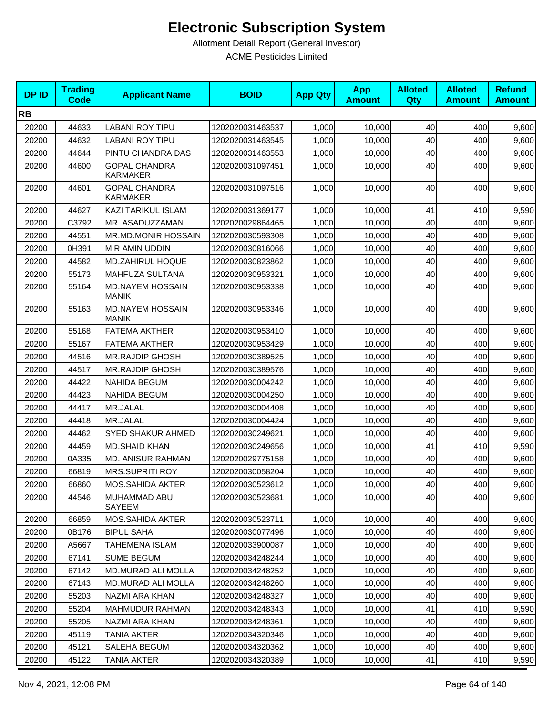| <b>DPID</b> | <b>Trading</b><br><b>Code</b> | <b>Applicant Name</b>                   | <b>BOID</b>      | <b>App Qty</b> | <b>App</b><br><b>Amount</b> | <b>Alloted</b><br>Qty | <b>Alloted</b><br><b>Amount</b> | <b>Refund</b><br><b>Amount</b> |
|-------------|-------------------------------|-----------------------------------------|------------------|----------------|-----------------------------|-----------------------|---------------------------------|--------------------------------|
| <b>RB</b>   |                               |                                         |                  |                |                             |                       |                                 |                                |
| 20200       | 44633                         | <b>LABANI ROY TIPU</b>                  | 1202020031463537 | 1,000          | 10,000                      | 40                    | 400                             | 9,600                          |
| 20200       | 44632                         | <b>LABANI ROY TIPU</b>                  | 1202020031463545 | 1,000          | 10,000                      | 40                    | 400                             | 9,600                          |
| 20200       | 44644                         | PINTU CHANDRA DAS                       | 1202020031463553 | 1,000          | 10,000                      | 40                    | 400                             | 9,600                          |
| 20200       | 44600                         | <b>GOPAL CHANDRA</b><br><b>KARMAKER</b> | 1202020031097451 | 1,000          | 10,000                      | 40                    | 400                             | 9,600                          |
| 20200       | 44601                         | <b>GOPAL CHANDRA</b><br><b>KARMAKER</b> | 1202020031097516 | 1,000          | 10,000                      | 40                    | 400                             | 9,600                          |
| 20200       | 44627                         | KAZI TARIKUL ISLAM                      | 1202020031369177 | 1,000          | 10,000                      | 41                    | 410                             | 9,590                          |
| 20200       | C3792                         | MR. ASADUZZAMAN                         | 1202020029864465 | 1,000          | 10,000                      | 40                    | 400                             | 9,600                          |
| 20200       | 44551                         | <b>MR.MD.MONIR HOSSAIN</b>              | 1202020030593308 | 1,000          | 10,000                      | 40                    | 400                             | 9,600                          |
| 20200       | 0H391                         | MIR AMIN UDDIN                          | 1202020030816066 | 1,000          | 10,000                      | 40                    | 400                             | 9,600                          |
| 20200       | 44582                         | <b>MD.ZAHIRUL HOQUE</b>                 | 1202020030823862 | 1,000          | 10,000                      | 40                    | 400                             | 9,600                          |
| 20200       | 55173                         | MAHFUZA SULTANA                         | 1202020030953321 | 1,000          | 10,000                      | 40                    | 400                             | 9,600                          |
| 20200       | 55164                         | <b>MD.NAYEM HOSSAIN</b><br><b>MANIK</b> | 1202020030953338 | 1,000          | 10,000                      | 40                    | 400                             | 9,600                          |
| 20200       | 55163                         | <b>MD.NAYEM HOSSAIN</b><br><b>MANIK</b> | 1202020030953346 | 1,000          | 10,000                      | 40                    | 400                             | 9,600                          |
| 20200       | 55168                         | <b>FATEMA AKTHER</b>                    | 1202020030953410 | 1,000          | 10,000                      | 40                    | 400                             | 9,600                          |
| 20200       | 55167                         | <b>FATEMA AKTHER</b>                    | 1202020030953429 | 1,000          | 10,000                      | 40                    | 400                             | 9,600                          |
| 20200       | 44516                         | <b>MR.RAJDIP GHOSH</b>                  | 1202020030389525 | 1,000          | 10,000                      | 40                    | 400                             | 9,600                          |
| 20200       | 44517                         | <b>MR.RAJDIP GHOSH</b>                  | 1202020030389576 | 1,000          | 10,000                      | 40                    | 400                             | 9,600                          |
| 20200       | 44422                         | <b>NAHIDA BEGUM</b>                     | 1202020030004242 | 1,000          | 10,000                      | 40                    | 400                             | 9,600                          |
| 20200       | 44423                         | <b>NAHIDA BEGUM</b>                     | 1202020030004250 | 1,000          | 10,000                      | 40                    | 400                             | 9,600                          |
| 20200       | 44417                         | MR.JALAL                                | 1202020030004408 | 1,000          | 10,000                      | 40                    | 400                             | 9,600                          |
| 20200       | 44418                         | MR.JALAL                                | 1202020030004424 | 1,000          | 10,000                      | 40                    | 400                             | 9,600                          |
| 20200       | 44462                         | <b>SYED SHAKUR AHMED</b>                | 1202020030249621 | 1,000          | 10,000                      | 40                    | 400                             | 9,600                          |
| 20200       | 44459                         | <b>MD.SHAID KHAN</b>                    | 1202020030249656 | 1.000          | 10,000                      | 41                    | 410                             | 9,590                          |
| 20200       | 0A335                         | <b>MD. ANISUR RAHMAN</b>                | 1202020029775158 | 1,000          | 10,000                      | 40                    | 400                             | 9,600                          |
| 20200       | 66819                         | <b>MRS.SUPRITI ROY</b>                  | 1202020030058204 | 1,000          | 10,000                      | 40                    | 400                             | 9,600                          |
| 20200       | 66860                         | MOS.SAHIDA AKTER                        | 1202020030523612 | 1,000          | 10,000                      | 40                    | 400                             | 9,600                          |
| 20200       | 44546                         | MUHAMMAD ABU<br><b>SAYEEM</b>           | 1202020030523681 | 1,000          | 10,000                      | 40                    | 400                             | 9,600                          |
| 20200       | 66859                         | MOS.SAHIDA AKTER                        | 1202020030523711 | 1,000          | 10,000                      | 40                    | 400                             | 9,600                          |
| 20200       | 0B176                         | <b>BIPUL SAHA</b>                       | 1202020030077496 | 1,000          | 10,000                      | 40                    | 400                             | 9,600                          |
| 20200       | A5667                         | <b>TAHEMENA ISLAM</b>                   | 1202020033900087 | 1,000          | 10.000                      | 40                    | 400                             | 9,600                          |
| 20200       | 67141                         | <b>SUME BEGUM</b>                       | 1202020034248244 | 1,000          | 10,000                      | 40                    | 400                             | 9,600                          |
| 20200       | 67142                         | MD.MURAD ALI MOLLA                      | 1202020034248252 | 1,000          | 10,000                      | 40                    | 400                             | 9,600                          |
| 20200       | 67143                         | MD.MURAD ALI MOLLA                      | 1202020034248260 | 1,000          | 10,000                      | 40                    | 400                             | 9,600                          |
| 20200       | 55203                         | NAZMI ARA KHAN                          | 1202020034248327 | 1,000          | 10,000                      | 40                    | 400                             | 9,600                          |
| 20200       | 55204                         | <b>MAHMUDUR RAHMAN</b>                  | 1202020034248343 | 1,000          | 10,000                      | 41                    | 410                             | 9,590                          |
| 20200       | 55205                         | NAZMI ARA KHAN                          | 1202020034248361 | 1,000          | 10,000                      | 40                    | 400                             | 9,600                          |
| 20200       | 45119                         | <b>TANIA AKTER</b>                      | 1202020034320346 | 1,000          | 10,000                      | 40                    | 400                             | 9,600                          |
| 20200       | 45121                         | SALEHA BEGUM                            | 1202020034320362 | 1,000          | 10,000                      | 40                    | 400                             | 9,600                          |
| 20200       | 45122                         | <b>TANIA AKTER</b>                      | 1202020034320389 | 1,000          | 10,000                      | 41                    | 410                             | 9,590                          |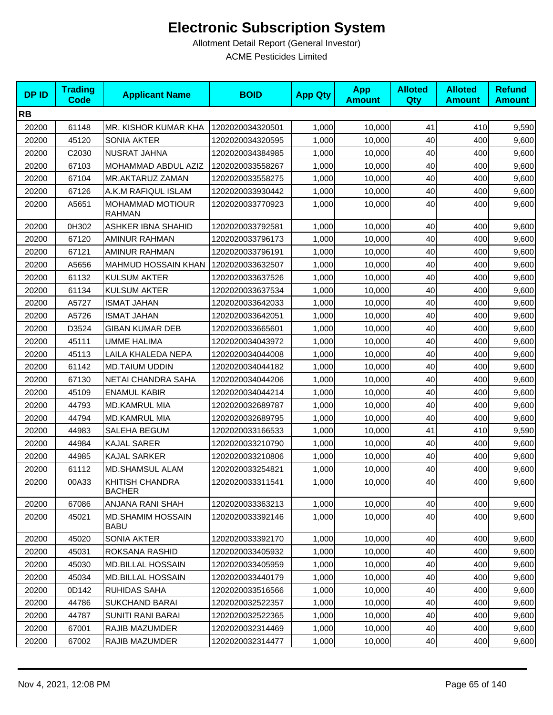| <b>DPID</b> | <b>Trading</b><br><b>Code</b> | <b>Applicant Name</b>                    | <b>BOID</b>      | <b>App Qty</b> | <b>App</b><br><b>Amount</b> | <b>Alloted</b><br>Qty | <b>Alloted</b><br><b>Amount</b> | <b>Refund</b><br><b>Amount</b> |
|-------------|-------------------------------|------------------------------------------|------------------|----------------|-----------------------------|-----------------------|---------------------------------|--------------------------------|
| <b>RB</b>   |                               |                                          |                  |                |                             |                       |                                 |                                |
| 20200       | 61148                         | MR. KISHOR KUMAR KHA                     | 1202020034320501 | 1,000          | 10,000                      | 41                    | 410                             | 9,590                          |
| 20200       | 45120                         | SONIA AKTER                              | 1202020034320595 | 1,000          | 10,000                      | 40                    | 400                             | 9,600                          |
| 20200       | C2030                         | NUSRAT JAHNA                             | 1202020034384985 | 1,000          | 10,000                      | 40                    | 400                             | 9,600                          |
| 20200       | 67103                         | MOHAMMAD ABDUL AZIZ                      | 1202020033558267 | 1,000          | 10,000                      | 40                    | 400                             | 9,600                          |
| 20200       | 67104                         | MR.AKTARUZ ZAMAN                         | 1202020033558275 | 1,000          | 10,000                      | 40                    | 400                             | 9,600                          |
| 20200       | 67126                         | A.K.M RAFIQUL ISLAM                      | 1202020033930442 | 1,000          | 10,000                      | 40                    | 400                             | 9,600                          |
| 20200       | A5651                         | <b>MOHAMMAD MOTIOUR</b><br><b>RAHMAN</b> | 1202020033770923 | 1,000          | 10,000                      | 40                    | 400                             | 9,600                          |
| 20200       | 0H302                         | <b>ASHKER IBNA SHAHID</b>                | 1202020033792581 | 1,000          | 10,000                      | 40                    | 400                             | 9,600                          |
| 20200       | 67120                         | AMINUR RAHMAN                            | 1202020033796173 | 1,000          | 10,000                      | 40                    | 400                             | 9,600                          |
| 20200       | 67121                         | AMINUR RAHMAN                            | 1202020033796191 | 1,000          | 10,000                      | 40                    | 400                             | 9,600                          |
| 20200       | A5656                         | <b>MAHMUD HOSSAIN KHAN</b>               | 1202020033632507 | 1,000          | 10,000                      | 40                    | 400                             | 9,600                          |
| 20200       | 61132                         | <b>KULSUM AKTER</b>                      | 1202020033637526 | 1,000          | 10,000                      | 40                    | 400                             | 9,600                          |
| 20200       | 61134                         | <b>KULSUM AKTER</b>                      | 1202020033637534 | 1,000          | 10,000                      | 40                    | 400                             | 9,600                          |
| 20200       | A5727                         | <b>ISMAT JAHAN</b>                       | 1202020033642033 | 1,000          | 10,000                      | 40                    | 400                             | 9,600                          |
| 20200       | A5726                         | <b>ISMAT JAHAN</b>                       | 1202020033642051 | 1,000          | 10,000                      | 40                    | 400                             | 9,600                          |
| 20200       | D3524                         | <b>GIBAN KUMAR DEB</b>                   | 1202020033665601 | 1,000          | 10,000                      | 40                    | 400                             | 9,600                          |
| 20200       | 45111                         | UMME HALIMA                              | 1202020034043972 | 1,000          | 10,000                      | 40                    | 400                             | 9,600                          |
| 20200       | 45113                         | LAILA KHALEDA NEPA                       | 1202020034044008 | 1,000          | 10,000                      | 40                    | 400                             | 9,600                          |
| 20200       | 61142                         | <b>MD.TAIUM UDDIN</b>                    | 1202020034044182 | 1,000          | 10,000                      | 40                    | 400                             | 9,600                          |
| 20200       | 67130                         | NETAI CHANDRA SAHA                       | 1202020034044206 | 1,000          | 10,000                      | 40                    | 400                             | 9,600                          |
| 20200       | 45109                         | <b>ENAMUL KABIR</b>                      | 1202020034044214 | 1,000          | 10,000                      | 40                    | 400                             | 9,600                          |
| 20200       | 44793                         | <b>MD.KAMRUL MIA</b>                     | 1202020032689787 | 1,000          | 10,000                      | 40                    | 400                             | 9,600                          |
| 20200       | 44794                         | MD.KAMRUL MIA                            | 1202020032689795 | 1,000          | 10,000                      | 40                    | 400                             | 9,600                          |
| 20200       | 44983                         | SALEHA BEGUM                             | 1202020033166533 | 1,000          | 10,000                      | 41                    | 410                             | 9,590                          |
| 20200       | 44984                         | <b>KAJAL SARER</b>                       | 1202020033210790 | 1,000          | 10,000                      | 40                    | 400                             | 9,600                          |
| 20200       | 44985                         | <b>KAJAL SARKER</b>                      | 1202020033210806 | 1,000          | 10,000                      | 40                    | 400                             | 9,600                          |
| 20200       | 61112                         | MD.SHAMSUL ALAM                          | 1202020033254821 | 1,000          | 10,000                      | 40                    | 400                             | 9,600                          |
| 20200       | 00A33                         | KHITISH CHANDRA<br><b>BACHER</b>         | 1202020033311541 | 1,000          | 10,000                      | 40                    | 400                             | 9,600                          |
| 20200       | 67086                         | ANJANA RANI SHAH                         | 1202020033363213 | 1,000          | 10,000                      | 40                    | 400                             | 9,600                          |
| 20200       | 45021                         | MD.SHAMIM HOSSAIN<br><b>BABU</b>         | 1202020033392146 | 1,000          | 10,000                      | 40                    | 400                             | 9,600                          |
| 20200       | 45020                         | SONIA AKTER                              | 1202020033392170 | 1,000          | 10,000                      | 40                    | 400                             | 9,600                          |
| 20200       | 45031                         | ROKSANA RASHID                           | 1202020033405932 | 1,000          | 10,000                      | 40                    | 400                             | 9,600                          |
| 20200       | 45030                         | <b>MD.BILLAL HOSSAIN</b>                 | 1202020033405959 | 1,000          | 10,000                      | 40                    | 400                             | 9,600                          |
| 20200       | 45034                         | <b>MD.BILLAL HOSSAIN</b>                 | 1202020033440179 | 1,000          | 10,000                      | 40                    | 400                             | 9,600                          |
| 20200       | 0D142                         | RUHIDAS SAHA                             | 1202020033516566 | 1,000          | 10.000                      | 40                    | 400                             | 9,600                          |
| 20200       | 44786                         | <b>SUKCHAND BARAI</b>                    | 1202020032522357 | 1,000          | 10,000                      | 40                    | 400                             | 9,600                          |
| 20200       | 44787                         | <b>SUNITI RANI BARAI</b>                 | 1202020032522365 | 1,000          | 10,000                      | 40                    | 400                             | 9,600                          |
| 20200       | 67001                         | RAJIB MAZUMDER                           | 1202020032314469 | 1,000          | 10,000                      | 40                    | 400                             | 9,600                          |
| 20200       | 67002                         | RAJIB MAZUMDER                           | 1202020032314477 | 1,000          | 10,000                      | 40                    | 400                             | 9,600                          |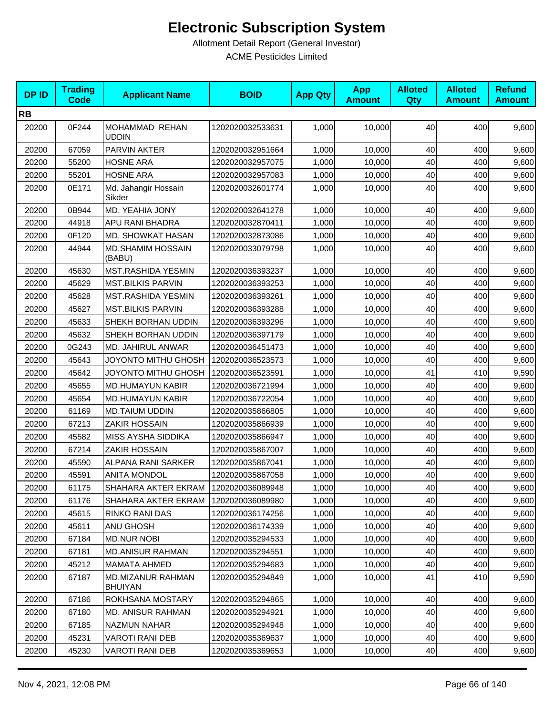| <b>DPID</b> | <b>Trading</b><br><b>Code</b> | <b>Applicant Name</b>                      | <b>BOID</b>      | <b>App Qty</b> | <b>App</b><br><b>Amount</b> | <b>Alloted</b><br>Qty | <b>Alloted</b><br><b>Amount</b> | <b>Refund</b><br><b>Amount</b> |
|-------------|-------------------------------|--------------------------------------------|------------------|----------------|-----------------------------|-----------------------|---------------------------------|--------------------------------|
| <b>RB</b>   |                               |                                            |                  |                |                             |                       |                                 |                                |
| 20200       | 0F244                         | MOHAMMAD REHAN<br><b>UDDIN</b>             | 1202020032533631 | 1,000          | 10,000                      | 40                    | 400                             | 9,600                          |
| 20200       | 67059                         | PARVIN AKTER                               | 1202020032951664 | 1,000          | 10,000                      | 40                    | 400                             | 9,600                          |
| 20200       | 55200                         | <b>HOSNE ARA</b>                           | 1202020032957075 | 1,000          | 10,000                      | 40                    | 400                             | 9,600                          |
| 20200       | 55201                         | <b>HOSNE ARA</b>                           | 1202020032957083 | 1,000          | 10,000                      | 40                    | 400                             | 9,600                          |
| 20200       | 0E171                         | Md. Jahangir Hossain<br>Sikder             | 1202020032601774 | 1,000          | 10,000                      | 40                    | 400                             | 9,600                          |
| 20200       | 0B944                         | MD. YEAHIA JONY                            | 1202020032641278 | 1,000          | 10,000                      | 40                    | 400                             | 9,600                          |
| 20200       | 44918                         | APU RANI BHADRA                            | 1202020032870411 | 1,000          | 10,000                      | 40                    | 400                             | 9,600                          |
| 20200       | 0F120                         | MD. SHOWKAT HASAN                          | 1202020032873086 | 1,000          | 10,000                      | 40                    | 400                             | 9,600                          |
| 20200       | 44944                         | <b>MD.SHAMIM HOSSAIN</b><br>(BABU)         | 1202020033079798 | 1,000          | 10,000                      | 40                    | 400                             | 9,600                          |
| 20200       | 45630                         | MST.RASHIDA YESMIN                         | 1202020036393237 | 1,000          | 10,000                      | 40                    | 400                             | 9,600                          |
| 20200       | 45629                         | <b>MST.BILKIS PARVIN</b>                   | 1202020036393253 | 1,000          | 10,000                      | 40                    | 400                             | 9,600                          |
| 20200       | 45628                         | MST.RASHIDA YESMIN                         | 1202020036393261 | 1,000          | 10,000                      | 40                    | 400                             | 9,600                          |
| 20200       | 45627                         | <b>MST.BILKIS PARVIN</b>                   | 1202020036393288 | 1,000          | 10,000                      | 40                    | 400                             | 9,600                          |
| 20200       | 45633                         | SHEKH BORHAN UDDIN                         | 1202020036393296 | 1.000          | 10,000                      | 40                    | 400                             | 9,600                          |
| 20200       | 45632                         | SHEKH BORHAN UDDIN                         | 1202020036397179 | 1,000          | 10,000                      | 40                    | 400                             | 9,600                          |
| 20200       | 0G243                         | MD. JAHIRUL ANWAR                          | 1202020036451473 | 1,000          | 10,000                      | 40                    | 400                             | 9,600                          |
| 20200       | 45643                         | JOYONTO MITHU GHOSH                        | 1202020036523573 | 1,000          | 10,000                      | 40                    | 400                             | 9,600                          |
| 20200       | 45642                         | JOYONTO MITHU GHOSH                        | 1202020036523591 | 1,000          | 10,000                      | 41                    | 410                             | 9,590                          |
| 20200       | 45655                         | MD.HUMAYUN KABIR                           | 1202020036721994 | 1,000          | 10,000                      | 40                    | 400                             | 9,600                          |
| 20200       | 45654                         | <b>MD.HUMAYUN KABIR</b>                    | 1202020036722054 | 1,000          | 10,000                      | 40                    | 400                             | 9,600                          |
| 20200       | 61169                         | <b>MD.TAIUM UDDIN</b>                      | 1202020035866805 | 1,000          | 10,000                      | 40                    | 400                             | 9,600                          |
| 20200       | 67213                         | ZAKIR HOSSAIN                              | 1202020035866939 | 1,000          | 10,000                      | 40                    | 400                             | 9,600                          |
| 20200       | 45582                         | MISS AYSHA SIDDIKA                         | 1202020035866947 | 1,000          | 10,000                      | 40                    | 400                             | 9,600                          |
| 20200       | 67214                         | ZAKIR HOSSAIN                              | 1202020035867007 | 1,000          | 10,000                      | 40                    | 400                             | 9,600                          |
| 20200       | 45590                         | ALPANA RANI SARKER                         | 1202020035867041 | 1,000          | 10,000                      | 40                    | 400                             | 9,600                          |
| 20200       | 45591                         | <b>ANITA MONDOL</b>                        | 1202020035867058 | 1,000          | 10,000                      | 40                    | 400                             | 9,600                          |
| 20200       | 61175                         | SHAHARA AKTER EKRAM                        | 1202020036089948 | 1,000          | 10,000                      | 40                    | 400                             | 9,600                          |
| 20200       | 61176                         | SHAHARA AKTER EKRAM                        | 1202020036089980 | 1,000          | 10,000                      | 40                    | 400                             | 9,600                          |
| 20200       | 45615                         | RINKO RANI DAS                             | 1202020036174256 | 1,000          | 10,000                      | 40                    | 400                             | 9,600                          |
| 20200       | 45611                         | ANU GHOSH                                  | 1202020036174339 | 1,000          | 10,000                      | 40                    | 400                             | 9,600                          |
| 20200       | 67184                         | <b>MD.NUR NOBI</b>                         | 1202020035294533 | 1,000          | 10,000                      | 40                    | 400                             | 9,600                          |
| 20200       | 67181                         | <b>MD.ANISUR RAHMAN</b>                    | 1202020035294551 | 1,000          | 10,000                      | 40                    | 400                             | 9,600                          |
| 20200       | 45212                         | MAMATA AHMED                               | 1202020035294683 | 1,000          | 10,000                      | 40                    | 400                             | 9,600                          |
| 20200       | 67187                         | <b>MD.MIZANUR RAHMAN</b><br><b>BHUIYAN</b> | 1202020035294849 | 1,000          | 10,000                      | 41                    | 410                             | 9,590                          |
| 20200       | 67186                         | ROKHSANA MOSTARY                           | 1202020035294865 | 1,000          | 10,000                      | 40                    | 400                             | 9,600                          |
| 20200       | 67180                         | <b>MD. ANISUR RAHMAN</b>                   | 1202020035294921 | 1,000          | 10,000                      | 40                    | 400                             | 9,600                          |
| 20200       | 67185                         | NAZMUN NAHAR                               | 1202020035294948 | 1,000          | 10,000                      | 40                    | 400                             | 9,600                          |
| 20200       | 45231                         | <b>VAROTI RANI DEB</b>                     | 1202020035369637 | 1,000          | 10,000                      | 40                    | 400                             | 9,600                          |
| 20200       | 45230                         | VAROTI RANI DEB                            | 1202020035369653 | 1,000          | 10,000                      | 40                    | 400                             | 9,600                          |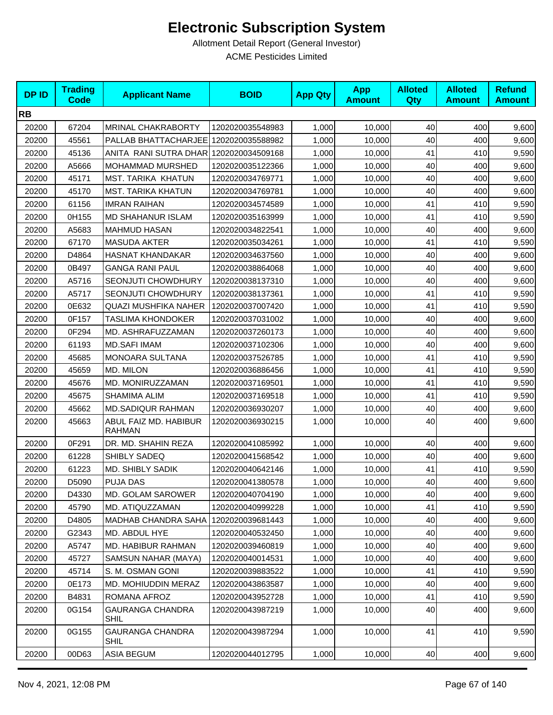| <b>DPID</b> | <b>Trading</b><br><b>Code</b> | <b>Applicant Name</b>                  | <b>BOID</b>      | <b>App Qty</b> | <b>App</b><br><b>Amount</b> | <b>Alloted</b><br><b>Qty</b> | <b>Alloted</b><br><b>Amount</b> | <b>Refund</b><br><b>Amount</b> |
|-------------|-------------------------------|----------------------------------------|------------------|----------------|-----------------------------|------------------------------|---------------------------------|--------------------------------|
| <b>RB</b>   |                               |                                        |                  |                |                             |                              |                                 |                                |
| 20200       | 67204                         | <b>MRINAL CHAKRABORTY</b>              | 1202020035548983 | 1,000          | 10,000                      | 40                           | 400                             | 9,600                          |
| 20200       | 45561                         | PALLAB BHATTACHARJEE 1202020035588982  |                  | 1,000          | 10,000                      | 40                           | 400                             | 9,600                          |
| 20200       | 45136                         | ANITA RANI SUTRA DHAR 1202020034509168 |                  | 1,000          | 10,000                      | 41                           | 410                             | 9,590                          |
| 20200       | A5666                         | MOHAMMAD MURSHED                       | 1202020035122366 | 1,000          | 10,000                      | 40                           | 400                             | 9,600                          |
| 20200       | 45171                         | <b>MST. TARIKA KHATUN</b>              | 1202020034769771 | 1,000          | 10,000                      | 40                           | 400                             | 9,600                          |
| 20200       | 45170                         | <b>MST. TARIKA KHATUN</b>              | 1202020034769781 | 1,000          | 10,000                      | 40                           | 400                             | 9,600                          |
| 20200       | 61156                         | <b>IMRAN RAIHAN</b>                    | 1202020034574589 | 1,000          | 10,000                      | 41                           | 410                             | 9,590                          |
| 20200       | 0H155                         | <b>MD SHAHANUR ISLAM</b>               | 1202020035163999 | 1,000          | 10,000                      | 41                           | 410                             | 9,590                          |
| 20200       | A5683                         | <b>MAHMUD HASAN</b>                    | 1202020034822541 | 1,000          | 10,000                      | 40                           | 400                             | 9,600                          |
| 20200       | 67170                         | <b>MASUDA AKTER</b>                    | 1202020035034261 | 1,000          | 10,000                      | 41                           | 410                             | 9,590                          |
| 20200       | D4864                         | HASNAT KHANDAKAR                       | 1202020034637560 | 1,000          | 10,000                      | 40                           | 400                             | 9,600                          |
| 20200       | 0B497                         | <b>GANGA RANI PAUL</b>                 | 1202020038864068 | 1,000          | 10,000                      | 40                           | 400                             | 9,600                          |
| 20200       | A5716                         | SEONJUTI CHOWDHURY                     | 1202020038137310 | 1,000          | 10,000                      | 40                           | 400                             | 9,600                          |
| 20200       | A5717                         | SEONJUTI CHOWDHURY                     | 1202020038137361 | 1,000          | 10,000                      | 41                           | 410                             | 9,590                          |
| 20200       | 0E632                         | QUAZI MUSHFIKA NAHER                   | 1202020037007420 | 1,000          | 10,000                      | 41                           | 410                             | 9,590                          |
| 20200       | 0F157                         | TASLIMA KHONDOKER                      | 1202020037031002 | 1,000          | 10,000                      | 40                           | 400                             | 9,600                          |
| 20200       | 0F294                         | MD. ASHRAFUZZAMAN                      | 1202020037260173 | 1,000          | 10,000                      | 40                           | 400                             | 9,600                          |
| 20200       | 61193                         | <b>MD.SAFI IMAM</b>                    | 1202020037102306 | 1,000          | 10,000                      | 40                           | 400                             | 9,600                          |
| 20200       | 45685                         | <b>MONOARA SULTANA</b>                 | 1202020037526785 | 1,000          | 10,000                      | 41                           | 410                             | 9,590                          |
| 20200       | 45659                         | MD. MILON                              | 1202020036886456 | 1,000          | 10,000                      | 41                           | 410                             | 9,590                          |
| 20200       | 45676                         | MD. MONIRUZZAMAN                       | 1202020037169501 | 1,000          | 10,000                      | 41                           | 410                             | 9,590                          |
| 20200       | 45675                         | SHAMIMA ALIM                           | 1202020037169518 | 1,000          | 10,000                      | 41                           | 410                             | 9,590                          |
| 20200       | 45662                         | <b>MD.SADIQUR RAHMAN</b>               | 1202020036930207 | 1,000          | 10,000                      | 40                           | 400                             | 9,600                          |
| 20200       | 45663                         | ABUL FAIZ MD. HABIBUR<br><b>RAHMAN</b> | 1202020036930215 | 1,000          | 10,000                      | 40                           | 400                             | 9,600                          |
| 20200       | 0F291                         | DR. MD. SHAHIN REZA                    | 1202020041085992 | 1,000          | 10,000                      | 40                           | 400                             | 9,600                          |
| 20200       | 61228                         | SHIBLY SADEQ                           | 1202020041568542 | 1,000          | 10,000                      | 40                           | 400                             | 9,600                          |
| 20200       | 61223                         | MD. SHIBLY SADIK                       | 1202020040642146 | 1,000          | 10,000                      | 41                           | 410                             | 9,590                          |
| 20200       | D5090                         | <b>PUJA DAS</b>                        | 1202020041380578 | 1,000          | 10,000                      | 40                           | 400                             | 9,600                          |
| 20200       | D4330                         | MD. GOLAM SAROWER                      | 1202020040704190 | 1,000          | 10,000                      | 40                           | 400                             | 9,600                          |
| 20200       | 45790                         | MD. ATIQUZZAMAN                        | 1202020040999228 | 1,000          | 10,000                      | 41                           | 410                             | 9,590                          |
| 20200       | D4805                         | <b>MADHAB CHANDRA SAHA</b>             | 1202020039681443 | 1,000          | 10,000                      | 40                           | 400                             | 9,600                          |
| 20200       | G2343                         | MD. ABDUL HYE                          | 1202020040532450 | 1,000          | 10,000                      | 40                           | 400                             | 9,600                          |
| 20200       | A5747                         | MD. HABIBUR RAHMAN                     | 1202020039460819 | 1,000          | 10,000                      | 40                           | 400                             | 9,600                          |
| 20200       | 45727                         | SAMSUN NAHAR (MAYA)                    | 1202020040014531 | 1,000          | 10,000                      | 40                           | 400                             | 9,600                          |
| 20200       | 45714                         | S. M. OSMAN GONI                       | 1202020039883522 | 1,000          | 10,000                      | 41                           | 410                             | 9,590                          |
| 20200       | 0E173                         | MD. MOHIUDDIN MERAZ                    | 1202020043863587 | 1,000          | 10,000                      | 40                           | 400                             | 9,600                          |
| 20200       | B4831                         | ROMANA AFROZ                           | 1202020043952728 | 1,000          | 10,000                      | 41                           | 410                             | 9,590                          |
| 20200       | 0G154                         | <b>GAURANGA CHANDRA</b><br>SHIL        | 1202020043987219 | 1,000          | 10,000                      | 40                           | 400                             | 9,600                          |
| 20200       | 0G155                         | <b>GAURANGA CHANDRA</b><br>SHIL        | 1202020043987294 | 1,000          | 10,000                      | 41                           | 410                             | 9,590                          |
| 20200       | 00D63                         | <b>ASIA BEGUM</b>                      | 1202020044012795 | 1,000          | 10,000                      | 40                           | 400                             | 9,600                          |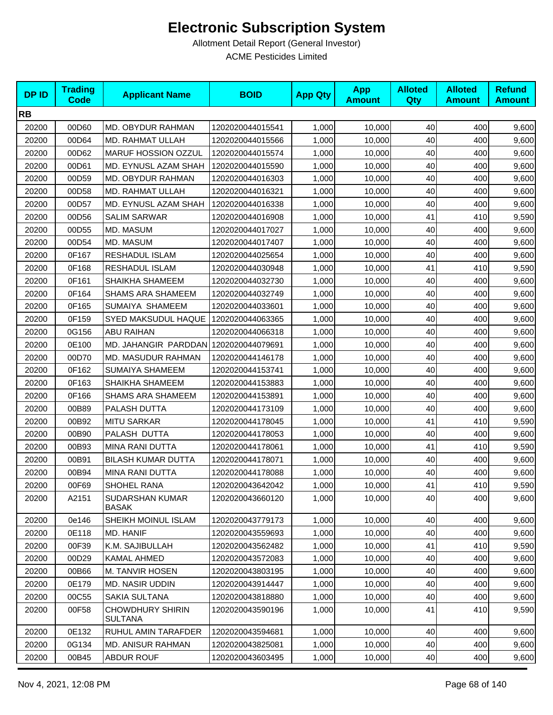| <b>DPID</b> | <b>Trading</b><br><b>Code</b> | <b>Applicant Name</b>                     | <b>BOID</b>      | <b>App Qty</b> | <b>App</b><br><b>Amount</b> | <b>Alloted</b><br><b>Qty</b> | <b>Alloted</b><br><b>Amount</b> | <b>Refund</b><br><b>Amount</b> |
|-------------|-------------------------------|-------------------------------------------|------------------|----------------|-----------------------------|------------------------------|---------------------------------|--------------------------------|
| <b>RB</b>   |                               |                                           |                  |                |                             |                              |                                 |                                |
| 20200       | 00D60                         | MD. OBYDUR RAHMAN                         | 1202020044015541 | 1,000          | 10,000                      | 40                           | 400                             | 9,600                          |
| 20200       | 00D64                         | MD. RAHMAT ULLAH                          | 1202020044015566 | 1,000          | 10,000                      | 40                           | 400                             | 9,600                          |
| 20200       | 00D62                         | MARUF HOSSION OZZUL                       | 1202020044015574 | 1,000          | 10,000                      | 40                           | 400                             | 9,600                          |
| 20200       | 00D61                         | MD. EYNUSL AZAM SHAH                      | 1202020044015590 | 1,000          | 10,000                      | 40                           | 400                             | 9,600                          |
| 20200       | 00D59                         | <b>MD. OBYDUR RAHMAN</b>                  | 1202020044016303 | 1,000          | 10,000                      | 40                           | 400                             | 9,600                          |
| 20200       | 00D58                         | MD. RAHMAT ULLAH                          | 1202020044016321 | 1,000          | 10,000                      | 40                           | 400                             | 9,600                          |
| 20200       | 00D57                         | MD. EYNUSL AZAM SHAH                      | 1202020044016338 | 1,000          | 10,000                      | 40                           | 400                             | 9,600                          |
| 20200       | 00D56                         | <b>SALIM SARWAR</b>                       | 1202020044016908 | 1,000          | 10,000                      | 41                           | 410                             | 9,590                          |
| 20200       | 00D55                         | MD. MASUM                                 | 1202020044017027 | 1,000          | 10,000                      | 40                           | 400                             | 9,600                          |
| 20200       | 00D54                         | MD. MASUM                                 | 1202020044017407 | 1,000          | 10,000                      | 40                           | 400                             | 9,600                          |
| 20200       | 0F167                         | RESHADUL ISLAM                            | 1202020044025654 | 1,000          | 10,000                      | 40                           | 400                             | 9,600                          |
| 20200       | 0F168                         | RESHADUL ISLAM                            | 1202020044030948 | 1,000          | 10,000                      | 41                           | 410                             | 9,590                          |
| 20200       | 0F161                         | SHAIKHA SHAMEEM                           | 1202020044032730 | 1,000          | 10,000                      | 40                           | 400                             | 9,600                          |
| 20200       | 0F164                         | <b>SHAMS ARA SHAMEEM</b>                  | 1202020044032749 | 1,000          | 10,000                      | 40                           | 400                             | 9,600                          |
| 20200       | 0F165                         | SUMAIYA SHAMEEM                           | 1202020044033601 | 1,000          | 10,000                      | 40                           | 400                             | 9,600                          |
| 20200       | 0F159                         | SYED MAKSUDUL HAQUE                       | 1202020044063365 | 1,000          | 10,000                      | 40                           | 400                             | 9,600                          |
| 20200       | 0G156                         | ABU RAIHAN                                | 1202020044066318 | 1,000          | 10,000                      | 40                           | 400                             | 9,600                          |
| 20200       | 0E100                         | MD. JAHANGIR PARDDAN 1202020044079691     |                  | 1,000          | 10,000                      | 40                           | 400                             | 9,600                          |
| 20200       | 00D70                         | <b>MD. MASUDUR RAHMAN</b>                 | 1202020044146178 | 1,000          | 10,000                      | 40                           | 400                             | 9,600                          |
| 20200       | 0F162                         | SUMAIYA SHAMEEM                           | 1202020044153741 | 1,000          | 10,000                      | 40                           | 400                             | 9,600                          |
| 20200       | 0F163                         | SHAIKHA SHAMEEM                           | 1202020044153883 | 1,000          | 10,000                      | 40                           | 400                             | 9,600                          |
| 20200       | 0F166                         | <b>SHAMS ARA SHAMEEM</b>                  | 1202020044153891 | 1,000          | 10,000                      | 40                           | 400                             | 9,600                          |
| 20200       | 00B89                         | PALASH DUTTA                              | 1202020044173109 | 1,000          | 10,000                      | 40                           | 400                             | 9,600                          |
| 20200       | 00B92                         | <b>MITU SARKAR</b>                        | 1202020044178045 | 1,000          | 10,000                      | 41                           | 410                             | 9,590                          |
| 20200       | 00B90                         | PALASH DUTTA                              | 1202020044178053 | 1,000          | 10,000                      | 40                           | 400                             | 9,600                          |
| 20200       | 00B93                         | <b>MINA RANI DUTTA</b>                    | 1202020044178061 | 1,000          | 10,000                      | 41                           | 410                             | 9,590                          |
| 20200       | 00B91                         | <b>BILASH KUMAR DUTTA</b>                 | 1202020044178071 | 1,000          | 10,000                      | 40                           | 400                             | 9,600                          |
| 20200       | 00B94                         | MINA RANI DUTTA                           | 1202020044178088 | 1,000          | 10,000                      | 40                           | 400                             | 9,600                          |
| 20200       | 00F69                         | SHOHEL RANA                               | 1202020043642042 | 1,000          | 10,000                      | 41                           | 410                             | 9,590                          |
| 20200       | A2151                         | <b>SUDARSHAN KUMAR</b><br><b>BASAK</b>    | 1202020043660120 | 1,000          | 10.000                      | 40                           | 400                             | 9,600                          |
| 20200       | 0e146                         | SHEIKH MOINUL ISLAM                       | 1202020043779173 | 1,000          | 10,000                      | 40                           | 400                             | 9,600                          |
| 20200       | 0E118                         | MD. HANIF                                 | 1202020043559693 | 1,000          | 10.000                      | 40                           | 400                             | 9,600                          |
| 20200       | 00F39                         | K.M. SAJIBULLAH                           | 1202020043562482 | 1,000          | 10,000                      | 41                           | 410                             | 9,590                          |
| 20200       | 00D29                         | <b>KAMAL AHMED</b>                        | 1202020043572083 | 1,000          | 10,000                      | 40                           | 400                             | 9,600                          |
| 20200       | 00B66                         | M. TANVIR HOSEN                           | 1202020043803195 | 1,000          | 10,000                      | 40                           | 400                             | 9,600                          |
| 20200       | 0E179                         | <b>MD. NASIR UDDIN</b>                    | 1202020043914447 | 1,000          | 10,000                      | 40                           | 400                             | 9,600                          |
| 20200       | 00C55                         | SAKIA SULTANA                             | 1202020043818880 | 1,000          | 10,000                      | 40                           | 400                             | 9,600                          |
| 20200       | 00F58                         | <b>CHOWDHURY SHIRIN</b><br><b>SULTANA</b> | 1202020043590196 | 1,000          | 10,000                      | 41                           | 410                             | 9,590                          |
| 20200       | 0E132                         | RUHUL AMIN TARAFDER                       | 1202020043594681 | 1,000          | 10,000                      | 40                           | 400                             | 9,600                          |
| 20200       | 0G134                         | <b>MD. ANISUR RAHMAN</b>                  | 1202020043825081 | 1,000          | 10,000                      | 40                           | 400                             | 9,600                          |
| 20200       | 00B45                         | <b>ABDUR ROUF</b>                         | 1202020043603495 | 1,000          | 10,000                      | 40                           | 400                             | 9,600                          |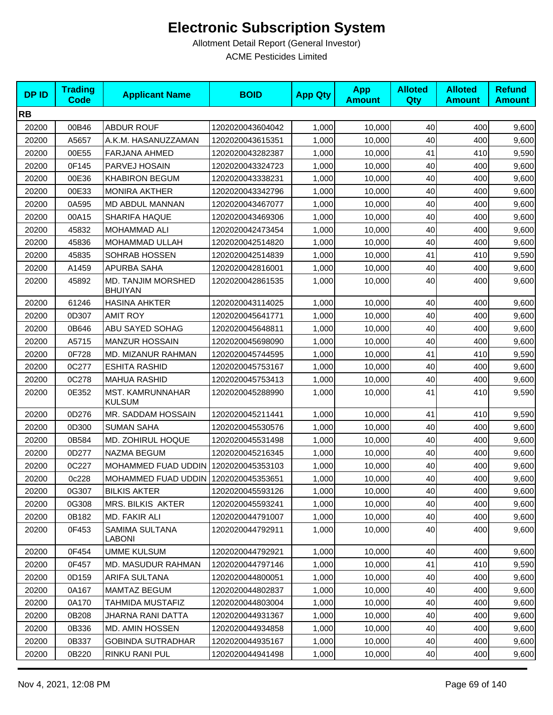| <b>DPID</b> | <b>Trading</b><br><b>Code</b> | <b>Applicant Name</b>                | <b>BOID</b>      | <b>App Qty</b> | <b>App</b><br><b>Amount</b> | <b>Alloted</b><br>Qty | <b>Alloted</b><br><b>Amount</b> | <b>Refund</b><br><b>Amount</b> |
|-------------|-------------------------------|--------------------------------------|------------------|----------------|-----------------------------|-----------------------|---------------------------------|--------------------------------|
| <b>RB</b>   |                               |                                      |                  |                |                             |                       |                                 |                                |
| 20200       | 00B46                         | <b>ABDUR ROUF</b>                    | 1202020043604042 | 1,000          | 10,000                      | 40                    | 400                             | 9,600                          |
| 20200       | A5657                         | A.K.M. HASANUZZAMAN                  | 1202020043615351 | 1,000          | 10,000                      | 40                    | 400                             | 9,600                          |
| 20200       | 00E55                         | <b>FARJANA AHMED</b>                 | 1202020043282387 | 1,000          | 10,000                      | 41                    | 410                             | 9,590                          |
| 20200       | 0F145                         | PARVEJ HOSAIN                        | 1202020043324723 | 1,000          | 10,000                      | 40                    | 400                             | 9,600                          |
| 20200       | 00E36                         | <b>KHABIRON BEGUM</b>                | 1202020043338231 | 1,000          | 10,000                      | 40                    | 400                             | 9,600                          |
| 20200       | 00E33                         | <b>MONIRA AKTHER</b>                 | 1202020043342796 | 1,000          | 10,000                      | 40                    | 400                             | 9,600                          |
| 20200       | 0A595                         | MD ABDUL MANNAN                      | 1202020043467077 | 1,000          | 10,000                      | 40                    | 400                             | 9,600                          |
| 20200       | 00A15                         | <b>SHARIFA HAQUE</b>                 | 1202020043469306 | 1,000          | 10,000                      | 40                    | 400                             | 9,600                          |
| 20200       | 45832                         | MOHAMMAD ALI                         | 1202020042473454 | 1,000          | 10,000                      | 40                    | 400                             | 9,600                          |
| 20200       | 45836                         | MOHAMMAD ULLAH                       | 1202020042514820 | 1,000          | 10,000                      | 40                    | 400                             | 9,600                          |
| 20200       | 45835                         | SOHRAB HOSSEN                        | 1202020042514839 | 1,000          | 10,000                      | 41                    | 410                             | 9,590                          |
| 20200       | A1459                         | APURBA SAHA                          | 1202020042816001 | 1,000          | 10,000                      | 40                    | 400                             | 9,600                          |
| 20200       | 45892                         | MD. TANJIM MORSHED<br><b>BHUIYAN</b> | 1202020042861535 | 1,000          | 10,000                      | 40                    | 400                             | 9,600                          |
| 20200       | 61246                         | <b>HASINA AHKTER</b>                 | 1202020043114025 | 1,000          | 10,000                      | 40                    | 400                             | 9,600                          |
| 20200       | 0D307                         | <b>AMIT ROY</b>                      | 1202020045641771 | 1,000          | 10,000                      | 40                    | 400                             | 9,600                          |
| 20200       | 0B646                         | ABU SAYED SOHAG                      | 1202020045648811 | 1,000          | 10,000                      | 40                    | 400                             | 9,600                          |
| 20200       | A5715                         | <b>MANZUR HOSSAIN</b>                | 1202020045698090 | 1,000          | 10,000                      | 40                    | 400                             | 9,600                          |
| 20200       | 0F728                         | MD. MIZANUR RAHMAN                   | 1202020045744595 | 1,000          | 10,000                      | 41                    | 410                             | 9,590                          |
| 20200       | 0C277                         | <b>ESHITA RASHID</b>                 | 1202020045753167 | 1,000          | 10,000                      | 40                    | 400                             | 9,600                          |
| 20200       | 0C278                         | <b>MAHUA RASHID</b>                  | 1202020045753413 | 1,000          | 10,000                      | 40                    | 400                             | 9,600                          |
| 20200       | 0E352                         | MST. KAMRUNNAHAR<br><b>KULSUM</b>    | 1202020045288990 | 1,000          | 10,000                      | 41                    | 410                             | 9,590                          |
| 20200       | 0D276                         | MR. SADDAM HOSSAIN                   | 1202020045211441 | 1,000          | 10,000                      | 41                    | 410                             | 9,590                          |
| 20200       | 0D300                         | <b>SUMAN SAHA</b>                    | 1202020045530576 | 1,000          | 10,000                      | 40                    | 400                             | 9,600                          |
| 20200       | 0B584                         | MD. ZOHIRUL HOQUE                    | 1202020045531498 | 1,000          | 10,000                      | 40                    | 400                             | 9,600                          |
| 20200       | 0D277                         | NAZMA BEGUM                          | 1202020045216345 | 1,000          | 10,000                      | 40                    | 400                             | 9,600                          |
| 20200       | 0C227                         | MOHAMMED FUAD UDDIN 1202020045353103 |                  | 1,000          | 10,000                      | 40                    | 400                             | 9,600                          |
| 20200       | 0c228                         | MOHAMMED FUAD UDDIN                  | 1202020045353651 | 1,000          | 10,000                      | 40                    | 400                             | 9,600                          |
| 20200       | 0G307                         | <b>BILKIS AKTER</b>                  | 1202020045593126 | 1,000          | 10,000                      | 40                    | 400                             | 9,600                          |
| 20200       | 0G308                         | <b>MRS. BILKIS AKTER</b>             | 1202020045593241 | 1,000          | 10,000                      | 40                    | 400                             | 9,600                          |
| 20200       | 0B182                         | MD. FAKIR ALI                        | 1202020044791007 | 1,000          | 10,000                      | 40                    | 400                             | 9,600                          |
| 20200       | 0F453                         | SAMIMA SULTANA<br>LABONI             | 1202020044792911 | 1,000          | 10,000                      | 40                    | 400                             | 9,600                          |
| 20200       | 0F454                         | <b>UMME KULSUM</b>                   | 1202020044792921 | 1,000          | 10,000                      | 40                    | 400                             | 9,600                          |
| 20200       | 0F457                         | <b>MD. MASUDUR RAHMAN</b>            | 1202020044797146 | 1,000          | 10,000                      | 41                    | 410                             | 9,590                          |
| 20200       | 0D159                         | ARIFA SULTANA                        | 1202020044800051 | 1,000          | 10,000                      | 40                    | 400                             | 9,600                          |
| 20200       | 0A167                         | MAMTAZ BEGUM                         | 1202020044802837 | 1,000          | 10,000                      | 40                    | 400                             | 9,600                          |
| 20200       | 0A170                         | TAHMIDA MUSTAFIZ                     | 1202020044803004 | 1,000          | 10,000                      | 40                    | 400                             | 9,600                          |
| 20200       | 0B208                         | JHARNA RANI DATTA                    | 1202020044931367 | 1,000          | 10,000                      | 40                    | 400                             | 9,600                          |
| 20200       | 0B336                         | MD. AMIN HOSSEN                      | 1202020044934858 | 1,000          | 10,000                      | 40                    | 400                             | 9,600                          |
| 20200       | 0B337                         | <b>GOBINDA SUTRADHAR</b>             | 1202020044935167 | 1,000          | 10,000                      | 40                    | 400                             | 9,600                          |
| 20200       | 0B220                         | RINKU RANI PUL                       | 1202020044941498 | 1,000          | 10,000                      | 40                    | 400                             | 9,600                          |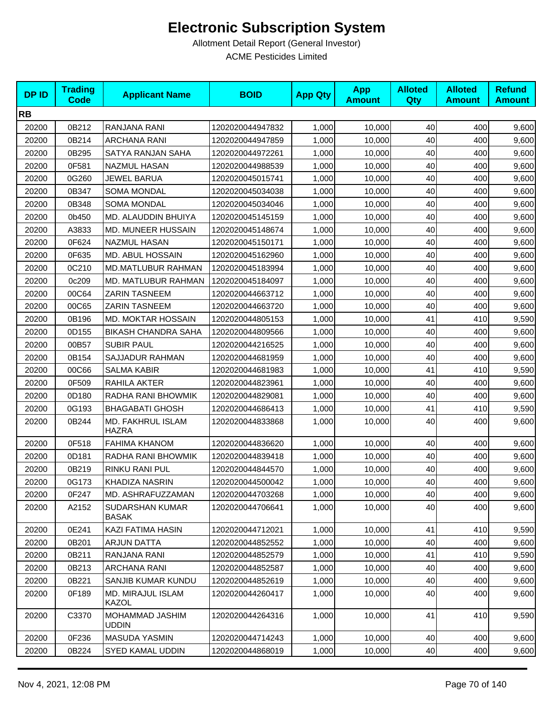| <b>DPID</b> | <b>Trading</b><br><b>Code</b> | <b>Applicant Name</b>             | <b>BOID</b>      | <b>App Qty</b> | <b>App</b><br><b>Amount</b> | <b>Alloted</b><br>Qty | <b>Alloted</b><br><b>Amount</b> | <b>Refund</b><br><b>Amount</b> |
|-------------|-------------------------------|-----------------------------------|------------------|----------------|-----------------------------|-----------------------|---------------------------------|--------------------------------|
| <b>RB</b>   |                               |                                   |                  |                |                             |                       |                                 |                                |
| 20200       | 0B212                         | RANJANA RANI                      | 1202020044947832 | 1,000          | 10,000                      | 40                    | 400                             | 9,600                          |
| 20200       | 0B214                         | <b>ARCHANA RANI</b>               | 1202020044947859 | 1,000          | 10,000                      | 40                    | 400                             | 9,600                          |
| 20200       | 0B295                         | SATYA RANJAN SAHA                 | 1202020044972261 | 1,000          | 10,000                      | 40                    | 400                             | 9,600                          |
| 20200       | 0F581                         | <b>NAZMUL HASAN</b>               | 1202020044988539 | 1,000          | 10,000                      | 40                    | 400                             | 9,600                          |
| 20200       | 0G260                         | <b>JEWEL BARUA</b>                | 1202020045015741 | 1,000          | 10,000                      | 40                    | 400                             | 9,600                          |
| 20200       | 0B347                         | <b>SOMA MONDAL</b>                | 1202020045034038 | 1,000          | 10,000                      | 40                    | 400                             | 9,600                          |
| 20200       | 0B348                         | <b>SOMA MONDAL</b>                | 1202020045034046 | 1,000          | 10,000                      | 40                    | 400                             | 9,600                          |
| 20200       | 0b450                         | MD. ALAUDDIN BHUIYA               | 1202020045145159 | 1,000          | 10,000                      | 40                    | 400                             | 9,600                          |
| 20200       | A3833                         | MD. MUNEER HUSSAIN                | 1202020045148674 | 1,000          | 10,000                      | 40                    | 400                             | 9,600                          |
| 20200       | 0F624                         | <b>NAZMUL HASAN</b>               | 1202020045150171 | 1,000          | 10,000                      | 40                    | 400                             | 9,600                          |
| 20200       | 0F635                         | MD. ABUL HOSSAIN                  | 1202020045162960 | 1,000          | 10,000                      | 40                    | 400                             | 9,600                          |
| 20200       | 0C210                         | <b>MD.MATLUBUR RAHMAN</b>         | 1202020045183994 | 1,000          | 10,000                      | 40                    | 400                             | 9,600                          |
| 20200       | 0c209                         | MD. MATLUBUR RAHMAN               | 1202020045184097 | 1,000          | 10,000                      | 40                    | 400                             | 9,600                          |
| 20200       | 00C64                         | <b>ZARIN TASNEEM</b>              | 1202020044663712 | 1,000          | 10,000                      | 40                    | 400                             | 9,600                          |
| 20200       | 00C65                         | <b>ZARIN TASNEEM</b>              | 1202020044663720 | 1,000          | 10,000                      | 40                    | 400                             | 9,600                          |
| 20200       | 0B196                         | <b>MD. MOKTAR HOSSAIN</b>         | 1202020044805153 | 1,000          | 10,000                      | 41                    | 410                             | 9,590                          |
| 20200       | 0D155                         | <b>BIKASH CHANDRA SAHA</b>        | 1202020044809566 | 1,000          | 10,000                      | 40                    | 400                             | 9,600                          |
| 20200       | 00B57                         | <b>SUBIR PAUL</b>                 | 1202020044216525 | 1,000          | 10,000                      | 40                    | 400                             | 9,600                          |
| 20200       | 0B154                         | SAJJADUR RAHMAN                   | 1202020044681959 | 1,000          | 10,000                      | 40                    | 400                             | 9,600                          |
| 20200       | 00C66                         | <b>SALMA KABIR</b>                | 1202020044681983 | 1,000          | 10,000                      | 41                    | 410                             | 9,590                          |
| 20200       | 0F509                         | RAHILA AKTER                      | 1202020044823961 | 1,000          | 10,000                      | 40                    | 400                             | 9,600                          |
| 20200       | 0D180                         | RADHA RANI BHOWMIK                | 1202020044829081 | 1,000          | 10,000                      | 40                    | 400                             | 9,600                          |
| 20200       | 0G193                         | <b>BHAGABATI GHOSH</b>            | 1202020044686413 | 1,000          | 10,000                      | 41                    | 410                             | 9,590                          |
| 20200       | 0B244                         | MD. FAKHRUL ISLAM<br><b>HAZRA</b> | 1202020044833868 | 1,000          | 10,000                      | 40                    | 400                             | 9,600                          |
| 20200       | 0F518                         | <b>FAHIMA KHANOM</b>              | 1202020044836620 | 1,000          | 10,000                      | 40                    | 400                             | 9,600                          |
| 20200       | 0D181                         | RADHA RANI BHOWMIK                | 1202020044839418 | 1,000          | 10,000                      | 40                    | 400                             | 9,600                          |
| 20200       | 0B219                         | RINKU RANI PUL                    | 1202020044844570 | 1,000          | 10,000                      | 40                    | 400                             | 9,600                          |
| 20200       | 0G173                         | KHADIZA NASRIN                    | 1202020044500042 | 1,000          | 10,000                      | 40                    | 400                             | 9,600                          |
| 20200       | 0F247                         | MD. ASHRAFUZZAMAN                 | 1202020044703268 | 1,000          | 10,000                      | 40                    | 400                             | 9,600                          |
| 20200       | A2152                         | SUDARSHAN KUMAR<br><b>BASAK</b>   | 1202020044706641 | 1,000          | 10,000                      | 40                    | 400                             | 9,600                          |
| 20200       | 0E241                         | KAZI FATIMA HASIN                 | 1202020044712021 | 1,000          | 10,000                      | 41                    | 410                             | 9,590                          |
| 20200       | 0B201                         | ARJUN DATTA                       | 1202020044852552 | 1,000          | 10,000                      | 40                    | 400                             | 9,600                          |
| 20200       | 0B211                         | RANJANA RANI                      | 1202020044852579 | 1,000          | 10,000                      | 41                    | 410                             | 9,590                          |
| 20200       | 0B213                         | <b>ARCHANA RANI</b>               | 1202020044852587 | 1,000          | 10,000                      | 40                    | 400                             | 9,600                          |
| 20200       | 0B221                         | SANJIB KUMAR KUNDU                | 1202020044852619 | 1,000          | 10,000                      | 40                    | 400                             | 9,600                          |
| 20200       | 0F189                         | MD. MIRAJUL ISLAM<br>KAZOL        | 1202020044260417 | 1,000          | 10,000                      | 40                    | 400                             | 9,600                          |
| 20200       | C3370                         | MOHAMMAD JASHIM<br><b>UDDIN</b>   | 1202020044264316 | 1,000          | 10,000                      | 41                    | 410                             | 9,590                          |
| 20200       | 0F236                         | MASUDA YASMIN                     | 1202020044714243 | 1,000          | 10,000                      | 40                    | 400                             | 9,600                          |
| 20200       | 0B224                         | SYED KAMAL UDDIN                  | 1202020044868019 | 1,000          | 10,000                      | 40                    | 400                             | 9,600                          |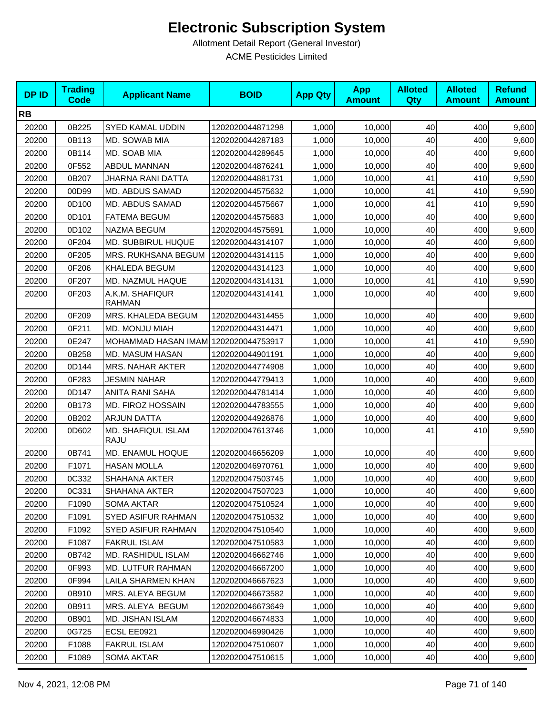| <b>DPID</b> | <b>Trading</b><br><b>Code</b> | <b>Applicant Name</b>                | <b>BOID</b>      | <b>App Qty</b> | <b>App</b><br><b>Amount</b> | <b>Alloted</b><br>Qty | <b>Alloted</b><br><b>Amount</b> | <b>Refund</b><br><b>Amount</b> |
|-------------|-------------------------------|--------------------------------------|------------------|----------------|-----------------------------|-----------------------|---------------------------------|--------------------------------|
| <b>RB</b>   |                               |                                      |                  |                |                             |                       |                                 |                                |
| 20200       | 0B225                         | SYED KAMAL UDDIN                     | 1202020044871298 | 1,000          | 10,000                      | 40                    | 400                             | 9,600                          |
| 20200       | 0B113                         | MD. SOWAB MIA                        | 1202020044287183 | 1,000          | 10,000                      | 40                    | 400                             | 9,600                          |
| 20200       | 0B114                         | MD. SOAB MIA                         | 1202020044289645 | 1,000          | 10,000                      | 40                    | 400                             | 9,600                          |
| 20200       | 0F552                         | <b>ABDUL MANNAN</b>                  | 1202020044876241 | 1,000          | 10,000                      | 40                    | 400                             | 9,600                          |
| 20200       | 0B207                         | JHARNA RANI DATTA                    | 1202020044881731 | 1,000          | 10,000                      | 41                    | 410                             | 9,590                          |
| 20200       | 00D99                         | MD. ABDUS SAMAD                      | 1202020044575632 | 1,000          | 10,000                      | 41                    | 410                             | 9,590                          |
| 20200       | 0D100                         | MD. ABDUS SAMAD                      | 1202020044575667 | 1,000          | 10,000                      | 41                    | 410                             | 9,590                          |
| 20200       | 0D101                         | <b>FATEMA BEGUM</b>                  | 1202020044575683 | 1,000          | 10,000                      | 40                    | 400                             | 9,600                          |
| 20200       | 0D102                         | NAZMA BEGUM                          | 1202020044575691 | 1,000          | 10,000                      | 40                    | 400                             | 9,600                          |
| 20200       | 0F204                         | MD. SUBBIRUL HUQUE                   | 1202020044314107 | 1,000          | 10,000                      | 40                    | 400                             | 9,600                          |
| 20200       | 0F205                         | MRS. RUKHSANA BEGUM                  | 1202020044314115 | 1,000          | 10,000                      | 40                    | 400                             | 9,600                          |
| 20200       | 0F206                         | KHALEDA BEGUM                        | 1202020044314123 | 1,000          | 10,000                      | 40                    | 400                             | 9,600                          |
| 20200       | 0F207                         | MD. NAZMUL HAQUE                     | 1202020044314131 | 1,000          | 10,000                      | 41                    | 410                             | 9,590                          |
| 20200       | 0F203                         | A.K.M. SHAFIQUR<br><b>RAHMAN</b>     | 1202020044314141 | 1,000          | 10,000                      | 40                    | 400                             | 9,600                          |
| 20200       | 0F209                         | MRS. KHALEDA BEGUM                   | 1202020044314455 | 1,000          | 10,000                      | 40                    | 400                             | 9,600                          |
| 20200       | 0F211                         | MD. MONJU MIAH                       | 1202020044314471 | 1,000          | 10,000                      | 40                    | 400                             | 9,600                          |
| 20200       | 0E247                         | MOHAMMAD HASAN IMAM 1202020044753917 |                  | 1,000          | 10,000                      | 41                    | 410                             | 9,590                          |
| 20200       | 0B258                         | MD. MASUM HASAN                      | 1202020044901191 | 1,000          | 10,000                      | 40                    | 400                             | 9,600                          |
| 20200       | 0D144                         | <b>MRS. NAHAR AKTER</b>              | 1202020044774908 | 1,000          | 10,000                      | 40                    | 400                             | 9,600                          |
| 20200       | 0F283                         | <b>JESMIN NAHAR</b>                  | 1202020044779413 | 1,000          | 10,000                      | 40                    | 400                             | 9,600                          |
| 20200       | 0D147                         | <b>ANITA RANI SAHA</b>               | 1202020044781414 | 1,000          | 10,000                      | 40                    | 400                             | 9,600                          |
| 20200       | 0B173                         | MD. FIROZ HOSSAIN                    | 1202020044783555 | 1,000          | 10,000                      | 40                    | 400                             | 9,600                          |
| 20200       | 0B202                         | <b>ARJUN DATTA</b>                   | 1202020044926876 | 1,000          | 10,000                      | 40                    | 400                             | 9,600                          |
| 20200       | 0D602                         | MD. SHAFIQUL ISLAM<br><b>RAJU</b>    | 1202020047613746 | 1,000          | 10,000                      | 41                    | 410                             | 9,590                          |
| 20200       | 0B741                         | MD. ENAMUL HOQUE                     | 1202020046656209 | 1,000          | 10,000                      | 40                    | 400                             | 9,600                          |
| 20200       | F1071                         | <b>HASAN MOLLA</b>                   | 1202020046970761 | 1,000          | 10,000                      | 40                    | 400                             | 9,600                          |
| 20200       | 0C332                         | SHAHANA AKTER                        | 1202020047503745 | 1,000          | 10,000                      | 40                    | 400                             | 9,600                          |
| 20200       | 0C331                         | SHAHANA AKTER                        | 1202020047507023 | 1,000          | 10,000                      | 40                    | 400                             | 9,600                          |
| 20200       | F1090                         | <b>SOMA AKTAR</b>                    | 1202020047510524 | 1,000          | 10,000                      | 40                    | 400                             | 9,600                          |
| 20200       | F1091                         | SYED ASIFUR RAHMAN                   | 1202020047510532 | 1,000          | 10,000                      | 40                    | 400                             | 9,600                          |
| 20200       | F1092                         | SYED ASIFUR RAHMAN                   | 1202020047510540 | 1,000          | 10,000                      | 40                    | 400                             | 9,600                          |
| 20200       | F1087                         | <b>FAKRUL ISLAM</b>                  | 1202020047510583 | 1,000          | 10,000                      | 40                    | 400                             | 9,600                          |
| 20200       | 0B742                         | MD. RASHIDUL ISLAM                   | 1202020046662746 | 1,000          | 10,000                      | 40                    | 400                             | 9,600                          |
| 20200       | 0F993                         | MD. LUTFUR RAHMAN                    | 1202020046667200 | 1,000          | 10,000                      | 40                    | 400                             | 9,600                          |
| 20200       | 0F994                         | LAILA SHARMEN KHAN                   | 1202020046667623 | 1,000          | 10,000                      | 40                    | 400                             | 9,600                          |
| 20200       | 0B910                         | MRS. ALEYA BEGUM                     | 1202020046673582 | 1,000          | 10,000                      | 40                    | 400                             | 9,600                          |
| 20200       | 0B911                         | MRS. ALEYA BEGUM                     | 1202020046673649 | 1,000          | 10,000                      | 40                    | 400                             | 9,600                          |
| 20200       | 0B901                         | MD. JISHAN ISLAM                     | 1202020046674833 | 1,000          | 10,000                      | 40                    | 400                             | 9,600                          |
| 20200       | 0G725                         | ECSL EE0921                          | 1202020046990426 | 1,000          | 10,000                      | 40                    | 400                             | 9,600                          |
| 20200       | F1088                         | <b>FAKRUL ISLAM</b>                  | 1202020047510607 | 1,000          | 10,000                      | 40                    | 400                             | 9,600                          |
| 20200       | F1089                         | <b>SOMA AKTAR</b>                    | 1202020047510615 | 1,000          | 10,000                      | 40                    | 400                             | 9,600                          |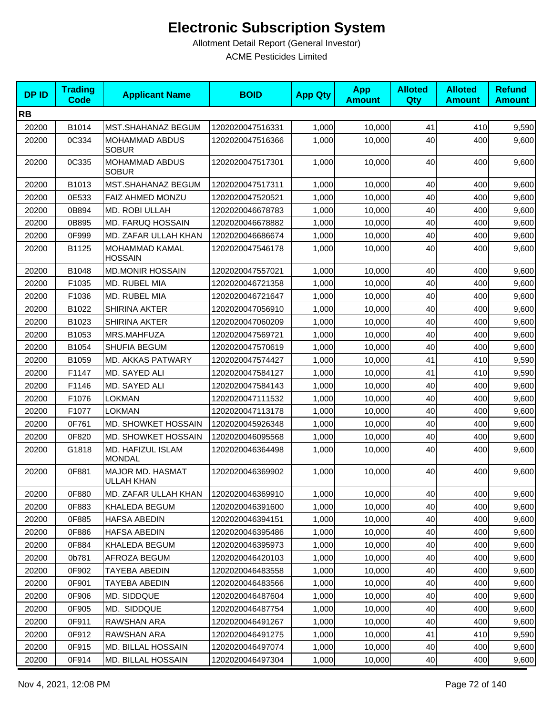| <b>DPID</b> | <b>Trading</b><br><b>Code</b> | <b>Applicant Name</b>                 | <b>BOID</b>      | <b>App Qty</b> | <b>App</b><br><b>Amount</b> | <b>Alloted</b><br>Qty | <b>Alloted</b><br><b>Amount</b> | <b>Refund</b><br><b>Amount</b> |
|-------------|-------------------------------|---------------------------------------|------------------|----------------|-----------------------------|-----------------------|---------------------------------|--------------------------------|
| <b>RB</b>   |                               |                                       |                  |                |                             |                       |                                 |                                |
| 20200       | B1014                         | <b>MST.SHAHANAZ BEGUM</b>             | 1202020047516331 | 1,000          | 10,000                      | 41                    | 410                             | 9,590                          |
| 20200       | 0C334                         | <b>MOHAMMAD ABDUS</b><br><b>SOBUR</b> | 1202020047516366 | 1,000          | 10,000                      | 40                    | 400                             | 9,600                          |
| 20200       | 0C335                         | <b>MOHAMMAD ABDUS</b><br><b>SOBUR</b> | 1202020047517301 | 1,000          | 10,000                      | 40                    | 400                             | 9,600                          |
| 20200       | B1013                         | <b>MST.SHAHANAZ BEGUM</b>             | 1202020047517311 | 1,000          | 10,000                      | 40                    | 400                             | 9,600                          |
| 20200       | 0E533                         | FAIZ AHMED MONZU                      | 1202020047520521 | 1,000          | 10,000                      | 40                    | 400                             | 9,600                          |
| 20200       | 0B894                         | MD. ROBI ULLAH                        | 1202020046678783 | 1,000          | 10,000                      | 40                    | 400                             | 9,600                          |
| 20200       | 0B895                         | MD. FARUQ HOSSAIN                     | 1202020046678882 | 1,000          | 10,000                      | 40                    | 400                             | 9,600                          |
| 20200       | 0F999                         | MD. ZAFAR ULLAH KHAN                  | 1202020046686674 | 1,000          | 10,000                      | 40                    | 400                             | 9,600                          |
| 20200       | B1125                         | MOHAMMAD KAMAL<br><b>HOSSAIN</b>      | 1202020047546178 | 1,000          | 10,000                      | 40                    | 400                             | 9,600                          |
| 20200       | B1048                         | <b>MD.MONIR HOSSAIN</b>               | 1202020047557021 | 1,000          | 10,000                      | 40                    | 400                             | 9,600                          |
| 20200       | F1035                         | MD. RUBEL MIA                         | 1202020046721358 | 1,000          | 10,000                      | 40                    | 400                             | 9,600                          |
| 20200       | F1036                         | MD. RUBEL MIA                         | 1202020046721647 | 1,000          | 10,000                      | 40                    | 400                             | 9,600                          |
| 20200       | B1022                         | <b>SHIRINA AKTER</b>                  | 1202020047056910 | 1,000          | 10,000                      | 40                    | 400                             | 9,600                          |
| 20200       | B1023                         | <b>SHIRINA AKTER</b>                  | 1202020047060209 | 1,000          | 10,000                      | 40                    | 400                             | 9,600                          |
| 20200       | B1053                         | MRS.MAHFUZA                           | 1202020047569721 | 1,000          | 10,000                      | 40                    | 400                             | 9,600                          |
| 20200       | B1054                         | SHUFIA BEGUM                          | 1202020047570619 | 1,000          | 10,000                      | 40                    | 400                             | 9,600                          |
| 20200       | B1059                         | MD. AKKAS PATWARY                     | 1202020047574427 | 1,000          | 10,000                      | 41                    | 410                             | 9,590                          |
| 20200       | F1147                         | MD. SAYED ALI                         | 1202020047584127 | 1,000          | 10,000                      | 41                    | 410                             | 9,590                          |
| 20200       | F1146                         | MD. SAYED ALI                         | 1202020047584143 | 1,000          | 10,000                      | 40                    | 400                             | 9,600                          |
| 20200       | F1076                         | <b>LOKMAN</b>                         | 1202020047111532 | 1,000          | 10,000                      | 40                    | 400                             | 9,600                          |
| 20200       | F1077                         | <b>LOKMAN</b>                         | 1202020047113178 | 1,000          | 10,000                      | 40                    | 400                             | 9,600                          |
| 20200       | 0F761                         | MD. SHOWKET HOSSAIN                   | 1202020045926348 | 1,000          | 10,000                      | 40                    | 400                             | 9,600                          |
| 20200       | 0F820                         | MD. SHOWKET HOSSAIN                   | 1202020046095568 | 1,000          | 10,000                      | 40                    | 400                             | 9,600                          |
| 20200       | G1818                         | MD. HAFIZUL ISLAM<br><b>MONDAL</b>    | 1202020046364498 | 1,000          | 10,000                      | 40                    | 400                             | 9,600                          |
| 20200       | 0F881                         | MAJOR MD. HASMAT<br>ULLAH KHAN        | 1202020046369902 | 1,000          | 10,000                      | 40                    | 400                             | 9,600                          |
| 20200       | 0F880                         | MD. ZAFAR ULLAH KHAN                  | 1202020046369910 | 1,000          | 10,000                      | 40                    | 400                             | 9,600                          |
| 20200       | 0F883                         | KHALEDA BEGUM                         | 1202020046391600 | 1,000          | 10,000                      | 40                    | 400                             | 9,600                          |
| 20200       | 0F885                         | <b>HAFSA ABEDIN</b>                   | 1202020046394151 | 1,000          | 10,000                      | 40                    | 400                             | 9,600                          |
| 20200       | 0F886                         | HAFSA ABEDIN                          | 1202020046395486 | 1,000          | 10,000                      | 40                    | 400                             | 9,600                          |
| 20200       | 0F884                         | KHALEDA BEGUM                         | 1202020046395973 | 1,000          | 10,000                      | 40                    | 400                             | 9,600                          |
| 20200       | 0b781                         | AFROZA BEGUM                          | 1202020046420103 | 1,000          | 10,000                      | 40                    | 400                             | 9,600                          |
| 20200       | 0F902                         | TAYEBA ABEDIN                         | 1202020046483558 | 1,000          | 10,000                      | 40                    | 400                             | 9,600                          |
| 20200       | 0F901                         | <b>TAYEBA ABEDIN</b>                  | 1202020046483566 | 1,000          | 10,000                      | 40                    | 400                             | 9,600                          |
| 20200       | 0F906                         | MD. SIDDQUE                           | 1202020046487604 | 1,000          | 10,000                      | 40                    | 400                             | 9,600                          |
| 20200       | 0F905                         | MD. SIDDQUE                           | 1202020046487754 | 1,000          | 10,000                      | 40                    | 400                             | 9,600                          |
| 20200       | 0F911                         | RAWSHAN ARA                           | 1202020046491267 | 1,000          | 10,000                      | 40                    | 400                             | 9,600                          |
| 20200       | 0F912                         | RAWSHAN ARA                           | 1202020046491275 | 1,000          | 10,000                      | 41                    | 410                             | 9,590                          |
| 20200       | 0F915                         | MD. BILLAL HOSSAIN                    | 1202020046497074 | 1,000          | 10,000                      | 40                    | 400                             | 9,600                          |
| 20200       | 0F914                         | MD. BILLAL HOSSAIN                    | 1202020046497304 | 1,000          | 10,000                      | 40                    | 400                             | 9,600                          |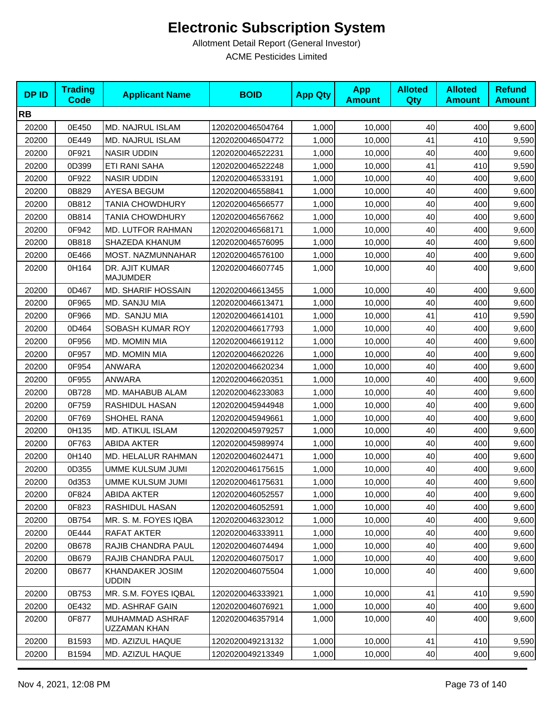| <b>DPID</b> | <b>Trading</b><br><b>Code</b> | <b>Applicant Name</b>                  | <b>BOID</b>      | <b>App Qty</b> | <b>App</b><br><b>Amount</b> | <b>Alloted</b><br><b>Qty</b> | <b>Alloted</b><br><b>Amount</b> | <b>Refund</b><br><b>Amount</b> |
|-------------|-------------------------------|----------------------------------------|------------------|----------------|-----------------------------|------------------------------|---------------------------------|--------------------------------|
| <b>RB</b>   |                               |                                        |                  |                |                             |                              |                                 |                                |
| 20200       | 0E450                         | <b>MD. NAJRUL ISLAM</b>                | 1202020046504764 | 1,000          | 10,000                      | 40                           | 400                             | 9,600                          |
| 20200       | 0E449                         | MD. NAJRUL ISLAM                       | 1202020046504772 | 1,000          | 10,000                      | 41                           | 410                             | 9,590                          |
| 20200       | 0F921                         | <b>NASIR UDDIN</b>                     | 1202020046522231 | 1,000          | 10,000                      | 40                           | 400                             | 9,600                          |
| 20200       | 0D399                         | <b>ETI RANI SAHA</b>                   | 1202020046522248 | 1,000          | 10,000                      | 41                           | 410                             | 9,590                          |
| 20200       | 0F922                         | <b>NASIR UDDIN</b>                     | 1202020046533191 | 1,000          | 10,000                      | 40                           | 400                             | 9,600                          |
| 20200       | 0B829                         | <b>AYESA BEGUM</b>                     | 1202020046558841 | 1,000          | 10,000                      | 40                           | 400                             | 9,600                          |
| 20200       | 0B812                         | TANIA CHOWDHURY                        | 1202020046566577 | 1,000          | 10,000                      | 40                           | 400                             | 9,600                          |
| 20200       | 0B814                         | <b>TANIA CHOWDHURY</b>                 | 1202020046567662 | 1,000          | 10,000                      | 40                           | 400                             | 9,600                          |
| 20200       | 0F942                         | MD. LUTFOR RAHMAN                      | 1202020046568171 | 1,000          | 10,000                      | 40                           | 400                             | 9,600                          |
| 20200       | 0B818                         | SHAZEDA KHANUM                         | 1202020046576095 | 1,000          | 10,000                      | 40                           | 400                             | 9,600                          |
| 20200       | 0E466                         | MOST. NAZMUNNAHAR                      | 1202020046576100 | 1,000          | 10,000                      | 40                           | 400                             | 9,600                          |
| 20200       | 0H164                         | DR. AJIT KUMAR<br><b>MAJUMDER</b>      | 1202020046607745 | 1,000          | 10,000                      | 40                           | 400                             | 9,600                          |
| 20200       | 0D467                         | <b>MD. SHARIF HOSSAIN</b>              | 1202020046613455 | 1,000          | 10,000                      | 40                           | 400                             | 9,600                          |
| 20200       | 0F965                         | MD. SANJU MIA                          | 1202020046613471 | 1,000          | 10,000                      | 40                           | 400                             | 9,600                          |
| 20200       | 0F966                         | MD. SANJU MIA                          | 1202020046614101 | 1,000          | 10,000                      | 41                           | 410                             | 9,590                          |
| 20200       | 0D464                         | SOBASH KUMAR ROY                       | 1202020046617793 | 1,000          | 10,000                      | 40                           | 400                             | 9,600                          |
| 20200       | 0F956                         | MD. MOMIN MIA                          | 1202020046619112 | 1,000          | 10,000                      | 40                           | 400                             | 9,600                          |
| 20200       | 0F957                         | MD. MOMIN MIA                          | 1202020046620226 | 1,000          | 10,000                      | 40                           | 400                             | 9,600                          |
| 20200       | 0F954                         | ANWARA                                 | 1202020046620234 | 1,000          | 10,000                      | 40                           | 400                             | 9,600                          |
| 20200       | 0F955                         | ANWARA                                 | 1202020046620351 | 1,000          | 10,000                      | 40                           | 400                             | 9,600                          |
| 20200       | 0B728                         | MD. MAHABUB ALAM                       | 1202020046233083 | 1,000          | 10,000                      | 40                           | 400                             | 9,600                          |
| 20200       | 0F759                         | RASHIDUL HASAN                         | 1202020045944948 | 1,000          | 10,000                      | 40                           | 400                             | 9,600                          |
| 20200       | 0F769                         | SHOHEL RANA                            | 1202020045949661 | 1,000          | 10,000                      | 40                           | 400                             | 9,600                          |
| 20200       | 0H135                         | <b>MD. ATIKUL ISLAM</b>                | 1202020045979257 | 1,000          | 10,000                      | 40                           | 400                             | 9,600                          |
| 20200       | 0F763                         | <b>ABIDA AKTER</b>                     | 1202020045989974 | 1,000          | 10,000                      | 40                           | 400                             | 9,600                          |
| 20200       | 0H140                         | MD. HELALUR RAHMAN                     | 1202020046024471 | 1,000          | 10,000                      | 40                           | 400                             | 9,600                          |
| 20200       | 0D355                         | UMME KULSUM JUMI                       | 1202020046175615 | 1,000          | 10,000                      | 40                           | 400                             | 9,600                          |
| 20200       | 0d353                         | UMME KULSUM JUMI                       | 1202020046175631 | 1,000          | 10,000                      | 40                           | 400                             | 9,600                          |
| 20200       | 0F824                         | <b>ABIDA AKTER</b>                     | 1202020046052557 | 1,000          | 10,000                      | 40                           | 400                             | 9,600                          |
| 20200       | 0F823                         | RASHIDUL HASAN                         | 1202020046052591 | 1,000          | 10,000                      | 40                           | 400                             | 9,600                          |
| 20200       | 0B754                         | MR. S. M. FOYES IQBA                   | 1202020046323012 | 1,000          | 10,000                      | 40                           | 400                             | 9,600                          |
| 20200       | 0E444                         | RAFAT AKTER                            | 1202020046333911 | 1,000          | 10,000                      | 40                           | 400                             | 9,600                          |
| 20200       | 0B678                         | RAJIB CHANDRA PAUL                     | 1202020046074494 | 1,000          | 10,000                      | 40                           | 400                             | 9,600                          |
| 20200       | 0B679                         | <b>RAJIB CHANDRA PAUL</b>              | 1202020046075017 | 1,000          | 10,000                      | 40                           | 400                             | 9,600                          |
| 20200       | 0B677                         | <b>KHANDAKER JOSIM</b><br><b>UDDIN</b> | 1202020046075504 | 1,000          | 10,000                      | 40                           | 400                             | 9,600                          |
| 20200       | 0B753                         | MR. S.M. FOYES IQBAL                   | 1202020046333921 | 1,000          | 10.000                      | 41                           | 410                             | 9,590                          |
| 20200       | 0E432                         | MD. ASHRAF GAIN                        | 1202020046076921 | 1,000          | 10,000                      | 40                           | 400                             | 9,600                          |
| 20200       | 0F877                         | MUHAMMAD ASHRAF<br>UZZAMAN KHAN        | 1202020046357914 | 1,000          | 10,000                      | 40                           | 400                             | 9,600                          |
| 20200       | B1593                         | MD. AZIZUL HAQUE                       | 1202020049213132 | 1,000          | 10,000                      | 41                           | 410                             | 9,590                          |
| 20200       | B1594                         | MD. AZIZUL HAQUE                       | 1202020049213349 | 1,000          | 10,000                      | 40                           | 400                             | 9,600                          |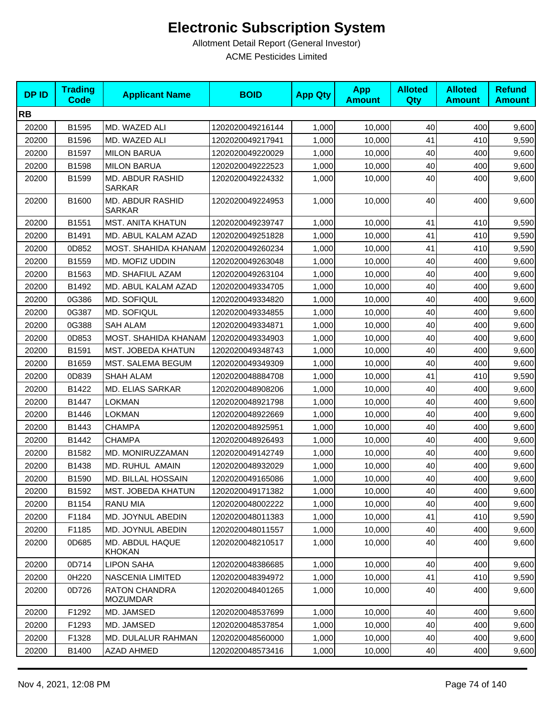| <b>DPID</b> | <b>Trading</b><br><b>Code</b> | <b>Applicant Name</b>                   | <b>BOID</b>      | <b>App Qty</b> | <b>App</b><br><b>Amount</b> | <b>Alloted</b><br>Qty | <b>Alloted</b><br><b>Amount</b> | <b>Refund</b><br><b>Amount</b> |
|-------------|-------------------------------|-----------------------------------------|------------------|----------------|-----------------------------|-----------------------|---------------------------------|--------------------------------|
| <b>RB</b>   |                               |                                         |                  |                |                             |                       |                                 |                                |
| 20200       | B1595                         | MD. WAZED ALI                           | 1202020049216144 | 1,000          | 10,000                      | 40                    | 400                             | 9,600                          |
| 20200       | B1596                         | MD. WAZED ALI                           | 1202020049217941 | 1,000          | 10,000                      | 41                    | 410                             | 9,590                          |
| 20200       | B1597                         | <b>MILON BARUA</b>                      | 1202020049220029 | 1,000          | 10,000                      | 40                    | 400                             | 9,600                          |
| 20200       | B1598                         | <b>MILON BARUA</b>                      | 1202020049222523 | 1,000          | 10,000                      | 40                    | 400                             | 9,600                          |
| 20200       | B1599                         | MD. ABDUR RASHID<br><b>SARKAR</b>       | 1202020049224332 | 1,000          | 10,000                      | 40                    | 400                             | 9,600                          |
| 20200       | B1600                         | MD. ABDUR RASHID<br><b>SARKAR</b>       | 1202020049224953 | 1,000          | 10,000                      | 40                    | 400                             | 9,600                          |
| 20200       | B1551                         | <b>MST. ANITA KHATUN</b>                | 1202020049239747 | 1,000          | 10,000                      | 41                    | 410                             | 9,590                          |
| 20200       | B1491                         | MD. ABUL KALAM AZAD                     | 1202020049251828 | 1,000          | 10,000                      | 41                    | 410                             | 9,590                          |
| 20200       | 0D852                         | MOST. SHAHIDA KHANAM                    | 1202020049260234 | 1,000          | 10,000                      | 41                    | 410                             | 9,590                          |
| 20200       | B1559                         | MD. MOFIZ UDDIN                         | 1202020049263048 | 1,000          | 10,000                      | 40                    | 400                             | 9,600                          |
| 20200       | B1563                         | MD. SHAFIUL AZAM                        | 1202020049263104 | 1,000          | 10,000                      | 40                    | 400                             | 9,600                          |
| 20200       | B1492                         | MD. ABUL KALAM AZAD                     | 1202020049334705 | 1,000          | 10,000                      | 40                    | 400                             | 9,600                          |
| 20200       | 0G386                         | MD. SOFIQUL                             | 1202020049334820 | 1,000          | 10,000                      | 40                    | 400                             | 9,600                          |
| 20200       | 0G387                         | MD. SOFIQUL                             | 1202020049334855 | 1,000          | 10,000                      | 40                    | 400                             | 9,600                          |
| 20200       | 0G388                         | <b>SAH ALAM</b>                         | 1202020049334871 | 1,000          | 10,000                      | 40                    | 400                             | 9,600                          |
| 20200       | 0D853                         | MOST. SHAHIDA KHANAM                    | 1202020049334903 | 1,000          | 10,000                      | 40                    | 400                             | 9,600                          |
| 20200       | B1591                         | MST. JOBEDA KHATUN                      | 1202020049348743 | 1,000          | 10,000                      | 40                    | 400                             | 9,600                          |
| 20200       | B1659                         | MST. SALEMA BEGUM                       | 1202020049349309 | 1,000          | 10,000                      | 40                    | 400                             | 9,600                          |
| 20200       | 0D839                         | <b>SHAH ALAM</b>                        | 1202020048884708 | 1,000          | 10,000                      | 41                    | 410                             | 9,590                          |
| 20200       | B1422                         | <b>MD. ELIAS SARKAR</b>                 | 1202020048908206 | 1,000          | 10,000                      | 40                    | 400                             | 9,600                          |
| 20200       | B1447                         | <b>LOKMAN</b>                           | 1202020048921798 | 1,000          | 10,000                      | 40                    | 400                             | 9,600                          |
| 20200       | B1446                         | <b>LOKMAN</b>                           | 1202020048922669 | 1,000          | 10,000                      | 40                    | 400                             | 9,600                          |
| 20200       | B1443                         | <b>CHAMPA</b>                           | 1202020048925951 | 1,000          | 10,000                      | 40                    | 400                             | 9,600                          |
| 20200       | B1442                         | <b>CHAMPA</b>                           | 1202020048926493 | 1,000          | 10,000                      | 40                    | 400                             | 9,600                          |
| 20200       | B1582                         | MD. MONIRUZZAMAN                        | 1202020049142749 | 1,000          | 10,000                      | 40                    | 400                             | 9,600                          |
| 20200       | B1438                         | MD. RUHUL AMAIN                         | 1202020048932029 | 1,000          | 10,000                      | 40                    | 400                             | 9,600                          |
| 20200       | B1590                         | MD. BILLAL HOSSAIN                      | 1202020049165086 | 1,000          | 10,000                      | 40                    | 400                             | 9,600                          |
| 20200       | B1592                         | MST. JOBEDA KHATUN                      | 1202020049171382 | 1,000          | 10,000                      | 40                    | 400                             | 9,600                          |
| 20200       | B1154                         | <b>RANU MIA</b>                         | 1202020048002222 | 1,000          | 10,000                      | 40                    | 400                             | 9,600                          |
| 20200       | F1184                         | MD. JOYNUL ABEDIN                       | 1202020048011383 | 1,000          | 10,000                      | 41                    | 410                             | 9,590                          |
| 20200       | F1185                         | MD. JOYNUL ABEDIN                       | 1202020048011557 | 1,000          | 10,000                      | 40                    | 400                             | 9,600                          |
| 20200       | 0D685                         | MD. ABDUL HAQUE<br><b>KHOKAN</b>        | 1202020048210517 | 1,000          | 10,000                      | 40                    | 400                             | 9,600                          |
| 20200       | 0D714                         | <b>LIPON SAHA</b>                       | 1202020048386685 | 1,000          | 10,000                      | 40                    | 400                             | 9,600                          |
| 20200       | 0H220                         | NASCENIA LIMITED                        | 1202020048394972 | 1,000          | 10,000                      | 41                    | 410                             | 9,590                          |
| 20200       | 0D726                         | <b>RATON CHANDRA</b><br><b>MOZUMDAR</b> | 1202020048401265 | 1,000          | 10.000                      | 40                    | 400                             | 9,600                          |
| 20200       | F1292                         | MD. JAMSED                              | 1202020048537699 | 1,000          | 10,000                      | 40                    | 400                             | 9,600                          |
| 20200       | F1293                         | MD. JAMSED                              | 1202020048537854 | 1,000          | 10,000                      | 40                    | 400                             | 9,600                          |
| 20200       | F1328                         | MD. DULALUR RAHMAN                      | 1202020048560000 | 1,000          | 10,000                      | 40                    | 400                             | 9,600                          |
| 20200       | B1400                         | <b>AZAD AHMED</b>                       | 1202020048573416 | 1,000          | 10,000                      | 40                    | 400                             | 9,600                          |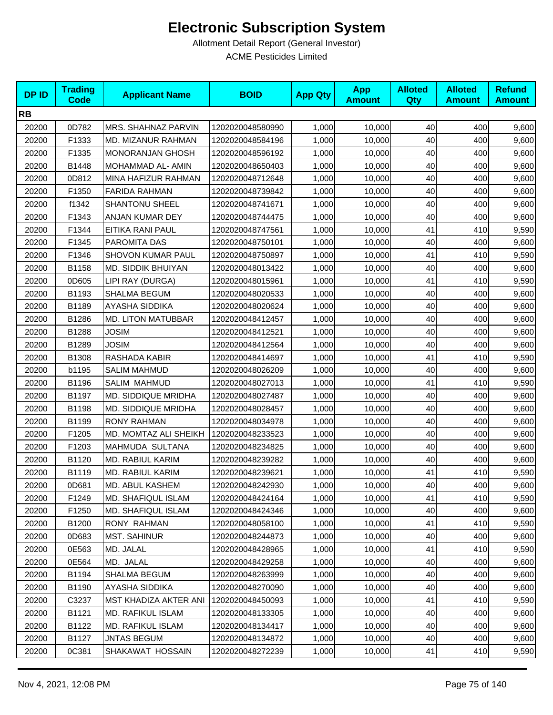| <b>DPID</b> | <b>Trading</b><br><b>Code</b> | <b>Applicant Name</b>        | <b>BOID</b>      | <b>App Qty</b> | <b>App</b><br><b>Amount</b> | <b>Alloted</b><br>Qty | <b>Alloted</b><br><b>Amount</b> | <b>Refund</b><br><b>Amount</b> |
|-------------|-------------------------------|------------------------------|------------------|----------------|-----------------------------|-----------------------|---------------------------------|--------------------------------|
| <b>RB</b>   |                               |                              |                  |                |                             |                       |                                 |                                |
| 20200       | 0D782                         | <b>MRS. SHAHNAZ PARVIN</b>   | 1202020048580990 | 1,000          | 10,000                      | 40                    | 400                             | 9,600                          |
| 20200       | F1333                         | MD. MIZANUR RAHMAN           | 1202020048584196 | 1,000          | 10,000                      | 40                    | 400                             | 9,600                          |
| 20200       | F1335                         | <b>MONORANJAN GHOSH</b>      | 1202020048596192 | 1,000          | 10,000                      | 40                    | 400                             | 9,600                          |
| 20200       | B1448                         | MOHAMMAD AL- AMIN            | 1202020048650403 | 1,000          | 10,000                      | 40                    | 400                             | 9,600                          |
| 20200       | 0D812                         | MINA HAFIZUR RAHMAN          | 1202020048712648 | 1,000          | 10,000                      | 40                    | 400                             | 9,600                          |
| 20200       | F1350                         | <b>FARIDA RAHMAN</b>         | 1202020048739842 | 1,000          | 10,000                      | 40                    | 400                             | 9,600                          |
| 20200       | f1342                         | <b>SHANTONU SHEEL</b>        | 1202020048741671 | 1,000          | 10,000                      | 40                    | 400                             | 9,600                          |
| 20200       | F1343                         | ANJAN KUMAR DEY              | 1202020048744475 | 1,000          | 10,000                      | 40                    | 400                             | 9,600                          |
| 20200       | F1344                         | EITIKA RANI PAUL             | 1202020048747561 | 1,000          | 10,000                      | 41                    | 410                             | 9,590                          |
| 20200       | F1345                         | PAROMITA DAS                 | 1202020048750101 | 1,000          | 10,000                      | 40                    | 400                             | 9,600                          |
| 20200       | F1346                         | SHOVON KUMAR PAUL            | 1202020048750897 | 1,000          | 10,000                      | 41                    | 410                             | 9,590                          |
| 20200       | B1158                         | MD. SIDDIK BHUIYAN           | 1202020048013422 | 1,000          | 10,000                      | 40                    | 400                             | 9,600                          |
| 20200       | 0D605                         | LIPI RAY (DURGA)             | 1202020048015961 | 1,000          | 10,000                      | 41                    | 410                             | 9,590                          |
| 20200       | B1193                         | SHALMA BEGUM                 | 1202020048020533 | 1,000          | 10,000                      | 40                    | 400                             | 9,600                          |
| 20200       | B1189                         | AYASHA SIDDIKA               | 1202020048020624 | 1,000          | 10,000                      | 40                    | 400                             | 9,600                          |
| 20200       | B1286                         | <b>MD. LITON MATUBBAR</b>    | 1202020048412457 | 1,000          | 10,000                      | 40                    | 400                             | 9,600                          |
| 20200       | B1288                         | JOSIM                        | 1202020048412521 | 1,000          | 10,000                      | 40                    | 400                             | 9,600                          |
| 20200       | B1289                         | <b>JOSIM</b>                 | 1202020048412564 | 1,000          | 10,000                      | 40                    | 400                             | 9,600                          |
| 20200       | B1308                         | RASHADA KABIR                | 1202020048414697 | 1,000          | 10,000                      | 41                    | 410                             | 9,590                          |
| 20200       | b1195                         | <b>SALIM MAHMUD</b>          | 1202020048026209 | 1,000          | 10,000                      | 40                    | 400                             | 9,600                          |
| 20200       | B1196                         | <b>SALIM MAHMUD</b>          | 1202020048027013 | 1,000          | 10,000                      | 41                    | 410                             | 9,590                          |
| 20200       | B1197                         | MD. SIDDIQUE MRIDHA          | 1202020048027487 | 1,000          | 10,000                      | 40                    | 400                             | 9,600                          |
| 20200       | B1198                         | <b>MD. SIDDIQUE MRIDHA</b>   | 1202020048028457 | 1,000          | 10,000                      | 40                    | 400                             | 9,600                          |
| 20200       | B1199                         | <b>RONY RAHMAN</b>           | 1202020048034978 | 1,000          | 10,000                      | 40                    | 400                             | 9,600                          |
| 20200       | F1205                         | MD. MOMTAZ ALI SHEIKH        | 1202020048233523 | 1,000          | 10,000                      | 40                    | 400                             | 9,600                          |
| 20200       | F1203                         | MAHMUDA SULTANA              | 1202020048234825 | 1,000          | 10,000                      | 40                    | 400                             | 9,600                          |
| 20200       | B1120                         | MD. RABIUL KARIM             | 1202020048239282 | 1,000          | 10,000                      | 40                    | 400                             | 9,600                          |
| 20200       | B1119                         | MD. RABIUL KARIM             | 1202020048239621 | 1,000          | 10,000                      | 41                    | 410                             | 9,590                          |
| 20200       | 0D681                         | MD. ABUL KASHEM              | 1202020048242930 | 1,000          | 10,000                      | 40                    | 400                             | 9,600                          |
| 20200       | F1249                         | <b>MD. SHAFIQUL ISLAM</b>    | 1202020048424164 | 1,000          | 10,000                      | 41                    | 410                             | 9,590                          |
| 20200       | F1250                         | <b>MD. SHAFIQUL ISLAM</b>    | 1202020048424346 | 1,000          | 10,000                      | 40                    | 400                             | 9,600                          |
| 20200       | B1200                         | <b>RONY RAHMAN</b>           | 1202020048058100 | 1,000          | 10,000                      | 41                    | 410                             | 9,590                          |
| 20200       | 0D683                         | <b>MST. SAHINUR</b>          | 1202020048244873 | 1,000          | 10,000                      | 40                    | 400                             | 9,600                          |
| 20200       | 0E563                         | MD. JALAL                    | 1202020048428965 | 1,000          | 10,000                      | 41                    | 410                             | 9,590                          |
| 20200       | 0E564                         | MD. JALAL                    | 1202020048429258 | 1,000          | 10,000                      | 40                    | 400                             | 9,600                          |
| 20200       | B1194                         | <b>SHALMA BEGUM</b>          | 1202020048263999 | 1,000          | 10,000                      | 40                    | 400                             | 9,600                          |
| 20200       | B1190                         | AYASHA SIDDIKA               | 1202020048270090 | 1,000          | 10,000                      | 40                    | 400                             | 9,600                          |
| 20200       | C3237                         | <b>MST KHADIZA AKTER ANI</b> | 1202020048450093 | 1,000          | 10,000                      | 41                    | 410                             | 9,590                          |
| 20200       | B1121                         | <b>MD. RAFIKUL ISLAM</b>     | 1202020048133305 | 1,000          | 10,000                      | 40                    | 400                             | 9,600                          |
| 20200       | B1122                         | MD. RAFIKUL ISLAM            | 1202020048134417 | 1,000          | 10,000                      | 40                    | 400                             | 9,600                          |
| 20200       | B1127                         | <b>JNTAS BEGUM</b>           | 1202020048134872 | 1,000          | 10,000                      | 40                    | 400                             | 9,600                          |
| 20200       | 0C381                         | SHAKAWAT HOSSAIN             | 1202020048272239 | 1,000          | 10,000                      | 41                    | 410                             | 9,590                          |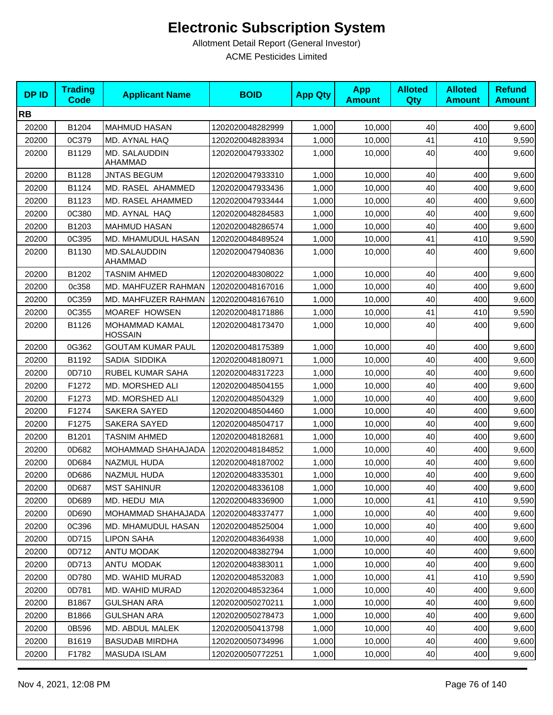| <b>DPID</b> | <b>Trading</b><br><b>Code</b> | <b>Applicant Name</b>            | <b>BOID</b>      | <b>App Qty</b> | <b>App</b><br><b>Amount</b> | <b>Alloted</b><br>Qty | <b>Alloted</b><br><b>Amount</b> | <b>Refund</b><br><b>Amount</b> |
|-------------|-------------------------------|----------------------------------|------------------|----------------|-----------------------------|-----------------------|---------------------------------|--------------------------------|
| <b>RB</b>   |                               |                                  |                  |                |                             |                       |                                 |                                |
| 20200       | B1204                         | <b>MAHMUD HASAN</b>              | 1202020048282999 | 1,000          | 10,000                      | 40                    | 400                             | 9,600                          |
| 20200       | 0C379                         | MD. AYNAL HAQ                    | 1202020048283934 | 1,000          | 10,000                      | 41                    | 410                             | 9,590                          |
| 20200       | B1129                         | MD. SALAUDDIN<br>AHAMMAD         | 1202020047933302 | 1,000          | 10,000                      | 40                    | 400                             | 9,600                          |
| 20200       | B1128                         | <b>JNTAS BEGUM</b>               | 1202020047933310 | 1,000          | 10,000                      | 40                    | 400                             | 9,600                          |
| 20200       | B1124                         | MD. RASEL AHAMMED                | 1202020047933436 | 1,000          | 10,000                      | 40                    | 400                             | 9,600                          |
| 20200       | B1123                         | MD. RASEL AHAMMED                | 1202020047933444 | 1,000          | 10.000                      | 40                    | 400                             | 9,600                          |
| 20200       | 0C380                         | MD. AYNAL HAQ                    | 1202020048284583 | 1,000          | 10,000                      | 40                    | 400                             | 9,600                          |
| 20200       | B1203                         | <b>MAHMUD HASAN</b>              | 1202020048286574 | 1,000          | 10,000                      | 40                    | 400                             | 9,600                          |
| 20200       | 0C395                         | MD. MHAMUDUL HASAN               | 1202020048489524 | 1,000          | 10,000                      | 41                    | 410                             | 9,590                          |
| 20200       | B1130                         | <b>MD.SALAUDDIN</b><br>AHAMMAD   | 1202020047940836 | 1,000          | 10,000                      | 40                    | 400                             | 9,600                          |
| 20200       | B1202                         | <b>TASNIM AHMED</b>              | 1202020048308022 | 1,000          | 10,000                      | 40                    | 400                             | 9,600                          |
| 20200       | 0c358                         | MD. MAHFUZER RAHMAN              | 1202020048167016 | 1,000          | 10,000                      | 40                    | 400                             | 9,600                          |
| 20200       | 0C359                         | MD. MAHFUZER RAHMAN              | 1202020048167610 | 1,000          | 10,000                      | 40                    | 400                             | 9,600                          |
| 20200       | 0C355                         | MOAREF HOWSEN                    | 1202020048171886 | 1,000          | 10,000                      | 41                    | 410                             | 9,590                          |
| 20200       | B1126                         | MOHAMMAD KAMAL<br><b>HOSSAIN</b> | 1202020048173470 | 1,000          | 10,000                      | 40                    | 400                             | 9,600                          |
| 20200       | 0G362                         | <b>GOUTAM KUMAR PAUL</b>         | 1202020048175389 | 1,000          | 10,000                      | 40                    | 400                             | 9,600                          |
| 20200       | B1192                         | SADIA SIDDIKA                    | 1202020048180971 | 1,000          | 10,000                      | 40                    | 400                             | 9,600                          |
| 20200       | 0D710                         | RUBEL KUMAR SAHA                 | 1202020048317223 | 1,000          | 10,000                      | 40                    | 400                             | 9,600                          |
| 20200       | F1272                         | MD. MORSHED ALI                  | 1202020048504155 | 1,000          | 10,000                      | 40                    | 400                             | 9,600                          |
| 20200       | F1273                         | MD. MORSHED ALI                  | 1202020048504329 | 1,000          | 10,000                      | 40                    | 400                             | 9,600                          |
| 20200       | F1274                         | SAKERA SAYED                     | 1202020048504460 | 1,000          | 10,000                      | 40                    | 400                             | 9,600                          |
| 20200       | F1275                         | <b>SAKERA SAYED</b>              | 1202020048504717 | 1,000          | 10,000                      | 40                    | 400                             | 9,600                          |
| 20200       | B1201                         | <b>TASNIM AHMED</b>              | 1202020048182681 | 1,000          | 10,000                      | 40                    | 400                             | 9,600                          |
| 20200       | 0D682                         | MOHAMMAD SHAHAJADA               | 1202020048184852 | 1,000          | 10,000                      | 40                    | 400                             | 9,600                          |
| 20200       | 0D684                         | NAZMUL HUDA                      | 1202020048187002 | 1,000          | 10,000                      | 40                    | 400                             | 9,600                          |
| 20200       | 0D686                         | NAZMUL HUDA                      | 1202020048335301 | 1,000          | 10,000                      | 40                    | 400                             | 9,600                          |
| 20200       | 0D687                         | <b>MST SAHINUR</b>               | 1202020048336108 | 1,000          | 10,000                      | 40                    | 400                             | 9,600                          |
| 20200       | 0D689                         | MD. HEDU MIA                     | 1202020048336900 | 1,000          | 10.000                      | 41                    | 410                             | 9,590                          |
| 20200       | 0D690                         | MOHAMMAD SHAHAJADA               | 1202020048337477 | 1,000          | 10,000                      | 40                    | 400                             | 9,600                          |
| 20200       | 0C396                         | MD. MHAMUDUL HASAN               | 1202020048525004 | 1,000          | 10,000                      | 40                    | 400                             | 9,600                          |
| 20200       | 0D715                         | <b>LIPON SAHA</b>                | 1202020048364938 | 1,000          | 10,000                      | 40                    | 400                             | 9,600                          |
| 20200       | 0D712                         | ANTU MODAK                       | 1202020048382794 | 1,000          | 10,000                      | 40                    | 400                             | 9,600                          |
| 20200       | 0D713                         | ANTU MODAK                       | 1202020048383011 | 1,000          | 10,000                      | 40                    | 400                             | 9,600                          |
| 20200       | 0D780                         | MD. WAHID MURAD                  | 1202020048532083 | 1,000          | 10,000                      | 41                    | 410                             | 9,590                          |
| 20200       | 0D781                         | MD. WAHID MURAD                  | 1202020048532364 | 1,000          | 10,000                      | 40                    | 400                             | 9,600                          |
| 20200       | B1867                         | <b>GULSHAN ARA</b>               | 1202020050270211 | 1,000          | 10,000                      | 40                    | 400                             | 9,600                          |
| 20200       | B1866                         | <b>GULSHAN ARA</b>               | 1202020050278473 | 1,000          | 10,000                      | 40                    | 400                             | 9,600                          |
| 20200       | 0B596                         | MD. ABDUL MALEK                  | 1202020050413798 | 1,000          | 10,000                      | 40                    | 400                             | 9,600                          |
| 20200       | B1619                         | <b>BASUDAB MIRDHA</b>            | 1202020050734996 | 1,000          | 10,000                      | 40                    | 400                             | 9,600                          |
| 20200       | F1782                         | MASUDA ISLAM                     | 1202020050772251 | 1,000          | 10,000                      | 40                    | 400                             | 9,600                          |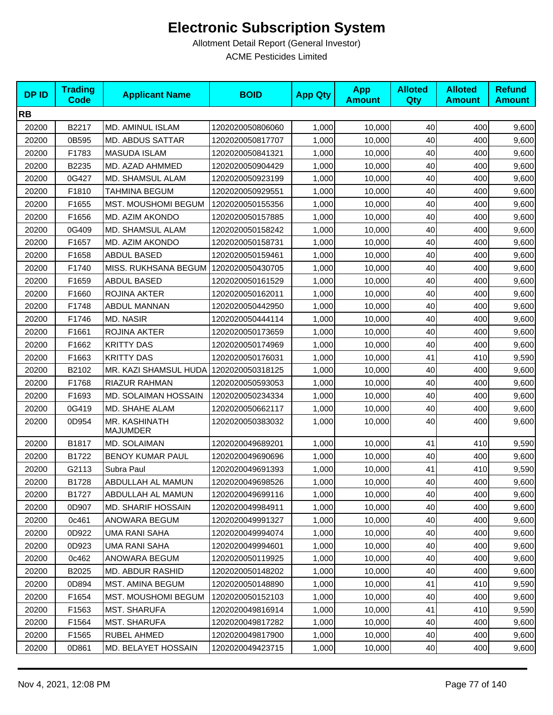| <b>DPID</b> | <b>Trading</b><br><b>Code</b> | <b>Applicant Name</b>                    | <b>BOID</b>      | <b>App Qty</b> | <b>App</b><br><b>Amount</b> | <b>Alloted</b><br>Qty | <b>Alloted</b><br><b>Amount</b> | <b>Refund</b><br><b>Amount</b> |
|-------------|-------------------------------|------------------------------------------|------------------|----------------|-----------------------------|-----------------------|---------------------------------|--------------------------------|
| <b>RB</b>   |                               |                                          |                  |                |                             |                       |                                 |                                |
| 20200       | B2217                         | MD. AMINUL ISLAM                         | 1202020050806060 | 1,000          | 10,000                      | 40                    | 400                             | 9,600                          |
| 20200       | 0B595                         | <b>MD. ABDUS SATTAR</b>                  | 1202020050817707 | 1,000          | 10,000                      | 40                    | 400                             | 9,600                          |
| 20200       | F1783                         | <b>MASUDA ISLAM</b>                      | 1202020050841321 | 1,000          | 10,000                      | 40                    | 400                             | 9,600                          |
| 20200       | B2235                         | MD. AZAD AHMMED                          | 1202020050904429 | 1,000          | 10,000                      | 40                    | 400                             | 9,600                          |
| 20200       | 0G427                         | MD. SHAMSUL ALAM                         | 1202020050923199 | 1,000          | 10,000                      | 40                    | 400                             | 9,600                          |
| 20200       | F1810                         | TAHMINA BEGUM                            | 1202020050929551 | 1,000          | 10,000                      | 40                    | 400                             | 9,600                          |
| 20200       | F1655                         | MST. MOUSHOMI BEGUM                      | 1202020050155356 | 1,000          | 10,000                      | 40                    | 400                             | 9,600                          |
| 20200       | F1656                         | MD. AZIM AKONDO                          | 1202020050157885 | 1,000          | 10,000                      | 40                    | 400                             | 9,600                          |
| 20200       | 0G409                         | MD. SHAMSUL ALAM                         | 1202020050158242 | 1,000          | 10,000                      | 40                    | 400                             | 9,600                          |
| 20200       | F1657                         | MD. AZIM AKONDO                          | 1202020050158731 | 1,000          | 10,000                      | 40                    | 400                             | 9,600                          |
| 20200       | F1658                         | <b>ABDUL BASED</b>                       | 1202020050159461 | 1,000          | 10,000                      | 40                    | 400                             | 9,600                          |
| 20200       | F1740                         | MISS. RUKHSANA BEGUM                     | 1202020050430705 | 1,000          | 10,000                      | 40                    | 400                             | 9,600                          |
| 20200       | F1659                         | ABDUL BASED                              | 1202020050161529 | 1,000          | 10,000                      | 40                    | 400                             | 9,600                          |
| 20200       | F1660                         | ROJINA AKTER                             | 1202020050162011 | 1,000          | 10,000                      | 40                    | 400                             | 9,600                          |
| 20200       | F1748                         | ABDUL MANNAN                             | 1202020050442950 | 1,000          | 10,000                      | 40                    | 400                             | 9,600                          |
| 20200       | F1746                         | <b>MD. NASIR</b>                         | 1202020050444114 | 1,000          | 10,000                      | 40                    | 400                             | 9,600                          |
| 20200       | F1661                         | ROJINA AKTER                             | 1202020050173659 | 1,000          | 10,000                      | 40                    | 400                             | 9,600                          |
| 20200       | F1662                         | <b>KRITTY DAS</b>                        | 1202020050174969 | 1,000          | 10,000                      | 40                    | 400                             | 9,600                          |
| 20200       | F1663                         | <b>KRITTY DAS</b>                        | 1202020050176031 | 1,000          | 10,000                      | 41                    | 410                             | 9,590                          |
| 20200       | B2102                         | MR. KAZI SHAMSUL HUDA   1202020050318125 |                  | 1,000          | 10,000                      | 40                    | 400                             | 9,600                          |
| 20200       | F1768                         | <b>RIAZUR RAHMAN</b>                     | 1202020050593053 | 1,000          | 10,000                      | 40                    | 400                             | 9,600                          |
| 20200       | F1693                         | MD. SOLAIMAN HOSSAIN                     | 1202020050234334 | 1,000          | 10,000                      | 40                    | 400                             | 9,600                          |
| 20200       | 0G419                         | MD. SHAHE ALAM                           | 1202020050662117 | 1,000          | 10,000                      | 40                    | 400                             | 9,600                          |
| 20200       | 0D954                         | MR. KASHINATH<br><b>MAJUMDER</b>         | 1202020050383032 | 1,000          | 10,000                      | 40                    | 400                             | 9,600                          |
| 20200       | B1817                         | MD. SOLAIMAN                             | 1202020049689201 | 1,000          | 10,000                      | 41                    | 410                             | 9,590                          |
| 20200       | B1722                         | BENOY KUMAR PAUL                         | 1202020049690696 | 1,000          | 10,000                      | 40                    | 400                             | 9,600                          |
| 20200       | G2113                         | Subra Paul                               | 1202020049691393 | 1,000          | 10,000                      | 41                    | 410                             | 9,590                          |
| 20200       | B1728                         | ABDULLAH AL MAMUN                        | 1202020049698526 | 1,000          | 10,000                      | 40                    | 400                             | 9,600                          |
| 20200       | B1727                         | ABDULLAH AL MAMUN                        | 1202020049699116 | 1,000          | 10,000                      | 40                    | 400                             | 9,600                          |
| 20200       | 0D907                         | <b>MD. SHARIF HOSSAIN</b>                | 1202020049984911 | 1,000          | 10,000                      | 40                    | 400                             | 9,600                          |
| 20200       | 0c461                         | ANOWARA BEGUM                            | 1202020049991327 | 1,000          | 10,000                      | 40                    | 400                             | 9,600                          |
| 20200       | 0D922                         | UMA RANI SAHA                            | 1202020049994074 | 1,000          | 10,000                      | 40                    | 400                             | 9,600                          |
| 20200       | 0D923                         | <b>UMA RANI SAHA</b>                     | 1202020049994601 | 1,000          | 10,000                      | 40                    | 400                             | 9,600                          |
| 20200       | 0c462                         | ANOWARA BEGUM                            | 1202020050119925 | 1,000          | 10,000                      | 40                    | 400                             | 9,600                          |
| 20200       | B2025                         | MD. ABDUR RASHID                         | 1202020050148202 | 1,000          | 10,000                      | 40                    | 400                             | 9,600                          |
| 20200       | 0D894                         | MST. AMINA BEGUM                         | 1202020050148890 | 1,000          | 10,000                      | 41                    | 410                             | 9,590                          |
| 20200       | F1654                         | <b>MST. MOUSHOMI BEGUM</b>               | 1202020050152103 | 1,000          | 10,000                      | 40                    | 400                             | 9,600                          |
| 20200       | F1563                         | <b>MST. SHARUFA</b>                      | 1202020049816914 | 1,000          | 10,000                      | 41                    | 410                             | 9,590                          |
| 20200       | F1564                         | <b>MST. SHARUFA</b>                      | 1202020049817282 | 1,000          | 10,000                      | 40                    | 400                             | 9,600                          |
| 20200       | F1565                         | RUBEL AHMED                              | 1202020049817900 | 1,000          | 10,000                      | 40                    | 400                             | 9,600                          |
| 20200       | 0D861                         | MD. BELAYET HOSSAIN                      | 1202020049423715 | 1,000          | 10,000                      | 40                    | 400                             | 9,600                          |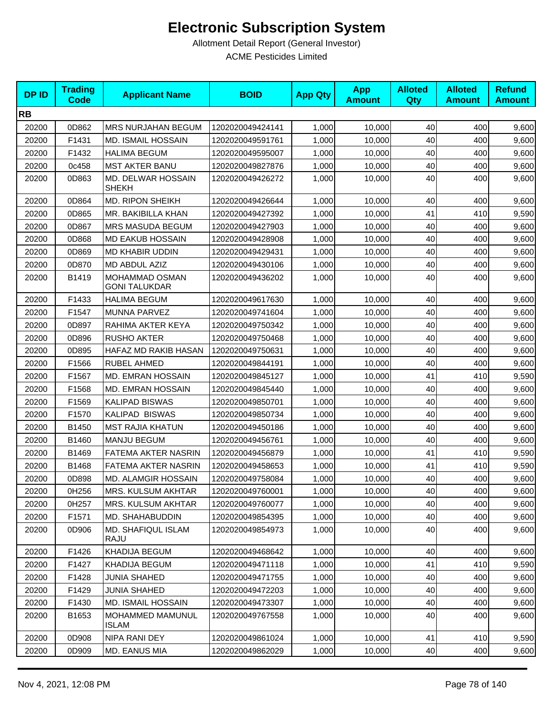| <b>DPID</b> | <b>Trading</b><br><b>Code</b> | <b>Applicant Name</b>                  | <b>BOID</b>      | <b>App Qty</b> | <b>App</b><br><b>Amount</b> | <b>Alloted</b><br><b>Qty</b> | <b>Alloted</b><br><b>Amount</b> | <b>Refund</b><br><b>Amount</b> |
|-------------|-------------------------------|----------------------------------------|------------------|----------------|-----------------------------|------------------------------|---------------------------------|--------------------------------|
| <b>RB</b>   |                               |                                        |                  |                |                             |                              |                                 |                                |
| 20200       | 0D862                         | <b>MRS NURJAHAN BEGUM</b>              | 1202020049424141 | 1,000          | 10,000                      | 40                           | 400                             | 9,600                          |
| 20200       | F1431                         | <b>MD. ISMAIL HOSSAIN</b>              | 1202020049591761 | 1,000          | 10,000                      | 40                           | 400                             | 9,600                          |
| 20200       | F1432                         | <b>HALIMA BEGUM</b>                    | 1202020049595007 | 1,000          | 10,000                      | 40                           | 400                             | 9,600                          |
| 20200       | 0c458                         | <b>MST AKTER BANU</b>                  | 1202020049827876 | 1,000          | 10,000                      | 40                           | 400                             | 9,600                          |
| 20200       | 0D863                         | MD. DELWAR HOSSAIN<br><b>SHEKH</b>     | 1202020049426272 | 1,000          | 10,000                      | 40                           | 400                             | 9,600                          |
| 20200       | 0D864                         | <b>MD. RIPON SHEIKH</b>                | 1202020049426644 | 1,000          | 10,000                      | 40                           | 400                             | 9,600                          |
| 20200       | 0D865                         | MR. BAKIBILLA KHAN                     | 1202020049427392 | 1,000          | 10,000                      | 41                           | 410                             | 9,590                          |
| 20200       | 0D867                         | MRS MASUDA BEGUM                       | 1202020049427903 | 1,000          | 10,000                      | 40                           | 400                             | 9,600                          |
| 20200       | 0D868                         | <b>MD EAKUB HOSSAIN</b>                | 1202020049428908 | 1,000          | 10,000                      | 40                           | 400                             | 9,600                          |
| 20200       | 0D869                         | MD KHABIR UDDIN                        | 1202020049429431 | 1,000          | 10,000                      | 40                           | 400                             | 9,600                          |
| 20200       | 0D870                         | MD ABDUL AZIZ                          | 1202020049430106 | 1,000          | 10,000                      | 40                           | 400                             | 9,600                          |
| 20200       | B1419                         | MOHAMMAD OSMAN<br><b>GONI TALUKDAR</b> | 1202020049436202 | 1,000          | 10,000                      | 40                           | 400                             | 9,600                          |
| 20200       | F1433                         | <b>HALIMA BEGUM</b>                    | 1202020049617630 | 1,000          | 10,000                      | 40                           | 400                             | 9,600                          |
| 20200       | F1547                         | MUNNA PARVEZ                           | 1202020049741604 | 1,000          | 10,000                      | 40                           | 400                             | 9,600                          |
| 20200       | 0D897                         | RAHIMA AKTER KEYA                      | 1202020049750342 | 1,000          | 10,000                      | 40                           | 400                             | 9,600                          |
| 20200       | 0D896                         | <b>RUSHO AKTER</b>                     | 1202020049750468 | 1,000          | 10,000                      | 40                           | 400                             | 9,600                          |
| 20200       | 0D895                         | HAFAZ MD RAKIB HASAN                   | 1202020049750631 | 1,000          | 10,000                      | 40                           | 400                             | 9,600                          |
| 20200       | F1566                         | RUBEL AHMED                            | 1202020049844191 | 1,000          | 10,000                      | 40                           | 400                             | 9,600                          |
| 20200       | F1567                         | MD. EMRAN HOSSAIN                      | 1202020049845127 | 1,000          | 10,000                      | 41                           | 410                             | 9,590                          |
| 20200       | F1568                         | MD. EMRAN HOSSAIN                      | 1202020049845440 | 1,000          | 10,000                      | 40                           | 400                             | 9,600                          |
| 20200       | F1569                         | <b>KALIPAD BISWAS</b>                  | 1202020049850701 | 1,000          | 10,000                      | 40                           | 400                             | 9,600                          |
| 20200       | F1570                         | KALIPAD BISWAS                         | 1202020049850734 | 1,000          | 10,000                      | 40                           | 400                             | 9,600                          |
| 20200       | B1450                         | <b>MST RAJIA KHATUN</b>                | 1202020049450186 | 1,000          | 10,000                      | 40                           | 400                             | 9,600                          |
| 20200       | B1460                         | MANJU BEGUM                            | 1202020049456761 | 1,000          | 10,000                      | 40                           | 400                             | 9,600                          |
| 20200       | B1469                         | FATEMA AKTER NASRIN                    | 1202020049456879 | 1,000          | 10,000                      | 41                           | 410                             | 9,590                          |
| 20200       | B1468                         | FATEMA AKTER NASRIN                    | 1202020049458653 | 1,000          | 10,000                      | 41                           | 410                             | 9,590                          |
| 20200       | 0D898                         | MD. ALAMGIR HOSSAIN                    | 1202020049758084 | 1,000          | 10,000                      | 40                           | 400                             | 9,600                          |
| 20200       | 0H256                         | MRS. KULSUM AKHTAR                     | 1202020049760001 | 1,000          | 10,000                      | 40                           | 400                             | 9,600                          |
| 20200       | 0H257                         | MRS. KULSUM AKHTAR                     | 1202020049760077 | 1,000          | 10,000                      | 40                           | 400                             | 9,600                          |
| 20200       | F1571                         | MD. SHAHABUDDIN                        | 1202020049854395 | 1,000          | 10,000                      | 40                           | 400                             | 9,600                          |
| 20200       | 0D906                         | MD. SHAFIQUL ISLAM<br>RAJU             | 1202020049854973 | 1,000          | 10,000                      | 40                           | 400                             | 9,600                          |
| 20200       | F1426                         | KHADIJA BEGUM                          | 1202020049468642 | 1,000          | 10,000                      | 40                           | 400                             | 9,600                          |
| 20200       | F1427                         | KHADIJA BEGUM                          | 1202020049471118 | 1,000          | 10,000                      | 41                           | 410                             | 9,590                          |
| 20200       | F1428                         | <b>JUNIA SHAHED</b>                    | 1202020049471755 | 1,000          | 10,000                      | 40                           | 400                             | 9,600                          |
| 20200       | F1429                         | <b>JUNIA SHAHED</b>                    | 1202020049472203 | 1,000          | 10,000                      | 40                           | 400                             | 9,600                          |
| 20200       | F1430                         | MD. ISMAIL HOSSAIN                     | 1202020049473307 | 1,000          | 10,000                      | 40                           | 400                             | 9,600                          |
| 20200       | B1653                         | MOHAMMED MAMUNUL<br>ISLAM              | 1202020049767558 | 1,000          | 10,000                      | 40                           | 400                             | 9,600                          |
| 20200       | 0D908                         | NIPA RANI DEY                          | 1202020049861024 | 1,000          | 10,000                      | 41                           | 410                             | 9,590                          |
| 20200       | 0D909                         | MD. EANUS MIA                          | 1202020049862029 | 1,000          | 10,000                      | 40                           | 400                             | 9,600                          |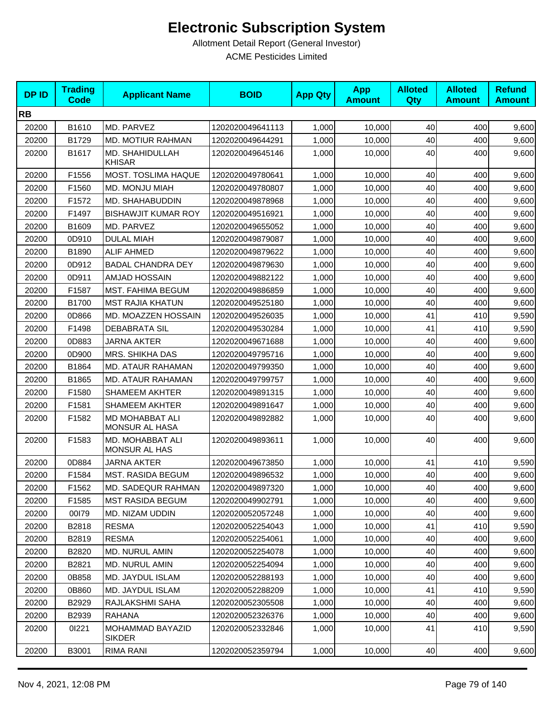| <b>DPID</b> | <b>Trading</b><br><b>Code</b> | <b>Applicant Name</b>                    | <b>BOID</b>      | <b>App Qty</b> | <b>App</b><br><b>Amount</b> | <b>Alloted</b><br><b>Qty</b> | <b>Alloted</b><br><b>Amount</b> | <b>Refund</b><br><b>Amount</b> |
|-------------|-------------------------------|------------------------------------------|------------------|----------------|-----------------------------|------------------------------|---------------------------------|--------------------------------|
| <b>RB</b>   |                               |                                          |                  |                |                             |                              |                                 |                                |
| 20200       | B1610                         | MD. PARVEZ                               | 1202020049641113 | 1,000          | 10,000                      | 40                           | 400                             | 9,600                          |
| 20200       | B1729                         | MD. MOTIUR RAHMAN                        | 1202020049644291 | 1,000          | 10,000                      | 40                           | 400                             | 9,600                          |
| 20200       | B1617                         | MD. SHAHIDULLAH<br><b>KHISAR</b>         | 1202020049645146 | 1,000          | 10,000                      | 40                           | 400                             | 9,600                          |
| 20200       | F1556                         | MOST. TOSLIMA HAQUE                      | 1202020049780641 | 1,000          | 10,000                      | 40                           | 400                             | 9,600                          |
| 20200       | F1560                         | MD. MONJU MIAH                           | 1202020049780807 | 1,000          | 10,000                      | 40                           | 400                             | 9,600                          |
| 20200       | F <sub>1572</sub>             | MD. SHAHABUDDIN                          | 1202020049878968 | 1,000          | 10.000                      | 40                           | 400                             | 9,600                          |
| 20200       | F1497                         | <b>BISHAWJIT KUMAR ROY</b>               | 1202020049516921 | 1,000          | 10,000                      | 40                           | 400                             | 9,600                          |
| 20200       | B1609                         | MD. PARVEZ                               | 1202020049655052 | 1,000          | 10,000                      | 40                           | 400                             | 9,600                          |
| 20200       | 0D910                         | <b>DULAL MIAH</b>                        | 1202020049879087 | 1,000          | 10,000                      | 40                           | 400                             | 9,600                          |
| 20200       | B1890                         | <b>ALIF AHMED</b>                        | 1202020049879622 | 1,000          | 10,000                      | 40                           | 400                             | 9,600                          |
| 20200       | 0D912                         | <b>BADAL CHANDRA DEY</b>                 | 1202020049879630 | 1,000          | 10,000                      | 40                           | 400                             | 9,600                          |
| 20200       | 0D911                         | AMJAD HOSSAIN                            | 1202020049882122 | 1,000          | 10,000                      | 40                           | 400                             | 9,600                          |
| 20200       | F1587                         | MST. FAHIMA BEGUM                        | 1202020049886859 | 1,000          | 10,000                      | 40                           | 400                             | 9,600                          |
| 20200       | B1700                         | <b>MST RAJIA KHATUN</b>                  | 1202020049525180 | 1,000          | 10,000                      | 40                           | 400                             | 9,600                          |
| 20200       | 0D866                         | MD. MOAZZEN HOSSAIN                      | 1202020049526035 | 1,000          | 10,000                      | 41                           | 410                             | 9,590                          |
| 20200       | F1498                         | <b>DEBABRATA SIL</b>                     | 1202020049530284 | 1,000          | 10,000                      | 41                           | 410                             | 9,590                          |
| 20200       | 0D883                         | <b>JARNA AKTER</b>                       | 1202020049671688 | 1,000          | 10,000                      | 40                           | 400                             | 9,600                          |
| 20200       | 0D900                         | MRS. SHIKHA DAS                          | 1202020049795716 | 1,000          | 10,000                      | 40                           | 400                             | 9,600                          |
| 20200       | B1864                         | MD. ATAUR RAHAMAN                        | 1202020049799350 | 1,000          | 10,000                      | 40                           | 400                             | 9,600                          |
| 20200       | B1865                         | MD. ATAUR RAHAMAN                        | 1202020049799757 | 1,000          | 10,000                      | 40                           | 400                             | 9,600                          |
| 20200       | F1580                         | <b>SHAMEEM AKHTER</b>                    | 1202020049891315 | 1,000          | 10,000                      | 40                           | 400                             | 9,600                          |
| 20200       | F1581                         | <b>SHAMEEM AKHTER</b>                    | 1202020049891647 | 1,000          | 10,000                      | 40                           | 400                             | 9,600                          |
| 20200       | F1582                         | MD MOHABBAT ALI<br><b>MONSUR AL HASA</b> | 1202020049892882 | 1,000          | 10,000                      | 40                           | 400                             | 9,600                          |
| 20200       | F1583                         | MD. MOHABBAT ALI<br>MONSUR AL HAS        | 1202020049893611 | 1,000          | 10,000                      | 40                           | 400                             | 9,600                          |
| 20200       | 0D884                         | <b>JARNA AKTER</b>                       | 1202020049673850 | 1,000          | 10,000                      | 41                           | 410                             | 9,590                          |
| 20200       | F1584                         | MST. RASIDA BEGUM                        | 1202020049896532 | 1,000          | 10,000                      | 40                           | 400                             | 9,600                          |
| 20200       | F1562                         | MD. SADEQUR RAHMAN                       | 1202020049897320 | 1,000          | 10,000                      | 40                           | 400                             | 9,600                          |
| 20200       | F1585                         | <b>MST RASIDA BEGUM</b>                  | 1202020049902791 | 1,000          | 10,000                      | 40                           | 400                             | 9,600                          |
| 20200       | 00179                         | MD. NIZAM UDDIN                          | 1202020052057248 | 1,000          | 10,000                      | 40                           | 400                             | 9,600                          |
| 20200       | B2818                         | <b>RESMA</b>                             | 1202020052254043 | 1,000          | 10,000                      | 41                           | 410                             | 9,590                          |
| 20200       | B2819                         | <b>RESMA</b>                             | 1202020052254061 | 1,000          | 10,000                      | 40                           | 400                             | 9,600                          |
| 20200       | B2820                         | MD. NURUL AMIN                           | 1202020052254078 | 1,000          | 10,000                      | 40                           | 400                             | 9,600                          |
| 20200       | B2821                         | MD. NURUL AMIN                           | 1202020052254094 | 1,000          | 10,000                      | 40                           | 400                             | 9,600                          |
| 20200       | 0B858                         | MD. JAYDUL ISLAM                         | 1202020052288193 | 1,000          | 10,000                      | 40                           | 400                             | 9,600                          |
| 20200       | 0B860                         | MD. JAYDUL ISLAM                         | 1202020052288209 | 1,000          | 10,000                      | 41                           | 410                             | 9,590                          |
| 20200       | B2929                         | RAJLAKSHMI SAHA                          | 1202020052305508 | 1,000          | 10.000                      | 40                           | 400                             | 9,600                          |
| 20200       | B2939                         | <b>RAHANA</b>                            | 1202020052326376 | 1,000          | 10,000                      | 40                           | 400                             | 9,600                          |
| 20200       | 01221                         | MOHAMMAD BAYAZID<br><b>SIKDER</b>        | 1202020052332846 | 1,000          | 10,000                      | 41                           | 410                             | 9,590                          |
| 20200       | B3001                         | RIMA RANI                                | 1202020052359794 | 1,000          | 10,000                      | 40                           | 400                             | 9,600                          |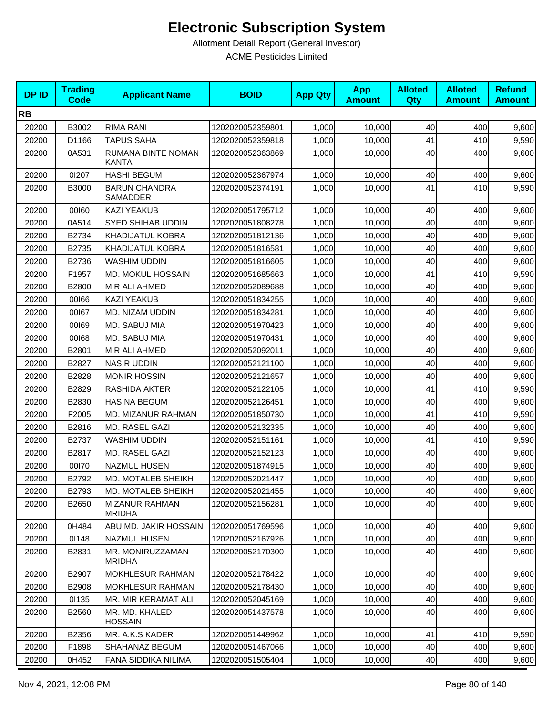| <b>DPID</b> | <b>Trading</b><br><b>Code</b> | <b>Applicant Name</b>                   | <b>BOID</b>      | <b>App Qty</b> | <b>App</b><br><b>Amount</b> | <b>Alloted</b><br>Qty | <b>Alloted</b><br><b>Amount</b> | <b>Refund</b><br><b>Amount</b> |
|-------------|-------------------------------|-----------------------------------------|------------------|----------------|-----------------------------|-----------------------|---------------------------------|--------------------------------|
| <b>RB</b>   |                               |                                         |                  |                |                             |                       |                                 |                                |
| 20200       | B3002                         | <b>RIMA RANI</b>                        | 1202020052359801 | 1,000          | 10,000                      | 40                    | 400                             | 9,600                          |
| 20200       | D1166                         | <b>TAPUS SAHA</b>                       | 1202020052359818 | 1,000          | 10,000                      | 41                    | 410                             | 9,590                          |
| 20200       | 0A531                         | RUMANA BINTE NOMAN<br>KANTA             | 1202020052363869 | 1,000          | 10,000                      | 40                    | 400                             | 9,600                          |
| 20200       | 01207                         | <b>HASHI BEGUM</b>                      | 1202020052367974 | 1,000          | 10,000                      | 40                    | 400                             | 9,600                          |
| 20200       | B3000                         | <b>BARUN CHANDRA</b><br><b>SAMADDER</b> | 1202020052374191 | 1,000          | 10,000                      | 41                    | 410                             | 9,590                          |
| 20200       | 00160                         | <b>KAZI YEAKUB</b>                      | 1202020051795712 | 1,000          | 10,000                      | 40                    | 400                             | 9,600                          |
| 20200       | 0A514                         | SYED SHIHAB UDDIN                       | 1202020051808278 | 1,000          | 10,000                      | 40                    | 400                             | 9,600                          |
| 20200       | B2734                         | KHADIJATUL KOBRA                        | 1202020051812136 | 1,000          | 10,000                      | 40                    | 400                             | 9,600                          |
| 20200       | B2735                         | KHADIJATUL KOBRA                        | 1202020051816581 | 1,000          | 10,000                      | 40                    | 400                             | 9,600                          |
| 20200       | B2736                         | <b>WASHIM UDDIN</b>                     | 1202020051816605 | 1,000          | 10,000                      | 40                    | 400                             | 9,600                          |
| 20200       | F1957                         | MD. MOKUL HOSSAIN                       | 1202020051685663 | 1,000          | 10,000                      | 41                    | 410                             | 9,590                          |
| 20200       | B2800                         | MIR ALI AHMED                           | 1202020052089688 | 1,000          | 10,000                      | 40                    | 400                             | 9,600                          |
| 20200       | 00166                         | <b>KAZI YEAKUB</b>                      | 1202020051834255 | 1,000          | 10,000                      | 40                    | 400                             | 9,600                          |
| 20200       | 00167                         | MD. NIZAM UDDIN                         | 1202020051834281 | 1,000          | 10,000                      | 40                    | 400                             | 9,600                          |
| 20200       | 00169                         | MD. SABUJ MIA                           | 1202020051970423 | 1,000          | 10,000                      | 40                    | 400                             | 9,600                          |
| 20200       | 00168                         | MD. SABUJ MIA                           | 1202020051970431 | 1,000          | 10,000                      | 40                    | 400                             | 9,600                          |
| 20200       | B2801                         | MIR ALI AHMED                           | 1202020052092011 | 1,000          | 10,000                      | 40                    | 400                             | 9,600                          |
| 20200       | B2827                         | <b>NASIR UDDIN</b>                      | 1202020052121100 | 1,000          | 10,000                      | 40                    | 400                             | 9,600                          |
| 20200       | B2828                         | <b>MONIR HOSSIN</b>                     | 1202020052121657 | 1,000          | 10,000                      | 40                    | 400                             | 9,600                          |
| 20200       | B2829                         | RASHIDA AKTER                           | 1202020052122105 | 1,000          | 10,000                      | 41                    | 410                             | 9,590                          |
| 20200       | B2830                         | <b>HASINA BEGUM</b>                     | 1202020052126451 | 1,000          | 10,000                      | 40                    | 400                             | 9,600                          |
| 20200       | F2005                         | MD. MIZANUR RAHMAN                      | 1202020051850730 | 1,000          | 10,000                      | 41                    | 410                             | 9,590                          |
| 20200       | B2816                         | MD. RASEL GAZI                          | 1202020052132335 | 1,000          | 10,000                      | 40                    | 400                             | 9,600                          |
| 20200       | B2737                         | WASHIM UDDIN                            | 1202020052151161 | 1,000          | 10,000                      | 41                    | 410                             | 9,590                          |
| 20200       | B2817                         | MD. RASEL GAZI                          | 1202020052152123 | 1,000          | 10,000                      | 40                    | 400                             | 9,600                          |
| 20200       | 00170                         | <b>NAZMUL HUSEN</b>                     | 1202020051874915 | 1,000          | 10,000                      | 40                    | 400                             | 9,600                          |
| 20200       | B2792                         | MD. MOTALEB SHEIKH                      | 1202020052021447 | 1,000          | 10,000                      | 40                    | 400                             | 9,600                          |
| 20200       | B2793                         | MD. MOTALEB SHEIKH                      | 1202020052021455 | 1,000          | 10,000                      | 40                    | 400                             | 9,600                          |
| 20200       | B2650                         | <b>MIZANUR RAHMAN</b><br><b>MRIDHA</b>  | 1202020052156281 | 1,000          | 10,000                      | 40                    | 400                             | 9,600                          |
| 20200       | 0H484                         | ABU MD. JAKIR HOSSAIN                   | 1202020051769596 | 1,000          | 10,000                      | 40                    | 400                             | 9,600                          |
| 20200       | 01148                         | <b>NAZMUL HUSEN</b>                     | 1202020052167926 | 1,000          | 10,000                      | 40                    | 400                             | 9,600                          |
| 20200       | B2831                         | MR. MONIRUZZAMAN<br><b>MRIDHA</b>       | 1202020052170300 | 1,000          | 10,000                      | 40                    | 400                             | 9,600                          |
| 20200       | B2907                         | MOKHLESUR RAHMAN                        | 1202020052178422 | 1,000          | 10,000                      | 40                    | 400                             | 9,600                          |
| 20200       | B2908                         | MOKHLESUR RAHMAN                        | 1202020052178430 | 1,000          | 10,000                      | 40                    | 400                             | 9,600                          |
| 20200       | 01135                         | MR. MIR KERAMAT ALI                     | 1202020052045169 | 1,000          | 10,000                      | 40                    | 400                             | 9,600                          |
| 20200       | B2560                         | MR. MD. KHALED<br><b>HOSSAIN</b>        | 1202020051437578 | 1,000          | 10,000                      | 40                    | 400                             | 9,600                          |
| 20200       | B2356                         | MR. A.K.S KADER                         | 1202020051449962 | 1,000          | 10,000                      | 41                    | 410                             | 9,590                          |
| 20200       | F1898                         | SHAHANAZ BEGUM                          | 1202020051467066 | 1,000          | 10,000                      | 40                    | 400                             | 9,600                          |
| 20200       | 0H452                         | FANA SIDDIKA NILIMA                     | 1202020051505404 | 1,000          | 10,000                      | 40                    | 400                             | 9,600                          |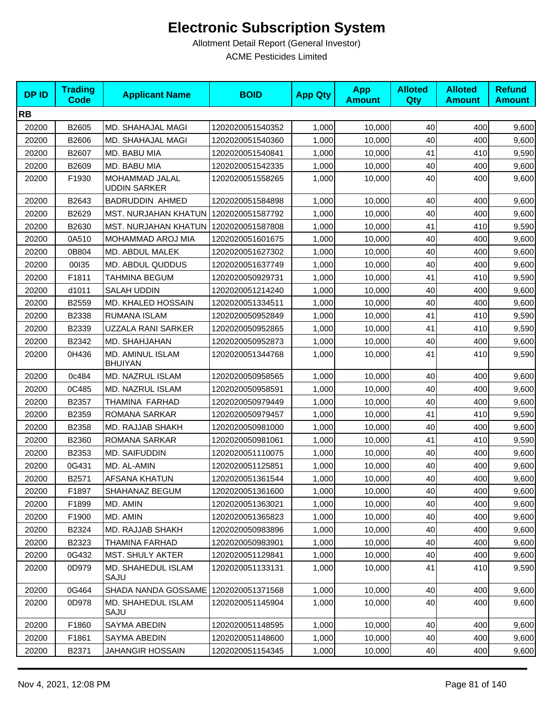| <b>DPID</b> | <b>Trading</b><br>Code | <b>Applicant Name</b>                   | <b>BOID</b>      | <b>App Qty</b> | <b>App</b><br><b>Amount</b> | <b>Alloted</b><br>Qty | <b>Alloted</b><br><b>Amount</b> | <b>Refund</b><br><b>Amount</b> |
|-------------|------------------------|-----------------------------------------|------------------|----------------|-----------------------------|-----------------------|---------------------------------|--------------------------------|
| <b>RB</b>   |                        |                                         |                  |                |                             |                       |                                 |                                |
| 20200       | B2605                  | MD. SHAHAJAL MAGI                       | 1202020051540352 | 1,000          | 10,000                      | 40                    | 400                             | 9,600                          |
| 20200       | B2606                  | MD. SHAHAJAL MAGI                       | 1202020051540360 | 1,000          | 10,000                      | 40                    | 400                             | 9,600                          |
| 20200       | B2607                  | MD. BABU MIA                            | 1202020051540841 | 1,000          | 10,000                      | 41                    | 410                             | 9,590                          |
| 20200       | B2609                  | MD. BABU MIA                            | 1202020051542335 | 1,000          | 10,000                      | 40                    | 400                             | 9,600                          |
| 20200       | F1930                  | MOHAMMAD JALAL<br><b>UDDIN SARKER</b>   | 1202020051558265 | 1,000          | 10,000                      | 40                    | 400                             | 9,600                          |
| 20200       | B2643                  | <b>BADRUDDIN AHMED</b>                  | 1202020051584898 | 1,000          | 10,000                      | 40                    | 400                             | 9,600                          |
| 20200       | B2629                  | MST. NURJAHAN KHATUN 1202020051587792   |                  | 1,000          | 10,000                      | 40                    | 400                             | 9,600                          |
| 20200       | B2630                  | MST. NURJAHAN KHATUN   1202020051587808 |                  | 1,000          | 10,000                      | 41                    | 410                             | 9,590                          |
| 20200       | 0A510                  | MOHAMMAD AROJ MIA                       | 1202020051601675 | 1,000          | 10,000                      | 40                    | 400                             | 9,600                          |
| 20200       | 0B804                  | MD. ABDUL MALEK                         | 1202020051627302 | 1,000          | 10,000                      | 40                    | 400                             | 9,600                          |
| 20200       | 00135                  | MD. ABDUL QUDDUS                        | 1202020051637749 | 1,000          | 10,000                      | 40                    | 400                             | 9,600                          |
| 20200       | F1811                  | TAHMINA BEGUM                           | 1202020050929731 | 1,000          | 10,000                      | 41                    | 410                             | 9,590                          |
| 20200       | d1011                  | <b>SALAH UDDIN</b>                      | 1202020051214240 | 1,000          | 10,000                      | 40                    | 400                             | 9,600                          |
| 20200       | B2559                  | MD. KHALED HOSSAIN                      | 1202020051334511 | 1,000          | 10,000                      | 40                    | 400                             | 9,600                          |
| 20200       | B2338                  | RUMANA ISLAM                            | 1202020050952849 | 1,000          | 10,000                      | 41                    | 410                             | 9,590                          |
| 20200       | B2339                  | UZZALA RANI SARKER                      | 1202020050952865 | 1,000          | 10,000                      | 41                    | 410                             | 9,590                          |
| 20200       | B2342                  | MD. SHAHJAHAN                           | 1202020050952873 | 1,000          | 10,000                      | 40                    | 400                             | 9,600                          |
| 20200       | 0H436                  | MD. AMINUL ISLAM<br><b>BHUIYAN</b>      | 1202020051344768 | 1,000          | 10,000                      | 41                    | 410                             | 9,590                          |
| 20200       | 0c484                  | MD. NAZRUL ISLAM                        | 1202020050958565 | 1,000          | 10,000                      | 40                    | 400                             | 9,600                          |
| 20200       | 0C485                  | MD. NAZRUL ISLAM                        | 1202020050958591 | 1,000          | 10,000                      | 40                    | 400                             | 9,600                          |
| 20200       | B2357                  | THAMINA FARHAD                          | 1202020050979449 | 1,000          | 10,000                      | 40                    | 400                             | 9,600                          |
| 20200       | B2359                  | ROMANA SARKAR                           | 1202020050979457 | 1,000          | 10,000                      | 41                    | 410                             | 9,590                          |
| 20200       | B2358                  | MD. RAJJAB SHAKH                        | 1202020050981000 | 1,000          | 10,000                      | 40                    | 400                             | 9,600                          |
| 20200       | B2360                  | ROMANA SARKAR                           | 1202020050981061 | 1,000          | 10,000                      | 41                    | 410                             | 9,590                          |
| 20200       | B2353                  | MD. SAIFUDDIN                           | 1202020051110075 | 1,000          | 10,000                      | 40                    | 400                             | 9,600                          |
| 20200       | 0G431                  | MD. AL-AMIN                             | 1202020051125851 | 1,000          | 10,000                      | 40                    | 400                             | 9,600                          |
| 20200       | B2571                  | AFSANA KHATUN                           | 1202020051361544 | 1,000          | 10,000                      | 40                    | 400                             | 9,600                          |
| 20200       | F1897                  | SHAHANAZ BEGUM                          | 1202020051361600 | 1,000          | 10,000                      | 40                    | 400                             | 9,600                          |
| 20200       | F1899                  | MD. AMIN                                | 1202020051363021 | 1,000          | 10,000                      | 40                    | 400                             | 9,600                          |
| 20200       | F1900                  | MD. AMIN                                | 1202020051365823 | 1,000          | 10,000                      | 40                    | 400                             | 9,600                          |
| 20200       | B2324                  | MD. RAJJAB SHAKH                        | 1202020050983896 | 1,000          | 10,000                      | 40                    | 400                             | 9,600                          |
| 20200       | B2323                  | THAMINA FARHAD                          | 1202020050983901 | 1.000          | 10,000                      | 40                    | 400                             | 9,600                          |
| 20200       | 0G432                  | MST. SHULY AKTER                        | 1202020051129841 | 1,000          | 10,000                      | 40                    | 400                             | 9,600                          |
| 20200       | 0D979                  | MD. SHAHEDUL ISLAM<br>SAJU              | 1202020051133131 | 1,000          | 10,000                      | 41                    | 410                             | 9,590                          |
| 20200       | 0G464                  | SHADA NANDA GOSSAME   1202020051371568  |                  | 1,000          | 10,000                      | 40                    | 400                             | 9,600                          |
| 20200       | 0D978                  | MD. SHAHEDUL ISLAM<br>SAJU              | 1202020051145904 | 1,000          | 10,000                      | 40                    | 400                             | 9,600                          |
| 20200       | F1860                  | SAYMA ABEDIN                            | 1202020051148595 | 1,000          | 10,000                      | 40                    | 400                             | 9,600                          |
| 20200       | F1861                  | SAYMA ABEDIN                            | 1202020051148600 | 1,000          | 10,000                      | 40                    | 400                             | 9,600                          |
| 20200       | B2371                  | <b>JAHANGIR HOSSAIN</b>                 | 1202020051154345 | 1,000          | 10,000                      | 40                    | 400                             | 9,600                          |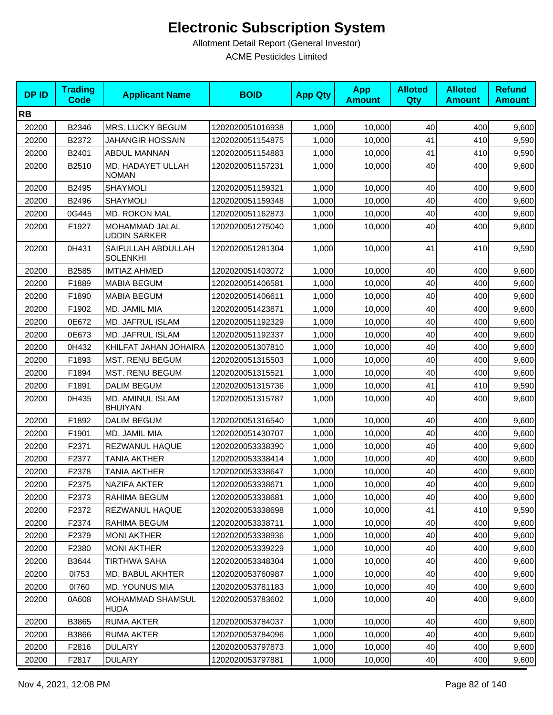| <b>DPID</b> | <b>Trading</b><br><b>Code</b> | <b>Applicant Name</b>                 | <b>BOID</b>      | <b>App Qty</b> | <b>App</b><br><b>Amount</b> | <b>Alloted</b><br>Qty | <b>Alloted</b><br><b>Amount</b> | <b>Refund</b><br><b>Amount</b> |
|-------------|-------------------------------|---------------------------------------|------------------|----------------|-----------------------------|-----------------------|---------------------------------|--------------------------------|
| <b>RB</b>   |                               |                                       |                  |                |                             |                       |                                 |                                |
| 20200       | B2346                         | MRS. LUCKY BEGUM                      | 1202020051016938 | 1,000          | 10,000                      | 40                    | 400                             | 9,600                          |
| 20200       | B2372                         | <b>JAHANGIR HOSSAIN</b>               | 1202020051154875 | 1,000          | 10,000                      | 41                    | 410                             | 9,590                          |
| 20200       | B2401                         | ABDUL MANNAN                          | 1202020051154883 | 1,000          | 10,000                      | 41                    | 410                             | 9,590                          |
| 20200       | B2510                         | MD. HADAYET ULLAH<br><b>NOMAN</b>     | 1202020051157231 | 1,000          | 10,000                      | 40                    | 400                             | 9,600                          |
| 20200       | B2495                         | <b>SHAYMOLI</b>                       | 1202020051159321 | 1,000          | 10,000                      | 40                    | 400                             | 9,600                          |
| 20200       | B2496                         | <b>SHAYMOLI</b>                       | 1202020051159348 | 1,000          | 10,000                      | 40                    | 400                             | 9,600                          |
| 20200       | 0G445                         | MD. ROKON MAL                         | 1202020051162873 | 1,000          | 10.000                      | 40                    | 400                             | 9,600                          |
| 20200       | F1927                         | MOHAMMAD JALAL<br><b>UDDIN SARKER</b> | 1202020051275040 | 1,000          | 10,000                      | 40                    | 400                             | 9,600                          |
| 20200       | 0H431                         | SAIFULLAH ABDULLAH<br><b>SOLENKHI</b> | 1202020051281304 | 1,000          | 10,000                      | 41                    | 410                             | 9,590                          |
| 20200       | B2585                         | <b>IMTIAZ AHMED</b>                   | 1202020051403072 | 1,000          | 10,000                      | 40                    | 400                             | 9,600                          |
| 20200       | F1889                         | <b>MABIA BEGUM</b>                    | 1202020051406581 | 1,000          | 10,000                      | 40                    | 400                             | 9,600                          |
| 20200       | F1890                         | <b>MABIA BEGUM</b>                    | 1202020051406611 | 1,000          | 10,000                      | 40                    | 400                             | 9,600                          |
| 20200       | F1902                         | MD. JAMIL MIA                         | 1202020051423871 | 1,000          | 10,000                      | 40                    | 400                             | 9,600                          |
| 20200       | 0E672                         | <b>MD. JAFRUL ISLAM</b>               | 1202020051192329 | 1,000          | 10,000                      | 40                    | 400                             | 9,600                          |
| 20200       | 0E673                         | MD. JAFRUL ISLAM                      | 1202020051192337 | 1,000          | 10,000                      | 40                    | 400                             | 9,600                          |
| 20200       | 0H432                         | KHILFAT JAHAN JOHAIRA                 | 1202020051307810 | 1,000          | 10,000                      | 40                    | 400                             | 9,600                          |
| 20200       | F1893                         | <b>MST. RENU BEGUM</b>                | 1202020051315503 | 1,000          | 10,000                      | 40                    | 400                             | 9,600                          |
| 20200       | F1894                         | <b>MST. RENU BEGUM</b>                | 1202020051315521 | 1,000          | 10,000                      | 40                    | 400                             | 9,600                          |
| 20200       | F1891                         | <b>DALIM BEGUM</b>                    | 1202020051315736 | 1,000          | 10,000                      | 41                    | 410                             | 9,590                          |
| 20200       | 0H435                         | MD. AMINUL ISLAM<br><b>BHUIYAN</b>    | 1202020051315787 | 1,000          | 10,000                      | 40                    | 400                             | 9,600                          |
| 20200       | F1892                         | <b>DALIM BEGUM</b>                    | 1202020051316540 | 1,000          | 10,000                      | 40                    | 400                             | 9,600                          |
| 20200       | F1901                         | MD. JAMIL MIA                         | 1202020051430707 | 1,000          | 10,000                      | 40                    | 400                             | 9,600                          |
| 20200       | F2371                         | REZWANUL HAQUE                        | 1202020053338390 | 1,000          | 10,000                      | 40                    | 400                             | 9,600                          |
| 20200       | F2377                         | <b>TANIA AKTHER</b>                   | 1202020053338414 | 1,000          | 10,000                      | 40                    | 400                             | 9,600                          |
| 20200       | F2378                         | <b>TANIA AKTHER</b>                   | 1202020053338647 | 1,000          | 10,000                      | 40                    | 400                             | 9,600                          |
| 20200       | F2375                         | NAZIFA AKTER                          | 1202020053338671 | 1,000          | 10,000                      | 40                    | 400                             | 9,600                          |
| 20200       | F2373                         | RAHIMA BEGUM                          | 1202020053338681 | 1,000          | 10,000                      | 40                    | 400                             | 9,600                          |
| 20200       | F <sub>2372</sub>             | REZWANUL HAQUE                        | 1202020053338698 | 1,000          | 10,000                      | 41                    | 410                             | 9,590                          |
| 20200       | F <sub>2374</sub>             | RAHIMA BEGUM                          | 1202020053338711 | 1,000          | 10,000                      | 40                    | 400                             | 9,600                          |
| 20200       | F2379                         | <b>MONI AKTHER</b>                    | 1202020053338936 | 1,000          | 10,000                      | 40                    | 400                             | 9,600                          |
| 20200       | F2380                         | <b>MONI AKTHER</b>                    | 1202020053339229 | 1,000          | 10,000                      | 40                    | 400                             | 9,600                          |
| 20200       | B3644                         | <b>TIRTHWA SAHA</b>                   | 1202020053348304 | 1,000          | 10,000                      | 40                    | 400                             | 9,600                          |
| 20200       | 01753                         | MD. BABUL AKHTER                      | 1202020053760987 | 1,000          | 10,000                      | 40                    | 400                             | 9,600                          |
| 20200       | 01760                         | MD. YOUNUS MIA                        | 1202020053781183 | 1,000          | 10,000                      | 40                    | 400                             | 9,600                          |
| 20200       | 0A608                         | <b>MOHAMMAD SHAMSUL</b><br>HUDA       | 1202020053783602 | 1,000          | 10,000                      | 40                    | 400                             | 9,600                          |
| 20200       | B3865                         | RUMA AKTER                            | 1202020053784037 | 1,000          | 10,000                      | 40                    | 400                             | 9,600                          |
| 20200       | B3866                         | RUMA AKTER                            | 1202020053784096 | 1,000          | 10,000                      | 40                    | 400                             | 9,600                          |
| 20200       | F2816                         | <b>DULARY</b>                         | 1202020053797873 | 1,000          | 10,000                      | 40                    | 400                             | 9,600                          |
| 20200       | F2817                         | <b>DULARY</b>                         | 1202020053797881 | 1,000          | 10,000                      | 40                    | 400                             | 9,600                          |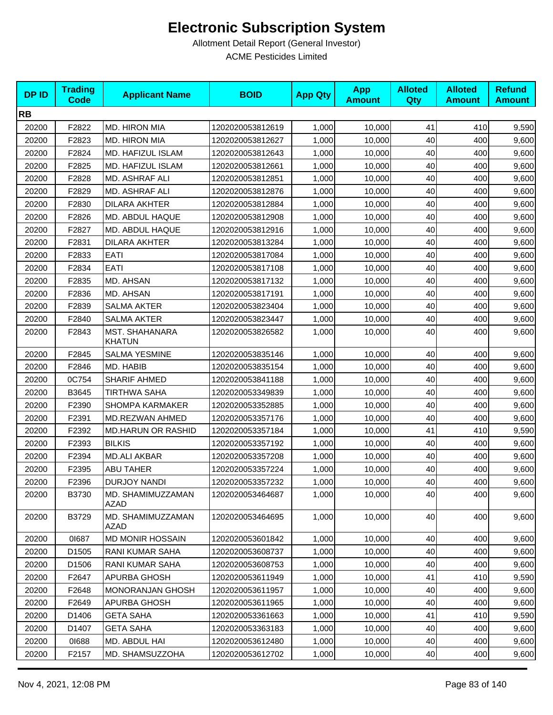| <b>DPID</b> | <b>Trading</b><br><b>Code</b> | <b>Applicant Name</b>           | <b>BOID</b>      | <b>App Qty</b> | <b>App</b><br><b>Amount</b> | <b>Alloted</b><br>Qty | <b>Alloted</b><br><b>Amount</b> | <b>Refund</b><br><b>Amount</b> |
|-------------|-------------------------------|---------------------------------|------------------|----------------|-----------------------------|-----------------------|---------------------------------|--------------------------------|
| <b>RB</b>   |                               |                                 |                  |                |                             |                       |                                 |                                |
| 20200       | F2822                         | MD. HIRON MIA                   | 1202020053812619 | 1,000          | 10,000                      | 41                    | 410                             | 9,590                          |
| 20200       | F2823                         | <b>MD. HIRON MIA</b>            | 1202020053812627 | 1,000          | 10,000                      | 40                    | 400                             | 9,600                          |
| 20200       | F2824                         | MD. HAFIZUL ISLAM               | 1202020053812643 | 1,000          | 10,000                      | 40                    | 400                             | 9,600                          |
| 20200       | F2825                         | MD. HAFIZUL ISLAM               | 1202020053812661 | 1,000          | 10,000                      | 40                    | 400                             | 9,600                          |
| 20200       | F2828                         | MD. ASHRAF ALI                  | 1202020053812851 | 1,000          | 10,000                      | 40                    | 400                             | 9,600                          |
| 20200       | F2829                         | MD. ASHRAF ALI                  | 1202020053812876 | 1,000          | 10,000                      | 40                    | 400                             | 9,600                          |
| 20200       | F2830                         | <b>DILARA AKHTER</b>            | 1202020053812884 | 1,000          | 10,000                      | 40                    | 400                             | 9,600                          |
| 20200       | F2826                         | MD. ABDUL HAQUE                 | 1202020053812908 | 1,000          | 10,000                      | 40                    | 400                             | 9,600                          |
| 20200       | F2827                         | MD. ABDUL HAQUE                 | 1202020053812916 | 1,000          | 10,000                      | 40                    | 400                             | 9,600                          |
| 20200       | F2831                         | <b>DILARA AKHTER</b>            | 1202020053813284 | 1,000          | 10,000                      | 40                    | 400                             | 9,600                          |
| 20200       | F2833                         | EATI                            | 1202020053817084 | 1,000          | 10,000                      | 40                    | 400                             | 9,600                          |
| 20200       | F2834                         | <b>EATI</b>                     | 1202020053817108 | 1,000          | 10,000                      | 40                    | 400                             | 9,600                          |
| 20200       | F2835                         | MD. AHSAN                       | 1202020053817132 | 1,000          | 10,000                      | 40                    | 400                             | 9,600                          |
| 20200       | F2836                         | MD. AHSAN                       | 1202020053817191 | 1,000          | 10,000                      | 40                    | 400                             | 9,600                          |
| 20200       | F2839                         | <b>SALMA AKTER</b>              | 1202020053823404 | 1,000          | 10,000                      | 40                    | 400                             | 9,600                          |
| 20200       | F2840                         | <b>SALMA AKTER</b>              | 1202020053823447 | 1,000          | 10,000                      | 40                    | 400                             | 9,600                          |
| 20200       | F2843                         | MST. SHAHANARA<br><b>KHATUN</b> | 1202020053826582 | 1,000          | 10,000                      | 40                    | 400                             | 9,600                          |
| 20200       | F2845                         | <b>SALMA YESMINE</b>            | 1202020053835146 | 1,000          | 10,000                      | 40                    | 400                             | 9,600                          |
| 20200       | F2846                         | MD. HABIB                       | 1202020053835154 | 1,000          | 10,000                      | 40                    | 400                             | 9,600                          |
| 20200       | 0C754                         | <b>SHARIF AHMED</b>             | 1202020053841188 | 1,000          | 10,000                      | 40                    | 400                             | 9,600                          |
| 20200       | B3645                         | <b>TIRTHWA SAHA</b>             | 1202020053349839 | 1,000          | 10,000                      | 40                    | 400                             | 9,600                          |
| 20200       | F2390                         | <b>SHOMPA KARMAKER</b>          | 1202020053352885 | 1,000          | 10,000                      | 40                    | 400                             | 9,600                          |
| 20200       | F2391                         | MD.REZWAN AHMED                 | 1202020053357176 | 1,000          | 10,000                      | 40                    | 400                             | 9,600                          |
| 20200       | F2392                         | <b>MD.HARUN OR RASHID</b>       | 1202020053357184 | 1,000          | 10,000                      | 41                    | 410                             | 9,590                          |
| 20200       | F2393                         | <b>BILKIS</b>                   | 1202020053357192 | 1,000          | 10,000                      | 40                    | 400                             | 9,600                          |
| 20200       | F2394                         | <b>MD.ALI AKBAR</b>             | 1202020053357208 | 1,000          | 10,000                      | 40                    | 400                             | 9,600                          |
| 20200       | F2395                         | ABU TAHER                       | 1202020053357224 | 1,000          | 10,000                      | 40                    | 400                             | 9,600                          |
| 20200       | F2396                         | <b>DURJOY NANDI</b>             | 1202020053357232 | 1,000          | 10,000                      | 40                    | 400                             | 9,600                          |
| 20200       | B3730                         | MD. SHAMIMUZZAMAN<br>AZAD       | 1202020053464687 | 1,000          | 10,000                      | 40                    | 400                             | 9,600                          |
| 20200       | B3729                         | MD. SHAMIMUZZAMAN<br>AZAD       | 1202020053464695 | 1,000          | 10,000                      | 40                    | 400                             | 9,600                          |
| 20200       | 01687                         | <b>MD MONIR HOSSAIN</b>         | 1202020053601842 | 1,000          | 10.000                      | 40                    | 400                             | 9,600                          |
| 20200       | D1505                         | RANI KUMAR SAHA                 | 1202020053608737 | 1,000          | 10,000                      | 40                    | 400                             | 9,600                          |
| 20200       | D1506                         | RANI KUMAR SAHA                 | 1202020053608753 | 1,000          | 10,000                      | 40                    | 400                             | 9,600                          |
| 20200       | F2647                         | APURBA GHOSH                    | 1202020053611949 | 1,000          | 10,000                      | 41                    | 410                             | 9,590                          |
| 20200       | F2648                         | <b>MONORANJAN GHOSH</b>         | 1202020053611957 | 1,000          | 10,000                      | 40                    | 400                             | 9,600                          |
| 20200       | F2649                         | APURBA GHOSH                    | 1202020053611965 | 1,000          | 10,000                      | 40                    | 400                             | 9,600                          |
| 20200       | D1406                         | <b>GETA SAHA</b>                | 1202020053361663 | 1,000          | 10,000                      | 41                    | 410                             | 9,590                          |
| 20200       | D1407                         | <b>GETA SAHA</b>                | 1202020053363183 | 1,000          | 10,000                      | 40                    | 400                             | 9,600                          |
| 20200       | 01688                         | MD. ABDUL HAI                   | 1202020053612480 | 1,000          | 10,000                      | 40                    | 400                             | 9,600                          |
| 20200       | F2157                         | MD. SHAMSUZZOHA                 | 1202020053612702 | 1,000          | 10,000                      | 40                    | 400                             | 9,600                          |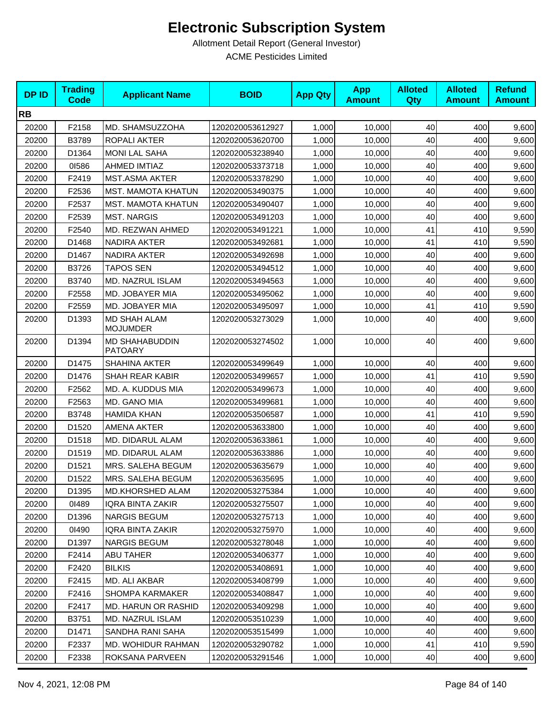| <b>DPID</b> | <b>Trading</b><br><b>Code</b> | <b>Applicant Name</b>                   | <b>BOID</b>      | <b>App Qty</b> | <b>App</b><br><b>Amount</b> | <b>Alloted</b><br><b>Qty</b> | <b>Alloted</b><br><b>Amount</b> | <b>Refund</b><br><b>Amount</b> |
|-------------|-------------------------------|-----------------------------------------|------------------|----------------|-----------------------------|------------------------------|---------------------------------|--------------------------------|
| <b>RB</b>   |                               |                                         |                  |                |                             |                              |                                 |                                |
| 20200       | F2158                         | MD. SHAMSUZZOHA                         | 1202020053612927 | 1,000          | 10,000                      | 40                           | 400                             | 9,600                          |
| 20200       | B3789                         | ROPALI AKTER                            | 1202020053620700 | 1,000          | 10,000                      | 40                           | 400                             | 9,600                          |
| 20200       | D1364                         | <b>MONI LAL SAHA</b>                    | 1202020053238940 | 1,000          | 10,000                      | 40                           | 400                             | 9,600                          |
| 20200       | 01586                         | <b>AHMED IMTIAZ</b>                     | 1202020053373718 | 1,000          | 10,000                      | 40                           | 400                             | 9,600                          |
| 20200       | F2419                         | <b>MST.ASMA AKTER</b>                   | 1202020053378290 | 1,000          | 10,000                      | 40                           | 400                             | 9,600                          |
| 20200       | F2536                         | <b>MST. MAMOTA KHATUN</b>               | 1202020053490375 | 1,000          | 10,000                      | 40                           | 400                             | 9,600                          |
| 20200       | F2537                         | <b>MST. MAMOTA KHATUN</b>               | 1202020053490407 | 1,000          | 10,000                      | 40                           | 400                             | 9,600                          |
| 20200       | F2539                         | <b>MST. NARGIS</b>                      | 1202020053491203 | 1,000          | 10,000                      | 40                           | 400                             | 9,600                          |
| 20200       | F2540                         | MD. REZWAN AHMED                        | 1202020053491221 | 1,000          | 10,000                      | 41                           | 410                             | 9,590                          |
| 20200       | D1468                         | <b>NADIRA AKTER</b>                     | 1202020053492681 | 1,000          | 10,000                      | 41                           | 410                             | 9,590                          |
| 20200       | D1467                         | NADIRA AKTER                            | 1202020053492698 | 1,000          | 10,000                      | 40                           | 400                             | 9,600                          |
| 20200       | B3726                         | <b>TAPOS SEN</b>                        | 1202020053494512 | 1,000          | 10,000                      | 40                           | 400                             | 9,600                          |
| 20200       | B3740                         | MD. NAZRUL ISLAM                        | 1202020053494563 | 1,000          | 10,000                      | 40                           | 400                             | 9,600                          |
| 20200       | F2558                         | MD. JOBAYER MIA                         | 1202020053495062 | 1,000          | 10,000                      | 40                           | 400                             | 9,600                          |
| 20200       | F2559                         | MD. JOBAYER MIA                         | 1202020053495097 | 1,000          | 10,000                      | 41                           | 410                             | 9,590                          |
| 20200       | D1393                         | <b>MD SHAH ALAM</b><br><b>MOJUMDER</b>  | 1202020053273029 | 1,000          | 10,000                      | 40                           | 400                             | 9,600                          |
| 20200       | D1394                         | <b>MD SHAHABUDDIN</b><br><b>PATOARY</b> | 1202020053274502 | 1,000          | 10,000                      | 40                           | 400                             | 9,600                          |
| 20200       | D1475                         | <b>SHAHINA AKTER</b>                    | 1202020053499649 | 1,000          | 10,000                      | 40                           | 400                             | 9,600                          |
| 20200       | D1476                         | SHAH REAR KABIR                         | 1202020053499657 | 1,000          | 10,000                      | 41                           | 410                             | 9,590                          |
| 20200       | F2562                         | MD. A. KUDDUS MIA                       | 1202020053499673 | 1,000          | 10,000                      | 40                           | 400                             | 9,600                          |
| 20200       | F2563                         | MD. GANO MIA                            | 1202020053499681 | 1,000          | 10,000                      | 40                           | 400                             | 9,600                          |
| 20200       | B3748                         | <b>HAMIDA KHAN</b>                      | 1202020053506587 | 1,000          | 10,000                      | 41                           | 410                             | 9,590                          |
| 20200       | D1520                         | AMENA AKTER                             | 1202020053633800 | 1,000          | 10,000                      | 40                           | 400                             | 9,600                          |
| 20200       | D1518                         | MD. DIDARUL ALAM                        | 1202020053633861 | 1,000          | 10,000                      | 40                           | 400                             | 9,600                          |
| 20200       | D1519                         | MD. DIDARUL ALAM                        | 1202020053633886 | 1,000          | 10,000                      | 40                           | 400                             | 9,600                          |
| 20200       | D1521                         | MRS. SALEHA BEGUM                       | 1202020053635679 | 1,000          | 10,000                      | 40                           | 400                             | 9,600                          |
| 20200       | D1522                         | MRS. SALEHA BEGUM                       | 1202020053635695 | 1,000          | 10,000                      | 40                           | 400                             | 9,600                          |
| 20200       | D1395                         | MD.KHORSHED ALAM                        | 1202020053275384 | 1,000          | 10,000                      | 40                           | 400                             | 9,600                          |
| 20200       | 01489                         | IQRA BINTA ZAKIR                        | 1202020053275507 | 1,000          | 10,000                      | 40                           | 400                             | 9,600                          |
| 20200       | D1396                         | NARGIS BEGUM                            | 1202020053275713 | 1,000          | 10,000                      | 40                           | 400                             | 9,600                          |
| 20200       | 01490                         | <b>IQRA BINTA ZAKIR</b>                 | 1202020053275970 | 1,000          | 10,000                      | 40                           | 400                             | 9,600                          |
| 20200       | D1397                         | <b>NARGIS BEGUM</b>                     | 1202020053278048 | 1,000          | 10,000                      | 40                           | 400                             | 9,600                          |
| 20200       | F2414                         | <b>ABU TAHER</b>                        | 1202020053406377 | 1,000          | 10,000                      | 40                           | 400                             | 9,600                          |
| 20200       | F2420                         | <b>BILKIS</b>                           | 1202020053408691 | 1,000          | 10,000                      | 40                           | 400                             | 9,600                          |
| 20200       | F2415                         | MD. ALI AKBAR                           | 1202020053408799 | 1,000          | 10,000                      | 40                           | 400                             | 9,600                          |
| 20200       | F2416                         | <b>SHOMPA KARMAKER</b>                  | 1202020053408847 | 1,000          | 10,000                      | 40                           | 400                             | 9,600                          |
| 20200       | F <sub>2417</sub>             | MD. HARUN OR RASHID                     | 1202020053409298 | 1,000          | 10,000                      | 40                           | 400                             | 9,600                          |
| 20200       | B3751                         | MD. NAZRUL ISLAM                        | 1202020053510239 | 1,000          | 10,000                      | 40                           | 400                             | 9,600                          |
| 20200       | D1471                         | SANDHA RANI SAHA                        | 1202020053515499 | 1,000          | 10,000                      | 40                           | 400                             | 9,600                          |
| 20200       | F2337                         | MD. WOHIDUR RAHMAN                      | 1202020053290782 | 1,000          | 10,000                      | 41                           | 410                             | 9,590                          |
| 20200       | F2338                         | ROKSANA PARVEEN                         | 1202020053291546 | 1,000          | 10,000                      | 40                           | 400                             | 9,600                          |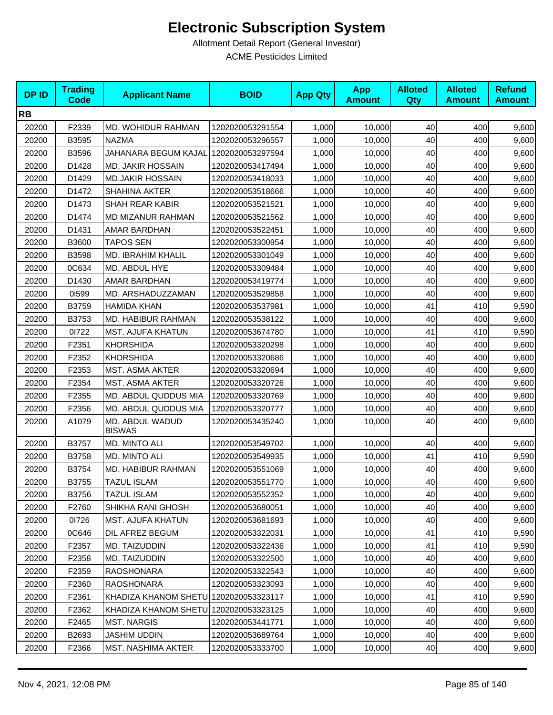| <b>DPID</b> | <b>Trading</b><br><b>Code</b> | <b>Applicant Name</b>            | <b>BOID</b>      | <b>App Qty</b> | <b>App</b><br><b>Amount</b> | <b>Alloted</b><br>Qty | <b>Alloted</b><br><b>Amount</b> | <b>Refund</b><br><b>Amount</b> |
|-------------|-------------------------------|----------------------------------|------------------|----------------|-----------------------------|-----------------------|---------------------------------|--------------------------------|
| <b>RB</b>   |                               |                                  |                  |                |                             |                       |                                 |                                |
| 20200       | F2339                         | MD. WOHIDUR RAHMAN               | 1202020053291554 | 1,000          | 10,000                      | 40                    | 400                             | 9,600                          |
| 20200       | B3595                         | <b>NAZMA</b>                     | 1202020053296557 | 1,000          | 10,000                      | 40                    | 400                             | 9,600                          |
| 20200       | B3596                         | JAHANARA BEGUM KAJAL             | 1202020053297594 | 1,000          | 10,000                      | 40                    | 400                             | 9,600                          |
| 20200       | D1428                         | <b>MD. JAKIR HOSSAIN</b>         | 1202020053417494 | 1,000          | 10,000                      | 40                    | 400                             | 9,600                          |
| 20200       | D1429                         | <b>MD.JAKIR HOSSAIN</b>          | 1202020053418033 | 1,000          | 10,000                      | 40                    | 400                             | 9,600                          |
| 20200       | D1472                         | SHAHINA AKTER                    | 1202020053518666 | 1,000          | 10,000                      | 40                    | 400                             | 9,600                          |
| 20200       | D1473                         | SHAH REAR KABIR                  | 1202020053521521 | 1,000          | 10,000                      | 40                    | 400                             | 9,600                          |
| 20200       | D1474                         | <b>MD MIZANUR RAHMAN</b>         | 1202020053521562 | 1,000          | 10,000                      | 40                    | 400                             | 9,600                          |
| 20200       | D1431                         | AMAR BARDHAN                     | 1202020053522451 | 1,000          | 10,000                      | 40                    | 400                             | 9,600                          |
| 20200       | B3600                         | <b>TAPOS SEN</b>                 | 1202020053300954 | 1,000          | 10,000                      | 40                    | 400                             | 9,600                          |
| 20200       | B3598                         | <b>MD. IBRAHIM KHALIL</b>        | 1202020053301049 | 1,000          | 10,000                      | 40                    | 400                             | 9,600                          |
| 20200       | 0C634                         | MD. ABDUL HYE                    | 1202020053309484 | 1,000          | 10,000                      | 40                    | 400                             | 9,600                          |
| 20200       | D1430                         | AMAR BARDHAN                     | 1202020053419774 | 1,000          | 10,000                      | 40                    | 400                             | 9,600                          |
| 20200       | 0i599                         | MD. ARSHADUZZAMAN                | 1202020053529858 | 1,000          | 10,000                      | 40                    | 400                             | 9,600                          |
| 20200       | B3759                         | <b>HAMIDA KHAN</b>               | 1202020053537981 | 1,000          | 10,000                      | 41                    | 410                             | 9,590                          |
| 20200       | B3753                         | MD. HABIBUR RAHMAN               | 1202020053538122 | 1,000          | 10,000                      | 40                    | 400                             | 9,600                          |
| 20200       | 01722                         | <b>MST. AJUFA KHATUN</b>         | 1202020053674780 | 1,000          | 10,000                      | 41                    | 410                             | 9,590                          |
| 20200       | F2351                         | <b>KHORSHIDA</b>                 | 1202020053320298 | 1,000          | 10,000                      | 40                    | 400                             | 9,600                          |
| 20200       | F2352                         | <b>KHORSHIDA</b>                 | 1202020053320686 | 1,000          | 10,000                      | 40                    | 400                             | 9,600                          |
| 20200       | F2353                         | MST. ASMA AKTER                  | 1202020053320694 | 1,000          | 10,000                      | 40                    | 400                             | 9,600                          |
| 20200       | F2354                         | <b>MST. ASMA AKTER</b>           | 1202020053320726 | 1,000          | 10,000                      | 40                    | 400                             | 9,600                          |
| 20200       | F2355                         | MD. ABDUL QUDDUS MIA             | 1202020053320769 | 1,000          | 10,000                      | 40                    | 400                             | 9,600                          |
| 20200       | F2356                         | MD. ABDUL QUDDUS MIA             | 1202020053320777 | 1,000          | 10,000                      | 40                    | 400                             | 9,600                          |
| 20200       | A1079                         | MD. ABDUL WADUD<br><b>BISWAS</b> | 1202020053435240 | 1,000          | 10,000                      | 40                    | 400                             | 9,600                          |
| 20200       | B3757                         | MD. MINTO ALI                    | 1202020053549702 | 1,000          | 10,000                      | 40                    | 400                             | 9,600                          |
| 20200       | B3758                         | MD. MINTO ALI                    | 1202020053549935 | 1,000          | 10,000                      | 41                    | 410                             | 9,590                          |
| 20200       | B3754                         | MD. HABIBUR RAHMAN               | 1202020053551069 | 1,000          | 10,000                      | 40                    | 400                             | 9,600                          |
| 20200       | B3755                         | <b>TAZUL ISLAM</b>               | 1202020053551770 | 1,000          | 10,000                      | 40                    | 400                             | 9,600                          |
| 20200       | B3756                         | <b>TAZUL ISLAM</b>               | 1202020053552352 | 1,000          | 10,000                      | 40                    | 400                             | 9,600                          |
| 20200       | F2760                         | SHIKHA RANI GHOSH                | 1202020053680051 | 1,000          | 10,000                      | 40                    | 400                             | 9,600                          |
| 20200       | 01726                         | <b>MST. AJUFA KHATUN</b>         | 1202020053681693 | 1,000          | 10,000                      | 40                    | 400                             | 9,600                          |
| 20200       | 0C646                         | DIL AFREZ BEGUM                  | 1202020053322031 | 1,000          | 10,000                      | 41                    | 410                             | 9,590                          |
| 20200       | F2357                         | MD. TAIZUDDIN                    | 1202020053322436 | 1,000          | 10,000                      | 41                    | 410                             | 9,590                          |
| 20200       | F2358                         | MD. TAIZUDDIN                    | 1202020053322500 | 1,000          | 10,000                      | 40                    | 400                             | 9,600                          |
| 20200       | F2359                         | <b>RAOSHONARA</b>                | 1202020053322543 | 1,000          | 10,000                      | 40                    | 400                             | 9,600                          |
| 20200       | F2360                         | <b>RAOSHONARA</b>                | 1202020053323093 | 1,000          | 10,000                      | 40                    | 400                             | 9,600                          |
| 20200       | F2361                         | KHADIZA KHANOM SHETU             | 1202020053323117 | 1,000          | 10,000                      | 41                    | 410                             | 9,590                          |
| 20200       | F2362                         | KHADIZA KHANOM SHETU             | 1202020053323125 | 1,000          | 10,000                      | 40                    | 400                             | 9,600                          |
| 20200       | F <sub>2465</sub>             | <b>MST. NARGIS</b>               | 1202020053441771 | 1,000          | 10,000                      | 40                    | 400                             | 9,600                          |
| 20200       | B2693                         | <b>JASHIM UDDIN</b>              | 1202020053689764 | 1,000          | 10,000                      | 40                    | 400                             | 9,600                          |
| 20200       | F2366                         | MST. NASHIMA AKTER               | 1202020053333700 | 1,000          | 10,000                      | 40                    | 400                             | 9,600                          |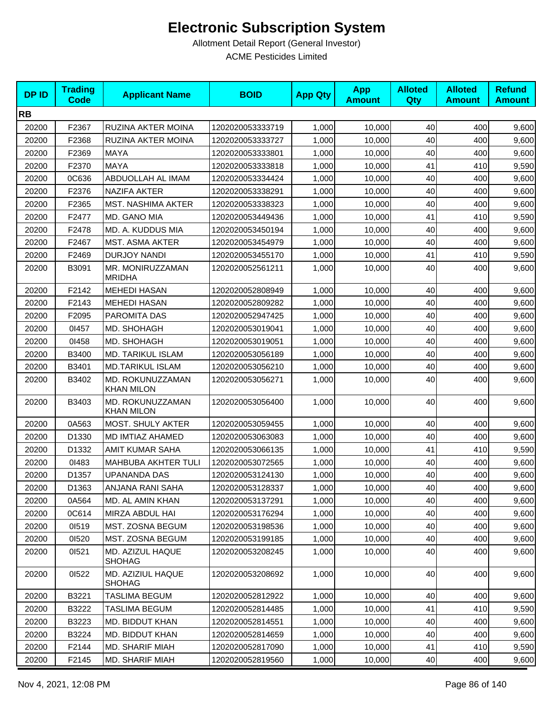| <b>DPID</b> | <b>Trading</b><br><b>Code</b> | <b>Applicant Name</b>                 | <b>BOID</b>      | <b>App Qty</b> | <b>App</b><br><b>Amount</b> | <b>Alloted</b><br>Qty | <b>Alloted</b><br><b>Amount</b> | <b>Refund</b><br><b>Amount</b> |
|-------------|-------------------------------|---------------------------------------|------------------|----------------|-----------------------------|-----------------------|---------------------------------|--------------------------------|
| <b>RB</b>   |                               |                                       |                  |                |                             |                       |                                 |                                |
| 20200       | F2367                         | RUZINA AKTER MOINA                    | 1202020053333719 | 1,000          | 10,000                      | 40                    | 400                             | 9,600                          |
| 20200       | F2368                         | RUZINA AKTER MOINA                    | 1202020053333727 | 1,000          | 10,000                      | 40                    | 400                             | 9,600                          |
| 20200       | F2369                         | <b>MAYA</b>                           | 1202020053333801 | 1,000          | 10,000                      | 40                    | 400                             | 9,600                          |
| 20200       | F2370                         | <b>MAYA</b>                           | 1202020053333818 | 1,000          | 10,000                      | 41                    | 410                             | 9,590                          |
| 20200       | 0C636                         | ABDUOLLAH AL IMAM                     | 1202020053334424 | 1,000          | 10,000                      | 40                    | 400                             | 9,600                          |
| 20200       | F2376                         | <b>NAZIFA AKTER</b>                   | 1202020053338291 | 1,000          | 10.000                      | 40                    | 400                             | 9,600                          |
| 20200       | F2365                         | <b>MST. NASHIMA AKTER</b>             | 1202020053338323 | 1,000          | 10,000                      | 40                    | 400                             | 9,600                          |
| 20200       | F2477                         | MD. GANO MIA                          | 1202020053449436 | 1,000          | 10,000                      | 41                    | 410                             | 9,590                          |
| 20200       | F2478                         | MD. A. KUDDUS MIA                     | 1202020053450194 | 1,000          | 10,000                      | 40                    | 400                             | 9,600                          |
| 20200       | F2467                         | MST. ASMA AKTER                       | 1202020053454979 | 1,000          | 10,000                      | 40                    | 400                             | 9,600                          |
| 20200       | F2469                         | <b>DURJOY NANDI</b>                   | 1202020053455170 | 1,000          | 10,000                      | 41                    | 410                             | 9,590                          |
| 20200       | B3091                         | MR. MONIRUZZAMAN<br><b>MRIDHA</b>     | 1202020052561211 | 1,000          | 10,000                      | 40                    | 400                             | 9,600                          |
| 20200       | F2142                         | <b>MEHEDI HASAN</b>                   | 1202020052808949 | 1,000          | 10,000                      | 40                    | 400                             | 9,600                          |
| 20200       | F2143                         | <b>MEHEDI HASAN</b>                   | 1202020052809282 | 1,000          | 10,000                      | 40                    | 400                             | 9,600                          |
| 20200       | F2095                         | PAROMITA DAS                          | 1202020052947425 | 1,000          | 10,000                      | 40                    | 400                             | 9,600                          |
| 20200       | 01457                         | MD. SHOHAGH                           | 1202020053019041 | 1,000          | 10,000                      | 40                    | 400                             | 9,600                          |
| 20200       | 01458                         | MD. SHOHAGH                           | 1202020053019051 | 1,000          | 10.000                      | 40                    | 400                             | 9,600                          |
| 20200       | B3400                         | MD. TARIKUL ISLAM                     | 1202020053056189 | 1,000          | 10,000                      | 40                    | 400                             | 9,600                          |
| 20200       | B3401                         | <b>MD.TARIKUL ISLAM</b>               | 1202020053056210 | 1,000          | 10,000                      | 40                    | 400                             | 9,600                          |
| 20200       | B3402                         | MD. ROKUNUZZAMAN<br><b>KHAN MILON</b> | 1202020053056271 | 1,000          | 10,000                      | 40                    | 400                             | 9,600                          |
| 20200       | B3403                         | MD. ROKUNUZZAMAN<br><b>KHAN MILON</b> | 1202020053056400 | 1,000          | 10,000                      | 40                    | 400                             | 9,600                          |
| 20200       | 0A563                         | MOST. SHULY AKTER                     | 1202020053059455 | 1,000          | 10,000                      | 40                    | 400                             | 9,600                          |
| 20200       | D1330                         | MD IMTIAZ AHAMED                      | 1202020053063083 | 1,000          | 10,000                      | 40                    | 400                             | 9,600                          |
| 20200       | D1332                         | <b>AMIT KUMAR SAHA</b>                | 1202020053066135 | 1,000          | 10,000                      | 41                    | 410                             | 9,590                          |
| 20200       | 01483                         | MAHBUBA AKHTER TULI                   | 1202020053072565 | 1,000          | 10,000                      | 40                    | 400                             | 9,600                          |
| 20200       | D1357                         | <b>UPANANDA DAS</b>                   | 1202020053124130 | 1,000          | 10,000                      | 40                    | 400                             | 9,600                          |
| 20200       | D1363                         | ANJANA RANI SAHA                      | 1202020053128337 | 1,000          | 10,000                      | 40                    | 400                             | 9,600                          |
| 20200       | 0A564                         | MD. AL AMIN KHAN                      | 1202020053137291 | 1,000          | 10,000                      | 40                    | 400                             | 9,600                          |
| 20200       | 0C614                         | MIRZA ABDUL HAI                       | 1202020053176294 | 1,000          | 10,000                      | 40                    | 400                             | 9,600                          |
| 20200       | 01519                         | MST. ZOSNA BEGUM                      | 1202020053198536 | 1,000          | 10,000                      | 40                    | 400                             | 9,600                          |
| 20200       | 01520                         | MST. ZOSNA BEGUM                      | 1202020053199185 | 1,000          | 10,000                      | 40                    | 400                             | 9,600                          |
| 20200       | 01521                         | MD. AZIZUL HAQUE<br><b>SHOHAG</b>     | 1202020053208245 | 1,000          | 10.000                      | 40                    | 400                             | 9,600                          |
| 20200       | 01522                         | MD. AZIZIUL HAQUE<br><b>SHOHAG</b>    | 1202020053208692 | 1,000          | 10,000                      | 40                    | 400                             | 9,600                          |
| 20200       | B3221                         | <b>TASLIMA BEGUM</b>                  | 1202020052812922 | 1,000          | 10,000                      | 40                    | 400                             | 9,600                          |
| 20200       | B3222                         | TASLIMA BEGUM                         | 1202020052814485 | 1,000          | 10,000                      | 41                    | 410                             | 9,590                          |
| 20200       | B3223                         | MD. BIDDUT KHAN                       | 1202020052814551 | 1,000          | 10,000                      | 40                    | 400                             | 9,600                          |
| 20200       | B3224                         | MD. BIDDUT KHAN                       | 1202020052814659 | 1,000          | 10,000                      | 40                    | 400                             | 9,600                          |
| 20200       | F2144                         | MD. SHARIF MIAH                       | 1202020052817090 | 1,000          | 10,000                      | 41                    | 410                             | 9,590                          |
| 20200       | F2145                         | <b>MD. SHARIF MIAH</b>                | 1202020052819560 | 1,000          | 10,000                      | 40                    | 400                             | 9,600                          |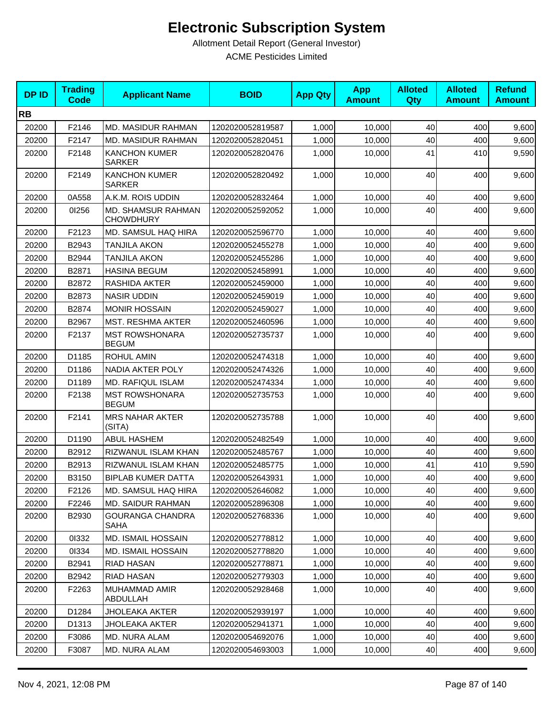| <b>DPID</b> | <b>Trading</b><br><b>Code</b> | <b>Applicant Name</b>                         | <b>BOID</b>      | <b>App Qty</b> | <b>App</b><br><b>Amount</b> | <b>Alloted</b><br><b>Qty</b> | <b>Alloted</b><br><b>Amount</b> | <b>Refund</b><br><b>Amount</b> |
|-------------|-------------------------------|-----------------------------------------------|------------------|----------------|-----------------------------|------------------------------|---------------------------------|--------------------------------|
| <b>RB</b>   |                               |                                               |                  |                |                             |                              |                                 |                                |
| 20200       | F2146                         | MD. MASIDUR RAHMAN                            | 1202020052819587 | 1,000          | 10,000                      | 40                           | 400                             | 9,600                          |
| 20200       | F2147                         | MD. MASIDUR RAHMAN                            | 1202020052820451 | 1,000          | 10,000                      | 40                           | 400                             | 9,600                          |
| 20200       | F2148                         | <b>KANCHON KUMER</b><br><b>SARKER</b>         | 1202020052820476 | 1,000          | 10,000                      | 41                           | 410                             | 9,590                          |
| 20200       | F2149                         | <b>KANCHON KUMER</b><br><b>SARKER</b>         | 1202020052820492 | 1,000          | 10,000                      | 40                           | 400                             | 9,600                          |
| 20200       | 0A558                         | A.K.M. ROIS UDDIN                             | 1202020052832464 | 1,000          | 10,000                      | 40                           | 400                             | 9,600                          |
| 20200       | 01256                         | <b>MD. SHAMSUR RAHMAN</b><br><b>CHOWDHURY</b> | 1202020052592052 | 1,000          | 10,000                      | 40                           | 400                             | 9,600                          |
| 20200       | F2123                         | MD. SAMSUL HAQ HIRA                           | 1202020052596770 | 1,000          | 10,000                      | 40                           | 400                             | 9,600                          |
| 20200       | B2943                         | <b>TANJILA AKON</b>                           | 1202020052455278 | 1,000          | 10,000                      | 40                           | 400                             | 9,600                          |
| 20200       | B2944                         | <b>TANJILA AKON</b>                           | 1202020052455286 | 1,000          | 10,000                      | 40                           | 400                             | 9,600                          |
| 20200       | B2871                         | <b>HASINA BEGUM</b>                           | 1202020052458991 | 1,000          | 10,000                      | 40                           | 400                             | 9,600                          |
| 20200       | B2872                         | RASHIDA AKTER                                 | 1202020052459000 | 1,000          | 10,000                      | 40                           | 400                             | 9,600                          |
| 20200       | B2873                         | <b>NASIR UDDIN</b>                            | 1202020052459019 | 1,000          | 10,000                      | 40                           | 400                             | 9,600                          |
| 20200       | B2874                         | <b>MONIR HOSSAIN</b>                          | 1202020052459027 | 1,000          | 10,000                      | 40                           | 400                             | 9,600                          |
| 20200       | B2967                         | <b>MST. RESHMA AKTER</b>                      | 1202020052460596 | 1,000          | 10,000                      | 40                           | 400                             | 9,600                          |
| 20200       | F2137                         | <b>MST ROWSHONARA</b><br><b>BEGUM</b>         | 1202020052735737 | 1,000          | 10,000                      | 40                           | 400                             | 9,600                          |
| 20200       | D1185                         | <b>ROHUL AMIN</b>                             | 1202020052474318 | 1,000          | 10,000                      | 40                           | 400                             | 9,600                          |
| 20200       | D1186                         | <b>NADIA AKTER POLY</b>                       | 1202020052474326 | 1,000          | 10,000                      | 40                           | 400                             | 9,600                          |
| 20200       | D1189                         | MD. RAFIQUL ISLAM                             | 1202020052474334 | 1,000          | 10,000                      | 40                           | 400                             | 9,600                          |
| 20200       | F2138                         | <b>MST ROWSHONARA</b><br><b>BEGUM</b>         | 1202020052735753 | 1,000          | 10,000                      | 40                           | 400                             | 9,600                          |
| 20200       | F2141                         | <b>MRS NAHAR AKTER</b><br>(SITA)              | 1202020052735788 | 1,000          | 10,000                      | 40                           | 400                             | 9,600                          |
| 20200       | D1190                         | <b>ABUL HASHEM</b>                            | 1202020052482549 | 1,000          | 10,000                      | 40                           | 400                             | 9,600                          |
| 20200       | B2912                         | RIZWANUL ISLAM KHAN                           | 1202020052485767 | 1,000          | 10,000                      | 40                           | 400                             | 9,600                          |
| 20200       | B2913                         | RIZWANUL ISLAM KHAN                           | 1202020052485775 | 1,000          | 10,000                      | 41                           | 410                             | 9,590                          |
| 20200       | B3150                         | <b>BIPLAB KUMER DATTA</b>                     | 1202020052643931 | 1,000          | 10,000                      | 40                           | 400                             | 9,600                          |
| 20200       | F2126                         | MD. SAMSUL HAQ HIRA                           | 1202020052646082 | 1,000          | 10,000                      | 40                           | 400                             | 9,600                          |
| 20200       | F2246                         | <b>MD. SAIDUR RAHMAN</b>                      | 1202020052896308 | 1,000          | 10,000                      | 40                           | 400                             | 9,600                          |
| 20200       | B2930                         | <b>GOURANGA CHANDRA</b><br>SAHA               | 1202020052768336 | 1,000          | 10,000                      | 40                           | 400                             | 9,600                          |
| 20200       | 01332                         | <b>MD. ISMAIL HOSSAIN</b>                     | 1202020052778812 | 1,000          | 10,000                      | 40                           | 400                             | 9,600                          |
| 20200       | 01334                         | <b>MD. ISMAIL HOSSAIN</b>                     | 1202020052778820 | 1,000          | 10,000                      | 40                           | 400                             | 9,600                          |
| 20200       | B2941                         | RIAD HASAN                                    | 1202020052778871 | 1,000          | 10,000                      | 40                           | 400                             | 9,600                          |
| 20200       | B2942                         | <b>RIAD HASAN</b>                             | 1202020052779303 | 1,000          | 10,000                      | 40                           | 400                             | 9,600                          |
| 20200       | F2263                         | <b>MUHAMMAD AMIR</b><br>ABDULLAH              | 1202020052928468 | 1,000          | 10,000                      | 40                           | 400                             | 9,600                          |
| 20200       | D1284                         | <b>JHOLEAKA AKTER</b>                         | 1202020052939197 | 1,000          | 10,000                      | 40                           | 400                             | 9,600                          |
| 20200       | D1313                         | JHOLEAKA AKTER                                | 1202020052941371 | 1,000          | 10,000                      | 40                           | 400                             | 9,600                          |
| 20200       | F3086                         | MD. NURA ALAM                                 | 1202020054692076 | 1,000          | 10,000                      | 40                           | 400                             | 9,600                          |
| 20200       | F3087                         | MD. NURA ALAM                                 | 1202020054693003 | 1,000          | 10,000                      | 40                           | 400                             | 9,600                          |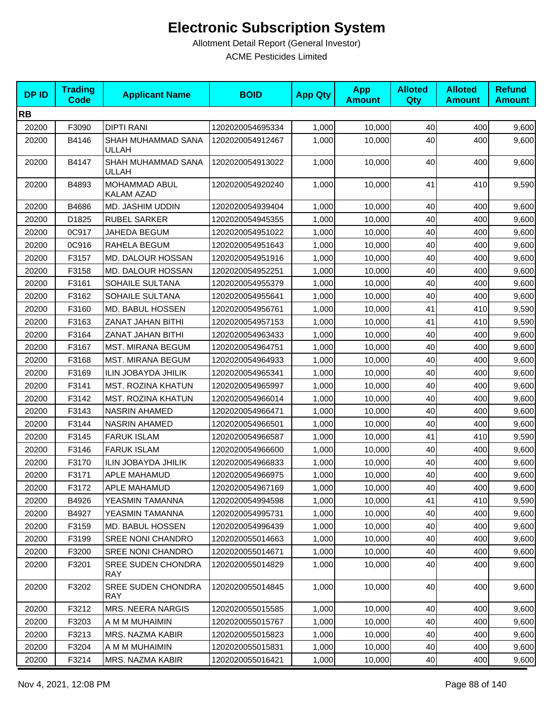| <b>DPID</b> | <b>Trading</b><br><b>Code</b> | <b>Applicant Name</b>                   | <b>BOID</b>      | <b>App Qty</b> | <b>App</b><br><b>Amount</b> | <b>Alloted</b><br><b>Qty</b> | <b>Alloted</b><br><b>Amount</b> | <b>Refund</b><br><b>Amount</b> |
|-------------|-------------------------------|-----------------------------------------|------------------|----------------|-----------------------------|------------------------------|---------------------------------|--------------------------------|
| <b>RB</b>   |                               |                                         |                  |                |                             |                              |                                 |                                |
| 20200       | F3090                         | <b>DIPTI RANI</b>                       | 1202020054695334 | 1,000          | 10,000                      | 40                           | 400                             | 9,600                          |
| 20200       | B4146                         | SHAH MUHAMMAD SANA<br><b>ULLAH</b>      | 1202020054912467 | 1,000          | 10,000                      | 40                           | 400                             | 9,600                          |
| 20200       | B4147                         | SHAH MUHAMMAD SANA<br>ULLAH             | 1202020054913022 | 1,000          | 10,000                      | 40                           | 400                             | 9,600                          |
| 20200       | B4893                         | MOHAMMAD ABUL<br>KALAM AZAD             | 1202020054920240 | 1,000          | 10,000                      | 41                           | 410                             | 9,590                          |
| 20200       | B4686                         | MD. JASHIM UDDIN                        | 1202020054939404 | 1,000          | 10,000                      | 40                           | 400                             | 9,600                          |
| 20200       | D1825                         | <b>RUBEL SARKER</b>                     | 1202020054945355 | 1,000          | 10,000                      | 40                           | 400                             | 9,600                          |
| 20200       | 0C917                         | JAHEDA BEGUM                            | 1202020054951022 | 1,000          | 10,000                      | 40                           | 400                             | 9,600                          |
| 20200       | 0C916                         | RAHELA BEGUM                            | 1202020054951643 | 1,000          | 10,000                      | 40                           | 400                             | 9,600                          |
| 20200       | F3157                         | MD. DALOUR HOSSAN                       | 1202020054951916 | 1,000          | 10,000                      | 40                           | 400                             | 9,600                          |
| 20200       | F3158                         | MD. DALOUR HOSSAN                       | 1202020054952251 | 1,000          | 10,000                      | 40                           | 400                             | 9,600                          |
| 20200       | F3161                         | SOHAILE SULTANA                         | 1202020054955379 | 1,000          | 10,000                      | 40                           | 400                             | 9,600                          |
| 20200       | F3162                         | SOHAILE SULTANA                         | 1202020054955641 | 1,000          | 10,000                      | 40                           | 400                             | 9,600                          |
| 20200       | F3160                         | MD. BABUL HOSSEN                        | 1202020054956761 | 1,000          | 10,000                      | 41                           | 410                             | 9,590                          |
| 20200       | F3163                         | ZANAT JAHAN BITHI                       | 1202020054957153 | 1,000          | 10,000                      | 41                           | 410                             | 9,590                          |
| 20200       | F3164                         | ZANAT JAHAN BITHI                       | 1202020054963433 | 1,000          | 10,000                      | 40                           | 400                             | 9,600                          |
| 20200       | F3167                         | <b>MST. MIRANA BEGUM</b>                | 1202020054964751 | 1,000          | 10,000                      | 40                           | 400                             | 9,600                          |
| 20200       | F3168                         | <b>MST. MIRANA BEGUM</b>                | 1202020054964933 | 1,000          | 10,000                      | 40                           | 400                             | 9,600                          |
| 20200       | F3169                         | ILIN JOBAYDA JHILIK                     | 1202020054965341 | 1,000          | 10,000                      | 40                           | 400                             | 9,600                          |
| 20200       | F3141                         | <b>MST. ROZINA KHATUN</b>               | 1202020054965997 | 1,000          | 10,000                      | 40                           | 400                             | 9,600                          |
| 20200       | F3142                         | <b>MST. ROZINA KHATUN</b>               | 1202020054966014 | 1,000          | 10,000                      | 40                           | 400                             | 9,600                          |
| 20200       | F3143                         | <b>NASRIN AHAMED</b>                    | 1202020054966471 | 1,000          | 10,000                      | 40                           | 400                             | 9,600                          |
| 20200       | F3144                         | <b>NASRIN AHAMED</b>                    | 1202020054966501 | 1,000          | 10,000                      | 40                           | 400                             | 9,600                          |
| 20200       | F3145                         | <b>FARUK ISLAM</b>                      | 1202020054966587 | 1,000          | 10,000                      | 41                           | 410                             | 9,590                          |
| 20200       | F3146                         | <b>FARUK ISLAM</b>                      | 1202020054966600 | 1,000          | 10,000                      | 40                           | 400                             | 9,600                          |
| 20200       | F3170                         | <b>ILIN JOBAYDA JHILIK</b>              | 1202020054966833 | 1,000          | 10,000                      | 40                           | 400                             | 9,600                          |
| 20200       | F3171                         | APLE MAHAMUD                            | 1202020054966975 | 1,000          | 10,000                      | 40                           | 400                             | 9,600                          |
| 20200       | F3172                         | APLE MAHAMUD                            | 1202020054967169 | 1,000          | 10,000                      | 40                           | 400                             | 9,600                          |
| 20200       | B4926                         | YEASMIN TAMANNA                         | 1202020054994598 | 1,000          | 10,000                      | 41                           | 410                             | 9,590                          |
| 20200       | B4927                         | YEASMIN TAMANNA                         | 1202020054995731 | 1,000          | 10,000                      | 40                           | 400                             | 9,600                          |
| 20200       | F3159                         | MD. BABUL HOSSEN                        | 1202020054996439 | 1,000          | 10,000                      | 40                           | 400                             | 9,600                          |
| 20200       | F3199                         | SREE NONI CHANDRO                       | 1202020055014663 | 1,000          | 10.000                      | 40                           | 400                             | 9,600                          |
| 20200       | F3200                         | SREE NONI CHANDRO                       | 1202020055014671 | 1,000          | 10,000                      | 40                           | 400                             | 9,600                          |
| 20200       | F3201                         | <b>SREE SUDEN CHONDRA</b><br><b>RAY</b> | 1202020055014829 | 1,000          | 10,000                      | 40                           | 400                             | 9,600                          |
| 20200       | F3202                         | <b>SREE SUDEN CHONDRA</b><br><b>RAY</b> | 1202020055014845 | 1,000          | 10,000                      | 40                           | 400                             | 9,600                          |
| 20200       | F3212                         | <b>MRS. NEERA NARGIS</b>                | 1202020055015585 | 1,000          | 10,000                      | 40                           | 400                             | 9,600                          |
| 20200       | F3203                         | A M M MUHAIMIN                          | 1202020055015767 | 1,000          | 10,000                      | 40                           | 400                             | 9,600                          |
| 20200       | F3213                         | MRS. NAZMA KABIR                        | 1202020055015823 | 1,000          | 10,000                      | 40                           | 400                             | 9,600                          |
| 20200       | F3204                         | A M M MUHAIMIN                          | 1202020055015831 | 1,000          | 10,000                      | 40                           | 400                             | 9,600                          |
| 20200       | F3214                         | MRS. NAZMA KABIR                        | 1202020055016421 | 1,000          | 10,000                      | 40                           | 400                             | 9,600                          |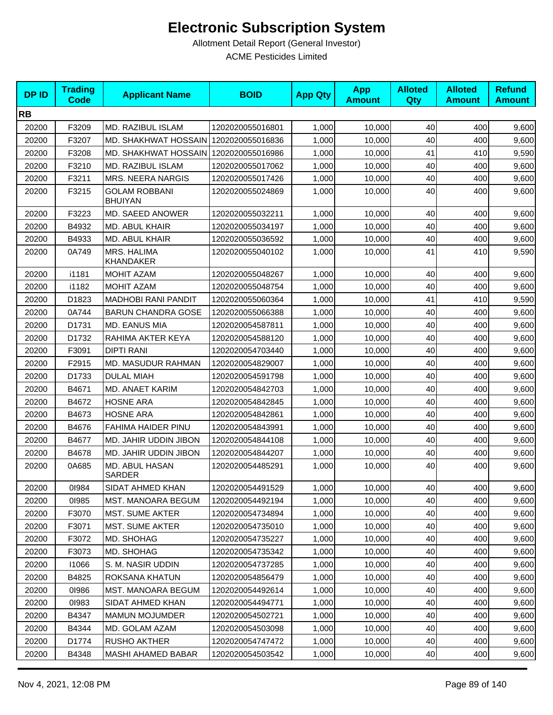| <b>DPID</b> | <b>Trading</b><br><b>Code</b> | <b>Applicant Name</b>                   | <b>BOID</b>      | <b>App Qty</b> | <b>App</b><br><b>Amount</b> | <b>Alloted</b><br>Qty | <b>Alloted</b><br><b>Amount</b> | <b>Refund</b><br><b>Amount</b> |
|-------------|-------------------------------|-----------------------------------------|------------------|----------------|-----------------------------|-----------------------|---------------------------------|--------------------------------|
| <b>RB</b>   |                               |                                         |                  |                |                             |                       |                                 |                                |
| 20200       | F3209                         | <b>MD. RAZIBUL ISLAM</b>                | 1202020055016801 | 1,000          | 10,000                      | 40                    | 400                             | 9,600                          |
| 20200       | F3207                         | MD. SHAKHWAT HOSSAIN   1202020055016836 |                  | 1,000          | 10,000                      | 40                    | 400                             | 9,600                          |
| 20200       | F3208                         | MD. SHAKHWAT HOSSAIN   1202020055016986 |                  | 1,000          | 10,000                      | 41                    | 410                             | 9,590                          |
| 20200       | F3210                         | MD. RAZIBUL ISLAM                       | 1202020055017062 | 1,000          | 10,000                      | 40                    | 400                             | 9,600                          |
| 20200       | F3211                         | MRS. NEERA NARGIS                       | 1202020055017426 | 1,000          | 10,000                      | 40                    | 400                             | 9,600                          |
| 20200       | F3215                         | <b>GOLAM ROBBANI</b><br><b>BHUIYAN</b>  | 1202020055024869 | 1,000          | 10,000                      | 40                    | 400                             | 9,600                          |
| 20200       | F3223                         | MD. SAEED ANOWER                        | 1202020055032211 | 1,000          | 10,000                      | 40                    | 400                             | 9,600                          |
| 20200       | B4932                         | MD. ABUL KHAIR                          | 1202020055034197 | 1,000          | 10,000                      | 40                    | 400                             | 9,600                          |
| 20200       | B4933                         | MD. ABUL KHAIR                          | 1202020055036592 | 1,000          | 10,000                      | 40                    | 400                             | 9,600                          |
| 20200       | 0A749                         | <b>MRS. HALIMA</b><br>KHANDAKER         | 1202020055040102 | 1,000          | 10,000                      | 41                    | 410                             | 9,590                          |
| 20200       | i1181                         | <b>MOHIT AZAM</b>                       | 1202020055048267 | 1,000          | 10.000                      | 40                    | 400                             | 9,600                          |
| 20200       | i1182                         | <b>MOHIT AZAM</b>                       | 1202020055048754 | 1,000          | 10,000                      | 40                    | 400                             | 9,600                          |
| 20200       | D1823                         | <b>MADHOBI RANI PANDIT</b>              | 1202020055060364 | 1,000          | 10,000                      | 41                    | 410                             | 9,590                          |
| 20200       | 0A744                         | <b>BARUN CHANDRA GOSE</b>               | 1202020055066388 | 1,000          | 10,000                      | 40                    | 400                             | 9,600                          |
| 20200       | D1731                         | MD. EANUS MIA                           | 1202020054587811 | 1,000          | 10,000                      | 40                    | 400                             | 9,600                          |
| 20200       | D1732                         | RAHIMA AKTER KEYA                       | 1202020054588120 | 1,000          | 10,000                      | 40                    | 400                             | 9,600                          |
| 20200       | F3091                         | <b>DIPTI RANI</b>                       | 1202020054703440 | 1,000          | 10,000                      | 40                    | 400                             | 9,600                          |
| 20200       | F2915                         | MD. MASUDUR RAHMAN                      | 1202020054829007 | 1,000          | 10,000                      | 40                    | 400                             | 9,600                          |
| 20200       | D1733                         | <b>DULAL MIAH</b>                       | 1202020054591798 | 1,000          | 10,000                      | 40                    | 400                             | 9,600                          |
| 20200       | B4671                         | MD. ANAET KARIM                         | 1202020054842703 | 1,000          | 10,000                      | 40                    | 400                             | 9,600                          |
| 20200       | B4672                         | <b>HOSNE ARA</b>                        | 1202020054842845 | 1,000          | 10,000                      | 40                    | 400                             | 9,600                          |
| 20200       | B4673                         | <b>HOSNE ARA</b>                        | 1202020054842861 | 1,000          | 10,000                      | 40                    | 400                             | 9,600                          |
| 20200       | B4676                         | FAHIMA HAIDER PINU                      | 1202020054843991 | 1,000          | 10,000                      | 40                    | 400                             | 9,600                          |
| 20200       | B4677                         | MD. JAHIR UDDIN JIBON                   | 1202020054844108 | 1,000          | 10,000                      | 40                    | 400                             | 9,600                          |
| 20200       | B4678                         | MD. JAHIR UDDIN JIBON                   | 1202020054844207 | 1,000          | 10,000                      | 40                    | 400                             | 9,600                          |
| 20200       | 0A685                         | MD. ABUL HASAN<br><b>SARDER</b>         | 1202020054485291 | 1,000          | 10.000                      | 40                    | 400                             | 9,600                          |
| 20200       | 01984                         | SIDAT AHMED KHAN                        | 1202020054491529 | 1,000          | 10,000                      | 40                    | 400                             | 9,600                          |
| 20200       | 01985                         | <b>MST. MANOARA BEGUM</b>               | 1202020054492194 | 1,000          | 10,000                      | 40                    | 400                             | 9,600                          |
| 20200       | F3070                         | <b>MST. SUME AKTER</b>                  | 1202020054734894 | 1,000          | 10,000                      | 40                    | 400                             | 9,600                          |
| 20200       | F3071                         | <b>MST. SUME AKTER</b>                  | 1202020054735010 | 1,000          | 10,000                      | 40                    | 400                             | 9,600                          |
| 20200       | F3072                         | MD. SHOHAG                              | 1202020054735227 | 1,000          | 10,000                      | 40                    | 400                             | 9,600                          |
| 20200       | F3073                         | MD. SHOHAG                              | 1202020054735342 | 1,000          | 10,000                      | 40                    | 400                             | 9,600                          |
| 20200       | 11066                         | S. M. NASIR UDDIN                       | 1202020054737285 | 1,000          | 10,000                      | 40                    | 400                             | 9,600                          |
| 20200       | B4825                         | ROKSANA KHATUN                          | 1202020054856479 | 1,000          | 10,000                      | 40                    | 400                             | 9,600                          |
| 20200       | 01986                         | MST. MANOARA BEGUM                      | 1202020054492614 | 1,000          | 10,000                      | 40                    | 400                             | 9,600                          |
| 20200       | 01983                         | SIDAT AHMED KHAN                        | 1202020054494771 | 1,000          | 10,000                      | 40                    | 400                             | 9,600                          |
| 20200       | B4347                         | <b>MAMUN MOJUMDER</b>                   | 1202020054502721 | 1,000          | 10,000                      | 40                    | 400                             | 9,600                          |
| 20200       | B4344                         | MD. GOLAM AZAM                          | 1202020054503098 | 1,000          | 10,000                      | 40                    | 400                             | 9,600                          |
| 20200       | D1774                         | <b>RUSHO AKTHER</b>                     | 1202020054747472 | 1,000          | 10,000                      | 40                    | 400                             | 9,600                          |
| 20200       | B4348                         | <b>MASHI AHAMED BABAR</b>               | 1202020054503542 | 1,000          | 10,000                      | 40                    | 400                             | 9,600                          |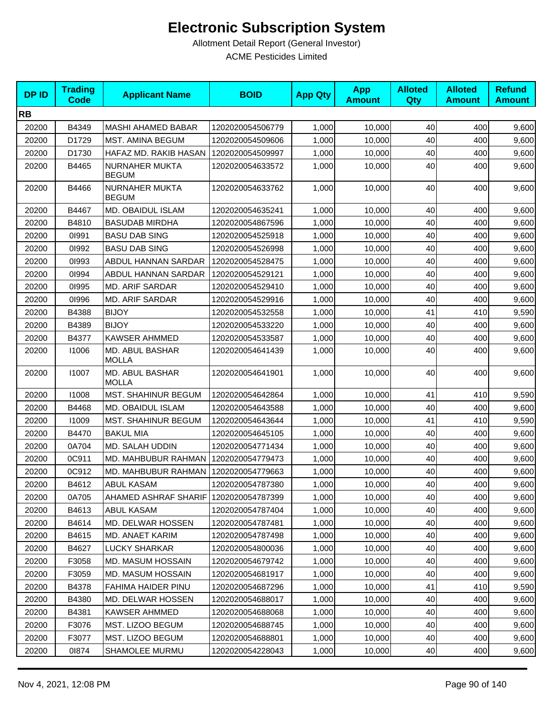| <b>DPID</b> | <b>Trading</b><br><b>Code</b> | <b>Applicant Name</b>                   | <b>BOID</b>      | <b>App Qty</b> | <b>App</b><br><b>Amount</b> | <b>Alloted</b><br>Qty | <b>Alloted</b><br><b>Amount</b> | <b>Refund</b><br><b>Amount</b> |
|-------------|-------------------------------|-----------------------------------------|------------------|----------------|-----------------------------|-----------------------|---------------------------------|--------------------------------|
| <b>RB</b>   |                               |                                         |                  |                |                             |                       |                                 |                                |
| 20200       | B4349                         | <b>MASHI AHAMED BABAR</b>               | 1202020054506779 | 1,000          | 10,000                      | 40                    | 400                             | 9,600                          |
| 20200       | D1729                         | <b>MST. AMINA BEGUM</b>                 | 1202020054509606 | 1,000          | 10,000                      | 40                    | 400                             | 9,600                          |
| 20200       | D1730                         | HAFAZ MD. RAKIB HASAN                   | 1202020054509997 | 1,000          | 10,000                      | 40                    | 400                             | 9,600                          |
| 20200       | B4465                         | NURNAHER MUKTA<br><b>BEGUM</b>          | 1202020054633572 | 1,000          | 10,000                      | 40                    | 400                             | 9,600                          |
| 20200       | B4466                         | <b>NURNAHER MUKTA</b><br><b>BEGUM</b>   | 1202020054633762 | 1,000          | 10,000                      | 40                    | 400                             | 9,600                          |
| 20200       | B4467                         | MD. OBAIDUL ISLAM                       | 1202020054635241 | 1,000          | 10,000                      | 40                    | 400                             | 9,600                          |
| 20200       | B4810                         | <b>BASUDAB MIRDHA</b>                   | 1202020054867596 | 1,000          | 10,000                      | 40                    | 400                             | 9,600                          |
| 20200       | 01991                         | <b>BASU DAB SING</b>                    | 1202020054525918 | 1,000          | 10,000                      | 40                    | 400                             | 9,600                          |
| 20200       | 01992                         | <b>BASU DAB SING</b>                    | 1202020054526998 | 1,000          | 10,000                      | 40                    | 400                             | 9,600                          |
| 20200       | 01993                         | ABDUL HANNAN SARDAR                     | 1202020054528475 | 1,000          | 10.000                      | 40                    | 400                             | 9,600                          |
| 20200       | 01994                         | ABDUL HANNAN SARDAR                     | 1202020054529121 | 1,000          | 10,000                      | 40                    | 400                             | 9,600                          |
| 20200       | 01995                         | <b>MD. ARIF SARDAR</b>                  | 1202020054529410 | 1,000          | 10,000                      | 40                    | 400                             | 9,600                          |
| 20200       | 01996                         | <b>MD. ARIF SARDAR</b>                  | 1202020054529916 | 1,000          | 10,000                      | 40                    | 400                             | 9,600                          |
| 20200       | B4388                         | <b>BIJOY</b>                            | 1202020054532558 | 1,000          | 10,000                      | 41                    | 410                             | 9,590                          |
| 20200       | B4389                         | <b>BIJOY</b>                            | 1202020054533220 | 1,000          | 10,000                      | 40                    | 400                             | 9,600                          |
| 20200       | B4377                         | <b>KAWSER AHMMED</b>                    | 1202020054533587 | 1,000          | 10,000                      | 40                    | 400                             | 9,600                          |
| 20200       | 11006                         | MD. ABUL BASHAR<br><b>MOLLA</b>         | 1202020054641439 | 1,000          | 10,000                      | 40                    | 400                             | 9,600                          |
| 20200       | 11007                         | MD. ABUL BASHAR<br><b>MOLLA</b>         | 1202020054641901 | 1,000          | 10,000                      | 40                    | 400                             | 9,600                          |
| 20200       | 11008                         | <b>MST. SHAHINUR BEGUM</b>              | 1202020054642864 | 1,000          | 10,000                      | 41                    | 410                             | 9,590                          |
| 20200       | B4468                         | MD. OBAIDUL ISLAM                       | 1202020054643588 | 1,000          | 10,000                      | 40                    | 400                             | 9,600                          |
| 20200       | 11009                         | <b>MST. SHAHINUR BEGUM</b>              | 1202020054643644 | 1,000          | 10,000                      | 41                    | 410                             | 9,590                          |
| 20200       | B4470                         | <b>BAKUL MIA</b>                        | 1202020054645105 | 1,000          | 10,000                      | 40                    | 400                             | 9,600                          |
| 20200       | 0A704                         | MD. SALAH UDDIN                         | 1202020054771434 | 1,000          | 10,000                      | 40                    | 400                             | 9,600                          |
| 20200       | 0C911                         | MD. MAHBUBUR RAHMAN                     | 1202020054779473 | 1,000          | 10,000                      | 40                    | 400                             | 9,600                          |
| 20200       | 0C912                         | MD. MAHBUBUR RAHMAN                     | 1202020054779663 | 1,000          | 10,000                      | 40                    | 400                             | 9,600                          |
| 20200       | B4612                         | ABUL KASAM                              | 1202020054787380 | 1,000          | 10,000                      | 40                    | 400                             | 9,600                          |
| 20200       | 0A705                         | AHAMED ASHRAF SHARIF   1202020054787399 |                  | 1,000          | 10,000                      | 40                    | 400                             | 9,600                          |
| 20200       | B4613                         | <b>ABUL KASAM</b>                       | 1202020054787404 | 1,000          | 10,000                      | 40                    | 400                             | 9,600                          |
| 20200       | B4614                         | <b>MD. DELWAR HOSSEN</b>                | 1202020054787481 | 1,000          | 10.000                      | 40                    | 400                             | 9,600                          |
| 20200       | B4615                         | MD. ANAET KARIM                         | 1202020054787498 | 1,000          | 10,000                      | 40                    | 400                             | 9,600                          |
| 20200       | B4627                         | LUCKY SHARKAR                           | 1202020054800036 | 1,000          | 10.000                      | 40                    | 400                             | 9,600                          |
| 20200       | F3058                         | MD. MASUM HOSSAIN                       | 1202020054679742 | 1,000          | 10,000                      | 40                    | 400                             | 9,600                          |
| 20200       | F3059                         | MD. MASUM HOSSAIN                       | 1202020054681917 | 1,000          | 10,000                      | 40                    | 400                             | 9,600                          |
| 20200       | B4378                         | FAHIMA HAIDER PINU                      | 1202020054687296 | 1,000          | 10,000                      | 41                    | 410                             | 9,590                          |
| 20200       | B4380                         | MD. DELWAR HOSSEN                       | 1202020054688017 | 1,000          | 10,000                      | 40                    | 400                             | 9,600                          |
| 20200       | B4381                         | <b>KAWSER AHMMED</b>                    | 1202020054688068 | 1,000          | 10,000                      | 40                    | 400                             | 9,600                          |
| 20200       | F3076                         | MST. LIZOO BEGUM                        | 1202020054688745 | 1,000          | 10,000                      | 40                    | 400                             | 9,600                          |
| 20200       | F3077                         | MST. LIZOO BEGUM                        | 1202020054688801 | 1,000          | 10,000                      | 40                    | 400                             | 9,600                          |
| 20200       | 01874                         | SHAMOLEE MURMU                          | 1202020054228043 | 1,000          | 10,000                      | 40                    | 400                             | 9,600                          |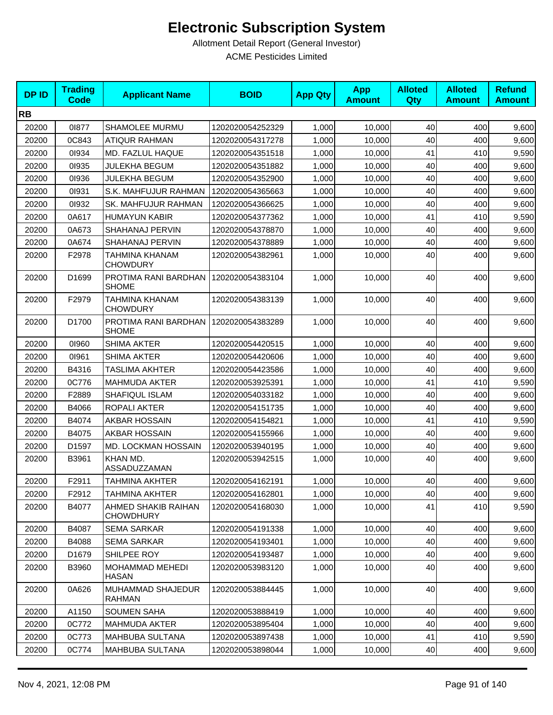| <b>DPID</b> | <b>Trading</b><br><b>Code</b> | <b>Applicant Name</b>                   | <b>BOID</b>      | <b>App Qty</b> | <b>App</b><br><b>Amount</b> | <b>Alloted</b><br>Qty | <b>Alloted</b><br><b>Amount</b> | <b>Refund</b><br><b>Amount</b> |
|-------------|-------------------------------|-----------------------------------------|------------------|----------------|-----------------------------|-----------------------|---------------------------------|--------------------------------|
| <b>RB</b>   |                               |                                         |                  |                |                             |                       |                                 |                                |
| 20200       | 01877                         | SHAMOLEE MURMU                          | 1202020054252329 | 1,000          | 10,000                      | 40                    | 400                             | 9,600                          |
| 20200       | 0C843                         | <b>ATIQUR RAHMAN</b>                    | 1202020054317278 | 1,000          | 10,000                      | 40                    | 400                             | 9,600                          |
| 20200       | 01934                         | MD. FAZLUL HAQUE                        | 1202020054351518 | 1,000          | 10,000                      | 41                    | 410                             | 9,590                          |
| 20200       | 01935                         | <b>JULEKHA BEGUM</b>                    | 1202020054351882 | 1,000          | 10,000                      | 40                    | 400                             | 9,600                          |
| 20200       | 01936                         | JULEKHA BEGUM                           | 1202020054352900 | 1,000          | 10,000                      | 40                    | 400                             | 9,600                          |
| 20200       | 01931                         | S.K. MAHFUJUR RAHMAN                    | 1202020054365663 | 1,000          | 10,000                      | 40                    | 400                             | 9,600                          |
| 20200       | 01932                         | SK. MAHFUJUR RAHMAN                     | 1202020054366625 | 1,000          | 10,000                      | 40                    | 400                             | 9,600                          |
| 20200       | 0A617                         | <b>HUMAYUN KABIR</b>                    | 1202020054377362 | 1,000          | 10,000                      | 41                    | 410                             | 9,590                          |
| 20200       | 0A673                         | SHAHANAJ PERVIN                         | 1202020054378870 | 1,000          | 10,000                      | 40                    | 400                             | 9,600                          |
| 20200       | 0A674                         | SHAHANAJ PERVIN                         | 1202020054378889 | 1,000          | 10,000                      | 40                    | 400                             | 9,600                          |
| 20200       | F2978                         | TAHMINA KHANAM<br><b>CHOWDURY</b>       | 1202020054382961 | 1,000          | 10,000                      | 40                    | 400                             | 9,600                          |
| 20200       | D1699                         | PROTIMA RANI BARDHAN<br><b>SHOME</b>    | 1202020054383104 | 1,000          | 10,000                      | 40                    | 400                             | 9,600                          |
| 20200       | F2979                         | TAHMINA KHANAM<br><b>CHOWDURY</b>       | 1202020054383139 | 1,000          | 10,000                      | 40                    | 400                             | 9,600                          |
| 20200       | D1700                         | PROTIMA RANI BARDHAN<br><b>SHOME</b>    | 1202020054383289 | 1,000          | 10,000                      | 40                    | 400                             | 9,600                          |
| 20200       | 01960                         | <b>SHIMA AKTER</b>                      | 1202020054420515 | 1,000          | 10,000                      | 40                    | 400                             | 9,600                          |
| 20200       | 01961                         | <b>SHIMA AKTER</b>                      | 1202020054420606 | 1,000          | 10,000                      | 40                    | 400                             | 9,600                          |
| 20200       | B4316                         | TASLIMA AKHTER                          | 1202020054423586 | 1,000          | 10,000                      | 40                    | 400                             | 9,600                          |
| 20200       | 0C776                         | <b>MAHMUDA AKTER</b>                    | 1202020053925391 | 1,000          | 10,000                      | 41                    | 410                             | 9,590                          |
| 20200       | F2889                         | SHAFIQUL ISLAM                          | 1202020054033182 | 1,000          | 10,000                      | 40                    | 400                             | 9,600                          |
| 20200       | B4066                         | ROPALI AKTER                            | 1202020054151735 | 1,000          | 10,000                      | 40                    | 400                             | 9,600                          |
| 20200       | B4074                         | AKBAR HOSSAIN                           | 1202020054154821 | 1,000          | 10,000                      | 41                    | 410                             | 9,590                          |
| 20200       | B4075                         | <b>AKBAR HOSSAIN</b>                    | 1202020054155966 | 1,000          | 10,000                      | 40                    | 400                             | 9,600                          |
| 20200       | D1597                         | MD. LOCKMAN HOSSAIN                     | 1202020053940195 | 1,000          | 10,000                      | 40                    | 400                             | 9,600                          |
| 20200       | B3961                         | KHAN MD.<br>ASSADUZZAMAN                | 1202020053942515 | 1,000          | 10,000                      | 40                    | 400                             | 9,600                          |
| 20200       | F2911                         | <b>TAHMINA AKHTER</b>                   | 1202020054162191 | 1,000          | 10,000                      | 40                    | 400                             | 9,600                          |
| 20200       | F2912                         | <b>TAHMINA AKHTER</b>                   | 1202020054162801 | 1,000          | 10,000                      | 40                    | 400                             | 9,600                          |
| 20200       | B4077                         | AHMED SHAKIB RAIHAN<br><b>CHOWDHURY</b> | 1202020054168030 | 1,000          | 10,000                      | 41                    | 410                             | 9,590                          |
| 20200       | B4087                         | <b>SEMA SARKAR</b>                      | 1202020054191338 | 1,000          | 10,000                      | 40                    | 400                             | 9,600                          |
| 20200       | B4088                         | <b>SEMA SARKAR</b>                      | 1202020054193401 | 1,000          | 10,000                      | 40                    | 400                             | 9,600                          |
| 20200       | D1679                         | SHILPEE ROY                             | 1202020054193487 | 1,000          | 10,000                      | 40                    | 400                             | 9,600                          |
| 20200       | B3960                         | MOHAMMAD MEHEDI<br><b>HASAN</b>         | 1202020053983120 | 1,000          | 10,000                      | 40                    | 400                             | 9,600                          |
| 20200       | 0A626                         | MUHAMMAD SHAJEDUR<br><b>RAHMAN</b>      | 1202020053884445 | 1,000          | 10,000                      | 40                    | 400                             | 9,600                          |
| 20200       | A1150                         | <b>SOUMEN SAHA</b>                      | 1202020053888419 | 1,000          | 10,000                      | 40                    | 400                             | 9,600                          |
| 20200       | 0C772                         | <b>MAHMUDA AKTER</b>                    | 1202020053895404 | 1,000          | 10,000                      | 40                    | 400                             | 9,600                          |
| 20200       | 0C773                         | MAHBUBA SULTANA                         | 1202020053897438 | 1,000          | 10,000                      | 41                    | 410                             | 9,590                          |
| 20200       | 0C774                         | MAHBUBA SULTANA                         | 1202020053898044 | 1,000          | 10,000                      | 40                    | 400                             | 9,600                          |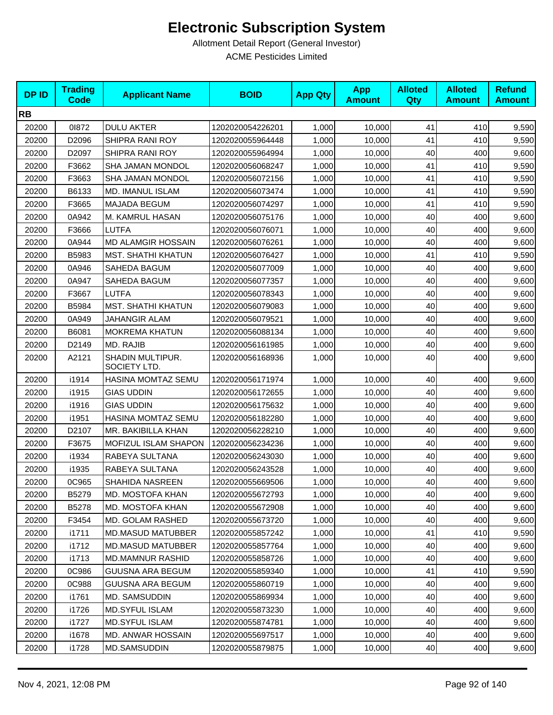| <b>DPID</b> | <b>Trading</b><br><b>Code</b> | <b>Applicant Name</b>            | <b>BOID</b>      | <b>App Qty</b> | <b>App</b><br><b>Amount</b> | <b>Alloted</b><br><b>Qty</b> | <b>Alloted</b><br><b>Amount</b> | <b>Refund</b><br><b>Amount</b> |
|-------------|-------------------------------|----------------------------------|------------------|----------------|-----------------------------|------------------------------|---------------------------------|--------------------------------|
| <b>RB</b>   |                               |                                  |                  |                |                             |                              |                                 |                                |
| 20200       | 01872                         | <b>DULU AKTER</b>                | 1202020054226201 | 1,000          | 10,000                      | 41                           | 410                             | 9,590                          |
| 20200       | D2096                         | SHIPRA RANI ROY                  | 1202020055964448 | 1,000          | 10,000                      | 41                           | 410                             | 9,590                          |
| 20200       | D2097                         | SHIPRA RANI ROY                  | 1202020055964994 | 1,000          | 10,000                      | 40                           | 400                             | 9,600                          |
| 20200       | F3662                         | SHA JAMAN MONDOL                 | 1202020056068247 | 1,000          | 10,000                      | 41                           | 410                             | 9,590                          |
| 20200       | F3663                         | SHA JAMAN MONDOL                 | 1202020056072156 | 1,000          | 10,000                      | 41                           | 410                             | 9,590                          |
| 20200       | B6133                         | MD. IMANUL ISLAM                 | 1202020056073474 | 1,000          | 10.000                      | 41                           | 410                             | 9,590                          |
| 20200       | F3665                         | <b>MAJADA BEGUM</b>              | 1202020056074297 | 1,000          | 10,000                      | 41                           | 410                             | 9,590                          |
| 20200       | 0A942                         | M. KAMRUL HASAN                  | 1202020056075176 | 1,000          | 10,000                      | 40                           | 400                             | 9,600                          |
| 20200       | F3666                         | <b>LUTFA</b>                     | 1202020056076071 | 1,000          | 10,000                      | 40                           | 400                             | 9,600                          |
| 20200       | 0A944                         | MD ALAMGIR HOSSAIN               | 1202020056076261 | 1,000          | 10,000                      | 40                           | 400                             | 9,600                          |
| 20200       | B5983                         | <b>MST. SHATHI KHATUN</b>        | 1202020056076427 | 1,000          | 10,000                      | 41                           | 410                             | 9,590                          |
| 20200       | 0A946                         | SAHEDA BAGUM                     | 1202020056077009 | 1,000          | 10,000                      | 40                           | 400                             | 9,600                          |
| 20200       | 0A947                         | SAHEDA BAGUM                     | 1202020056077357 | 1,000          | 10,000                      | 40                           | 400                             | 9,600                          |
| 20200       | F3667                         | LUTFA                            | 1202020056078343 | 1,000          | 10,000                      | 40                           | 400                             | 9,600                          |
| 20200       | B5984                         | <b>MST. SHATHI KHATUN</b>        | 1202020056079083 | 1,000          | 10,000                      | 40                           | 400                             | 9,600                          |
| 20200       | 0A949                         | <b>JAHANGIR ALAM</b>             | 1202020056079521 | 1,000          | 10,000                      | 40                           | 400                             | 9,600                          |
| 20200       | B6081                         | <b>MOKREMA KHATUN</b>            | 1202020056088134 | 1,000          | 10,000                      | 40                           | 400                             | 9,600                          |
| 20200       | D2149                         | MD. RAJIB                        | 1202020056161985 | 1,000          | 10,000                      | 40                           | 400                             | 9,600                          |
| 20200       | A2121                         | SHADIN MULTIPUR.<br>SOCIETY LTD. | 1202020056168936 | 1,000          | 10,000                      | 40                           | 400                             | 9,600                          |
| 20200       | i1914                         | HASINA MOMTAZ SEMU               | 1202020056171974 | 1,000          | 10,000                      | 40                           | 400                             | 9,600                          |
| 20200       | i1915                         | <b>GIAS UDDIN</b>                | 1202020056172655 | 1,000          | 10,000                      | 40                           | 400                             | 9,600                          |
| 20200       | i1916                         | <b>GIAS UDDIN</b>                | 1202020056175632 | 1,000          | 10,000                      | 40                           | 400                             | 9,600                          |
| 20200       | i1951                         | HASINA MOMTAZ SEMU               | 1202020056182280 | 1,000          | 10,000                      | 40                           | 400                             | 9,600                          |
| 20200       | D2107                         | MR. BAKIBILLA KHAN               | 1202020056228210 | 1,000          | 10,000                      | 40                           | 400                             | 9,600                          |
| 20200       | F3675                         | MOFIZUL ISLAM SHAPON             | 1202020056234236 | 1,000          | 10,000                      | 40                           | 400                             | 9,600                          |
| 20200       | i1934                         | RABEYA SULTANA                   | 1202020056243030 | 1,000          | 10,000                      | 40                           | 400                             | 9,600                          |
| 20200       | i1935                         | RABEYA SULTANA                   | 1202020056243528 | 1,000          | 10,000                      | 40                           | 400                             | 9,600                          |
| 20200       | 0C965                         | <b>SHAHIDA NASREEN</b>           | 1202020055669506 | 1,000          | 10,000                      | 40                           | 400                             | 9,600                          |
| 20200       | B5279                         | MD. MOSTOFA KHAN                 | 1202020055672793 | 1,000          | 10,000                      | 40                           | 400                             | 9,600                          |
| 20200       | B5278                         | MD. MOSTOFA KHAN                 | 1202020055672908 | 1,000          | 10,000                      | 40                           | 400                             | 9,600                          |
| 20200       | F3454                         | MD. GOLAM RASHED                 | 1202020055673720 | 1,000          | 10,000                      | 40                           | 400                             | 9,600                          |
| 20200       | i1711                         | <b>MD.MASUD MATUBBER</b>         | 1202020055857242 | 1,000          | 10,000                      | 41                           | 410                             | 9,590                          |
| 20200       | i1712                         | <b>MD.MASUD MATUBBER</b>         | 1202020055857764 | 1,000          | 10,000                      | 40                           | 400                             | 9,600                          |
| 20200       | i1713                         | <b>MD.MAMNUR RASHID</b>          | 1202020055858726 | 1,000          | 10,000                      | 40                           | 400                             | 9,600                          |
| 20200       | 0C986                         | <b>GUUSNA ARA BEGUM</b>          | 1202020055859340 | 1,000          | 10,000                      | 41                           | 410                             | 9,590                          |
| 20200       | 0C988                         | GUUSNA ARA BEGUM                 | 1202020055860719 | 1,000          | 10,000                      | 40                           | 400                             | 9,600                          |
| 20200       | i1761                         | MD. SAMSUDDIN                    | 1202020055869934 | 1,000          | 10,000                      | 40                           | 400                             | 9,600                          |
| 20200       | i1726                         | <b>MD.SYFUL ISLAM</b>            | 1202020055873230 | 1,000          | 10,000                      | 40                           | 400                             | 9,600                          |
| 20200       | i1727                         | <b>MD.SYFUL ISLAM</b>            | 1202020055874781 | 1,000          | 10,000                      | 40                           | 400                             | 9,600                          |
| 20200       | i1678                         | MD. ANWAR HOSSAIN                | 1202020055697517 | 1,000          | 10,000                      | 40                           | 400                             | 9,600                          |
| 20200       | i1728                         | MD.SAMSUDDIN                     | 1202020055879875 | 1,000          | 10,000                      | 40                           | 400                             | 9,600                          |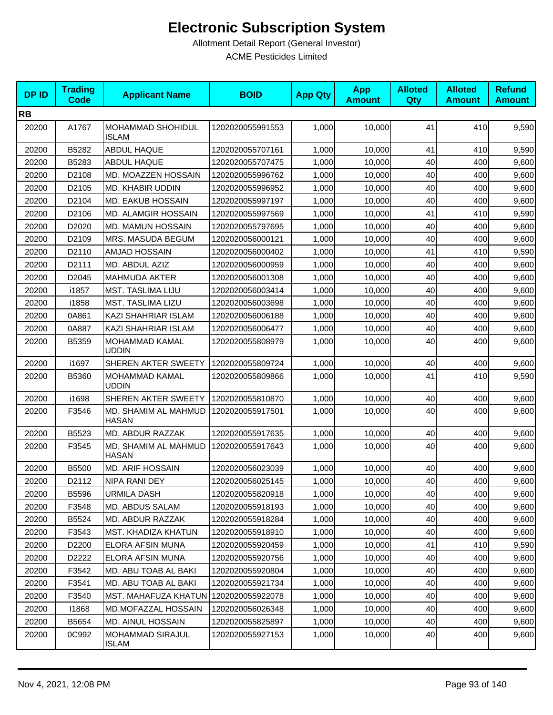| <b>DPID</b> | <b>Trading</b><br><b>Code</b> | <b>Applicant Name</b>                   | <b>BOID</b>      | <b>App Qty</b> | <b>App</b><br><b>Amount</b> | <b>Alloted</b><br>Qty | <b>Alloted</b><br><b>Amount</b> | <b>Refund</b><br><b>Amount</b> |
|-------------|-------------------------------|-----------------------------------------|------------------|----------------|-----------------------------|-----------------------|---------------------------------|--------------------------------|
| <b>RB</b>   |                               |                                         |                  |                |                             |                       |                                 |                                |
| 20200       | A1767                         | MOHAMMAD SHOHIDUL<br><b>ISLAM</b>       | 1202020055991553 | 1,000          | 10,000                      | 41                    | 410                             | 9,590                          |
| 20200       | B5282                         | ABDUL HAQUE                             | 1202020055707161 | 1,000          | 10,000                      | 41                    | 410                             | 9,590                          |
| 20200       | B5283                         | ABDUL HAQUE                             | 1202020055707475 | 1,000          | 10,000                      | 40                    | 400                             | 9,600                          |
| 20200       | D2108                         | MD. MOAZZEN HOSSAIN                     | 1202020055996762 | 1,000          | 10,000                      | 40                    | 400                             | 9,600                          |
| 20200       | D2105                         | MD. KHABIR UDDIN                        | 1202020055996952 | 1,000          | 10,000                      | 40                    | 400                             | 9,600                          |
| 20200       | D2104                         | MD. EAKUB HOSSAIN                       | 1202020055997197 | 1,000          | 10,000                      | 40                    | 400                             | 9,600                          |
| 20200       | D2106                         | <b>MD. ALAMGIR HOSSAIN</b>              | 1202020055997569 | 1,000          | 10,000                      | 41                    | 410                             | 9,590                          |
| 20200       | D2020                         | MD. MAMUN HOSSAIN                       | 1202020055797695 | 1,000          | 10,000                      | 40                    | 400                             | 9,600                          |
| 20200       | D2109                         | MRS. MASUDA BEGUM                       | 1202020056000121 | 1,000          | 10,000                      | 40                    | 400                             | 9,600                          |
| 20200       | D2110                         | AMJAD HOSSAIN                           | 1202020056000402 | 1,000          | 10,000                      | 41                    | 410                             | 9,590                          |
| 20200       | D2111                         | MD. ABDUL AZIZ                          | 1202020056000959 | 1,000          | 10,000                      | 40                    | 400                             | 9,600                          |
| 20200       | D2045                         | <b>MAHMUDA AKTER</b>                    | 1202020056001308 | 1,000          | 10,000                      | 40                    | 400                             | 9,600                          |
| 20200       | i1857                         | <b>MST. TASLIMA LIJU</b>                | 1202020056003414 | 1,000          | 10,000                      | 40                    | 400                             | 9,600                          |
| 20200       | i1858                         | <b>MST. TASLIMA LIZU</b>                | 1202020056003698 | 1,000          | 10,000                      | 40                    | 400                             | 9,600                          |
| 20200       | 0A861                         | KAZI SHAHRIAR ISLAM                     | 1202020056006188 | 1,000          | 10,000                      | 40                    | 400                             | 9,600                          |
| 20200       | 0A887                         | KAZI SHAHRIAR ISLAM                     | 1202020056006477 | 1,000          | 10,000                      | 40                    | 400                             | 9,600                          |
| 20200       | B5359                         | MOHAMMAD KAMAL<br><b>UDDIN</b>          | 1202020055808979 | 1,000          | 10.000                      | 40                    | 400                             | 9,600                          |
| 20200       | i1697                         | SHEREN AKTER SWEETY                     | 1202020055809724 | 1,000          | 10,000                      | 40                    | 400                             | 9,600                          |
| 20200       | B5360                         | MOHAMMAD KAMAL<br><b>UDDIN</b>          | 1202020055809866 | 1,000          | 10,000                      | 41                    | 410                             | 9,590                          |
| 20200       | i1698                         | SHEREN AKTER SWEETY                     | 1202020055810870 | 1,000          | 10,000                      | 40                    | 400                             | 9,600                          |
| 20200       | F3546                         | MD. SHAMIM AL MAHMUD<br><b>HASAN</b>    | 1202020055917501 | 1,000          | 10,000                      | 40                    | 400                             | 9,600                          |
| 20200       | B5523                         | MD. ABDUR RAZZAK                        | 1202020055917635 | 1,000          | 10,000                      | 40                    | 400                             | 9,600                          |
| 20200       | F3545                         | MD. SHAMIM AL MAHMUD<br><b>HASAN</b>    | 1202020055917643 | 1,000          | 10,000                      | 40                    | 400                             | 9,600                          |
| 20200       | B5500                         | <b>MD. ARIF HOSSAIN</b>                 | 1202020056023039 | 1,000          | 10,000                      | 40                    | 400                             | 9,600                          |
| 20200       | D2112                         | NIPA RANI DEY                           | 1202020056025145 | 1,000          | 10,000                      | 40                    | 400                             | 9,600                          |
| 20200       | B5596                         | <b>URMILA DASH</b>                      | 1202020055820918 | 1,000          | 10,000                      | 40                    | 400                             | 9,600                          |
| 20200       | F3548                         | MD. ABDUS SALAM                         | 1202020055918193 | 1,000          | 10,000                      | 40                    | 400                             | 9,600                          |
| 20200       | B5524                         | MD. ABDUR RAZZAK                        | 1202020055918284 | 1,000          | 10,000                      | 40                    | 400                             | 9,600                          |
| 20200       | F3543                         | <b>MST. KHADIZA KHATUN</b>              | 1202020055918910 | 1,000          | 10,000                      | 40                    | 400                             | 9,600                          |
| 20200       | D2200                         | ELORA AFSIN MUNA                        | 1202020055920459 | 1,000          | 10,000                      | 41                    | 410                             | 9,590                          |
| 20200       | D2222                         | <b>ELORA AFSIN MUNA</b>                 | 1202020055920756 | 1,000          | 10,000                      | 40                    | 400                             | 9,600                          |
| 20200       | F3542                         | MD. ABU TOAB AL BAKI                    | 1202020055920804 | 1,000          | 10,000                      | 40                    | 400                             | 9,600                          |
| 20200       | F3541                         | MD. ABU TOAB AL BAKI                    | 1202020055921734 | 1,000          | 10,000                      | 40                    | 400                             | 9,600                          |
| 20200       | F3540                         | MST. MAHAFUZA KHATUN   1202020055922078 |                  | 1,000          | 10,000                      | 40                    | 400                             | 9,600                          |
| 20200       | 11868                         | MD.MOFAZZAL HOSSAIN                     | 1202020056026348 | 1,000          | 10,000                      | 40                    | 400                             | 9,600                          |
| 20200       | B5654                         | MD. AINUL HOSSAIN                       | 1202020055825897 | 1,000          | 10,000                      | 40                    | 400                             | 9,600                          |
| 20200       | 0C992                         | <b>MOHAMMAD SIRAJUL</b><br><b>ISLAM</b> | 1202020055927153 | 1,000          | 10,000                      | 40                    | 400                             | 9,600                          |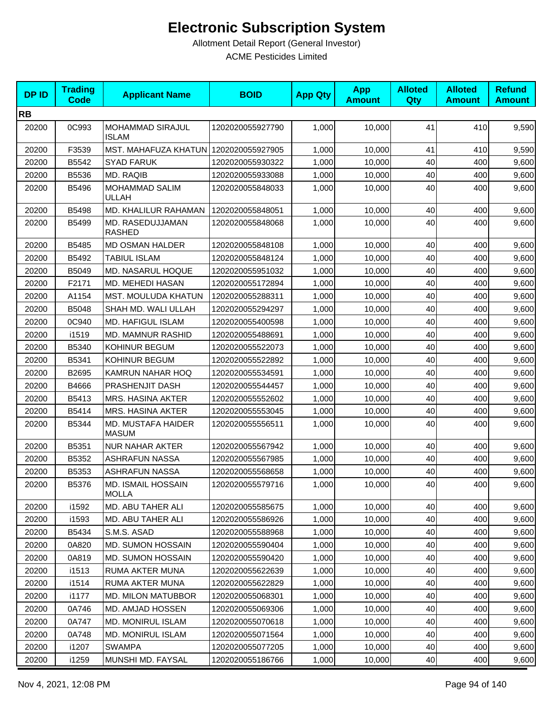| <b>DPID</b> | <b>Trading</b><br>Code | <b>Applicant Name</b>              | <b>BOID</b>      | <b>App Qty</b> | <b>App</b><br><b>Amount</b> | <b>Alloted</b><br>Qty | <b>Alloted</b><br><b>Amount</b> | <b>Refund</b><br><b>Amount</b> |
|-------------|------------------------|------------------------------------|------------------|----------------|-----------------------------|-----------------------|---------------------------------|--------------------------------|
| <b>RB</b>   |                        |                                    |                  |                |                             |                       |                                 |                                |
| 20200       | 0C993                  | MOHAMMAD SIRAJUL<br><b>ISLAM</b>   | 1202020055927790 | 1,000          | 10,000                      | 41                    | 410                             | 9,590                          |
| 20200       | F3539                  | <b>MST. MAHAFUZA KHATUN</b>        | 1202020055927905 | 1,000          | 10,000                      | 41                    | 410                             | 9,590                          |
| 20200       | B5542                  | <b>SYAD FARUK</b>                  | 1202020055930322 | 1,000          | 10,000                      | 40                    | 400                             | 9,600                          |
| 20200       | B5536                  | MD. RAQIB                          | 1202020055933088 | 1,000          | 10,000                      | 40                    | 400                             | 9,600                          |
| 20200       | B5496                  | <b>MOHAMMAD SALIM</b><br>ULLAH     | 1202020055848033 | 1,000          | 10,000                      | 40                    | 400                             | 9,600                          |
| 20200       | B5498                  | MD. KHALILUR RAHAMAN               | 1202020055848051 | 1,000          | 10,000                      | 40                    | 400                             | 9,600                          |
| 20200       | B5499                  | MD. RASEDUJJAMAN<br><b>RASHED</b>  | 1202020055848068 | 1,000          | 10,000                      | 40                    | 400                             | 9,600                          |
| 20200       | B5485                  | <b>MD OSMAN HALDER</b>             | 1202020055848108 | 1,000          | 10,000                      | 40                    | 400                             | 9,600                          |
| 20200       | B5492                  | <b>TABIUL ISLAM</b>                | 1202020055848124 | 1,000          | 10,000                      | 40                    | 400                             | 9,600                          |
| 20200       | B5049                  | MD. NASARUL HOQUE                  | 1202020055951032 | 1,000          | 10,000                      | 40                    | 400                             | 9,600                          |
| 20200       | F2171                  | MD. MEHEDI HASAN                   | 1202020055172894 | 1,000          | 10,000                      | 40                    | 400                             | 9,600                          |
| 20200       | A1154                  | MST. MOULUDA KHATUN                | 1202020055288311 | 1,000          | 10.000                      | 40                    | 400                             | 9,600                          |
| 20200       | B5048                  | SHAH MD. WALI ULLAH                | 1202020055294297 | 1,000          | 10,000                      | 40                    | 400                             | 9,600                          |
| 20200       | 0C940                  | MD. HAFIGUL ISLAM                  | 1202020055400598 | 1,000          | 10,000                      | 40                    | 400                             | 9,600                          |
| 20200       | i1519                  | <b>MD. MAMNUR RASHID</b>           | 1202020055488691 | 1,000          | 10,000                      | 40                    | 400                             | 9,600                          |
| 20200       | B5340                  | KOHINUR BEGUM                      | 1202020055522073 | 1,000          | 10,000                      | 40                    | 400                             | 9,600                          |
| 20200       | B5341                  | KOHINUR BEGUM                      | 1202020055522892 | 1,000          | 10,000                      | 40                    | 400                             | 9,600                          |
| 20200       | B2695                  | KAMRUN NAHAR HOQ                   | 1202020055534591 | 1,000          | 10,000                      | 40                    | 400                             | 9,600                          |
| 20200       | B4666                  | PRASHENJIT DASH                    | 1202020055544457 | 1,000          | 10,000                      | 40                    | 400                             | 9,600                          |
| 20200       | B5413                  | MRS. HASINA AKTER                  | 1202020055552602 | 1,000          | 10,000                      | 40                    | 400                             | 9,600                          |
| 20200       | B5414                  | <b>MRS. HASINA AKTER</b>           | 1202020055553045 | 1,000          | 10,000                      | 40                    | 400                             | 9,600                          |
| 20200       | B5344                  | MD. MUSTAFA HAIDER<br><b>MASUM</b> | 1202020055556511 | 1,000          | 10,000                      | 40                    | 400                             | 9,600                          |
| 20200       | B5351                  | <b>NUR NAHAR AKTER</b>             | 1202020055567942 | 1,000          | 10,000                      | 40                    | 400                             | 9,600                          |
| 20200       | B5352                  | <b>ASHRAFUN NASSA</b>              | 1202020055567985 | 1,000          | 10,000                      | 40                    | 400                             | 9,600                          |
| 20200       | B5353                  | <b>ASHRAFUN NASSA</b>              | 1202020055568658 | 1,000          | 10,000                      | 40                    | 400                             | 9,600                          |
| 20200       | B5376                  | MD. ISMAIL HOSSAIN<br><b>MOLLA</b> | 1202020055579716 | 1,000          | 10,000                      | 40                    | 400                             | 9,600                          |
| 20200       | i1592                  | MD. ABU TAHER ALI                  | 1202020055585675 | 1,000          | 10,000                      | 40                    | 400                             | 9,600                          |
| 20200       | i1593                  | MD. ABU TAHER ALI                  | 1202020055586926 | 1,000          | 10,000                      | 40                    | 400                             | 9,600                          |
| 20200       | B5434                  | S.M.S. ASAD                        | 1202020055588968 | 1,000          | 10,000                      | 40                    | 400                             | 9,600                          |
| 20200       | 0A820                  | MD. SUMON HOSSAIN                  | 1202020055590404 | 1,000          | 10,000                      | 40                    | 400                             | 9,600                          |
| 20200       | 0A819                  | MD. SUMON HOSSAIN                  | 1202020055590420 | 1,000          | 10,000                      | 40                    | 400                             | 9,600                          |
| 20200       | i1513                  | RUMA AKTER MUNA                    | 1202020055622639 | 1,000          | 10,000                      | 40                    | 400                             | 9,600                          |
| 20200       | i1514                  | RUMA AKTER MUNA                    | 1202020055622829 | 1,000          | 10,000                      | 40                    | 400                             | 9,600                          |
| 20200       | i1177                  | MD. MILON MATUBBOR                 | 1202020055068301 | 1,000          | 10,000                      | 40                    | 400                             | 9,600                          |
| 20200       | 0A746                  | MD. AMJAD HOSSEN                   | 1202020055069306 | 1,000          | 10,000                      | 40                    | 400                             | 9,600                          |
| 20200       | 0A747                  | <b>MD. MONIRUL ISLAM</b>           | 1202020055070618 | 1,000          | 10,000                      | 40                    | 400                             | 9,600                          |
| 20200       | 0A748                  | <b>MD. MONIRUL ISLAM</b>           | 1202020055071564 | 1,000          | 10,000                      | 40                    | 400                             | 9,600                          |
| 20200       | i1207                  | <b>SWAMPA</b>                      | 1202020055077205 | 1,000          | 10,000                      | 40                    | 400                             | 9,600                          |
| 20200       | i1259                  | MUNSHI MD. FAYSAL                  | 1202020055186766 | 1,000          | 10,000                      | 40                    | 400                             | 9,600                          |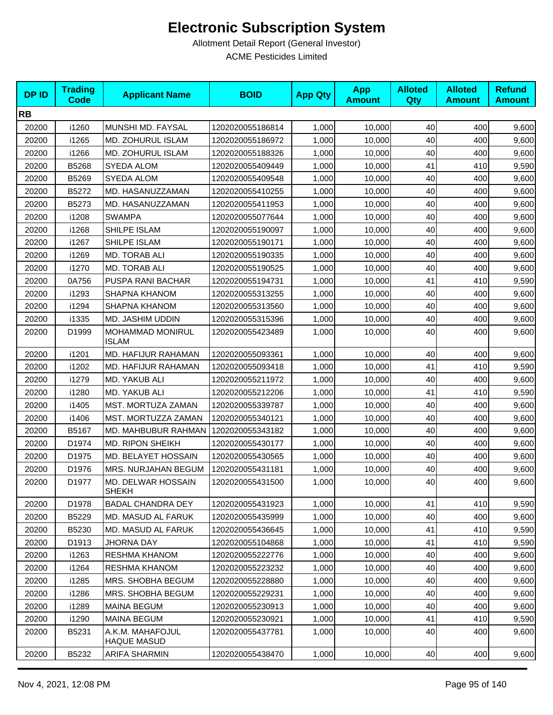| <b>DPID</b> | <b>Trading</b><br><b>Code</b> | <b>Applicant Name</b>                     | <b>BOID</b>      | <b>App Qty</b> | <b>App</b><br><b>Amount</b> | <b>Alloted</b><br>Qty | <b>Alloted</b><br><b>Amount</b> | <b>Refund</b><br><b>Amount</b> |
|-------------|-------------------------------|-------------------------------------------|------------------|----------------|-----------------------------|-----------------------|---------------------------------|--------------------------------|
| <b>RB</b>   |                               |                                           |                  |                |                             |                       |                                 |                                |
| 20200       | i1260                         | MUNSHI MD. FAYSAL                         | 1202020055186814 | 1,000          | 10,000                      | 40                    | 400                             | 9,600                          |
| 20200       | i1265                         | MD. ZOHURUL ISLAM                         | 1202020055186972 | 1,000          | 10,000                      | 40                    | 400                             | 9,600                          |
| 20200       | i1266                         | MD. ZOHURUL ISLAM                         | 1202020055188326 | 1,000          | 10,000                      | 40                    | 400                             | 9,600                          |
| 20200       | B5268                         | SYEDA ALOM                                | 1202020055409449 | 1,000          | 10,000                      | 41                    | 410                             | 9,590                          |
| 20200       | B5269                         | <b>SYEDA ALOM</b>                         | 1202020055409548 | 1,000          | 10,000                      | 40                    | 400                             | 9,600                          |
| 20200       | B5272                         | MD. HASANUZZAMAN                          | 1202020055410255 | 1,000          | 10,000                      | 40                    | 400                             | 9,600                          |
| 20200       | B5273                         | MD. HASANUZZAMAN                          | 1202020055411953 | 1,000          | 10,000                      | 40                    | 400                             | 9,600                          |
| 20200       | i1208                         | <b>SWAMPA</b>                             | 1202020055077644 | 1,000          | 10,000                      | 40                    | 400                             | 9,600                          |
| 20200       | i1268                         | SHILPE ISLAM                              | 1202020055190097 | 1,000          | 10,000                      | 40                    | 400                             | 9,600                          |
| 20200       | i1267                         | SHILPE ISLAM                              | 1202020055190171 | 1,000          | 10,000                      | 40                    | 400                             | 9,600                          |
| 20200       | i1269                         | MD. TORAB ALI                             | 1202020055190335 | 1,000          | 10,000                      | 40                    | 400                             | 9,600                          |
| 20200       | i1270                         | MD. TORAB ALI                             | 1202020055190525 | 1,000          | 10,000                      | 40                    | 400                             | 9,600                          |
| 20200       | 0A756                         | PUSPA RANI BACHAR                         | 1202020055194731 | 1,000          | 10,000                      | 41                    | 410                             | 9,590                          |
| 20200       | i1293                         | SHAPNA KHANOM                             | 1202020055313255 | 1,000          | 10,000                      | 40                    | 400                             | 9,600                          |
| 20200       | i1294                         | <b>SHAPNA KHANOM</b>                      | 1202020055313560 | 1,000          | 10,000                      | 40                    | 400                             | 9,600                          |
| 20200       | i1335                         | MD. JASHIM UDDIN                          | 1202020055315396 | 1,000          | 10,000                      | 40                    | 400                             | 9,600                          |
| 20200       | D1999                         | MOHAMMAD MONIRUL<br><b>ISLAM</b>          | 1202020055423489 | 1,000          | 10,000                      | 40                    | 400                             | 9,600                          |
| 20200       | i1201                         | MD. HAFIJUR RAHAMAN                       | 1202020055093361 | 1,000          | 10,000                      | 40                    | 400                             | 9,600                          |
| 20200       | i1202                         | MD. HAFIJUR RAHAMAN                       | 1202020055093418 | 1,000          | 10,000                      | 41                    | 410                             | 9,590                          |
| 20200       | i1279                         | MD. YAKUB ALI                             | 1202020055211972 | 1,000          | 10,000                      | 40                    | 400                             | 9,600                          |
| 20200       | i1280                         | MD. YAKUB ALI                             | 1202020055212206 | 1,000          | 10,000                      | 41                    | 410                             | 9,590                          |
| 20200       | i1405                         | MST. MORTUZA ZAMAN                        | 1202020055339787 | 1,000          | 10,000                      | 40                    | 400                             | 9,600                          |
| 20200       | i1406                         | MST. MORTUZZA ZAMAN                       | 1202020055340121 | 1,000          | 10,000                      | 40                    | 400                             | 9,600                          |
| 20200       | B5167                         | MD. MAHBUBUR RAHMAN                       | 1202020055343182 | 1,000          | 10,000                      | 40                    | 400                             | 9,600                          |
| 20200       | D1974                         | <b>MD. RIPON SHEIKH</b>                   | 1202020055430177 | 1,000          | 10,000                      | 40                    | 400                             | 9,600                          |
| 20200       | D1975                         | MD. BELAYET HOSSAIN                       | 1202020055430565 | 1,000          | 10,000                      | 40                    | 400                             | 9,600                          |
| 20200       | D1976                         | MRS. NURJAHAN BEGUM                       | 1202020055431181 | 1,000          | 10,000                      | 40                    | 400                             | 9,600                          |
| 20200       | D1977                         | <b>MD. DELWAR HOSSAIN</b><br><b>SHEKH</b> | 1202020055431500 | 1,000          | 10,000                      | 40                    | 400                             | 9,600                          |
| 20200       | D1978                         | <b>BADAL CHANDRA DEY</b>                  | 1202020055431923 | 1,000          | 10,000                      | 41                    | 410                             | 9,590                          |
| 20200       | B5229                         | MD. MASUD AL FARUK                        | 1202020055435999 | 1,000          | 10,000                      | 40                    | 400                             | 9,600                          |
| 20200       | B5230                         | MD. MASUD AL FARUK                        | 1202020055436645 | 1,000          | 10,000                      | 41                    | 410                             | 9,590                          |
| 20200       | D1913                         | JHORNA DAY                                | 1202020055104868 | 1,000          | 10,000                      | 41                    | 410                             | 9,590                          |
| 20200       | i1263                         | <b>RESHMA KHANOM</b>                      | 1202020055222776 | 1,000          | 10.000                      | 40                    | 400                             | 9,600                          |
| 20200       | i1264                         | <b>RESHMA KHANOM</b>                      | 1202020055223232 | 1,000          | 10,000                      | 40                    | 400                             | 9,600                          |
| 20200       | i1285                         | MRS. SHOBHA BEGUM                         | 1202020055228880 | 1,000          | 10,000                      | 40                    | 400                             | 9,600                          |
| 20200       | i1286                         | MRS. SHOBHA BEGUM                         | 1202020055229231 | 1,000          | 10,000                      | 40                    | 400                             | 9,600                          |
| 20200       | i1289                         | <b>MAINA BEGUM</b>                        | 1202020055230913 | 1,000          | 10,000                      | 40                    | 400                             | 9,600                          |
| 20200       | i1290                         | <b>MAINA BEGUM</b>                        | 1202020055230921 | 1,000          | 10,000                      | 41                    | 410                             | 9,590                          |
| 20200       | B5231                         | A.K.M. MAHAFOJUL<br><b>HAQUE MASUD</b>    | 1202020055437781 | 1,000          | 10,000                      | 40                    | 400                             | 9,600                          |
| 20200       | B5232                         | ARIFA SHARMIN                             | 1202020055438470 | 1,000          | 10,000                      | 40                    | 400                             | 9,600                          |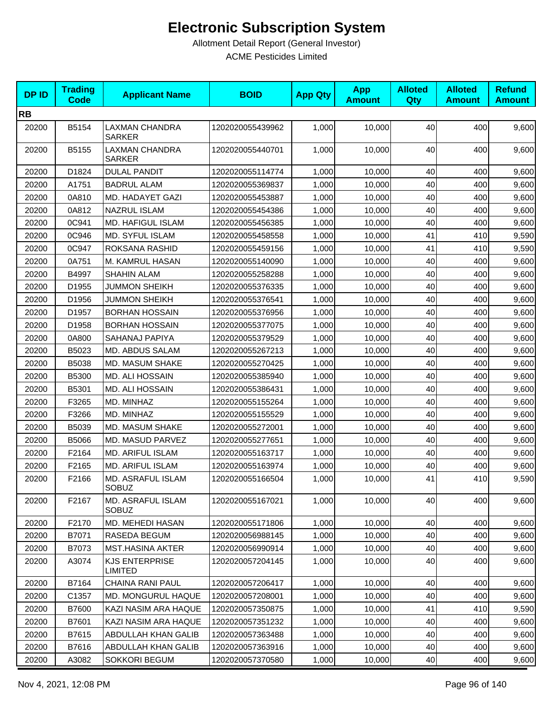| <b>DPID</b> | <b>Trading</b><br><b>Code</b> | <b>Applicant Name</b>                   | <b>BOID</b>      | <b>App Qty</b> | <b>App</b><br><b>Amount</b> | <b>Alloted</b><br><b>Qty</b> | <b>Alloted</b><br><b>Amount</b> | <b>Refund</b><br><b>Amount</b> |
|-------------|-------------------------------|-----------------------------------------|------------------|----------------|-----------------------------|------------------------------|---------------------------------|--------------------------------|
| <b>RB</b>   |                               |                                         |                  |                |                             |                              |                                 |                                |
| 20200       | B5154                         | <b>LAXMAN CHANDRA</b><br><b>SARKER</b>  | 1202020055439962 | 1,000          | 10,000                      | 40                           | 400                             | 9,600                          |
| 20200       | B5155                         | LAXMAN CHANDRA<br><b>SARKER</b>         | 1202020055440701 | 1,000          | 10,000                      | 40                           | 400                             | 9,600                          |
| 20200       | D1824                         | <b>DULAL PANDIT</b>                     | 1202020055114774 | 1,000          | 10,000                      | 40                           | 400                             | 9,600                          |
| 20200       | A1751                         | <b>BADRUL ALAM</b>                      | 1202020055369837 | 1,000          | 10,000                      | 40                           | 400                             | 9,600                          |
| 20200       | 0A810                         | MD. HADAYET GAZI                        | 1202020055453887 | 1,000          | 10,000                      | 40                           | 400                             | 9,600                          |
| 20200       | 0A812                         | <b>NAZRUL ISLAM</b>                     | 1202020055454386 | 1,000          | 10,000                      | 40                           | 400                             | 9,600                          |
| 20200       | 0C941                         | MD. HAFIGUL ISLAM                       | 1202020055456385 | 1,000          | 10,000                      | 40                           | 400                             | 9,600                          |
| 20200       | 0C946                         | MD. SYFUL ISLAM                         | 1202020055458558 | 1,000          | 10,000                      | 41                           | 410                             | 9,590                          |
| 20200       | 0C947                         | ROKSANA RASHID                          | 1202020055459156 | 1,000          | 10,000                      | 41                           | 410                             | 9,590                          |
| 20200       | 0A751                         | M. KAMRUL HASAN                         | 1202020055140090 | 1,000          | 10,000                      | 40                           | 400                             | 9,600                          |
| 20200       | B4997                         | <b>SHAHIN ALAM</b>                      | 1202020055258288 | 1,000          | 10,000                      | 40                           | 400                             | 9,600                          |
| 20200       | D1955                         | <b>JUMMON SHEIKH</b>                    | 1202020055376335 | 1,000          | 10,000                      | 40                           | 400                             | 9,600                          |
| 20200       | D1956                         | <b>JUMMON SHEIKH</b>                    | 1202020055376541 | 1,000          | 10,000                      | 40                           | 400                             | 9,600                          |
| 20200       | D1957                         | <b>BORHAN HOSSAIN</b>                   | 1202020055376956 | 1,000          | 10,000                      | 40                           | 400                             | 9,600                          |
| 20200       | D1958                         | <b>BORHAN HOSSAIN</b>                   | 1202020055377075 | 1,000          | 10,000                      | 40                           | 400                             | 9,600                          |
| 20200       | 0A800                         | SAHANAJ PAPIYA                          | 1202020055379529 | 1,000          | 10.000                      | 40                           | 400                             | 9,600                          |
| 20200       | B5023                         | MD. ABDUS SALAM                         | 1202020055267213 | 1,000          | 10,000                      | 40                           | 400                             | 9,600                          |
| 20200       | B5038                         | MD. MASUM SHAKE                         | 1202020055270425 | 1,000          | 10,000                      | 40                           | 400                             | 9,600                          |
| 20200       | B5300                         | MD. ALI HOSSAIN                         | 1202020055385940 | 1,000          | 10,000                      | 40                           | 400                             | 9,600                          |
| 20200       | B5301                         | MD. ALI HOSSAIN                         | 1202020055386431 | 1,000          | 10,000                      | 40                           | 400                             | 9,600                          |
| 20200       | F3265                         | MD. MINHAZ                              | 1202020055155264 | 1,000          | 10,000                      | 40                           | 400                             | 9,600                          |
| 20200       | F3266                         | MD. MINHAZ                              | 1202020055155529 | 1,000          | 10,000                      | 40                           | 400                             | 9,600                          |
| 20200       | B5039                         | MD. MASUM SHAKE                         | 1202020055272001 | 1,000          | 10,000                      | 40                           | 400                             | 9,600                          |
| 20200       | B5066                         | MD. MASUD PARVEZ                        | 1202020055277651 | 1,000          | 10,000                      | 40                           | 400                             | 9,600                          |
| 20200       | F2164                         | MD. ARIFUL ISLAM                        | 1202020055163717 | 1,000          | 10,000                      | 40                           | 400                             | 9,600                          |
| 20200       | F2165                         | MD. ARIFUL ISLAM                        | 1202020055163974 | 1,000          | 10,000                      | 40                           | 400                             | 9,600                          |
| 20200       | F2166                         | MD. ASRAFUL ISLAM<br><b>SOBUZ</b>       | 1202020055166504 | 1,000          | 10,000                      | 41                           | 410                             | 9,590                          |
| 20200       | F2167                         | MD. ASRAFUL ISLAM<br><b>SOBUZ</b>       | 1202020055167021 | 1,000          | 10.000                      | 40                           | 400                             | 9,600                          |
| 20200       | F2170                         | <b>MD. MEHEDI HASAN</b>                 | 1202020055171806 | 1,000          | 10,000                      | 40                           | 400                             | 9,600                          |
| 20200       | B7071                         | RASEDA BEGUM                            | 1202020056988145 | 1,000          | 10,000                      | 40                           | 400                             | 9,600                          |
| 20200       | B7073                         | <b>MST.HASINA AKTER</b>                 | 1202020056990914 | 1,000          | 10,000                      | 40                           | 400                             | 9,600                          |
| 20200       | A3074                         | <b>KJS ENTERPRISE</b><br><b>LIMITED</b> | 1202020057204145 | 1,000          | 10,000                      | 40                           | 400                             | 9,600                          |
| 20200       | B7164                         | <b>CHAINA RANI PAUL</b>                 | 1202020057206417 | 1,000          | 10,000                      | 40                           | 400                             | 9,600                          |
| 20200       | C1357                         | MD. MONGURUL HAQUE                      | 1202020057208001 | 1,000          | 10,000                      | 40                           | 400                             | 9,600                          |
| 20200       | B7600                         | KAZI NASIM ARA HAQUE                    | 1202020057350875 | 1,000          | 10,000                      | 41                           | 410                             | 9,590                          |
| 20200       | B7601                         | KAZI NASIM ARA HAQUE                    | 1202020057351232 | 1,000          | 10,000                      | 40                           | 400                             | 9,600                          |
| 20200       | B7615                         | ABDULLAH KHAN GALIB                     | 1202020057363488 | 1,000          | 10,000                      | 40                           | 400                             | 9,600                          |
| 20200       | B7616                         | ABDULLAH KHAN GALIB                     | 1202020057363916 | 1,000          | 10,000                      | 40                           | 400                             | 9,600                          |
| 20200       | A3082                         | SOKKORI BEGUM                           | 1202020057370580 | 1,000          | 10,000                      | 40                           | 400                             | 9,600                          |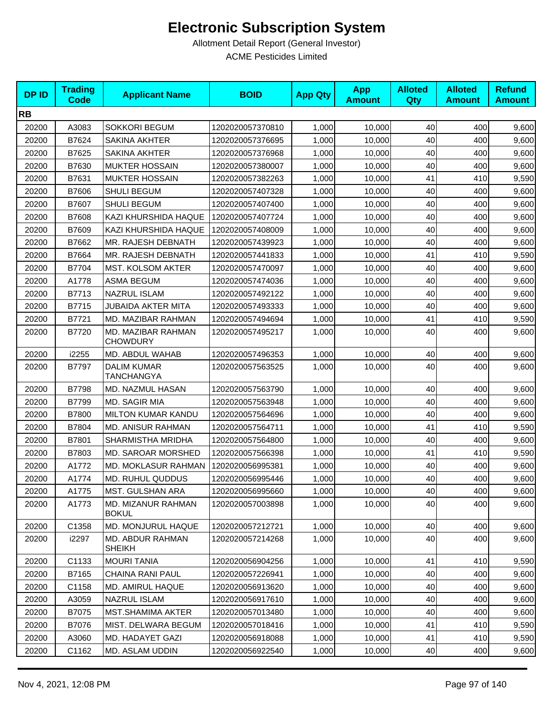| <b>DPID</b> | <b>Trading</b><br><b>Code</b> | <b>Applicant Name</b>                     | <b>BOID</b>      | <b>App Qty</b> | <b>App</b><br><b>Amount</b> | <b>Alloted</b><br>Qty | <b>Alloted</b><br><b>Amount</b> | <b>Refund</b><br><b>Amount</b> |
|-------------|-------------------------------|-------------------------------------------|------------------|----------------|-----------------------------|-----------------------|---------------------------------|--------------------------------|
| <b>RB</b>   |                               |                                           |                  |                |                             |                       |                                 |                                |
| 20200       | A3083                         | <b>SOKKORI BEGUM</b>                      | 1202020057370810 | 1,000          | 10,000                      | 40                    | 400                             | 9,600                          |
| 20200       | B7624                         | <b>SAKINA AKHTER</b>                      | 1202020057376695 | 1,000          | 10,000                      | 40                    | 400                             | 9,600                          |
| 20200       | B7625                         | <b>SAKINA AKHTER</b>                      | 1202020057376968 | 1,000          | 10,000                      | 40                    | 400                             | 9,600                          |
| 20200       | B7630                         | <b>MUKTER HOSSAIN</b>                     | 1202020057380007 | 1,000          | 10,000                      | 40                    | 400                             | 9,600                          |
| 20200       | B7631                         | <b>MUKTER HOSSAIN</b>                     | 1202020057382263 | 1,000          | 10,000                      | 41                    | 410                             | 9,590                          |
| 20200       | B7606                         | SHULI BEGUM                               | 1202020057407328 | 1,000          | 10,000                      | 40                    | 400                             | 9,600                          |
| 20200       | B7607                         | SHULI BEGUM                               | 1202020057407400 | 1,000          | 10,000                      | 40                    | 400                             | 9,600                          |
| 20200       | B7608                         | KAZI KHURSHIDA HAQUE                      | 1202020057407724 | 1,000          | 10,000                      | 40                    | 400                             | 9,600                          |
| 20200       | B7609                         | KAZI KHURSHIDA HAQUE                      | 1202020057408009 | 1,000          | 10,000                      | 40                    | 400                             | 9,600                          |
| 20200       | B7662                         | MR. RAJESH DEBNATH                        | 1202020057439923 | 1,000          | 10,000                      | 40                    | 400                             | 9,600                          |
| 20200       | B7664                         | MR. RAJESH DEBNATH                        | 1202020057441833 | 1,000          | 10,000                      | 41                    | 410                             | 9,590                          |
| 20200       | B7704                         | MST. KOLSOM AKTER                         | 1202020057470097 | 1,000          | 10,000                      | 40                    | 400                             | 9,600                          |
| 20200       | A1778                         | <b>ASMA BEGUM</b>                         | 1202020057474036 | 1,000          | 10,000                      | 40                    | 400                             | 9,600                          |
| 20200       | B7713                         | <b>NAZRUL ISLAM</b>                       | 1202020057492122 | 1,000          | 10,000                      | 40                    | 400                             | 9,600                          |
| 20200       | B7715                         | <b>JUBAIDA AKTER MITA</b>                 | 1202020057493333 | 1,000          | 10,000                      | 40                    | 400                             | 9,600                          |
| 20200       | B7721                         | MD. MAZIBAR RAHMAN                        | 1202020057494694 | 1,000          | 10,000                      | 41                    | 410                             | 9,590                          |
| 20200       | B7720                         | MD. MAZIBAR RAHMAN<br><b>CHOWDURY</b>     | 1202020057495217 | 1,000          | 10,000                      | 40                    | 400                             | 9,600                          |
| 20200       | i2255                         | MD. ABDUL WAHAB                           | 1202020057496353 | 1,000          | 10,000                      | 40                    | 400                             | 9,600                          |
| 20200       | B7797                         | <b>DALIM KUMAR</b><br>TANCHANGYA          | 1202020057563525 | 1,000          | 10,000                      | 40                    | 400                             | 9,600                          |
| 20200       | B7798                         | MD. NAZMUL HASAN                          | 1202020057563790 | 1,000          | 10,000                      | 40                    | 400                             | 9,600                          |
| 20200       | B7799                         | MD. SAGIR MIA                             | 1202020057563948 | 1,000          | 10,000                      | 40                    | 400                             | 9,600                          |
| 20200       | B7800                         | <b>MILTON KUMAR KANDU</b>                 | 1202020057564696 | 1,000          | 10,000                      | 40                    | 400                             | 9,600                          |
| 20200       | B7804                         | MD. ANISUR RAHMAN                         | 1202020057564711 | 1,000          | 10,000                      | 41                    | 410                             | 9,590                          |
| 20200       | B7801                         | SHARMISTHA MRIDHA                         | 1202020057564800 | 1,000          | 10,000                      | 40                    | 400                             | 9,600                          |
| 20200       | B7803                         | MD. SAROAR MORSHED                        | 1202020057566398 | 1,000          | 10,000                      | 41                    | 410                             | 9,590                          |
| 20200       | A1772                         | MD. MOKLASUR RAHMAN                       | 1202020056995381 | 1,000          | 10,000                      | 40                    | 400                             | 9,600                          |
| 20200       | A1774                         | MD. RUHUL QUDDUS                          | 1202020056995446 | 1,000          | 10,000                      | 40                    | 400                             | 9,600                          |
| 20200       | A1775                         | MST. GULSHAN ARA                          | 1202020056995660 | 1,000          | 10,000                      | 40                    | 400                             | 9,600                          |
| 20200       | A1773                         | <b>MD. MIZANUR RAHMAN</b><br><b>BOKUL</b> | 1202020057003898 | 1,000          | 10,000                      | 40                    | 400                             | 9,600                          |
| 20200       | C1358                         | MD. MONJURUL HAQUE                        | 1202020057212721 | 1,000          | 10,000                      | 40                    | 400                             | 9,600                          |
| 20200       | i2297                         | MD. ABDUR RAHMAN<br><b>SHEIKH</b>         | 1202020057214268 | 1,000          | 10,000                      | 40                    | 400                             | 9,600                          |
| 20200       | C1133                         | <b>MOURI TANIA</b>                        | 1202020056904256 | 1,000          | 10,000                      | 41                    | 410                             | 9,590                          |
| 20200       | B7165                         | CHAINA RANI PAUL                          | 1202020057226941 | 1,000          | 10,000                      | 40                    | 400                             | 9,600                          |
| 20200       | C1158                         | MD. AMIRUL HAQUE                          | 1202020056913620 | 1,000          | 10,000                      | 40                    | 400                             | 9,600                          |
| 20200       | A3059                         | <b>NAZRUL ISLAM</b>                       | 1202020056917610 | 1,000          | 10,000                      | 40                    | 400                             | 9,600                          |
| 20200       | B7075                         | <b>MST.SHAMIMA AKTER</b>                  | 1202020057013480 | 1,000          | 10,000                      | 40                    | 400                             | 9,600                          |
| 20200       | B7076                         | MIST. DELWARA BEGUM                       | 1202020057018416 | 1,000          | 10,000                      | 41                    | 410                             | 9,590                          |
| 20200       | A3060                         | MD. HADAYET GAZI                          | 1202020056918088 | 1,000          | 10,000                      | 41                    | 410                             | 9,590                          |
| 20200       | C1162                         | MD. ASLAM UDDIN                           | 1202020056922540 | 1,000          | 10,000                      | 40                    | 400                             | 9,600                          |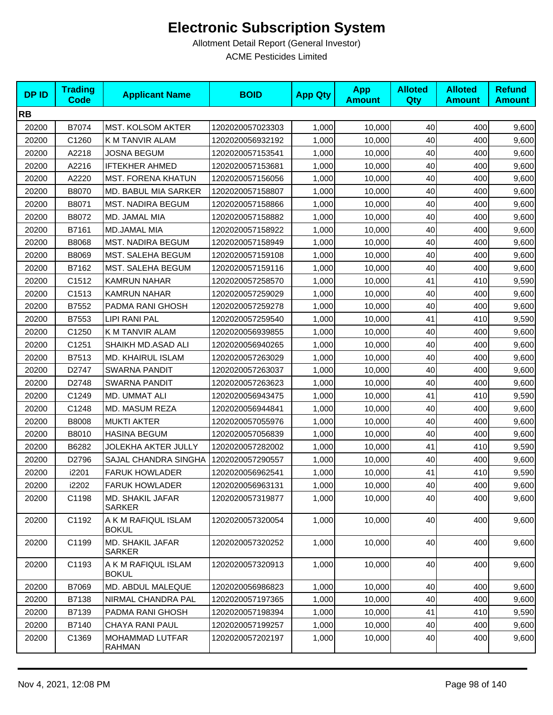| <b>DPID</b> | <b>Trading</b><br><b>Code</b> | <b>Applicant Name</b>                    | <b>BOID</b>      | <b>App Qty</b> | <b>App</b><br><b>Amount</b> | <b>Alloted</b><br>Qty | <b>Alloted</b><br><b>Amount</b> | <b>Refund</b><br><b>Amount</b> |
|-------------|-------------------------------|------------------------------------------|------------------|----------------|-----------------------------|-----------------------|---------------------------------|--------------------------------|
| <b>RB</b>   |                               |                                          |                  |                |                             |                       |                                 |                                |
| 20200       | B7074                         | <b>MST. KOLSOM AKTER</b>                 | 1202020057023303 | 1,000          | 10,000                      | 40                    | 400                             | 9,600                          |
| 20200       | C1260                         | K M TANVIR ALAM                          | 1202020056932192 | 1,000          | 10,000                      | 40                    | 400                             | 9,600                          |
| 20200       | A2218                         | JOSNA BEGUM                              | 1202020057153541 | 1,000          | 10,000                      | 40                    | 400                             | 9,600                          |
| 20200       | A2216                         | <b>IFTEKHER AHMED</b>                    | 1202020057153681 | 1,000          | 10,000                      | 40                    | 400                             | 9,600                          |
| 20200       | A2220                         | <b>MST. FORENA KHATUN</b>                | 1202020057156056 | 1,000          | 10,000                      | 40                    | 400                             | 9,600                          |
| 20200       | B8070                         | MD. BABUL MIA SARKER                     | 1202020057158807 | 1,000          | 10,000                      | 40                    | 400                             | 9,600                          |
| 20200       | B8071                         | <b>MST. NADIRA BEGUM</b>                 | 1202020057158866 | 1,000          | 10,000                      | 40                    | 400                             | 9,600                          |
| 20200       | B8072                         | MD. JAMAL MIA                            | 1202020057158882 | 1,000          | 10,000                      | 40                    | 400                             | 9,600                          |
| 20200       | B7161                         | <b>MD.JAMAL MIA</b>                      | 1202020057158922 | 1,000          | 10,000                      | 40                    | 400                             | 9,600                          |
| 20200       | B8068                         | <b>MST. NADIRA BEGUM</b>                 | 1202020057158949 | 1,000          | 10,000                      | 40                    | 400                             | 9,600                          |
| 20200       | B8069                         | MST. SALEHA BEGUM                        | 1202020057159108 | 1,000          | 10,000                      | 40                    | 400                             | 9,600                          |
| 20200       | B7162                         | MST. SALEHA BEGUM                        | 1202020057159116 | 1,000          | 10,000                      | 40                    | 400                             | 9,600                          |
| 20200       | C1512                         | KAMRUN NAHAR                             | 1202020057258570 | 1,000          | 10,000                      | 41                    | 410                             | 9,590                          |
| 20200       | C1513                         | <b>KAMRUN NAHAR</b>                      | 1202020057259029 | 1,000          | 10,000                      | 40                    | 400                             | 9,600                          |
| 20200       | B7552                         | PADMA RANI GHOSH                         | 1202020057259278 | 1,000          | 10,000                      | 40                    | 400                             | 9,600                          |
| 20200       | B7553                         | LIPI RANI PAL                            | 1202020057259540 | 1,000          | 10,000                      | 41                    | 410                             | 9,590                          |
| 20200       | C1250                         | K M TANVIR ALAM                          | 1202020056939855 | 1,000          | 10,000                      | 40                    | 400                             | 9,600                          |
| 20200       | C1251                         | SHAIKH MD.ASAD ALI                       | 1202020056940265 | 1,000          | 10,000                      | 40                    | 400                             | 9,600                          |
| 20200       | B7513                         | <b>MD. KHAIRUL ISLAM</b>                 | 1202020057263029 | 1,000          | 10,000                      | 40                    | 400                             | 9,600                          |
| 20200       | D2747                         | <b>SWARNA PANDIT</b>                     | 1202020057263037 | 1,000          | 10,000                      | 40                    | 400                             | 9,600                          |
| 20200       | D2748                         | <b>SWARNA PANDIT</b>                     | 1202020057263623 | 1,000          | 10,000                      | 40                    | 400                             | 9,600                          |
| 20200       | C1249                         | MD. UMMAT ALI                            | 1202020056943475 | 1,000          | 10,000                      | 41                    | 410                             | 9,590                          |
| 20200       | C1248                         | <b>MD. MASUM REZA</b>                    | 1202020056944841 | 1,000          | 10,000                      | 40                    | 400                             | 9,600                          |
| 20200       | B8008                         | <b>MUKTI AKTER</b>                       | 1202020057055976 | 1,000          | 10,000                      | 40                    | 400                             | 9,600                          |
| 20200       | B8010                         | <b>HASINA BEGUM</b>                      | 1202020057056839 | 1,000          | 10,000                      | 40                    | 400                             | 9,600                          |
| 20200       | B6282                         | JOLEKHA AKTER JULLY                      | 1202020057282002 | 1,000          | 10,000                      | 41                    | 410                             | 9,590                          |
| 20200       | D2796                         | SAJAL CHANDRA SINGHA                     | 1202020057290557 | 1,000          | 10,000                      | 40                    | 400                             | 9,600                          |
| 20200       | i2201                         | <b>FARUK HOWLADER</b>                    | 1202020056962541 | 1,000          | 10,000                      | 41                    | 410                             | 9,590                          |
| 20200       | i2202                         | <b>FARUK HOWLADER</b>                    | 1202020056963131 | 1,000          | 10,000                      | 40                    | 400                             | 9,600                          |
| 20200       | C1198                         | <b>MD. SHAKIL JAFAR</b><br><b>SARKER</b> | 1202020057319877 | 1,000          | 10,000                      | 40                    | 400                             | 9,600                          |
| 20200       | C1192                         | A K M RAFIQUL ISLAM<br><b>BOKUL</b>      | 1202020057320054 | 1,000          | 10,000                      | 40                    | 400                             | 9,600                          |
| 20200       | C1199                         | MD. SHAKIL JAFAR<br>SARKER               | 1202020057320252 | 1,000          | 10,000                      | 40                    | 400                             | 9,600                          |
| 20200       | C1193                         | A K M RAFIQUL ISLAM<br><b>BOKUL</b>      | 1202020057320913 | 1,000          | 10,000                      | 40                    | 400                             | 9,600                          |
| 20200       | B7069                         | MD. ABDUL MALEQUE                        | 1202020056986823 | 1,000          | 10,000                      | 40                    | 400                             | 9,600                          |
| 20200       | B7138                         | NIRMAL CHANDRA PAL                       | 1202020057197365 | 1,000          | 10,000                      | 40                    | 400                             | 9,600                          |
| 20200       | B7139                         | PADMA RANI GHOSH                         | 1202020057198394 | 1,000          | 10,000                      | 41                    | 410                             | 9,590                          |
| 20200       | B7140                         | <b>CHAYA RANI PAUL</b>                   | 1202020057199257 | 1,000          | 10,000                      | 40                    | 400                             | 9,600                          |
| 20200       | C1369                         | MOHAMMAD LUTFAR<br>RAHMAN                | 1202020057202197 | 1,000          | 10,000                      | 40                    | 400                             | 9,600                          |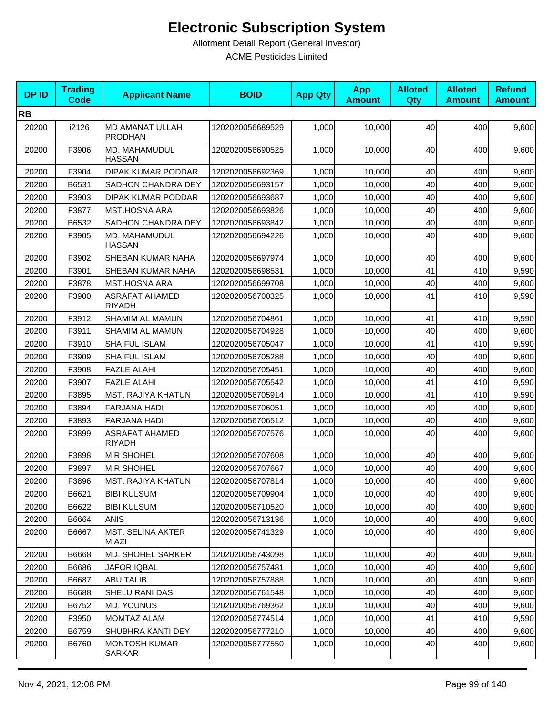| <b>DPID</b> | <b>Trading</b><br><b>Code</b> | <b>Applicant Name</b>                  | <b>BOID</b>      | <b>App Qty</b> | <b>App</b><br><b>Amount</b> | <b>Alloted</b><br>Qty | <b>Alloted</b><br><b>Amount</b> | <b>Refund</b><br><b>Amount</b> |
|-------------|-------------------------------|----------------------------------------|------------------|----------------|-----------------------------|-----------------------|---------------------------------|--------------------------------|
| <b>RB</b>   |                               |                                        |                  |                |                             |                       |                                 |                                |
| 20200       | i2126                         | MD AMANAT ULLAH<br><b>PRODHAN</b>      | 1202020056689529 | 1,000          | 10,000                      | 40                    | 400                             | 9,600                          |
| 20200       | F3906                         | MD. MAHAMUDUL<br><b>HASSAN</b>         | 1202020056690525 | 1,000          | 10,000                      | 40                    | 400                             | 9,600                          |
| 20200       | F3904                         | DIPAK KUMAR PODDAR                     | 1202020056692369 | 1,000          | 10,000                      | 40                    | 400                             | 9,600                          |
| 20200       | B6531                         | SADHON CHANDRA DEY                     | 1202020056693157 | 1,000          | 10,000                      | 40                    | 400                             | 9,600                          |
| 20200       | F3903                         | DIPAK KUMAR PODDAR                     | 1202020056693687 | 1,000          | 10,000                      | 40                    | 400                             | 9,600                          |
| 20200       | F3877                         | <b>MST.HOSNA ARA</b>                   | 1202020056693826 | 1,000          | 10,000                      | 40                    | 400                             | 9,600                          |
| 20200       | B6532                         | SADHON CHANDRA DEY                     | 1202020056693842 | 1,000          | 10,000                      | 40                    | 400                             | 9,600                          |
| 20200       | F3905                         | MD. MAHAMUDUL<br><b>HASSAN</b>         | 1202020056694226 | 1,000          | 10,000                      | 40                    | 400                             | 9,600                          |
| 20200       | F3902                         | SHEBAN KUMAR NAHA                      | 1202020056697974 | 1,000          | 10,000                      | 40                    | 400                             | 9,600                          |
| 20200       | F3901                         | SHEBAN KUMAR NAHA                      | 1202020056698531 | 1,000          | 10,000                      | 41                    | 410                             | 9,590                          |
| 20200       | F3878                         | <b>MST.HOSNA ARA</b>                   | 1202020056699708 | 1,000          | 10,000                      | 40                    | 400                             | 9,600                          |
| 20200       | F3900                         | <b>ASRAFAT AHAMED</b><br><b>RIYADH</b> | 1202020056700325 | 1,000          | 10,000                      | 41                    | 410                             | 9,590                          |
| 20200       | F3912                         | SHAMIM AL MAMUN                        | 1202020056704861 | 1,000          | 10,000                      | 41                    | 410                             | 9,590                          |
| 20200       | F3911                         | SHAMIM AL MAMUN                        | 1202020056704928 | 1,000          | 10.000                      | 40                    | 400                             | 9,600                          |
| 20200       | F3910                         | SHAIFUL ISLAM                          | 1202020056705047 | 1,000          | 10,000                      | 41                    | 410                             | 9,590                          |
| 20200       | F3909                         | SHAIFUL ISLAM                          | 1202020056705288 | 1,000          | 10,000                      | 40                    | 400                             | 9,600                          |
| 20200       | F3908                         | <b>FAZLE ALAHI</b>                     | 1202020056705451 | 1,000          | 10,000                      | 40                    | 400                             | 9,600                          |
| 20200       | F3907                         | <b>FAZLE ALAHI</b>                     | 1202020056705542 | 1,000          | 10,000                      | 41                    | 410                             | 9,590                          |
| 20200       | F3895                         | <b>MST. RAJIYA KHATUN</b>              | 1202020056705914 | 1,000          | 10,000                      | 41                    | 410                             | 9,590                          |
| 20200       | F3894                         | FARJANA HADI                           | 1202020056706051 | 1,000          | 10,000                      | 40                    | 400                             | 9,600                          |
| 20200       | F3893                         | <b>FARJANA HADI</b>                    | 1202020056706512 | 1,000          | 10,000                      | 40                    | 400                             | 9,600                          |
| 20200       | F3899                         | <b>ASRAFAT AHAMED</b><br><b>RIYADH</b> | 1202020056707576 | 1,000          | 10,000                      | 40                    | 400                             | 9,600                          |
| 20200       | F3898                         | <b>MIR SHOHEL</b>                      | 1202020056707608 | 1,000          | 10,000                      | 40                    | 400                             | 9,600                          |
| 20200       | F3897                         | <b>MIR SHOHEL</b>                      | 1202020056707667 | 1,000          | 10,000                      | 40                    | 400                             | 9,600                          |
| 20200       | F3896                         | <b>MST. RAJIYA KHATUN</b>              | 1202020056707814 | 1,000          | 10,000                      | 40                    | 400                             | 9,600                          |
| 20200       | B6621                         | <b>BIBI KULSUM</b>                     | 1202020056709904 | 1,000          | 10,000                      | 40                    | 400                             | 9,600                          |
| 20200       | B6622                         | <b>BIBI KULSUM</b>                     | 1202020056710520 | 1,000          | 10,000                      | 40                    | 400                             | 9,600                          |
| 20200       | B6664                         | <b>ANIS</b>                            | 1202020056713136 | 1,000          | 10,000                      | 40                    | 400                             | 9,600                          |
| 20200       | B6667                         | <b>MST. SELINA AKTER</b><br>MIAZI      | 1202020056741329 | 1,000          | 10,000                      | 40                    | 400                             | 9,600                          |
| 20200       | B6668                         | MD. SHOHEL SARKER                      | 1202020056743098 | 1,000          | 10,000                      | 40                    | 400                             | 9,600                          |
| 20200       | B6686                         | <b>JAFOR IQBAL</b>                     | 1202020056757481 | 1,000          | 10,000                      | 40                    | 400                             | 9,600                          |
| 20200       | B6687                         | <b>ABU TALIB</b>                       | 1202020056757888 | 1,000          | 10,000                      | 40                    | 400                             | 9,600                          |
| 20200       | B6688                         | SHELU RANI DAS                         | 1202020056761548 | 1,000          | 10,000                      | 40                    | 400                             | 9,600                          |
| 20200       | B6752                         | MD. YOUNUS                             | 1202020056769362 | 1,000          | 10,000                      | 40                    | 400                             | 9,600                          |
| 20200       | F3950                         | MOMTAZ ALAM                            | 1202020056774514 | 1,000          | 10,000                      | 41                    | 410                             | 9,590                          |
| 20200       | B6759                         | SHUBHRA KANTI DEY                      | 1202020056777210 | 1,000          | 10,000                      | 40                    | 400                             | 9,600                          |
| 20200       | B6760                         | <b>MONTOSH KUMAR</b><br>SARKAR         | 1202020056777550 | 1,000          | 10,000                      | 40                    | 400                             | 9,600                          |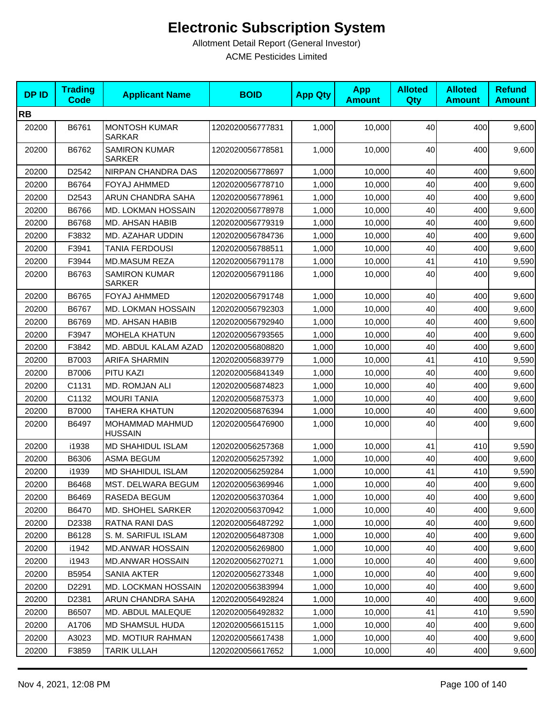| <b>DPID</b> | <b>Trading</b><br><b>Code</b> | <b>Applicant Name</b>                 | <b>BOID</b>      | <b>App Qty</b> | <b>App</b><br><b>Amount</b> | <b>Alloted</b><br><b>Qty</b> | <b>Alloted</b><br><b>Amount</b> | <b>Refund</b><br><b>Amount</b> |
|-------------|-------------------------------|---------------------------------------|------------------|----------------|-----------------------------|------------------------------|---------------------------------|--------------------------------|
| <b>RB</b>   |                               |                                       |                  |                |                             |                              |                                 |                                |
| 20200       | B6761                         | <b>MONTOSH KUMAR</b><br><b>SARKAR</b> | 1202020056777831 | 1,000          | 10,000                      | 40                           | 400                             | 9,600                          |
| 20200       | B6762                         | <b>SAMIRON KUMAR</b><br><b>SARKER</b> | 1202020056778581 | 1,000          | 10,000                      | 40                           | 400                             | 9,600                          |
| 20200       | D2542                         | NIRPAN CHANDRA DAS                    | 1202020056778697 | 1,000          | 10,000                      | 40                           | 400                             | 9,600                          |
| 20200       | B6764                         | <b>FOYAJ AHMMED</b>                   | 1202020056778710 | 1,000          | 10,000                      | 40                           | 400                             | 9,600                          |
| 20200       | D2543                         | ARUN CHANDRA SAHA                     | 1202020056778961 | 1,000          | 10,000                      | 40                           | 400                             | 9,600                          |
| 20200       | B6766                         | MD. LOKMAN HOSSAIN                    | 1202020056778978 | 1,000          | 10,000                      | 40                           | 400                             | 9,600                          |
| 20200       | B6768                         | MD. AHSAN HABIB                       | 1202020056779319 | 1,000          | 10,000                      | 40                           | 400                             | 9,600                          |
| 20200       | F3832                         | MD. AZAHAR UDDIN                      | 1202020056784736 | 1,000          | 10,000                      | 40                           | 400                             | 9,600                          |
| 20200       | F3941                         | <b>TANIA FERDOUSI</b>                 | 1202020056788511 | 1,000          | 10,000                      | 40                           | 400                             | 9,600                          |
| 20200       | F3944                         | <b>MD.MASUM REZA</b>                  | 1202020056791178 | 1,000          | 10,000                      | 41                           | 410                             | 9,590                          |
| 20200       | B6763                         | <b>SAMIRON KUMAR</b><br><b>SARKER</b> | 1202020056791186 | 1,000          | 10,000                      | 40                           | 400                             | 9,600                          |
| 20200       | B6765                         | <b>FOYAJ AHMMED</b>                   | 1202020056791748 | 1,000          | 10,000                      | 40                           | 400                             | 9,600                          |
| 20200       | B6767                         | MD. LOKMAN HOSSAIN                    | 1202020056792303 | 1,000          | 10,000                      | 40                           | 400                             | 9,600                          |
| 20200       | B6769                         | MD. AHSAN HABIB                       | 1202020056792940 | 1,000          | 10,000                      | 40                           | 400                             | 9,600                          |
| 20200       | F3947                         | <b>MOHELA KHATUN</b>                  | 1202020056793565 | 1,000          | 10,000                      | 40                           | 400                             | 9,600                          |
| 20200       | F3842                         | MD. ABDUL KALAM AZAD                  | 1202020056808820 | 1,000          | 10,000                      | 40                           | 400                             | 9,600                          |
| 20200       | B7003                         | <b>ARIFA SHARMIN</b>                  | 1202020056839779 | 1,000          | 10,000                      | 41                           | 410                             | 9,590                          |
| 20200       | B7006                         | PITU KAZI                             | 1202020056841349 | 1,000          | 10,000                      | 40                           | 400                             | 9,600                          |
| 20200       | C1131                         | MD. ROMJAN ALI                        | 1202020056874823 | 1,000          | 10,000                      | 40                           | 400                             | 9,600                          |
| 20200       | C1132                         | <b>MOURI TANIA</b>                    | 1202020056875373 | 1,000          | 10,000                      | 40                           | 400                             | 9,600                          |
| 20200       | <b>B7000</b>                  | <b>TAHERA KHATUN</b>                  | 1202020056876394 | 1,000          | 10,000                      | 40                           | 400                             | 9,600                          |
| 20200       | B6497                         | MOHAMMAD MAHMUD<br><b>HUSSAIN</b>     | 1202020056476900 | 1,000          | 10,000                      | 40                           | 400                             | 9,600                          |
| 20200       | i1938                         | <b>MD SHAHIDUL ISLAM</b>              | 1202020056257368 | 1,000          | 10,000                      | 41                           | 410                             | 9,590                          |
| 20200       | B6306                         | ASMA BEGUM                            | 1202020056257392 | 1,000          | 10,000                      | 40                           | 400                             | 9,600                          |
| 20200       | i1939                         | <b>MD SHAHIDUL ISLAM</b>              | 1202020056259284 | 1,000          | 10,000                      | 41                           | 410                             | 9,590                          |
| 20200       | B6468                         | <b>MST. DELWARA BEGUM</b>             | 1202020056369946 | 1,000          | 10,000                      | 40 <sup>l</sup>              | 400                             | 9,600                          |
| 20200       | B6469                         | RASEDA BEGUM                          | 1202020056370364 | 1,000          | 10,000                      | 40                           | 400                             | 9,600                          |
| 20200       | B6470                         | MD. SHOHEL SARKER                     | 1202020056370942 | 1,000          | 10,000                      | 40                           | 400                             | 9,600                          |
| 20200       | D2338                         | RATNA RANI DAS                        | 1202020056487292 | 1,000          | 10,000                      | 40                           | 400                             | 9,600                          |
| 20200       | B6128                         | S. M. SARIFUL ISLAM                   | 1202020056487308 | 1,000          | 10,000                      | 40                           | 400                             | 9,600                          |
| 20200       | i1942                         | <b>MD.ANWAR HOSSAIN</b>               | 1202020056269800 | 1,000          | 10,000                      | 40                           | 400                             | 9,600                          |
| 20200       | i1943                         | <b>MD.ANWAR HOSSAIN</b>               | 1202020056270271 | 1,000          | 10,000                      | 40                           | 400                             | 9,600                          |
| 20200       | B5954                         | SANIA AKTER                           | 1202020056273348 | 1,000          | 10,000                      | 40                           | 400                             | 9,600                          |
| 20200       | D2291                         | <b>MD. LOCKMAN HOSSAIN</b>            | 1202020056383994 | 1,000          | 10,000                      | 40                           | 400                             | 9,600                          |
| 20200       | D2381                         | ARUN CHANDRA SAHA                     | 1202020056492824 | 1,000          | 10,000                      | 40                           | 400                             | 9,600                          |
| 20200       | B6507                         | MD. ABDUL MALEQUE                     | 1202020056492832 | 1,000          | 10,000                      | 41                           | 410                             | 9,590                          |
| 20200       | A1706                         | MD SHAMSUL HUDA                       | 1202020056615115 | 1,000          | 10,000                      | 40                           | 400                             | 9,600                          |
| 20200       | A3023                         | MD. MOTIUR RAHMAN                     | 1202020056617438 | 1,000          | 10,000                      | 40                           | 400                             | 9,600                          |
| 20200       | F3859                         | TARIK ULLAH                           | 1202020056617652 | 1,000          | 10,000                      | 40                           | 400                             | 9,600                          |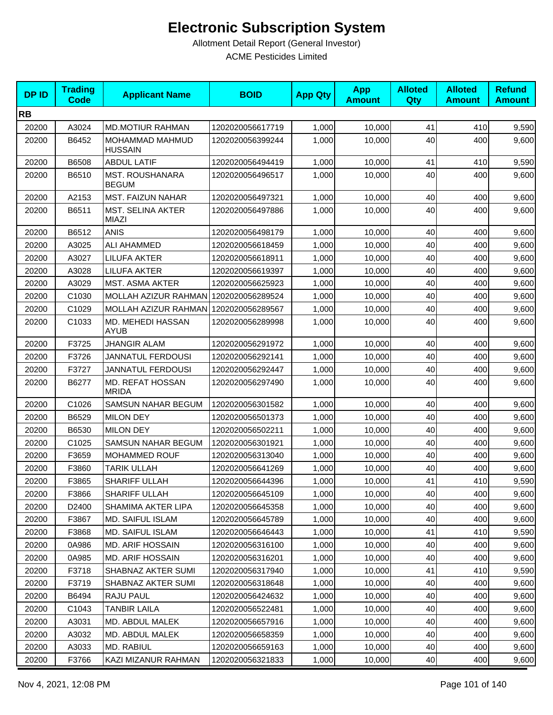| <b>DPID</b> | <b>Trading</b><br><b>Code</b> | <b>Applicant Name</b>                    | <b>BOID</b>      | <b>App Qty</b> | <b>App</b><br><b>Amount</b> | <b>Alloted</b><br><b>Qty</b> | <b>Alloted</b><br><b>Amount</b> | <b>Refund</b><br><b>Amount</b> |
|-------------|-------------------------------|------------------------------------------|------------------|----------------|-----------------------------|------------------------------|---------------------------------|--------------------------------|
| <b>RB</b>   |                               |                                          |                  |                |                             |                              |                                 |                                |
| 20200       | A3024                         | <b>MD.MOTIUR RAHMAN</b>                  | 1202020056617719 | 1,000          | 10,000                      | 41                           | 410                             | 9,590                          |
| 20200       | B6452                         | MOHAMMAD MAHMUD<br><b>HUSSAIN</b>        | 1202020056399244 | 1,000          | 10.000                      | 40                           | 400                             | 9,600                          |
| 20200       | B6508                         | <b>ABDUL LATIF</b>                       | 1202020056494419 | 1,000          | 10,000                      | 41                           | 410                             | 9,590                          |
| 20200       | B6510                         | <b>MST. ROUSHANARA</b><br><b>BEGUM</b>   | 1202020056496517 | 1,000          | 10,000                      | 40                           | 400                             | 9,600                          |
| 20200       | A2153                         | <b>MST. FAIZUN NAHAR</b>                 | 1202020056497321 | 1,000          | 10,000                      | 40                           | 400                             | 9,600                          |
| 20200       | B6511                         | <b>MST. SELINA AKTER</b><br><b>MIAZI</b> | 1202020056497886 | 1,000          | 10,000                      | 40                           | 400                             | 9,600                          |
| 20200       | B6512                         | <b>ANIS</b>                              | 1202020056498179 | 1,000          | 10,000                      | 40                           | 400                             | 9,600                          |
| 20200       | A3025                         | ALI AHAMMED                              | 1202020056618459 | 1,000          | 10,000                      | 40                           | 400                             | 9,600                          |
| 20200       | A3027                         | <b>LILUFA AKTER</b>                      | 1202020056618911 | 1,000          | 10,000                      | 40                           | 400                             | 9,600                          |
| 20200       | A3028                         | <b>LILUFA AKTER</b>                      | 1202020056619397 | 1,000          | 10,000                      | 40                           | 400                             | 9,600                          |
| 20200       | A3029                         | <b>MST. ASMA AKTER</b>                   | 1202020056625923 | 1,000          | 10,000                      | 40                           | 400                             | 9,600                          |
| 20200       | C1030                         | MOLLAH AZIZUR RAHMAN                     | 1202020056289524 | 1,000          | 10,000                      | 40                           | 400                             | 9,600                          |
| 20200       | C1029                         | MOLLAH AZIZUR RAHMAN                     | 1202020056289567 | 1,000          | 10,000                      | 40                           | 400                             | 9,600                          |
| 20200       | C1033                         | MD. MEHEDI HASSAN<br><b>AYUB</b>         | 1202020056289998 | 1,000          | 10,000                      | 40                           | 400                             | 9,600                          |
| 20200       | F3725                         | <b>JHANGIR ALAM</b>                      | 1202020056291972 | 1,000          | 10,000                      | 40                           | 400                             | 9,600                          |
| 20200       | F3726                         | <b>JANNATUL FERDOUSI</b>                 | 1202020056292141 | 1,000          | 10,000                      | 40                           | 400                             | 9,600                          |
| 20200       | F3727                         | <b>JANNATUL FERDOUSI</b>                 | 1202020056292447 | 1,000          | 10,000                      | 40                           | 400                             | 9,600                          |
| 20200       | B6277                         | MD. REFAT HOSSAN<br><b>MRIDA</b>         | 1202020056297490 | 1,000          | 10,000                      | 40                           | 400                             | 9,600                          |
| 20200       | C1026                         | SAMSUN NAHAR BEGUM                       | 1202020056301582 | 1,000          | 10,000                      | 40                           | 400                             | 9,600                          |
| 20200       | B6529                         | <b>MILON DEY</b>                         | 1202020056501373 | 1,000          | 10,000                      | 40                           | 400                             | 9,600                          |
| 20200       | B6530                         | <b>MILON DEY</b>                         | 1202020056502211 | 1,000          | 10,000                      | 40                           | 400                             | 9,600                          |
| 20200       | C1025                         | SAMSUN NAHAR BEGUM                       | 1202020056301921 | 1,000          | 10,000                      | 40                           | 400                             | 9,600                          |
| 20200       | F3659                         | <b>MOHAMMED ROUF</b>                     | 1202020056313040 | 1,000          | 10,000                      | 40                           | 400                             | 9,600                          |
| 20200       | F3860                         | <b>TARIK ULLAH</b>                       | 1202020056641269 | 1,000          | 10,000                      | 40                           | 400                             | 9,600                          |
| 20200       | F3865                         | SHARIFF ULLAH                            | 1202020056644396 | 1,000          | 10,000                      | 41                           | 410                             | 9,590                          |
| 20200       | F3866                         | SHARIFF ULLAH                            | 1202020056645109 | 1,000          | 10,000                      | 40                           | 400                             | 9,600                          |
| 20200       | D2400                         | <b>SHAMIMA AKTER LIPA</b>                | 1202020056645358 | 1,000          | 10,000                      | 40                           | 400                             | 9,600                          |
| 20200       | F3867                         | <b>MD. SAIFUL ISLAM</b>                  | 1202020056645789 | 1,000          | 10,000                      | 40                           | 400                             | 9,600                          |
| 20200       | F3868                         | MD. SAIFUL ISLAM                         | 1202020056646443 | 1,000          | 10,000                      | 41                           | 410                             | 9,590                          |
| 20200       | 0A986                         | <b>MD. ARIF HOSSAIN</b>                  | 1202020056316100 | 1,000          | 10,000                      | 40                           | 400                             | 9,600                          |
| 20200       | 0A985                         | MD. ARIF HOSSAIN                         | 1202020056316201 | 1,000          | 10,000                      | 40                           | 400                             | 9,600                          |
| 20200       | F3718                         | SHABNAZ AKTER SUMI                       | 1202020056317940 | 1,000          | 10,000                      | 41                           | 410                             | 9,590                          |
| 20200       | F3719                         | SHABNAZ AKTER SUMI                       | 1202020056318648 | 1,000          | 10,000                      | 40                           | 400                             | 9,600                          |
| 20200       | B6494                         | RAJU PAUL                                | 1202020056424632 | 1,000          | 10,000                      | 40                           | 400                             | 9,600                          |
| 20200       | C1043                         | TANBIR LAILA                             | 1202020056522481 | 1,000          | 10,000                      | 40                           | 400                             | 9,600                          |
| 20200       | A3031                         | MD. ABDUL MALEK                          | 1202020056657916 | 1,000          | 10,000                      | 40                           | 400                             | 9,600                          |
| 20200       | A3032                         | MD. ABDUL MALEK                          | 1202020056658359 | 1,000          | 10,000                      | 40                           | 400                             | 9,600                          |
| 20200       | A3033                         | MD. RABIUL                               | 1202020056659163 | 1,000          | 10,000                      | 40                           | 400                             | 9,600                          |
| 20200       | F3766                         | KAZI MIZANUR RAHMAN                      | 1202020056321833 | 1,000          | 10,000                      | 40                           | 400                             | 9,600                          |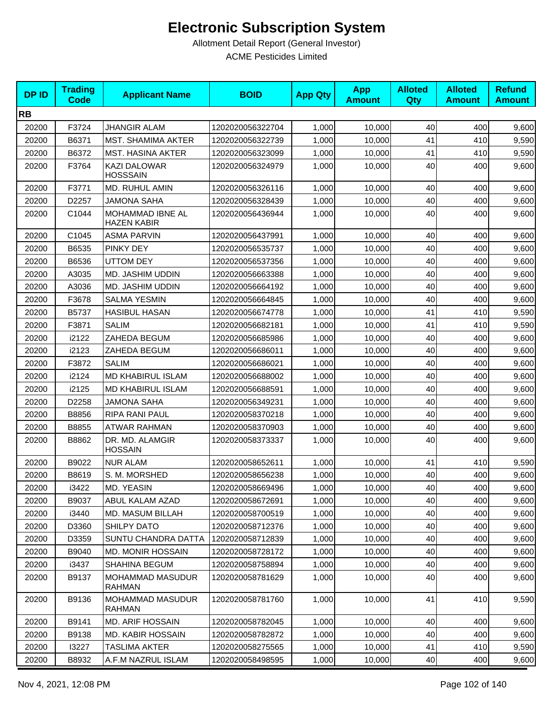| <b>DPID</b> | <b>Trading</b><br><b>Code</b> | <b>Applicant Name</b>                    | <b>BOID</b>      | <b>App Qty</b> | <b>App</b><br><b>Amount</b> | <b>Alloted</b><br>Qty | <b>Alloted</b><br><b>Amount</b> | <b>Refund</b><br><b>Amount</b> |
|-------------|-------------------------------|------------------------------------------|------------------|----------------|-----------------------------|-----------------------|---------------------------------|--------------------------------|
| <b>RB</b>   |                               |                                          |                  |                |                             |                       |                                 |                                |
| 20200       | F3724                         | <b>JHANGIR ALAM</b>                      | 1202020056322704 | 1,000          | 10,000                      | 40                    | 400                             | 9,600                          |
| 20200       | B6371                         | MST. SHAMIMA AKTER                       | 1202020056322739 | 1,000          | 10,000                      | 41                    | 410                             | 9,590                          |
| 20200       | B6372                         | <b>MST. HASINA AKTER</b>                 | 1202020056323099 | 1,000          | 10,000                      | 41                    | 410                             | 9,590                          |
| 20200       | F3764                         | <b>KAZI DALOWAR</b><br><b>HOSSSAIN</b>   | 1202020056324979 | 1,000          | 10,000                      | 40                    | 400                             | 9,600                          |
| 20200       | F3771                         | MD. RUHUL AMIN                           | 1202020056326116 | 1,000          | 10,000                      | 40                    | 400                             | 9,600                          |
| 20200       | D2257                         | <b>JAMONA SAHA</b>                       | 1202020056328439 | 1,000          | 10,000                      | 40                    | 400                             | 9,600                          |
| 20200       | C1044                         | MOHAMMAD IBNE AL<br><b>HAZEN KABIR</b>   | 1202020056436944 | 1,000          | 10,000                      | 40                    | 400                             | 9,600                          |
| 20200       | C1045                         | <b>ASMA PARVIN</b>                       | 1202020056437991 | 1,000          | 10,000                      | 40                    | 400                             | 9,600                          |
| 20200       | B6535                         | PINKY DEY                                | 1202020056535737 | 1,000          | 10,000                      | 40                    | 400                             | 9,600                          |
| 20200       | B6536                         | <b>UTTOM DEY</b>                         | 1202020056537356 | 1,000          | 10,000                      | 40                    | 400                             | 9,600                          |
| 20200       | A3035                         | MD. JASHIM UDDIN                         | 1202020056663388 | 1,000          | 10,000                      | 40                    | 400                             | 9,600                          |
| 20200       | A3036                         | MD. JASHIM UDDIN                         | 1202020056664192 | 1,000          | 10,000                      | 40                    | 400                             | 9,600                          |
| 20200       | F3678                         | <b>SALMA YESMIN</b>                      | 1202020056664845 | 1,000          | 10,000                      | 40                    | 400                             | 9,600                          |
| 20200       | B5737                         | <b>HASIBUL HASAN</b>                     | 1202020056674778 | 1,000          | 10,000                      | 41                    | 410                             | 9,590                          |
| 20200       | F3871                         | <b>SALIM</b>                             | 1202020056682181 | 1,000          | 10,000                      | 41                    | 410                             | 9,590                          |
| 20200       | i2122                         | ZAHEDA BEGUM                             | 1202020056685986 | 1,000          | 10,000                      | 40                    | 400                             | 9,600                          |
| 20200       | i2123                         | ZAHEDA BEGUM                             | 1202020056686011 | 1,000          | 10,000                      | 40                    | 400                             | 9,600                          |
| 20200       | F3872                         | <b>SALIM</b>                             | 1202020056686021 | 1,000          | 10,000                      | 40                    | 400                             | 9,600                          |
| 20200       | i2124                         | <b>MD KHABIRUL ISLAM</b>                 | 1202020056688002 | 1,000          | 10,000                      | 40                    | 400                             | 9,600                          |
| 20200       | i2125                         | MD KHABIRUL ISLAM                        | 1202020056688591 | 1,000          | 10,000                      | 40                    | 400                             | 9,600                          |
| 20200       | D2258                         | <b>JAMONA SAHA</b>                       | 1202020056349231 | 1,000          | 10,000                      | 40                    | 400                             | 9,600                          |
| 20200       | B8856                         | RIPA RANI PAUL                           | 1202020058370218 | 1,000          | 10,000                      | 40                    | 400                             | 9,600                          |
| 20200       | B8855                         | <b>ATWAR RAHMAN</b>                      | 1202020058370903 | 1,000          | 10,000                      | 40                    | 400                             | 9,600                          |
| 20200       | B8862                         | DR. MD. ALAMGIR<br><b>HOSSAIN</b>        | 1202020058373337 | 1,000          | 10,000                      | 40                    | 400                             | 9,600                          |
| 20200       | B9022                         | <b>NUR ALAM</b>                          | 1202020058652611 | 1,000          | 10,000                      | 41                    | 410                             | 9,590                          |
| 20200       | B8619                         | S. M. MORSHED                            | 1202020058656238 | 1,000          | 10,000                      | 40                    | 400                             | 9,600                          |
| 20200       | i3422                         | MD. YEASIN                               | 1202020058669496 | 1,000          | 10,000                      | $40\,$                | 400                             | 9,600                          |
| 20200       | B9037                         | ABUL KALAM AZAD                          | 1202020058672691 | 1,000          | 10,000                      | 40                    | 400                             | 9,600                          |
| 20200       | i3440                         | MD. MASUM BILLAH                         | 1202020058700519 | 1,000          | 10,000                      | 40                    | 400                             | 9,600                          |
| 20200       | D3360                         | SHILPY DATO                              | 1202020058712376 | 1,000          | 10,000                      | 40                    | 400                             | 9,600                          |
| 20200       | D3359                         | SUNTU CHANDRA DATTA                      | 1202020058712839 | 1,000          | 10,000                      | 40                    | 400                             | 9,600                          |
| 20200       | B9040                         | MD. MONIR HOSSAIN                        | 1202020058728172 | 1,000          | 10,000                      | 40                    | 400                             | 9,600                          |
| 20200       | i3437                         | SHAHINA BEGUM                            | 1202020058758894 | 1,000          | 10,000                      | 40                    | 400                             | 9,600                          |
| 20200       | B9137                         | <b>MOHAMMAD MASUDUR</b><br><b>RAHMAN</b> | 1202020058781629 | 1,000          | 10,000                      | 40                    | 400                             | 9,600                          |
| 20200       | B9136                         | <b>MOHAMMAD MASUDUR</b><br>RAHMAN        | 1202020058781760 | 1,000          | 10.000                      | 41                    | 410                             | 9,590                          |
| 20200       | B9141                         | <b>MD. ARIF HOSSAIN</b>                  | 1202020058782045 | 1,000          | 10,000                      | 40                    | 400                             | 9,600                          |
| 20200       | B9138                         | <b>MD. KABIR HOSSAIN</b>                 | 1202020058782872 | 1,000          | 10,000                      | 40                    | 400                             | 9,600                          |
| 20200       | 13227                         | TASLIMA AKTER                            | 1202020058275565 | 1,000          | 10,000                      | 41                    | 410                             | 9,590                          |
| 20200       | B8932                         | A.F.M NAZRUL ISLAM                       | 1202020058498595 | 1,000          | 10,000                      | 40                    | 400                             | 9,600                          |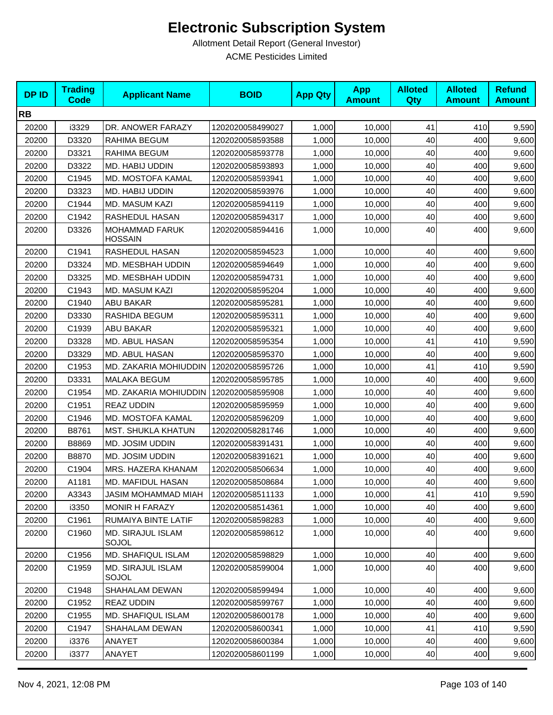| <b>DPID</b> | <b>Trading</b><br><b>Code</b> | <b>Applicant Name</b>                   | <b>BOID</b>      | <b>App Qty</b> | <b>App</b><br><b>Amount</b> | <b>Alloted</b><br>Qty | <b>Alloted</b><br><b>Amount</b> | <b>Refund</b><br><b>Amount</b> |
|-------------|-------------------------------|-----------------------------------------|------------------|----------------|-----------------------------|-----------------------|---------------------------------|--------------------------------|
| <b>RB</b>   |                               |                                         |                  |                |                             |                       |                                 |                                |
| 20200       | i3329                         | DR. ANOWER FARAZY                       | 1202020058499027 | 1,000          | 10,000                      | 41                    | 410                             | 9,590                          |
| 20200       | D3320                         | RAHIMA BEGUM                            | 1202020058593588 | 1,000          | 10,000                      | 40                    | 400                             | 9,600                          |
| 20200       | D3321                         | RAHIMA BEGUM                            | 1202020058593778 | 1,000          | 10,000                      | 40                    | 400                             | 9,600                          |
| 20200       | D3322                         | MD. HABIJ UDDIN                         | 1202020058593893 | 1,000          | 10,000                      | 40                    | 400                             | 9,600                          |
| 20200       | C1945                         | <b>MD. MOSTOFA KAMAL</b>                | 1202020058593941 | 1,000          | 10,000                      | 40                    | 400                             | 9,600                          |
| 20200       | D3323                         | MD. HABIJ UDDIN                         | 1202020058593976 | 1,000          | 10,000                      | 40                    | 400                             | 9,600                          |
| 20200       | C1944                         | <b>MD. MASUM KAZI</b>                   | 1202020058594119 | 1,000          | 10,000                      | 40                    | 400                             | 9,600                          |
| 20200       | C1942                         | RASHEDUL HASAN                          | 1202020058594317 | 1,000          | 10,000                      | 40                    | 400                             | 9,600                          |
| 20200       | D3326                         | <b>MOHAMMAD FARUK</b><br><b>HOSSAIN</b> | 1202020058594416 | 1,000          | 10,000                      | 40                    | 400                             | 9,600                          |
| 20200       | C1941                         | RASHEDUL HASAN                          | 1202020058594523 | 1,000          | 10,000                      | 40                    | 400                             | 9,600                          |
| 20200       | D3324                         | MD. MESBHAH UDDIN                       | 1202020058594649 | 1,000          | 10,000                      | 40                    | 400                             | 9,600                          |
| 20200       | D3325                         | MD. MESBHAH UDDIN                       | 1202020058594731 | 1,000          | 10,000                      | 40                    | 400                             | 9,600                          |
| 20200       | C1943                         | <b>MD. MASUM KAZI</b>                   | 1202020058595204 | 1,000          | 10,000                      | 40                    | 400                             | 9,600                          |
| 20200       | C1940                         | <b>ABU BAKAR</b>                        | 1202020058595281 | 1,000          | 10,000                      | 40                    | 400                             | 9,600                          |
| 20200       | D3330                         | RASHIDA BEGUM                           | 1202020058595311 | 1,000          | 10,000                      | 40                    | 400                             | 9,600                          |
| 20200       | C1939                         | <b>ABU BAKAR</b>                        | 1202020058595321 | 1,000          | 10,000                      | 40                    | 400                             | 9,600                          |
| 20200       | D3328                         | MD. ABUL HASAN                          | 1202020058595354 | 1,000          | 10,000                      | 41                    | 410                             | 9,590                          |
| 20200       | D3329                         | MD. ABUL HASAN                          | 1202020058595370 | 1,000          | 10,000                      | 40                    | 400                             | 9,600                          |
| 20200       | C1953                         | MD. ZAKARIA MOHIUDDIN                   | 1202020058595726 | 1,000          | 10,000                      | 41                    | 410                             | 9,590                          |
| 20200       | D3331                         | <b>MALAKA BEGUM</b>                     | 1202020058595785 | 1,000          | 10,000                      | 40                    | 400                             | 9,600                          |
| 20200       | C1954                         | MD. ZAKARIA MOHIUDDIN                   | 1202020058595908 | 1,000          | 10,000                      | 40                    | 400                             | 9,600                          |
| 20200       | C1951                         | <b>REAZ UDDIN</b>                       | 1202020058595959 | 1,000          | 10,000                      | 40                    | 400                             | 9,600                          |
| 20200       | C1946                         | MD. MOSTOFA KAMAL                       | 1202020058596209 | 1,000          | 10,000                      | 40                    | 400                             | 9,600                          |
| 20200       | B8761                         | <b>MST. SHUKLA KHATUN</b>               | 1202020058281746 | 1,000          | 10,000                      | 40                    | 400                             | 9,600                          |
| 20200       | B8869                         | MD. JOSIM UDDIN                         | 1202020058391431 | 1,000          | 10,000                      | 40                    | 400                             | 9,600                          |
| 20200       | B8870                         | MD. JOSIM UDDIN                         | 1202020058391621 | 1,000          | 10,000                      | 40                    | 400                             | 9,600                          |
| 20200       | C1904                         | MRS. HAZERA KHANAM                      | 1202020058506634 | 1,000          | 10,000                      | 40                    | 400                             | 9,600                          |
| 20200       | A1181                         | <b>MD. MAFIDUL HASAN</b>                | 1202020058508684 | 1,000          | 10,000                      | 40                    | 400                             | 9,600                          |
| 20200       | A3343                         | JASIM MOHAMMAD MIAH                     | 1202020058511133 | 1,000          | 10,000                      | 41                    | 410                             | 9,590                          |
| 20200       | i3350                         | MONIR H FARAZY                          | 1202020058514361 | 1,000          | 10,000                      | 40                    | 400                             | 9,600                          |
| 20200       | C1961                         | RUMAIYA BINTE LATIF                     | 1202020058598283 | 1,000          | 10,000                      | 40                    | 400                             | 9,600                          |
| 20200       | C1960                         | <b>MD. SIRAJUL ISLAM</b><br>SOJOL       | 1202020058598612 | 1,000          | 10,000                      | 40                    | 400                             | 9,600                          |
| 20200       | C1956                         | MD. SHAFIQUL ISLAM                      | 1202020058598829 | 1,000          | 10,000                      | 40                    | 400                             | 9,600                          |
| 20200       | C1959                         | MD. SIRAJUL ISLAM<br>SOJOL              | 1202020058599004 | 1,000          | 10,000                      | 40                    | 400                             | 9,600                          |
| 20200       | C1948                         | SHAHALAM DEWAN                          | 1202020058599494 | 1,000          | 10,000                      | 40                    | 400                             | 9,600                          |
| 20200       | C1952                         | <b>REAZ UDDIN</b>                       | 1202020058599767 | 1,000          | 10,000                      | 40                    | 400                             | 9,600                          |
| 20200       | C1955                         | MD. SHAFIQUL ISLAM                      | 1202020058600178 | 1,000          | 10,000                      | 40                    | 400                             | 9,600                          |
| 20200       | C1947                         | SHAHALAM DEWAN                          | 1202020058600341 | 1,000          | 10,000                      | 41                    | 410                             | 9,590                          |
| 20200       | i3376                         | ANAYET                                  | 1202020058600384 | 1,000          | 10,000                      | 40                    | 400                             | 9,600                          |
| 20200       | i3377                         | ANAYET                                  | 1202020058601199 | 1,000          | 10,000                      | 40                    | 400                             | 9,600                          |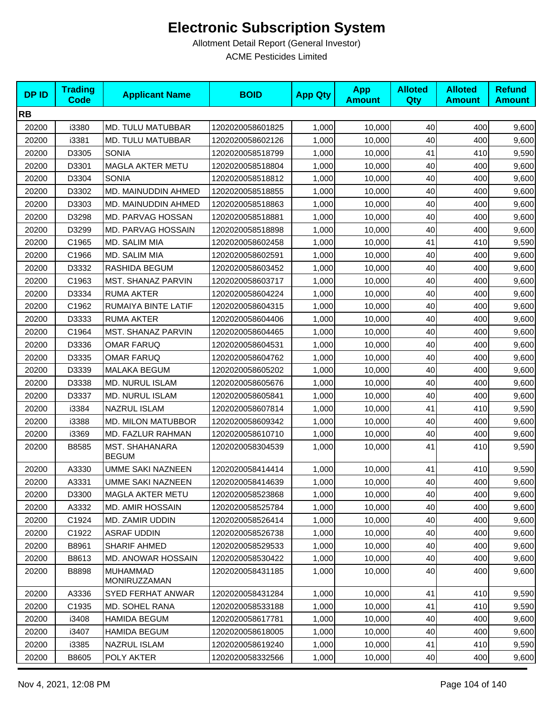| <b>DPID</b> | <b>Trading</b><br><b>Code</b> | <b>Applicant Name</b>           | <b>BOID</b>      | <b>App Qty</b> | <b>App</b><br><b>Amount</b> | <b>Alloted</b><br><b>Qty</b> | <b>Alloted</b><br><b>Amount</b> | <b>Refund</b><br><b>Amount</b> |
|-------------|-------------------------------|---------------------------------|------------------|----------------|-----------------------------|------------------------------|---------------------------------|--------------------------------|
| <b>RB</b>   |                               |                                 |                  |                |                             |                              |                                 |                                |
| 20200       | i3380                         | MD. TULU MATUBBAR               | 1202020058601825 | 1,000          | 10,000                      | 40                           | 400                             | 9,600                          |
| 20200       | i3381                         | MD. TULU MATUBBAR               | 1202020058602126 | 1,000          | 10,000                      | 40                           | 400                             | 9,600                          |
| 20200       | D3305                         | <b>SONIA</b>                    | 1202020058518799 | 1,000          | 10,000                      | 41                           | 410                             | 9,590                          |
| 20200       | D3301                         | <b>MAGLA AKTER METU</b>         | 1202020058518804 | 1,000          | 10,000                      | 40                           | 400                             | 9,600                          |
| 20200       | D3304                         | <b>SONIA</b>                    | 1202020058518812 | 1,000          | 10,000                      | 40                           | 400                             | 9,600                          |
| 20200       | D3302                         | MD. MAINUDDIN AHMED             | 1202020058518855 | 1,000          | 10,000                      | 40                           | 400                             | 9,600                          |
| 20200       | D3303                         | MD. MAINUDDIN AHMED             | 1202020058518863 | 1,000          | 10,000                      | 40                           | 400                             | 9,600                          |
| 20200       | D3298                         | <b>MD. PARVAG HOSSAN</b>        | 1202020058518881 | 1,000          | 10,000                      | 40                           | 400                             | 9,600                          |
| 20200       | D3299                         | MD. PARVAG HOSSAIN              | 1202020058518898 | 1,000          | 10,000                      | 40                           | 400                             | 9,600                          |
| 20200       | C1965                         | MD. SALIM MIA                   | 1202020058602458 | 1,000          | 10,000                      | 41                           | 410                             | 9,590                          |
| 20200       | C1966                         | MD. SALIM MIA                   | 1202020058602591 | 1,000          | 10,000                      | 40                           | 400                             | 9,600                          |
| 20200       | D3332                         | RASHIDA BEGUM                   | 1202020058603452 | 1,000          | 10,000                      | 40                           | 400                             | 9,600                          |
| 20200       | C1963                         | <b>MST. SHANAZ PARVIN</b>       | 1202020058603717 | 1,000          | 10,000                      | 40                           | 400                             | 9,600                          |
| 20200       | D3334                         | <b>RUMA AKTER</b>               | 1202020058604224 | 1,000          | 10,000                      | 40                           | 400                             | 9,600                          |
| 20200       | C1962                         | RUMAIYA BINTE LATIF             | 1202020058604315 | 1,000          | 10,000                      | 40                           | 400                             | 9,600                          |
| 20200       | D3333                         | <b>RUMA AKTER</b>               | 1202020058604406 | 1,000          | 10,000                      | 40                           | 400                             | 9,600                          |
| 20200       | C1964                         | <b>MST. SHANAZ PARVIN</b>       | 1202020058604465 | 1,000          | 10,000                      | 40                           | 400                             | 9,600                          |
| 20200       | D3336                         | <b>OMAR FARUQ</b>               | 1202020058604531 | 1,000          | 10,000                      | 40                           | 400                             | 9,600                          |
| 20200       | D3335                         | <b>OMAR FARUQ</b>               | 1202020058604762 | 1,000          | 10,000                      | 40                           | 400                             | 9,600                          |
| 20200       | D3339                         | MALAKA BEGUM                    | 1202020058605202 | 1,000          | 10,000                      | 40                           | 400                             | 9,600                          |
| 20200       | D3338                         | <b>MD. NURUL ISLAM</b>          | 1202020058605676 | 1,000          | 10,000                      | 40                           | 400                             | 9,600                          |
| 20200       | D3337                         | <b>MD. NURUL ISLAM</b>          | 1202020058605841 | 1,000          | 10,000                      | 40                           | 400                             | 9,600                          |
| 20200       | i3384                         | <b>NAZRUL ISLAM</b>             | 1202020058607814 | 1,000          | 10,000                      | 41                           | 410                             | 9,590                          |
| 20200       | i3388                         | <b>MD. MILON MATUBBOR</b>       | 1202020058609342 | 1,000          | 10,000                      | 40                           | 400                             | 9,600                          |
| 20200       | i3369                         | MD. FAZLUR RAHMAN               | 1202020058610710 | 1,000          | 10,000                      | 40                           | 400                             | 9,600                          |
| 20200       | B8585                         | MST. SHAHANARA<br><b>BEGUM</b>  | 1202020058304539 | 1,000          | 10,000                      | 41                           | 410                             | 9,590                          |
| 20200       | A3330                         | <b>UMME SAKI NAZNEEN</b>        | 1202020058414414 | 1,000          | 10,000                      | 41                           | 410                             | 9,590                          |
| 20200       | A3331                         | <b>UMME SAKI NAZNEEN</b>        | 1202020058414639 | 1,000          | 10,000                      | 40                           | 400                             | 9,600                          |
| 20200       | D3300                         | <b>MAGLA AKTER METU</b>         | 1202020058523868 | 1,000          | 10,000                      | 40                           | 400                             | 9,600                          |
| 20200       | A3332                         | <b>MD. AMIR HOSSAIN</b>         | 1202020058525784 | 1,000          | 10,000                      | 40                           | 400                             | 9,600                          |
| 20200       | C1924                         | MD. ZAMIR UDDIN                 | 1202020058526414 | 1,000          | 10,000                      | 40                           | 400                             | 9,600                          |
| 20200       | C1922                         | ASRAF UDDIN                     | 1202020058526738 | 1,000          | 10,000                      | 40                           | 400                             | 9,600                          |
| 20200       | B8961                         | SHARIF AHMED                    | 1202020058529533 | 1,000          | 10,000                      | 40                           | 400                             | 9,600                          |
| 20200       | B8613                         | MD. ANOWAR HOSSAIN              | 1202020058530422 | 1,000          | 10,000                      | 40                           | 400                             | 9,600                          |
| 20200       | B8898                         | <b>MUHAMMAD</b><br>MONIRUZZAMAN | 1202020058431185 | 1,000          | 10,000                      | 40                           | 400                             | 9,600                          |
| 20200       | A3336                         | <b>SYED FERHAT ANWAR</b>        | 1202020058431284 | 1,000          | 10,000                      | 41                           | 410                             | 9,590                          |
| 20200       | C1935                         | MD. SOHEL RANA                  | 1202020058533188 | 1,000          | 10,000                      | 41                           | 410                             | 9,590                          |
| 20200       | i3408                         | HAMIDA BEGUM                    | 1202020058617781 | 1,000          | 10,000                      | 40                           | 400                             | 9,600                          |
| 20200       | i3407                         | <b>HAMIDA BEGUM</b>             | 1202020058618005 | 1,000          | 10,000                      | 40                           | 400                             | 9,600                          |
| 20200       | i3385                         | NAZRUL ISLAM                    | 1202020058619240 | 1,000          | 10,000                      | 41                           | 410                             | 9,590                          |
| 20200       | B8605                         | POLY AKTER                      | 1202020058332566 | 1,000          | 10,000                      | 40                           | 400                             | 9,600                          |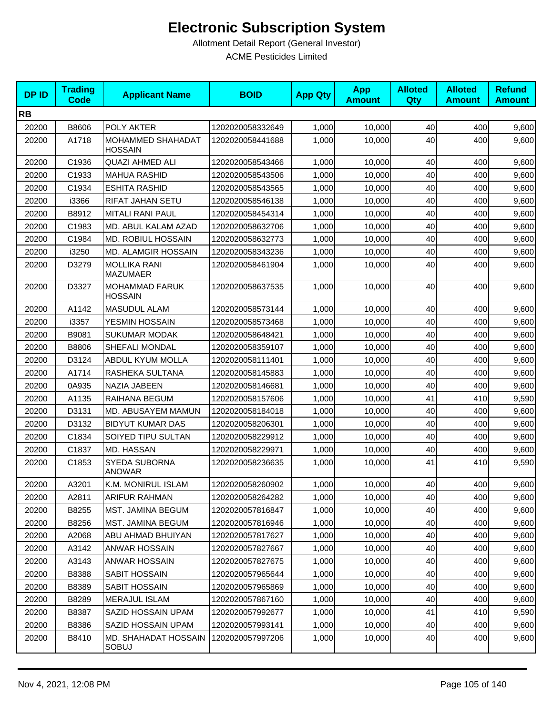| <b>DPID</b> | <b>Trading</b><br><b>Code</b> | <b>Applicant Name</b>                   | <b>BOID</b>      | <b>App Qty</b> | <b>App</b><br><b>Amount</b> | <b>Alloted</b><br>Qty | <b>Alloted</b><br><b>Amount</b> | <b>Refund</b><br><b>Amount</b> |
|-------------|-------------------------------|-----------------------------------------|------------------|----------------|-----------------------------|-----------------------|---------------------------------|--------------------------------|
| <b>RB</b>   |                               |                                         |                  |                |                             |                       |                                 |                                |
| 20200       | B8606                         | POLY AKTER                              | 1202020058332649 | 1,000          | 10,000                      | 40                    | 400                             | 9,600                          |
| 20200       | A1718                         | MOHAMMED SHAHADAT<br><b>HOSSAIN</b>     | 1202020058441688 | 1,000          | 10,000                      | 40                    | 400                             | 9,600                          |
| 20200       | C1936                         | <b>QUAZI AHMED ALI</b>                  | 1202020058543466 | 1,000          | 10,000                      | 40                    | 400                             | 9,600                          |
| 20200       | C1933                         | <b>MAHUA RASHID</b>                     | 1202020058543506 | 1,000          | 10,000                      | 40                    | 400                             | 9,600                          |
| 20200       | C1934                         | <b>ESHITA RASHID</b>                    | 1202020058543565 | 1,000          | 10,000                      | 40                    | 400                             | 9,600                          |
| 20200       | i3366                         | RIFAT JAHAN SETU                        | 1202020058546138 | 1,000          | 10,000                      | 40                    | 400                             | 9,600                          |
| 20200       | B8912                         | <b>MITALI RANI PAUL</b>                 | 1202020058454314 | 1,000          | 10,000                      | 40                    | 400                             | 9,600                          |
| 20200       | C1983                         | MD. ABUL KALAM AZAD                     | 1202020058632706 | 1,000          | 10,000                      | 40                    | 400                             | 9,600                          |
| 20200       | C1984                         | MD. ROBIUL HOSSAIN                      | 1202020058632773 | 1,000          | 10,000                      | 40                    | 400                             | 9,600                          |
| 20200       | i3250                         | MD. ALAMGIR HOSSAIN                     | 1202020058343236 | 1,000          | 10,000                      | 40                    | 400                             | 9,600                          |
| 20200       | D3279                         | <b>MOLLIKA RANI</b><br><b>MAZUMAER</b>  | 1202020058461904 | 1,000          | 10,000                      | 40                    | 400                             | 9,600                          |
| 20200       | D3327                         | <b>MOHAMMAD FARUK</b><br><b>HOSSAIN</b> | 1202020058637535 | 1,000          | 10,000                      | 40                    | 400                             | 9,600                          |
| 20200       | A1142                         | MASUDUL ALAM                            | 1202020058573144 | 1,000          | 10,000                      | 40                    | 400                             | 9,600                          |
| 20200       | i3357                         | YESMIN HOSSAIN                          | 1202020058573468 | 1,000          | 10,000                      | 40                    | 400                             | 9,600                          |
| 20200       | B9081                         | <b>SUKUMAR MODAK</b>                    | 1202020058648421 | 1,000          | 10,000                      | 40                    | 400                             | 9,600                          |
| 20200       | B8806                         | SHEFALI MONDAL                          | 1202020058359107 | 1,000          | 10,000                      | 40                    | 400                             | 9,600                          |
| 20200       | D3124                         | ABDUL KYUM MOLLA                        | 1202020058111401 | 1,000          | 10,000                      | 40                    | 400                             | 9,600                          |
| 20200       | A1714                         | RASHEKA SULTANA                         | 1202020058145883 | 1,000          | 10,000                      | 40                    | 400                             | 9,600                          |
| 20200       | 0A935                         | NAZIA JABEEN                            | 1202020058146681 | 1,000          | 10,000                      | 40                    | 400                             | 9,600                          |
| 20200       | A1135                         | RAIHANA BEGUM                           | 1202020058157606 | 1,000          | 10,000                      | 41                    | 410                             | 9,590                          |
| 20200       | D3131                         | MD. ABUSAYEM MAMUN                      | 1202020058184018 | 1,000          | 10,000                      | 40                    | 400                             | 9,600                          |
| 20200       | D3132                         | <b>BIDYUT KUMAR DAS</b>                 | 1202020058206301 | 1,000          | 10,000                      | 40                    | 400                             | 9,600                          |
| 20200       | C1834                         | SOIYED TIPU SULTAN                      | 1202020058229912 | 1,000          | 10,000                      | 40                    | 400                             | 9,600                          |
| 20200       | C1837                         | MD. HASSAN                              | 1202020058229971 | 1,000          | 10,000                      | 40                    | 400                             | 9,600                          |
| 20200       | C1853                         | SYEDA SUBORNA<br><b>ANOWAR</b>          | 1202020058236635 | 1,000          | 10,000                      | 41                    | 410                             | 9,590                          |
| 20200       | A3201                         | K.M. MONIRUL ISLAM                      | 1202020058260902 | 1,000          | 10,000                      | 40                    | 400                             | 9,600                          |
| 20200       | A2811                         | ARIFUR RAHMAN                           | 1202020058264282 | 1,000          | 10,000                      | 40                    | 400                             | 9,600                          |
| 20200       | B8255                         | MST. JAMINA BEGUM                       | 1202020057816847 | 1,000          | 10,000                      | 40                    | 400                             | 9,600                          |
| 20200       | B8256                         | <b>MST. JAMINA BEGUM</b>                | 1202020057816946 | 1,000          | 10,000                      | 40                    | 400                             | 9,600                          |
| 20200       | A2068                         | ABU AHMAD BHUIYAN                       | 1202020057817627 | 1,000          | 10,000                      | 40                    | 400                             | 9,600                          |
| 20200       | A3142                         | ANWAR HOSSAIN                           | 1202020057827667 | 1,000          | 10.000                      | 40                    | 400                             | 9,600                          |
| 20200       | A3143                         | ANWAR HOSSAIN                           | 1202020057827675 | 1,000          | 10,000                      | 40                    | 400                             | 9,600                          |
| 20200       | B8388                         | SABIT HOSSAIN                           | 1202020057965644 | 1,000          | 10,000                      | 40                    | 400                             | 9,600                          |
| 20200       | B8389                         | SABIT HOSSAIN                           | 1202020057965869 | 1,000          | 10,000                      | 40                    | 400                             | 9,600                          |
| 20200       | B8289                         | <b>MERAJUL ISLAM</b>                    | 1202020057867160 | 1,000          | 10,000                      | 40                    | 400                             | 9,600                          |
| 20200       | B8387                         | SAZID HOSSAIN UPAM                      | 1202020057992677 | 1,000          | 10,000                      | 41                    | 410                             | 9,590                          |
| 20200       | B8386                         | SAZID HOSSAIN UPAM                      | 1202020057993141 | 1,000          | 10,000                      | 40                    | 400                             | 9,600                          |
| 20200       | B8410                         | MD. SHAHADAT HOSSAIN<br>SOBUJ           | 1202020057997206 | 1,000          | 10,000                      | 40                    | 400                             | 9,600                          |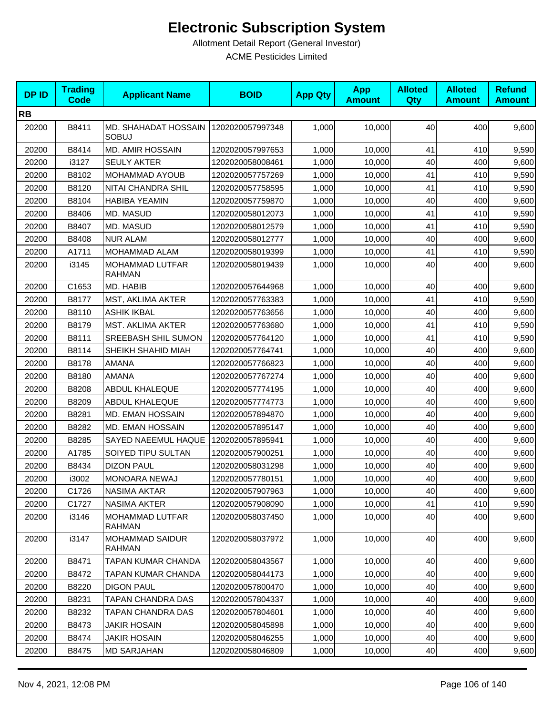| <b>DPID</b> | <b>Trading</b><br><b>Code</b> | <b>Applicant Name</b>                   | <b>BOID</b>      | <b>App Qty</b> | <b>App</b><br><b>Amount</b> | <b>Alloted</b><br><b>Qty</b> | <b>Alloted</b><br><b>Amount</b> | <b>Refund</b><br><b>Amount</b> |
|-------------|-------------------------------|-----------------------------------------|------------------|----------------|-----------------------------|------------------------------|---------------------------------|--------------------------------|
| <b>RB</b>   |                               |                                         |                  |                |                             |                              |                                 |                                |
| 20200       | B8411                         | MD. SHAHADAT HOSSAIN<br><b>SOBUJ</b>    | 1202020057997348 | 1,000          | 10,000                      | 40                           | 400                             | 9,600                          |
| 20200       | B8414                         | <b>MD. AMIR HOSSAIN</b>                 | 1202020057997653 | 1,000          | 10,000                      | 41                           | 410                             | 9,590                          |
| 20200       | i3127                         | <b>SEULY AKTER</b>                      | 1202020058008461 | 1,000          | 10,000                      | 40                           | 400                             | 9,600                          |
| 20200       | B8102                         | MOHAMMAD AYOUB                          | 1202020057757269 | 1,000          | 10,000                      | 41                           | 410                             | 9,590                          |
| 20200       | B8120                         | NITAI CHANDRA SHIL                      | 1202020057758595 | 1,000          | 10,000                      | 41                           | 410                             | 9,590                          |
| 20200       | B8104                         | <b>HABIBA YEAMIN</b>                    | 1202020057759870 | 1,000          | 10,000                      | 40                           | 400                             | 9,600                          |
| 20200       | B8406                         | MD. MASUD                               | 1202020058012073 | 1,000          | 10,000                      | 41                           | 410                             | 9,590                          |
| 20200       | B8407                         | MD. MASUD                               | 1202020058012579 | 1,000          | 10,000                      | 41                           | 410                             | 9,590                          |
| 20200       | B8408                         | <b>NUR ALAM</b>                         | 1202020058012777 | 1,000          | 10,000                      | 40                           | 400                             | 9,600                          |
| 20200       | A1711                         | MOHAMMAD ALAM                           | 1202020058019399 | 1,000          | 10,000                      | 41                           | 410                             | 9,590                          |
| 20200       | i3145                         | MOHAMMAD LUTFAR<br><b>RAHMAN</b>        | 1202020058019439 | 1,000          | 10,000                      | 40                           | 400                             | 9,600                          |
| 20200       | C1653                         | MD. HABIB                               | 1202020057644968 | 1,000          | 10,000                      | 40                           | 400                             | 9,600                          |
| 20200       | B8177                         | MST, AKLIMA AKTER                       | 1202020057763383 | 1,000          | 10,000                      | 41                           | 410                             | 9,590                          |
| 20200       | B8110                         | <b>ASHIK IKBAL</b>                      | 1202020057763656 | 1,000          | 10,000                      | 40                           | 400                             | 9,600                          |
| 20200       | B8179                         | <b>MST. AKLIMA AKTER</b>                | 1202020057763680 | 1,000          | 10,000                      | 41                           | 410                             | 9,590                          |
| 20200       | B8111                         | SREEBASH SHIL SUMON                     | 1202020057764120 | 1,000          | 10,000                      | 41                           | 410                             | 9,590                          |
| 20200       | B8114                         | SHEIKH SHAHID MIAH                      | 1202020057764741 | 1,000          | 10,000                      | 40                           | 400                             | 9,600                          |
| 20200       | B8178                         | AMANA                                   | 1202020057766823 | 1,000          | 10,000                      | 40                           | 400                             | 9,600                          |
| 20200       | B8180                         | AMANA                                   | 1202020057767274 | 1,000          | 10,000                      | 40                           | 400                             | 9,600                          |
| 20200       | B8208                         | <b>ABDUL KHALEQUE</b>                   | 1202020057774195 | 1,000          | 10,000                      | 40                           | 400                             | 9,600                          |
| 20200       | B8209                         | <b>ABDUL KHALEQUE</b>                   | 1202020057774773 | 1,000          | 10,000                      | 40                           | 400                             | 9,600                          |
| 20200       | B8281                         | MD. EMAN HOSSAIN                        | 1202020057894870 | 1,000          | 10,000                      | 40                           | 400                             | 9,600                          |
| 20200       | B8282                         | MD. EMAN HOSSAIN                        | 1202020057895147 | 1,000          | 10,000                      | 40                           | 400                             | 9,600                          |
| 20200       | B8285                         | SAYED NAEEMUL HAQUE                     | 1202020057895941 | 1,000          | 10,000                      | 40                           | 400                             | 9,600                          |
| 20200       | A1785                         | SOIYED TIPU SULTAN                      | 1202020057900251 | 1,000          | 10,000                      | 40                           | 400                             | 9,600                          |
| 20200       | B8434                         | <b>DIZON PAUL</b>                       | 1202020058031298 | 1,000          | 10,000                      | 40                           | 400                             | 9,600                          |
| 20200       | i3002                         | MONOARA NEWAJ                           | 1202020057780151 | 1,000          | 10,000                      | 40                           | 400                             | 9,600                          |
| 20200       | C1726                         | NASIMA AKTAR                            | 1202020057907963 | 1,000          | 10,000                      | 40                           | 400                             | 9,600                          |
| 20200       | C1727                         | <b>NASIMA AKTER</b>                     | 1202020057908090 | 1,000          | 10,000                      | 41                           | 410                             | 9,590                          |
| 20200       | i3146                         | MOHAMMAD LUTFAR<br>RAHMAN               | 1202020058037450 | 1,000          | 10,000                      | 40                           | 400                             | 9,600                          |
| 20200       | i3147                         | <b>MOHAMMAD SAIDUR</b><br><b>RAHMAN</b> | 1202020058037972 | 1,000          | 10,000                      | 40                           | 400                             | 9,600                          |
| 20200       | B8471                         | TAPAN KUMAR CHANDA                      | 1202020058043567 | 1,000          | 10,000                      | 40                           | 400                             | 9,600                          |
| 20200       | B8472                         | TAPAN KUMAR CHANDA                      | 1202020058044173 | 1,000          | 10,000                      | 40                           | 400                             | 9,600                          |
| 20200       | B8220                         | <b>DIGON PAUL</b>                       | 1202020057800470 | 1,000          | 10,000                      | 40                           | 400                             | 9,600                          |
| 20200       | B8231                         | TAPAN CHANDRA DAS                       | 1202020057804337 | 1,000          | 10,000                      | 40                           | 400                             | 9,600                          |
| 20200       | B8232                         | TAPAN CHANDRA DAS                       | 1202020057804601 | 1,000          | 10,000                      | 40                           | 400                             | 9,600                          |
| 20200       | B8473                         | <b>JAKIR HOSAIN</b>                     | 1202020058045898 | 1,000          | 10,000                      | 40                           | 400                             | 9,600                          |
| 20200       | B8474                         | <b>JAKIR HOSAIN</b>                     | 1202020058046255 | 1,000          | 10,000                      | 40                           | 400                             | 9,600                          |
| 20200       | B8475                         | <b>MD SARJAHAN</b>                      | 1202020058046809 | 1,000          | 10,000                      | 40                           | 400                             | 9,600                          |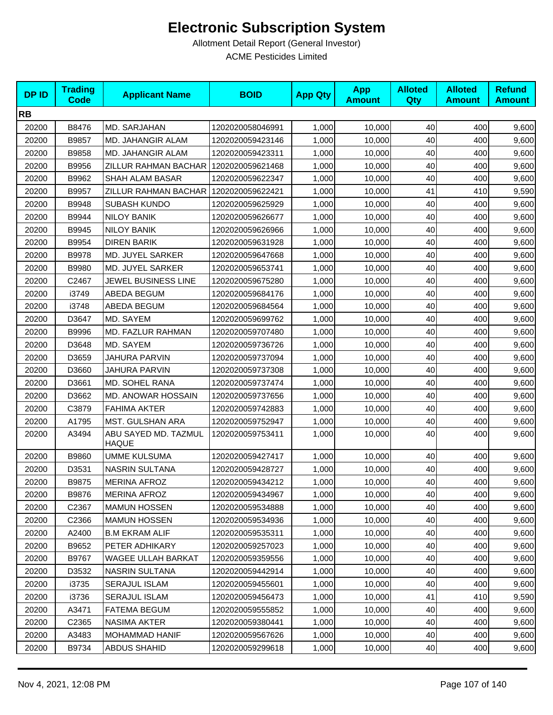| <b>DPID</b> | <b>Trading</b><br><b>Code</b> | <b>Applicant Name</b>                | <b>BOID</b>      | <b>App Qty</b> | <b>App</b><br><b>Amount</b> | <b>Alloted</b><br>Qty | <b>Alloted</b><br><b>Amount</b> | <b>Refund</b><br><b>Amount</b> |
|-------------|-------------------------------|--------------------------------------|------------------|----------------|-----------------------------|-----------------------|---------------------------------|--------------------------------|
| <b>RB</b>   |                               |                                      |                  |                |                             |                       |                                 |                                |
| 20200       | B8476                         | MD. SARJAHAN                         | 1202020058046991 | 1,000          | 10,000                      | 40                    | 400                             | 9,600                          |
| 20200       | B9857                         | MD. JAHANGIR ALAM                    | 1202020059423146 | 1,000          | 10,000                      | 40                    | 400                             | 9,600                          |
| 20200       | B9858                         | MD. JAHANGIR ALAM                    | 1202020059423311 | 1,000          | 10,000                      | 40                    | 400                             | 9,600                          |
| 20200       | B9956                         | ZILLUR RAHMAN BACHAR                 | 1202020059621468 | 1,000          | 10,000                      | 40                    | 400                             | 9,600                          |
| 20200       | B9962                         | SHAH ALAM BASAR                      | 1202020059622347 | 1,000          | 10,000                      | 40                    | 400                             | 9,600                          |
| 20200       | B9957                         | ZILLUR RAHMAN BACHAR                 | 1202020059622421 | 1,000          | 10,000                      | 41                    | 410                             | 9,590                          |
| 20200       | B9948                         | <b>SUBASH KUNDO</b>                  | 1202020059625929 | 1,000          | 10,000                      | 40                    | 400                             | 9,600                          |
| 20200       | B9944                         | <b>NILOY BANIK</b>                   | 1202020059626677 | 1,000          | 10,000                      | 40                    | 400                             | 9,600                          |
| 20200       | B9945                         | <b>NILOY BANIK</b>                   | 1202020059626966 | 1,000          | 10,000                      | 40                    | 400                             | 9,600                          |
| 20200       | B9954                         | <b>DIREN BARIK</b>                   | 1202020059631928 | 1,000          | 10,000                      | 40                    | 400                             | 9,600                          |
| 20200       | B9978                         | MD. JUYEL SARKER                     | 1202020059647668 | 1,000          | 10,000                      | 40                    | 400                             | 9,600                          |
| 20200       | B9980                         | MD. JUYEL SARKER                     | 1202020059653741 | 1,000          | 10,000                      | 40                    | 400                             | 9,600                          |
| 20200       | C2467                         | JEWEL BUSINESS LINE                  | 1202020059675280 | 1,000          | 10,000                      | 40                    | 400                             | 9,600                          |
| 20200       | i3749                         | ABEDA BEGUM                          | 1202020059684176 | 1,000          | 10,000                      | 40                    | 400                             | 9,600                          |
| 20200       | i3748                         | ABEDA BEGUM                          | 1202020059684564 | 1,000          | 10,000                      | 40                    | 400                             | 9,600                          |
| 20200       | D3647                         | MD. SAYEM                            | 1202020059699762 | 1,000          | 10,000                      | 40                    | 400                             | 9,600                          |
| 20200       | B9996                         | MD. FAZLUR RAHMAN                    | 1202020059707480 | 1,000          | 10,000                      | 40                    | 400                             | 9,600                          |
| 20200       | D3648                         | MD. SAYEM                            | 1202020059736726 | 1,000          | 10,000                      | 40                    | 400                             | 9,600                          |
| 20200       | D3659                         | <b>JAHURA PARVIN</b>                 | 1202020059737094 | 1,000          | 10,000                      | 40                    | 400                             | 9,600                          |
| 20200       | D3660                         | JAHURA PARVIN                        | 1202020059737308 | 1,000          | 10,000                      | 40                    | 400                             | 9,600                          |
| 20200       | D3661                         | MD. SOHEL RANA                       | 1202020059737474 | 1,000          | 10,000                      | 40                    | 400                             | 9,600                          |
| 20200       | D3662                         | MD. ANOWAR HOSSAIN                   | 1202020059737656 | 1,000          | 10,000                      | 40                    | 400                             | 9,600                          |
| 20200       | C3879                         | <b>FAHIMA AKTER</b>                  | 1202020059742883 | 1,000          | 10,000                      | 40                    | 400                             | 9,600                          |
| 20200       | A1795                         | MST. GULSHAN ARA                     | 1202020059752947 | 1,000          | 10,000                      | 40                    | 400                             | 9,600                          |
| 20200       | A3494                         | ABU SAYED MD. TAZMUL<br><b>HAQUE</b> | 1202020059753411 | 1,000          | 10,000                      | 40                    | 400                             | 9,600                          |
| 20200       | B9860                         | <b>UMME KULSUMA</b>                  | 1202020059427417 | 1,000          | 10,000                      | 40                    | 400                             | 9,600                          |
| 20200       | D3531                         | <b>NASRIN SULTANA</b>                | 1202020059428727 | 1,000          | 10,000                      | 40                    | 400                             | 9,600                          |
| 20200       | B9875                         | <b>MERINA AFROZ</b>                  | 1202020059434212 | 1,000          | 10,000                      | 40                    | 400                             | 9,600                          |
| 20200       | B9876                         | <b>MERINA AFROZ</b>                  | 1202020059434967 | 1,000          | 10,000                      | 40                    | 400                             | 9,600                          |
| 20200       | C2367                         | <b>MAMUN HOSSEN</b>                  | 1202020059534888 | 1,000          | 10,000                      | 40                    | 400                             | 9,600                          |
| 20200       | C <sub>2366</sub>             | <b>MAMUN HOSSEN</b>                  | 1202020059534936 | 1,000          | 10,000                      | 40                    | 400                             | 9,600                          |
| 20200       | A2400                         | <b>B.M EKRAM ALIF</b>                | 1202020059535311 | 1,000          | 10,000                      | 40                    | 400                             | 9,600                          |
| 20200       | B9652                         | PETER ADHIKARY                       | 1202020059257023 | 1,000          | 10,000                      | 40                    | 400                             | 9,600                          |
| 20200       | B9767                         | <b>WAGEE ULLAH BARKAT</b>            | 1202020059359556 | 1,000          | 10,000                      | 40                    | 400                             | 9,600                          |
| 20200       | D3532                         | NASRIN SULTANA                       | 1202020059442914 | 1,000          | 10,000                      | 40                    | 400                             | 9,600                          |
| 20200       | i3735                         | SERAJUL ISLAM                        | 1202020059455601 | 1,000          | 10,000                      | 40                    | 400                             | 9,600                          |
| 20200       | i3736                         | SERAJUL ISLAM                        | 1202020059456473 | 1,000          | 10,000                      | 41                    | 410                             | 9,590                          |
| 20200       | A3471                         | <b>FATEMA BEGUM</b>                  | 1202020059555852 | 1,000          | 10,000                      | 40                    | 400                             | 9,600                          |
| 20200       | C <sub>2365</sub>             | NASIMA AKTER                         | 1202020059380441 | 1,000          | 10,000                      | 40                    | 400                             | 9,600                          |
| 20200       | A3483                         | MOHAMMAD HANIF                       | 1202020059567626 | 1,000          | 10,000                      | 40                    | 400                             | 9,600                          |
| 20200       | B9734                         | <b>ABDUS SHAHID</b>                  | 1202020059299618 | 1,000          | 10,000                      | 40                    | 400                             | 9,600                          |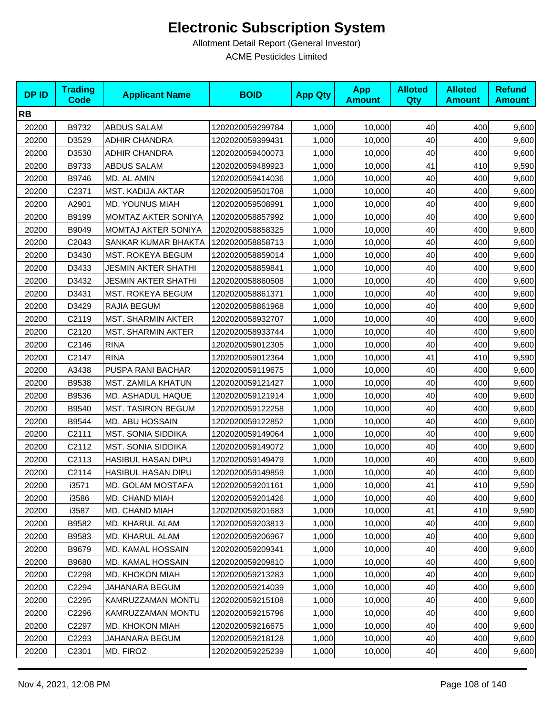| <b>DPID</b> | <b>Trading</b><br><b>Code</b> | <b>Applicant Name</b>      | <b>BOID</b>      | <b>App Qty</b> | <b>App</b><br><b>Amount</b> | <b>Alloted</b><br>Qty | <b>Alloted</b><br><b>Amount</b> | <b>Refund</b><br><b>Amount</b> |
|-------------|-------------------------------|----------------------------|------------------|----------------|-----------------------------|-----------------------|---------------------------------|--------------------------------|
| <b>RB</b>   |                               |                            |                  |                |                             |                       |                                 |                                |
| 20200       | B9732                         | ABDUS SALAM                | 1202020059299784 | 1,000          | 10,000                      | 40                    | 400                             | 9,600                          |
| 20200       | D3529                         | <b>ADHIR CHANDRA</b>       | 1202020059399431 | 1,000          | 10,000                      | 40                    | 400                             | 9,600                          |
| 20200       | D3530                         | <b>ADHIR CHANDRA</b>       | 1202020059400073 | 1,000          | 10,000                      | 40                    | 400                             | 9,600                          |
| 20200       | B9733                         | <b>ABDUS SALAM</b>         | 1202020059489923 | 1,000          | 10,000                      | 41                    | 410                             | 9,590                          |
| 20200       | B9746                         | MD. AL AMIN                | 1202020059414036 | 1,000          | 10,000                      | 40                    | 400                             | 9,600                          |
| 20200       | C2371                         | <b>MST. KADIJA AKTAR</b>   | 1202020059501708 | 1,000          | 10,000                      | 40                    | 400                             | 9,600                          |
| 20200       | A2901                         | <b>MD. YOUNUS MIAH</b>     | 1202020059508991 | 1,000          | 10,000                      | 40                    | 400                             | 9,600                          |
| 20200       | B9199                         | <b>MOMTAZ AKTER SONIYA</b> | 1202020058857992 | 1,000          | 10,000                      | 40                    | 400                             | 9,600                          |
| 20200       | B9049                         | MOMTAJ AKTER SONIYA        | 1202020058858325 | 1,000          | 10,000                      | 40                    | 400                             | 9,600                          |
| 20200       | C2043                         | SANKAR KUMAR BHAKTA        | 1202020058858713 | 1,000          | 10,000                      | 40                    | 400                             | 9,600                          |
| 20200       | D3430                         | MST. ROKEYA BEGUM          | 1202020058859014 | 1,000          | 10,000                      | 40                    | 400                             | 9,600                          |
| 20200       | D3433                         | <b>JESMIN AKTER SHATHI</b> | 1202020058859841 | 1,000          | 10,000                      | 40                    | 400                             | 9,600                          |
| 20200       | D3432                         | <b>JESMIN AKTER SHATHI</b> | 1202020058860508 | 1,000          | 10,000                      | 40                    | 400                             | 9,600                          |
| 20200       | D3431                         | <b>MST. ROKEYA BEGUM</b>   | 1202020058861371 | 1,000          | 10,000                      | 40                    | 400                             | 9,600                          |
| 20200       | D3429                         | RAJIA BEGUM                | 1202020058861968 | 1,000          | 10,000                      | 40                    | 400                             | 9,600                          |
| 20200       | C2119                         | MST. SHARMIN AKTER         | 1202020058932707 | 1,000          | 10,000                      | 40                    | 400                             | 9,600                          |
| 20200       | C <sub>2120</sub>             | MST. SHARMIN AKTER         | 1202020058933744 | 1,000          | 10,000                      | 40                    | 400                             | 9,600                          |
| 20200       | C2146                         | <b>RINA</b>                | 1202020059012305 | 1,000          | 10,000                      | 40                    | 400                             | 9,600                          |
| 20200       | C2147                         | <b>RINA</b>                | 1202020059012364 | 1,000          | 10,000                      | 41                    | 410                             | 9,590                          |
| 20200       | A3438                         | PUSPA RANI BACHAR          | 1202020059119675 | 1,000          | 10,000                      | 40                    | 400                             | 9,600                          |
| 20200       | B9538                         | MST. ZAMILA KHATUN         | 1202020059121427 | 1,000          | 10,000                      | 40                    | 400                             | 9,600                          |
| 20200       | B9536                         | MD. ASHADUL HAQUE          | 1202020059121914 | 1,000          | 10,000                      | 40                    | 400                             | 9,600                          |
| 20200       | B9540                         | <b>MST. TASIRON BEGUM</b>  | 1202020059122258 | 1,000          | 10,000                      | 40                    | 400                             | 9,600                          |
| 20200       | B9544                         | MD. ABU HOSSAIN            | 1202020059122852 | 1,000          | 10,000                      | 40                    | 400                             | 9,600                          |
| 20200       | C <sub>2111</sub>             | <b>MST. SONIA SIDDIKA</b>  | 1202020059149064 | 1,000          | 10,000                      | 40                    | 400                             | 9,600                          |
| 20200       | C2112                         | MST. SONIA SIDDIKA         | 1202020059149072 | 1,000          | 10,000                      | 40                    | 400                             | 9,600                          |
| 20200       | C <sub>2113</sub>             | <b>HASIBUL HASAN DIPU</b>  | 1202020059149479 | 1,000          | 10,000                      | 40                    | 400                             | 9,600                          |
| 20200       | C2114                         | HASIBUL HASAN DIPU         | 1202020059149859 | 1,000          | 10,000                      | 40                    | 400                             | 9,600                          |
| 20200       | i3571                         | MD. GOLAM MOSTAFA          | 1202020059201161 | 1,000          | 10,000                      | 41                    | 410                             | 9,590                          |
| 20200       | i3586                         | MD. CHAND MIAH             | 1202020059201426 | 1,000          | 10,000                      | 40                    | 400                             | 9,600                          |
| 20200       | i3587                         | MD. CHAND MIAH             | 1202020059201683 | 1,000          | 10,000                      | 41                    | 410                             | 9,590                          |
| 20200       | B9582                         | MD. KHARUL ALAM            | 1202020059203813 | 1,000          | 10,000                      | 40                    | 400                             | 9,600                          |
| 20200       | B9583                         | MD. KHARUL ALAM            | 1202020059206967 | 1,000          | 10,000                      | 40                    | 400                             | 9,600                          |
| 20200       | B9679                         | MD. KAMAL HOSSAIN          | 1202020059209341 | 1,000          | 10,000                      | 40                    | 400                             | 9,600                          |
| 20200       | B9680                         | MD. KAMAL HOSSAIN          | 1202020059209810 | 1,000          | 10,000                      | 40                    | 400                             | 9,600                          |
| 20200       | C <sub>2298</sub>             | <b>MD. KHOKON MIAH</b>     | 1202020059213283 | 1,000          | 10,000                      | 40                    | 400                             | 9,600                          |
| 20200       | C2294                         | JAHANARA BEGUM             | 1202020059214039 | 1,000          | 10,000                      | 40                    | 400                             | 9,600                          |
| 20200       | C <sub>2295</sub>             | KAMRUZZAMAN MONTU          | 1202020059215108 | 1,000          | 10,000                      | 40                    | 400                             | 9,600                          |
| 20200       | C2296                         | KAMRUZZAMAN MONTU          | 1202020059215796 | 1,000          | 10,000                      | 40                    | 400                             | 9,600                          |
| 20200       | C2297                         | MD. KHOKON MIAH            | 1202020059216675 | 1,000          | 10,000                      | 40                    | 400                             | 9,600                          |
| 20200       | C <sub>2293</sub>             | JAHANARA BEGUM             | 1202020059218128 | 1,000          | 10,000                      | 40                    | 400                             | 9,600                          |
| 20200       | C <sub>2301</sub>             | MD. FIROZ                  | 1202020059225239 | 1,000          | 10,000                      | 40                    | 400                             | 9,600                          |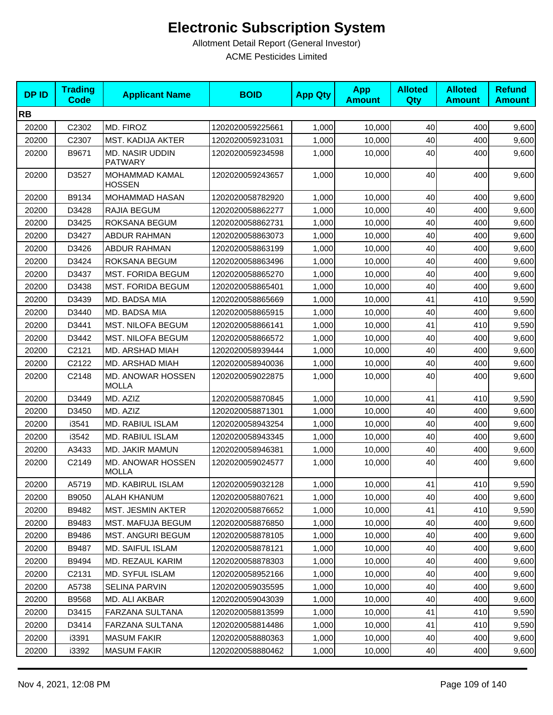| <b>DPID</b> | <b>Trading</b><br><b>Code</b> | <b>Applicant Name</b>                    | <b>BOID</b>      | <b>App Qty</b> | <b>App</b><br><b>Amount</b> | <b>Alloted</b><br>Qty | <b>Alloted</b><br><b>Amount</b> | <b>Refund</b><br><b>Amount</b> |
|-------------|-------------------------------|------------------------------------------|------------------|----------------|-----------------------------|-----------------------|---------------------------------|--------------------------------|
| <b>RB</b>   |                               |                                          |                  |                |                             |                       |                                 |                                |
| 20200       | C2302                         | MD. FIROZ                                | 1202020059225661 | 1,000          | 10,000                      | 40                    | 400                             | 9,600                          |
| 20200       | C2307                         | <b>MST. KADIJA AKTER</b>                 | 1202020059231031 | 1,000          | 10,000                      | 40                    | 400                             | 9,600                          |
| 20200       | B9671                         | <b>MD. NASIR UDDIN</b><br><b>PATWARY</b> | 1202020059234598 | 1,000          | 10,000                      | 40                    | 400                             | 9,600                          |
| 20200       | D3527                         | MOHAMMAD KAMAL<br><b>HOSSEN</b>          | 1202020059243657 | 1,000          | 10,000                      | 40                    | 400                             | 9,600                          |
| 20200       | B9134                         | MOHAMMAD HASAN                           | 1202020058782920 | 1,000          | 10,000                      | 40                    | 400                             | 9,600                          |
| 20200       | D3428                         | RAJIA BEGUM                              | 1202020058862277 | 1,000          | 10,000                      | 40                    | 400                             | 9,600                          |
| 20200       | D3425                         | ROKSANA BEGUM                            | 1202020058862731 | 1,000          | 10,000                      | 40                    | 400                             | 9,600                          |
| 20200       | D3427                         | <b>ABDUR RAHMAN</b>                      | 1202020058863073 | 1,000          | 10,000                      | 40                    | 400                             | 9,600                          |
| 20200       | D3426                         | <b>ABDUR RAHMAN</b>                      | 1202020058863199 | 1,000          | 10,000                      | 40                    | 400                             | 9,600                          |
| 20200       | D3424                         | ROKSANA BEGUM                            | 1202020058863496 | 1,000          | 10.000                      | 40                    | 400                             | 9,600                          |
| 20200       | D3437                         | <b>MST. FORIDA BEGUM</b>                 | 1202020058865270 | 1,000          | 10,000                      | 40                    | 400                             | 9,600                          |
| 20200       | D3438                         | <b>MST. FORIDA BEGUM</b>                 | 1202020058865401 | 1,000          | 10,000                      | 40                    | 400                             | 9,600                          |
| 20200       | D3439                         | MD. BADSA MIA                            | 1202020058865669 | 1,000          | 10,000                      | 41                    | 410                             | 9,590                          |
| 20200       | D3440                         | MD. BADSA MIA                            | 1202020058865915 | 1,000          | 10,000                      | 40                    | 400                             | 9,600                          |
| 20200       | D3441                         | <b>MST. NILOFA BEGUM</b>                 | 1202020058866141 | 1,000          | 10,000                      | 41                    | 410                             | 9,590                          |
| 20200       | D3442                         | <b>MST. NILOFA BEGUM</b>                 | 1202020058866572 | 1,000          | 10,000                      | 40                    | 400                             | 9,600                          |
| 20200       | C2121                         | MD. ARSHAD MIAH                          | 1202020058939444 | 1,000          | 10,000                      | 40                    | 400                             | 9,600                          |
| 20200       | C2122                         | MD. ARSHAD MIAH                          | 1202020058940036 | 1,000          | 10,000                      | 40                    | 400                             | 9,600                          |
| 20200       | C2148                         | MD. ANOWAR HOSSEN<br><b>MOLLA</b>        | 1202020059022875 | 1,000          | 10,000                      | 40                    | 400                             | 9,600                          |
| 20200       | D3449                         | MD. AZIZ                                 | 1202020058870845 | 1,000          | 10,000                      | 41                    | 410                             | 9,590                          |
| 20200       | D3450                         | MD. AZIZ                                 | 1202020058871301 | 1,000          | 10,000                      | 40                    | 400                             | 9,600                          |
| 20200       | i3541                         | MD. RABIUL ISLAM                         | 1202020058943254 | 1,000          | 10,000                      | 40                    | 400                             | 9,600                          |
| 20200       | i3542                         | MD. RABIUL ISLAM                         | 1202020058943345 | 1,000          | 10,000                      | 40                    | 400                             | 9,600                          |
| 20200       | A3433                         | MD. JAKIR MAMUN                          | 1202020058946381 | 1,000          | 10,000                      | 40                    | 400                             | 9,600                          |
| 20200       | C2149                         | MD. ANOWAR HOSSEN<br><b>MOLLA</b>        | 1202020059024577 | 1,000          | 10,000                      | 40                    | 400                             | 9,600                          |
| 20200       | A5719                         | MD. KABIRUL ISLAM                        | 1202020059032128 | 1,000          | 10,000                      | 41                    | 410                             | 9,590                          |
| 20200       | B9050                         | ALAH KHANUM                              | 1202020058807621 | 1,000          | 10,000                      | 40                    | 400                             | 9,600                          |
| 20200       | B9482                         | MST. JESMIN AKTER                        | 1202020058876652 | 1,000          | 10,000                      | 41                    | 410                             | 9,590                          |
| 20200       | B9483                         | <b>MST. MAFUJA BEGUM</b>                 | 1202020058876850 | 1,000          | 10.000                      | 40                    | 400                             | 9,600                          |
| 20200       | B9486                         | <b>MST. ANGURI BEGUM</b>                 | 1202020058878105 | 1,000          | 10.000                      | 40                    | 400                             | 9,600                          |
| 20200       | B9487                         | <b>MD. SAIFUL ISLAM</b>                  | 1202020058878121 | 1,000          | 10,000                      | 40                    | 400                             | 9,600                          |
| 20200       | B9494                         | MD. REZAUL KARIM                         | 1202020058878303 | 1,000          | 10,000                      | 40                    | 400                             | 9,600                          |
| 20200       | C2131                         | MD. SYFUL ISLAM                          | 1202020058952166 | 1,000          | 10,000                      | 40                    | 400                             | 9,600                          |
| 20200       | A5738                         | SELINA PARVIN                            | 1202020059035595 | 1,000          | 10,000                      | 40                    | 400                             | 9,600                          |
| 20200       | B9568                         | MD. ALI AKBAR                            | 1202020059043039 | 1,000          | 10,000                      | 40                    | 400                             | 9,600                          |
| 20200       | D3415                         | <b>FARZANA SULTANA</b>                   | 1202020058813599 | 1,000          | 10,000                      | 41                    | 410                             | 9,590                          |
| 20200       | D3414                         | FARZANA SULTANA                          | 1202020058814486 | 1,000          | 10,000                      | 41                    | 410                             | 9,590                          |
| 20200       | i3391                         | <b>MASUM FAKIR</b>                       | 1202020058880363 | 1,000          | 10,000                      | 40                    | 400                             | 9,600                          |
| 20200       | i3392                         | <b>MASUM FAKIR</b>                       | 1202020058880462 | 1,000          | 10,000                      | 40                    | 400                             | 9,600                          |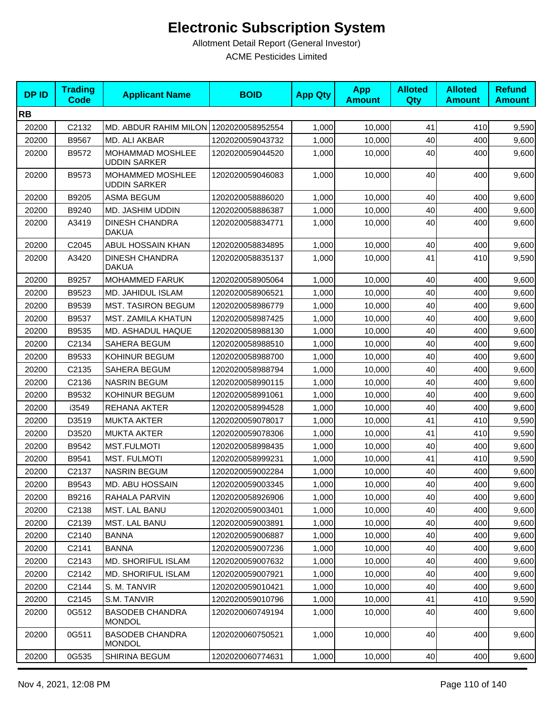| <b>DPID</b> | <b>Trading</b><br><b>Code</b>  | <b>Applicant Name</b>                   | <b>BOID</b>      | <b>App Qty</b> | <b>App</b><br><b>Amount</b> | <b>Alloted</b><br>Qty | <b>Alloted</b><br><b>Amount</b> | <b>Refund</b><br><b>Amount</b> |
|-------------|--------------------------------|-----------------------------------------|------------------|----------------|-----------------------------|-----------------------|---------------------------------|--------------------------------|
| <b>RB</b>   |                                |                                         |                  |                |                             |                       |                                 |                                |
| 20200       | C2132                          | MD. ABDUR RAHIM MILON 1202020058952554  |                  | 1,000          | 10,000                      | 41                    | 410                             | 9,590                          |
| 20200       | B9567                          | MD. ALI AKBAR                           | 1202020059043732 | 1,000          | 10,000                      | 40                    | 400                             | 9,600                          |
| 20200       | B9572                          | MOHAMMAD MOSHLEE<br><b>UDDIN SARKER</b> | 1202020059044520 | 1,000          | 10,000                      | 40                    | 400                             | 9,600                          |
| 20200       | B9573                          | MOHAMMED MOSHLEE<br><b>UDDIN SARKER</b> | 1202020059046083 | 1,000          | 10,000                      | 40                    | 400                             | 9,600                          |
| 20200       | B9205                          | <b>ASMA BEGUM</b>                       | 1202020058886020 | 1,000          | 10,000                      | 40                    | 400                             | 9,600                          |
| 20200       | B9240                          | MD. JASHIM UDDIN                        | 1202020058886387 | 1,000          | 10,000                      | 40                    | 400                             | 9,600                          |
| 20200       | A3419                          | <b>DINESH CHANDRA</b><br><b>DAKUA</b>   | 1202020058834771 | 1,000          | 10,000                      | 40                    | 400                             | 9,600                          |
| 20200       | C2045                          | ABUL HOSSAIN KHAN                       | 1202020058834895 | 1,000          | 10,000                      | 40                    | 400                             | 9,600                          |
| 20200       | A3420                          | <b>DINESH CHANDRA</b><br><b>DAKUA</b>   | 1202020058835137 | 1,000          | 10,000                      | 41                    | 410                             | 9,590                          |
| 20200       | B9257                          | <b>MOHAMMED FARUK</b>                   | 1202020058905064 | 1,000          | 10,000                      | 40                    | 400                             | 9,600                          |
| 20200       | B9523                          | MD. JAHIDUL ISLAM                       | 1202020058906521 | 1,000          | 10.000                      | 40                    | 400                             | 9,600                          |
| 20200       | B9539                          | <b>MST. TASIRON BEGUM</b>               | 1202020058986779 | 1,000          | 10,000                      | 40                    | 400                             | 9,600                          |
| 20200       | B9537                          | MST. ZAMILA KHATUN                      | 1202020058987425 | 1,000          | 10,000                      | 40                    | 400                             | 9,600                          |
| 20200       | B9535                          | MD. ASHADUL HAQUE                       | 1202020058988130 | 1,000          | 10,000                      | 40                    | 400                             | 9,600                          |
| 20200       | C2134                          | <b>SAHERA BEGUM</b>                     | 1202020058988510 | 1,000          | 10,000                      | 40                    | 400                             | 9,600                          |
| 20200       | B9533                          | KOHINUR BEGUM                           | 1202020058988700 | 1,000          | 10,000                      | 40                    | 400                             | 9,600                          |
| 20200       | C2135                          | SAHERA BEGUM                            | 1202020058988794 | 1,000          | 10,000                      | 40                    | 400                             | 9,600                          |
| 20200       | C2136                          | <b>NASRIN BEGUM</b>                     | 1202020058990115 | 1,000          | 10,000                      | 40                    | 400                             | 9,600                          |
| 20200       | B9532                          | KOHINUR BEGUM                           | 1202020058991061 | 1,000          | 10,000                      | 40                    | 400                             | 9,600                          |
| 20200       | i3549                          | REHANA AKTER                            | 1202020058994528 | 1,000          | 10,000                      | 40                    | 400                             | 9,600                          |
| 20200       | D3519                          | <b>MUKTA AKTER</b>                      | 1202020059078017 | 1,000          | 10,000                      | 41                    | 410                             | 9,590                          |
| 20200       | D3520                          | <b>MUKTA AKTER</b>                      | 1202020059078306 | 1,000          | 10,000                      | 41                    | 410                             | 9,590                          |
| 20200       | B9542                          | <b>MST.FULMOTI</b>                      | 1202020058998435 | 1,000          | 10,000                      | 40                    | 400                             | 9,600                          |
| 20200       | B9541                          | <b>MST. FULMOTI</b>                     | 1202020058999231 | 1,000          | 10,000                      | 41                    | 410                             | 9,590                          |
| 20200       | C2137                          | <b>NASRIN BEGUM</b>                     | 1202020059002284 | 1,000          | 10,000                      | 40                    | 400                             | 9,600                          |
| 20200       | B9543                          | MD. ABU HOSSAIN                         | 1202020059003345 | 1,000          | 10,000                      | 40                    | 400                             | 9,600                          |
| 20200       | B9216                          | RAHALA PARVIN                           | 1202020058926906 | 1,000          | 10,000                      | 40                    | 400                             | 9,600                          |
| 20200       | C2138                          | MST. LAL BANU                           | 1202020059003401 | 1,000          | 10,000                      | 40                    | 400                             | 9,600                          |
| 20200       | C2139                          | MST. LAL BANU                           | 1202020059003891 | 1,000          | 10,000                      | 40                    | 400                             | 9,600                          |
| 20200       | C2140                          | <b>BANNA</b>                            | 1202020059006887 | 1,000          | 10,000                      | 40                    | 400                             | 9,600                          |
| 20200       | C <sub>2141</sub>              | <b>BANNA</b>                            | 1202020059007236 | 1,000          | 10,000                      | 40                    | 400                             | 9,600                          |
| 20200       | C2143                          | MD. SHORIFUL ISLAM                      | 1202020059007632 | 1,000          | 10,000                      | 40                    | 400                             | 9,600                          |
| 20200       | C <sub>2</sub> 14 <sub>2</sub> | <b>MD. SHORIFUL ISLAM</b>               | 1202020059007921 | 1,000          | 10,000                      | 40                    | 400                             | 9,600                          |
| 20200       | C2144                          | S. M. TANVIR                            | 1202020059010421 | 1,000          | 10,000                      | 40                    | 400                             | 9,600                          |
| 20200       | C2145                          | S.M. TANVIR                             | 1202020059010796 | 1,000          | 10,000                      | 41                    | 410                             | 9,590                          |
| 20200       | 0G512                          | <b>BASODEB CHANDRA</b><br><b>MONDOL</b> | 1202020060749194 | 1,000          | 10,000                      | 40                    | 400                             | 9,600                          |
| 20200       | 0G511                          | <b>BASODEB CHANDRA</b><br><b>MONDOL</b> | 1202020060750521 | 1,000          | 10,000                      | 40                    | 400                             | 9,600                          |
| 20200       | 0G535                          | SHIRINA BEGUM                           | 1202020060774631 | 1,000          | 10,000                      | 40                    | 400                             | 9,600                          |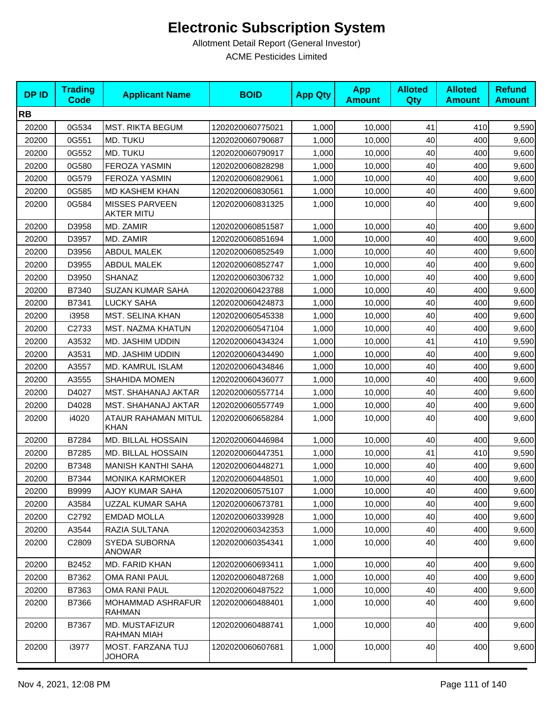| <b>DPID</b> | <b>Trading</b><br><b>Code</b> | <b>Applicant Name</b>                      | <b>BOID</b>      | <b>App Qty</b> | <b>App</b><br><b>Amount</b> | <b>Alloted</b><br><b>Qty</b> | <b>Alloted</b><br><b>Amount</b> | <b>Refund</b><br><b>Amount</b> |
|-------------|-------------------------------|--------------------------------------------|------------------|----------------|-----------------------------|------------------------------|---------------------------------|--------------------------------|
| <b>RB</b>   |                               |                                            |                  |                |                             |                              |                                 |                                |
| 20200       | 0G534                         | MST. RIKTA BEGUM                           | 1202020060775021 | 1,000          | 10,000                      | 41                           | 410                             | 9,590                          |
| 20200       | 0G551                         | MD. TUKU                                   | 1202020060790687 | 1,000          | 10,000                      | 40                           | 400                             | 9,600                          |
| 20200       | 0G552                         | MD. TUKU                                   | 1202020060790917 | 1,000          | 10,000                      | 40                           | 400                             | 9,600                          |
| 20200       | 0G580                         | <b>FEROZA YASMIN</b>                       | 1202020060828298 | 1,000          | 10,000                      | 40                           | 400                             | 9,600                          |
| 20200       | 0G579                         | FEROZA YASMIN                              | 1202020060829061 | 1,000          | 10,000                      | 40                           | 400                             | 9,600                          |
| 20200       | 0G585                         | <b>MD KASHEM KHAN</b>                      | 1202020060830561 | 1,000          | 10,000                      | 40                           | 400                             | 9,600                          |
| 20200       | 0G584                         | <b>MISSES PARVEEN</b><br><b>AKTER MITU</b> | 1202020060831325 | 1,000          | 10,000                      | 40                           | 400                             | 9,600                          |
| 20200       | D3958                         | MD. ZAMIR                                  | 1202020060851587 | 1,000          | 10,000                      | 40                           | 400                             | 9,600                          |
| 20200       | D3957                         | MD. ZAMIR                                  | 1202020060851694 | 1,000          | 10,000                      | 40                           | 400                             | 9,600                          |
| 20200       | D3956                         | <b>ABDUL MALEK</b>                         | 1202020060852549 | 1,000          | 10,000                      | 40                           | 400                             | 9,600                          |
| 20200       | D3955                         | <b>ABDUL MALEK</b>                         | 1202020060852747 | 1,000          | 10,000                      | 40                           | 400                             | 9,600                          |
| 20200       | D3950                         | SHANAZ                                     | 1202020060306732 | 1,000          | 10,000                      | 40                           | 400                             | 9,600                          |
| 20200       | B7340                         | <b>SUZAN KUMAR SAHA</b>                    | 1202020060423788 | 1,000          | 10,000                      | 40                           | 400                             | 9,600                          |
| 20200       | B7341                         | LUCKY SAHA                                 | 1202020060424873 | 1,000          | 10,000                      | 40                           | 400                             | 9,600                          |
| 20200       | i3958                         | <b>MST. SELINA KHAN</b>                    | 1202020060545338 | 1,000          | 10,000                      | 40                           | 400                             | 9,600                          |
| 20200       | C2733                         | MST. NAZMA KHATUN                          | 1202020060547104 | 1,000          | 10,000                      | 40                           | 400                             | 9,600                          |
| 20200       | A3532                         | MD. JASHIM UDDIN                           | 1202020060434324 | 1,000          | 10,000                      | 41                           | 410                             | 9,590                          |
| 20200       | A3531                         | MD. JASHIM UDDIN                           | 1202020060434490 | 1,000          | 10,000                      | 40                           | 400                             | 9,600                          |
| 20200       | A3557                         | MD. KAMRUL ISLAM                           | 1202020060434846 | 1,000          | 10,000                      | 40                           | 400                             | 9,600                          |
| 20200       | A3555                         | <b>SHAHIDA MOMEN</b>                       | 1202020060436077 | 1,000          | 10,000                      | 40                           | 400                             | 9,600                          |
| 20200       | D4027                         | MST. SHAHANAJ AKTAR                        | 1202020060557714 | 1,000          | 10,000                      | 40                           | 400                             | 9,600                          |
| 20200       | D4028                         | MST. SHAHANAJ AKTAR                        | 1202020060557749 | 1,000          | 10,000                      | 40                           | 400                             | 9,600                          |
| 20200       | i4020                         | ATAUR RAHAMAN MITUL<br><b>KHAN</b>         | 1202020060658284 | 1,000          | 10,000                      | 40                           | 400                             | 9,600                          |
| 20200       | B7284                         | MD. BILLAL HOSSAIN                         | 1202020060446984 | 1,000          | 10,000                      | 40                           | 400                             | 9,600                          |
| 20200       | B7285                         | MD. BILLAL HOSSAIN                         | 1202020060447351 | 1,000          | 10,000                      | 41                           | 410                             | 9,590                          |
| 20200       | B7348                         | <b>MANISH KANTHI SAHA</b>                  | 1202020060448271 | 1,000          | 10,000                      | 40                           | 400                             | 9,600                          |
| 20200       | B7344                         | <b>MONIKA KARMOKER</b>                     | 1202020060448501 | 1,000          | 10,000                      | 40                           | 400                             | 9,600                          |
| 20200       | B9999                         | AJOY KUMAR SAHA                            | 1202020060575107 | 1,000          | 10,000                      | 40                           | 400                             | 9,600                          |
| 20200       | A3584                         | UZZAL KUMAR SAHA                           | 1202020060673781 | 1,000          | 10,000                      | 40                           | 400                             | 9,600                          |
| 20200       | C2792                         | <b>EMDAD MOLLA</b>                         | 1202020060339928 | 1,000          | 10,000                      | 40                           | 400                             | 9,600                          |
| 20200       | A3544                         | RAZIA SULTANA                              | 1202020060342353 | 1,000          | 10,000                      | 40                           | 400                             | 9,600                          |
| 20200       | C2809                         | SYEDA SUBORNA<br><b>ANOWAR</b>             | 1202020060354341 | 1,000          | 10,000                      | 40                           | 400                             | 9,600                          |
| 20200       | B2452                         | MD. FARID KHAN                             | 1202020060693411 | 1,000          | 10,000                      | 40                           | 400                             | 9,600                          |
| 20200       | B7362                         | OMA RANI PAUL                              | 1202020060487268 | 1,000          | 10.000                      | 40                           | 400                             | 9,600                          |
| 20200       | B7363                         | <b>OMA RANI PAUL</b>                       | 1202020060487522 | 1,000          | 10,000                      | 40                           | 400                             | 9,600                          |
| 20200       | B7366                         | MOHAMMAD ASHRAFUR<br><b>RAHMAN</b>         | 1202020060488401 | 1,000          | 10,000                      | 40                           | 400                             | 9,600                          |
| 20200       | B7367                         | MD. MUSTAFIZUR<br>RAHMAN MIAH              | 1202020060488741 | 1,000          | 10,000                      | 40                           | 400                             | 9,600                          |
| 20200       | i3977                         | MOST. FARZANA TUJ<br><b>JOHORA</b>         | 1202020060607681 | 1,000          | 10,000                      | 40                           | 400                             | 9,600                          |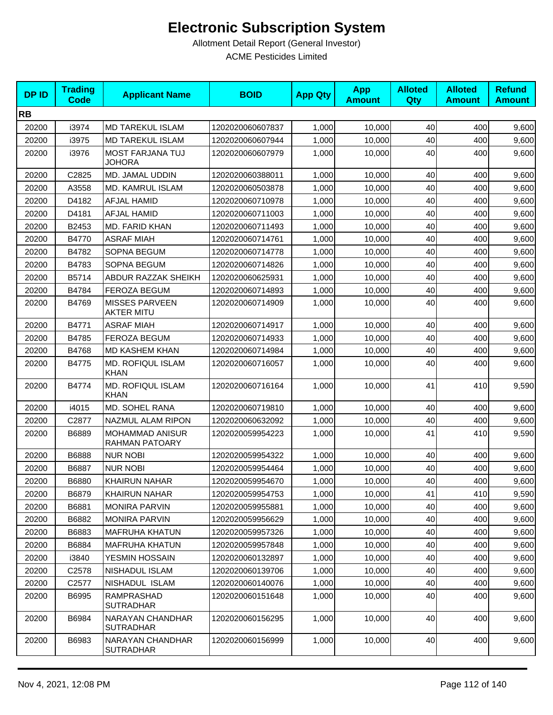| <b>DPID</b> | <b>Trading</b><br><b>Code</b> | <b>Applicant Name</b>                      | <b>BOID</b>      | <b>App Qty</b> | <b>App</b><br><b>Amount</b> | <b>Alloted</b><br>Qty | <b>Alloted</b><br><b>Amount</b> | <b>Refund</b><br><b>Amount</b> |
|-------------|-------------------------------|--------------------------------------------|------------------|----------------|-----------------------------|-----------------------|---------------------------------|--------------------------------|
| <b>RB</b>   |                               |                                            |                  |                |                             |                       |                                 |                                |
| 20200       | i3974                         | <b>MD TAREKUL ISLAM</b>                    | 1202020060607837 | 1,000          | 10,000                      | 40                    | 400                             | 9,600                          |
| 20200       | i3975                         | MD TAREKUL ISLAM                           | 1202020060607944 | 1,000          | 10,000                      | 40                    | 400                             | 9,600                          |
| 20200       | i3976                         | <b>MOST FARJANA TUJ</b><br><b>JOHORA</b>   | 1202020060607979 | 1,000          | 10,000                      | 40                    | 400                             | 9,600                          |
| 20200       | C2825                         | MD. JAMAL UDDIN                            | 1202020060388011 | 1,000          | 10,000                      | 40                    | 400                             | 9,600                          |
| 20200       | A3558                         | MD. KAMRUL ISLAM                           | 1202020060503878 | 1,000          | 10,000                      | 40                    | 400                             | 9,600                          |
| 20200       | D4182                         | <b>AFJAL HAMID</b>                         | 1202020060710978 | 1,000          | 10,000                      | 40                    | 400                             | 9,600                          |
| 20200       | D4181                         | <b>AFJAL HAMID</b>                         | 1202020060711003 | 1,000          | 10,000                      | 40                    | 400                             | 9,600                          |
| 20200       | B2453                         | MD. FARID KHAN                             | 1202020060711493 | 1,000          | 10,000                      | 40                    | 400                             | 9,600                          |
| 20200       | B4770                         | <b>ASRAF MIAH</b>                          | 1202020060714761 | 1,000          | 10,000                      | 40                    | 400                             | 9,600                          |
| 20200       | B4782                         | SOPNA BEGUM                                | 1202020060714778 | 1,000          | 10,000                      | 40                    | 400                             | 9,600                          |
| 20200       | B4783                         | SOPNA BEGUM                                | 1202020060714826 | 1,000          | 10,000                      | 40                    | 400                             | 9,600                          |
| 20200       | B5714                         | ABDUR RAZZAK SHEIKH                        | 1202020060625931 | 1,000          | 10,000                      | 40                    | 400                             | 9,600                          |
| 20200       | B4784                         | <b>FEROZA BEGUM</b>                        | 1202020060714893 | 1,000          | 10,000                      | 40                    | 400                             | 9,600                          |
| 20200       | B4769                         | <b>MISSES PARVEEN</b><br><b>AKTER MITU</b> | 1202020060714909 | 1,000          | 10,000                      | 40                    | 400                             | 9,600                          |
| 20200       | B4771                         | <b>ASRAF MIAH</b>                          | 1202020060714917 | 1,000          | 10,000                      | 40                    | 400                             | 9,600                          |
| 20200       | B4785                         | <b>FEROZA BEGUM</b>                        | 1202020060714933 | 1,000          | 10,000                      | 40                    | 400                             | 9,600                          |
| 20200       | B4768                         | <b>MD KASHEM KHAN</b>                      | 1202020060714984 | 1,000          | 10,000                      | 40                    | 400                             | 9,600                          |
| 20200       | B4775                         | <b>MD. ROFIQUL ISLAM</b><br><b>KHAN</b>    | 1202020060716057 | 1,000          | 10,000                      | 40                    | 400                             | 9,600                          |
| 20200       | B4774                         | <b>MD. ROFIQUL ISLAM</b><br><b>KHAN</b>    | 1202020060716164 | 1,000          | 10,000                      | 41                    | 410                             | 9,590                          |
| 20200       | i4015                         | MD. SOHEL RANA                             | 1202020060719810 | 1,000          | 10,000                      | 40                    | 400                             | 9,600                          |
| 20200       | C2877                         | NAZMUL ALAM RIPON                          | 1202020060632092 | 1,000          | 10,000                      | 40                    | 400                             | 9,600                          |
| 20200       | B6889                         | MOHAMMAD ANISUR<br><b>RAHMAN PATOARY</b>   | 1202020059954223 | 1.000          | 10.000                      | 41                    | 410                             | 9,590                          |
| 20200       | B6888                         | <b>NUR NOBI</b>                            | 1202020059954322 | 1,000          | 10,000                      | 40                    | 400                             | 9,600                          |
| 20200       | B6887                         | <b>NUR NOBI</b>                            | 1202020059954464 | 1,000          | 10,000                      | 40                    | 400                             | 9,600                          |
| 20200       | B6880                         | <b>KHAIRUN NAHAR</b>                       | 1202020059954670 | 1,000          | 10,000                      | 40                    | 400                             | 9,600                          |
| 20200       | B6879                         | <b>KHAIRUN NAHAR</b>                       | 1202020059954753 | 1,000          | 10,000                      | 41                    | 410                             | 9,590                          |
| 20200       | B6881                         | <b>MONIRA PARVIN</b>                       | 1202020059955881 | 1,000          | 10,000                      | 40                    | 400                             | 9,600                          |
| 20200       | B6882                         | <b>MONIRA PARVIN</b>                       | 1202020059956629 | 1,000          | 10,000                      | 40                    | 400                             | 9,600                          |
| 20200       | B6883                         | <b>MAFRUHA KHATUN</b>                      | 1202020059957326 | 1,000          | 10,000                      | 40                    | 400                             | 9,600                          |
| 20200       | B6884                         | <b>MAFRUHA KHATUN</b>                      | 1202020059957848 | 1,000          | 10,000                      | 40                    | 400                             | 9,600                          |
| 20200       | i3840                         | <b>YESMIN HOSSAIN</b>                      | 1202020060132897 | 1,000          | 10,000                      | 40                    | 400                             | 9,600                          |
| 20200       | C <sub>2578</sub>             | NISHADUL ISLAM                             | 1202020060139706 | 1,000          | 10,000                      | 40                    | 400                             | 9,600                          |
| 20200       | C2577                         | NISHADUL ISLAM                             | 1202020060140076 | 1,000          | 10,000                      | 40                    | 400                             | 9,600                          |
| 20200       | B6995                         | <b>RAMPRASHAD</b><br><b>SUTRADHAR</b>      | 1202020060151648 | 1,000          | 10,000                      | 40                    | 400                             | 9,600                          |
| 20200       | B6984                         | NARAYAN CHANDHAR<br><b>SUTRADHAR</b>       | 1202020060156295 | 1,000          | 10,000                      | 40                    | 400                             | 9,600                          |
| 20200       | B6983                         | NARAYAN CHANDHAR<br><b>SUTRADHAR</b>       | 1202020060156999 | 1,000          | 10,000                      | 40                    | 400                             | 9,600                          |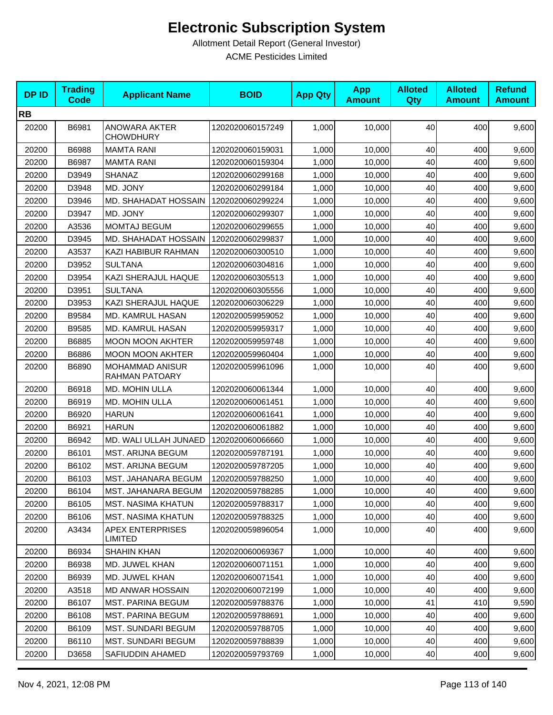| <b>DPID</b> | <b>Trading</b><br><b>Code</b> | <b>Applicant Name</b>                    | <b>BOID</b>      | <b>App Qty</b> | <b>App</b><br><b>Amount</b> | <b>Alloted</b><br>Qty | <b>Alloted</b><br><b>Amount</b> | <b>Refund</b><br><b>Amount</b> |
|-------------|-------------------------------|------------------------------------------|------------------|----------------|-----------------------------|-----------------------|---------------------------------|--------------------------------|
| <b>RB</b>   |                               |                                          |                  |                |                             |                       |                                 |                                |
| 20200       | B6981                         | <b>ANOWARA AKTER</b><br><b>CHOWDHURY</b> | 1202020060157249 | 1,000          | 10,000                      | 40                    | 400                             | 9,600                          |
| 20200       | B6988                         | <b>MAMTA RANI</b>                        | 1202020060159031 | 1,000          | 10,000                      | 40                    | 400                             | 9,600                          |
| 20200       | B6987                         | <b>MAMTA RANI</b>                        | 1202020060159304 | 1,000          | 10,000                      | 40                    | 400                             | 9,600                          |
| 20200       | D3949                         | SHANAZ                                   | 1202020060299168 | 1,000          | 10,000                      | 40                    | 400                             | 9,600                          |
| 20200       | D3948                         | MD. JONY                                 | 1202020060299184 | 1,000          | 10,000                      | 40                    | 400                             | 9,600                          |
| 20200       | D3946                         | MD. SHAHADAT HOSSAIN                     | 1202020060299224 | 1,000          | 10,000                      | 40                    | 400                             | 9,600                          |
| 20200       | D3947                         | MD. JONY                                 | 1202020060299307 | 1,000          | 10,000                      | 40                    | 400                             | 9,600                          |
| 20200       | A3536                         | <b>MOMTAJ BEGUM</b>                      | 1202020060299655 | 1,000          | 10,000                      | 40                    | 400                             | 9,600                          |
| 20200       | D3945                         | MD. SHAHADAT HOSSAIN                     | 1202020060299837 | 1,000          | 10,000                      | 40                    | 400                             | 9,600                          |
| 20200       | A3537                         | KAZI HABIBUR RAHMAN                      | 1202020060300510 | 1,000          | 10,000                      | 40                    | 400                             | 9,600                          |
| 20200       | D3952                         | <b>SULTANA</b>                           | 1202020060304816 | 1,000          | 10,000                      | 40                    | 400                             | 9,600                          |
| 20200       | D3954                         | KAZI SHERAJUL HAQUE                      | 1202020060305513 | 1,000          | 10,000                      | 40                    | 400                             | 9,600                          |
| 20200       | D3951                         | <b>SULTANA</b>                           | 1202020060305556 | 1,000          | 10,000                      | 40                    | 400                             | 9,600                          |
| 20200       | D3953                         | KAZI SHERAJUL HAQUE                      | 1202020060306229 | 1,000          | 10,000                      | 40                    | 400                             | 9,600                          |
| 20200       | B9584                         | MD. KAMRUL HASAN                         | 1202020059959052 | 1,000          | 10,000                      | 40                    | 400                             | 9,600                          |
| 20200       | B9585                         | MD. KAMRUL HASAN                         | 1202020059959317 | 1,000          | 10,000                      | 40                    | 400                             | 9,600                          |
| 20200       | B6885                         | <b>MOON MOON AKHTER</b>                  | 1202020059959748 | 1,000          | 10,000                      | 40                    | 400                             | 9,600                          |
| 20200       | B6886                         | <b>MOON MOON AKHTER</b>                  | 1202020059960404 | 1,000          | 10,000                      | 40                    | 400                             | 9,600                          |
| 20200       | B6890                         | <b>MOHAMMAD ANISUR</b><br>RAHMAN PATOARY | 1202020059961096 | 1,000          | 10,000                      | 40                    | 400                             | 9,600                          |
| 20200       | B6918                         | MD. MOHIN ULLA                           | 1202020060061344 | 1,000          | 10,000                      | 40                    | 400                             | 9,600                          |
| 20200       | B6919                         | <b>MD. MOHIN ULLA</b>                    | 1202020060061451 | 1,000          | 10,000                      | 40                    | 400                             | 9,600                          |
| 20200       | B6920                         | <b>HARUN</b>                             | 1202020060061641 | 1,000          | 10,000                      | 40                    | 400                             | 9,600                          |
| 20200       | B6921                         | <b>HARUN</b>                             | 1202020060061882 | 1,000          | 10,000                      | 40                    | 400                             | 9,600                          |
| 20200       | B6942                         | MD. WALI ULLAH JUNAED                    | 1202020060066660 | 1,000          | 10,000                      | 40                    | 400                             | 9,600                          |
| 20200       | B6101                         | <b>MST. ARIJNA BEGUM</b>                 | 1202020059787191 | 1,000          | 10,000                      | 40                    | 400                             | 9,600                          |
| 20200       | B6102                         | MST. ARIJNA BEGUM                        | 1202020059787205 | 1,000          | 10,000                      | 40                    | 400                             | 9,600                          |
| 20200       | B6103                         | MST. JAHANARA BEGUM                      | 1202020059788250 | 1,000          | 10,000                      | 40                    | 400                             | 9,600                          |
| 20200       | B6104                         | MST. JAHANARA BEGUM                      | 1202020059788285 | 1,000          | 10,000                      | 40                    | 400                             | 9,600                          |
| 20200       | B6105                         | <b>MST. NASIMA KHATUN</b>                | 1202020059788317 | 1,000          | 10,000                      | 40                    | 400                             | 9,600                          |
| 20200       | B6106                         | <b>MST. NASIMA KHATUN</b>                | 1202020059788325 | 1,000          | 10,000                      | 40                    | 400                             | 9,600                          |
| 20200       | A3434                         | <b>APEX ENTERPRISES</b><br>LIMITED       | 1202020059896054 | 1,000          | 10,000                      | 40                    | 400                             | 9,600                          |
| 20200       | B6934                         | <b>SHAHIN KHAN</b>                       | 1202020060069367 | 1,000          | 10,000                      | 40                    | 400                             | 9,600                          |
| 20200       | B6938                         | MD. JUWEL KHAN                           | 1202020060071151 | 1,000          | 10,000                      | 40                    | 400                             | 9,600                          |
| 20200       | B6939                         | <b>MD. JUWEL KHAN</b>                    | 1202020060071541 | 1,000          | 10,000                      | 40                    | 400                             | 9,600                          |
| 20200       | A3518                         | <b>MD ANWAR HOSSAIN</b>                  | 1202020060072199 | 1,000          | 10,000                      | 40                    | 400                             | 9,600                          |
| 20200       | B6107                         | <b>MST. PARINA BEGUM</b>                 | 1202020059788376 | 1,000          | 10,000                      | 41                    | 410                             | 9,590                          |
| 20200       | B6108                         | <b>MST. PARINA BEGUM</b>                 | 1202020059788691 | 1,000          | 10,000                      | 40                    | 400                             | 9,600                          |
| 20200       | B6109                         | MST. SUNDARI BEGUM                       | 1202020059788705 | 1,000          | 10,000                      | 40                    | 400                             | 9,600                          |
| 20200       | B6110                         | <b>MST. SUNDARI BEGUM</b>                | 1202020059788839 | 1,000          | 10,000                      | 40                    | 400                             | 9,600                          |
| 20200       | D3658                         | SAFIUDDIN AHAMED                         | 1202020059793769 | 1,000          | 10,000                      | 40                    | 400                             | 9,600                          |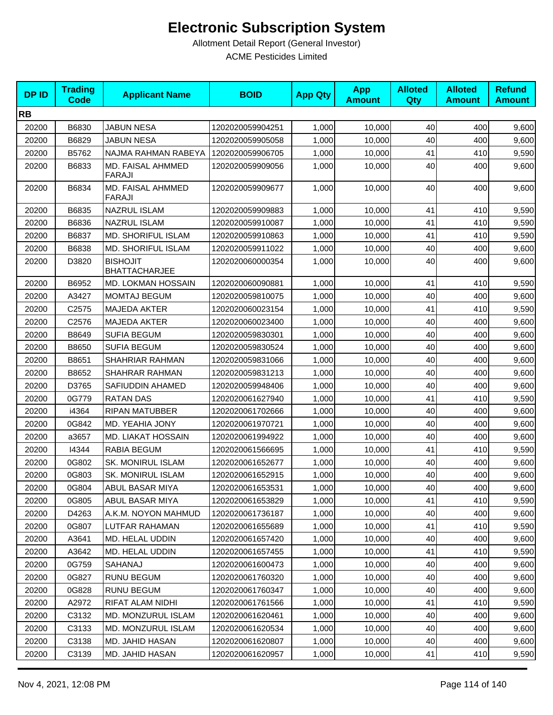| <b>DPID</b> | <b>Trading</b><br><b>Code</b> | <b>Applicant Name</b>                   | <b>BOID</b>      | <b>App Qty</b> | <b>App</b><br><b>Amount</b> | <b>Alloted</b><br><b>Qty</b> | <b>Alloted</b><br><b>Amount</b> | <b>Refund</b><br><b>Amount</b> |
|-------------|-------------------------------|-----------------------------------------|------------------|----------------|-----------------------------|------------------------------|---------------------------------|--------------------------------|
| <b>RB</b>   |                               |                                         |                  |                |                             |                              |                                 |                                |
| 20200       | B6830                         | <b>JABUN NESA</b>                       | 1202020059904251 | 1,000          | 10,000                      | 40                           | 400                             | 9,600                          |
| 20200       | B6829                         | <b>JABUN NESA</b>                       | 1202020059905058 | 1,000          | 10,000                      | 40                           | 400                             | 9,600                          |
| 20200       | B5762                         | NAJMA RAHMAN RABEYA                     | 1202020059906705 | 1,000          | 10,000                      | 41                           | 410                             | 9,590                          |
| 20200       | B6833                         | MD. FAISAL AHMMED<br><b>FARAJI</b>      | 1202020059909056 | 1,000          | 10,000                      | 40                           | 400                             | 9,600                          |
| 20200       | B6834                         | MD. FAISAL AHMMED<br><b>FARAJI</b>      | 1202020059909677 | 1,000          | 10,000                      | 40                           | 400                             | 9,600                          |
| 20200       | B6835                         | NAZRUL ISLAM                            | 1202020059909883 | 1,000          | 10,000                      | 41                           | 410                             | 9,590                          |
| 20200       | B6836                         | NAZRUL ISLAM                            | 1202020059910087 | 1,000          | 10,000                      | 41                           | 410                             | 9,590                          |
| 20200       | B6837                         | <b>MD. SHORIFUL ISLAM</b>               | 1202020059910863 | 1,000          | 10,000                      | 41                           | 410                             | 9,590                          |
| 20200       | B6838                         | MD. SHORIFUL ISLAM                      | 1202020059911022 | 1,000          | 10,000                      | 40                           | 400                             | 9,600                          |
| 20200       | D3820                         | <b>BISHOJIT</b><br><b>BHATTACHARJEE</b> | 1202020060000354 | 1,000          | 10,000                      | 40                           | 400                             | 9,600                          |
| 20200       | B6952                         | <b>MD. LOKMAN HOSSAIN</b>               | 1202020060090881 | 1,000          | 10,000                      | 41                           | 410                             | 9,590                          |
| 20200       | A3427                         | <b>MOMTAJ BEGUM</b>                     | 1202020059810075 | 1,000          | 10,000                      | 40                           | 400                             | 9,600                          |
| 20200       | C2575                         | <b>MAJEDA AKTER</b>                     | 1202020060023154 | 1,000          | 10,000                      | 41                           | 410                             | 9,590                          |
| 20200       | C2576                         | <b>MAJEDA AKTER</b>                     | 1202020060023400 | 1,000          | 10,000                      | 40                           | 400                             | 9,600                          |
| 20200       | B8649                         | <b>SUFIA BEGUM</b>                      | 1202020059830301 | 1,000          | 10,000                      | 40                           | 400                             | 9,600                          |
| 20200       | B8650                         | <b>SUFIA BEGUM</b>                      | 1202020059830524 | 1,000          | 10,000                      | 40                           | 400                             | 9,600                          |
| 20200       | B8651                         | SHAHRIAR RAHMAN                         | 1202020059831066 | 1,000          | 10,000                      | 40                           | 400                             | 9,600                          |
| 20200       | B8652                         | SHAHRAR RAHMAN                          | 1202020059831213 | 1,000          | 10,000                      | 40                           | 400                             | 9,600                          |
| 20200       | D3765                         | SAFIUDDIN AHAMED                        | 1202020059948406 | 1,000          | 10,000                      | 40                           | 400                             | 9,600                          |
| 20200       | 0G779                         | <b>RATAN DAS</b>                        | 1202020061627940 | 1,000          | 10,000                      | 41                           | 410                             | 9,590                          |
| 20200       | i4364                         | <b>RIPAN MATUBBER</b>                   | 1202020061702666 | 1,000          | 10,000                      | 40                           | 400                             | 9,600                          |
| 20200       | 0G842                         | MD. YEAHIA JONY                         | 1202020061970721 | 1,000          | 10,000                      | 40                           | 400                             | 9,600                          |
| 20200       | a3657                         | MD. LIAKAT HOSSAIN                      | 1202020061994922 | 1,000          | 10,000                      | 40                           | 400                             | 9,600                          |
| 20200       | 14344                         | RABIA BEGUM                             | 1202020061566695 | 1,000          | 10,000                      | 41                           | 410                             | 9,590                          |
| 20200       | 0G802                         | <b>SK. MONIRUL ISLAM</b>                | 1202020061652677 | 1,000          | 10,000                      | 40                           | 400                             | 9,600                          |
| 20200       | 0G803                         | SK. MONIRUL ISLAM                       | 1202020061652915 | 1,000          | 10,000                      | 40                           | 400                             | 9,600                          |
| 20200       | 0G804                         | ABUL BASAR MIYA                         | 1202020061653531 | 1,000          | 10,000                      | $40\,$                       | 400                             | 9,600                          |
| 20200       | 0G805                         | ABUL BASAR MIYA                         | 1202020061653829 | 1,000          | 10,000                      | 41                           | 410                             | 9,590                          |
| 20200       | D4263                         | A.K.M. NOYON MAHMUD                     | 1202020061736187 | 1,000          | 10,000                      | 40                           | 400                             | 9,600                          |
| 20200       | 0G807                         | LUTFAR RAHAMAN                          | 1202020061655689 | 1,000          | 10,000                      | 41                           | 410                             | 9,590                          |
| 20200       | A3641                         | MD. HELAL UDDIN                         | 1202020061657420 | 1,000          | 10,000                      | 40                           | 400                             | 9,600                          |
| 20200       | A3642                         | MD. HELAL UDDIN                         | 1202020061657455 | 1,000          | 10,000                      | 41                           | 410                             | 9,590                          |
| 20200       | 0G759                         | SAHANAJ                                 | 1202020061600473 | 1,000          | 10,000                      | 40                           | 400                             | 9,600                          |
| 20200       | 0G827                         | <b>RUNU BEGUM</b>                       | 1202020061760320 | 1,000          | 10,000                      | 40                           | 400                             | 9,600                          |
| 20200       | 0G828                         | <b>RUNU BEGUM</b>                       | 1202020061760347 | 1,000          | 10,000                      | 40                           | 400                             | 9,600                          |
| 20200       | A2972                         | RIFAT ALAM NIDHI                        | 1202020061761566 | 1,000          | 10,000                      | 41                           | 410                             | 9,590                          |
| 20200       | C3132                         | MD. MONZURUL ISLAM                      | 1202020061620461 | 1,000          | 10,000                      | 40                           | 400                             | 9,600                          |
| 20200       | C3133                         | MD. MONZURUL ISLAM                      | 1202020061620534 | 1,000          | 10,000                      | 40                           | 400                             | 9,600                          |
| 20200       | C3138                         | MD. JAHID HASAN                         | 1202020061620807 | 1,000          | 10,000                      | 40                           | 400                             | 9,600                          |
| 20200       | C3139                         | MD. JAHID HASAN                         | 1202020061620957 | 1,000          | 10,000                      | 41                           | 410                             | 9,590                          |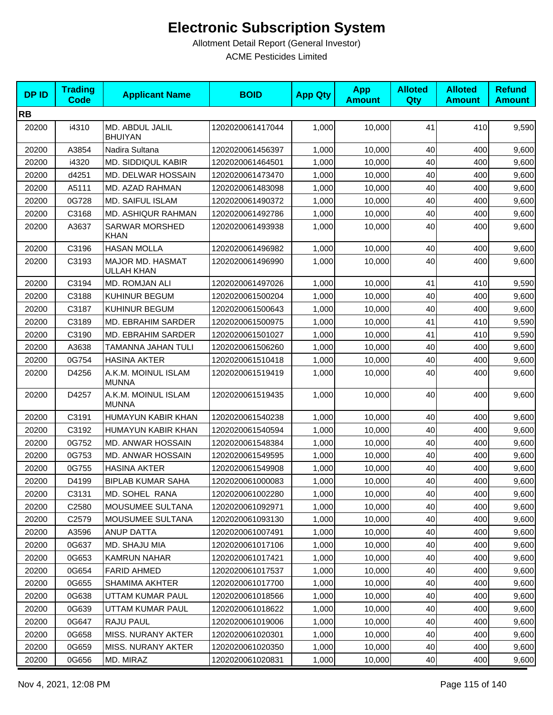| <b>DPID</b> | <b>Trading</b><br><b>Code</b> | <b>Applicant Name</b>                 | <b>BOID</b>      | <b>App Qty</b> | <b>App</b><br><b>Amount</b> | <b>Alloted</b><br>Qty | <b>Alloted</b><br><b>Amount</b> | <b>Refund</b><br><b>Amount</b> |
|-------------|-------------------------------|---------------------------------------|------------------|----------------|-----------------------------|-----------------------|---------------------------------|--------------------------------|
| <b>RB</b>   |                               |                                       |                  |                |                             |                       |                                 |                                |
| 20200       | i4310                         | MD. ABDUL JALIL<br><b>BHUIYAN</b>     | 1202020061417044 | 1,000          | 10,000                      | 41                    | 410                             | 9,590                          |
| 20200       | A3854                         | Nadira Sultana                        | 1202020061456397 | 1,000          | 10,000                      | 40                    | 400                             | 9,600                          |
| 20200       | i4320                         | <b>MD. SIDDIQUL KABIR</b>             | 1202020061464501 | 1,000          | 10,000                      | 40                    | 400                             | 9,600                          |
| 20200       | d4251                         | MD. DELWAR HOSSAIN                    | 1202020061473470 | 1,000          | 10,000                      | 40                    | 400                             | 9,600                          |
| 20200       | A5111                         | <b>MD. AZAD RAHMAN</b>                | 1202020061483098 | 1,000          | 10,000                      | 40                    | 400                             | 9,600                          |
| 20200       | 0G728                         | MD. SAIFUL ISLAM                      | 1202020061490372 | 1,000          | 10,000                      | 40                    | 400                             | 9,600                          |
| 20200       | C3168                         | MD. ASHIQUR RAHMAN                    | 1202020061492786 | 1,000          | 10.000                      | 40                    | 400                             | 9,600                          |
| 20200       | A3637                         | <b>SARWAR MORSHED</b><br><b>KHAN</b>  | 1202020061493938 | 1,000          | 10,000                      | 40                    | 400                             | 9,600                          |
| 20200       | C3196                         | <b>HASAN MOLLA</b>                    | 1202020061496982 | 1,000          | 10,000                      | 40                    | 400                             | 9,600                          |
| 20200       | C3193                         | MAJOR MD. HASMAT<br><b>ULLAH KHAN</b> | 1202020061496990 | 1,000          | 10,000                      | 40                    | 400                             | 9,600                          |
| 20200       | C3194                         | MD. ROMJAN ALI                        | 1202020061497026 | 1,000          | 10,000                      | 41                    | 410                             | 9,590                          |
| 20200       | C3188                         | KUHINUR BEGUM                         | 1202020061500204 | 1,000          | 10,000                      | 40                    | 400                             | 9,600                          |
| 20200       | C3187                         | KUHINUR BEGUM                         | 1202020061500643 | 1,000          | 10,000                      | 40                    | 400                             | 9,600                          |
| 20200       | C3189                         | MD. EBRAHIM SARDER                    | 1202020061500975 | 1,000          | 10,000                      | 41                    | 410                             | 9,590                          |
| 20200       | C3190                         | MD. EBRAHIM SARDER                    | 1202020061501027 | 1,000          | 10,000                      | 41                    | 410                             | 9,590                          |
| 20200       | A3638                         | TAMANNA JAHAN TULI                    | 1202020061506260 | 1,000          | 10,000                      | 40                    | 400                             | 9,600                          |
| 20200       | 0G754                         | <b>HASINA AKTER</b>                   | 1202020061510418 | 1,000          | 10,000                      | 40                    | 400                             | 9,600                          |
| 20200       | D4256                         | A.K.M. MOINUL ISLAM<br><b>MUNNA</b>   | 1202020061519419 | 1,000          | 10,000                      | 40                    | 400                             | 9,600                          |
| 20200       | D4257                         | A.K.M. MOINUL ISLAM<br><b>MUNNA</b>   | 1202020061519435 | 1,000          | 10,000                      | 40                    | 400                             | 9,600                          |
| 20200       | C3191                         | HUMAYUN KABIR KHAN                    | 1202020061540238 | 1,000          | 10,000                      | 40                    | 400                             | 9,600                          |
| 20200       | C3192                         | HUMAYUN KABIR KHAN                    | 1202020061540594 | 1,000          | 10,000                      | 40                    | 400                             | 9,600                          |
| 20200       | 0G752                         | MD. ANWAR HOSSAIN                     | 1202020061548384 | 1,000          | 10,000                      | 40                    | 400                             | 9,600                          |
| 20200       | 0G753                         | MD. ANWAR HOSSAIN                     | 1202020061549595 | 1,000          | 10,000                      | 40                    | 400                             | 9,600                          |
| 20200       | 0G755                         | <b>HASINA AKTER</b>                   | 1202020061549908 | 1,000          | 10,000                      | 40                    | 400                             | 9,600                          |
| 20200       | D4199                         | <b>BIPLAB KUMAR SAHA</b>              | 1202020061000083 | 1,000          | 10,000                      | 40                    | 400                             | 9,600                          |
| 20200       | C3131                         | MD. SOHEL RANA                        | 1202020061002280 | 1,000          | 10,000                      | 40                    | 400                             | 9,600                          |
| 20200       | C2580                         | MOUSUMEE SULTANA                      | 1202020061092971 | 1,000          | 10,000                      | 40                    | 400                             | 9,600                          |
| 20200       | C2579                         | MOUSUMEE SULTANA                      | 1202020061093130 | 1,000          | 10,000                      | 40                    | 400                             | 9,600                          |
| 20200       | A3596                         | ANUP DATTA                            | 1202020061007491 | 1,000          | 10,000                      | 40                    | 400                             | 9,600                          |
| 20200       | 0G637                         | MD. SHAJU MIA                         | 1202020061017106 | 1,000          | 10.000                      | 40                    | 400                             | 9,600                          |
| 20200       | 0G653                         | <b>KAMRUN NAHAR</b>                   | 1202020061017421 | 1,000          | 10,000                      | 40                    | 400                             | 9,600                          |
| 20200       | 0G654                         | <b>FARID AHMED</b>                    | 1202020061017537 | 1,000          | 10,000                      | 40                    | 400                             | 9,600                          |
| 20200       | 0G655                         | <b>SHAMIMA AKHTER</b>                 | 1202020061017700 | 1,000          | 10,000                      | 40                    | 400                             | 9,600                          |
| 20200       | 0G638                         | UTTAM KUMAR PAUL                      | 1202020061018566 | 1,000          | 10,000                      | 40                    | 400                             | 9,600                          |
| 20200       | 0G639                         | UTTAM KUMAR PAUL                      | 1202020061018622 | 1,000          | 10,000                      | 40                    | 400                             | 9,600                          |
| 20200       | 0G647                         | RAJU PAUL                             | 1202020061019006 | 1,000          | 10,000                      | 40                    | 400                             | 9,600                          |
| 20200       | 0G658                         | MISS. NURANY AKTER                    | 1202020061020301 | 1,000          | 10,000                      | 40                    | 400                             | 9,600                          |
| 20200       | 0G659                         | MISS. NURANY AKTER                    | 1202020061020350 | 1,000          | 10,000                      | 40                    | 400                             | 9,600                          |
| 20200       | 0G656                         | MD. MIRAZ                             | 1202020061020831 | 1,000          | 10,000                      | 40                    | 400                             | 9,600                          |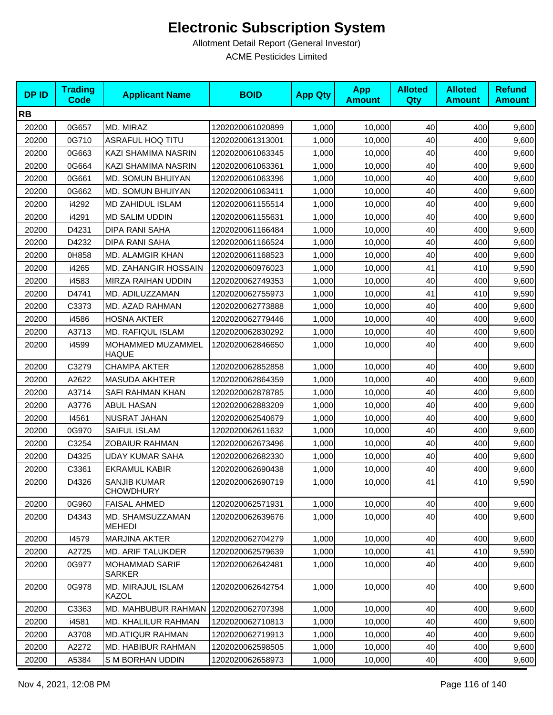| <b>DPID</b> | <b>Trading</b><br><b>Code</b> | <b>Applicant Name</b>                   | <b>BOID</b>      | <b>App Qty</b> | <b>App</b><br><b>Amount</b> | <b>Alloted</b><br>Qty | <b>Alloted</b><br><b>Amount</b> | <b>Refund</b><br><b>Amount</b> |
|-------------|-------------------------------|-----------------------------------------|------------------|----------------|-----------------------------|-----------------------|---------------------------------|--------------------------------|
| <b>RB</b>   |                               |                                         |                  |                |                             |                       |                                 |                                |
| 20200       | 0G657                         | MD. MIRAZ                               | 1202020061020899 | 1,000          | 10,000                      | 40                    | 400                             | 9,600                          |
| 20200       | 0G710                         | <b>ASRAFUL HOQ TITU</b>                 | 1202020061313001 | 1,000          | 10,000                      | 40                    | 400                             | 9,600                          |
| 20200       | 0G663                         | KAZI SHAMIMA NASRIN                     | 1202020061063345 | 1,000          | 10,000                      | 40                    | 400                             | 9,600                          |
| 20200       | 0G664                         | KAZI SHAMIMA NASRIN                     | 1202020061063361 | 1,000          | 10,000                      | 40                    | 400                             | 9,600                          |
| 20200       | 0G661                         | MD. SOMUN BHUIYAN                       | 1202020061063396 | 1,000          | 10,000                      | 40                    | 400                             | 9,600                          |
| 20200       | 0G662                         | MD. SOMUN BHUIYAN                       | 1202020061063411 | 1,000          | 10,000                      | 40                    | 400                             | 9,600                          |
| 20200       | i4292                         | <b>MD ZAHIDUL ISLAM</b>                 | 1202020061155514 | 1,000          | 10,000                      | 40                    | 400                             | 9,600                          |
| 20200       | i4291                         | <b>MD SALIM UDDIN</b>                   | 1202020061155631 | 1,000          | 10,000                      | 40                    | 400                             | 9,600                          |
| 20200       | D4231                         | <b>DIPA RANI SAHA</b>                   | 1202020061166484 | 1,000          | 10,000                      | 40                    | 400                             | 9,600                          |
| 20200       | D4232                         | <b>DIPA RANI SAHA</b>                   | 1202020061166524 | 1,000          | 10,000                      | 40                    | 400                             | 9,600                          |
| 20200       | 0H858                         | MD. ALAMGIR KHAN                        | 1202020061168523 | 1,000          | 10,000                      | 40                    | 400                             | 9,600                          |
| 20200       | i4265                         | MD. ZAHANGIR HOSSAIN                    | 1202020060976023 | 1,000          | 10,000                      | 41                    | 410                             | 9,590                          |
| 20200       | i4583                         | MIRZA RAIHAN UDDIN                      | 1202020062749353 | 1,000          | 10,000                      | 40                    | 400                             | 9,600                          |
| 20200       | D4741                         | MD. ADILUZZAMAN                         | 1202020062755973 | 1,000          | 10,000                      | 41                    | 410                             | 9,590                          |
| 20200       | C3373                         | MD. AZAD RAHMAN                         | 1202020062773888 | 1,000          | 10,000                      | 40                    | 400                             | 9,600                          |
| 20200       | i4586                         | <b>HOSNA AKTER</b>                      | 1202020062779446 | 1,000          | 10,000                      | 40                    | 400                             | 9,600                          |
| 20200       | A3713                         | MD. RAFIQUL ISLAM                       | 1202020062830292 | 1,000          | 10,000                      | 40                    | 400                             | 9,600                          |
| 20200       | i4599                         | MOHAMMED MUZAMMEL<br><b>HAQUE</b>       | 1202020062846650 | 1,000          | 10,000                      | 40                    | 400                             | 9,600                          |
| 20200       | C3279                         | <b>CHAMPA AKTER</b>                     | 1202020062852858 | 1,000          | 10,000                      | 40                    | 400                             | 9,600                          |
| 20200       | A2622                         | <b>MASUDA AKHTER</b>                    | 1202020062864359 | 1,000          | 10,000                      | 40                    | 400                             | 9,600                          |
| 20200       | A3714                         | SAFI RAHMAN KHAN                        | 1202020062878785 | 1,000          | 10,000                      | 40                    | 400                             | 9,600                          |
| 20200       | A3776                         | <b>ABUL HASAN</b>                       | 1202020062883209 | 1,000          | 10,000                      | 40                    | 400                             | 9,600                          |
| 20200       | 14561                         | NUSRAT JAHAN                            | 1202020062540679 | 1,000          | 10,000                      | 40                    | 400                             | 9,600                          |
| 20200       | 0G970                         | SAIFUL ISLAM                            | 1202020062611632 | 1,000          | 10,000                      | 40                    | 400                             | 9,600                          |
| 20200       | C3254                         | <b>ZOBAIUR RAHMAN</b>                   | 1202020062673496 | 1,000          | 10,000                      | 40                    | 400                             | 9,600                          |
| 20200       | D4325                         | <b>UDAY KUMAR SAHA</b>                  | 1202020062682330 | 1,000          | 10,000                      | 40                    | 400                             | 9,600                          |
| 20200       | C3361                         | <b>EKRAMUL KABIR</b>                    | 1202020062690438 | 1,000          | 10,000                      | 40                    | 400                             | 9,600                          |
| 20200       | D4326                         | <b>SANJIB KUMAR</b><br><b>CHOWDHURY</b> | 1202020062690719 | 1,000          | 10,000                      | 41                    | 410                             | 9,590                          |
| 20200       | 0G960                         | <b>FAISAL AHMED</b>                     | 1202020062571931 | 1,000          | 10,000                      | 40                    | 400                             | 9,600                          |
| 20200       | D4343                         | MD. SHAMSUZZAMAN<br><b>MEHEDI</b>       | 1202020062639676 | 1,000          | 10,000                      | 40                    | 400                             | 9,600                          |
| 20200       | 14579                         | <b>MARJINA AKTER</b>                    | 1202020062704279 | 1,000          | 10,000                      | 40                    | 400                             | 9,600                          |
| 20200       | A2725                         | MD. ARIF TALUKDER                       | 1202020062579639 | 1,000          | 10,000                      | 41                    | 410                             | 9,590                          |
| 20200       | 0G977                         | <b>MOHAMMAD SARIF</b><br><b>SARKER</b>  | 1202020062642481 | 1,000          | 10,000                      | 40                    | 400                             | 9,600                          |
| 20200       | 0G978                         | MD. MIRAJUL ISLAM<br>KAZOL              | 1202020062642754 | 1,000          | 10,000                      | 40                    | 400                             | 9,600                          |
| 20200       | C3363                         | MD. MAHBUBUR RAHMAN                     | 1202020062707398 | 1,000          | 10,000                      | 40                    | 400                             | 9,600                          |
| 20200       | i4581                         | MD. KHALILUR RAHMAN                     | 1202020062710813 | 1,000          | 10,000                      | 40                    | 400                             | 9,600                          |
| 20200       | A3708                         | <b>MD.ATIQUR RAHMAN</b>                 | 1202020062719913 | 1,000          | 10,000                      | 40                    | 400                             | 9,600                          |
| 20200       | A2272                         | MD. HABIBUR RAHMAN                      | 1202020062598505 | 1,000          | 10,000                      | 40                    | 400                             | 9,600                          |
| 20200       | A5384                         | S M BORHAN UDDIN                        | 1202020062658973 | 1,000          | 10,000                      | 40                    | 400                             | 9,600                          |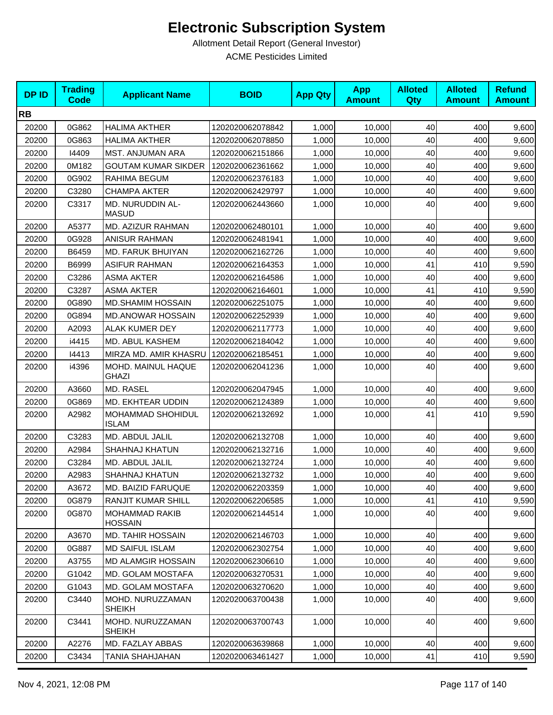| <b>DPID</b> | <b>Trading</b><br><b>Code</b> | <b>Applicant Name</b>                   | <b>BOID</b>      | <b>App Qty</b> | <b>App</b><br><b>Amount</b> | <b>Alloted</b><br>Qty | <b>Alloted</b><br><b>Amount</b> | <b>Refund</b><br><b>Amount</b> |
|-------------|-------------------------------|-----------------------------------------|------------------|----------------|-----------------------------|-----------------------|---------------------------------|--------------------------------|
| <b>RB</b>   |                               |                                         |                  |                |                             |                       |                                 |                                |
| 20200       | 0G862                         | <b>HALIMA AKTHER</b>                    | 1202020062078842 | 1,000          | 10,000                      | 40                    | 400                             | 9,600                          |
| 20200       | 0G863                         | <b>HALIMA AKTHER</b>                    | 1202020062078850 | 1,000          | 10,000                      | 40                    | 400                             | 9,600                          |
| 20200       | 14409                         | MST. ANJUMAN ARA                        | 1202020062151866 | 1,000          | 10,000                      | 40                    | 400                             | 9,600                          |
| 20200       | 0M182                         | <b>GOUTAM KUMAR SIKDER</b>              | 1202020062361662 | 1,000          | 10,000                      | 40                    | 400                             | 9,600                          |
| 20200       | 0G902                         | RAHIMA BEGUM                            | 1202020062376183 | 1,000          | 10,000                      | 40                    | 400                             | 9,600                          |
| 20200       | C3280                         | <b>CHAMPA AKTER</b>                     | 1202020062429797 | 1,000          | 10,000                      | 40                    | 400                             | 9,600                          |
| 20200       | C3317                         | <b>MD. NURUDDIN AL-</b><br><b>MASUD</b> | 1202020062443660 | 1,000          | 10,000                      | 40                    | 400                             | 9,600                          |
| 20200       | A5377                         | MD. AZIZUR RAHMAN                       | 1202020062480101 | 1,000          | 10,000                      | 40                    | 400                             | 9,600                          |
| 20200       | 0G928                         | <b>ANISUR RAHMAN</b>                    | 1202020062481941 | 1,000          | 10,000                      | 40                    | 400                             | 9,600                          |
| 20200       | B6459                         | MD. FARUK BHUIYAN                       | 1202020062162726 | 1,000          | 10,000                      | 40                    | 400                             | 9,600                          |
| 20200       | B6999                         | <b>ASIFUR RAHMAN</b>                    | 1202020062164353 | 1,000          | 10,000                      | 41                    | 410                             | 9,590                          |
| 20200       | C3286                         | <b>ASMA AKTER</b>                       | 1202020062164586 | 1,000          | 10,000                      | 40                    | 400                             | 9,600                          |
| 20200       | C3287                         | <b>ASMA AKTER</b>                       | 1202020062164601 | 1,000          | 10,000                      | 41                    | 410                             | 9,590                          |
| 20200       | 0G890                         | <b>MD.SHAMIM HOSSAIN</b>                | 1202020062251075 | 1,000          | 10,000                      | 40                    | 400                             | 9,600                          |
| 20200       | 0G894                         | <b>MD.ANOWAR HOSSAIN</b>                | 1202020062252939 | 1,000          | 10,000                      | 40                    | 400                             | 9,600                          |
| 20200       | A2093                         | <b>ALAK KUMER DEY</b>                   | 1202020062117773 | 1,000          | 10,000                      | 40                    | 400                             | 9,600                          |
| 20200       | i4415                         | MD. ABUL KASHEM                         | 1202020062184042 | 1,000          | 10,000                      | 40                    | 400                             | 9,600                          |
| 20200       | 14413                         | MIRZA MD. AMIR KHASRU                   | 1202020062185451 | 1,000          | 10,000                      | 40                    | 400                             | 9,600                          |
| 20200       | i4396                         | MOHD. MAINUL HAQUE<br>GHAZI             | 1202020062041236 | 1,000          | 10,000                      | 40                    | 400                             | 9,600                          |
| 20200       | A3660                         | MD. RASEL                               | 1202020062047945 | 1,000          | 10,000                      | 40                    | 400                             | 9,600                          |
| 20200       | 0G869                         | MD. EKHTEAR UDDIN                       | 1202020062124389 | 1,000          | 10,000                      | 40                    | 400                             | 9,600                          |
| 20200       | A2982                         | MOHAMMAD SHOHIDUL<br><b>ISLAM</b>       | 1202020062132692 | 1,000          | 10,000                      | 41                    | 410                             | 9,590                          |
| 20200       | C3283                         | MD. ABDUL JALIL                         | 1202020062132708 | 1,000          | 10,000                      | 40                    | 400                             | 9,600                          |
| 20200       | A2984                         | <b>SHAHNAJ KHATUN</b>                   | 1202020062132716 | 1,000          | 10,000                      | 40                    | 400                             | 9,600                          |
| 20200       | C3284                         | MD. ABDUL JALIL                         | 1202020062132724 | 1,000          | 10,000                      | 40                    | 400                             | 9,600                          |
| 20200       | A2983                         | SHAHNAJ KHATUN                          | 1202020062132732 | 1,000          | 10,000                      | 40                    | 400                             | 9,600                          |
| 20200       | A3672                         | MD. BAIZID FARUQUE                      | 1202020062203359 | 1,000          | 10,000                      | 40                    | 400                             | 9,600                          |
| 20200       | 0G879                         | RANJIT KUMAR SHILL                      | 1202020062206585 | 1,000          | 10,000                      | 41                    | 410                             | 9,590                          |
| 20200       | 0G870                         | <b>MOHAMMAD RAKIB</b><br><b>HOSSAIN</b> | 1202020062144514 | 1,000          | 10,000                      | 40                    | 400                             | 9,600                          |
| 20200       | A3670                         | <b>MD. TAHIR HOSSAIN</b>                | 1202020062146703 | 1,000          | 10,000                      | 40                    | 400                             | 9,600                          |
| 20200       | 0G887                         | <b>MD SAIFUL ISLAM</b>                  | 1202020062302754 | 1,000          | 10,000                      | 40                    | 400                             | 9,600                          |
| 20200       | A3755                         | MD ALAMGIR HOSSAIN                      | 1202020062306610 | 1,000          | 10,000                      | 40                    | 400                             | 9,600                          |
| 20200       | G1042                         | MD. GOLAM MOSTAFA                       | 1202020063270531 | 1,000          | 10,000                      | 40                    | 400                             | 9,600                          |
| 20200       | G1043                         | MD. GOLAM MOSTAFA                       | 1202020063270620 | 1,000          | 10,000                      | 40                    | 400                             | 9,600                          |
| 20200       | C3440                         | MOHD. NURUZZAMAN<br><b>SHEIKH</b>       | 1202020063700438 | 1,000          | 10,000                      | 40                    | 400                             | 9,600                          |
| 20200       | C3441                         | MOHD. NURUZZAMAN<br><b>SHEIKH</b>       | 1202020063700743 | 1,000          | 10,000                      | 40                    | 400                             | 9,600                          |
| 20200       | A2276                         | MD. FAZLAY ABBAS                        | 1202020063639868 | 1,000          | 10,000                      | 40                    | 400                             | 9,600                          |
| 20200       | C3434                         | TANIA SHAHJAHAN                         | 1202020063461427 | 1,000          | 10,000                      | 41                    | 410                             | 9,590                          |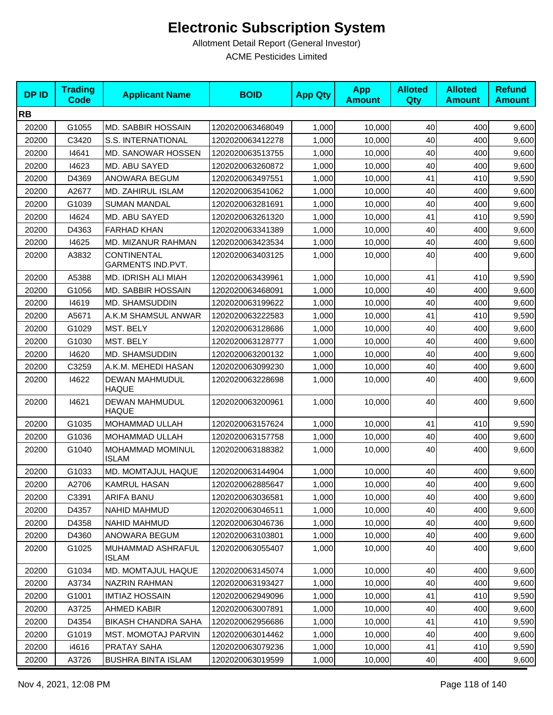| <b>DPID</b> | <b>Trading</b><br>Code | <b>Applicant Name</b>                   | <b>BOID</b>      | <b>App Qty</b> | <b>App</b><br><b>Amount</b> | <b>Alloted</b><br>Qty | <b>Alloted</b><br><b>Amount</b> | <b>Refund</b><br><b>Amount</b> |
|-------------|------------------------|-----------------------------------------|------------------|----------------|-----------------------------|-----------------------|---------------------------------|--------------------------------|
| <b>RB</b>   |                        |                                         |                  |                |                             |                       |                                 |                                |
| 20200       | G1055                  | <b>MD. SABBIR HOSSAIN</b>               | 1202020063468049 | 1,000          | 10,000                      | 40                    | 400                             | 9,600                          |
| 20200       | C3420                  | S.S. INTERNATIONAL                      | 1202020063412278 | 1,000          | 10,000                      | 40                    | 400                             | 9,600                          |
| 20200       | 14641                  | <b>MD. SANOWAR HOSSEN</b>               | 1202020063513755 | 1,000          | 10,000                      | 40                    | 400                             | 9,600                          |
| 20200       | 14623                  | <b>MD. ABU SAYED</b>                    | 1202020063260872 | 1,000          | 10,000                      | 40                    | 400                             | 9,600                          |
| 20200       | D4369                  | ANOWARA BEGUM                           | 1202020063497551 | 1,000          | 10,000                      | 41                    | 410                             | 9,590                          |
| 20200       | A2677                  | MD. ZAHIRUL ISLAM                       | 1202020063541062 | 1,000          | 10,000                      | 40                    | 400                             | 9,600                          |
| 20200       | G1039                  | <b>SUMAN MANDAL</b>                     | 1202020063281691 | 1,000          | 10,000                      | 40                    | 400                             | 9,600                          |
| 20200       | 14624                  | MD. ABU SAYED                           | 1202020063261320 | 1,000          | 10,000                      | 41                    | 410                             | 9,590                          |
| 20200       | D4363                  | <b>FARHAD KHAN</b>                      | 1202020063341389 | 1,000          | 10,000                      | 40                    | 400                             | 9,600                          |
| 20200       | 14625                  | MD. MIZANUR RAHMAN                      | 1202020063423534 | 1,000          | 10,000                      | 40                    | 400                             | 9,600                          |
| 20200       | A3832                  | CONTINENTAL<br><b>GARMENTS IND.PVT.</b> | 1202020063403125 | 1,000          | 10,000                      | 40                    | 400                             | 9,600                          |
| 20200       | A5388                  | MD. IDRISH ALI MIAH                     | 1202020063439961 | 1,000          | 10,000                      | 41                    | 410                             | 9,590                          |
| 20200       | G1056                  | MD. SABBIR HOSSAIN                      | 1202020063468091 | 1,000          | 10,000                      | 40                    | 400                             | 9,600                          |
| 20200       | 14619                  | <b>MD. SHAMSUDDIN</b>                   | 1202020063199622 | 1,000          | 10,000                      | 40                    | 400                             | 9,600                          |
| 20200       | A5671                  | A.K.M SHAMSUL ANWAR                     | 1202020063222583 | 1,000          | 10,000                      | 41                    | 410                             | 9,590                          |
| 20200       | G1029                  | MST. BELY                               | 1202020063128686 | 1,000          | 10,000                      | 40                    | 400                             | 9,600                          |
| 20200       | G1030                  | MST. BELY                               | 1202020063128777 | 1,000          | 10,000                      | 40                    | 400                             | 9,600                          |
| 20200       | 14620                  | MD. SHAMSUDDIN                          | 1202020063200132 | 1,000          | 10,000                      | 40                    | 400                             | 9,600                          |
| 20200       | C3259                  | A.K.M. MEHEDI HASAN                     | 1202020063099230 | 1,000          | 10,000                      | 40                    | 400                             | 9,600                          |
| 20200       | 14622                  | <b>DEWAN MAHMUDUL</b><br><b>HAQUE</b>   | 1202020063228698 | 1,000          | 10,000                      | 40                    | 400                             | 9,600                          |
| 20200       | 14621                  | <b>DEWAN MAHMUDUL</b><br><b>HAQUE</b>   | 1202020063200961 | 1,000          | 10,000                      | 40                    | 400                             | 9,600                          |
| 20200       | G1035                  | MOHAMMAD ULLAH                          | 1202020063157624 | 1,000          | 10,000                      | 41                    | 410                             | 9,590                          |
| 20200       | G1036                  | <b>MOHAMMAD ULLAH</b>                   | 1202020063157758 | 1,000          | 10,000                      | 40                    | 400                             | 9,600                          |
| 20200       | G1040                  | MOHAMMAD MOMINUL<br><b>ISLAM</b>        | 1202020063188382 | 1,000          | 10,000                      | 40                    | 400                             | 9,600                          |
| 20200       | G1033                  | MD. MOMTAJUL HAQUE                      | 1202020063144904 | 1,000          | 10,000                      | 40                    | 400                             | 9,600                          |
| 20200       | A2706                  | <b>KAMRUL HASAN</b>                     | 1202020062885647 | 1,000          | 10,000                      | 40                    | 400                             | 9,600                          |
| 20200       | C3391                  | ARIFA BANU                              | 1202020063036581 | 1,000          | 10,000                      | 40                    | 400                             | 9,600                          |
| 20200       | D4357                  | NAHID MAHMUD                            | 1202020063046511 | 1,000          | 10,000                      | 40                    | 400                             | 9,600                          |
| 20200       | D4358                  | <b>NAHID MAHMUD</b>                     | 1202020063046736 | 1,000          | 10,000                      | 40                    | 400                             | 9,600                          |
| 20200       | D4360                  | ANOWARA BEGUM                           | 1202020063103801 | 1,000          | 10,000                      | 40                    | 400                             | 9,600                          |
| 20200       | G1025                  | MUHAMMAD ASHRAFUL<br><b>ISLAM</b>       | 1202020063055407 | 1,000          | 10,000                      | 40                    | 400                             | 9,600                          |
| 20200       | G1034                  | MD. MOMTAJUL HAQUE                      | 1202020063145074 | 1,000          | 10,000                      | 40                    | 400                             | 9,600                          |
| 20200       | A3734                  | NAZRIN RAHMAN                           | 1202020063193427 | 1,000          | 10,000                      | 40                    | 400                             | 9,600                          |
| 20200       | G1001                  | <b>IMTIAZ HOSSAIN</b>                   | 1202020062949096 | 1,000          | 10,000                      | 41                    | 410                             | 9,590                          |
| 20200       | A3725                  | AHMED KABIR                             | 1202020063007891 | 1,000          | 10,000                      | 40                    | 400                             | 9,600                          |
| 20200       | D4354                  | <b>BIKASH CHANDRA SAHA</b>              | 1202020062956686 | 1,000          | 10,000                      | 41                    | 410                             | 9,590                          |
| 20200       | G1019                  | <b>MST. MOMOTAJ PARVIN</b>              | 1202020063014462 | 1,000          | 10,000                      | 40                    | 400                             | 9,600                          |
| 20200       | i4616                  | PRATAY SAHA                             | 1202020063079236 | 1,000          | 10,000                      | 41                    | 410                             | 9,590                          |
| 20200       | A3726                  | <b>BUSHRA BINTA ISLAM</b>               | 1202020063019599 | 1,000          | 10,000                      | 40                    | 400                             | 9,600                          |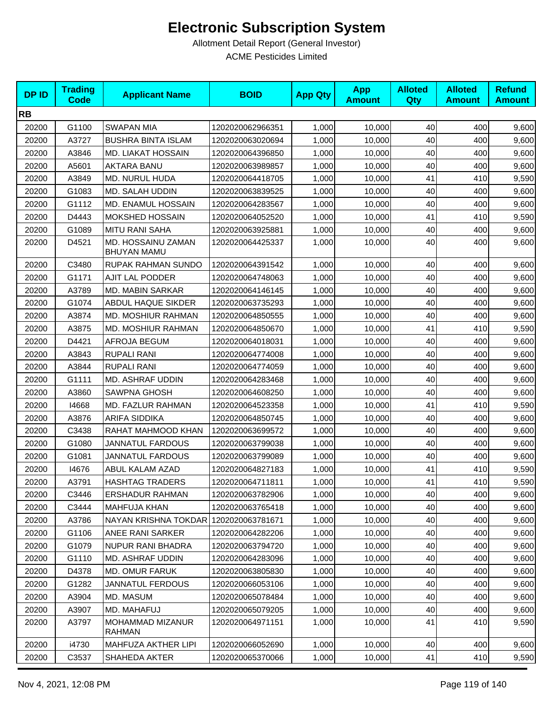| <b>DPID</b> | <b>Trading</b><br><b>Code</b> | <b>Applicant Name</b>                    | <b>BOID</b>      | <b>App Qty</b> | <b>App</b><br><b>Amount</b> | <b>Alloted</b><br><b>Qty</b> | <b>Alloted</b><br><b>Amount</b> | <b>Refund</b><br><b>Amount</b> |
|-------------|-------------------------------|------------------------------------------|------------------|----------------|-----------------------------|------------------------------|---------------------------------|--------------------------------|
| <b>RB</b>   |                               |                                          |                  |                |                             |                              |                                 |                                |
| 20200       | G1100                         | <b>SWAPAN MIA</b>                        | 1202020062966351 | 1,000          | 10,000                      | 40                           | 400                             | 9,600                          |
| 20200       | A3727                         | <b>BUSHRA BINTA ISLAM</b>                | 1202020063020694 | 1,000          | 10,000                      | 40                           | 400                             | 9,600                          |
| 20200       | A3846                         | MD. LIAKAT HOSSAIN                       | 1202020064396850 | 1,000          | 10,000                      | 40                           | 400                             | 9,600                          |
| 20200       | A5601                         | <b>AKTARA BANU</b>                       | 1202020063989857 | 1,000          | 10,000                      | 40                           | 400                             | 9,600                          |
| 20200       | A3849                         | MD. NURUL HUDA                           | 1202020064418705 | 1,000          | 10,000                      | 41                           | 410                             | 9,590                          |
| 20200       | G1083                         | MD. SALAH UDDIN                          | 1202020063839525 | 1,000          | 10,000                      | 40                           | 400                             | 9,600                          |
| 20200       | G1112                         | MD. ENAMUL HOSSAIN                       | 1202020064283567 | 1,000          | 10,000                      | 40                           | 400                             | 9,600                          |
| 20200       | D4443                         | <b>MOKSHED HOSSAIN</b>                   | 1202020064052520 | 1,000          | 10,000                      | 41                           | 410                             | 9,590                          |
| 20200       | G1089                         | <b>MITU RANI SAHA</b>                    | 1202020063925881 | 1,000          | 10,000                      | 40                           | 400                             | 9,600                          |
| 20200       | D4521                         | MD. HOSSAINU ZAMAN<br><b>BHUYAN MAMU</b> | 1202020064425337 | 1,000          | 10,000                      | 40                           | 400                             | 9,600                          |
| 20200       | C3480                         | RUPAK RAHMAN SUNDO                       | 1202020064391542 | 1,000          | 10,000                      | 40                           | 400                             | 9,600                          |
| 20200       | G1171                         | AJIT LAL PODDER                          | 1202020064748063 | 1,000          | 10,000                      | 40                           | 400                             | 9,600                          |
| 20200       | A3789                         | <b>MD. MABIN SARKAR</b>                  | 1202020064146145 | 1,000          | 10,000                      | 40                           | 400                             | 9,600                          |
| 20200       | G1074                         | ABDUL HAQUE SIKDER                       | 1202020063735293 | 1,000          | 10,000                      | 40                           | 400                             | 9,600                          |
| 20200       | A3874                         | MD. MOSHIUR RAHMAN                       | 1202020064850555 | 1,000          | 10,000                      | 40                           | 400                             | 9,600                          |
| 20200       | A3875                         | MD. MOSHIUR RAHMAN                       | 1202020064850670 | 1,000          | 10,000                      | 41                           | 410                             | 9,590                          |
| 20200       | D4421                         | AFROJA BEGUM                             | 1202020064018031 | 1,000          | 10,000                      | 40                           | 400                             | 9,600                          |
| 20200       | A3843                         | <b>RUPALI RANI</b>                       | 1202020064774008 | 1,000          | 10,000                      | 40                           | 400                             | 9,600                          |
| 20200       | A3844                         | <b>RUPALI RANI</b>                       | 1202020064774059 | 1,000          | 10,000                      | 40                           | 400                             | 9,600                          |
| 20200       | G1111                         | MD. ASHRAF UDDIN                         | 1202020064283468 | 1,000          | 10,000                      | 40                           | 400                             | 9,600                          |
| 20200       | A3860                         | <b>SAWPNA GHOSH</b>                      | 1202020064608250 | 1,000          | 10,000                      | 40                           | 400                             | 9,600                          |
| 20200       | 14668                         | MD. FAZLUR RAHMAN                        | 1202020064523358 | 1,000          | 10,000                      | 41                           | 410                             | 9,590                          |
| 20200       | A3876                         | <b>ARIFA SIDDIKA</b>                     | 1202020064850745 | 1,000          | 10,000                      | 40                           | 400                             | 9,600                          |
| 20200       | C3438                         | RAHAT MAHMOOD KHAN                       | 1202020063699572 | 1,000          | 10,000                      | 40                           | 400                             | 9,600                          |
| 20200       | G1080                         | <b>JANNATUL FARDOUS</b>                  | 1202020063799038 | 1,000          | 10,000                      | 40                           | 400                             | 9,600                          |
| 20200       | G1081                         | <b>JANNATUL FARDOUS</b>                  | 1202020063799089 | 1,000          | 10,000                      | 40                           | 400                             | 9,600                          |
| 20200       | 14676                         | ABUL KALAM AZAD                          | 1202020064827183 | 1,000          | 10,000                      | 41                           | 410                             | 9,590                          |
| 20200       | A3791                         | <b>HASHTAG TRADERS</b>                   | 1202020064711811 | 1,000          | 10,000                      | 41                           | 410                             | 9,590                          |
| 20200       | C3446                         | <b>ERSHADUR RAHMAN</b>                   | 1202020063782906 | 1,000          | 10,000                      | 40                           | 400                             | 9,600                          |
| 20200       | C3444                         | <b>MAHFUJA KHAN</b>                      | 1202020063765418 | 1,000          | 10,000                      | 40                           | 400                             | 9,600                          |
| 20200       | A3786                         | NAYAN KRISHNA TOKDAR                     | 1202020063781671 | 1,000          | 10,000                      | 40                           | 400                             | 9,600                          |
| 20200       | G1106                         | ANEE RANI SARKER                         | 1202020064282206 | 1,000          | 10,000                      | 40                           | 400                             | 9,600                          |
| 20200       | G1079                         | <b>NUPUR RANI BHADRA</b>                 | 1202020063794720 | 1,000          | 10,000                      | 40                           | 400                             | 9,600                          |
| 20200       | G1110                         | <b>MD. ASHRAF UDDIN</b>                  | 1202020064283096 | 1,000          | 10,000                      | 40                           | 400                             | 9,600                          |
| 20200       | D4378                         | MD. OMUR FARUK                           | 1202020063805830 | 1,000          | 10,000                      | 40                           | 400                             | 9,600                          |
| 20200       | G1282                         | <b>JANNATUL FERDOUS</b>                  | 1202020066053106 | 1,000          | 10,000                      | 40                           | 400                             | 9,600                          |
| 20200       | A3904                         | MD. MASUM                                | 1202020065078484 | 1,000          | 10,000                      | 40                           | 400                             | 9,600                          |
| 20200       | A3907                         | MD. MAHAFUJ                              | 1202020065079205 | 1,000          | 10,000                      | 40                           | 400                             | 9,600                          |
| 20200       | A3797                         | <b>MOHAMMAD MIZANUR</b><br><b>RAHMAN</b> | 1202020064971151 | 1,000          | 10,000                      | 41                           | 410                             | 9,590                          |
| 20200       | i4730                         | MAHFUZA AKTHER LIPI                      | 1202020066052690 | 1,000          | 10,000                      | 40                           | 400                             | 9,600                          |
| 20200       | C3537                         | SHAHEDA AKTER                            | 1202020065370066 | 1,000          | 10,000                      | 41                           | 410                             | 9,590                          |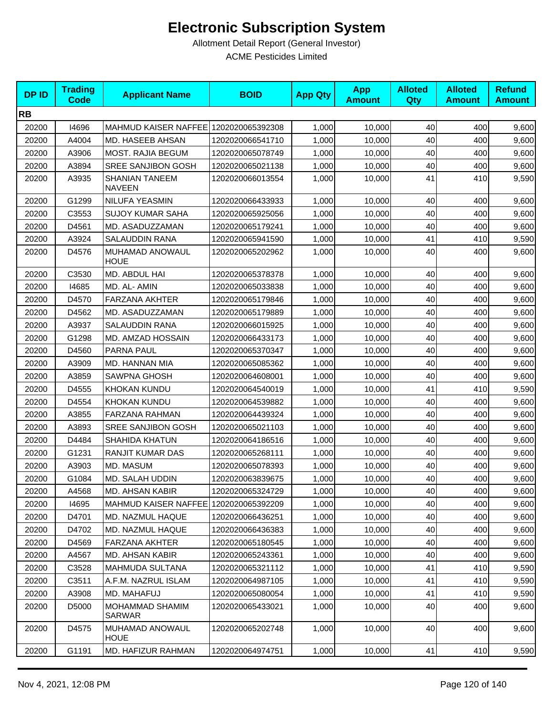| <b>DPID</b> | <b>Trading</b><br><b>Code</b> | <b>Applicant Name</b>                  | <b>BOID</b>      | <b>App Qty</b> | <b>App</b><br><b>Amount</b> | <b>Alloted</b><br><b>Qty</b> | <b>Alloted</b><br><b>Amount</b> | <b>Refund</b><br><b>Amount</b> |
|-------------|-------------------------------|----------------------------------------|------------------|----------------|-----------------------------|------------------------------|---------------------------------|--------------------------------|
| <b>RB</b>   |                               |                                        |                  |                |                             |                              |                                 |                                |
| 20200       | 14696                         | MAHMUD KAISER NAFFEE 1202020065392308  |                  | 1,000          | 10,000                      | 40                           | 400                             | 9,600                          |
| 20200       | A4004                         | MD. HASEEB AHSAN                       | 1202020066541710 | 1,000          | 10,000                      | 40                           | 400                             | 9,600                          |
| 20200       | A3906                         | <b>MOST. RAJIA BEGUM</b>               | 1202020065078749 | 1,000          | 10,000                      | 40                           | 400                             | 9,600                          |
| 20200       | A3894                         | SREE SANJIBON GOSH                     | 1202020065021138 | 1,000          | 10,000                      | 40                           | 400                             | 9,600                          |
| 20200       | A3935                         | <b>SHANIAN TANEEM</b><br><b>NAVEEN</b> | 1202020066013554 | 1,000          | 10,000                      | 41                           | 410                             | 9,590                          |
| 20200       | G1299                         | NILUFA YEASMIN                         | 1202020066433933 | 1,000          | 10,000                      | 40                           | 400                             | 9,600                          |
| 20200       | C3553                         | <b>SUJOY KUMAR SAHA</b>                | 1202020065925056 | 1,000          | 10,000                      | 40                           | 400                             | 9,600                          |
| 20200       | D4561                         | MD. ASADUZZAMAN                        | 1202020065179241 | 1,000          | 10,000                      | 40                           | 400                             | 9,600                          |
| 20200       | A3924                         | SALAUDDIN RANA                         | 1202020065941590 | 1,000          | 10,000                      | 41                           | 410                             | 9,590                          |
| 20200       | D4576                         | MUHAMAD ANOWAUL<br><b>HOUE</b>         | 1202020065202962 | 1,000          | 10,000                      | 40                           | 400                             | 9,600                          |
| 20200       | C3530                         | MD. ABDUL HAI                          | 1202020065378378 | 1,000          | 10,000                      | 40                           | 400                             | 9,600                          |
| 20200       | 14685                         | MD. AL- AMIN                           | 1202020065033838 | 1,000          | 10,000                      | 40                           | 400                             | 9,600                          |
| 20200       | D4570                         | <b>FARZANA AKHTER</b>                  | 1202020065179846 | 1,000          | 10,000                      | 40                           | 400                             | 9,600                          |
| 20200       | D4562                         | MD. ASADUZZAMAN                        | 1202020065179889 | 1,000          | 10,000                      | 40                           | 400                             | 9,600                          |
| 20200       | A3937                         | SALAUDDIN RANA                         | 1202020066015925 | 1,000          | 10,000                      | 40                           | 400                             | 9,600                          |
| 20200       | G1298                         | MD. AMZAD HOSSAIN                      | 1202020066433173 | 1,000          | 10,000                      | 40                           | 400                             | 9,600                          |
| 20200       | D4560                         | PARNA PAUL                             | 1202020065370347 | 1,000          | 10,000                      | 40                           | 400                             | 9,600                          |
| 20200       | A3909                         | MD. HANNAN MIA                         | 1202020065085362 | 1,000          | 10,000                      | 40                           | 400                             | 9,600                          |
| 20200       | A3859                         | <b>SAWPNA GHOSH</b>                    | 1202020064608001 | 1,000          | 10,000                      | 40                           | 400                             | 9,600                          |
| 20200       | D4555                         | KHOKAN KUNDU                           | 1202020064540019 | 1,000          | 10,000                      | 41                           | 410                             | 9,590                          |
| 20200       | D4554                         | KHOKAN KUNDU                           | 1202020064539882 | 1,000          | 10,000                      | 40                           | 400                             | 9,600                          |
| 20200       | A3855                         | FARZANA RAHMAN                         | 1202020064439324 | 1,000          | 10,000                      | 40                           | 400                             | 9,600                          |
| 20200       | A3893                         | SREE SANJIBON GOSH                     | 1202020065021103 | 1,000          | 10,000                      | 40                           | 400                             | 9,600                          |
| 20200       | D4484                         | <b>SHAHIDA KHATUN</b>                  | 1202020064186516 | 1,000          | 10,000                      | 40                           | 400                             | 9,600                          |
| 20200       | G1231                         | RANJIT KUMAR DAS                       | 1202020065268111 | 1,000          | 10,000                      | 40                           | 400                             | 9,600                          |
| 20200       | A3903                         | MD. MASUM                              | 1202020065078393 | 1,000          | 10,000                      | 40                           | 400                             | 9,600                          |
| 20200       | G1084                         | MD. SALAH UDDIN                        | 1202020063839675 | 1,000          | 10,000                      | 40                           | 400                             | 9,600                          |
| 20200       | A4568                         | MD. AHSAN KABIR                        | 1202020065324729 | 1,000          | 10,000                      | 40                           | 400                             | 9,600                          |
| 20200       | 14695                         | MAHMUD KAISER NAFFEE 1202020065392209  |                  | 1,000          | 10,000                      | 40                           | 400                             | 9,600                          |
| 20200       | D4701                         | MD. NAZMUL HAQUE                       | 1202020066436251 | 1,000          | 10,000                      | 40                           | 400                             | 9,600                          |
| 20200       | D4702                         | MD. NAZMUL HAQUE                       | 1202020066436383 | 1,000          | 10,000                      | 40                           | 400                             | 9,600                          |
| 20200       | D4569                         | <b>FARZANA AKHTER</b>                  | 1202020065180545 | 1,000          | 10,000                      | 40                           | 400                             | 9,600                          |
| 20200       | A4567                         | MD. AHSAN KABIR                        | 1202020065243361 | 1,000          | 10,000                      | 40                           | 400                             | 9,600                          |
| 20200       | C3528                         | MAHMUDA SULTANA                        | 1202020065321112 | 1,000          | 10,000                      | 41                           | 410                             | 9,590                          |
| 20200       | C3511                         | A.F.M. NAZRUL ISLAM                    | 1202020064987105 | 1,000          | 10,000                      | 41                           | 410                             | 9,590                          |
| 20200       | A3908                         | MD. MAHAFUJ                            | 1202020065080054 | 1,000          | 10,000                      | 41                           | 410                             | 9,590                          |
| 20200       | D5000                         | MOHAMMAD SHAMIM<br>SARWAR              | 1202020065433021 | 1,000          | 10,000                      | 40                           | 400                             | 9,600                          |
| 20200       | D4575                         | MUHAMAD ANOWAUL<br><b>HOUE</b>         | 1202020065202748 | 1,000          | 10,000                      | 40                           | 400                             | 9,600                          |
| 20200       | G1191                         | MD. HAFIZUR RAHMAN                     | 1202020064974751 | 1,000          | 10,000                      | 41                           | 410                             | 9,590                          |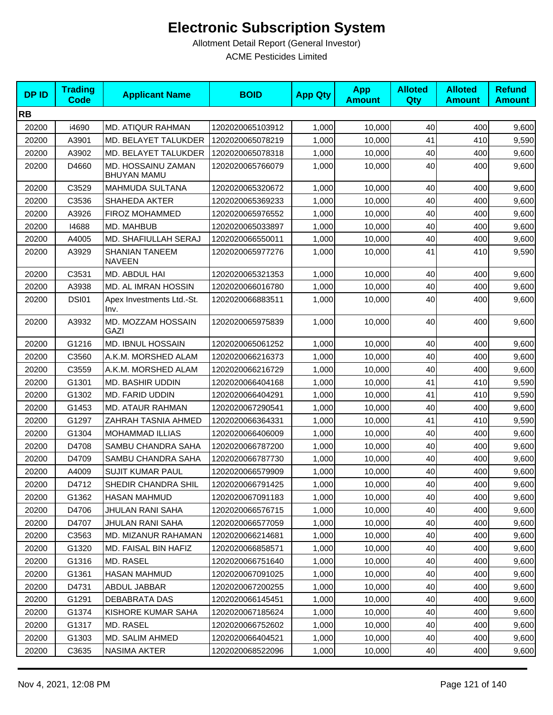| <b>DPID</b> | <b>Trading</b><br><b>Code</b> | <b>Applicant Name</b>                    | <b>BOID</b>      | <b>App Qty</b> | <b>App</b><br><b>Amount</b> | <b>Alloted</b><br><b>Qty</b> | <b>Alloted</b><br><b>Amount</b> | <b>Refund</b><br><b>Amount</b> |
|-------------|-------------------------------|------------------------------------------|------------------|----------------|-----------------------------|------------------------------|---------------------------------|--------------------------------|
| <b>RB</b>   |                               |                                          |                  |                |                             |                              |                                 |                                |
| 20200       | i4690                         | <b>MD. ATIQUR RAHMAN</b>                 | 1202020065103912 | 1,000          | 10,000                      | 40                           | 400                             | 9,600                          |
| 20200       | A3901                         | MD. BELAYET TALUKDER                     | 1202020065078219 | 1,000          | 10,000                      | 41                           | 410                             | 9,590                          |
| 20200       | A3902                         | MD. BELAYET TALUKDER                     | 1202020065078318 | 1,000          | 10,000                      | 40                           | 400                             | 9,600                          |
| 20200       | D4660                         | MD. HOSSAINU ZAMAN<br><b>BHUYAN MAMU</b> | 1202020065766079 | 1,000          | 10,000                      | 40                           | 400                             | 9,600                          |
| 20200       | C3529                         | <b>MAHMUDA SULTANA</b>                   | 1202020065320672 | 1,000          | 10,000                      | 40                           | 400                             | 9,600                          |
| 20200       | C3536                         | SHAHEDA AKTER                            | 1202020065369233 | 1,000          | 10,000                      | 40                           | 400                             | 9,600                          |
| 20200       | A3926                         | FIROZ MOHAMMED                           | 1202020065976552 | 1,000          | 10,000                      | 40                           | 400                             | 9,600                          |
| 20200       | 14688                         | MD. MAHBUB                               | 1202020065033897 | 1,000          | 10,000                      | 40                           | 400                             | 9,600                          |
| 20200       | A4005                         | MD. SHAFIULLAH SERAJ                     | 1202020066550011 | 1,000          | 10,000                      | 40                           | 400                             | 9,600                          |
| 20200       | A3929                         | <b>SHANIAN TANEEM</b><br><b>NAVEEN</b>   | 1202020065977276 | 1,000          | 10,000                      | 41                           | 410                             | 9,590                          |
| 20200       | C3531                         | MD. ABDUL HAI                            | 1202020065321353 | 1,000          | 10,000                      | 40                           | 400                             | 9,600                          |
| 20200       | A3938                         | MD. AL IMRAN HOSSIN                      | 1202020066016780 | 1,000          | 10,000                      | 40                           | 400                             | 9,600                          |
| 20200       | <b>DSI01</b>                  | Apex Investments Ltd.-St.<br>Inv.        | 1202020066883511 | 1,000          | 10,000                      | 40                           | 400                             | 9,600                          |
| 20200       | A3932                         | MD. MOZZAM HOSSAIN<br>GAZI               | 1202020065975839 | 1,000          | 10,000                      | 40                           | 400                             | 9,600                          |
| 20200       | G1216                         | <b>MD. IBNUL HOSSAIN</b>                 | 1202020065061252 | 1,000          | 10,000                      | 40                           | 400                             | 9,600                          |
| 20200       | C3560                         | A.K.M. MORSHED ALAM                      | 1202020066216373 | 1,000          | 10,000                      | 40                           | 400                             | 9,600                          |
| 20200       | C3559                         | A.K.M. MORSHED ALAM                      | 1202020066216729 | 1,000          | 10,000                      | 40                           | 400                             | 9,600                          |
| 20200       | G1301                         | MD. BASHIR UDDIN                         | 1202020066404168 | 1,000          | 10,000                      | 41                           | 410                             | 9,590                          |
| 20200       | G1302                         | MD. FARID UDDIN                          | 1202020066404291 | 1,000          | 10,000                      | 41                           | 410                             | 9,590                          |
| 20200       | G1453                         | <b>MD. ATAUR RAHMAN</b>                  | 1202020067290541 | 1,000          | 10,000                      | 40                           | 400                             | 9,600                          |
| 20200       | G1297                         | ZAHRAH TASNIA AHMED                      | 1202020066364331 | 1,000          | 10,000                      | 41                           | 410                             | 9,590                          |
| 20200       | G1304                         | <b>MOHAMMAD ILLIAS</b>                   | 1202020066406009 | 1,000          | 10,000                      | 40                           | 400                             | 9,600                          |
| 20200       | D4708                         | SAMBU CHANDRA SAHA                       | 1202020066787200 | 1,000          | 10,000                      | 40                           | 400                             | 9,600                          |
| 20200       | D4709                         | SAMBU CHANDRA SAHA                       | 1202020066787730 | 1,000          | 10,000                      | 40                           | 400                             | 9,600                          |
| 20200       | A4009                         | <b>SUJIT KUMAR PAUL</b>                  | 1202020066579909 | 1,000          | 10,000                      | 40                           | 400                             | 9,600                          |
| 20200       | D4712                         | SHEDIR CHANDRA SHIL                      | 1202020066791425 | 1,000          | 10,000                      | 40                           | 400                             | 9,600                          |
| 20200       | G1362                         | <b>HASAN MAHMUD</b>                      | 1202020067091183 | 1,000          | 10,000                      | 40                           | 400                             | 9,600                          |
| 20200       | D4706                         | JHULAN RANI SAHA                         | 1202020066576715 | 1,000          | 10,000                      | 40                           | 400                             | 9,600                          |
| 20200       | D4707                         | JHULAN RANI SAHA                         | 1202020066577059 | 1,000          | 10.000                      | 40                           | 400                             | 9,600                          |
| 20200       | C3563                         | MD. MIZANUR RAHAMAN                      | 1202020066214681 | 1,000          | 10,000                      | 40                           | 400                             | 9,600                          |
| 20200       | G1320                         | MD. FAISAL BIN HAFIZ                     | 1202020066858571 | 1,000          | 10,000                      | 40                           | 400                             | 9,600                          |
| 20200       | G1316                         | MD. RASEL                                | 1202020066751640 | 1,000          | 10,000                      | 40                           | 400                             | 9,600                          |
| 20200       | G1361                         | HASAN MAHMUD                             | 1202020067091025 | 1,000          | 10,000                      | 40                           | 400                             | 9,600                          |
| 20200       | D4731                         | ABDUL JABBAR                             | 1202020067200255 | 1,000          | 10,000                      | 40                           | 400                             | 9,600                          |
| 20200       | G1291                         | DEBABRATA DAS                            | 1202020066145451 | 1,000          | 10,000                      | 40                           | 400                             | 9,600                          |
| 20200       | G1374                         | KISHORE KUMAR SAHA                       | 1202020067185624 | 1,000          | 10,000                      | 40                           | 400                             | 9,600                          |
| 20200       | G1317                         | MD. RASEL                                | 1202020066752602 | 1,000          | 10,000                      | 40                           | 400                             | 9,600                          |
| 20200       | G1303                         | MD. SALIM AHMED                          | 1202020066404521 | 1,000          | 10,000                      | 40                           | 400                             | 9,600                          |
| 20200       | C3635                         | NASIMA AKTER                             | 1202020068522096 | 1,000          | 10,000                      | 40                           | 400                             | 9,600                          |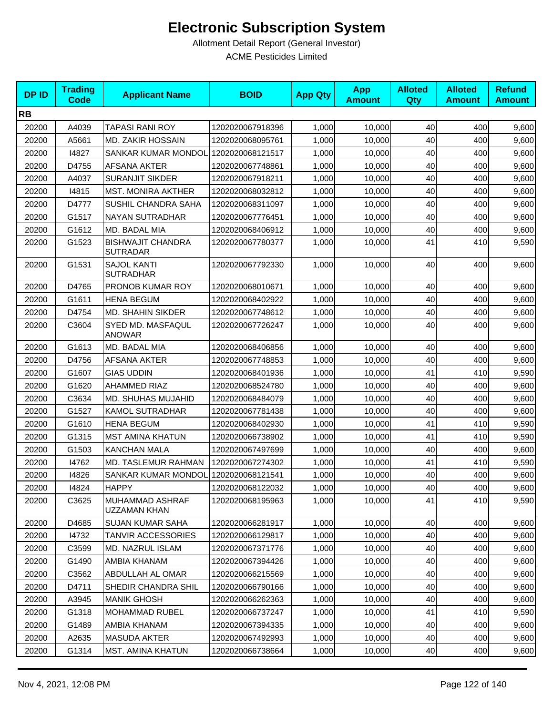| <b>DPID</b> | <b>Trading</b><br>Code | <b>Applicant Name</b>                       | <b>BOID</b>      | <b>App Qty</b> | <b>App</b><br><b>Amount</b> | <b>Alloted</b><br>Qty | <b>Alloted</b><br><b>Amount</b> | <b>Refund</b><br><b>Amount</b> |
|-------------|------------------------|---------------------------------------------|------------------|----------------|-----------------------------|-----------------------|---------------------------------|--------------------------------|
| <b>RB</b>   |                        |                                             |                  |                |                             |                       |                                 |                                |
| 20200       | A4039                  | <b>TAPASI RANI ROY</b>                      | 1202020067918396 | 1,000          | 10,000                      | 40                    | 400                             | 9,600                          |
| 20200       | A5661                  | MD. ZAKIR HOSSAIN                           | 1202020068095761 | 1,000          | 10,000                      | 40                    | 400                             | 9,600                          |
| 20200       | 14827                  | SANKAR KUMAR MONDOL                         | 1202020068121517 | 1,000          | 10,000                      | 40                    | 400                             | 9,600                          |
| 20200       | D4755                  | <b>AFSANA AKTER</b>                         | 1202020067748861 | 1,000          | 10,000                      | 40                    | 400                             | 9,600                          |
| 20200       | A4037                  | <b>SURANJIT SIKDER</b>                      | 1202020067918211 | 1,000          | 10,000                      | 40                    | 400                             | 9,600                          |
| 20200       | 14815                  | <b>MST. MONIRA AKTHER</b>                   | 1202020068032812 | 1,000          | 10,000                      | 40                    | 400                             | 9,600                          |
| 20200       | D4777                  | SUSHIL CHANDRA SAHA                         | 1202020068311097 | 1,000          | 10,000                      | 40                    | 400                             | 9,600                          |
| 20200       | G1517                  | <b>NAYAN SUTRADHAR</b>                      | 1202020067776451 | 1,000          | 10,000                      | 40                    | 400                             | 9,600                          |
| 20200       | G1612                  | MD. BADAL MIA                               | 1202020068406912 | 1,000          | 10,000                      | 40                    | 400                             | 9,600                          |
| 20200       | G1523                  | <b>BISHWAJIT CHANDRA</b><br><b>SUTRADAR</b> | 1202020067780377 | 1,000          | 10,000                      | 41                    | 410                             | 9,590                          |
| 20200       | G1531                  | <b>SAJOL KANTI</b><br><b>SUTRADHAR</b>      | 1202020067792330 | 1,000          | 10,000                      | 40                    | 400                             | 9,600                          |
| 20200       | D4765                  | PRONOB KUMAR ROY                            | 1202020068010671 | 1,000          | 10,000                      | 40                    | 400                             | 9,600                          |
| 20200       | G1611                  | <b>HENA BEGUM</b>                           | 1202020068402922 | 1,000          | 10,000                      | 40                    | 400                             | 9,600                          |
| 20200       | D4754                  | <b>MD. SHAHIN SIKDER</b>                    | 1202020067748612 | 1,000          | 10,000                      | 40                    | 400                             | 9,600                          |
| 20200       | C3604                  | SYED MD. MASFAQUL<br><b>ANOWAR</b>          | 1202020067726247 | 1,000          | 10,000                      | 40                    | 400                             | 9,600                          |
| 20200       | G1613                  | MD. BADAL MIA                               | 1202020068406856 | 1,000          | 10,000                      | 40                    | 400                             | 9,600                          |
| 20200       | D4756                  | AFSANA AKTER                                | 1202020067748853 | 1,000          | 10,000                      | 40                    | 400                             | 9,600                          |
| 20200       | G1607                  | <b>GIAS UDDIN</b>                           | 1202020068401936 | 1,000          | 10,000                      | 41                    | 410                             | 9,590                          |
| 20200       | G1620                  | <b>AHAMMED RIAZ</b>                         | 1202020068524780 | 1,000          | 10,000                      | 40                    | 400                             | 9,600                          |
| 20200       | C3634                  | MD. SHUHAS MUJAHID                          | 1202020068484079 | 1,000          | 10,000                      | 40                    | 400                             | 9,600                          |
| 20200       | G1527                  | <b>KAMOL SUTRADHAR</b>                      | 1202020067781438 | 1,000          | 10,000                      | 40                    | 400                             | 9,600                          |
| 20200       | G1610                  | <b>HENA BEGUM</b>                           | 1202020068402930 | 1,000          | 10,000                      | 41                    | 410                             | 9,590                          |
| 20200       | G1315                  | <b>MST AMINA KHATUN</b>                     | 1202020066738902 | 1,000          | 10,000                      | 41                    | 410                             | 9,590                          |
| 20200       | G1503                  | <b>KANCHAN MALA</b>                         | 1202020067497699 | 1,000          | 10,000                      | 40                    | 400                             | 9,600                          |
| 20200       | 14762                  | MD. TASLEMUR RAHMAN                         | 1202020067274302 | 1,000          | 10,000                      | 41                    | 410                             | 9,590                          |
| 20200       | 14826                  | SANKAR KUMAR MONDOL                         | 1202020068121541 | 1,000          | 10,000                      | 40                    | 400                             | 9,600                          |
| 20200       | 14824                  | <b>HAPPY</b>                                | 1202020068122032 | 1,000          | 10,000                      | 40                    | 400                             | 9,600                          |
| 20200       | C3625                  | MUHAMMAD ASHRAF<br>UZZAMAN KHAN             | 1202020068195963 | 1.000          | 10,000                      | 41                    | 410                             | 9,590                          |
| 20200       | D4685                  | <b>SUJAN KUMAR SAHA</b>                     | 1202020066281917 | 1,000          | 10,000                      | 40                    | 400                             | 9,600                          |
| 20200       | 14732                  | <b>TANVIR ACCESSORIES</b>                   | 1202020066129817 | 1,000          | 10,000                      | 40                    | 400                             | 9,600                          |
| 20200       | C3599                  | MD. NAZRUL ISLAM                            | 1202020067371776 | 1,000          | 10,000                      | 40                    | 400                             | 9,600                          |
| 20200       | G1490                  | AMBIA KHANAM                                | 1202020067394426 | 1,000          | 10,000                      | 40                    | 400                             | 9,600                          |
| 20200       | C3562                  | ABDULLAH AL OMAR                            | 1202020066215569 | 1,000          | 10,000                      | 40                    | 400                             | 9,600                          |
| 20200       | D4711                  | SHEDIR CHANDRA SHIL                         | 1202020066790166 | 1,000          | 10,000                      | 40                    | 400                             | 9,600                          |
| 20200       | A3945                  | <b>MANIK GHOSH</b>                          | 1202020066262363 | 1,000          | 10,000                      | 40                    | 400                             | 9,600                          |
| 20200       | G1318                  | <b>MOHAMMAD RUBEL</b>                       | 1202020066737247 | 1,000          | 10,000                      | 41                    | 410                             | 9,590                          |
| 20200       | G1489                  | AMBIA KHANAM                                | 1202020067394335 | 1,000          | 10,000                      | 40                    | 400                             | 9,600                          |
| 20200       | A2635                  | <b>MASUDA AKTER</b>                         | 1202020067492993 | 1,000          | 10,000                      | 40                    | 400                             | 9,600                          |
| 20200       | G1314                  | <b>MST. AMINA KHATUN</b>                    | 1202020066738664 | 1,000          | 10,000                      | 40                    | 400                             | 9,600                          |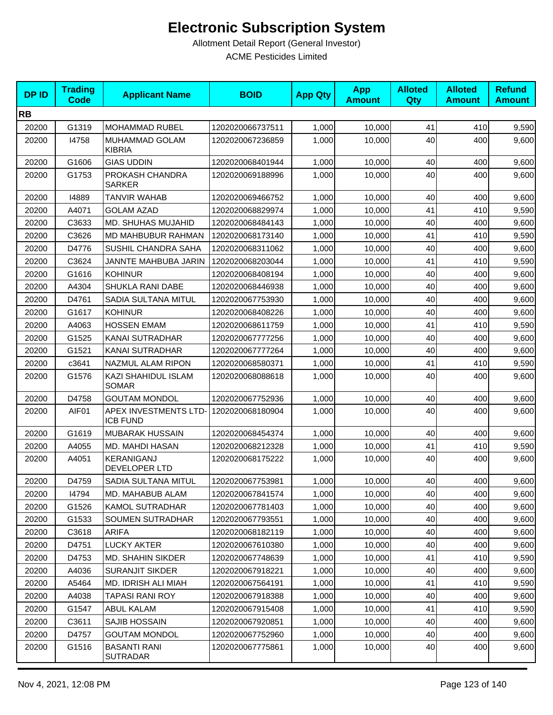| <b>DPID</b> | <b>Trading</b><br><b>Code</b> | <b>Applicant Name</b>                    | <b>BOID</b>      | <b>App Qty</b> | <b>App</b><br><b>Amount</b> | <b>Alloted</b><br>Qty | <b>Alloted</b><br><b>Amount</b> | <b>Refund</b><br><b>Amount</b> |
|-------------|-------------------------------|------------------------------------------|------------------|----------------|-----------------------------|-----------------------|---------------------------------|--------------------------------|
| <b>RB</b>   |                               |                                          |                  |                |                             |                       |                                 |                                |
| 20200       | G1319                         | MOHAMMAD RUBEL                           | 1202020066737511 | 1,000          | 10,000                      | 41                    | 410                             | 9,590                          |
| 20200       | 14758                         | <b>MUHAMMAD GOLAM</b><br><b>KIBRIA</b>   | 1202020067236859 | 1,000          | 10,000                      | 40                    | 400                             | 9,600                          |
| 20200       | G1606                         | <b>GIAS UDDIN</b>                        | 1202020068401944 | 1,000          | 10,000                      | 40                    | 400                             | 9,600                          |
| 20200       | G1753                         | PROKASH CHANDRA<br><b>SARKER</b>         | 1202020069188996 | 1,000          | 10,000                      | 40                    | 400                             | 9,600                          |
| 20200       | 14889                         | <b>TANVIR WAHAB</b>                      | 1202020069466752 | 1,000          | 10,000                      | 40                    | 400                             | 9,600                          |
| 20200       | A4071                         | <b>GOLAM AZAD</b>                        | 1202020068829974 | 1,000          | 10,000                      | 41                    | 410                             | 9,590                          |
| 20200       | C3633                         | MD. SHUHAS MUJAHID                       | 1202020068484143 | 1,000          | 10,000                      | 40                    | 400                             | 9,600                          |
| 20200       | C3626                         | MD MAHBUBUR RAHMAN                       | 1202020068173140 | 1,000          | 10,000                      | 41                    | 410                             | 9,590                          |
| 20200       | D4776                         | SUSHIL CHANDRA SAHA                      | 1202020068311062 | 1,000          | 10,000                      | 40                    | 400                             | 9,600                          |
| 20200       | C3624                         | JANNTE MAHBUBA JARIN                     | 1202020068203044 | 1,000          | 10,000                      | 41                    | 410                             | 9,590                          |
| 20200       | G1616                         | <b>KOHINUR</b>                           | 1202020068408194 | 1,000          | 10,000                      | 40                    | 400                             | 9,600                          |
| 20200       | A4304                         | SHUKLA RANI DABE                         | 1202020068446938 | 1,000          | 10,000                      | 40                    | 400                             | 9,600                          |
| 20200       | D4761                         | <b>SADIA SULTANA MITUL</b>               | 1202020067753930 | 1.000          | 10,000                      | 40                    | 400                             | 9,600                          |
| 20200       | G1617                         | <b>KOHINUR</b>                           | 1202020068408226 | 1,000          | 10,000                      | 40                    | 400                             | 9,600                          |
| 20200       | A4063                         | <b>HOSSEN EMAM</b>                       | 1202020068611759 | 1,000          | 10,000                      | 41                    | 410                             | 9,590                          |
| 20200       | G1525                         | KANAI SUTRADHAR                          | 1202020067777256 | 1,000          | 10.000                      | 40                    | 400                             | 9,600                          |
| 20200       | G1521                         | KANAI SUTRADHAR                          | 1202020067777264 | 1,000          | 10,000                      | 40                    | 400                             | 9,600                          |
| 20200       | c3641                         | NAZMUL ALAM RIPON                        | 1202020068580371 | 1,000          | 10,000                      | 41                    | 410                             | 9,590                          |
| 20200       | G1576                         | KAZI SHAHIDUL ISLAM<br><b>SOMAR</b>      | 1202020068088618 | 1,000          | 10,000                      | 40                    | 400                             | 9,600                          |
| 20200       | D4758                         | <b>GOUTAM MONDOL</b>                     | 1202020067752936 | 1,000          | 10,000                      | 40                    | 400                             | 9,600                          |
| 20200       | AIF01                         | APEX INVESTMENTS LTD-<br><b>ICB FUND</b> | 1202020068180904 | 1,000          | 10,000                      | 40                    | 400                             | 9,600                          |
| 20200       | G1619                         | <b>MUBARAK HUSSAIN</b>                   | 1202020068454374 | 1,000          | 10,000                      | 40                    | 400                             | 9,600                          |
| 20200       | A4055                         | MD. MAHDI HASAN                          | 1202020068212328 | 1,000          | 10,000                      | 41                    | 410                             | 9,590                          |
| 20200       | A4051                         | KERANIGANJ<br>DEVELOPER LTD              | 1202020068175222 | 1,000          | 10,000                      | 40                    | 400                             | 9,600                          |
| 20200       | D4759                         | SADIA SULTANA MITUL                      | 1202020067753981 | 1,000          | 10,000                      | 40                    | 400                             | 9,600                          |
| 20200       | 14794                         | MD. MAHABUB ALAM                         | 1202020067841574 | 1,000          | 10,000                      | 40                    | 400                             | 9,600                          |
| 20200       | G1526                         | <b>KAMOL SUTRADHAR</b>                   | 1202020067781403 | 1,000          | 10,000                      | 40                    | 400                             | 9,600                          |
| 20200       | G1533                         | SOUMEN SUTRADHAR                         | 1202020067793551 | 1,000          | 10,000                      | 40                    | 400                             | 9,600                          |
| 20200       | C3618                         | ARIFA                                    | 1202020068182119 | 1,000          | 10,000                      | 40                    | 400                             | 9,600                          |
| 20200       | D4751                         | <b>LUCKY AKTER</b>                       | 1202020067610380 | 1,000          | 10,000                      | 40                    | 400                             | 9,600                          |
| 20200       | D4753                         | <b>MD. SHAHIN SIKDER</b>                 | 1202020067748639 | 1,000          | 10,000                      | 41                    | 410                             | 9,590                          |
| 20200       | A4036                         | <b>SURANJIT SIKDER</b>                   | 1202020067918221 | 1,000          | 10.000                      | 40                    | 400                             | 9,600                          |
| 20200       | A5464                         | MD. IDRISH ALI MIAH                      | 1202020067564191 | 1,000          | 10,000                      | 41                    | 410                             | 9,590                          |
| 20200       | A4038                         | TAPASI RANI ROY                          | 1202020067918388 | 1,000          | 10,000                      | 40                    | 400                             | 9,600                          |
| 20200       | G1547                         | ABUL KALAM                               | 1202020067915408 | 1,000          | 10,000                      | 41                    | 410                             | 9,590                          |
| 20200       | C3611                         | SAJIB HOSSAIN                            | 1202020067920851 | 1,000          | 10,000                      | 40                    | 400                             | 9,600                          |
| 20200       | D4757                         | <b>GOUTAM MONDOL</b>                     | 1202020067752960 | 1,000          | 10,000                      | 40                    | 400                             | 9,600                          |
| 20200       | G1516                         | <b>BASANTI RANI</b><br><b>SUTRADAR</b>   | 1202020067775861 | 1,000          | 10,000                      | 40                    | 400                             | 9,600                          |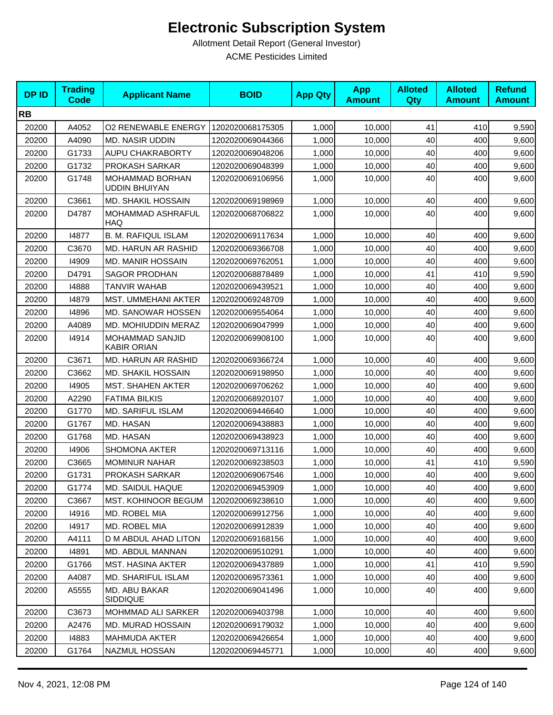| <b>DPID</b> | <b>Trading</b><br>Code | <b>Applicant Name</b>                          | <b>BOID</b>      | <b>App Qty</b> | <b>App</b><br><b>Amount</b> | <b>Alloted</b><br>Qty | <b>Alloted</b><br><b>Amount</b> | <b>Refund</b><br><b>Amount</b> |
|-------------|------------------------|------------------------------------------------|------------------|----------------|-----------------------------|-----------------------|---------------------------------|--------------------------------|
| <b>RB</b>   |                        |                                                |                  |                |                             |                       |                                 |                                |
| 20200       | A4052                  | <b>O2 RENEWABLE ENERGY</b>                     | 1202020068175305 | 1,000          | 10,000                      | 41                    | 410                             | 9,590                          |
| 20200       | A4090                  | <b>MD. NASIR UDDIN</b>                         | 1202020069044366 | 1,000          | 10,000                      | 40                    | 400                             | 9,600                          |
| 20200       | G1733                  | <b>AUPU CHAKRABORTY</b>                        | 1202020069048206 | 1,000          | 10,000                      | 40                    | 400                             | 9,600                          |
| 20200       | G1732                  | PROKASH SARKAR                                 | 1202020069048399 | 1,000          | 10,000                      | 40                    | 400                             | 9,600                          |
| 20200       | G1748                  | <b>MOHAMMAD BORHAN</b><br><b>UDDIN BHUIYAN</b> | 1202020069106956 | 1,000          | 10,000                      | 40                    | 400                             | 9,600                          |
| 20200       | C3661                  | <b>MD. SHAKIL HOSSAIN</b>                      | 1202020069198969 | 1,000          | 10,000                      | 40                    | 400                             | 9,600                          |
| 20200       | D4787                  | MOHAMMAD ASHRAFUL<br>HAQ                       | 1202020068706822 | 1,000          | 10,000                      | 40                    | 400                             | 9,600                          |
| 20200       | 14877                  | <b>B. M. RAFIQUL ISLAM</b>                     | 1202020069117634 | 1,000          | 10,000                      | 40                    | 400                             | 9,600                          |
| 20200       | C3670                  | <b>MD. HARUN AR RASHID</b>                     | 1202020069366708 | 1,000          | 10,000                      | 40                    | 400                             | 9,600                          |
| 20200       | 14909                  | <b>MD. MANIR HOSSAIN</b>                       | 1202020069762051 | 1,000          | 10,000                      | 40                    | 400                             | 9,600                          |
| 20200       | D4791                  | <b>SAGOR PRODHAN</b>                           | 1202020068878489 | 1,000          | 10,000                      | 41                    | 410                             | 9,590                          |
| 20200       | 14888                  | <b>TANVIR WAHAB</b>                            | 1202020069439521 | 1,000          | 10,000                      | 40                    | 400                             | 9,600                          |
| 20200       | 14879                  | MST. UMMEHANI AKTER                            | 1202020069248709 | 1,000          | 10,000                      | 40                    | 400                             | 9,600                          |
| 20200       | 14896                  | <b>MD. SANOWAR HOSSEN</b>                      | 1202020069554064 | 1,000          | 10,000                      | 40                    | 400                             | 9,600                          |
| 20200       | A4089                  | <b>MD. MOHIUDDIN MERAZ</b>                     | 1202020069047999 | 1,000          | 10,000                      | 40                    | 400                             | 9,600                          |
| 20200       | 14914                  | <b>MOHAMMAD SANJID</b><br><b>KABIR ORIAN</b>   | 1202020069908100 | 1,000          | 10.000                      | 40                    | 400                             | 9,600                          |
| 20200       | C3671                  | MD. HARUN AR RASHID                            | 1202020069366724 | 1,000          | 10,000                      | 40                    | 400                             | 9,600                          |
| 20200       | C3662                  | <b>MD. SHAKIL HOSSAIN</b>                      | 1202020069198950 | 1,000          | 10,000                      | 40                    | 400                             | 9,600                          |
| 20200       | 14905                  | <b>MST. SHAHEN AKTER</b>                       | 1202020069706262 | 1,000          | 10,000                      | 40                    | 400                             | 9,600                          |
| 20200       | A2290                  | <b>FATIMA BILKIS</b>                           | 1202020068920107 | 1,000          | 10,000                      | 40                    | 400                             | 9,600                          |
| 20200       | G1770                  | <b>MD. SARIFUL ISLAM</b>                       | 1202020069446640 | 1,000          | 10,000                      | 40                    | 400                             | 9,600                          |
| 20200       | G1767                  | MD. HASAN                                      | 1202020069438883 | 1,000          | 10,000                      | 40                    | 400                             | 9,600                          |
| 20200       | G1768                  | MD. HASAN                                      | 1202020069438923 | 1,000          | 10,000                      | 40                    | 400                             | 9,600                          |
| 20200       | 14906                  | <b>SHOMONA AKTER</b>                           | 1202020069713116 | 1,000          | 10,000                      | 40                    | 400                             | 9,600                          |
| 20200       | C3665                  | <b>MOMINUR NAHAR</b>                           | 1202020069238503 | 1,000          | 10,000                      | 41                    | 410                             | 9,590                          |
| 20200       | G1731                  | PROKASH SARKAR                                 | 1202020069067546 | 1,000          | 10,000                      | 40                    | 400                             | 9,600                          |
| 20200       | G1774                  | MD. SAIDUL HAQUE                               | 1202020069453909 | 1,000          | 10,000                      | 40                    | 400                             | 9,600                          |
| 20200       | C3667                  | <b>MST. KOHINOOR BEGUM</b>                     | 1202020069238610 | 1,000          | 10,000                      | 40                    | 400                             | 9,600                          |
| 20200       | 14916                  | MD. ROBEL MIA                                  | 1202020069912756 | 1,000          | 10,000                      | 40                    | 400                             | 9,600                          |
| 20200       | 14917                  | MD. ROBEL MIA                                  | 1202020069912839 | 1,000          | 10,000                      | 40                    | 400                             | 9,600                          |
| 20200       | A4111                  | D M ABDUL AHAD LITON                           | 1202020069168156 | 1,000          | 10,000                      | 40                    | 400                             | 9,600                          |
| 20200       | 14891                  | MD. ABDUL MANNAN                               | 1202020069510291 | 1,000          | 10,000                      | 40                    | 400                             | 9,600                          |
| 20200       | G1766                  | MST. HASINA AKTER                              | 1202020069437889 | 1,000          | 10,000                      | 41                    | 410                             | 9,590                          |
| 20200       | A4087                  | MD. SHARIFUL ISLAM                             | 1202020069573361 | 1,000          | 10,000                      | 40                    | 400                             | 9,600                          |
| 20200       | A5555                  | <b>MD. ABU BAKAR</b><br>SIDDIQUE               | 1202020069041496 | 1,000          | 10,000                      | 40                    | 400                             | 9,600                          |
| 20200       | C3673                  | MOHMMAD ALI SARKER                             | 1202020069403798 | 1,000          | 10,000                      | 40                    | 400                             | 9,600                          |
| 20200       | A2476                  | <b>MD. MURAD HOSSAIN</b>                       | 1202020069179032 | 1,000          | 10,000                      | 40                    | 400                             | 9,600                          |
| 20200       | 14883                  | <b>MAHMUDA AKTER</b>                           | 1202020069426654 | 1,000          | 10,000                      | 40                    | 400                             | 9,600                          |
| 20200       | G1764                  | NAZMUL HOSSAN                                  | 1202020069445771 | 1,000          | 10,000                      | 40                    | 400                             | 9,600                          |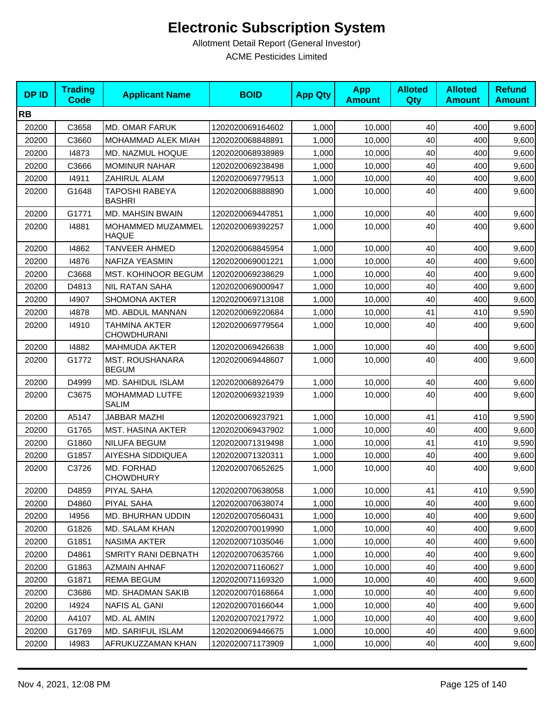| <b>DPID</b> | <b>Trading</b><br><b>Code</b> | <b>Applicant Name</b>                      | <b>BOID</b>      | <b>App Qty</b> | <b>App</b><br><b>Amount</b> | <b>Alloted</b><br>Qty | <b>Alloted</b><br><b>Amount</b> | <b>Refund</b><br><b>Amount</b> |
|-------------|-------------------------------|--------------------------------------------|------------------|----------------|-----------------------------|-----------------------|---------------------------------|--------------------------------|
| <b>RB</b>   |                               |                                            |                  |                |                             |                       |                                 |                                |
| 20200       | C3658                         | <b>MD. OMAR FARUK</b>                      | 1202020069164602 | 1,000          | 10,000                      | 40                    | 400                             | 9,600                          |
| 20200       | C3660                         | MOHAMMAD ALEK MIAH                         | 1202020068848891 | 1,000          | 10,000                      | 40                    | 400                             | 9,600                          |
| 20200       | 14873                         | MD. NAZMUL HOQUE                           | 1202020068938989 | 1,000          | 10,000                      | 40                    | 400                             | 9,600                          |
| 20200       | C3666                         | <b>MOMINUR NAHAR</b>                       | 1202020069238498 | 1,000          | 10,000                      | 40                    | 400                             | 9,600                          |
| 20200       | 14911                         | ZAHIRUL ALAM                               | 1202020069779513 | 1,000          | 10,000                      | 40                    | 400                             | 9,600                          |
| 20200       | G1648                         | TAPOSHI RABEYA<br><b>BASHRI</b>            | 1202020068888890 | 1,000          | 10,000                      | 40                    | 400                             | 9,600                          |
| 20200       | G1771                         | <b>MD. MAHSIN BWAIN</b>                    | 1202020069447851 | 1,000          | 10,000                      | 40                    | 400                             | 9,600                          |
| 20200       | 14881                         | MOHAMMED MUZAMMEL<br><b>HAQUE</b>          | 1202020069392257 | 1,000          | 10,000                      | 40                    | 400                             | 9,600                          |
| 20200       | 14862                         | <b>TANVEER AHMED</b>                       | 1202020068845954 | 1,000          | 10,000                      | 40                    | 400                             | 9,600                          |
| 20200       | 14876                         | NAFIZA YEASMIN                             | 1202020069001221 | 1,000          | 10,000                      | 40                    | 400                             | 9,600                          |
| 20200       | C3668                         | MST. KOHINOOR BEGUM                        | 1202020069238629 | 1,000          | 10,000                      | 40                    | 400                             | 9,600                          |
| 20200       | D4813                         | <b>NIL RATAN SAHA</b>                      | 1202020069000947 | 1,000          | 10,000                      | 40                    | 400                             | 9,600                          |
| 20200       | 14907                         | <b>SHOMONA AKTER</b>                       | 1202020069713108 | 1,000          | 10,000                      | 40                    | 400                             | 9,600                          |
| 20200       | i4878                         | MD. ABDUL MANNAN                           | 1202020069220684 | 1,000          | 10,000                      | 41                    | 410                             | 9,590                          |
| 20200       | 14910                         | <b>TAHMINA AKTER</b><br><b>CHOWDHURANI</b> | 1202020069779564 | 1,000          | 10,000                      | 40                    | 400                             | 9,600                          |
| 20200       | 14882                         | <b>MAHMUDA AKTER</b>                       | 1202020069426638 | 1,000          | 10,000                      | 40                    | 400                             | 9,600                          |
| 20200       | G1772                         | <b>MST. ROUSHANARA</b><br><b>BEGUM</b>     | 1202020069448607 | 1,000          | 10,000                      | 40                    | 400                             | 9,600                          |
| 20200       | D4999                         | MD. SAHIDUL ISLAM                          | 1202020068926479 | 1,000          | 10,000                      | 40                    | 400                             | 9,600                          |
| 20200       | C3675                         | MOHAMMAD LUTFE<br><b>SALIM</b>             | 1202020069321939 | 1,000          | 10,000                      | 40                    | 400                             | 9,600                          |
| 20200       | A5147                         | <b>JABBAR MAZHI</b>                        | 1202020069237921 | 1,000          | 10,000                      | 41                    | 410                             | 9,590                          |
| 20200       | G1765                         | MST. HASINA AKTER                          | 1202020069437902 | 1,000          | 10,000                      | 40                    | 400                             | 9,600                          |
| 20200       | G1860                         | <b>NILUFA BEGUM</b>                        | 1202020071319498 | 1,000          | 10,000                      | 41                    | 410                             | 9,590                          |
| 20200       | G1857                         | AIYESHA SIDDIQUEA                          | 1202020071320311 | 1,000          | 10,000                      | 40                    | 400                             | 9,600                          |
| 20200       | C3726                         | MD. FORHAD<br><b>CHOWDHURY</b>             | 1202020070652625 | 1,000          | 10,000                      | 40                    | 400                             | 9,600                          |
| 20200       | D4859                         | <b>PIYAL SAHA</b>                          | 1202020070638058 | 1,000          | 10,000                      | 41                    | 410                             | 9,590                          |
| 20200       | D4860                         | PIYAL SAHA                                 | 1202020070638074 | 1,000          | 10,000                      | 40                    | 400                             | 9,600                          |
| 20200       | 14956                         | MD. BHURHAN UDDIN                          | 1202020070560431 | 1,000          | 10,000                      | 40                    | 400                             | 9,600                          |
| 20200       | G1826                         | <b>MD. SALAM KHAN</b>                      | 1202020070019990 | 1,000          | 10,000                      | 40                    | 400                             | 9,600                          |
| 20200       | G1851                         | NASIMA AKTER                               | 1202020071035046 | 1,000          | 10,000                      | 40                    | 400                             | 9,600                          |
| 20200       | D4861                         | SMRITY RANI DEBNATH                        | 1202020070635766 | 1,000          | 10,000                      | 40                    | 400                             | 9,600                          |
| 20200       | G1863                         | <b>AZMAIN AHNAF</b>                        | 1202020071160627 | 1,000          | 10,000                      | 40                    | 400                             | 9,600                          |
| 20200       | G1871                         | <b>REMA BEGUM</b>                          | 1202020071169320 | 1,000          | 10,000                      | 40                    | 400                             | 9,600                          |
| 20200       | C3686                         | MD. SHADMAN SAKIB                          | 1202020070168664 | 1,000          | 10,000                      | 40                    | 400                             | 9,600                          |
| 20200       | 14924                         | NAFIS AL GANI                              | 1202020070166044 | 1,000          | 10,000                      | 40                    | 400                             | 9,600                          |
| 20200       | A4107                         | MD. AL AMIN                                | 1202020070217972 | 1,000          | 10,000                      | 40                    | 400                             | 9,600                          |
| 20200       | G1769                         | MD. SARIFUL ISLAM                          | 1202020069446675 | 1,000          | 10,000                      | 40                    | 400                             | 9,600                          |
| 20200       | 14983                         | AFRUKUZZAMAN KHAN                          | 1202020071173909 | 1,000          | 10,000                      | 40                    | 400                             | 9,600                          |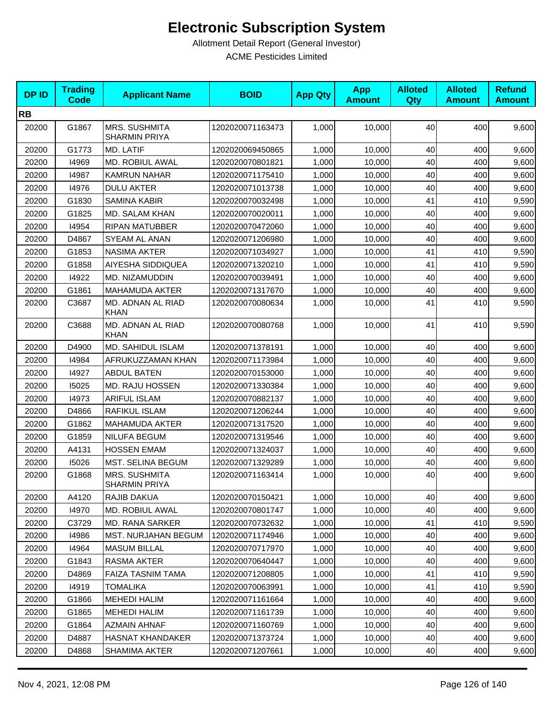| <b>DPID</b> | <b>Trading</b><br><b>Code</b> | <b>Applicant Name</b>                 | <b>BOID</b>      | <b>App Qty</b> | <b>App</b><br><b>Amount</b> | <b>Alloted</b><br><b>Qty</b> | <b>Alloted</b><br><b>Amount</b> | <b>Refund</b><br><b>Amount</b> |
|-------------|-------------------------------|---------------------------------------|------------------|----------------|-----------------------------|------------------------------|---------------------------------|--------------------------------|
| <b>RB</b>   |                               |                                       |                  |                |                             |                              |                                 |                                |
| 20200       | G1867                         | MRS. SUSHMITA<br><b>SHARMIN PRIYA</b> | 1202020071163473 | 1,000          | 10,000                      | 40                           | 400                             | 9,600                          |
| 20200       | G1773                         | MD. LATIF                             | 1202020069450865 | 1,000          | 10,000                      | 40                           | 400                             | 9,600                          |
| 20200       | 14969                         | MD. ROBIUL AWAL                       | 1202020070801821 | 1,000          | 10,000                      | 40                           | 400                             | 9,600                          |
| 20200       | 14987                         | <b>KAMRUN NAHAR</b>                   | 1202020071175410 | 1,000          | 10,000                      | 40                           | 400                             | 9,600                          |
| 20200       | 14976                         | <b>DULU AKTER</b>                     | 1202020071013738 | 1,000          | 10,000                      | 40                           | 400                             | 9,600                          |
| 20200       | G1830                         | <b>SAMINA KABIR</b>                   | 1202020070032498 | 1,000          | 10,000                      | 41                           | 410                             | 9,590                          |
| 20200       | G1825                         | <b>MD. SALAM KHAN</b>                 | 1202020070020011 | 1,000          | 10,000                      | 40                           | 400                             | 9,600                          |
| 20200       | 14954                         | <b>RIPAN MATUBBER</b>                 | 1202020070472060 | 1,000          | 10,000                      | 40                           | 400                             | 9,600                          |
| 20200       | D4867                         | SYEAM AL ANAN                         | 1202020071206980 | 1,000          | 10,000                      | 40                           | 400                             | 9,600                          |
| 20200       | G1853                         | <b>NASIMA AKTER</b>                   | 1202020071034927 | 1,000          | 10,000                      | 41                           | 410                             | 9,590                          |
| 20200       | G1858                         | AIYESHA SIDDIQUEA                     | 1202020071320210 | 1,000          | 10,000                      | 41                           | 410                             | 9,590                          |
| 20200       | 14922                         | MD. NIZAMUDDIN                        | 1202020070039491 | 1,000          | 10,000                      | 40                           | 400                             | 9,600                          |
| 20200       | G1861                         | <b>MAHAMUDA AKTER</b>                 | 1202020071317670 | 1,000          | 10,000                      | 40                           | 400                             | 9,600                          |
| 20200       | C3687                         | MD. ADNAN AL RIAD<br><b>KHAN</b>      | 1202020070080634 | 1,000          | 10,000                      | 41                           | 410                             | 9,590                          |
| 20200       | C3688                         | MD. ADNAN AL RIAD<br><b>KHAN</b>      | 1202020070080768 | 1,000          | 10,000                      | 41                           | 410                             | 9,590                          |
| 20200       | D4900                         | MD. SAHIDUL ISLAM                     | 1202020071378191 | 1,000          | 10,000                      | 40                           | 400                             | 9,600                          |
| 20200       | 14984                         | AFRUKUZZAMAN KHAN                     | 1202020071173984 | 1,000          | 10,000                      | 40                           | 400                             | 9,600                          |
| 20200       | 14927                         | <b>ABDUL BATEN</b>                    | 1202020070153000 | 1,000          | 10,000                      | 40                           | 400                             | 9,600                          |
| 20200       | 15025                         | MD. RAJU HOSSEN                       | 1202020071330384 | 1,000          | 10,000                      | 40                           | 400                             | 9,600                          |
| 20200       | 14973                         | <b>ARIFUL ISLAM</b>                   | 1202020070882137 | 1,000          | 10,000                      | 40                           | 400                             | 9,600                          |
| 20200       | D4866                         | RAFIKUL ISLAM                         | 1202020071206244 | 1,000          | 10,000                      | 40                           | 400                             | 9,600                          |
| 20200       | G1862                         | <b>MAHAMUDA AKTER</b>                 | 1202020071317520 | 1,000          | 10,000                      | 40                           | 400                             | 9,600                          |
| 20200       | G1859                         | NILUFA BEGUM                          | 1202020071319546 | 1,000          | 10,000                      | 40                           | 400                             | 9,600                          |
| 20200       | A4131                         | <b>HOSSEN EMAM</b>                    | 1202020071324037 | 1,000          | 10,000                      | 40                           | 400                             | 9,600                          |
| 20200       | 15026                         | MST. SELINA BEGUM                     | 1202020071329289 | 1,000          | 10,000                      | 40                           | 400                             | 9,600                          |
| 20200       | G1868                         | MRS. SUSHMITA<br><b>SHARMIN PRIYA</b> | 1202020071163414 | 1,000          | 10,000                      | 40                           | 400                             | 9,600                          |
| 20200       | A4120                         | RAJIB DAKUA                           | 1202020070150421 | 1,000          | 10,000                      | 40                           | 400                             | 9,600                          |
| 20200       | 14970                         | MD. ROBIUL AWAL                       | 1202020070801747 | 1,000          | 10,000                      | 40                           | 400                             | 9,600                          |
| 20200       | C3729                         | MD. RANA SARKER                       | 1202020070732632 | 1,000          | 10,000                      | 41                           | 410                             | 9,590                          |
| 20200       | 14986                         | MST. NURJAHAN BEGUM                   | 1202020071174946 | 1,000          | 10,000                      | 40                           | 400                             | 9,600                          |
| 20200       | 14964                         | <b>MASUM BILLAL</b>                   | 1202020070717970 | 1,000          | 10,000                      | 40                           | 400                             | 9,600                          |
| 20200       | G1843                         | RASMA AKTER                           | 1202020070640447 | 1,000          | 10,000                      | 40                           | 400                             | 9,600                          |
| 20200       | D4869                         | FAIZA TASNIM TAMA                     | 1202020071208805 | 1,000          | 10,000                      | 41                           | 410                             | 9,590                          |
| 20200       | 14919                         | <b>TOMALIKA</b>                       | 1202020070063991 | 1,000          | 10,000                      | 41                           | 410                             | 9,590                          |
| 20200       | G1866                         | <b>MEHEDI HALIM</b>                   | 1202020071161664 | 1,000          | 10,000                      | 40                           | 400                             | 9,600                          |
| 20200       | G1865                         | <b>MEHEDI HALIM</b>                   | 1202020071161739 | 1,000          | 10,000                      | 40                           | 400                             | 9,600                          |
| 20200       | G1864                         | <b>AZMAIN AHNAF</b>                   | 1202020071160769 | 1,000          | 10,000                      | 40                           | 400                             | 9,600                          |
| 20200       | D4887                         | HASNAT KHANDAKER                      | 1202020071373724 | 1,000          | 10,000                      | 40                           | 400                             | 9,600                          |
| 20200       | D4868                         | <b>SHAMIMA AKTER</b>                  | 1202020071207661 | 1,000          | 10,000                      | 40                           | 400                             | 9,600                          |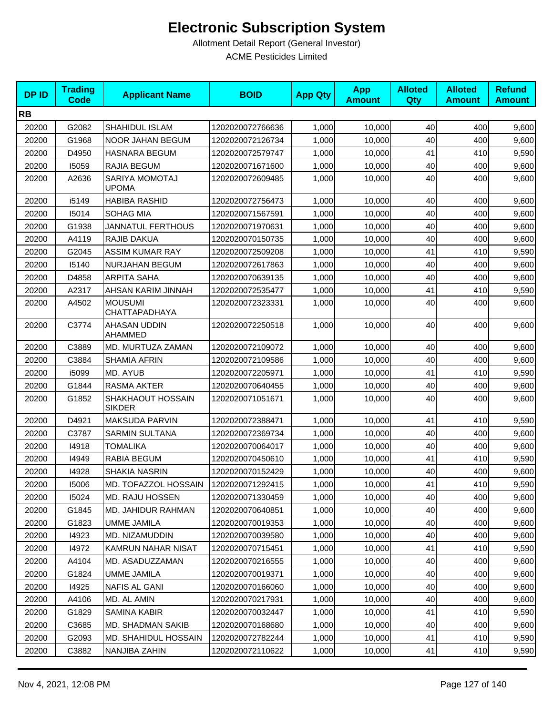| <b>DPID</b> | <b>Trading</b><br><b>Code</b> | <b>Applicant Name</b>                 | <b>BOID</b>      | <b>App Qty</b> | <b>App</b><br><b>Amount</b> | <b>Alloted</b><br>Qty | <b>Alloted</b><br><b>Amount</b> | <b>Refund</b><br><b>Amount</b> |
|-------------|-------------------------------|---------------------------------------|------------------|----------------|-----------------------------|-----------------------|---------------------------------|--------------------------------|
| <b>RB</b>   |                               |                                       |                  |                |                             |                       |                                 |                                |
| 20200       | G2082                         | SHAHIDUL ISLAM                        | 1202020072766636 | 1,000          | 10,000                      | 40                    | 400                             | 9,600                          |
| 20200       | G1968                         | NOOR JAHAN BEGUM                      | 1202020072126734 | 1,000          | 10,000                      | 40                    | 400                             | 9,600                          |
| 20200       | D4950                         | <b>HASNARA BEGUM</b>                  | 1202020072579747 | 1,000          | 10,000                      | 41                    | 410                             | 9,590                          |
| 20200       | 15059                         | RAJIA BEGUM                           | 1202020071671600 | 1,000          | 10,000                      | 40                    | 400                             | 9,600                          |
| 20200       | A2636                         | <b>SARIYA MOMOTAJ</b><br><b>UPOMA</b> | 1202020072609485 | 1,000          | 10,000                      | 40                    | 400                             | 9,600                          |
| 20200       | i5149                         | <b>HABIBA RASHID</b>                  | 1202020072756473 | 1,000          | 10,000                      | 40                    | 400                             | 9,600                          |
| 20200       | 15014                         | SOHAG MIA                             | 1202020071567591 | 1,000          | 10,000                      | 40                    | 400                             | 9,600                          |
| 20200       | G1938                         | <b>JANNATUL FERTHOUS</b>              | 1202020071970631 | 1,000          | 10,000                      | 40                    | 400                             | 9,600                          |
| 20200       | A4119                         | RAJIB DAKUA                           | 1202020070150735 | 1,000          | 10,000                      | 40                    | 400                             | 9,600                          |
| 20200       | G2045                         | <b>ASSIM KUMAR RAY</b>                | 1202020072509208 | 1,000          | 10,000                      | 41                    | 410                             | 9,590                          |
| 20200       | 15140                         | <b>NURJAHAN BEGUM</b>                 | 1202020072617863 | 1,000          | 10,000                      | 40                    | 400                             | 9,600                          |
| 20200       | D4858                         | <b>ARPITA SAHA</b>                    | 1202020070639135 | 1.000          | 10,000                      | 40                    | 400                             | 9,600                          |
| 20200       | A2317                         | AHSAN KARIM JINNAH                    | 1202020072535477 | 1,000          | 10,000                      | 41                    | 410                             | 9,590                          |
| 20200       | A4502                         | <b>MOUSUMI</b><br>CHATTAPADHAYA       | 1202020072323331 | 1,000          | 10,000                      | 40                    | 400                             | 9,600                          |
| 20200       | C3774                         | AHASAN UDDIN<br>AHAMMED               | 1202020072250518 | 1,000          | 10,000                      | 40                    | 400                             | 9,600                          |
| 20200       | C3889                         | MD. MURTUZA ZAMAN                     | 1202020072109072 | 1,000          | 10,000                      | 40                    | 400                             | 9,600                          |
| 20200       | C3884                         | <b>SHAMIA AFRIN</b>                   | 1202020072109586 | 1,000          | 10,000                      | 40                    | 400                             | 9,600                          |
| 20200       | i5099                         | MD. AYUB                              | 1202020072205971 | 1,000          | 10,000                      | 41                    | 410                             | 9,590                          |
| 20200       | G1844                         | RASMA AKTER                           | 1202020070640455 | 1,000          | 10,000                      | 40                    | 400                             | 9,600                          |
| 20200       | G1852                         | SHAKHAOUT HOSSAIN<br><b>SIKDER</b>    | 1202020071051671 | 1,000          | 10,000                      | 40                    | 400                             | 9,600                          |
| 20200       | D4921                         | MAKSUDA PARVIN                        | 1202020072388471 | 1,000          | 10,000                      | 41                    | 410                             | 9,590                          |
| 20200       | C3787                         | <b>SARMIN SULTANA</b>                 | 1202020072369734 | 1,000          | 10.000                      | 40                    | 400                             | 9,600                          |
| 20200       | 14918                         | <b>TOMALIKA</b>                       | 1202020070064017 | 1,000          | 10,000                      | 40                    | 400                             | 9,600                          |
| 20200       | 14949                         | RABIA BEGUM                           | 1202020070450610 | 1,000          | 10,000                      | 41                    | 410                             | 9,590                          |
| 20200       | 14928                         | <b>SHAKIA NASRIN</b>                  | 1202020070152429 | 1,000          | 10,000                      | 40                    | 400                             | 9,600                          |
| 20200       | 15006                         | MD. TOFAZZOL HOSSAIN                  | 1202020071292415 | 1,000          | 10,000                      | 41                    | 410                             | 9,590                          |
| 20200       | 15024                         | MD. RAJU HOSSEN                       | 1202020071330459 | 1,000          | 10,000                      | 40                    | 400                             | 9,600                          |
| 20200       | G1845                         | <b>MD. JAHIDUR RAHMAN</b>             | 1202020070640851 | 1,000          | 10,000                      | 40                    | 400                             | 9,600                          |
| 20200       | G1823                         | UMME JAMILA                           | 1202020070019353 | 1,000          | 10,000                      | 40                    | 400                             | 9,600                          |
| 20200       | 14923                         | MD. NIZAMUDDIN                        | 1202020070039580 | 1,000          | 10,000                      | 40                    | 400                             | 9,600                          |
| 20200       | 14972                         | KAMRUN NAHAR NISAT                    | 1202020070715451 | 1,000          | 10,000                      | 41                    | 410                             | 9,590                          |
| 20200       | A4104                         | MD. ASADUZZAMAN                       | 1202020070216555 | 1,000          | 10,000                      | 40                    | 400                             | 9,600                          |
| 20200       | G1824                         | UMME JAMILA                           | 1202020070019371 | 1,000          | 10,000                      | 40                    | 400                             | 9,600                          |
| 20200       | 14925                         | <b>NAFIS AL GANI</b>                  | 1202020070166060 | 1,000          | 10,000                      | 40                    | 400                             | 9,600                          |
| 20200       | A4106                         | MD. AL AMIN                           | 1202020070217931 | 1,000          | 10,000                      | 40                    | 400                             | 9,600                          |
| 20200       | G1829                         | SAMINA KABIR                          | 1202020070032447 | 1,000          | 10,000                      | 41                    | 410                             | 9,590                          |
| 20200       | C3685                         | MD. SHADMAN SAKIB                     | 1202020070168680 | 1,000          | 10,000                      | 40                    | 400                             | 9,600                          |
| 20200       | G2093                         | MD. SHAHIDUL HOSSAIN                  | 1202020072782244 | 1,000          | 10,000                      | 41                    | 410                             | 9,590                          |
| 20200       | C3882                         | NANJIBA ZAHIN                         | 1202020072110622 | 1,000          | 10,000                      | 41                    | 410                             | 9,590                          |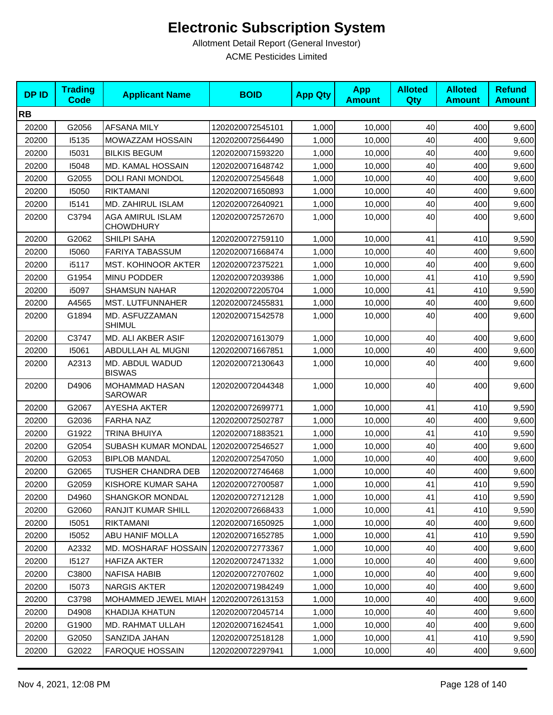| <b>DPID</b> | <b>Trading</b><br><b>Code</b> | <b>Applicant Name</b>                | <b>BOID</b>      | <b>App Qty</b> | <b>App</b><br><b>Amount</b> | <b>Alloted</b><br>Qty | <b>Alloted</b><br><b>Amount</b> | <b>Refund</b><br><b>Amount</b> |
|-------------|-------------------------------|--------------------------------------|------------------|----------------|-----------------------------|-----------------------|---------------------------------|--------------------------------|
| <b>RB</b>   |                               |                                      |                  |                |                             |                       |                                 |                                |
| 20200       | G2056                         | <b>AFSANA MILY</b>                   | 1202020072545101 | 1,000          | 10,000                      | 40                    | 400                             | 9,600                          |
| 20200       | 15135                         | MOWAZZAM HOSSAIN                     | 1202020072564490 | 1,000          | 10,000                      | 40                    | 400                             | 9,600                          |
| 20200       | 15031                         | <b>BILKIS BEGUM</b>                  | 1202020071593220 | 1,000          | 10,000                      | 40                    | 400                             | 9,600                          |
| 20200       | 15048                         | MD. KAMAL HOSSAIN                    | 1202020071648742 | 1,000          | 10,000                      | 40                    | 400                             | 9,600                          |
| 20200       | G2055                         | DOLI RANI MONDOL                     | 1202020072545648 | 1,000          | 10,000                      | 40                    | 400                             | 9,600                          |
| 20200       | 15050                         | <b>RIKTAMANI</b>                     | 1202020071650893 | 1,000          | 10,000                      | 40                    | 400                             | 9,600                          |
| 20200       | 15141                         | MD. ZAHIRUL ISLAM                    | 1202020072640921 | 1,000          | 10,000                      | 40                    | 400                             | 9,600                          |
| 20200       | C3794                         | AGA AMIRUL ISLAM<br><b>CHOWDHURY</b> | 1202020072572670 | 1,000          | 10,000                      | 40                    | 400                             | 9,600                          |
| 20200       | G2062                         | <b>SHILPI SAHA</b>                   | 1202020072759110 | 1,000          | 10,000                      | 41                    | 410                             | 9,590                          |
| 20200       | 15060                         | <b>FARIYA TABASSUM</b>               | 1202020071668474 | 1,000          | 10,000                      | 40                    | 400                             | 9,600                          |
| 20200       | i5117                         | MST. KOHINOOR AKTER                  | 1202020072375221 | 1,000          | 10,000                      | 40                    | 400                             | 9,600                          |
| 20200       | G1954                         | MINU PODDER                          | 1202020072039386 | 1,000          | 10,000                      | 41                    | 410                             | 9,590                          |
| 20200       | i5097                         | <b>SHAMSUN NAHAR</b>                 | 1202020072205704 | 1,000          | 10,000                      | 41                    | 410                             | 9,590                          |
| 20200       | A4565                         | MST. LUTFUNNAHER                     | 1202020072455831 | 1,000          | 10,000                      | 40                    | 400                             | 9,600                          |
| 20200       | G1894                         | MD. ASFUZZAMAN<br><b>SHIMUL</b>      | 1202020071542578 | 1,000          | 10,000                      | 40                    | 400                             | 9,600                          |
| 20200       | C3747                         | MD. ALI AKBER ASIF                   | 1202020071613079 | 1,000          | 10,000                      | 40                    | 400                             | 9,600                          |
| 20200       | 15061                         | ABDULLAH AL MUGNI                    | 1202020071667851 | 1,000          | 10,000                      | 40                    | 400                             | 9,600                          |
| 20200       | A2313                         | MD. ABDUL WADUD<br><b>BISWAS</b>     | 1202020072130643 | 1,000          | 10,000                      | 40                    | 400                             | 9,600                          |
| 20200       | D4906                         | MOHAMMAD HASAN<br>SAROWAR            | 1202020072044348 | 1,000          | 10,000                      | 40                    | 400                             | 9,600                          |
| 20200       | G2067                         | AYESHA AKTER                         | 1202020072699771 | 1,000          | 10,000                      | 41                    | 410                             | 9,590                          |
| 20200       | G2036                         | <b>FARHA NAZ</b>                     | 1202020072502787 | 1,000          | 10,000                      | 40                    | 400                             | 9,600                          |
| 20200       | G1922                         | TRINA BHUIYA                         | 1202020071883521 | 1,000          | 10,000                      | 41                    | 410                             | 9,590                          |
| 20200       | G2054                         | SUBASH KUMAR MONDAL                  | 1202020072546527 | 1,000          | 10,000                      | 40                    | 400                             | 9,600                          |
| 20200       | G2053                         | <b>BIPLOB MANDAL</b>                 | 1202020072547050 | 1,000          | 10,000                      | 40                    | 400                             | 9,600                          |
| 20200       | G2065                         | TUSHER CHANDRA DEB                   | 1202020072746468 | 1,000          | 10,000                      | 40                    | 400                             | 9,600                          |
| 20200       | G2059                         | KISHORE KUMAR SAHA                   | 1202020072700587 | 1,000          | 10,000                      | 41                    | 410                             | 9,590                          |
| 20200       | D4960                         | <b>SHANGKOR MONDAL</b>               | 1202020072712128 | 1,000          | 10,000                      | 41                    | 410                             | 9,590                          |
| 20200       | G2060                         | RANJIT KUMAR SHILL                   | 1202020072668433 | 1,000          | 10,000                      | 41                    | 410                             | 9,590                          |
| 20200       | 15051                         | RIKTAMANI                            | 1202020071650925 | 1,000          | 10,000                      | 40                    | 400                             | 9,600                          |
| 20200       | 15052                         | ABU HANIF MOLLA                      | 1202020071652785 | 1,000          | 10,000                      | 41                    | 410                             | 9,590                          |
| 20200       | A2332                         | <b>MD. MOSHARAF HOSSAIN</b>          | 1202020072773367 | 1,000          | 10,000                      | 40                    | 400                             | 9,600                          |
| 20200       | 15127                         | HAFIZA AKTER                         | 1202020072471332 | 1,000          | 10,000                      | 40                    | 400                             | 9,600                          |
| 20200       | C3800                         | <b>NAFISA HABIB</b>                  | 1202020072707602 | 1,000          | 10,000                      | 40                    | 400                             | 9,600                          |
| 20200       | 15073                         | <b>NARGIS AKTER</b>                  | 1202020071984249 | 1,000          | 10,000                      | 40                    | 400                             | 9,600                          |
| 20200       | C3798                         | MOHAMMED JEWEL MIAH                  | 1202020072613153 | 1,000          | 10,000                      | 40                    | 400                             | 9,600                          |
| 20200       | D4908                         | <b>KHADIJA KHATUN</b>                | 1202020072045714 | 1,000          | 10,000                      | 40                    | 400                             | 9,600                          |
| 20200       | G1900                         | MD. RAHMAT ULLAH                     | 1202020071624541 | 1,000          | 10,000                      | 40                    | 400                             | 9,600                          |
| 20200       | G2050                         | SANZIDA JAHAN                        | 1202020072518128 | 1,000          | 10,000                      | 41                    | 410                             | 9,590                          |
| 20200       | G2022                         | <b>FAROQUE HOSSAIN</b>               | 1202020072297941 | 1,000          | 10,000                      | 40                    | 400                             | 9,600                          |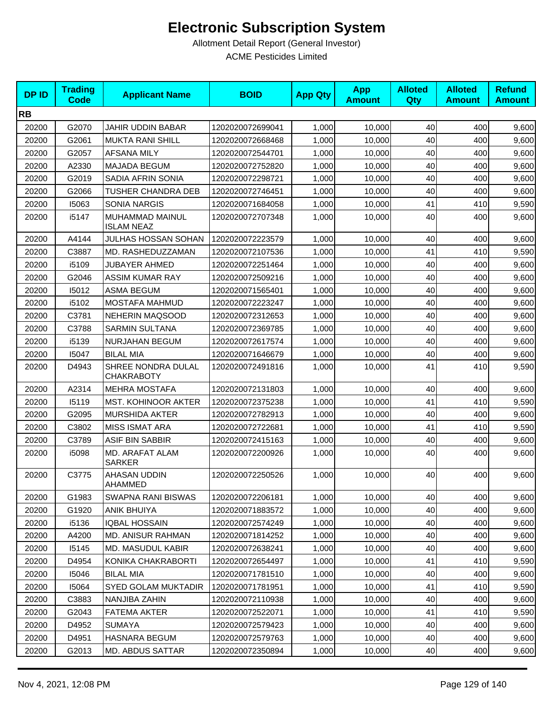| <b>DPID</b> | <b>Trading</b><br><b>Code</b> | <b>Applicant Name</b>                   | <b>BOID</b>      | <b>App Qty</b> | <b>App</b><br><b>Amount</b> | <b>Alloted</b><br>Qty | <b>Alloted</b><br><b>Amount</b> | <b>Refund</b><br><b>Amount</b> |
|-------------|-------------------------------|-----------------------------------------|------------------|----------------|-----------------------------|-----------------------|---------------------------------|--------------------------------|
| <b>RB</b>   |                               |                                         |                  |                |                             |                       |                                 |                                |
| 20200       | G2070                         | <b>JAHIR UDDIN BABAR</b>                | 1202020072699041 | 1,000          | 10,000                      | 40                    | 400                             | 9,600                          |
| 20200       | G2061                         | <b>MUKTA RANI SHILL</b>                 | 1202020072668468 | 1,000          | 10,000                      | 40                    | 400                             | 9,600                          |
| 20200       | G2057                         | <b>AFSANA MILY</b>                      | 1202020072544701 | 1,000          | 10,000                      | 40                    | 400                             | 9,600                          |
| 20200       | A2330                         | <b>MAJADA BEGUM</b>                     | 1202020072752820 | 1,000          | 10,000                      | 40                    | 400                             | 9,600                          |
| 20200       | G2019                         | SADIA AFRIN SONIA                       | 1202020072298721 | 1,000          | 10,000                      | 40                    | 400                             | 9,600                          |
| 20200       | G2066                         | <b>TUSHER CHANDRA DEB</b>               | 1202020072746451 | 1,000          | 10,000                      | 40                    | 400                             | 9,600                          |
| 20200       | 15063                         | <b>SONIA NARGIS</b>                     | 1202020071684058 | 1,000          | 10,000                      | 41                    | 410                             | 9,590                          |
| 20200       | i5147                         | MUHAMMAD MAINUL<br><b>ISLAM NEAZ</b>    | 1202020072707348 | 1,000          | 10,000                      | 40                    | 400                             | 9,600                          |
| 20200       | A4144                         | JULHAS HOSSAN SOHAN                     | 1202020072223579 | 1,000          | 10,000                      | 40                    | 400                             | 9,600                          |
| 20200       | C3887                         | MD. RASHEDUZZAMAN                       | 1202020072107536 | 1,000          | 10,000                      | 41                    | 410                             | 9,590                          |
| 20200       | i5109                         | <b>JUBAYER AHMED</b>                    | 1202020072251464 | 1,000          | 10,000                      | 40                    | 400                             | 9,600                          |
| 20200       | G2046                         | <b>ASSIM KUMAR RAY</b>                  | 1202020072509216 | 1,000          | 10,000                      | 40                    | 400                             | 9,600                          |
| 20200       | 15012                         | <b>ASMA BEGUM</b>                       | 1202020071565401 | 1,000          | 10,000                      | 40                    | 400                             | 9,600                          |
| 20200       | i5102                         | MOSTAFA MAHMUD                          | 1202020072223247 | 1,000          | 10,000                      | 40                    | 400                             | 9,600                          |
| 20200       | C3781                         | <b>NEHERIN MAQSOOD</b>                  | 1202020072312653 | 1,000          | 10,000                      | 40                    | 400                             | 9,600                          |
| 20200       | C3788                         | <b>SARMIN SULTANA</b>                   | 1202020072369785 | 1,000          | 10,000                      | 40                    | 400                             | 9,600                          |
| 20200       | i5139                         | NURJAHAN BEGUM                          | 1202020072617574 | 1,000          | 10,000                      | 40                    | 400                             | 9,600                          |
| 20200       | 15047                         | <b>BILAL MIA</b>                        | 1202020071646679 | 1,000          | 10,000                      | 40                    | 400                             | 9,600                          |
| 20200       | D4943                         | SHREE NONDRA DULAL<br><b>CHAKRABOTY</b> | 1202020072491816 | 1,000          | 10,000                      | 41                    | 410                             | 9,590                          |
| 20200       | A2314                         | <b>MEHRA MOSTAFA</b>                    | 1202020072131803 | 1,000          | 10,000                      | 40                    | 400                             | 9,600                          |
| 20200       | 15119                         | <b>MST. KOHINOOR AKTER</b>              | 1202020072375238 | 1,000          | 10,000                      | 41                    | 410                             | 9,590                          |
| 20200       | G2095                         | <b>MURSHIDA AKTER</b>                   | 1202020072782913 | 1,000          | 10,000                      | 40                    | 400                             | 9,600                          |
| 20200       | C3802                         | <b>MISS ISMAT ARA</b>                   | 1202020072722681 | 1,000          | 10,000                      | 41                    | 410                             | 9,590                          |
| 20200       | C3789                         | ASIF BIN SABBIR                         | 1202020072415163 | 1.000          | 10.000                      | 40                    | 400                             | 9,600                          |
| 20200       | i5098                         | MD. ARAFAT ALAM<br><b>SARKER</b>        | 1202020072200926 | 1,000          | 10,000                      | 40                    | 400                             | 9,600                          |
| 20200       | C3775                         | AHASAN UDDIN<br>AHAMMED                 | 1202020072250526 | 1,000          | 10,000                      | 40                    | 400                             | 9,600                          |
| 20200       | G1983                         | SWAPNA RANI BISWAS                      | 1202020072206181 | 1,000          | 10,000                      | 40                    | 400                             | 9,600                          |
| 20200       | G1920                         | ANIK BHUIYA                             | 1202020071883572 | 1,000          | 10,000                      | 40                    | 400                             | 9,600                          |
| 20200       | i5136                         | <b>IQBAL HOSSAIN</b>                    | 1202020072574249 | 1,000          | 10,000                      | 40                    | 400                             | 9,600                          |
| 20200       | A4200                         | <b>MD. ANISUR RAHMAN</b>                | 1202020071814252 | 1,000          | 10,000                      | 40                    | 400                             | 9,600                          |
| 20200       | 15145                         | <b>MD. MASUDUL KABIR</b>                | 1202020072638241 | 1,000          | 10,000                      | 40                    | 400                             | 9,600                          |
| 20200       | D4954                         | KONIKA CHAKRABORTI                      | 1202020072654497 | 1,000          | 10,000                      | 41                    | 410                             | 9,590                          |
| 20200       | 15046                         | <b>BILAL MIA</b>                        | 1202020071781510 | 1,000          | 10,000                      | 40                    | 400                             | 9,600                          |
| 20200       | 15064                         | <b>SYED GOLAM MUKTADIR</b>              | 1202020071781951 | 1,000          | 10,000                      | 41                    | 410                             | 9,590                          |
| 20200       | C3883                         | NANJIBA ZAHIN                           | 1202020072110938 | 1,000          | 10,000                      | 40                    | 400                             | 9,600                          |
| 20200       | G2043                         | <b>FATEMA AKTER</b>                     | 1202020072522071 | 1,000          | 10,000                      | 41                    | 410                             | 9,590                          |
| 20200       | D4952                         | <b>SUMAYA</b>                           | 1202020072579423 | 1,000          | 10,000                      | 40                    | 400                             | 9,600                          |
| 20200       | D4951                         | <b>HASNARA BEGUM</b>                    | 1202020072579763 | 1,000          | 10,000                      | 40                    | 400                             | 9,600                          |
| 20200       | G2013                         | <b>MD. ABDUS SATTAR</b>                 | 1202020072350894 | 1,000          | 10,000                      | 40                    | 400                             | 9,600                          |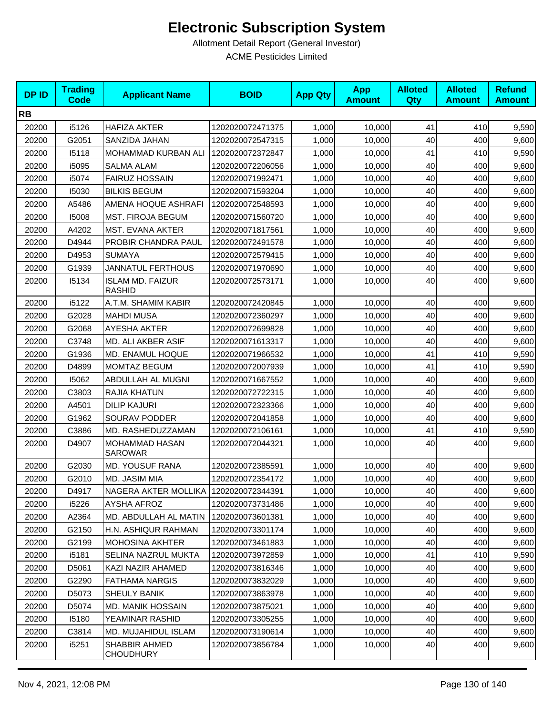| <b>DPID</b> | <b>Trading</b><br><b>Code</b> | <b>Applicant Name</b>                    | <b>BOID</b>      | <b>App Qty</b> | <b>App</b><br><b>Amount</b> | <b>Alloted</b><br>Qty | <b>Alloted</b><br><b>Amount</b> | <b>Refund</b><br><b>Amount</b> |
|-------------|-------------------------------|------------------------------------------|------------------|----------------|-----------------------------|-----------------------|---------------------------------|--------------------------------|
| <b>RB</b>   |                               |                                          |                  |                |                             |                       |                                 |                                |
| 20200       | i5126                         | <b>HAFIZA AKTER</b>                      | 1202020072471375 | 1,000          | 10,000                      | 41                    | 410                             | 9,590                          |
| 20200       | G2051                         | SANZIDA JAHAN                            | 1202020072547315 | 1,000          | 10,000                      | 40                    | 400                             | 9,600                          |
| 20200       | 15118                         | MOHAMMAD KURBAN ALI                      | 1202020072372847 | 1,000          | 10,000                      | 41                    | 410                             | 9,590                          |
| 20200       | i5095                         | <b>SALMA ALAM</b>                        | 1202020072206056 | 1,000          | 10,000                      | 40                    | 400                             | 9,600                          |
| 20200       | i5074                         | <b>FAIRUZ HOSSAIN</b>                    | 1202020071992471 | 1,000          | 10,000                      | 40                    | 400                             | 9,600                          |
| 20200       | 15030                         | <b>BILKIS BEGUM</b>                      | 1202020071593204 | 1,000          | 10,000                      | 40                    | 400                             | 9,600                          |
| 20200       | A5486                         | AMENA HOQUE ASHRAFI                      | 1202020072548593 | 1,000          | 10,000                      | 40                    | 400                             | 9,600                          |
| 20200       | 15008                         | <b>MST. FIROJA BEGUM</b>                 | 1202020071560720 | 1,000          | 10,000                      | 40                    | 400                             | 9,600                          |
| 20200       | A4202                         | MST. EVANA AKTER                         | 1202020071817561 | 1,000          | 10,000                      | 40                    | 400                             | 9,600                          |
| 20200       | D4944                         | PROBIR CHANDRA PAUL                      | 1202020072491578 | 1,000          | 10,000                      | 40                    | 400                             | 9,600                          |
| 20200       | D4953                         | <b>SUMAYA</b>                            | 1202020072579415 | 1,000          | 10,000                      | 40                    | 400                             | 9,600                          |
| 20200       | G1939                         | <b>JANNATUL FERTHOUS</b>                 | 1202020071970690 | 1,000          | 10,000                      | 40                    | 400                             | 9,600                          |
| 20200       | 15134                         | <b>ISLAM MD. FAIZUR</b><br><b>RASHID</b> | 1202020072573171 | 1,000          | 10.000                      | 40                    | 400                             | 9,600                          |
| 20200       | i5122                         | A.T.M. SHAMIM KABIR                      | 1202020072420845 | 1,000          | 10,000                      | 40                    | 400                             | 9,600                          |
| 20200       | G2028                         | <b>MAHDI MUSA</b>                        | 1202020072360297 | 1,000          | 10,000                      | 40                    | 400                             | 9,600                          |
| 20200       | G2068                         | <b>AYESHA AKTER</b>                      | 1202020072699828 | 1,000          | 10,000                      | 40                    | 400                             | 9,600                          |
| 20200       | C3748                         | MD. ALI AKBER ASIF                       | 1202020071613317 | 1,000          | 10,000                      | 40                    | 400                             | 9,600                          |
| 20200       | G1936                         | MD. ENAMUL HOQUE                         | 1202020071966532 | 1,000          | 10,000                      | 41                    | 410                             | 9,590                          |
| 20200       | D4899                         | <b>MOMTAZ BEGUM</b>                      | 1202020072007939 | 1,000          | 10,000                      | 41                    | 410                             | 9,590                          |
| 20200       | 15062                         | ABDULLAH AL MUGNI                        | 1202020071667552 | 1,000          | 10,000                      | 40                    | 400                             | 9,600                          |
| 20200       | C3803                         | RAJIA KHATUN                             | 1202020072722315 | 1,000          | 10,000                      | 40                    | 400                             | 9,600                          |
| 20200       | A4501                         | <b>DILIP KAJURI</b>                      | 1202020072323366 | 1,000          | 10,000                      | 40                    | 400                             | 9,600                          |
| 20200       | G1962                         | SOURAV PODDER                            | 1202020072041858 | 1,000          | 10,000                      | 40                    | 400                             | 9,600                          |
| 20200       | C3886                         | MD. RASHEDUZZAMAN                        | 1202020072106161 | 1,000          | 10,000                      | 41                    | 410                             | 9,590                          |
| 20200       | D4907                         | <b>MOHAMMAD HASAN</b><br><b>SAROWAR</b>  | 1202020072044321 | 1,000          | 10,000                      | 40                    | 400                             | 9,600                          |
| 20200       | G2030                         | <b>MD. YOUSUF RANA</b>                   | 1202020072385591 | 1,000          | 10,000                      | 40                    | 400                             | 9,600                          |
| 20200       | G2010                         | MD. JASIM MIA                            | 1202020072354172 | 1,000          | 10,000                      | 40                    | 400                             | 9,600                          |
| 20200       | D4917                         | NAGERA AKTER MOLLIKA   1202020072344391  |                  | 1,000          | 10,000                      | 40                    | 400                             | 9,600                          |
| 20200       | i5226                         | <b>AYSHA AFROZ</b>                       | 1202020073731486 | 1,000          | 10,000                      | 40                    | 400                             | 9,600                          |
| 20200       | A2364                         | MD. ABDULLAH AL MATIN                    | 1202020073601381 | 1,000          | 10,000                      | 40                    | 400                             | 9,600                          |
| 20200       | G2150                         | H.N. ASHIQUR RAHMAN                      | 1202020073301174 | 1,000          | 10,000                      | 40                    | 400                             | 9,600                          |
| 20200       | G2199                         | <b>MOHOSINA AKHTER</b>                   | 1202020073461883 | 1,000          | 10,000                      | 40                    | 400                             | 9,600                          |
| 20200       | i5181                         | SELINA NAZRUL MUKTA                      | 1202020073972859 | 1,000          | 10,000                      | 41                    | 410                             | 9,590                          |
| 20200       | D5061                         | KAZI NAZIR AHAMED                        | 1202020073816346 | 1,000          | 10,000                      | 40                    | 400                             | 9,600                          |
| 20200       | G2290                         | <b>FATHAMA NARGIS</b>                    | 1202020073832029 | 1,000          | 10,000                      | 40                    | 400                             | 9,600                          |
| 20200       | D5073                         | SHEULY BANIK                             | 1202020073863978 | 1,000          | 10,000                      | 40                    | 400                             | 9,600                          |
| 20200       | D5074                         | <b>MD. MANIK HOSSAIN</b>                 | 1202020073875021 | 1,000          | 10,000                      | 40                    | 400                             | 9,600                          |
| 20200       | 15180                         | YEAMINAR RASHID                          | 1202020073305255 | 1,000          | 10,000                      | 40                    | 400                             | 9,600                          |
| 20200       | C3814                         | MD. MUJAHIDUL ISLAM                      | 1202020073190614 | 1,000          | 10,000                      | 40                    | 400                             | 9,600                          |
| 20200       | i5251                         | <b>SHABBIR AHMED</b><br><b>CHOUDHURY</b> | 1202020073856784 | 1,000          | 10,000                      | 40                    | 400                             | 9,600                          |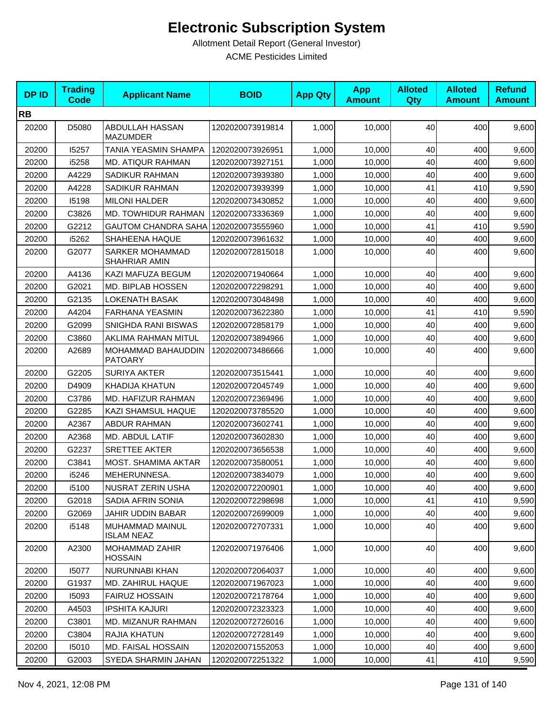| <b>DPID</b> | <b>Trading</b><br><b>Code</b> | <b>Applicant Name</b>                   | <b>BOID</b>      | <b>App Qty</b> | <b>App</b><br><b>Amount</b> | <b>Alloted</b><br>Qty | <b>Alloted</b><br><b>Amount</b> | <b>Refund</b><br><b>Amount</b> |
|-------------|-------------------------------|-----------------------------------------|------------------|----------------|-----------------------------|-----------------------|---------------------------------|--------------------------------|
| <b>RB</b>   |                               |                                         |                  |                |                             |                       |                                 |                                |
| 20200       | D5080                         | ABDULLAH HASSAN<br><b>MAZUMDER</b>      | 1202020073919814 | 1,000          | 10,000                      | 40                    | 400                             | 9,600                          |
| 20200       | 15257                         | TANIA YEASMIN SHAMPA                    | 1202020073926951 | 1,000          | 10,000                      | 40                    | 400                             | 9,600                          |
| 20200       | i5258                         | <b>MD. ATIQUR RAHMAN</b>                | 1202020073927151 | 1,000          | 10,000                      | 40                    | 400                             | 9,600                          |
| 20200       | A4229                         | SADIKUR RAHMAN                          | 1202020073939380 | 1,000          | 10,000                      | 40                    | 400                             | 9,600                          |
| 20200       | A4228                         | SADIKUR RAHMAN                          | 1202020073939399 | 1,000          | 10,000                      | 41                    | 410                             | 9,590                          |
| 20200       | 15198                         | <b>MILONI HALDER</b>                    | 1202020073430852 | 1,000          | 10,000                      | 40                    | 400                             | 9,600                          |
| 20200       | C3826                         | MD. TOWHIDUR RAHMAN                     | 1202020073336369 | 1,000          | 10,000                      | 40                    | 400                             | 9,600                          |
| 20200       | G2212                         | <b>GAUTOM CHANDRA SAHA</b>              | 1202020073555960 | 1,000          | 10,000                      | 41                    | 410                             | 9,590                          |
| 20200       | i5262                         | SHAHEENA HAQUE                          | 1202020073961632 | 1,000          | 10,000                      | 40                    | 400                             | 9,600                          |
| 20200       | G2077                         | SARKER MOHAMMAD<br>SHAHRIAR AMIN        | 1202020072815018 | 1,000          | 10,000                      | 40                    | 400                             | 9,600                          |
| 20200       | A4136                         | KAZI MAFUZA BEGUM                       | 1202020071940664 | 1,000          | 10,000                      | 40                    | 400                             | 9,600                          |
| 20200       | G2021                         | MD. BIPLAB HOSSEN                       | 1202020072298291 | 1,000          | 10,000                      | 40                    | 400                             | 9,600                          |
| 20200       | G2135                         | <b>LOKENATH BASAK</b>                   | 1202020073048498 | 1,000          | 10.000                      | 40                    | 400                             | 9,600                          |
| 20200       | A4204                         | <b>FARHANA YEASMIN</b>                  | 1202020073622380 | 1,000          | 10,000                      | 41                    | 410                             | 9,590                          |
| 20200       | G2099                         | SNIGHDA RANI BISWAS                     | 1202020072858179 | 1,000          | 10,000                      | 40                    | 400                             | 9,600                          |
| 20200       | C3860                         | AKLIMA RAHMAN MITUL                     | 1202020073894966 | 1,000          | 10,000                      | 40                    | 400                             | 9,600                          |
| 20200       | A2689                         | MOHAMMAD BAHAUDDIN<br><b>PATOARY</b>    | 1202020073486666 | 1,000          | 10,000                      | 40                    | 400                             | 9,600                          |
| 20200       | G2205                         | <b>SURIYA AKTER</b>                     | 1202020073515441 | 1,000          | 10,000                      | 40                    | 400                             | 9,600                          |
| 20200       | D4909                         | KHADIJA KHATUN                          | 1202020072045749 | 1,000          | 10,000                      | 40                    | 400                             | 9,600                          |
| 20200       | C3786                         | MD. HAFIZUR RAHMAN                      | 1202020072369496 | 1,000          | 10,000                      | 40                    | 400                             | 9,600                          |
| 20200       | G2285                         | KAZI SHAMSUL HAQUE                      | 1202020073785520 | 1,000          | 10,000                      | 40                    | 400                             | 9,600                          |
| 20200       | A2367                         | <b>ABDUR RAHMAN</b>                     | 1202020073602741 | 1,000          | 10,000                      | 40                    | 400                             | 9,600                          |
| 20200       | A2368                         | MD. ABDUL LATIF                         | 1202020073602830 | 1,000          | 10,000                      | 40                    | 400                             | 9,600                          |
| 20200       | G2237                         | <b>SRETTEE AKTER</b>                    | 1202020073656538 | 1,000          | 10,000                      | 40                    | 400                             | 9,600                          |
| 20200       | C3841                         | MOST. SHAMIMA AKTAR                     | 1202020073580051 | 1,000          | 10,000                      | 40                    | 400                             | 9,600                          |
| 20200       | i5246                         | MEHERUNNESA.                            | 1202020073834079 | 1,000          | 10,000                      | 40                    | 400                             | 9,600                          |
| 20200       | i5100                         | NUSRAT ZERIN USHA                       | 1202020072200901 | 1,000          | 10,000                      | 40                    | 400                             | 9,600                          |
| 20200       | G2018                         | SADIA AFRIN SONIA                       | 1202020072298698 | 1,000          | 10,000                      | 41                    | 410                             | 9,590                          |
| 20200       | G2069                         | JAHIR UDDIN BABAR                       | 1202020072699009 | 1,000          | 10,000                      | 40                    | 400                             | 9,600                          |
| 20200       | i5148                         | MUHAMMAD MAINUL<br><b>ISLAM NEAZ</b>    | 1202020072707331 | 1,000          | 10,000                      | 40                    | 400                             | 9,600                          |
| 20200       | A2300                         | <b>MOHAMMAD ZAHIR</b><br><b>HOSSAIN</b> | 1202020071976406 | 1,000          | 10,000                      | 40                    | 400                             | 9,600                          |
| 20200       | 15077                         | NURUNNABI KHAN                          | 1202020072064037 | 1,000          | 10,000                      | 40                    | 400                             | 9,600                          |
| 20200       | G1937                         | MD. ZAHIRUL HAQUE                       | 1202020071967023 | 1,000          | 10,000                      | 40                    | 400                             | 9,600                          |
| 20200       | 15093                         | <b>FAIRUZ HOSSAIN</b>                   | 1202020072178764 | 1,000          | 10,000                      | 40                    | 400                             | 9,600                          |
| 20200       | A4503                         | <b>IPSHITA KAJURI</b>                   | 1202020072323323 | 1,000          | 10,000                      | 40                    | 400                             | 9,600                          |
| 20200       | C3801                         | MD. MIZANUR RAHMAN                      | 1202020072726016 | 1,000          | 10,000                      | 40                    | 400                             | 9,600                          |
| 20200       | C3804                         | RAJIA KHATUN                            | 1202020072728149 | 1,000          | 10,000                      | 40                    | 400                             | 9,600                          |
| 20200       | 15010                         | MD. FAISAL HOSSAIN                      | 1202020071552053 | 1,000          | 10,000                      | 40                    | 400                             | 9,600                          |
| 20200       | G2003                         | SYEDA SHARMIN JAHAN                     | 1202020072251322 | 1,000          | 10,000                      | 41                    | 410                             | 9,590                          |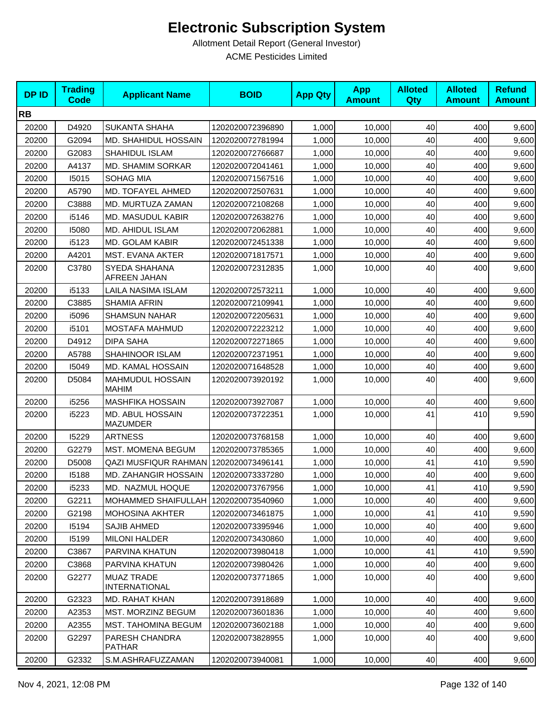| <b>DPID</b> | <b>Trading</b><br><b>Code</b> | <b>Applicant Name</b>                     | <b>BOID</b>      | <b>App Qty</b> | <b>App</b><br><b>Amount</b> | <b>Alloted</b><br>Qty | <b>Alloted</b><br><b>Amount</b> | <b>Refund</b><br><b>Amount</b> |
|-------------|-------------------------------|-------------------------------------------|------------------|----------------|-----------------------------|-----------------------|---------------------------------|--------------------------------|
| <b>RB</b>   |                               |                                           |                  |                |                             |                       |                                 |                                |
| 20200       | D4920                         | <b>SUKANTA SHAHA</b>                      | 1202020072396890 | 1,000          | 10,000                      | 40                    | 400                             | 9,600                          |
| 20200       | G2094                         | MD. SHAHIDUL HOSSAIN                      | 1202020072781994 | 1,000          | 10,000                      | 40                    | 400                             | 9,600                          |
| 20200       | G2083                         | SHAHIDUL ISLAM                            | 1202020072766687 | 1,000          | 10,000                      | 40                    | 400                             | 9,600                          |
| 20200       | A4137                         | MD. SHAMIM SORKAR                         | 1202020072041461 | 1,000          | 10,000                      | 40                    | 400                             | 9,600                          |
| 20200       | 15015                         | <b>SOHAG MIA</b>                          | 1202020071567516 | 1,000          | 10,000                      | 40                    | 400                             | 9,600                          |
| 20200       | A5790                         | MD. TOFAYEL AHMED                         | 1202020072507631 | 1.000          | 10,000                      | 40                    | 400                             | 9,600                          |
| 20200       | C3888                         | MD. MURTUZA ZAMAN                         | 1202020072108268 | 1,000          | 10,000                      | 40                    | 400                             | 9,600                          |
| 20200       | i5146                         | MD. MASUDUL KABIR                         | 1202020072638276 | 1,000          | 10,000                      | 40                    | 400                             | 9,600                          |
| 20200       | 15080                         | <b>MD. AHIDUL ISLAM</b>                   | 1202020072062881 | 1,000          | 10,000                      | 40                    | 400                             | 9,600                          |
| 20200       | i5123                         | MD. GOLAM KABIR                           | 1202020072451338 | 1,000          | 10,000                      | 40                    | 400                             | 9,600                          |
| 20200       | A4201                         | <b>MST. EVANA AKTER</b>                   | 1202020071817571 | 1,000          | 10,000                      | 40                    | 400                             | 9,600                          |
| 20200       | C3780                         | SYEDA SHAHANA<br>AFREEN JAHAN             | 1202020072312835 | 1,000          | 10,000                      | 40                    | 400                             | 9,600                          |
| 20200       | i5133                         | LAILA NASIMA ISLAM                        | 1202020072573211 | 1,000          | 10,000                      | 40                    | 400                             | 9,600                          |
| 20200       | C3885                         | <b>SHAMIA AFRIN</b>                       | 1202020072109941 | 1,000          | 10,000                      | 40                    | 400                             | 9,600                          |
| 20200       | i5096                         | <b>SHAMSUN NAHAR</b>                      | 1202020072205631 | 1,000          | 10,000                      | 40                    | 400                             | 9,600                          |
| 20200       | i5101                         | MOSTAFA MAHMUD                            | 1202020072223212 | 1,000          | 10,000                      | 40                    | 400                             | 9,600                          |
| 20200       | D4912                         | DIPA SAHA                                 | 1202020072271865 | 1,000          | 10,000                      | 40                    | 400                             | 9,600                          |
| 20200       | A5788                         | SHAHINOOR ISLAM                           | 1202020072371951 | 1,000          | 10,000                      | 40                    | 400                             | 9,600                          |
| 20200       | 15049                         | MD. KAMAL HOSSAIN                         | 1202020071648528 | 1,000          | 10,000                      | 40                    | 400                             | 9,600                          |
| 20200       | D5084                         | <b>MAHMUDUL HOSSAIN</b><br><b>MAHIM</b>   | 1202020073920192 | 1,000          | 10,000                      | 40                    | 400                             | 9,600                          |
| 20200       | i5256                         | <b>MASHFIKA HOSSAIN</b>                   | 1202020073927087 | 1,000          | 10,000                      | 40                    | 400                             | 9,600                          |
| 20200       | i5223                         | MD. ABUL HOSSAIN<br><b>MAZUMDER</b>       | 1202020073722351 | 1,000          | 10,000                      | 41                    | 410                             | 9,590                          |
| 20200       | 15229                         | <b>ARTNESS</b>                            | 1202020073768158 | 1,000          | 10,000                      | 40                    | 400                             | 9,600                          |
| 20200       | G2279                         | MST. MOMENA BEGUM                         | 1202020073785365 | 1,000          | 10,000                      | 40                    | 400                             | 9,600                          |
| 20200       | D5008                         | <b>QAZI MUSFIQUR RAHMAN</b>               | 1202020073496141 | 1,000          | 10.000                      | 41                    | 410                             | 9,590                          |
| 20200       | 15188                         | MD. ZAHANGIR HOSSAIN                      | 1202020073337280 | 1,000          | 10,000                      | 40                    | 400                             | 9,600                          |
| 20200       | i5233                         | MD. NAZMUL HOQUE                          | 1202020073767956 | 1,000          | 10,000                      | 41                    | 410                             | 9,590                          |
| 20200       | G2211                         | <b>MOHAMMED SHAIFULLAH</b>                | 1202020073540960 | 1,000          | 10.000                      | 40                    | 400                             | 9,600                          |
| 20200       | G2198                         | <b>MOHOSINA AKHTER</b>                    | 1202020073461875 | 1,000          | 10,000                      | 41                    | 410                             | 9,590                          |
| 20200       | 15194                         | <b>SAJIB AHMED</b>                        | 1202020073395946 | 1,000          | 10,000                      | 40                    | 400                             | 9,600                          |
| 20200       | 15199                         | <b>MILONI HALDER</b>                      | 1202020073430860 | 1,000          | 10,000                      | 40                    | 400                             | 9,600                          |
| 20200       | C3867                         | PARVINA KHATUN                            | 1202020073980418 | 1,000          | 10,000                      | 41                    | 410                             | 9,590                          |
| 20200       | C3868                         | PARVINA KHATUN                            | 1202020073980426 | 1,000          | 10,000                      | 40                    | 400                             | 9,600                          |
| 20200       | G2277                         | <b>MUAZ TRADE</b><br><b>INTERNATIONAL</b> | 1202020073771865 | 1,000          | 10,000                      | 40                    | 400                             | 9,600                          |
| 20200       | G2323                         | MD. RAHAT KHAN                            | 1202020073918689 | 1,000          | 10,000                      | 40                    | 400                             | 9,600                          |
| 20200       | A2353                         | <b>MST. MORZINZ BEGUM</b>                 | 1202020073601836 | 1,000          | 10,000                      | 40                    | 400                             | 9,600                          |
| 20200       | A2355                         | <b>MST. TAHOMINA BEGUM</b>                | 1202020073602188 | 1,000          | 10,000                      | 40                    | 400                             | 9,600                          |
| 20200       | G2297                         | PARESH CHANDRA<br><b>PATHAR</b>           | 1202020073828955 | 1,000          | 10,000                      | 40                    | 400                             | 9,600                          |
| 20200       | G2332                         | S.M.ASHRAFUZZAMAN                         | 1202020073940081 | 1,000          | 10,000                      | 40                    | 400                             | 9,600                          |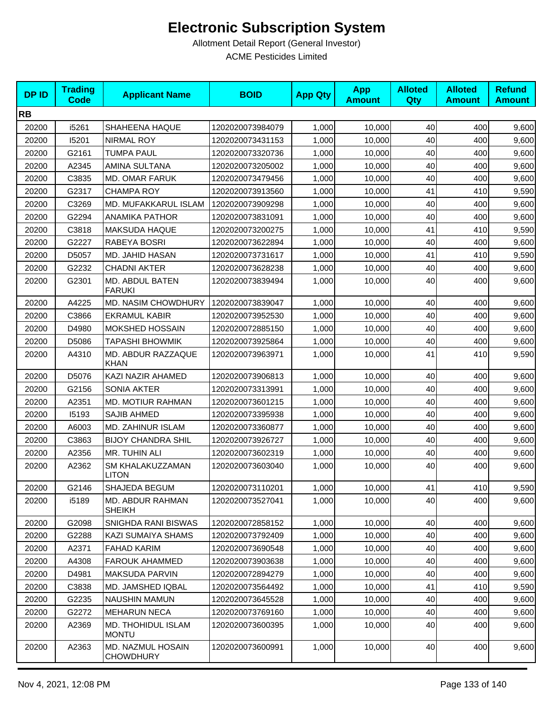| <b>DPID</b> | <b>Trading</b><br><b>Code</b> | <b>Applicant Name</b>                     | <b>BOID</b>      | <b>App Qty</b> | <b>App</b><br><b>Amount</b> | <b>Alloted</b><br><b>Qty</b> | <b>Alloted</b><br><b>Amount</b> | <b>Refund</b><br><b>Amount</b> |
|-------------|-------------------------------|-------------------------------------------|------------------|----------------|-----------------------------|------------------------------|---------------------------------|--------------------------------|
| <b>RB</b>   |                               |                                           |                  |                |                             |                              |                                 |                                |
| 20200       | i5261                         | SHAHEENA HAQUE                            | 1202020073984079 | 1,000          | 10,000                      | 40                           | 400                             | 9,600                          |
| 20200       | 15201                         | <b>NIRMAL ROY</b>                         | 1202020073431153 | 1,000          | 10,000                      | 40                           | 400                             | 9,600                          |
| 20200       | G2161                         | <b>TUMPA PAUL</b>                         | 1202020073320736 | 1,000          | 10,000                      | 40                           | 400                             | 9,600                          |
| 20200       | A2345                         | AMINA SULTANA                             | 1202020073205002 | 1,000          | 10,000                      | 40                           | 400                             | 9,600                          |
| 20200       | C3835                         | <b>MD. OMAR FARUK</b>                     | 1202020073479456 | 1,000          | 10,000                      | 40                           | 400                             | 9,600                          |
| 20200       | G2317                         | <b>CHAMPA ROY</b>                         | 1202020073913560 | 1,000          | 10.000                      | 41                           | 410                             | 9,590                          |
| 20200       | C3269                         | MD. MUFAKKARUL ISLAM                      | 1202020073909298 | 1,000          | 10,000                      | 40                           | 400                             | 9,600                          |
| 20200       | G2294                         | <b>ANAMIKA PATHOR</b>                     | 1202020073831091 | 1,000          | 10,000                      | 40                           | 400                             | 9,600                          |
| 20200       | C3818                         | <b>MAKSUDA HAQUE</b>                      | 1202020073200275 | 1,000          | 10,000                      | 41                           | 410                             | 9,590                          |
| 20200       | G2227                         | RABEYA BOSRI                              | 1202020073622894 | 1,000          | 10,000                      | 40                           | 400                             | 9,600                          |
| 20200       | D5057                         | MD. JAHID HASAN                           | 1202020073731617 | 1,000          | 10,000                      | 41                           | 410                             | 9,590                          |
| 20200       | G2232                         | <b>CHADNI AKTER</b>                       | 1202020073628238 | 1,000          | 10,000                      | 40                           | 400                             | 9,600                          |
| 20200       | G2301                         | MD. ABDUL BATEN<br><b>FARUKI</b>          | 1202020073839494 | 1,000          | 10,000                      | 40                           | 400                             | 9,600                          |
| 20200       | A4225                         | MD. NASIM CHOWDHURY                       | 1202020073839047 | 1,000          | 10,000                      | 40                           | 400                             | 9,600                          |
| 20200       | C3866                         | <b>EKRAMUL KABIR</b>                      | 1202020073952530 | 1,000          | 10,000                      | 40                           | 400                             | 9,600                          |
| 20200       | D4980                         | <b>MOKSHED HOSSAIN</b>                    | 1202020072885150 | 1,000          | 10,000                      | 40                           | 400                             | 9,600                          |
| 20200       | D5086                         | <b>TAPASHI BHOWMIK</b>                    | 1202020073925864 | 1,000          | 10,000                      | 40                           | 400                             | 9,600                          |
| 20200       | A4310                         | <b>MD. ABDUR RAZZAQUE</b><br>KHAN         | 1202020073963971 | 1,000          | 10,000                      | 41                           | 410                             | 9,590                          |
| 20200       | D5076                         | KAZI NAZIR AHAMED                         | 1202020073906813 | 1,000          | 10,000                      | 40                           | 400                             | 9,600                          |
| 20200       | G2156                         | <b>SONIA AKTER</b>                        | 1202020073313991 | 1,000          | 10,000                      | 40                           | 400                             | 9,600                          |
| 20200       | A2351                         | MD. MOTIUR RAHMAN                         | 1202020073601215 | 1,000          | 10,000                      | 40                           | 400                             | 9,600                          |
| 20200       | 15193                         | <b>SAJIB AHMED</b>                        | 1202020073395938 | 1,000          | 10,000                      | 40                           | 400                             | 9,600                          |
| 20200       | A6003                         | MD. ZAHINUR ISLAM                         | 1202020073360877 | 1,000          | 10,000                      | 40                           | 400                             | 9,600                          |
| 20200       | C3863                         | <b>BIJOY CHANDRA SHIL</b>                 | 1202020073926727 | 1,000          | 10,000                      | 40                           | 400                             | 9,600                          |
| 20200       | A2356                         | MR. TUHIN ALI                             | 1202020073602319 | 1,000          | 10,000                      | 40                           | 400                             | 9,600                          |
| 20200       | A2362                         | SM KHALAKUZZAMAN<br><b>LITON</b>          | 1202020073603040 | 1,000          | 10,000                      | 40                           | 400                             | 9,600                          |
| 20200       | G2146                         | SHAJEDA BEGUM                             | 1202020073110201 | 1,000          | 10,000                      | 41                           | 410                             | 9,590                          |
| 20200       | i5189                         | MD. ABDUR RAHMAN<br><b>SHEIKH</b>         | 1202020073527041 | 1,000          | 10,000                      | 40                           | 400                             | 9,600                          |
| 20200       | G2098                         | SNIGHDA RANI BISWAS                       | 1202020072858152 | 1,000          | 10,000                      | 40                           | 400                             | 9,600                          |
| 20200       | G2288                         | KAZI SUMAIYA SHAMS                        | 1202020073792409 | 1,000          | 10,000                      | 40                           | 400                             | 9,600                          |
| 20200       | A2371                         | <b>FAHAD KARIM</b>                        | 1202020073690548 | 1,000          | 10,000                      | 40                           | 400                             | 9,600                          |
| 20200       | A4308                         | <b>FAROUK AHAMMED</b>                     | 1202020073903638 | 1,000          | 10,000                      | 40                           | 400                             | 9,600                          |
| 20200       | D4981                         | <b>MAKSUDA PARVIN</b>                     | 1202020072894279 | 1,000          | 10,000                      | 40                           | 400                             | 9,600                          |
| 20200       | C3838                         | <b>MD. JAMSHED IQBAL</b>                  | 1202020073564492 | 1,000          | 10,000                      | 41                           | 410                             | 9,590                          |
| 20200       | G2235                         | <b>NAUSHIN MAMUN</b>                      | 1202020073645528 | 1,000          | 10,000                      | 40                           | 400                             | 9,600                          |
| 20200       | G2272                         | <b>MEHARUN NECA</b>                       | 1202020073769160 | 1,000          | 10,000                      | 40                           | 400                             | 9,600                          |
| 20200       | A2369                         | <b>MD. THOHIDUL ISLAM</b><br><b>MONTU</b> | 1202020073600395 | 1,000          | 10,000                      | 40                           | 400                             | 9,600                          |
| 20200       | A2363                         | MD. NAZMUL HOSAIN<br><b>CHOWDHURY</b>     | 1202020073600991 | 1,000          | 10,000                      | 40                           | 400                             | 9,600                          |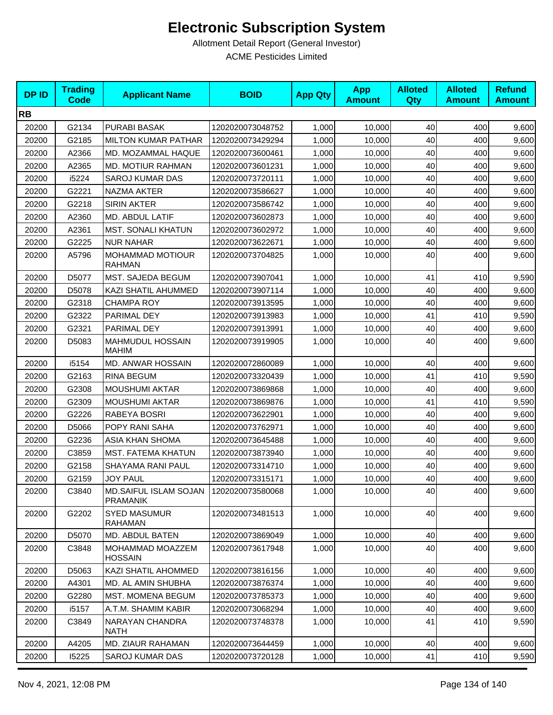| <b>DPID</b> | <b>Trading</b><br><b>Code</b> | <b>Applicant Name</b>                    | <b>BOID</b>      | <b>App Qty</b> | <b>App</b><br><b>Amount</b> | <b>Alloted</b><br><b>Qty</b> | <b>Alloted</b><br><b>Amount</b> | <b>Refund</b><br><b>Amount</b> |
|-------------|-------------------------------|------------------------------------------|------------------|----------------|-----------------------------|------------------------------|---------------------------------|--------------------------------|
| <b>RB</b>   |                               |                                          |                  |                |                             |                              |                                 |                                |
| 20200       | G2134                         | <b>PURABI BASAK</b>                      | 1202020073048752 | 1,000          | 10,000                      | 40                           | 400                             | 9,600                          |
| 20200       | G2185                         | <b>MILTON KUMAR PATHAR</b>               | 1202020073429294 | 1,000          | 10,000                      | 40                           | 400                             | 9,600                          |
| 20200       | A2366                         | MD. MOZAMMAL HAQUE                       | 1202020073600461 | 1,000          | 10,000                      | 40                           | 400                             | 9,600                          |
| 20200       | A2365                         | MD. MOTIUR RAHMAN                        | 1202020073601231 | 1,000          | 10,000                      | 40                           | 400                             | 9,600                          |
| 20200       | i5224                         | <b>SAROJ KUMAR DAS</b>                   | 1202020073720111 | 1,000          | 10,000                      | 40                           | 400                             | 9,600                          |
| 20200       | G2221                         | NAZMA AKTER                              | 1202020073586627 | 1,000          | 10,000                      | 40                           | 400                             | 9,600                          |
| 20200       | G2218                         | <b>SIRIN AKTER</b>                       | 1202020073586742 | 1,000          | 10,000                      | 40                           | 400                             | 9,600                          |
| 20200       | A2360                         | MD. ABDUL LATIF                          | 1202020073602873 | 1,000          | 10,000                      | 40                           | 400                             | 9,600                          |
| 20200       | A2361                         | <b>MST. SONALI KHATUN</b>                | 1202020073602972 | 1,000          | 10,000                      | 40                           | 400                             | 9,600                          |
| 20200       | G2225                         | <b>NUR NAHAR</b>                         | 1202020073622671 | 1,000          | 10,000                      | 40                           | 400                             | 9,600                          |
| 20200       | A5796                         | MOHAMMAD MOTIOUR<br><b>RAHMAN</b>        | 1202020073704825 | 1,000          | 10,000                      | 40                           | 400                             | 9,600                          |
| 20200       | D5077                         | MST. SAJEDA BEGUM                        | 1202020073907041 | 1,000          | 10,000                      | 41                           | 410                             | 9,590                          |
| 20200       | D5078                         | KAZI SHATIL AHUMMED                      | 1202020073907114 | 1,000          | 10,000                      | 40                           | 400                             | 9,600                          |
| 20200       | G2318                         | <b>CHAMPA ROY</b>                        | 1202020073913595 | 1,000          | 10,000                      | 40                           | 400                             | 9,600                          |
| 20200       | G2322                         | PARIMAL DEY                              | 1202020073913983 | 1,000          | 10,000                      | 41                           | 410                             | 9,590                          |
| 20200       | G2321                         | PARIMAL DEY                              | 1202020073913991 | 1,000          | 10,000                      | 40                           | 400                             | 9,600                          |
| 20200       | D5083                         | <b>MAHMUDUL HOSSAIN</b><br><b>MAHIM</b>  | 1202020073919905 | 1,000          | 10,000                      | 40                           | 400                             | 9,600                          |
| 20200       | i5154                         | MD. ANWAR HOSSAIN                        | 1202020072860089 | 1,000          | 10,000                      | 40                           | 400                             | 9,600                          |
| 20200       | G2163                         | <b>RINA BEGUM</b>                        | 1202020073320439 | 1,000          | 10,000                      | 41                           | 410                             | 9,590                          |
| 20200       | G2308                         | <b>MOUSHUMI AKTAR</b>                    | 1202020073869868 | 1,000          | 10,000                      | 40                           | 400                             | 9,600                          |
| 20200       | G2309                         | <b>MOUSHUMI AKTAR</b>                    | 1202020073869876 | 1,000          | 10,000                      | 41                           | 410                             | 9,590                          |
| 20200       | G2226                         | RABEYA BOSRI                             | 1202020073622901 | 1,000          | 10,000                      | 40                           | 400                             | 9,600                          |
| 20200       | D5066                         | POPY RANI SAHA                           | 1202020073762971 | 1,000          | 10,000                      | 40                           | 400                             | 9,600                          |
| 20200       | G2236                         | ASIA KHAN SHOMA                          | 1202020073645488 | 1,000          | 10,000                      | 40                           | 400                             | 9,600                          |
| 20200       | C3859                         | MST. FATEMA KHATUN                       | 1202020073873940 | 1,000          | 10,000                      | 40                           | 400                             | 9,600                          |
| 20200       | G2158                         | SHAYAMA RANI PAUL                        | 1202020073314710 | 1,000          | 10,000                      | 40                           | 400                             | 9,600                          |
| 20200       | G2159                         | <b>JOY PAUL</b>                          | 1202020073315171 | 1,000          | 10,000                      | 40                           | 400                             | 9,600                          |
| 20200       | C3840                         | MD.SAIFUL ISLAM SOJAN<br><b>PRAMANIK</b> | 1202020073580068 | 1,000          | 10,000                      | 40                           | 400                             | 9,600                          |
| 20200       | G2202                         | <b>SYED MASUMUR</b><br>RAHAMAN           | 1202020073481513 | 1,000          | 10,000                      | 40                           | 400                             | 9,600                          |
| 20200       | D5070                         | MD. ABDUL BATEN                          | 1202020073869049 | 1,000          | 10,000                      | 40                           | 400                             | 9,600                          |
| 20200       | C3848                         | MOHAMMAD MOAZZEM<br><b>HOSSAIN</b>       | 1202020073617948 | 1,000          | 10,000                      | 40                           | 400                             | 9,600                          |
| 20200       | D5063                         | <b>KAZI SHATIL AHOMMED</b>               | 1202020073816156 | 1,000          | 10,000                      | 40                           | 400                             | 9,600                          |
| 20200       | A4301                         | MD. AL AMIN SHUBHA                       | 1202020073876374 | 1,000          | 10,000                      | 40                           | 400                             | 9,600                          |
| 20200       | G2280                         | MST. MOMENA BEGUM                        | 1202020073785373 | 1,000          | 10,000                      | 40                           | 400                             | 9,600                          |
| 20200       | i5157                         | A.T.M. SHAMIM KABIR                      | 1202020073068294 | 1,000          | 10,000                      | 40                           | 400                             | 9,600                          |
| 20200       | C3849                         | NARAYAN CHANDRA<br><b>NATH</b>           | 1202020073748378 | 1,000          | 10,000                      | 41                           | 410                             | 9,590                          |
| 20200       | A4205                         | MD. ZIAUR RAHAMAN                        | 1202020073644459 | 1,000          | 10,000                      | 40                           | 400                             | 9,600                          |
| 20200       | 15225                         | SAROJ KUMAR DAS                          | 1202020073720128 | 1,000          | 10,000                      | 41                           | 410                             | 9,590                          |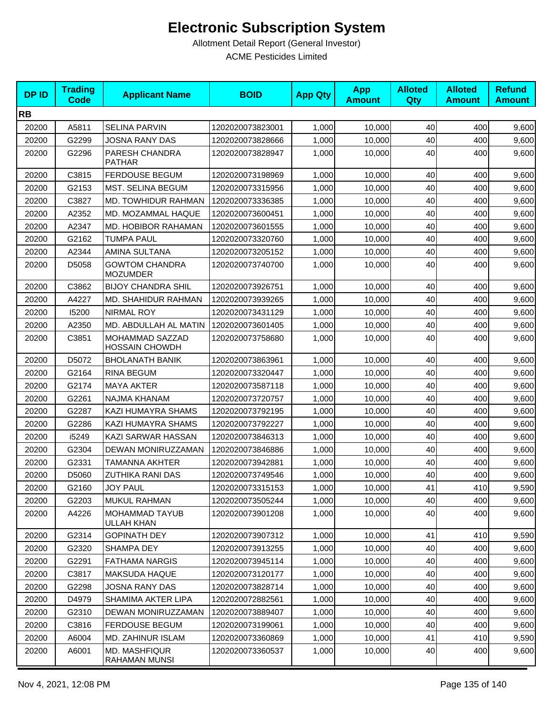| <b>DPID</b> | <b>Trading</b><br><b>Code</b> | <b>Applicant Name</b>                      | <b>BOID</b>      | <b>App Qty</b> | <b>App</b><br><b>Amount</b> | <b>Alloted</b><br><b>Qty</b> | <b>Alloted</b><br><b>Amount</b> | <b>Refund</b><br><b>Amount</b> |
|-------------|-------------------------------|--------------------------------------------|------------------|----------------|-----------------------------|------------------------------|---------------------------------|--------------------------------|
| <b>RB</b>   |                               |                                            |                  |                |                             |                              |                                 |                                |
| 20200       | A5811                         | <b>SELINA PARVIN</b>                       | 1202020073823001 | 1,000          | 10,000                      | 40                           | 400                             | 9,600                          |
| 20200       | G2299                         | <b>JOSNA RANY DAS</b>                      | 1202020073828666 | 1,000          | 10,000                      | 40                           | 400                             | 9,600                          |
| 20200       | G2296                         | PARESH CHANDRA<br><b>PATHAR</b>            | 1202020073828947 | 1,000          | 10,000                      | 40                           | 400                             | 9,600                          |
| 20200       | C3815                         | <b>FERDOUSE BEGUM</b>                      | 1202020073198969 | 1,000          | 10,000                      | 40                           | 400                             | 9,600                          |
| 20200       | G2153                         | <b>MST. SELINA BEGUM</b>                   | 1202020073315956 | 1,000          | 10,000                      | 40                           | 400                             | 9,600                          |
| 20200       | C3827                         | MD. TOWHIDUR RAHMAN                        | 1202020073336385 | 1,000          | 10.000                      | 40                           | 400                             | 9,600                          |
| 20200       | A2352                         | MD. MOZAMMAL HAQUE                         | 1202020073600451 | 1,000          | 10,000                      | 40                           | 400                             | 9,600                          |
| 20200       | A2347                         | MD. HOBIBOR RAHAMAN                        | 1202020073601555 | 1,000          | 10,000                      | 40                           | 400                             | 9,600                          |
| 20200       | G2162                         | <b>TUMPA PAUL</b>                          | 1202020073320760 | 1,000          | 10,000                      | 40                           | 400                             | 9,600                          |
| 20200       | A2344                         | AMINA SULTANA                              | 1202020073205152 | 1,000          | 10,000                      | 40                           | 400                             | 9,600                          |
| 20200       | D5058                         | <b>GOWTOM CHANDRA</b><br><b>MOZUMDER</b>   | 1202020073740700 | 1,000          | 10,000                      | 40                           | 400                             | 9,600                          |
| 20200       | C3862                         | <b>BIJOY CHANDRA SHIL</b>                  | 1202020073926751 | 1,000          | 10,000                      | 40                           | 400                             | 9,600                          |
| 20200       | A4227                         | MD. SHAHIDUR RAHMAN                        | 1202020073939265 | 1.000          | 10.000                      | 40                           | 400                             | 9,600                          |
| 20200       | 15200                         | <b>NIRMAL ROY</b>                          | 1202020073431129 | 1,000          | 10,000                      | 40                           | 400                             | 9,600                          |
| 20200       | A2350                         | MD. ABDULLAH AL MATIN                      | 1202020073601405 | 1,000          | 10,000                      | 40                           | 400                             | 9,600                          |
| 20200       | C3851                         | MOHAMMAD SAZZAD<br><b>HOSSAIN CHOWDH</b>   | 1202020073758680 | 1,000          | 10,000                      | 40                           | 400                             | 9,600                          |
| 20200       | D5072                         | <b>BHOLANATH BANIK</b>                     | 1202020073863961 | 1,000          | 10,000                      | 40                           | 400                             | 9,600                          |
| 20200       | G2164                         | <b>RINA BEGUM</b>                          | 1202020073320447 | 1,000          | 10,000                      | 40                           | 400                             | 9,600                          |
| 20200       | G2174                         | <b>MAYA AKTER</b>                          | 1202020073587118 | 1,000          | 10,000                      | 40                           | 400                             | 9,600                          |
| 20200       | G2261                         | NAJMA KHANAM                               | 1202020073720757 | 1,000          | 10,000                      | 40                           | 400                             | 9,600                          |
| 20200       | G2287                         | KAZI HUMAYRA SHAMS                         | 1202020073792195 | 1,000          | 10,000                      | 40                           | 400                             | 9,600                          |
| 20200       | G2286                         | KAZI HUMAYRA SHAMS                         | 1202020073792227 | 1,000          | 10,000                      | 40                           | 400                             | 9,600                          |
| 20200       | i5249                         | KAZI SARWAR HASSAN                         | 1202020073846313 | 1,000          | 10,000                      | 40                           | 400                             | 9,600                          |
| 20200       | G2304                         | DEWAN MONIRUZZAMAN                         | 1202020073846886 | 1,000          | 10,000                      | 40                           | 400                             | 9,600                          |
| 20200       | G2331                         | TAMANNA AKHTER                             | 1202020073942881 | 1,000          | 10,000                      | 40                           | 400                             | 9,600                          |
| 20200       | D5060                         | <b>ZUTHIKA RANI DAS</b>                    | 1202020073749546 | 1,000          | 10,000                      | 40                           | 400                             | 9,600                          |
| 20200       | G2160                         | <b>JOY PAUL</b>                            | 1202020073315153 | 1,000          | 10,000                      | 41                           | 410                             | 9,590                          |
| 20200       | G2203                         | <b>MUKUL RAHMAN</b>                        | 1202020073505244 | 1,000          | 10,000                      | 40                           | 400                             | 9,600                          |
| 20200       | A4226                         | <b>MOHAMMAD TAYUB</b><br><b>ULLAH KHAN</b> | 1202020073901208 | 1,000          | 10,000                      | 40                           | 400                             | 9,600                          |
| 20200       | G2314                         | <b>GOPINATH DEY</b>                        | 1202020073907312 | 1,000          | 10,000                      | 41                           | 410                             | 9,590                          |
| 20200       | G2320                         | SHAMPA DEY                                 | 1202020073913255 | 1,000          | 10,000                      | 40                           | 400                             | 9,600                          |
| 20200       | G2291                         | <b>FATHAMA NARGIS</b>                      | 1202020073945114 | 1,000          | 10,000                      | 40                           | 400                             | 9,600                          |
| 20200       | C3817                         | <b>MAKSUDA HAQUE</b>                       | 1202020073120177 | 1,000          | 10,000                      | 40                           | 400                             | 9,600                          |
| 20200       | G2298                         | <b>JOSNA RANY DAS</b>                      | 1202020073828714 | 1,000          | 10.000                      | 40                           | 400                             | 9,600                          |
| 20200       | D4979                         | SHAMIMA AKTER LIPA                         | 1202020072882561 | 1,000          | 10,000                      | 40                           | 400                             | 9,600                          |
| 20200       | G2310                         | DEWAN MONIRUZZAMAN                         | 1202020073889407 | 1,000          | 10,000                      | 40                           | 400                             | 9,600                          |
| 20200       | C3816                         | <b>FERDOUSE BEGUM</b>                      | 1202020073199061 | 1,000          | 10,000                      | 40                           | 400                             | 9,600                          |
| 20200       | A6004                         | MD. ZAHINUR ISLAM                          | 1202020073360869 | 1,000          | 10,000                      | 41                           | 410                             | 9,590                          |
| 20200       | A6001                         | <b>MD. MASHFIQUR</b><br>RAHAMAN MUNSI      | 1202020073360537 | 1,000          | 10,000                      | 40                           | 400                             | 9,600                          |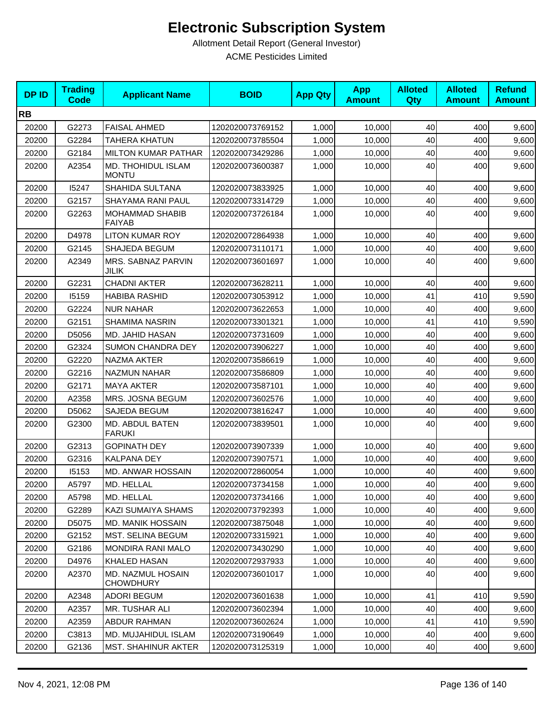| <b>DPID</b> | <b>Trading</b><br><b>Code</b> | <b>Applicant Name</b>                   | <b>BOID</b>      | <b>App Qty</b> | <b>App</b><br><b>Amount</b> | <b>Alloted</b><br>Qty | <b>Alloted</b><br><b>Amount</b> | <b>Refund</b><br><b>Amount</b> |
|-------------|-------------------------------|-----------------------------------------|------------------|----------------|-----------------------------|-----------------------|---------------------------------|--------------------------------|
| <b>RB</b>   |                               |                                         |                  |                |                             |                       |                                 |                                |
| 20200       | G2273                         | <b>FAISAL AHMED</b>                     | 1202020073769152 | 1,000          | 10,000                      | 40                    | 400                             | 9,600                          |
| 20200       | G2284                         | <b>TAHERA KHATUN</b>                    | 1202020073785504 | 1,000          | 10,000                      | 40                    | 400                             | 9,600                          |
| 20200       | G2184                         | <b>MILTON KUMAR PATHAR</b>              | 1202020073429286 | 1,000          | 10,000                      | 40                    | 400                             | 9,600                          |
| 20200       | A2354                         | MD. THOHIDUL ISLAM<br><b>MONTU</b>      | 1202020073600387 | 1,000          | 10,000                      | 40                    | 400                             | 9,600                          |
| 20200       | 15247                         | SHAHIDA SULTANA                         | 1202020073833925 | 1,000          | 10,000                      | 40                    | 400                             | 9,600                          |
| 20200       | G2157                         | SHAYAMA RANI PAUL                       | 1202020073314729 | 1,000          | 10,000                      | 40                    | 400                             | 9,600                          |
| 20200       | G2263                         | <b>MOHAMMAD SHABIB</b><br><b>FAIYAB</b> | 1202020073726184 | 1,000          | 10,000                      | 40                    | 400                             | 9,600                          |
| 20200       | D4978                         | <b>LITON KUMAR ROY</b>                  | 1202020072864938 | 1,000          | 10,000                      | 40                    | 400                             | 9,600                          |
| 20200       | G2145                         | SHAJEDA BEGUM                           | 1202020073110171 | 1,000          | 10,000                      | 40                    | 400                             | 9,600                          |
| 20200       | A2349                         | MRS. SABNAZ PARVIN<br>JILIK             | 1202020073601697 | 1,000          | 10,000                      | 40                    | 400                             | 9,600                          |
| 20200       | G2231                         | <b>CHADNI AKTER</b>                     | 1202020073628211 | 1,000          | 10,000                      | 40                    | 400                             | 9,600                          |
| 20200       | 15159                         | <b>HABIBA RASHID</b>                    | 1202020073053912 | 1,000          | 10,000                      | 41                    | 410                             | 9,590                          |
| 20200       | G2224                         | <b>NUR NAHAR</b>                        | 1202020073622653 | 1,000          | 10,000                      | 40                    | 400                             | 9,600                          |
| 20200       | G2151                         | <b>SHAMIMA NASRIN</b>                   | 1202020073301321 | 1,000          | 10,000                      | 41                    | 410                             | 9,590                          |
| 20200       | D5056                         | MD. JAHID HASAN                         | 1202020073731609 | 1,000          | 10,000                      | 40                    | 400                             | 9,600                          |
| 20200       | G2324                         | <b>SUMON CHANDRA DEY</b>                | 1202020073906227 | 1,000          | 10,000                      | 40                    | 400                             | 9,600                          |
| 20200       | G2220                         | NAZMA AKTER                             | 1202020073586619 | 1,000          | 10,000                      | 40                    | 400                             | 9,600                          |
| 20200       | G2216                         | NAZMUN NAHAR                            | 1202020073586809 | 1,000          | 10,000                      | 40                    | 400                             | 9,600                          |
| 20200       | G2171                         | <b>MAYA AKTER</b>                       | 1202020073587101 | 1,000          | 10,000                      | 40                    | 400                             | 9,600                          |
| 20200       | A2358                         | MRS. JOSNA BEGUM                        | 1202020073602576 | 1,000          | 10,000                      | 40                    | 400                             | 9,600                          |
| 20200       | D5062                         | SAJEDA BEGUM                            | 1202020073816247 | 1,000          | 10,000                      | 40                    | 400                             | 9,600                          |
| 20200       | G2300                         | MD. ABDUL BATEN<br><b>FARUKI</b>        | 1202020073839501 | 1,000          | 10,000                      | 40                    | 400                             | 9,600                          |
| 20200       | G2313                         | <b>GOPINATH DEY</b>                     | 1202020073907339 | 1,000          | 10.000                      | 40                    | 400                             | 9,600                          |
| 20200       | G2316                         | <b>KALPANA DEY</b>                      | 1202020073907571 | 1,000          | 10,000                      | 40                    | 400                             | 9,600                          |
| 20200       | 15153                         | MD. ANWAR HOSSAIN                       | 1202020072860054 | 1,000          | 10,000                      | 40                    | 400                             | 9,600                          |
| 20200       | A5797                         | MD. HELLAL                              | 1202020073734158 | 1,000          | 10,000                      | 40                    | 400                             | 9,600                          |
| 20200       | A5798                         | MD. HELLAL                              | 1202020073734166 | 1,000          | 10,000                      | 40                    | 400                             | 9,600                          |
| 20200       | G2289                         | KAZI SUMAIYA SHAMS                      | 1202020073792393 | 1,000          | 10,000                      | 40                    | 400                             | 9,600                          |
| 20200       | D5075                         | MD. MANIK HOSSAIN                       | 1202020073875048 | 1,000          | 10.000                      | 40                    | 400                             | 9,600                          |
| 20200       | G2152                         | MST. SELINA BEGUM                       | 1202020073315921 | 1,000          | 10,000                      | 40                    | 400                             | 9,600                          |
| 20200       | G2186                         | <b>MONDIRA RANI MALO</b>                | 1202020073430290 | 1,000          | 10,000                      | 40                    | 400                             | 9,600                          |
| 20200       | D4976                         | KHALED HASAN                            | 1202020072937933 | 1,000          | 10,000                      | 40                    | 400                             | 9,600                          |
| 20200       | A2370                         | MD. NAZMUL HOSAIN<br><b>CHOWDHURY</b>   | 1202020073601017 | 1,000          | 10.000                      | 40                    | 400                             | 9,600                          |
| 20200       | A2348                         | <b>ADORI BEGUM</b>                      | 1202020073601638 | 1,000          | 10,000                      | 41                    | 410                             | 9,590                          |
| 20200       | A2357                         | MR. TUSHAR ALI                          | 1202020073602394 | 1,000          | 10,000                      | 40                    | 400                             | 9,600                          |
| 20200       | A2359                         | ABDUR RAHMAN                            | 1202020073602624 | 1,000          | 10,000                      | 41                    | 410                             | 9,590                          |
| 20200       | C3813                         | MD. MUJAHIDUL ISLAM                     | 1202020073190649 | 1,000          | 10,000                      | 40                    | 400                             | 9,600                          |
| 20200       | G2136                         | <b>MST. SHAHINUR AKTER</b>              | 1202020073125319 | 1,000          | 10,000                      | 40                    | 400                             | 9,600                          |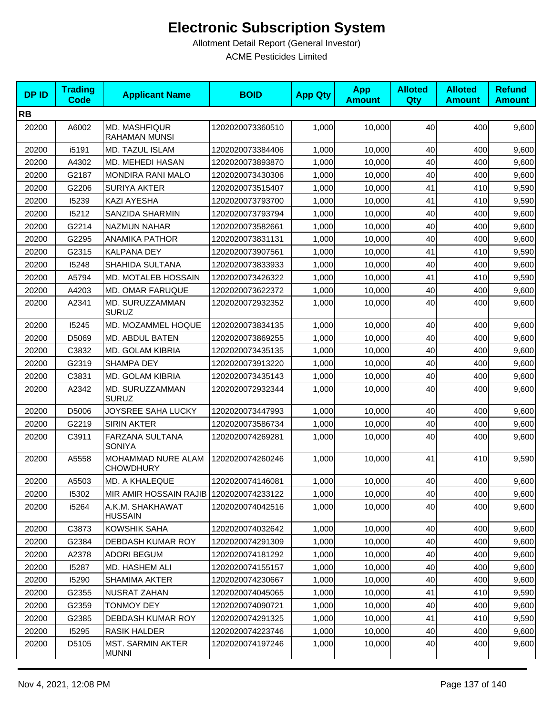| <b>DPID</b> | <b>Trading</b><br><b>Code</b> | <b>Applicant Name</b>                    | <b>BOID</b>      | <b>App Qty</b> | <b>App</b><br><b>Amount</b> | <b>Alloted</b><br><b>Qty</b> | <b>Alloted</b><br><b>Amount</b> | <b>Refund</b><br><b>Amount</b> |
|-------------|-------------------------------|------------------------------------------|------------------|----------------|-----------------------------|------------------------------|---------------------------------|--------------------------------|
| <b>RB</b>   |                               |                                          |                  |                |                             |                              |                                 |                                |
| 20200       | A6002                         | <b>MD. MASHFIQUR</b><br>RAHAMAN MUNSI    | 1202020073360510 | 1,000          | 10,000                      | 40                           | 400                             | 9,600                          |
| 20200       | i5191                         | MD. TAZUL ISLAM                          | 1202020073384406 | 1,000          | 10,000                      | 40                           | 400                             | 9,600                          |
| 20200       | A4302                         | MD. MEHEDI HASAN                         | 1202020073893870 | 1,000          | 10,000                      | 40                           | 400                             | 9,600                          |
| 20200       | G2187                         | <b>MONDIRA RANI MALO</b>                 | 1202020073430306 | 1,000          | 10,000                      | 40                           | 400                             | 9,600                          |
| 20200       | G2206                         | <b>SURIYA AKTER</b>                      | 1202020073515407 | 1,000          | 10,000                      | 41                           | 410                             | 9,590                          |
| 20200       | 15239                         | <b>KAZI AYESHA</b>                       | 1202020073793700 | 1,000          | 10,000                      | 41                           | 410                             | 9,590                          |
| 20200       | 15212                         | SANZIDA SHARMIN                          | 1202020073793794 | 1,000          | 10,000                      | 40                           | 400                             | 9,600                          |
| 20200       | G2214                         | <b>NAZMUN NAHAR</b>                      | 1202020073582661 | 1,000          | 10,000                      | 40                           | 400                             | 9,600                          |
| 20200       | G2295                         | <b>ANAMIKA PATHOR</b>                    | 1202020073831131 | 1,000          | 10,000                      | 40                           | 400                             | 9,600                          |
| 20200       | G2315                         | <b>KALPANA DEY</b>                       | 1202020073907561 | 1,000          | 10,000                      | 41                           | 410                             | 9,590                          |
| 20200       | 15248                         | SHAHIDA SULTANA                          | 1202020073833933 | 1,000          | 10,000                      | 40                           | 400                             | 9,600                          |
| 20200       | A5794                         | MD. MOTALEB HOSSAIN                      | 1202020073426322 | 1,000          | 10,000                      | 41                           | 410                             | 9,590                          |
| 20200       | A4203                         | <b>MD. OMAR FARUQUE</b>                  | 1202020073622372 | 1,000          | 10,000                      | 40                           | 400                             | 9,600                          |
| 20200       | A2341                         | MD. SURUZZAMMAN<br><b>SURUZ</b>          | 1202020072932352 | 1,000          | 10,000                      | 40                           | 400                             | 9,600                          |
| 20200       | 15245                         | MD. MOZAMMEL HOQUE                       | 1202020073834135 | 1,000          | 10,000                      | 40                           | 400                             | 9,600                          |
| 20200       | D5069                         | <b>MD. ABDUL BATEN</b>                   | 1202020073869255 | 1,000          | 10,000                      | 40                           | 400                             | 9,600                          |
| 20200       | C3832                         | MD. GOLAM KIBRIA                         | 1202020073435135 | 1,000          | 10,000                      | 40                           | 400                             | 9,600                          |
| 20200       | G2319                         | <b>SHAMPA DEY</b>                        | 1202020073913220 | 1,000          | 10,000                      | 40                           | 400                             | 9,600                          |
| 20200       | C3831                         | MD. GOLAM KIBRIA                         | 1202020073435143 | 1,000          | 10,000                      | 40                           | 400                             | 9,600                          |
| 20200       | A2342                         | MD. SURUZZAMMAN<br><b>SURUZ</b>          | 1202020072932344 | 1,000          | 10,000                      | 40                           | 400                             | 9,600                          |
| 20200       | D5006                         | JOYSREE SAHA LUCKY                       | 1202020073447993 | 1,000          | 10,000                      | 40                           | 400                             | 9,600                          |
| 20200       | G2219                         | <b>SIRIN AKTER</b>                       | 1202020073586734 | 1,000          | 10,000                      | 40                           | 400                             | 9,600                          |
| 20200       | C3911                         | FARZANA SULTANA<br><b>SONIYA</b>         | 1202020074269281 | 1,000          | 10,000                      | 40                           | 400                             | 9,600                          |
| 20200       | A5558                         | MOHAMMAD NURE ALAM<br><b>CHOWDHURY</b>   | 1202020074260246 | 1,000          | 10,000                      | 41                           | 410                             | 9,590                          |
| 20200       | A5503                         | MD. A KHALEQUE                           | 1202020074146081 | 1,000          | 10,000                      | 40                           | 400                             | 9,600                          |
| 20200       | 15302                         | MIR AMIR HOSSAIN RAJIB 1202020074233122  |                  | 1,000          | 10,000                      | 40                           | 400                             | 9,600                          |
| 20200       | i5264                         | A.K.M. SHAKHAWAT<br><b>HUSSAIN</b>       | 1202020074042516 | 1,000          | 10,000                      | 40                           | 400                             | 9,600                          |
| 20200       | C3873                         | KOWSHIK SAHA                             | 1202020074032642 | 1,000          | 10,000                      | 40                           | 400                             | 9,600                          |
| 20200       | G2384                         | DEBDASH KUMAR ROY                        | 1202020074291309 | 1,000          | 10,000                      | 40                           | 400                             | 9,600                          |
| 20200       | A2378                         | <b>ADORI BEGUM</b>                       | 1202020074181292 | 1,000          | 10,000                      | 40                           | 400                             | 9,600                          |
| 20200       | 15287                         | MD. HASHEM ALI                           | 1202020074155157 | 1,000          | 10,000                      | 40                           | 400                             | 9,600                          |
| 20200       | 15290                         | <b>SHAMIMA AKTER</b>                     | 1202020074230667 | 1,000          | 10,000                      | 40                           | 400                             | 9,600                          |
| 20200       | G2355                         | NUSRAT ZAHAN                             | 1202020074045065 | 1,000          | 10,000                      | 41                           | 410                             | 9,590                          |
| 20200       | G2359                         | <b>TONMOY DEY</b>                        | 1202020074090721 | 1,000          | 10,000                      | 40                           | 400                             | 9,600                          |
| 20200       | G2385                         | DEBDASH KUMAR ROY                        | 1202020074291325 | 1,000          | 10,000                      | 41                           | 410                             | 9,590                          |
| 20200       | 15295                         | <b>RASIK HALDER</b>                      | 1202020074223746 | 1,000          | 10,000                      | 40                           | 400                             | 9,600                          |
| 20200       | D5105                         | <b>MST. SARMIN AKTER</b><br><b>MUNNI</b> | 1202020074197246 | 1,000          | 10,000                      | 40                           | 400                             | 9,600                          |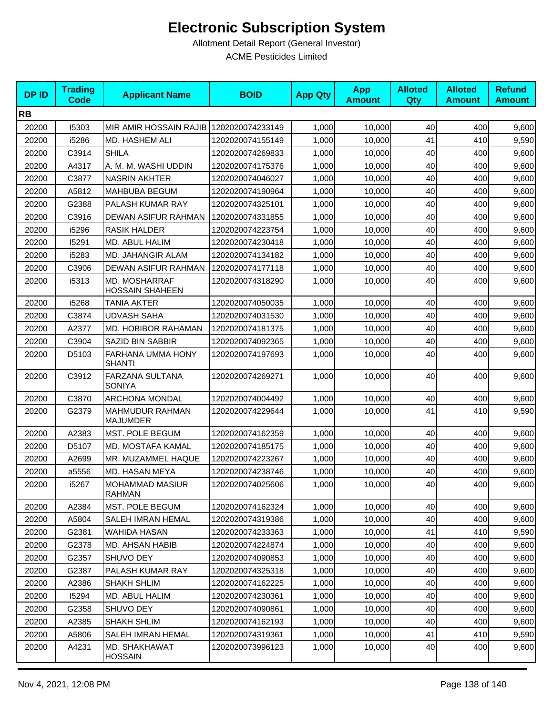| <b>DPID</b> | <b>Trading</b><br><b>Code</b> | <b>Applicant Name</b>                   | <b>BOID</b>      | <b>App Qty</b> | <b>App</b><br><b>Amount</b> | <b>Alloted</b><br>Qty | <b>Alloted</b><br><b>Amount</b> | <b>Refund</b><br><b>Amount</b> |
|-------------|-------------------------------|-----------------------------------------|------------------|----------------|-----------------------------|-----------------------|---------------------------------|--------------------------------|
| <b>RB</b>   |                               |                                         |                  |                |                             |                       |                                 |                                |
| 20200       | 15303                         | MIR AMIR HOSSAIN RAJIB 1202020074233149 |                  | 1,000          | 10,000                      | 40                    | 400                             | 9,600                          |
| 20200       | i5286                         | MD. HASHEM ALI                          | 1202020074155149 | 1,000          | 10,000                      | 41                    | 410                             | 9,590                          |
| 20200       | C3914                         | <b>SHILA</b>                            | 1202020074269833 | 1,000          | 10,000                      | 40                    | 400                             | 9,600                          |
| 20200       | A4317                         | A. M. M. WASHI UDDIN                    | 1202020074175376 | 1,000          | 10,000                      | 40                    | 400                             | 9,600                          |
| 20200       | C3877                         | <b>NASRIN AKHTER</b>                    | 1202020074046027 | 1,000          | 10,000                      | 40                    | 400                             | 9,600                          |
| 20200       | A5812                         | MAHBUBA BEGUM                           | 1202020074190964 | 1,000          | 10,000                      | 40                    | 400                             | 9,600                          |
| 20200       | G2388                         | PALASH KUMAR RAY                        | 1202020074325101 | 1,000          | 10,000                      | 40                    | 400                             | 9,600                          |
| 20200       | C3916                         | DEWAN ASIFUR RAHMAN                     | 1202020074331855 | 1,000          | 10,000                      | 40                    | 400                             | 9,600                          |
| 20200       | i5296                         | <b>RASIK HALDER</b>                     | 1202020074223754 | 1,000          | 10,000                      | 40                    | 400                             | 9,600                          |
| 20200       | 15291                         | MD. ABUL HALIM                          | 1202020074230418 | 1,000          | 10,000                      | 40                    | 400                             | 9,600                          |
| 20200       | i5283                         | MD. JAHANGIR ALAM                       | 1202020074134182 | 1,000          | 10,000                      | 40                    | 400                             | 9,600                          |
| 20200       | C3906                         | <b>DEWAN ASIFUR RAHMAN</b>              | 1202020074177118 | 1,000          | 10,000                      | 40                    | 400                             | 9,600                          |
| 20200       | i5313                         | MD. MOSHARRAF<br><b>HOSSAIN SHAHEEN</b> | 1202020074318290 | 1,000          | 10,000                      | 40                    | 400                             | 9,600                          |
| 20200       | i5268                         | <b>TANIA AKTER</b>                      | 1202020074050035 | 1,000          | 10,000                      | 40                    | 400                             | 9,600                          |
| 20200       | C3874                         | <b>UDVASH SAHA</b>                      | 1202020074031530 | 1,000          | 10,000                      | 40                    | 400                             | 9,600                          |
| 20200       | A2377                         | MD. HOBIBOR RAHAMAN                     | 1202020074181375 | 1,000          | 10,000                      | 40                    | 400                             | 9,600                          |
| 20200       | C3904                         | SAZID BIN SABBIR                        | 1202020074092365 | 1,000          | 10,000                      | 40                    | 400                             | 9,600                          |
| 20200       | D5103                         | FARHANA UMMA HONY<br><b>SHANTI</b>      | 1202020074197693 | 1,000          | 10,000                      | 40                    | 400                             | 9,600                          |
| 20200       | C3912                         | FARZANA SULTANA<br><b>SONIYA</b>        | 1202020074269271 | 1,000          | 10,000                      | 40                    | 400                             | 9,600                          |
| 20200       | C3870                         | <b>ARCHONA MONDAL</b>                   | 1202020074004492 | 1,000          | 10,000                      | 40                    | 400                             | 9,600                          |
| 20200       | G2379                         | MAHMUDUR RAHMAN<br><b>MAJUMDER</b>      | 1202020074229644 | 1,000          | 10,000                      | 41                    | 410                             | 9,590                          |
| 20200       | A2383                         | MST. POLE BEGUM                         | 1202020074162359 | 1,000          | 10,000                      | 40                    | 400                             | 9,600                          |
| 20200       | D5107                         | MD. MOSTAFA KAMAL                       | 1202020074185175 | 1,000          | 10,000                      | 40                    | 400                             | 9,600                          |
| 20200       | A2699                         | MR. MUZAMMEL HAQUE                      | 1202020074223267 | 1,000          | 10,000                      | 40                    | 400                             | 9,600                          |
| 20200       | a5556                         | MD. HASAN MEYA                          | 1202020074238746 | 1,000          | 10,000                      | 40                    | 400                             | 9,600                          |
| 20200       | i5267                         | <b>MOHAMMAD MASIUR</b><br><b>RAHMAN</b> | 1202020074025606 | 1,000          | 10,000                      | 40                    | 400                             | 9,600                          |
| 20200       | A2384                         | MST. POLE BEGUM                         | 1202020074162324 | 1,000          | 10,000                      | 40                    | 400                             | 9,600                          |
| 20200       | A5804                         | SALEH IMRAN HEMAL                       | 1202020074319386 | 1,000          | 10,000                      | 40                    | 400                             | 9,600                          |
| 20200       | G2381                         | WAHIDA HASAN                            | 1202020074233363 | 1,000          | 10,000                      | 41                    | 410                             | 9,590                          |
| 20200       | G2378                         | MD. AHSAN HABIB                         | 1202020074224874 | 1,000          | 10,000                      | 40                    | 400                             | 9,600                          |
| 20200       | G2357                         | SHUVO DEY                               | 1202020074090853 | 1,000          | 10,000                      | 40                    | 400                             | 9,600                          |
| 20200       | G2387                         | PALASH KUMAR RAY                        | 1202020074325318 | 1,000          | 10,000                      | 40                    | 400                             | 9,600                          |
| 20200       | A2386                         | <b>SHAKH SHLIM</b>                      | 1202020074162225 | 1,000          | 10,000                      | 40                    | 400                             | 9,600                          |
| 20200       | 15294                         | MD. ABUL HALIM                          | 1202020074230361 | 1,000          | 10,000                      | 40                    | 400                             | 9,600                          |
| 20200       | G2358                         | SHUVO DEY                               | 1202020074090861 | 1,000          | 10,000                      | 40                    | 400                             | 9,600                          |
| 20200       | A2385                         | <b>SHAKH SHLIM</b>                      | 1202020074162193 | 1,000          | 10,000                      | 40                    | 400                             | 9,600                          |
| 20200       | A5806                         | <b>SALEH IMRAN HEMAL</b>                | 1202020074319361 | 1,000          | 10,000                      | 41                    | 410                             | 9,590                          |
| 20200       | A4231                         | MD. SHAKHAWAT<br>HOSSAIN                | 1202020073996123 | 1,000          | 10,000                      | 40                    | 400                             | 9,600                          |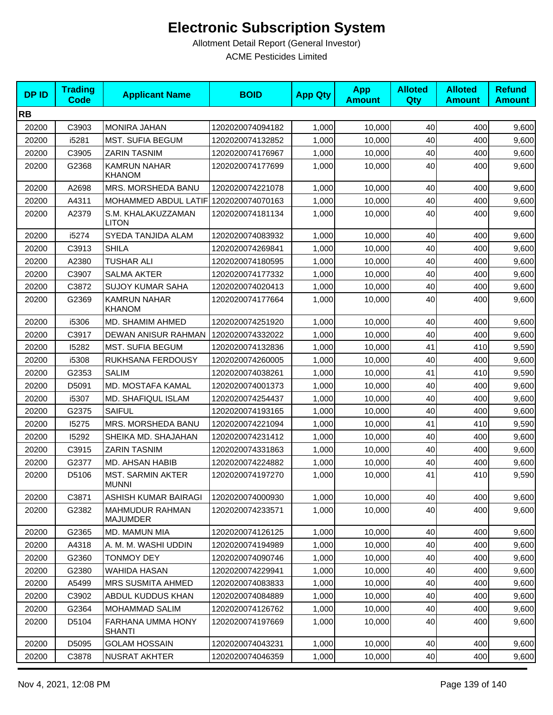| <b>DPID</b> | <b>Trading</b><br><b>Code</b> | <b>Applicant Name</b>                     | <b>BOID</b>      | <b>App Qty</b> | <b>App</b><br><b>Amount</b> | <b>Alloted</b><br><b>Qty</b> | <b>Alloted</b><br><b>Amount</b> | <b>Refund</b><br><b>Amount</b> |
|-------------|-------------------------------|-------------------------------------------|------------------|----------------|-----------------------------|------------------------------|---------------------------------|--------------------------------|
| <b>RB</b>   |                               |                                           |                  |                |                             |                              |                                 |                                |
| 20200       | C3903                         | <b>MONIRA JAHAN</b>                       | 1202020074094182 | 1,000          | 10,000                      | 40                           | 400                             | 9,600                          |
| 20200       | i5281                         | <b>MST. SUFIA BEGUM</b>                   | 1202020074132852 | 1,000          | 10,000                      | 40                           | 400                             | 9,600                          |
| 20200       | C3905                         | <b>ZARIN TASNIM</b>                       | 1202020074176967 | 1,000          | 10,000                      | 40                           | 400                             | 9,600                          |
| 20200       | G2368                         | <b>KAMRUN NAHAR</b><br><b>KHANOM</b>      | 1202020074177699 | 1,000          | 10,000                      | 40                           | 400                             | 9,600                          |
| 20200       | A2698                         | MRS. MORSHEDA BANU                        | 1202020074221078 | 1,000          | 10,000                      | 40                           | 400                             | 9,600                          |
| 20200       | A4311                         | MOHAMMED ABDUL LATIF 1202020074070163     |                  | 1,000          | 10,000                      | 40                           | 400                             | 9,600                          |
| 20200       | A2379                         | S.M. KHALAKUZZAMAN<br><b>LITON</b>        | 1202020074181134 | 1,000          | 10,000                      | 40                           | 400                             | 9,600                          |
| 20200       | i5274                         | SYEDA TANJIDA ALAM                        | 1202020074083932 | 1,000          | 10,000                      | 40                           | 400                             | 9,600                          |
| 20200       | C3913                         | <b>SHILA</b>                              | 1202020074269841 | 1,000          | 10,000                      | 40                           | 400                             | 9,600                          |
| 20200       | A2380                         | <b>TUSHAR ALI</b>                         | 1202020074180595 | 1,000          | 10,000                      | 40                           | 400                             | 9,600                          |
| 20200       | C3907                         | <b>SALMA AKTER</b>                        | 1202020074177332 | 1,000          | 10,000                      | 40                           | 400                             | 9,600                          |
| 20200       | C3872                         | <b>SUJOY KUMAR SAHA</b>                   | 1202020074020413 | 1,000          | 10,000                      | 40                           | 400                             | 9,600                          |
| 20200       | G2369                         | <b>KAMRUN NAHAR</b><br><b>KHANOM</b>      | 1202020074177664 | 1,000          | 10,000                      | 40                           | 400                             | 9,600                          |
| 20200       | i5306                         | MD. SHAMIM AHMED                          | 1202020074251920 | 1,000          | 10,000                      | 40                           | 400                             | 9,600                          |
| 20200       | C3917                         | DEWAN ANISUR RAHMAN                       | 1202020074332022 | 1,000          | 10,000                      | 40                           | 400                             | 9,600                          |
| 20200       | 15282                         | <b>MST. SUFIA BEGUM</b>                   | 1202020074132836 | 1,000          | 10,000                      | 41                           | 410                             | 9,590                          |
| 20200       | i5308                         | RUKHSANA FERDOUSY                         | 1202020074260005 | 1,000          | 10,000                      | 40                           | 400                             | 9,600                          |
| 20200       | G2353                         | <b>SALIM</b>                              | 1202020074038261 | 1,000          | 10,000                      | 41                           | 410                             | 9,590                          |
| 20200       | D5091                         | MD. MOSTAFA KAMAL                         | 1202020074001373 | 1,000          | 10,000                      | 40                           | 400                             | 9,600                          |
| 20200       | i5307                         | MD. SHAFIQUL ISLAM                        | 1202020074254437 | 1,000          | 10,000                      | 40                           | 400                             | 9,600                          |
| 20200       | G2375                         | <b>SAIFUL</b>                             | 1202020074193165 | 1,000          | 10,000                      | 40                           | 400                             | 9,600                          |
| 20200       | 15275                         | MRS. MORSHEDA BANU                        | 1202020074221094 | 1,000          | 10,000                      | 41                           | 410                             | 9,590                          |
| 20200       | 15292                         | SHEIKA MD. SHAJAHAN                       | 1202020074231412 | 1,000          | 10,000                      | 40                           | 400                             | 9,600                          |
| 20200       | C3915                         | <b>ZARIN TASNIM</b>                       | 1202020074331863 | 1,000          | 10,000                      | 40                           | 400                             | 9,600                          |
| 20200       | G2377                         | MD. AHSAN HABIB                           | 1202020074224882 | 1,000          | 10,000                      | 40                           | 400                             | 9,600                          |
| 20200       | D5106                         | <b>MST. SARMIN AKTER</b><br><b>MUNNI</b>  | 1202020074197270 | 1,000          | 10,000                      | 41                           | 410                             | 9,590                          |
| 20200       | C3871                         | ASHISH KUMAR BAIRAGI                      | 1202020074000930 | 1,000          | 10,000                      | 40                           | 400                             | 9,600                          |
| 20200       | G2382                         | <b>MAHMUDUR RAHMAN</b><br><b>MAJUMDER</b> | 1202020074233571 | 1,000          | 10,000                      | 40                           | 400                             | 9,600                          |
| 20200       | G2365                         | MD. MAMUN MIA                             | 1202020074126125 | 1,000          | 10,000                      | 40                           | 400                             | 9,600                          |
| 20200       | A4318                         | A. M. M. WASHI UDDIN                      | 1202020074194989 | 1,000          | 10,000                      | 40                           | 400                             | 9,600                          |
| 20200       | G2360                         | <b>TONMOY DEY</b>                         | 1202020074090746 | 1,000          | 10,000                      | 40                           | 400                             | 9,600                          |
| 20200       | G2380                         | <b>WAHIDA HASAN</b>                       | 1202020074229941 | 1,000          | 10,000                      | 40                           | 400                             | 9,600                          |
| 20200       | A5499                         | <b>MRS SUSMITA AHMED</b>                  | 1202020074083833 | 1,000          | 10,000                      | 40                           | 400                             | 9,600                          |
| 20200       | C3902                         | ABDUL KUDDUS KHAN                         | 1202020074084889 | 1,000          | 10,000                      | 40                           | 400                             | 9,600                          |
| 20200       | G2364                         | <b>MOHAMMAD SALIM</b>                     | 1202020074126762 | 1,000          | 10,000                      | 40                           | 400                             | 9,600                          |
| 20200       | D5104                         | FARHANA UMMA HONY<br><b>SHANTI</b>        | 1202020074197669 | 1,000          | 10,000                      | 40                           | 400                             | 9,600                          |
| 20200       | D5095                         | <b>GOLAM HOSSAIN</b>                      | 1202020074043231 | 1,000          | 10,000                      | 40                           | 400                             | 9,600                          |
| 20200       | C3878                         | NUSRAT AKHTER                             | 1202020074046359 | 1,000          | 10,000                      | 40                           | 400                             | 9,600                          |